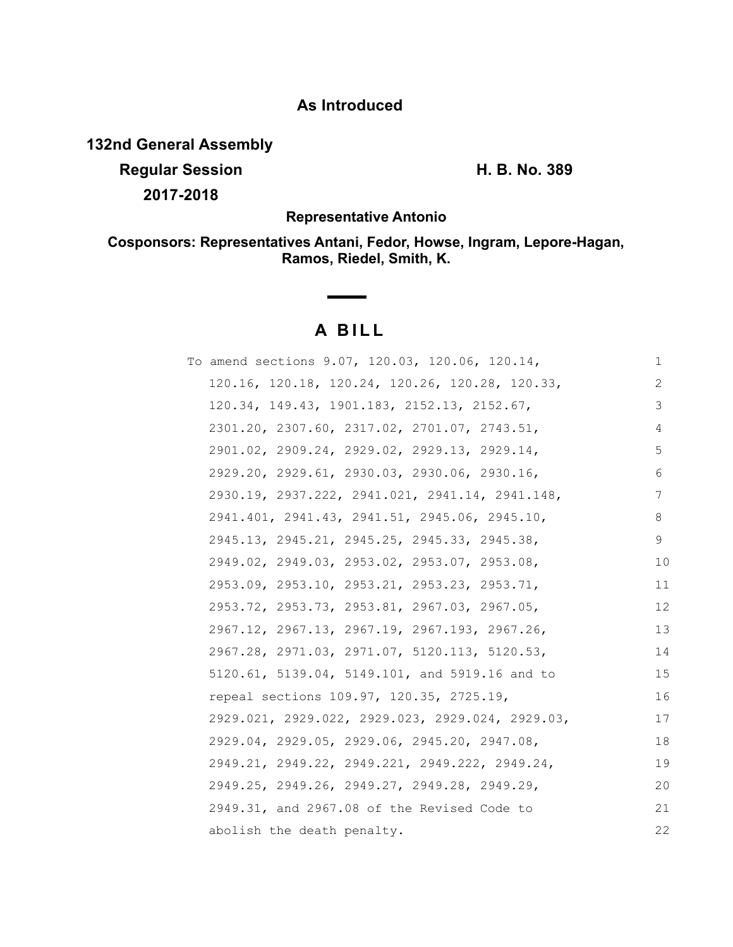## **As Introduced**

**132nd General Assembly**

**Regular Session H. B. No. 389 2017-2018**

**Representative Antonio**

**Cosponsors: Representatives Antani, Fedor, Howse, Ingram, Lepore-Hagan, Ramos, Riedel, Smith, K.**

# **A BILL**

| To amend sections 9.07, 120.03, 120.06, 120.14,  | 1  |
|--------------------------------------------------|----|
| 120.16, 120.18, 120.24, 120.26, 120.28, 120.33,  | 2  |
| 120.34, 149.43, 1901.183, 2152.13, 2152.67,      | 3  |
| 2301.20, 2307.60, 2317.02, 2701.07, 2743.51,     | 4  |
| 2901.02, 2909.24, 2929.02, 2929.13, 2929.14,     | 5  |
| 2929.20, 2929.61, 2930.03, 2930.06, 2930.16,     | 6  |
| 2930.19, 2937.222, 2941.021, 2941.14, 2941.148,  | 7  |
| 2941.401, 2941.43, 2941.51, 2945.06, 2945.10,    | 8  |
| 2945.13, 2945.21, 2945.25, 2945.33, 2945.38,     | 9  |
| 2949.02, 2949.03, 2953.02, 2953.07, 2953.08,     | 10 |
| 2953.09, 2953.10, 2953.21, 2953.23, 2953.71,     | 11 |
| 2953.72, 2953.73, 2953.81, 2967.03, 2967.05,     | 12 |
| 2967.12, 2967.13, 2967.19, 2967.193, 2967.26,    | 13 |
| 2967.28, 2971.03, 2971.07, 5120.113, 5120.53,    | 14 |
| 5120.61, 5139.04, 5149.101, and 5919.16 and to   | 15 |
| repeal sections 109.97, 120.35, 2725.19,         | 16 |
| 2929.021, 2929.022, 2929.023, 2929.024, 2929.03, | 17 |
| 2929.04, 2929.05, 2929.06, 2945.20, 2947.08,     | 18 |
| 2949.21, 2949.22, 2949.221, 2949.222, 2949.24,   | 19 |
| 2949.25, 2949.26, 2949.27, 2949.28, 2949.29,     | 20 |
| 2949.31, and 2967.08 of the Revised Code to      | 21 |
| abolish the death penalty.                       | 22 |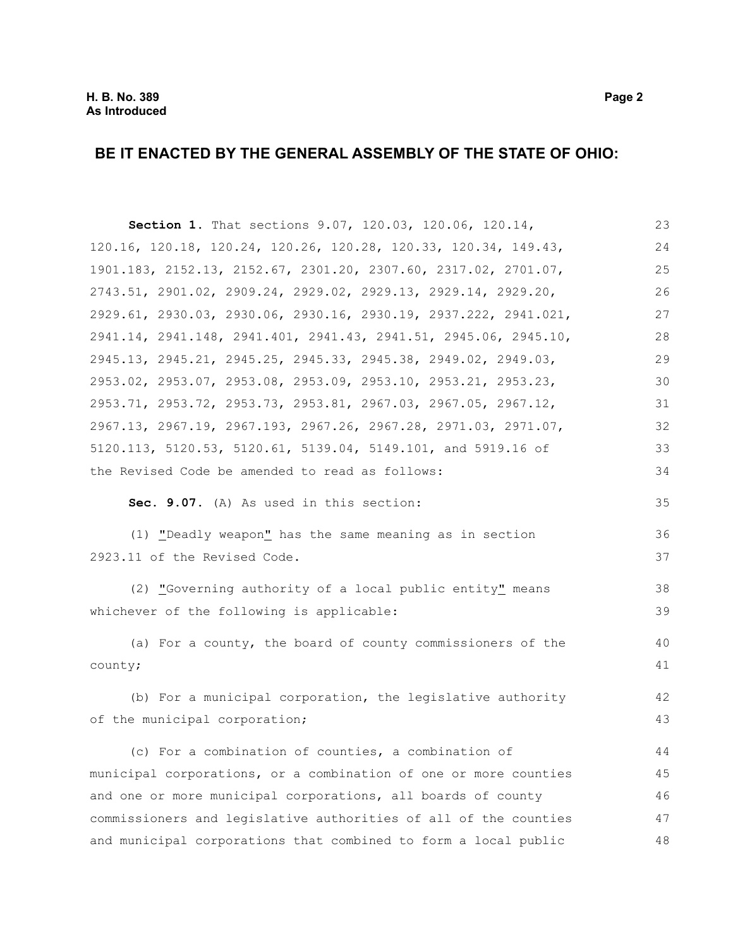### **BE IT ENACTED BY THE GENERAL ASSEMBLY OF THE STATE OF OHIO:**

**Section 1.** That sections 9.07, 120.03, 120.06, 120.14, 120.16, 120.18, 120.24, 120.26, 120.28, 120.33, 120.34, 149.43, 1901.183, 2152.13, 2152.67, 2301.20, 2307.60, 2317.02, 2701.07, 2743.51, 2901.02, 2909.24, 2929.02, 2929.13, 2929.14, 2929.20, 2929.61, 2930.03, 2930.06, 2930.16, 2930.19, 2937.222, 2941.021, 2941.14, 2941.148, 2941.401, 2941.43, 2941.51, 2945.06, 2945.10, 2945.13, 2945.21, 2945.25, 2945.33, 2945.38, 2949.02, 2949.03, 2953.02, 2953.07, 2953.08, 2953.09, 2953.10, 2953.21, 2953.23, 2953.71, 2953.72, 2953.73, 2953.81, 2967.03, 2967.05, 2967.12, 2967.13, 2967.19, 2967.193, 2967.26, 2967.28, 2971.03, 2971.07, 5120.113, 5120.53, 5120.61, 5139.04, 5149.101, and 5919.16 of the Revised Code be amended to read as follows: **Sec. 9.07.** (A) As used in this section: (1) "Deadly weapon" has the same meaning as in section 2923.11 of the Revised Code. (2) "Governing authority of a local public entity" means whichever of the following is applicable: (a) For a county, the board of county commissioners of the county; (b) For a municipal corporation, the legislative authority of the municipal corporation; (c) For a combination of counties, a combination of municipal corporations, or a combination of one or more counties and one or more municipal corporations, all boards of county commissioners and legislative authorities of all of the counties and municipal corporations that combined to form a local public 23 24 25 26 27 28 29 30 31 32 33 34 35 36 37 38 39 40 41 42 43 44 45 46 47 48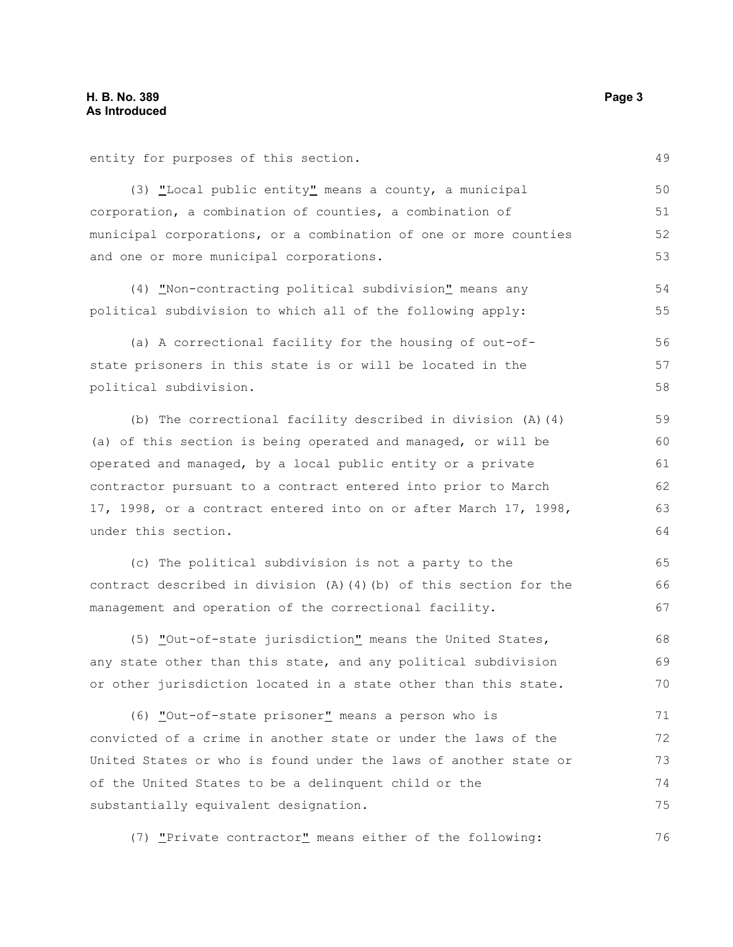entity for purposes of this section.

(3) "Local public entity" means a county, a municipal corporation, a combination of counties, a combination of municipal corporations, or a combination of one or more counties and one or more municipal corporations. 50 51 52 53

(4) "Non-contracting political subdivision" means any political subdivision to which all of the following apply:

(a) A correctional facility for the housing of out-ofstate prisoners in this state is or will be located in the political subdivision. 56 57 58

(b) The correctional facility described in division (A)(4) (a) of this section is being operated and managed, or will be operated and managed, by a local public entity or a private contractor pursuant to a contract entered into prior to March 17, 1998, or a contract entered into on or after March 17, 1998, under this section. 59

(c) The political subdivision is not a party to the contract described in division (A)(4)(b) of this section for the management and operation of the correctional facility. 65 66 67

(5) "Out-of-state jurisdiction" means the United States, any state other than this state, and any political subdivision or other jurisdiction located in a state other than this state. 68 69 70

(6) "Out-of-state prisoner" means a person who is convicted of a crime in another state or under the laws of the United States or who is found under the laws of another state or of the United States to be a delinquent child or the substantially equivalent designation. 71 72 73 74 75

(7) "Private contractor" means either of the following: 76

49

54 55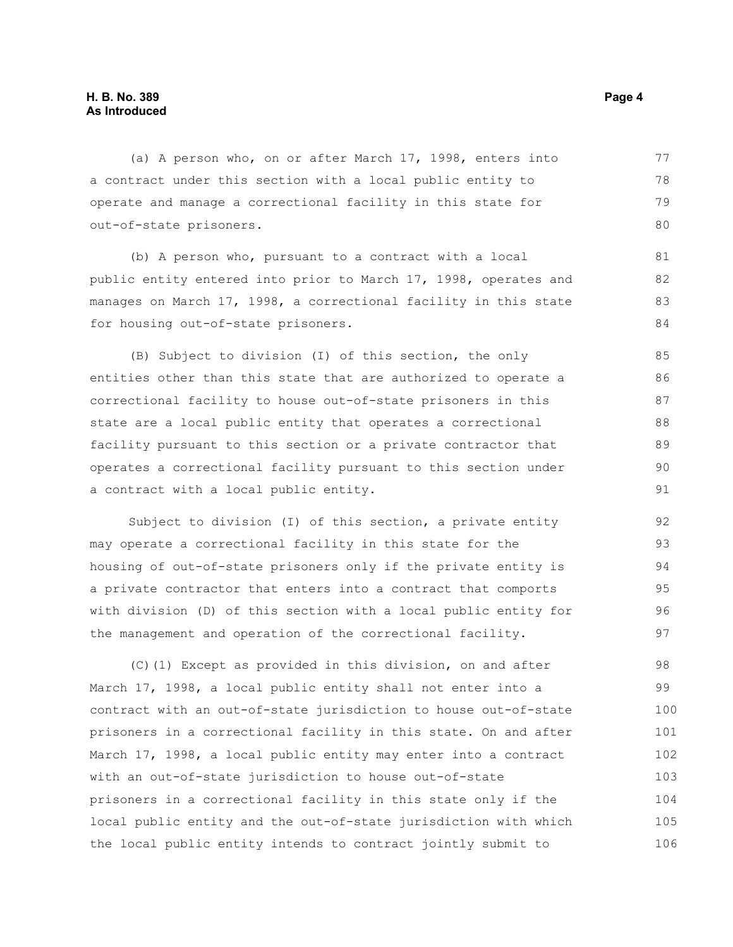(a) A person who, on or after March 17, 1998, enters into a contract under this section with a local public entity to operate and manage a correctional facility in this state for out-of-state prisoners.

(b) A person who, pursuant to a contract with a local public entity entered into prior to March 17, 1998, operates and manages on March 17, 1998, a correctional facility in this state for housing out-of-state prisoners.

(B) Subject to division (I) of this section, the only entities other than this state that are authorized to operate a correctional facility to house out-of-state prisoners in this state are a local public entity that operates a correctional facility pursuant to this section or a private contractor that operates a correctional facility pursuant to this section under a contract with a local public entity.

Subject to division (I) of this section, a private entity may operate a correctional facility in this state for the housing of out-of-state prisoners only if the private entity is a private contractor that enters into a contract that comports with division (D) of this section with a local public entity for the management and operation of the correctional facility. 92 93 94 95 96 97

(C)(1) Except as provided in this division, on and after March 17, 1998, a local public entity shall not enter into a contract with an out-of-state jurisdiction to house out-of-state prisoners in a correctional facility in this state. On and after March 17, 1998, a local public entity may enter into a contract with an out-of-state jurisdiction to house out-of-state prisoners in a correctional facility in this state only if the local public entity and the out-of-state jurisdiction with which the local public entity intends to contract jointly submit to 98 99 100 101 102 103 104 105 106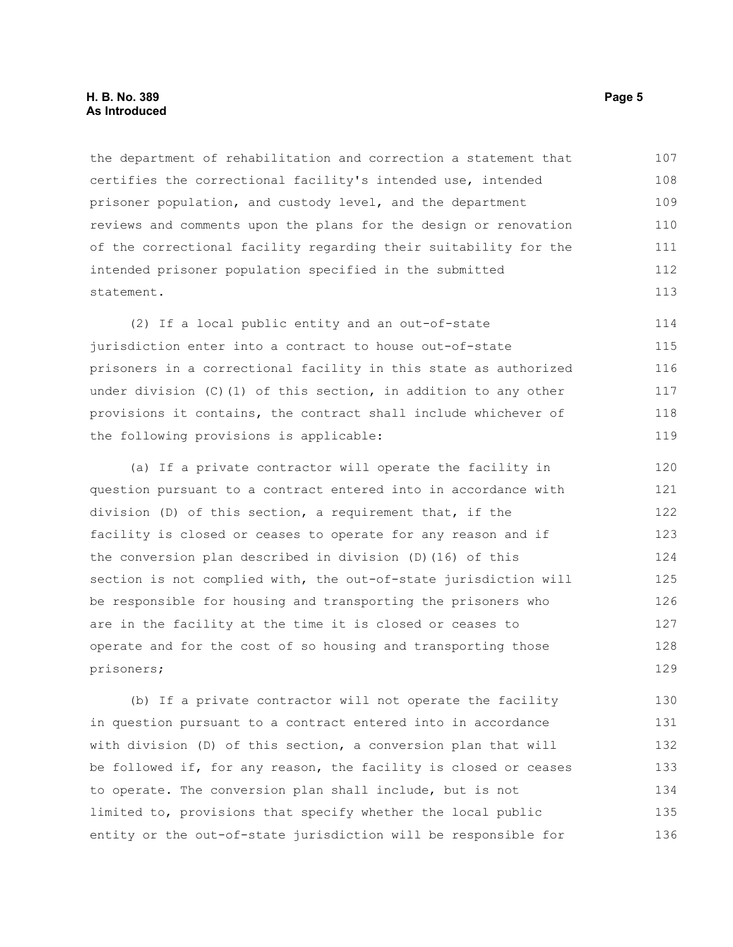#### **H. B. No. 389 Page 5 As Introduced**

the department of rehabilitation and correction a statement that certifies the correctional facility's intended use, intended prisoner population, and custody level, and the department reviews and comments upon the plans for the design or renovation of the correctional facility regarding their suitability for the intended prisoner population specified in the submitted statement. 107 108 109 110 111 112 113

(2) If a local public entity and an out-of-state jurisdiction enter into a contract to house out-of-state prisoners in a correctional facility in this state as authorized under division (C)(1) of this section, in addition to any other provisions it contains, the contract shall include whichever of the following provisions is applicable: 114 115 116 117 118 119

(a) If a private contractor will operate the facility in question pursuant to a contract entered into in accordance with division (D) of this section, a requirement that, if the facility is closed or ceases to operate for any reason and if the conversion plan described in division (D)(16) of this section is not complied with, the out-of-state jurisdiction will be responsible for housing and transporting the prisoners who are in the facility at the time it is closed or ceases to operate and for the cost of so housing and transporting those prisoners; 120 121 122 123 124 125 126 127 128 129

(b) If a private contractor will not operate the facility in question pursuant to a contract entered into in accordance with division (D) of this section, a conversion plan that will be followed if, for any reason, the facility is closed or ceases to operate. The conversion plan shall include, but is not limited to, provisions that specify whether the local public entity or the out-of-state jurisdiction will be responsible for 130 131 132 133 134 135 136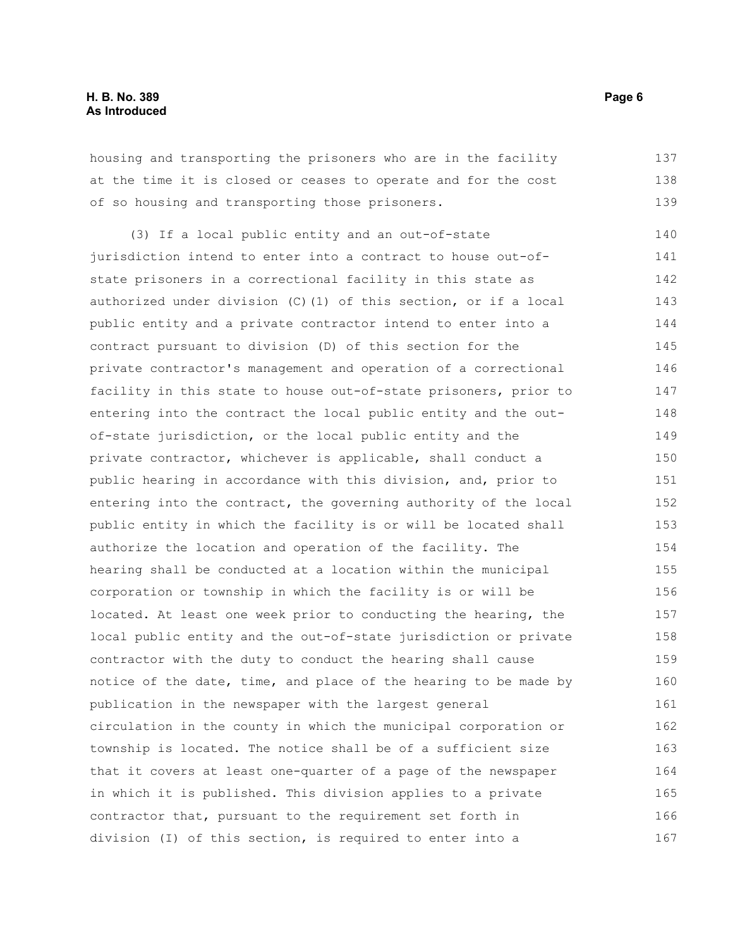#### **H. B. No. 389 Page 6 As Introduced**

housing and transporting the prisoners who are in the facility at the time it is closed or ceases to operate and for the cost of so housing and transporting those prisoners. 137 138 139

(3) If a local public entity and an out-of-state jurisdiction intend to enter into a contract to house out-ofstate prisoners in a correctional facility in this state as authorized under division (C)(1) of this section, or if a local public entity and a private contractor intend to enter into a contract pursuant to division (D) of this section for the private contractor's management and operation of a correctional facility in this state to house out-of-state prisoners, prior to entering into the contract the local public entity and the outof-state jurisdiction, or the local public entity and the private contractor, whichever is applicable, shall conduct a public hearing in accordance with this division, and, prior to entering into the contract, the governing authority of the local public entity in which the facility is or will be located shall authorize the location and operation of the facility. The hearing shall be conducted at a location within the municipal corporation or township in which the facility is or will be located. At least one week prior to conducting the hearing, the local public entity and the out-of-state jurisdiction or private contractor with the duty to conduct the hearing shall cause notice of the date, time, and place of the hearing to be made by publication in the newspaper with the largest general circulation in the county in which the municipal corporation or township is located. The notice shall be of a sufficient size that it covers at least one-quarter of a page of the newspaper in which it is published. This division applies to a private contractor that, pursuant to the requirement set forth in division (I) of this section, is required to enter into a 140 141 142 143 144 145 146 147 148 149 150 151 152 153 154 155 156 157 158 159 160 161 162 163 164 165 166 167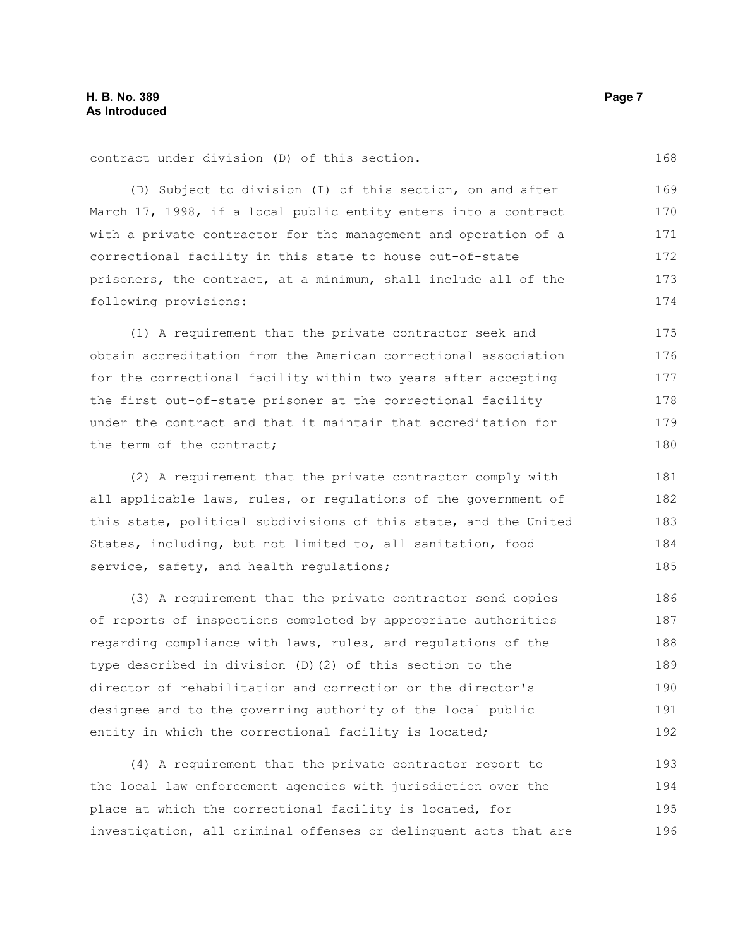contract under division (D) of this section.

(D) Subject to division (I) of this section, on and after March 17, 1998, if a local public entity enters into a contract with a private contractor for the management and operation of a correctional facility in this state to house out-of-state prisoners, the contract, at a minimum, shall include all of the following provisions: 169 170 171 172 173 174

(1) A requirement that the private contractor seek and obtain accreditation from the American correctional association for the correctional facility within two years after accepting the first out-of-state prisoner at the correctional facility under the contract and that it maintain that accreditation for the term of the contract; 175 176 177 178 179

(2) A requirement that the private contractor comply with all applicable laws, rules, or regulations of the government of this state, political subdivisions of this state, and the United States, including, but not limited to, all sanitation, food service, safety, and health regulations;

(3) A requirement that the private contractor send copies of reports of inspections completed by appropriate authorities regarding compliance with laws, rules, and regulations of the type described in division (D)(2) of this section to the director of rehabilitation and correction or the director's designee and to the governing authority of the local public entity in which the correctional facility is located; 186 187 188 189 190 191 192

(4) A requirement that the private contractor report to the local law enforcement agencies with jurisdiction over the place at which the correctional facility is located, for investigation, all criminal offenses or delinquent acts that are 193 194 195 196

168

180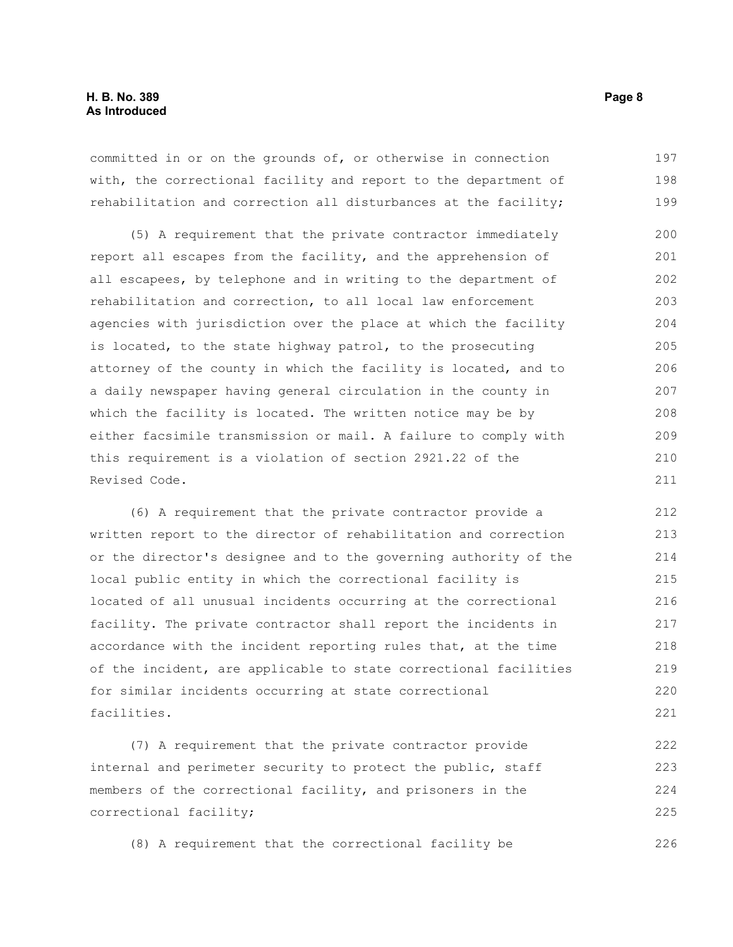committed in or on the grounds of, or otherwise in connection with, the correctional facility and report to the department of rehabilitation and correction all disturbances at the facility; 197 198 199

(5) A requirement that the private contractor immediately report all escapes from the facility, and the apprehension of all escapees, by telephone and in writing to the department of rehabilitation and correction, to all local law enforcement agencies with jurisdiction over the place at which the facility is located, to the state highway patrol, to the prosecuting attorney of the county in which the facility is located, and to a daily newspaper having general circulation in the county in which the facility is located. The written notice may be by either facsimile transmission or mail. A failure to comply with this requirement is a violation of section 2921.22 of the Revised Code. 200 201 202 203 204 205 206 207 208 209 210 211

(6) A requirement that the private contractor provide a written report to the director of rehabilitation and correction or the director's designee and to the governing authority of the local public entity in which the correctional facility is located of all unusual incidents occurring at the correctional facility. The private contractor shall report the incidents in accordance with the incident reporting rules that, at the time of the incident, are applicable to state correctional facilities for similar incidents occurring at state correctional facilities.

(7) A requirement that the private contractor provide internal and perimeter security to protect the public, staff members of the correctional facility, and prisoners in the correctional facility; 222 223 224 225

(8) A requirement that the correctional facility be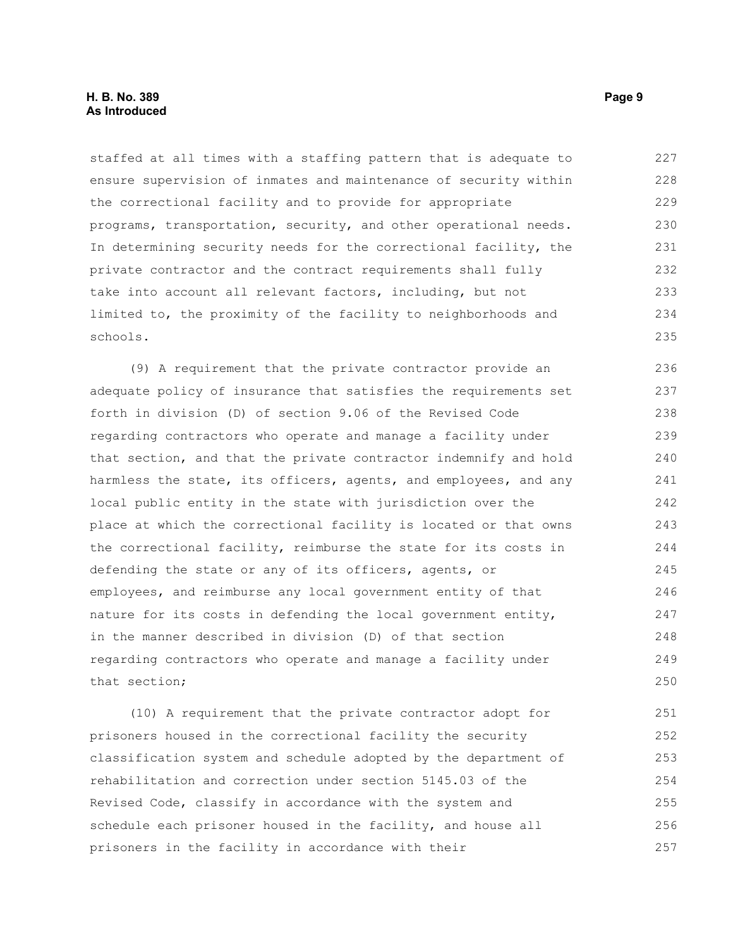staffed at all times with a staffing pattern that is adequate to ensure supervision of inmates and maintenance of security within the correctional facility and to provide for appropriate programs, transportation, security, and other operational needs. In determining security needs for the correctional facility, the private contractor and the contract requirements shall fully take into account all relevant factors, including, but not limited to, the proximity of the facility to neighborhoods and schools. 227 228 229 230 231 232 233 234 235

(9) A requirement that the private contractor provide an adequate policy of insurance that satisfies the requirements set forth in division (D) of section 9.06 of the Revised Code regarding contractors who operate and manage a facility under that section, and that the private contractor indemnify and hold harmless the state, its officers, agents, and employees, and any local public entity in the state with jurisdiction over the place at which the correctional facility is located or that owns the correctional facility, reimburse the state for its costs in defending the state or any of its officers, agents, or employees, and reimburse any local government entity of that nature for its costs in defending the local government entity, in the manner described in division (D) of that section regarding contractors who operate and manage a facility under that section; 236 237 238 239 240 241 242 243 244 245 246 247 248 249 250

(10) A requirement that the private contractor adopt for prisoners housed in the correctional facility the security classification system and schedule adopted by the department of rehabilitation and correction under section 5145.03 of the Revised Code, classify in accordance with the system and schedule each prisoner housed in the facility, and house all prisoners in the facility in accordance with their 251 252 253 254 255 256 257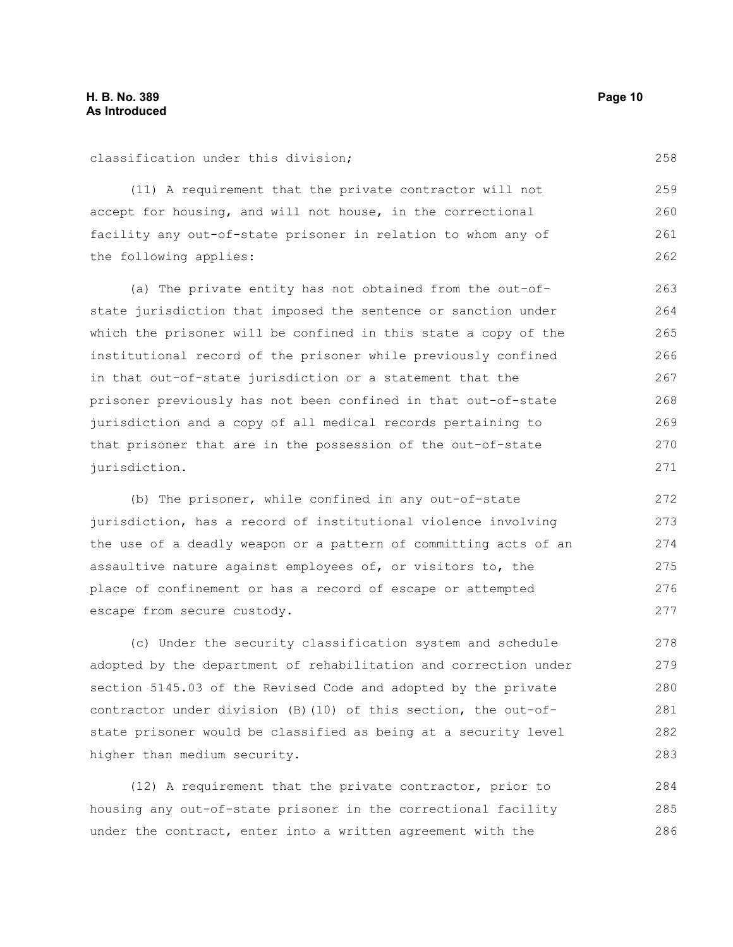classification under this division;

(11) A requirement that the private contractor will not accept for housing, and will not house, in the correctional facility any out-of-state prisoner in relation to whom any of the following applies:

(a) The private entity has not obtained from the out-ofstate jurisdiction that imposed the sentence or sanction under which the prisoner will be confined in this state a copy of the institutional record of the prisoner while previously confined in that out-of-state jurisdiction or a statement that the prisoner previously has not been confined in that out-of-state jurisdiction and a copy of all medical records pertaining to that prisoner that are in the possession of the out-of-state jurisdiction. 264

(b) The prisoner, while confined in any out-of-state jurisdiction, has a record of institutional violence involving the use of a deadly weapon or a pattern of committing acts of an assaultive nature against employees of, or visitors to, the place of confinement or has a record of escape or attempted escape from secure custody.

(c) Under the security classification system and schedule adopted by the department of rehabilitation and correction under section 5145.03 of the Revised Code and adopted by the private contractor under division (B)(10) of this section, the out-ofstate prisoner would be classified as being at a security level higher than medium security.

(12) A requirement that the private contractor, prior to housing any out-of-state prisoner in the correctional facility under the contract, enter into a written agreement with the 284 285 286

266 267

258

263

265

277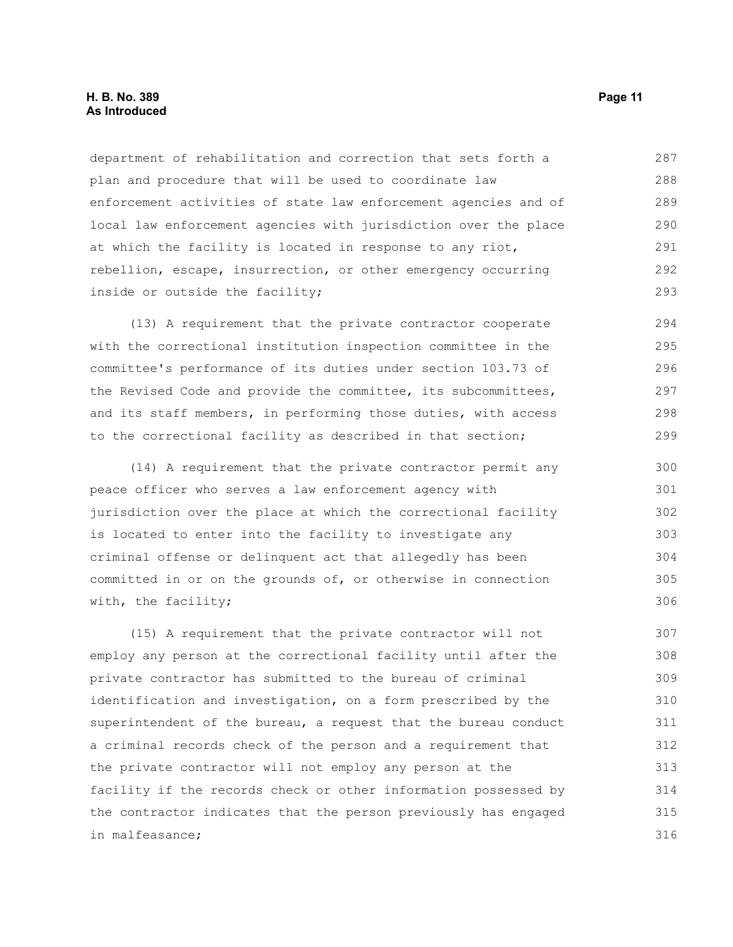department of rehabilitation and correction that sets forth a plan and procedure that will be used to coordinate law enforcement activities of state law enforcement agencies and of local law enforcement agencies with jurisdiction over the place at which the facility is located in response to any riot, rebellion, escape, insurrection, or other emergency occurring inside or outside the facility; 287 288 289 290 291 292 293

(13) A requirement that the private contractor cooperate with the correctional institution inspection committee in the committee's performance of its duties under section 103.73 of the Revised Code and provide the committee, its subcommittees, and its staff members, in performing those duties, with access to the correctional facility as described in that section; 294 295 296 297 298 299

(14) A requirement that the private contractor permit any peace officer who serves a law enforcement agency with jurisdiction over the place at which the correctional facility is located to enter into the facility to investigate any criminal offense or delinquent act that allegedly has been committed in or on the grounds of, or otherwise in connection with, the facility;

(15) A requirement that the private contractor will not employ any person at the correctional facility until after the private contractor has submitted to the bureau of criminal identification and investigation, on a form prescribed by the superintendent of the bureau, a request that the bureau conduct a criminal records check of the person and a requirement that the private contractor will not employ any person at the facility if the records check or other information possessed by the contractor indicates that the person previously has engaged in malfeasance; 307 308 309 310 311 312 313 314 315 316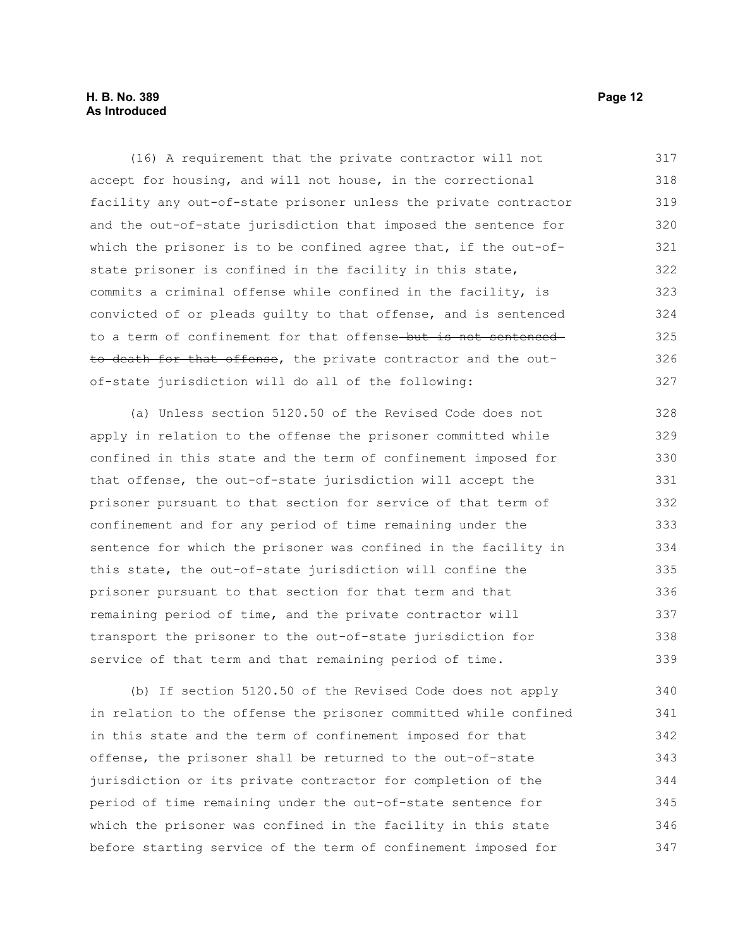(16) A requirement that the private contractor will not accept for housing, and will not house, in the correctional facility any out-of-state prisoner unless the private contractor and the out-of-state jurisdiction that imposed the sentence for which the prisoner is to be confined agree that, if the out-ofstate prisoner is confined in the facility in this state, commits a criminal offense while confined in the facility, is convicted of or pleads guilty to that offense, and is sentenced to a term of confinement for that offense-but is not sentencedto death for that offense, the private contractor and the outof-state jurisdiction will do all of the following: 317 318 319 320 321 322 323 324 325 326 327

(a) Unless section 5120.50 of the Revised Code does not apply in relation to the offense the prisoner committed while confined in this state and the term of confinement imposed for that offense, the out-of-state jurisdiction will accept the prisoner pursuant to that section for service of that term of confinement and for any period of time remaining under the sentence for which the prisoner was confined in the facility in this state, the out-of-state jurisdiction will confine the prisoner pursuant to that section for that term and that remaining period of time, and the private contractor will transport the prisoner to the out-of-state jurisdiction for service of that term and that remaining period of time. 328 329 330 331 332 333 334 335 336 337 338 339

(b) If section 5120.50 of the Revised Code does not apply in relation to the offense the prisoner committed while confined in this state and the term of confinement imposed for that offense, the prisoner shall be returned to the out-of-state jurisdiction or its private contractor for completion of the period of time remaining under the out-of-state sentence for which the prisoner was confined in the facility in this state before starting service of the term of confinement imposed for 340 341 342 343 344 345 346 347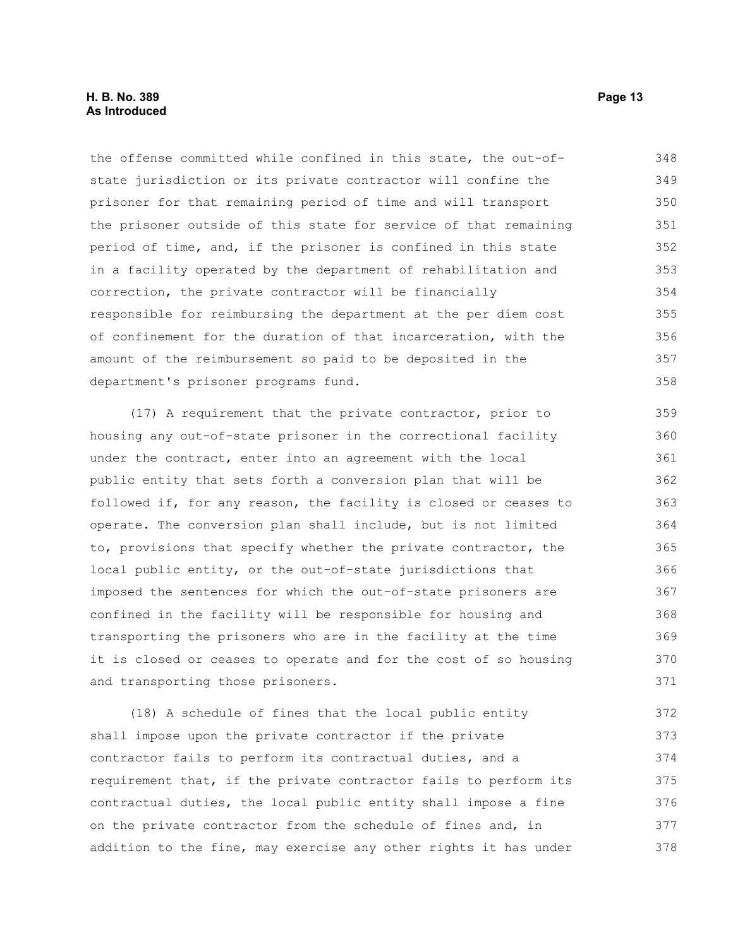#### **H. B. No. 389 Page 13 As Introduced**

the offense committed while confined in this state, the out-ofstate jurisdiction or its private contractor will confine the prisoner for that remaining period of time and will transport the prisoner outside of this state for service of that remaining period of time, and, if the prisoner is confined in this state in a facility operated by the department of rehabilitation and correction, the private contractor will be financially responsible for reimbursing the department at the per diem cost of confinement for the duration of that incarceration, with the amount of the reimbursement so paid to be deposited in the department's prisoner programs fund. 348 349 350 351 352 353 354 355 356 357 358

(17) A requirement that the private contractor, prior to housing any out-of-state prisoner in the correctional facility under the contract, enter into an agreement with the local public entity that sets forth a conversion plan that will be followed if, for any reason, the facility is closed or ceases to operate. The conversion plan shall include, but is not limited to, provisions that specify whether the private contractor, the local public entity, or the out-of-state jurisdictions that imposed the sentences for which the out-of-state prisoners are confined in the facility will be responsible for housing and transporting the prisoners who are in the facility at the time it is closed or ceases to operate and for the cost of so housing and transporting those prisoners. 359 360 361 362 363 364 365 366 367 368 369 370 371

(18) A schedule of fines that the local public entity shall impose upon the private contractor if the private contractor fails to perform its contractual duties, and a requirement that, if the private contractor fails to perform its contractual duties, the local public entity shall impose a fine on the private contractor from the schedule of fines and, in addition to the fine, may exercise any other rights it has under 372 373 374 375 376 377 378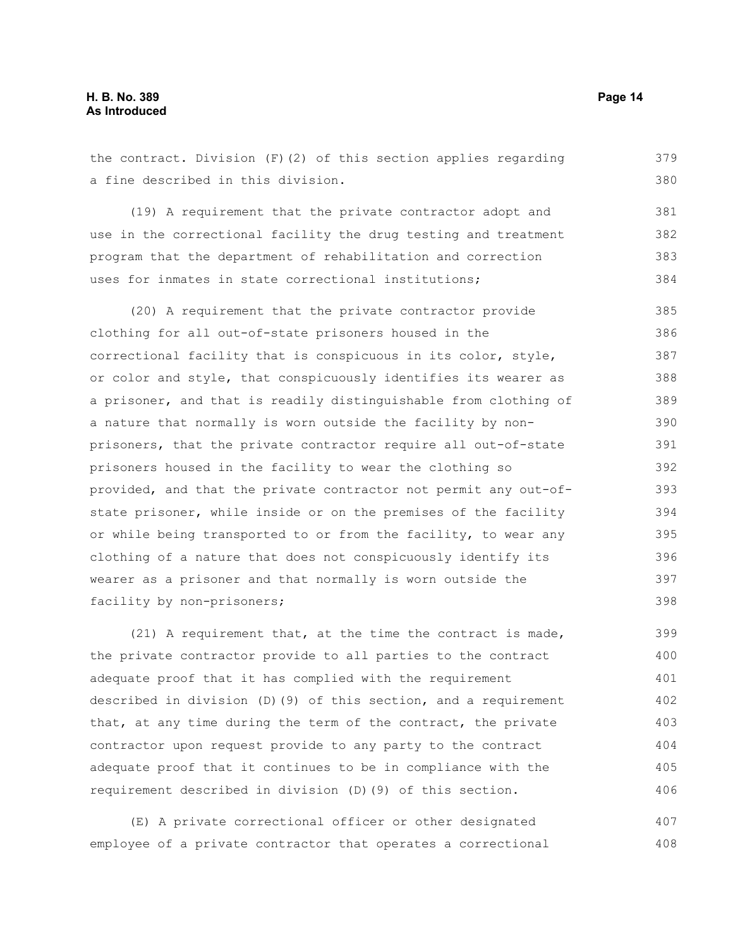the contract. Division (F)(2) of this section applies regarding a fine described in this division. (19) A requirement that the private contractor adopt and use in the correctional facility the drug testing and treatment program that the department of rehabilitation and correction uses for inmates in state correctional institutions; (20) A requirement that the private contractor provide clothing for all out-of-state prisoners housed in the correctional facility that is conspicuous in its color, style, or color and style, that conspicuously identifies its wearer as a prisoner, and that is readily distinguishable from clothing of a nature that normally is worn outside the facility by nonprisoners, that the private contractor require all out-of-state prisoners housed in the facility to wear the clothing so provided, and that the private contractor not permit any out-ofstate prisoner, while inside or on the premises of the facility or while being transported to or from the facility, to wear any clothing of a nature that does not conspicuously identify its wearer as a prisoner and that normally is worn outside the facility by non-prisoners; 379 380 381 382 383 384 385 386 387 388 389 390 391 392 393 394 395 396 397 398

(21) A requirement that, at the time the contract is made, the private contractor provide to all parties to the contract adequate proof that it has complied with the requirement described in division (D)(9) of this section, and a requirement that, at any time during the term of the contract, the private contractor upon request provide to any party to the contract adequate proof that it continues to be in compliance with the requirement described in division (D)(9) of this section. 399 400 401 402 403 404 405 406

(E) A private correctional officer or other designated employee of a private contractor that operates a correctional 407 408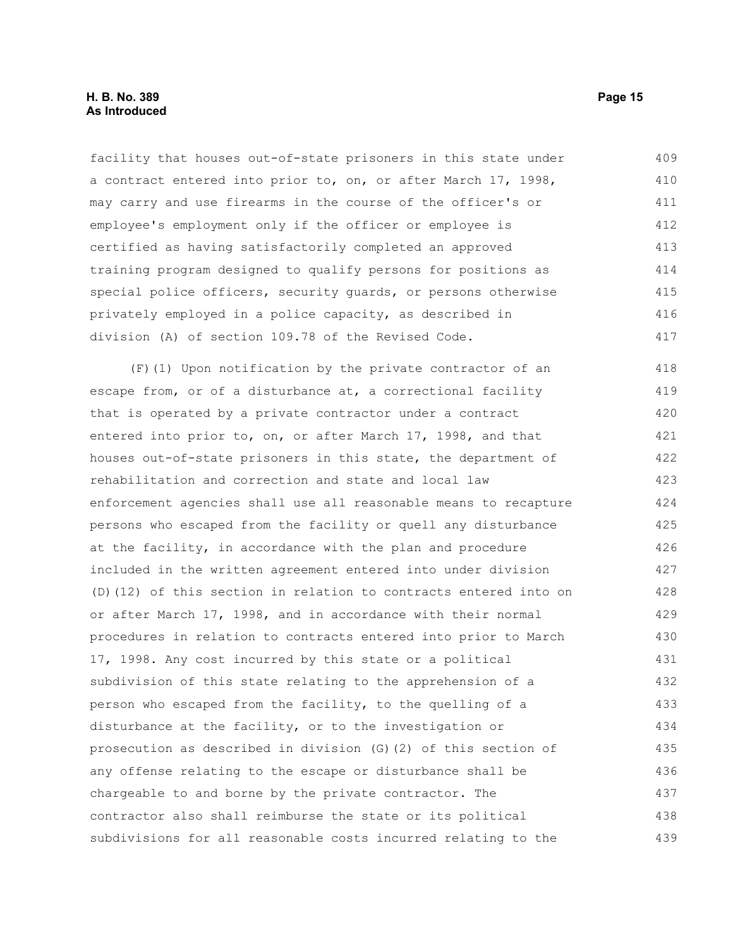#### **H. B. No. 389 Page 15 As Introduced**

facility that houses out-of-state prisoners in this state under a contract entered into prior to, on, or after March 17, 1998, may carry and use firearms in the course of the officer's or employee's employment only if the officer or employee is certified as having satisfactorily completed an approved training program designed to qualify persons for positions as special police officers, security guards, or persons otherwise privately employed in a police capacity, as described in division (A) of section 109.78 of the Revised Code. 409 410 411 412 413 414 415 416 417

(F)(1) Upon notification by the private contractor of an escape from, or of a disturbance at, a correctional facility that is operated by a private contractor under a contract entered into prior to, on, or after March 17, 1998, and that houses out-of-state prisoners in this state, the department of rehabilitation and correction and state and local law enforcement agencies shall use all reasonable means to recapture persons who escaped from the facility or quell any disturbance at the facility, in accordance with the plan and procedure included in the written agreement entered into under division (D)(12) of this section in relation to contracts entered into on or after March 17, 1998, and in accordance with their normal procedures in relation to contracts entered into prior to March 17, 1998. Any cost incurred by this state or a political subdivision of this state relating to the apprehension of a person who escaped from the facility, to the quelling of a disturbance at the facility, or to the investigation or prosecution as described in division (G)(2) of this section of any offense relating to the escape or disturbance shall be chargeable to and borne by the private contractor. The contractor also shall reimburse the state or its political subdivisions for all reasonable costs incurred relating to the 418 419 420 421 422 423 424 425 426 427 428 429 430 431 432 433 434 435 436 437 438 439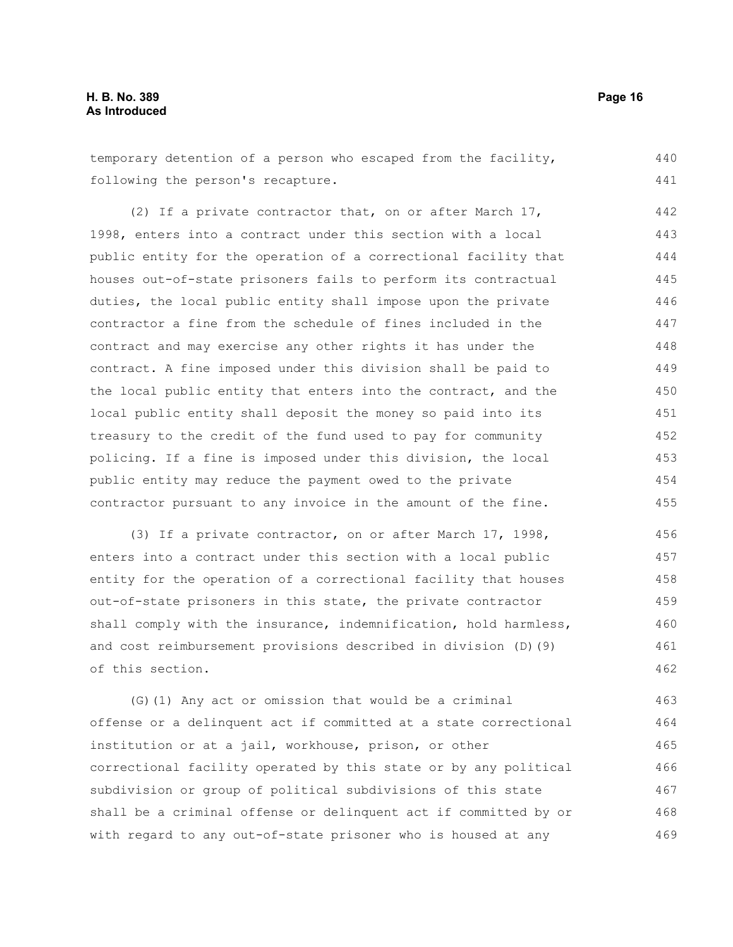440

temporary detention of a person who escaped from the facility, following the person's recapture. (2) If a private contractor that, on or after March 17, 1998, enters into a contract under this section with a local public entity for the operation of a correctional facility that houses out-of-state prisoners fails to perform its contractual duties, the local public entity shall impose upon the private contractor a fine from the schedule of fines included in the contract and may exercise any other rights it has under the contract. A fine imposed under this division shall be paid to the local public entity that enters into the contract, and the local public entity shall deposit the money so paid into its treasury to the credit of the fund used to pay for community policing. If a fine is imposed under this division, the local public entity may reduce the payment owed to the private contractor pursuant to any invoice in the amount of the fine. 441 442 443 444 445 446 447 448 449 450 451 452 453 454 455

(3) If a private contractor, on or after March 17, 1998, enters into a contract under this section with a local public entity for the operation of a correctional facility that houses out-of-state prisoners in this state, the private contractor shall comply with the insurance, indemnification, hold harmless, and cost reimbursement provisions described in division (D)(9) of this section. 456 457 458 459 460 461 462

(G)(1) Any act or omission that would be a criminal offense or a delinquent act if committed at a state correctional institution or at a jail, workhouse, prison, or other correctional facility operated by this state or by any political subdivision or group of political subdivisions of this state shall be a criminal offense or delinquent act if committed by or with regard to any out-of-state prisoner who is housed at any 463 464 465 466 467 468 469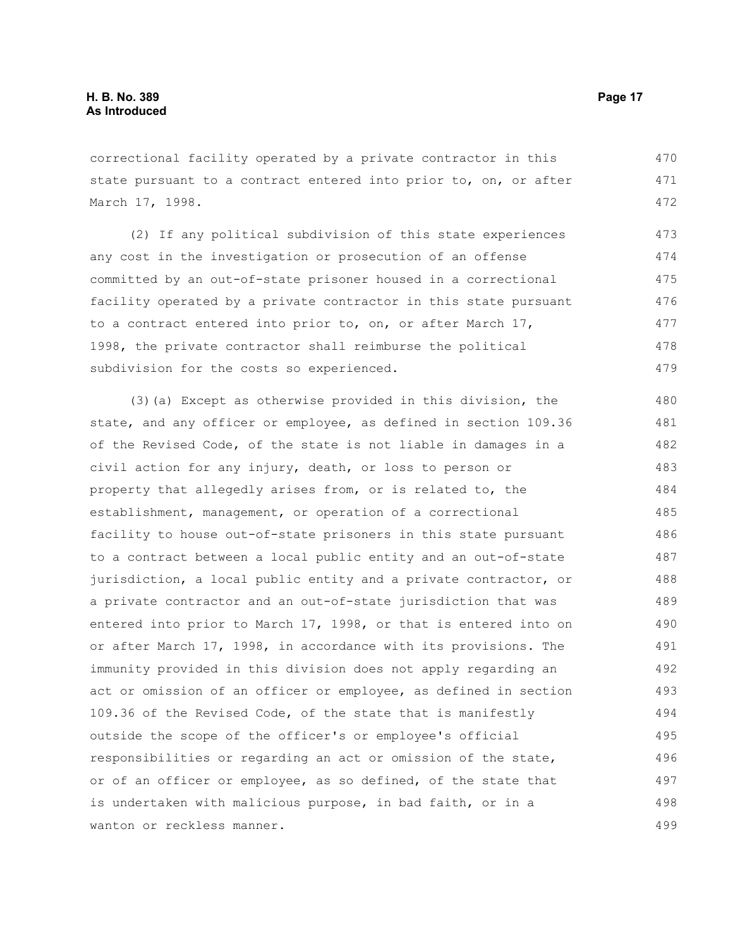correctional facility operated by a private contractor in this state pursuant to a contract entered into prior to, on, or after March 17, 1998. 470 471 472

(2) If any political subdivision of this state experiences any cost in the investigation or prosecution of an offense committed by an out-of-state prisoner housed in a correctional facility operated by a private contractor in this state pursuant to a contract entered into prior to, on, or after March 17, 1998, the private contractor shall reimburse the political subdivision for the costs so experienced. 473 474 475 476 477 478 479

(3)(a) Except as otherwise provided in this division, the state, and any officer or employee, as defined in section 109.36 of the Revised Code, of the state is not liable in damages in a civil action for any injury, death, or loss to person or property that allegedly arises from, or is related to, the establishment, management, or operation of a correctional facility to house out-of-state prisoners in this state pursuant to a contract between a local public entity and an out-of-state jurisdiction, a local public entity and a private contractor, or a private contractor and an out-of-state jurisdiction that was entered into prior to March 17, 1998, or that is entered into on or after March 17, 1998, in accordance with its provisions. The immunity provided in this division does not apply regarding an act or omission of an officer or employee, as defined in section 109.36 of the Revised Code, of the state that is manifestly outside the scope of the officer's or employee's official responsibilities or regarding an act or omission of the state, or of an officer or employee, as so defined, of the state that is undertaken with malicious purpose, in bad faith, or in a wanton or reckless manner. 480 481 482 483 484 485 486 487 488 489 490 491 492 493 494 495 496 497 498 499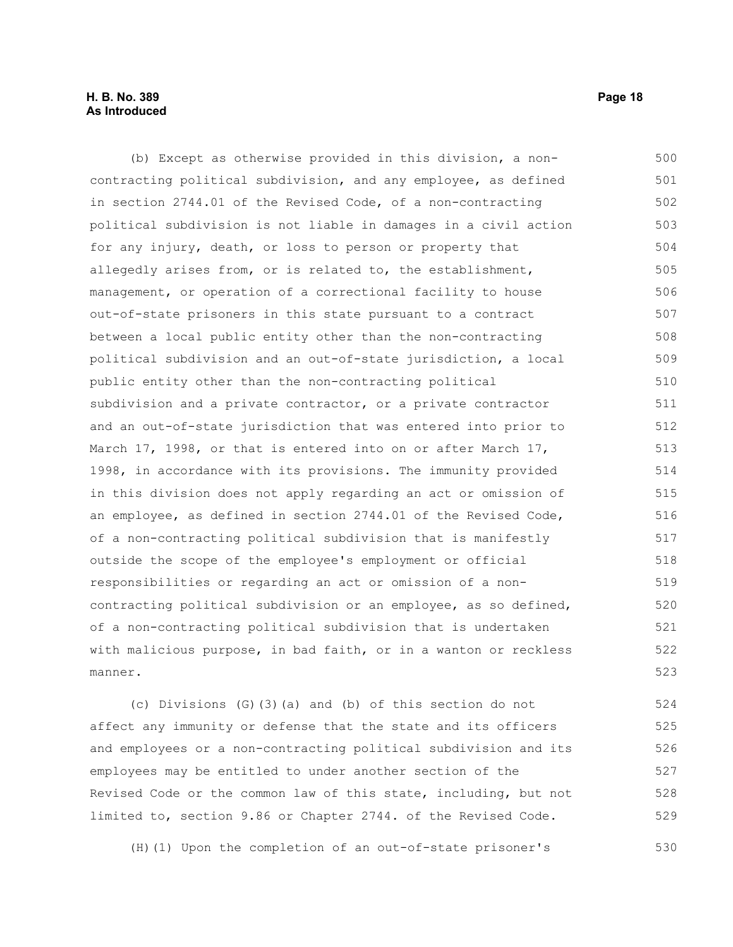#### **H. B. No. 389 Page 18 As Introduced**

(b) Except as otherwise provided in this division, a noncontracting political subdivision, and any employee, as defined in section 2744.01 of the Revised Code, of a non-contracting political subdivision is not liable in damages in a civil action for any injury, death, or loss to person or property that allegedly arises from, or is related to, the establishment, management, or operation of a correctional facility to house out-of-state prisoners in this state pursuant to a contract between a local public entity other than the non-contracting political subdivision and an out-of-state jurisdiction, a local public entity other than the non-contracting political subdivision and a private contractor, or a private contractor and an out-of-state jurisdiction that was entered into prior to March 17, 1998, or that is entered into on or after March 17, 1998, in accordance with its provisions. The immunity provided in this division does not apply regarding an act or omission of an employee, as defined in section 2744.01 of the Revised Code, of a non-contracting political subdivision that is manifestly outside the scope of the employee's employment or official responsibilities or regarding an act or omission of a noncontracting political subdivision or an employee, as so defined, of a non-contracting political subdivision that is undertaken with malicious purpose, in bad faith, or in a wanton or reckless manner. 500 501 502 503 504 505 506 507 508 509 510 511 512 513 514 515 516 517 518 519 520 521 522 523

(c) Divisions (G)(3)(a) and (b) of this section do not affect any immunity or defense that the state and its officers and employees or a non-contracting political subdivision and its employees may be entitled to under another section of the Revised Code or the common law of this state, including, but not limited to, section 9.86 or Chapter 2744. of the Revised Code. 524 525 526 527 528 529

(H)(1) Upon the completion of an out-of-state prisoner's 530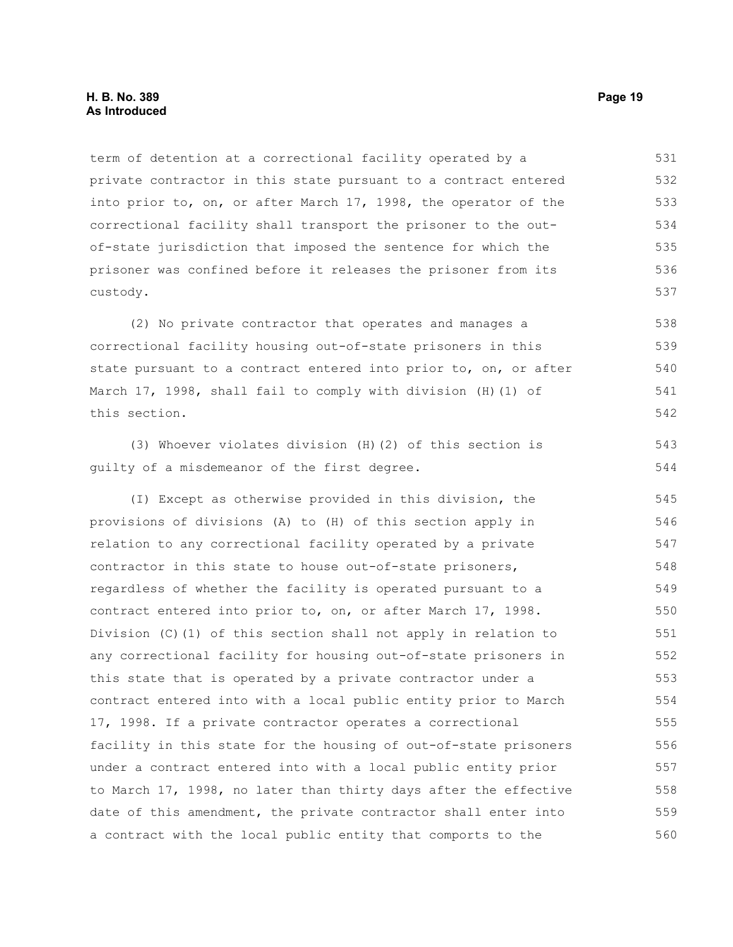#### **H. B. No. 389 Page 19 As Introduced**

term of detention at a correctional facility operated by a private contractor in this state pursuant to a contract entered into prior to, on, or after March 17, 1998, the operator of the correctional facility shall transport the prisoner to the outof-state jurisdiction that imposed the sentence for which the prisoner was confined before it releases the prisoner from its custody. 531 532 533 534 535 536 537

(2) No private contractor that operates and manages a correctional facility housing out-of-state prisoners in this state pursuant to a contract entered into prior to, on, or after March 17, 1998, shall fail to comply with division (H)(1) of this section. 538 539 540 541 542

(3) Whoever violates division (H)(2) of this section is guilty of a misdemeanor of the first degree.

(I) Except as otherwise provided in this division, the provisions of divisions (A) to (H) of this section apply in relation to any correctional facility operated by a private contractor in this state to house out-of-state prisoners, regardless of whether the facility is operated pursuant to a contract entered into prior to, on, or after March 17, 1998. Division (C)(1) of this section shall not apply in relation to any correctional facility for housing out-of-state prisoners in this state that is operated by a private contractor under a contract entered into with a local public entity prior to March 17, 1998. If a private contractor operates a correctional facility in this state for the housing of out-of-state prisoners under a contract entered into with a local public entity prior to March 17, 1998, no later than thirty days after the effective date of this amendment, the private contractor shall enter into a contract with the local public entity that comports to the 545 546 547 548 549 550 551 552 553 554 555 556 557 558 559 560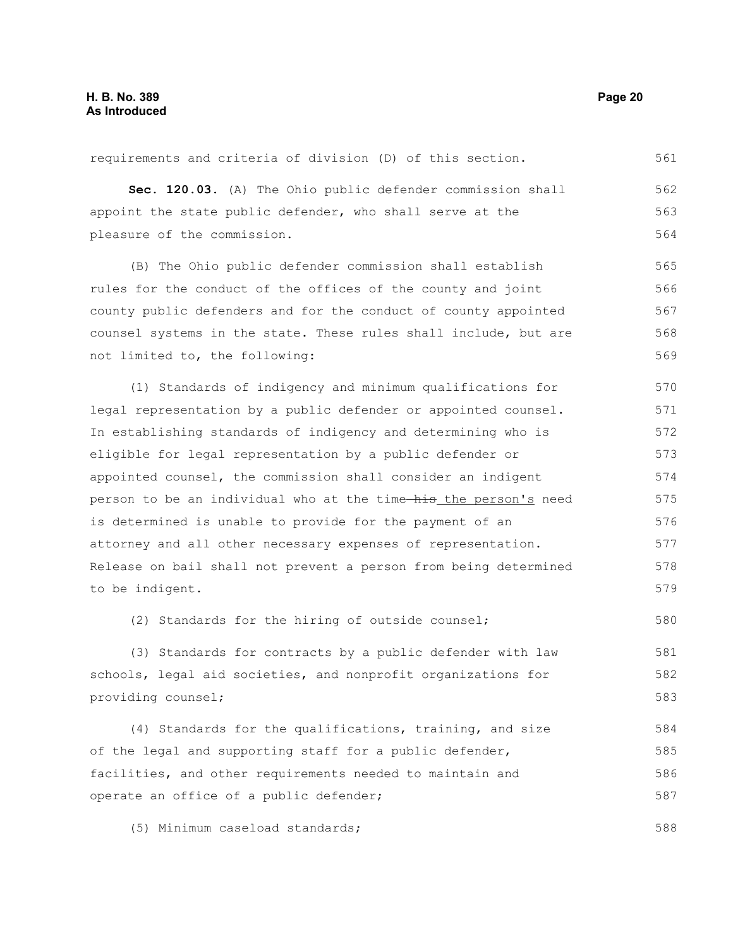588

| requirements and criteria of division (D) of this section.       | 561 |
|------------------------------------------------------------------|-----|
| Sec. 120.03. (A) The Ohio public defender commission shall       | 562 |
| appoint the state public defender, who shall serve at the        | 563 |
| pleasure of the commission.                                      | 564 |
| (B) The Ohio public defender commission shall establish          | 565 |
| rules for the conduct of the offices of the county and joint     | 566 |
| county public defenders and for the conduct of county appointed  | 567 |
| counsel systems in the state. These rules shall include, but are | 568 |
| not limited to, the following:                                   | 569 |
| (1) Standards of indigency and minimum qualifications for        | 570 |
| legal representation by a public defender or appointed counsel.  | 571 |
| In establishing standards of indigency and determining who is    | 572 |
| eligible for legal representation by a public defender or        | 573 |
| appointed counsel, the commission shall consider an indigent     | 574 |
| person to be an individual who at the time-his the person's need | 575 |
| is determined is unable to provide for the payment of an         | 576 |
| attorney and all other necessary expenses of representation.     | 577 |
| Release on bail shall not prevent a person from being determined | 578 |
| to be indigent.                                                  | 579 |
| (2) Standards for the hiring of outside counsel;                 | 580 |
| (3) Standards for contracts by a public defender with law        | 581 |
| schools, legal aid societies, and nonprofit organizations for    | 582 |
| providing counsel;                                               | 583 |
| (4) Standards for the qualifications, training, and size         | 584 |
| of the legal and supporting staff for a public defender,         | 585 |
| facilities, and other requirements needed to maintain and        | 586 |
| operate an office of a public defender;                          | 587 |

(5) Minimum caseload standards;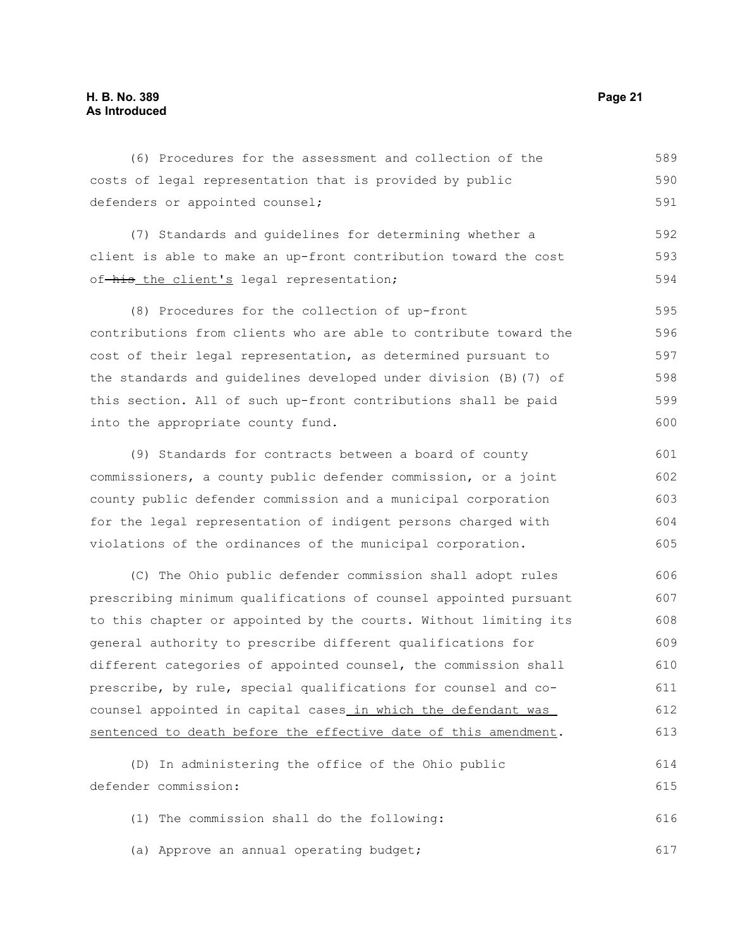#### **H. B. No. 389 Page 21 As Introduced**

(6) Procedures for the assessment and collection of the costs of legal representation that is provided by public defenders or appointed counsel; (7) Standards and guidelines for determining whether a client is able to make an up-front contribution toward the cost of-his the client's legal representation; (8) Procedures for the collection of up-front contributions from clients who are able to contribute toward the cost of their legal representation, as determined pursuant to the standards and guidelines developed under division (B)(7) of this section. All of such up-front contributions shall be paid into the appropriate county fund. (9) Standards for contracts between a board of county commissioners, a county public defender commission, or a joint county public defender commission and a municipal corporation for the legal representation of indigent persons charged with violations of the ordinances of the municipal corporation. (C) The Ohio public defender commission shall adopt rules prescribing minimum qualifications of counsel appointed pursuant to this chapter or appointed by the courts. Without limiting its general authority to prescribe different qualifications for different categories of appointed counsel, the commission shall prescribe, by rule, special qualifications for counsel and cocounsel appointed in capital cases in which the defendant was sentenced to death before the effective date of this amendment. (D) In administering the office of the Ohio public defender commission: (1) The commission shall do the following: 589 590 591 592 593 594 595 596 597 598 599 600 601 602 603 604 605 606 607 608 609 610 611 612 613 614 615 616

(a) Approve an annual operating budget;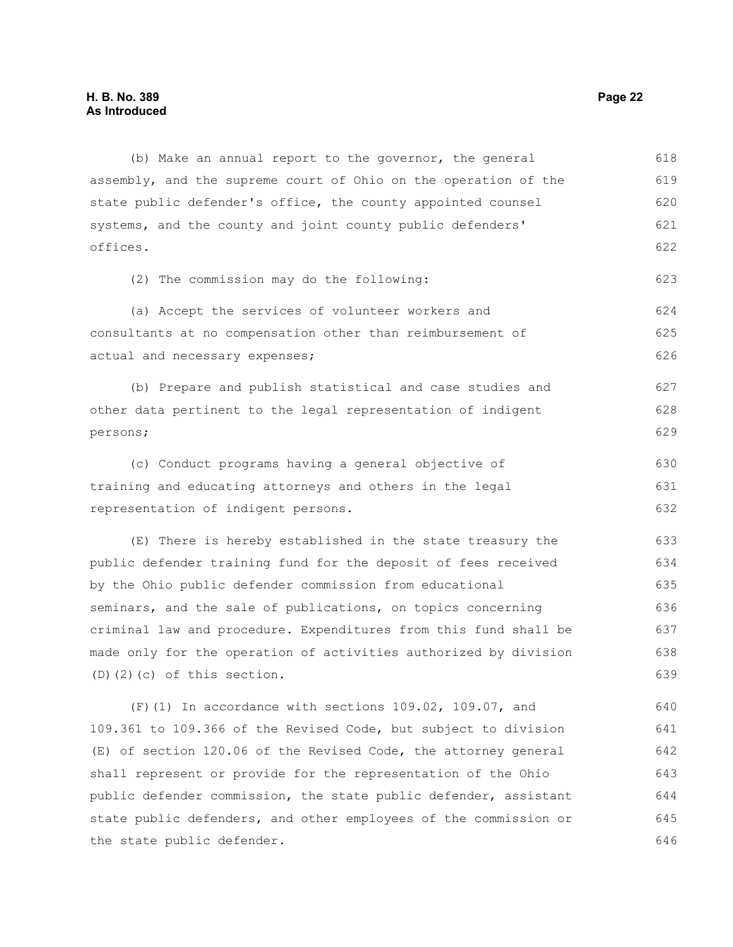#### **H. B. No. 389 Page 22 As Introduced**

(b) Make an annual report to the governor, the general assembly, and the supreme court of Ohio on the operation of the state public defender's office, the county appointed counsel systems, and the county and joint county public defenders' offices. 618 619 620 621 622

(2) The commission may do the following:

(a) Accept the services of volunteer workers and consultants at no compensation other than reimbursement of actual and necessary expenses;

(b) Prepare and publish statistical and case studies and other data pertinent to the legal representation of indigent persons;

(c) Conduct programs having a general objective of training and educating attorneys and others in the legal representation of indigent persons. 630 631 632

(E) There is hereby established in the state treasury the public defender training fund for the deposit of fees received by the Ohio public defender commission from educational seminars, and the sale of publications, on topics concerning criminal law and procedure. Expenditures from this fund shall be made only for the operation of activities authorized by division (D)(2)(c) of this section. 633 634 635 636 637 638 639

(F)(1) In accordance with sections 109.02, 109.07, and 109.361 to 109.366 of the Revised Code, but subject to division (E) of section 120.06 of the Revised Code, the attorney general shall represent or provide for the representation of the Ohio public defender commission, the state public defender, assistant state public defenders, and other employees of the commission or the state public defender. 640 641 642 643 644 645 646

623

624 625 626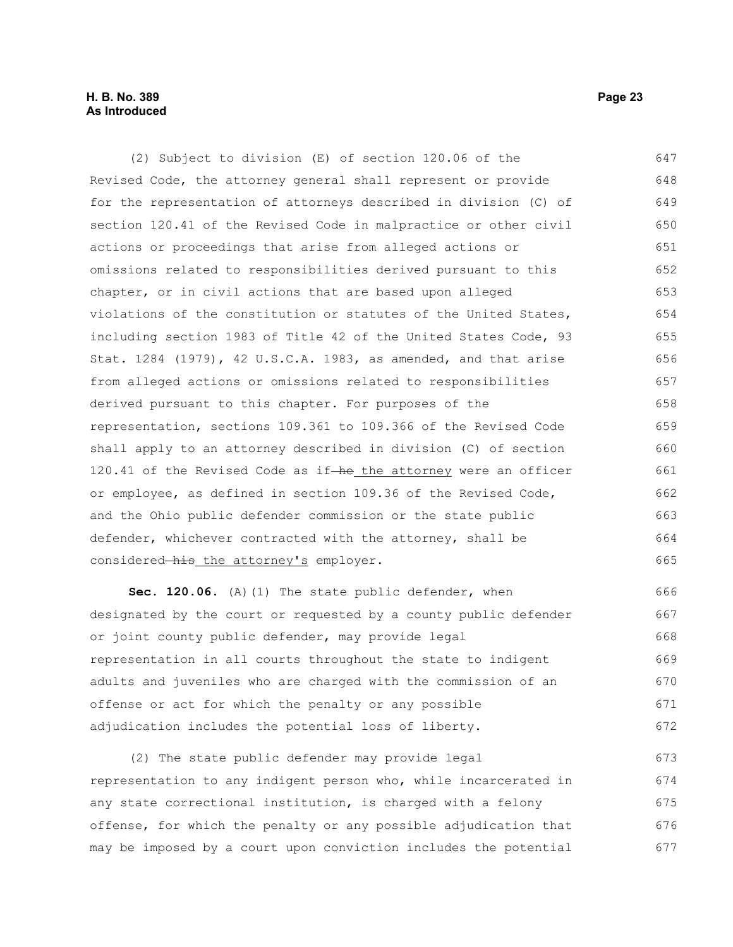#### **H. B. No. 389 Page 23 As Introduced**

(2) Subject to division (E) of section 120.06 of the Revised Code, the attorney general shall represent or provide for the representation of attorneys described in division (C) of section 120.41 of the Revised Code in malpractice or other civil actions or proceedings that arise from alleged actions or omissions related to responsibilities derived pursuant to this chapter, or in civil actions that are based upon alleged violations of the constitution or statutes of the United States, including section 1983 of Title 42 of the United States Code, 93 Stat. 1284 (1979), 42 U.S.C.A. 1983, as amended, and that arise from alleged actions or omissions related to responsibilities derived pursuant to this chapter. For purposes of the representation, sections 109.361 to 109.366 of the Revised Code shall apply to an attorney described in division (C) of section 120.41 of the Revised Code as if  $he$  the attorney were an officer or employee, as defined in section 109.36 of the Revised Code, and the Ohio public defender commission or the state public defender, whichever contracted with the attorney, shall be considered his the attorney's employer. 647 648 649 650 651 652 653 654 655 656 657 658 659 660 661 662 663 664 665

Sec. 120.06. (A)(1) The state public defender, when designated by the court or requested by a county public defender or joint county public defender, may provide legal representation in all courts throughout the state to indigent adults and juveniles who are charged with the commission of an offense or act for which the penalty or any possible adjudication includes the potential loss of liberty. 666 667 668 669 670 671 672

(2) The state public defender may provide legal representation to any indigent person who, while incarcerated in any state correctional institution, is charged with a felony offense, for which the penalty or any possible adjudication that may be imposed by a court upon conviction includes the potential 673 674 675 676 677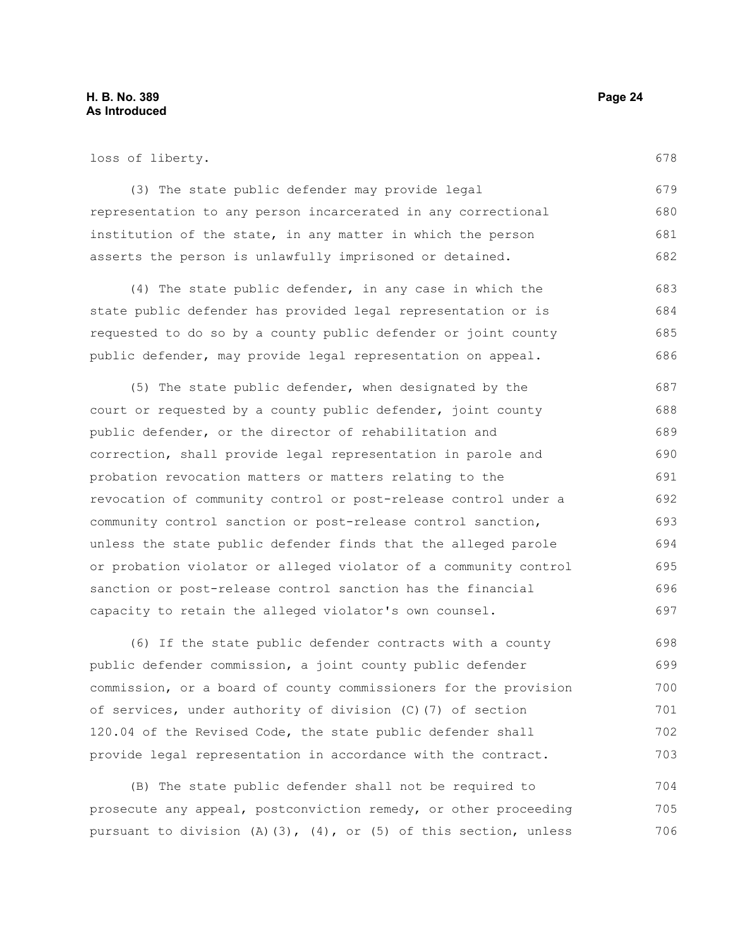|  |  | loss of liberty. |
|--|--|------------------|
|--|--|------------------|

678

| (3) The state public defender may provide legal               | 679 |
|---------------------------------------------------------------|-----|
| representation to any person incarcerated in any correctional | 680 |
| institution of the state, in any matter in which the person   | 681 |
| asserts the person is unlawfully imprisoned or detained.      | 682 |

(4) The state public defender, in any case in which the state public defender has provided legal representation or is requested to do so by a county public defender or joint county public defender, may provide legal representation on appeal. 683 684 685 686

(5) The state public defender, when designated by the court or requested by a county public defender, joint county public defender, or the director of rehabilitation and correction, shall provide legal representation in parole and probation revocation matters or matters relating to the revocation of community control or post-release control under a community control sanction or post-release control sanction, unless the state public defender finds that the alleged parole or probation violator or alleged violator of a community control sanction or post-release control sanction has the financial capacity to retain the alleged violator's own counsel. 687 688 689 690 691 692 693 694 695 696 697

(6) If the state public defender contracts with a county public defender commission, a joint county public defender commission, or a board of county commissioners for the provision of services, under authority of division (C)(7) of section 120.04 of the Revised Code, the state public defender shall provide legal representation in accordance with the contract. 698 699 700 701 702 703

(B) The state public defender shall not be required to prosecute any appeal, postconviction remedy, or other proceeding pursuant to division  $(A)(3)$ ,  $(4)$ , or  $(5)$  of this section, unless 704 705 706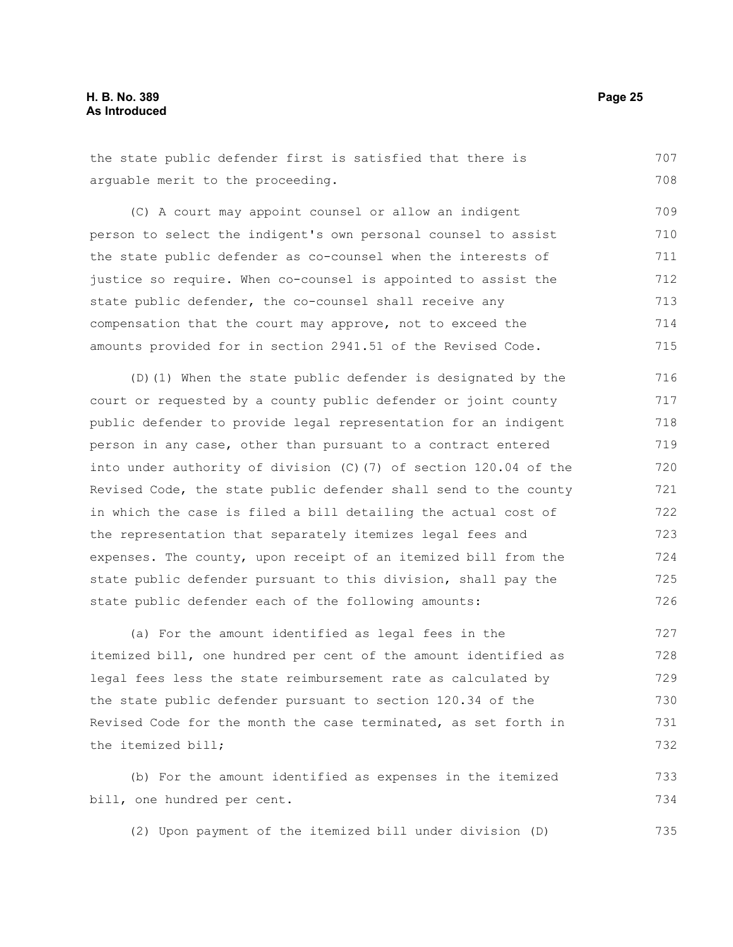735

| the state public defender first is satisfied that there is     | 707 |
|----------------------------------------------------------------|-----|
| arquable merit to the proceeding.                              |     |
| (C) A court may appoint counsel or allow an indigent           | 709 |
| person to select the indigent's own personal counsel to assist | 710 |
| the state public defender as co-counsel when the interests of  | 711 |
| justice so require. When co-counsel is appointed to assist the | 712 |
| state public defender, the co-counsel shall receive any        | 713 |

compensation that the court may approve, not to exceed the amounts provided for in section 2941.51 of the Revised Code. 714 715

(D)(1) When the state public defender is designated by the court or requested by a county public defender or joint county public defender to provide legal representation for an indigent person in any case, other than pursuant to a contract entered into under authority of division (C)(7) of section 120.04 of the Revised Code, the state public defender shall send to the county in which the case is filed a bill detailing the actual cost of the representation that separately itemizes legal fees and expenses. The county, upon receipt of an itemized bill from the state public defender pursuant to this division, shall pay the state public defender each of the following amounts: 716 717 718 719 720 721 722 723 724 725 726

(a) For the amount identified as legal fees in the itemized bill, one hundred per cent of the amount identified as legal fees less the state reimbursement rate as calculated by the state public defender pursuant to section 120.34 of the Revised Code for the month the case terminated, as set forth in the itemized bill; 727 728 729 730 731 732

(b) For the amount identified as expenses in the itemized bill, one hundred per cent. 733 734

(2) Upon payment of the itemized bill under division (D)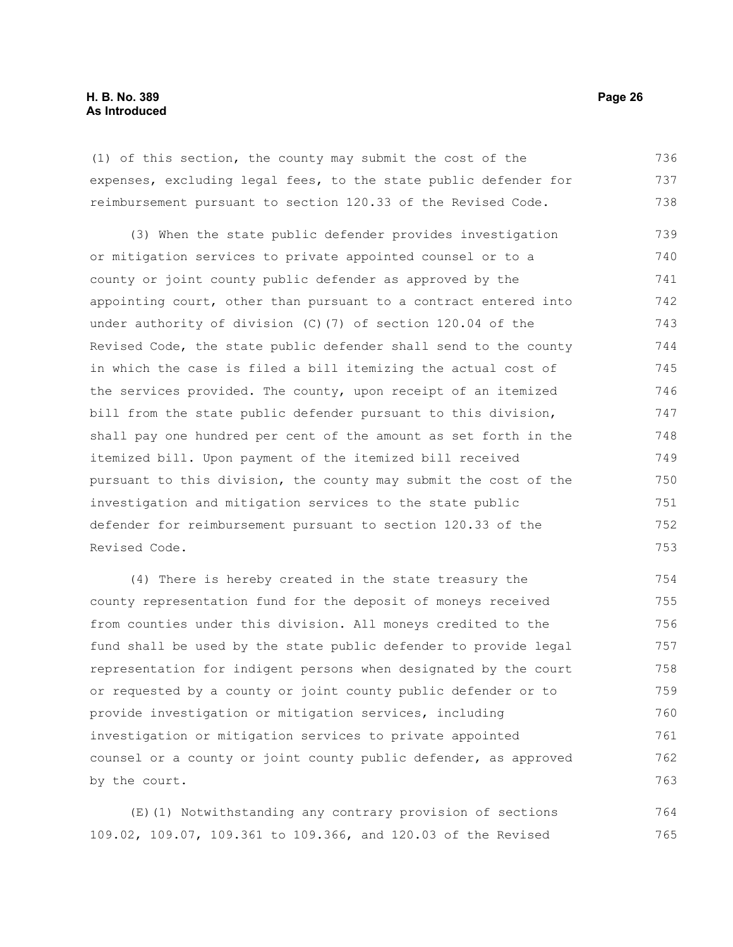#### **H. B. No. 389 Page 26 As Introduced**

(1) of this section, the county may submit the cost of the expenses, excluding legal fees, to the state public defender for reimbursement pursuant to section 120.33 of the Revised Code. 736 737 738

(3) When the state public defender provides investigation or mitigation services to private appointed counsel or to a county or joint county public defender as approved by the appointing court, other than pursuant to a contract entered into under authority of division (C)(7) of section 120.04 of the Revised Code, the state public defender shall send to the county in which the case is filed a bill itemizing the actual cost of the services provided. The county, upon receipt of an itemized bill from the state public defender pursuant to this division, shall pay one hundred per cent of the amount as set forth in the itemized bill. Upon payment of the itemized bill received pursuant to this division, the county may submit the cost of the investigation and mitigation services to the state public defender for reimbursement pursuant to section 120.33 of the Revised Code. 739 740 741 742 743 744 745 746 747 748 749 750 751 752 753

(4) There is hereby created in the state treasury the county representation fund for the deposit of moneys received from counties under this division. All moneys credited to the fund shall be used by the state public defender to provide legal representation for indigent persons when designated by the court or requested by a county or joint county public defender or to provide investigation or mitigation services, including investigation or mitigation services to private appointed counsel or a county or joint county public defender, as approved by the court. 754 755 756 757 758 759 760 761 762 763

(E)(1) Notwithstanding any contrary provision of sections 109.02, 109.07, 109.361 to 109.366, and 120.03 of the Revised 764 765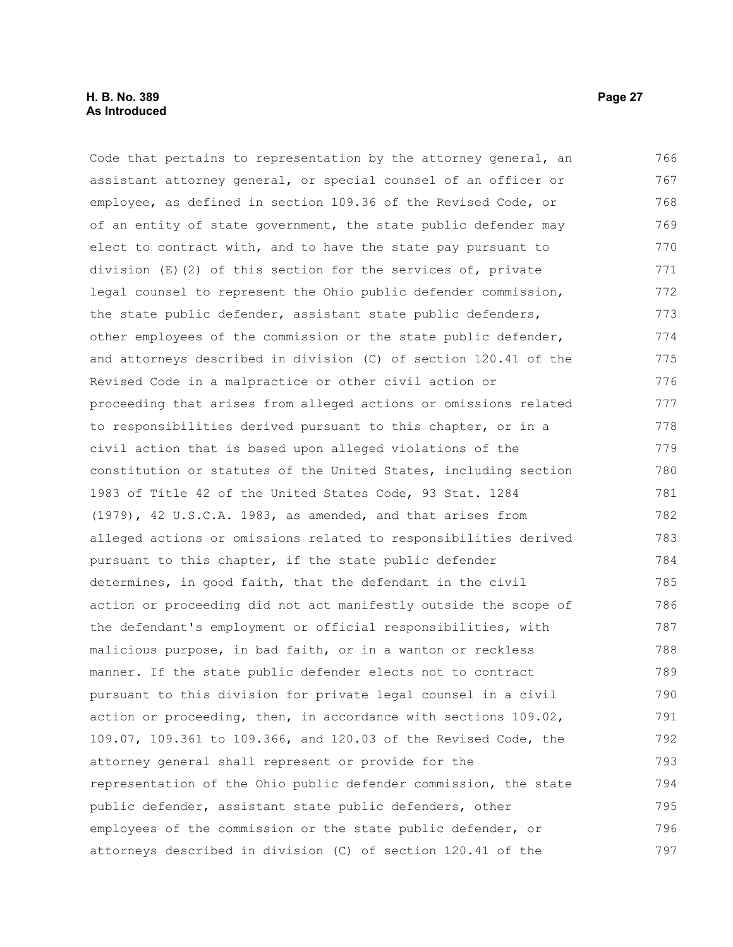#### **H. B. No. 389 Page 27 As Introduced**

Code that pertains to representation by the attorney general, an assistant attorney general, or special counsel of an officer or employee, as defined in section 109.36 of the Revised Code, or of an entity of state government, the state public defender may elect to contract with, and to have the state pay pursuant to division (E)(2) of this section for the services of, private legal counsel to represent the Ohio public defender commission, the state public defender, assistant state public defenders, other employees of the commission or the state public defender, and attorneys described in division (C) of section 120.41 of the Revised Code in a malpractice or other civil action or proceeding that arises from alleged actions or omissions related to responsibilities derived pursuant to this chapter, or in a civil action that is based upon alleged violations of the constitution or statutes of the United States, including section 1983 of Title 42 of the United States Code, 93 Stat. 1284 (1979), 42 U.S.C.A. 1983, as amended, and that arises from alleged actions or omissions related to responsibilities derived pursuant to this chapter, if the state public defender determines, in good faith, that the defendant in the civil action or proceeding did not act manifestly outside the scope of the defendant's employment or official responsibilities, with malicious purpose, in bad faith, or in a wanton or reckless manner. If the state public defender elects not to contract pursuant to this division for private legal counsel in a civil action or proceeding, then, in accordance with sections 109.02, 109.07, 109.361 to 109.366, and 120.03 of the Revised Code, the attorney general shall represent or provide for the representation of the Ohio public defender commission, the state public defender, assistant state public defenders, other employees of the commission or the state public defender, or attorneys described in division (C) of section 120.41 of the 766 767 768 769 770 771 772 773 774 775 776 777 778 779 780 781 782 783 784 785 786 787 788 789 790 791 792 793 794 795 796 797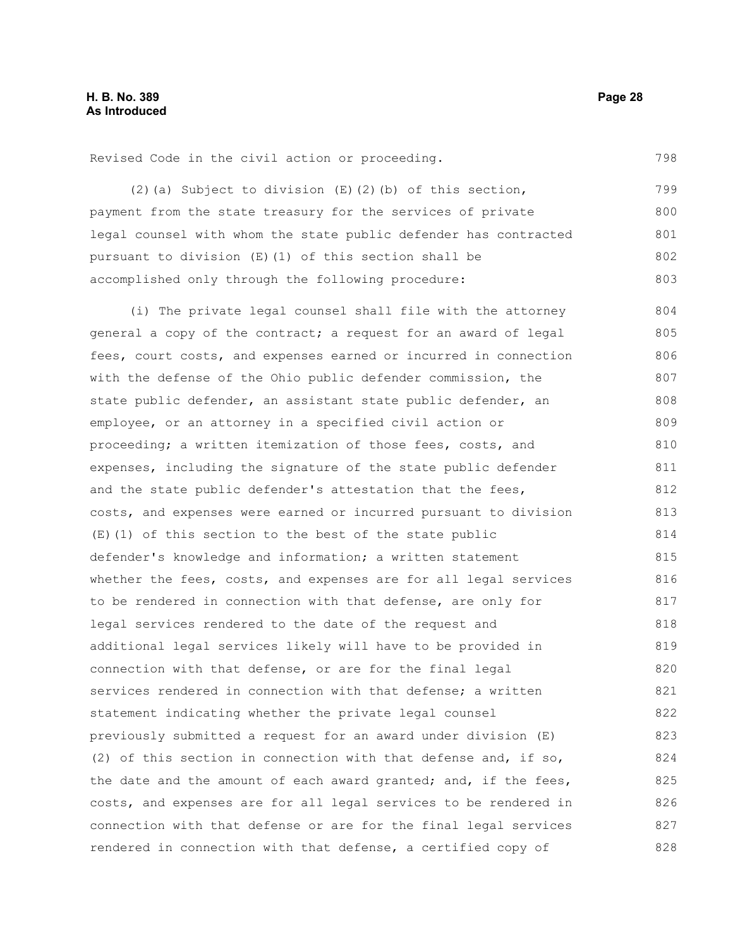Revised Code in the civil action or proceeding.

(2)(a) Subject to division (E)(2)(b) of this section, payment from the state treasury for the services of private legal counsel with whom the state public defender has contracted pursuant to division (E)(1) of this section shall be accomplished only through the following procedure: 799 800 801 802 803

(i) The private legal counsel shall file with the attorney general a copy of the contract; a request for an award of legal fees, court costs, and expenses earned or incurred in connection with the defense of the Ohio public defender commission, the state public defender, an assistant state public defender, an employee, or an attorney in a specified civil action or proceeding; a written itemization of those fees, costs, and expenses, including the signature of the state public defender and the state public defender's attestation that the fees, costs, and expenses were earned or incurred pursuant to division (E)(1) of this section to the best of the state public defender's knowledge and information; a written statement whether the fees, costs, and expenses are for all legal services to be rendered in connection with that defense, are only for legal services rendered to the date of the request and additional legal services likely will have to be provided in connection with that defense, or are for the final legal services rendered in connection with that defense; a written statement indicating whether the private legal counsel previously submitted a request for an award under division (E) (2) of this section in connection with that defense and, if so, the date and the amount of each award granted; and, if the fees, costs, and expenses are for all legal services to be rendered in connection with that defense or are for the final legal services rendered in connection with that defense, a certified copy of 804 805 806 807 808 809 810 811 812 813 814 815 816 817 818 819 820 821 822 823 824 825 826 827 828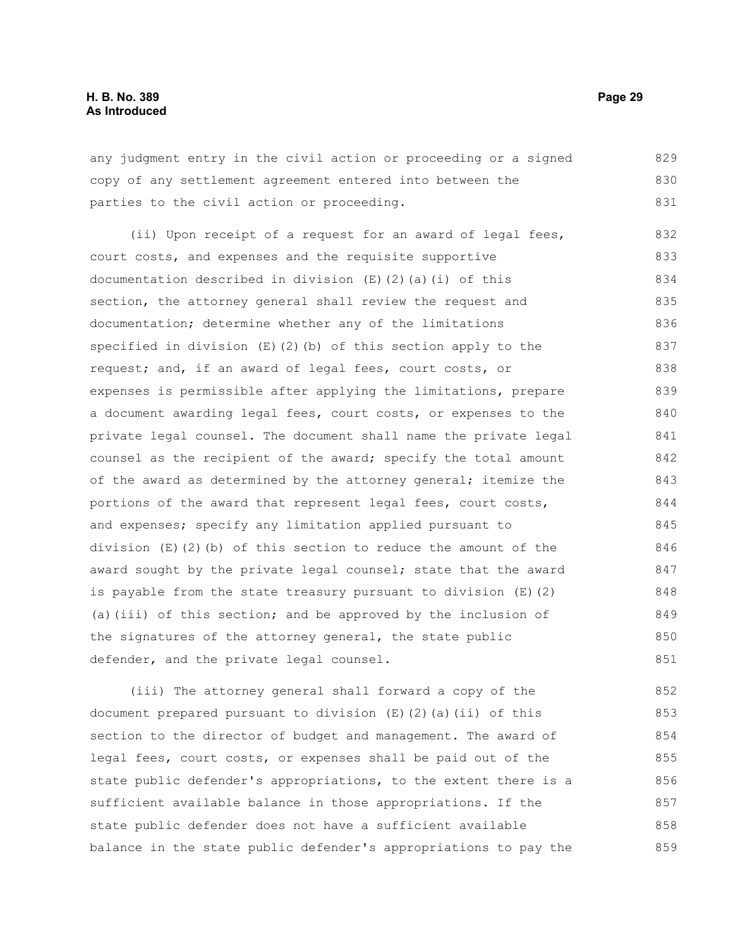any judgment entry in the civil action or proceeding or a signed copy of any settlement agreement entered into between the parties to the civil action or proceeding. 829 830 831

(ii) Upon receipt of a request for an award of legal fees, court costs, and expenses and the requisite supportive documentation described in division  $(E)(2)(a)(i)$  of this section, the attorney general shall review the request and documentation; determine whether any of the limitations specified in division  $(E)(2)(b)$  of this section apply to the request; and, if an award of legal fees, court costs, or expenses is permissible after applying the limitations, prepare a document awarding legal fees, court costs, or expenses to the private legal counsel. The document shall name the private legal counsel as the recipient of the award; specify the total amount of the award as determined by the attorney general; itemize the portions of the award that represent legal fees, court costs, and expenses; specify any limitation applied pursuant to division  $(E)(2)$  (b) of this section to reduce the amount of the award sought by the private legal counsel; state that the award is payable from the state treasury pursuant to division (E)(2) (a)(iii) of this section; and be approved by the inclusion of the signatures of the attorney general, the state public defender, and the private legal counsel. 832 833 834 835 836 837 838 839 840 841 842 843 844 845 846 847 848 849 850 851

(iii) The attorney general shall forward a copy of the document prepared pursuant to division (E)(2)(a)(ii) of this section to the director of budget and management. The award of legal fees, court costs, or expenses shall be paid out of the state public defender's appropriations, to the extent there is a sufficient available balance in those appropriations. If the state public defender does not have a sufficient available balance in the state public defender's appropriations to pay the 852 853 854 855 856 857 858 859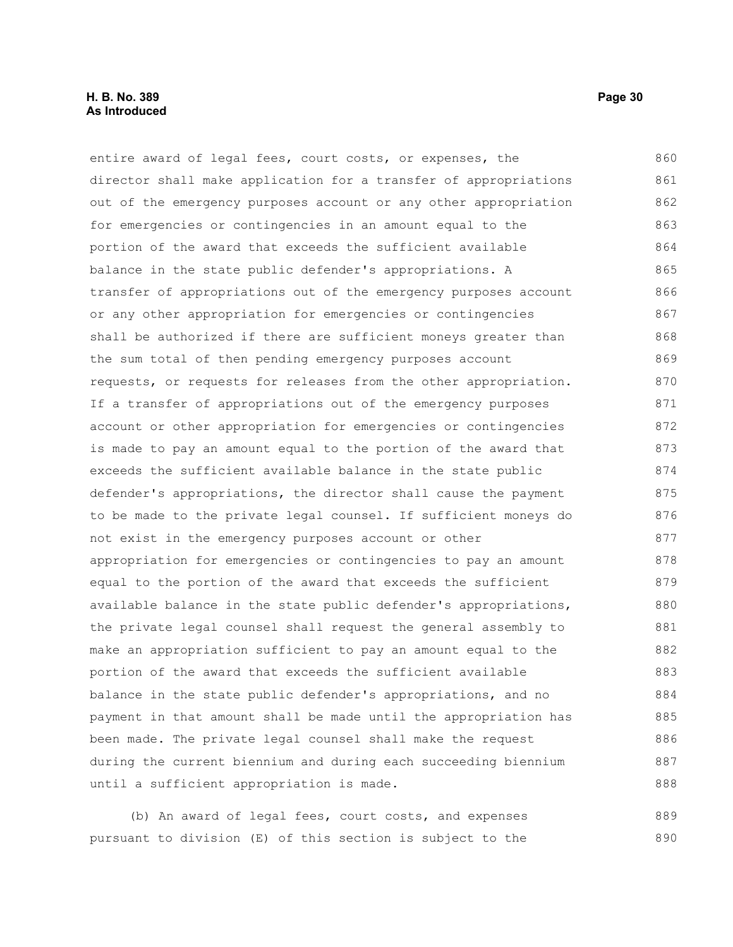entire award of legal fees, court costs, or expenses, the director shall make application for a transfer of appropriations out of the emergency purposes account or any other appropriation for emergencies or contingencies in an amount equal to the portion of the award that exceeds the sufficient available balance in the state public defender's appropriations. A transfer of appropriations out of the emergency purposes account or any other appropriation for emergencies or contingencies shall be authorized if there are sufficient moneys greater than the sum total of then pending emergency purposes account requests, or requests for releases from the other appropriation. If a transfer of appropriations out of the emergency purposes account or other appropriation for emergencies or contingencies is made to pay an amount equal to the portion of the award that exceeds the sufficient available balance in the state public defender's appropriations, the director shall cause the payment to be made to the private legal counsel. If sufficient moneys do not exist in the emergency purposes account or other appropriation for emergencies or contingencies to pay an amount equal to the portion of the award that exceeds the sufficient available balance in the state public defender's appropriations, the private legal counsel shall request the general assembly to make an appropriation sufficient to pay an amount equal to the portion of the award that exceeds the sufficient available balance in the state public defender's appropriations, and no payment in that amount shall be made until the appropriation has been made. The private legal counsel shall make the request during the current biennium and during each succeeding biennium until a sufficient appropriation is made. 860 861 862 863 864 865 866 867 868 869 870 871 872 873 874 875 876 877 878 879 880 881 882 883 884 885 886 887 888

(b) An award of legal fees, court costs, and expenses pursuant to division (E) of this section is subject to the 889 890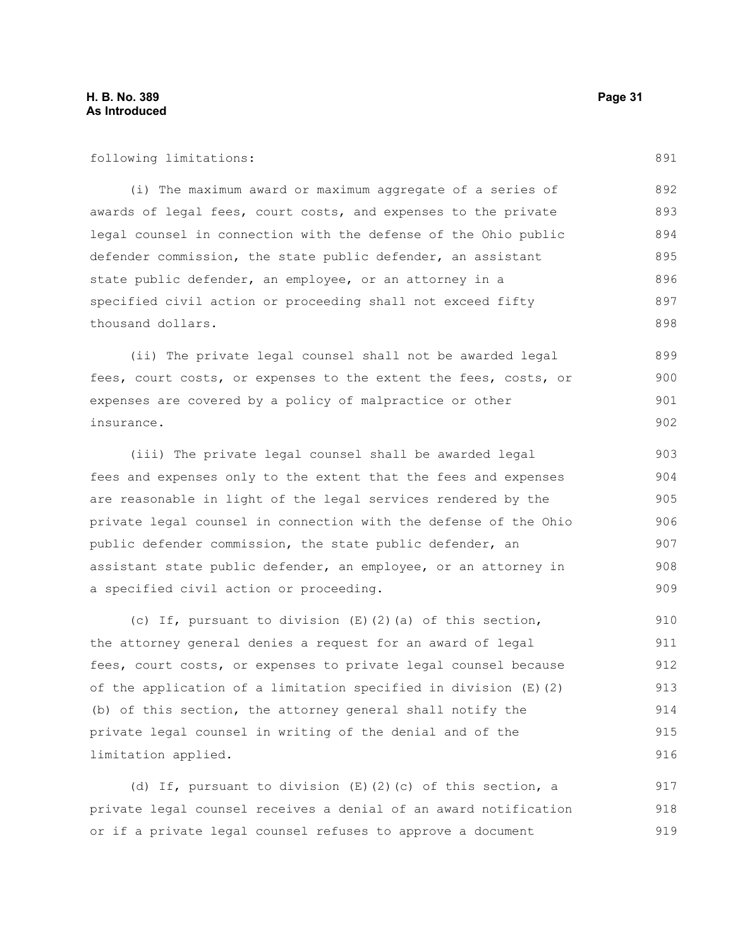(i) The maximum award or maximum aggregate of a series of awards of legal fees, court costs, and expenses to the private legal counsel in connection with the defense of the Ohio public defender commission, the state public defender, an assistant state public defender, an employee, or an attorney in a specified civil action or proceeding shall not exceed fifty thousand dollars. 892 893 894 895 896 897 898

(ii) The private legal counsel shall not be awarded legal fees, court costs, or expenses to the extent the fees, costs, or expenses are covered by a policy of malpractice or other insurance.

(iii) The private legal counsel shall be awarded legal fees and expenses only to the extent that the fees and expenses are reasonable in light of the legal services rendered by the private legal counsel in connection with the defense of the Ohio public defender commission, the state public defender, an assistant state public defender, an employee, or an attorney in a specified civil action or proceeding. 903 904 905 906 907 908 909

(c) If, pursuant to division (E)(2)(a) of this section, the attorney general denies a request for an award of legal fees, court costs, or expenses to private legal counsel because of the application of a limitation specified in division (E)(2) (b) of this section, the attorney general shall notify the private legal counsel in writing of the denial and of the limitation applied. 910 911 912 913 914 915 916

(d) If, pursuant to division (E)(2)(c) of this section, a private legal counsel receives a denial of an award notification or if a private legal counsel refuses to approve a document 917 918 919

891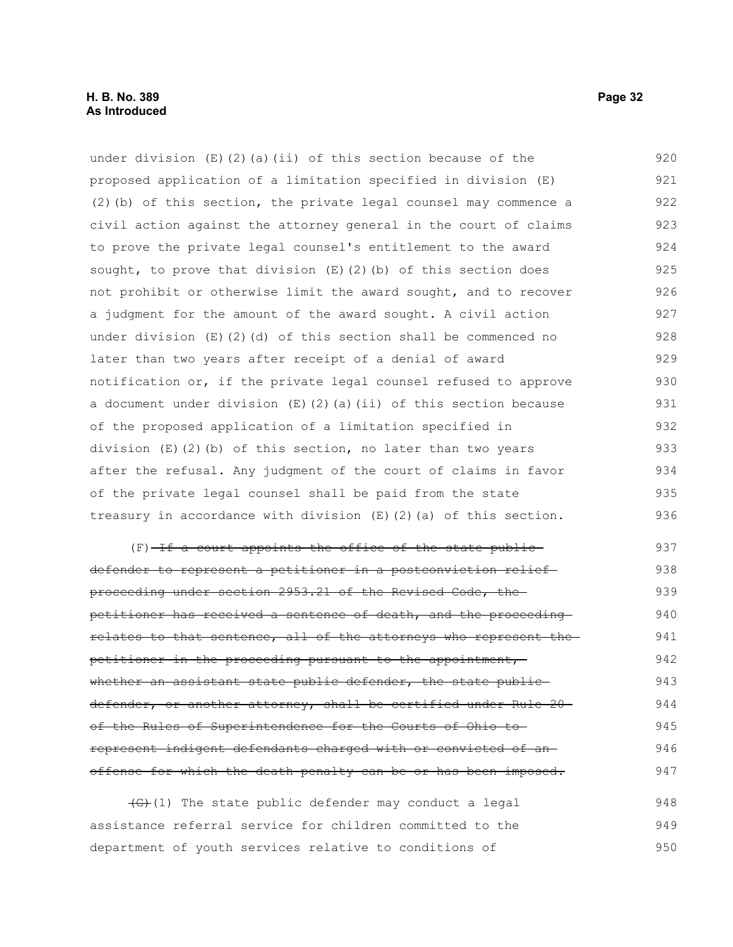under division  $(E)(2)(a)(ii)$  of this section because of the proposed application of a limitation specified in division (E) (2)(b) of this section, the private legal counsel may commence a civil action against the attorney general in the court of claims to prove the private legal counsel's entitlement to the award sought, to prove that division  $(E)(2)(b)$  of this section does not prohibit or otherwise limit the award sought, and to recover a judgment for the amount of the award sought. A civil action under division  $(E)(2)(d)$  of this section shall be commenced no later than two years after receipt of a denial of award notification or, if the private legal counsel refused to approve a document under division (E)(2)(a)(ii) of this section because of the proposed application of a limitation specified in division  $(E)(2)(b)$  of this section, no later than two years after the refusal. Any judgment of the court of claims in favor of the private legal counsel shall be paid from the state treasury in accordance with division (E)(2)(a) of this section. 920 921 922 923 924 925 926 927 928 929 930 931 932 933 934 935 936

 $(F)$  If a court appoints the office of the state publicdefender to represent a petitioner in a postconviction relief proceeding under section 2953.21 of the Revised Code, the petitioner has received a sentence of death, and the proceeding relates to that sentence, all of the attorneys who represent the petitioner in the proceeding pursuant to the appointment, whether an assistant state public defender, the state publicdefender, or another attorney, shall be certified under Rule 20of the Rules of Superintendence for the Courts of Ohio to represent indigent defendants charged with or convicted of an offense for which the death penalty can be or has been imposed. 937 938 939 940 941 942 943 944 945 946 947

 $\left(-6\right)(1)$  The state public defender may conduct a legal assistance referral service for children committed to the department of youth services relative to conditions of 948 949 950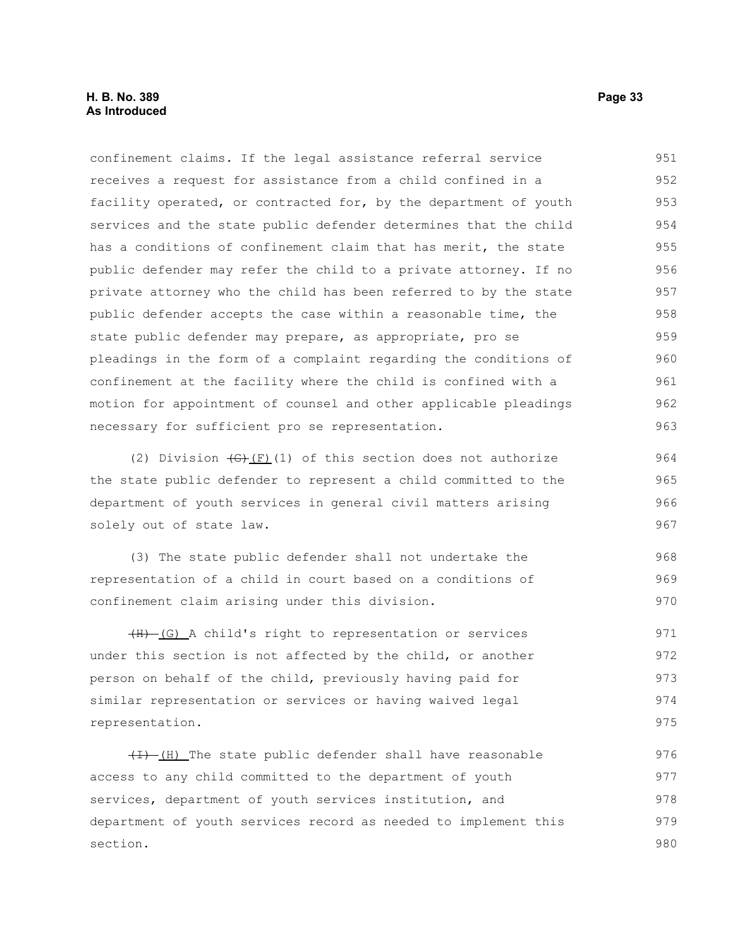| confinement claims. If the legal assistance referral service                   | 951 |
|--------------------------------------------------------------------------------|-----|
| receives a request for assistance from a child confined in a                   | 952 |
| facility operated, or contracted for, by the department of youth               | 953 |
| services and the state public defender determines that the child               | 954 |
| has a conditions of confinement claim that has merit, the state                | 955 |
| public defender may refer the child to a private attorney. If no               | 956 |
| private attorney who the child has been referred to by the state               | 957 |
| public defender accepts the case within a reasonable time, the                 | 958 |
| state public defender may prepare, as appropriate, pro se                      | 959 |
| pleadings in the form of a complaint regarding the conditions of               | 960 |
| confinement at the facility where the child is confined with a                 | 961 |
| motion for appointment of counsel and other applicable pleadings               | 962 |
| necessary for sufficient pro se representation.                                | 963 |
| (2) Division $\left(\frac{G}{F}\right)$ (1) of this section does not authorize | 964 |
| the state public defender to represent a child committed to the                | 965 |
| department of youth services in general civil matters arising                  | 966 |
| solely out of state law.                                                       | 967 |
| (3) The state public defender shall not undertake the                          | 968 |

representation of a child in court based on a conditions of confinement claim arising under this division. 969 970

(H) (G) A child's right to representation or services under this section is not affected by the child, or another person on behalf of the child, previously having paid for similar representation or services or having waived legal representation. 971 972 973 974 975

 $(H)$  The state public defender shall have reasonable access to any child committed to the department of youth services, department of youth services institution, and department of youth services record as needed to implement this section. 976 977 978 979 980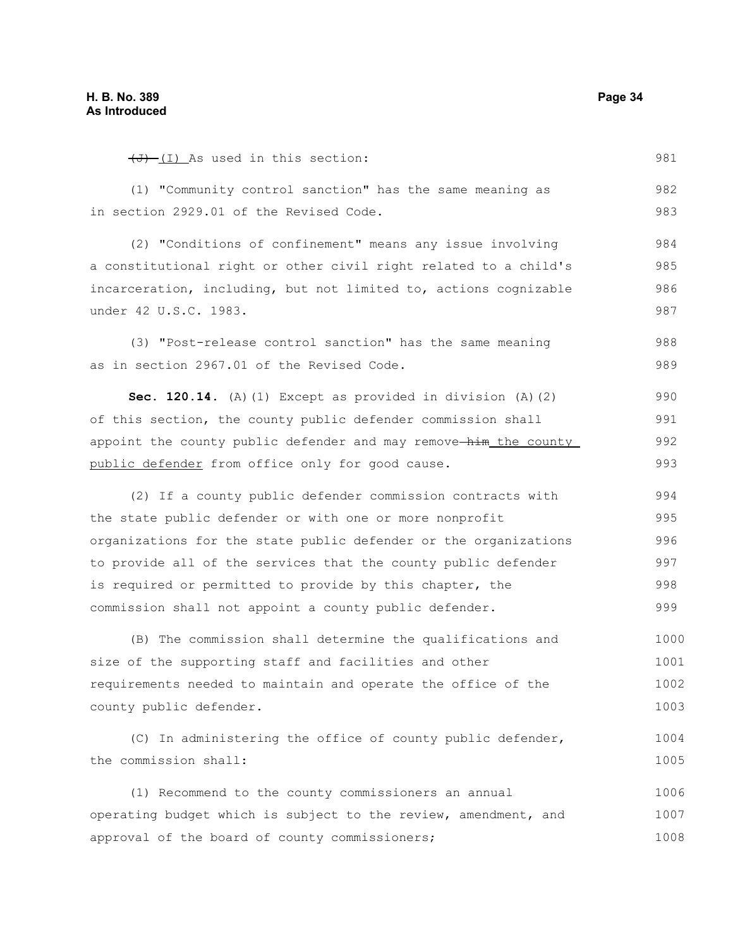| $\overline{(\overline{J}) - (I)}$ As used in this section:       | 981  |
|------------------------------------------------------------------|------|
| (1) "Community control sanction" has the same meaning as         | 982  |
| in section 2929.01 of the Revised Code.                          | 983  |
| (2) "Conditions of confinement" means any issue involving        | 984  |
| a constitutional right or other civil right related to a child's | 985  |
| incarceration, including, but not limited to, actions cognizable | 986  |
| under 42 U.S.C. 1983.                                            | 987  |
| (3) "Post-release control sanction" has the same meaning         | 988  |
| as in section 2967.01 of the Revised Code.                       | 989  |
| Sec. 120.14. (A) (1) Except as provided in division $(A)$ (2)    | 990  |
| of this section, the county public defender commission shall     | 991  |
| appoint the county public defender and may remove-him the county | 992  |
| public defender from office only for good cause.                 | 993  |
| (2) If a county public defender commission contracts with        | 994  |
| the state public defender or with one or more nonprofit          | 995  |
| organizations for the state public defender or the organizations | 996  |
| to provide all of the services that the county public defender   | 997  |
| is required or permitted to provide by this chapter, the         | 998  |
| commission shall not appoint a county public defender.           | 999  |
| (B) The commission shall determine the qualifications and        | 1000 |
| size of the supporting staff and facilities and other            | 1001 |
| requirements needed to maintain and operate the office of the    | 1002 |
| county public defender.                                          | 1003 |
| (C) In administering the office of county public defender,       | 1004 |
| the commission shall:                                            | 1005 |
| (1) Recommend to the county commissioners an annual              | 1006 |
| operating budget which is subject to the review, amendment, and  | 1007 |
| approval of the board of county commissioners;                   | 1008 |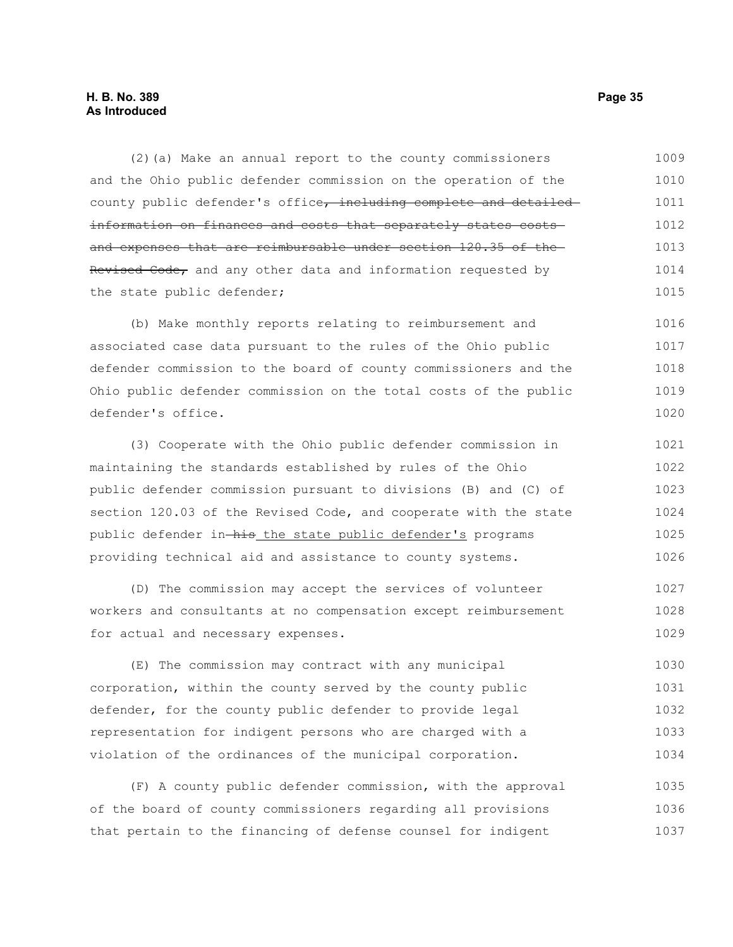#### **H. B. No. 389 Page 35 As Introduced**

(2)(a) Make an annual report to the county commissioners and the Ohio public defender commission on the operation of the county public defender's office, including complete and detailed information on finances and costs that separately states costs and expenses that are reimbursable under section 120.35 of the Revised Code, and any other data and information requested by the state public defender; 1009 1010 1011 1012 1013 1014 1015

(b) Make monthly reports relating to reimbursement and associated case data pursuant to the rules of the Ohio public defender commission to the board of county commissioners and the Ohio public defender commission on the total costs of the public defender's office. 1016 1017 1018 1019 1020

(3) Cooperate with the Ohio public defender commission in maintaining the standards established by rules of the Ohio public defender commission pursuant to divisions (B) and (C) of section 120.03 of the Revised Code, and cooperate with the state public defender in-his the state public defender's programs providing technical aid and assistance to county systems. 1021 1022 1023 1024 1025 1026

(D) The commission may accept the services of volunteer workers and consultants at no compensation except reimbursement for actual and necessary expenses. 1027 1028 1029

(E) The commission may contract with any municipal corporation, within the county served by the county public defender, for the county public defender to provide legal representation for indigent persons who are charged with a violation of the ordinances of the municipal corporation. 1030 1031 1032 1033 1034

(F) A county public defender commission, with the approval of the board of county commissioners regarding all provisions that pertain to the financing of defense counsel for indigent 1035 1036 1037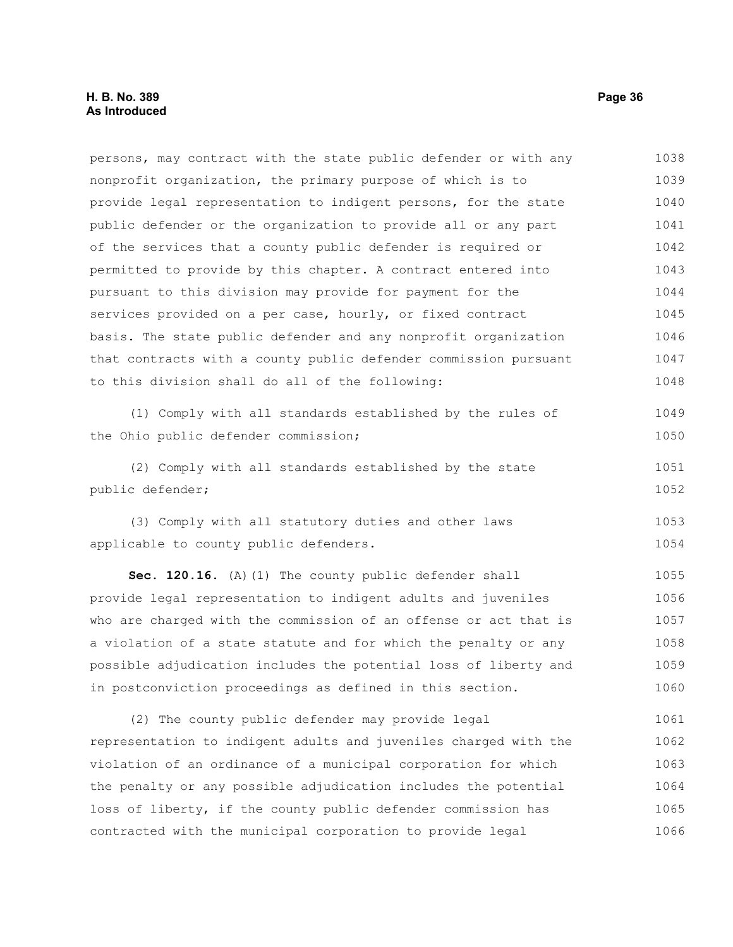#### **H. B. No. 389 Page 36 As Introduced**

persons, may contract with the state public defender or with any nonprofit organization, the primary purpose of which is to provide legal representation to indigent persons, for the state public defender or the organization to provide all or any part of the services that a county public defender is required or permitted to provide by this chapter. A contract entered into pursuant to this division may provide for payment for the services provided on a per case, hourly, or fixed contract basis. The state public defender and any nonprofit organization that contracts with a county public defender commission pursuant to this division shall do all of the following: (1) Comply with all standards established by the rules of the Ohio public defender commission; (2) Comply with all standards established by the state public defender; (3) Comply with all statutory duties and other laws applicable to county public defenders. Sec. 120.16. (A)(1) The county public defender shall 1038 1039 1040 1041 1042 1043 1044 1045 1046 1047 1048 1049 1050 1051 1052 1053 1054 1055

provide legal representation to indigent adults and juveniles who are charged with the commission of an offense or act that is a violation of a state statute and for which the penalty or any possible adjudication includes the potential loss of liberty and in postconviction proceedings as defined in this section. 1056 1057 1058 1059 1060

(2) The county public defender may provide legal representation to indigent adults and juveniles charged with the violation of an ordinance of a municipal corporation for which the penalty or any possible adjudication includes the potential loss of liberty, if the county public defender commission has contracted with the municipal corporation to provide legal 1061 1062 1063 1064 1065 1066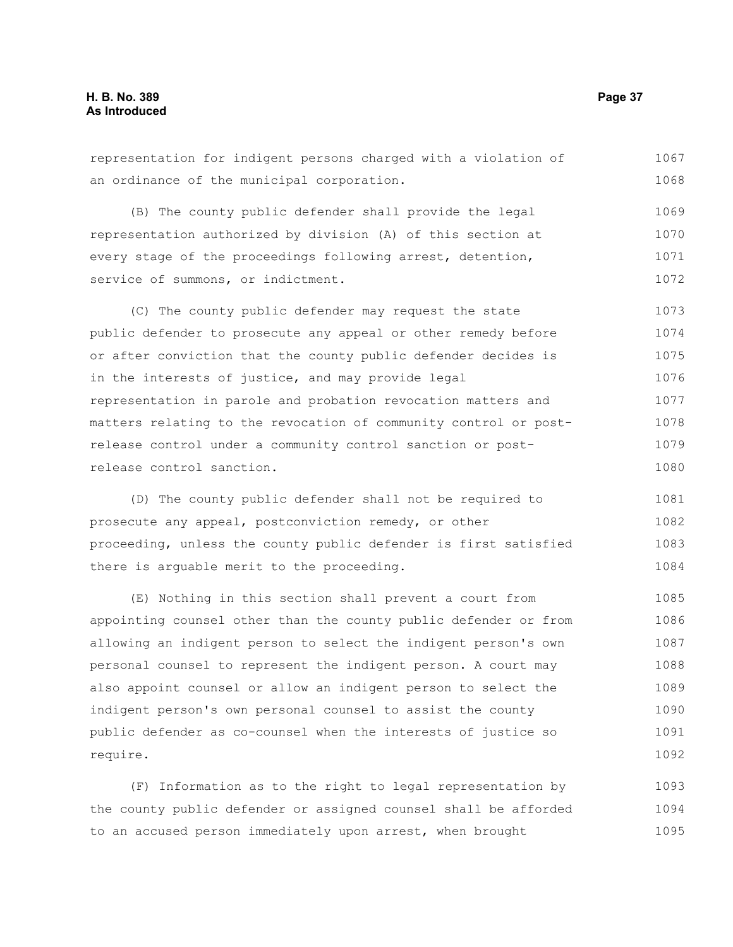representation for indigent persons charged with a violation of an ordinance of the municipal corporation. (B) The county public defender shall provide the legal representation authorized by division (A) of this section at every stage of the proceedings following arrest, detention, service of summons, or indictment. (C) The county public defender may request the state public defender to prosecute any appeal or other remedy before or after conviction that the county public defender decides is in the interests of justice, and may provide legal representation in parole and probation revocation matters and matters relating to the revocation of community control or postrelease control under a community control sanction or postrelease control sanction. (D) The county public defender shall not be required to prosecute any appeal, postconviction remedy, or other proceeding, unless the county public defender is first satisfied there is arguable merit to the proceeding. (E) Nothing in this section shall prevent a court from appointing counsel other than the county public defender or from allowing an indigent person to select the indigent person's own 1067 1068 1069 1070 1071 1072 1073 1074 1075 1076 1077 1078 1079 1080 1081 1082 1083 1084 1085 1086 1087

personal counsel to represent the indigent person. A court may also appoint counsel or allow an indigent person to select the indigent person's own personal counsel to assist the county public defender as co-counsel when the interests of justice so require. 1088 1089 1090 1091 1092

(F) Information as to the right to legal representation by the county public defender or assigned counsel shall be afforded to an accused person immediately upon arrest, when brought 1093 1094 1095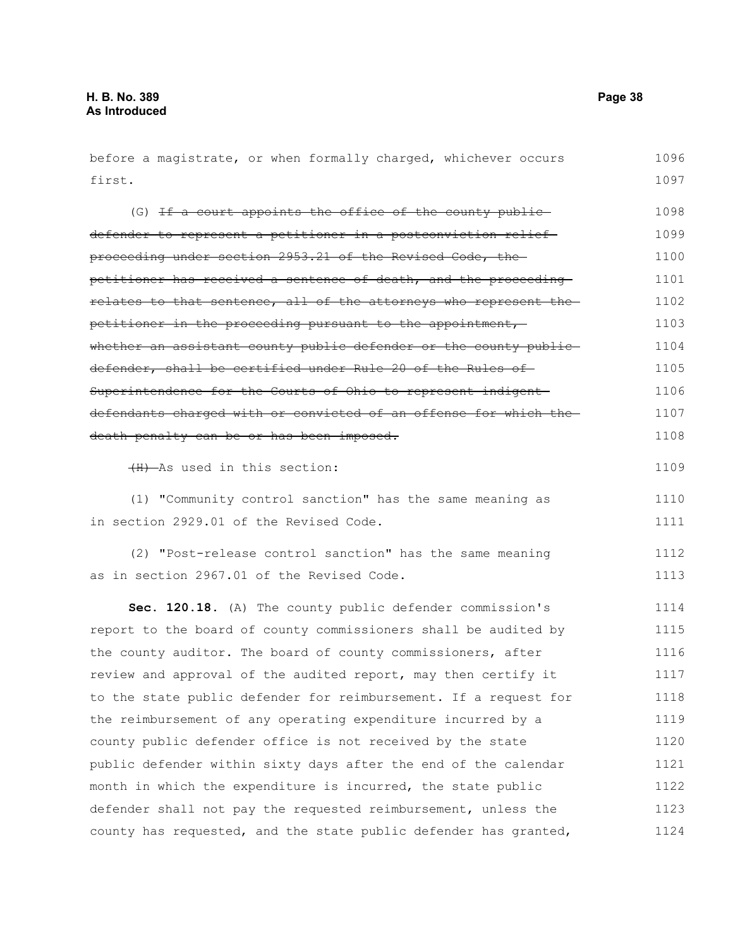| before a magistrate, or when formally charged, whichever occurs   | 1096 |
|-------------------------------------------------------------------|------|
| first.                                                            | 1097 |
| (G) If a court appoints the office of the county public-          | 1098 |
| defender to represent a petitioner in a postconviction relief-    | 1099 |
| proceeding under section 2953.21 of the Revised Code, the-        | 1100 |
| petitioner has received a sentence of death, and the proceeding   | 1101 |
| relates to that sentence, all of the attorneys who represent the  | 1102 |
| petitioner in the proceeding pursuant to the appointment,         | 1103 |
| whether an assistant county public defender or the county public- | 1104 |
| defender, shall be certified under Rule 20 of the Rules of        | 1105 |
| Superintendence for the Courts of Ohio to represent indigent      | 1106 |
| defendants charged with or convicted of an offense for which the  | 1107 |
| death penalty can be or has been imposed.                         | 1108 |
| (H) As used in this section:                                      | 1109 |
| (1) "Community control sanction" has the same meaning as          | 1110 |
| in section 2929.01 of the Revised Code.                           | 1111 |
| (2) "Post-release control sanction" has the same meaning          | 1112 |
| as in section 2967.01 of the Revised Code.                        | 1113 |
| Sec. 120.18. (A) The county public defender commission's          | 1114 |
| report to the board of county commissioners shall be audited by   | 1115 |
| the county auditor. The board of county commissioners, after      | 1116 |
| review and approval of the audited report, may then certify it    | 1117 |
| to the state public defender for reimbursement. If a request for  | 1118 |
| the reimbursement of any operating expenditure incurred by a      | 1119 |
| county public defender office is not received by the state        | 1120 |
| public defender within sixty days after the end of the calendar   | 1121 |
| month in which the expenditure is incurred, the state public      | 1122 |
| defender shall not pay the requested reimbursement, unless the    | 1123 |
| county has requested, and the state public defender has granted,  | 1124 |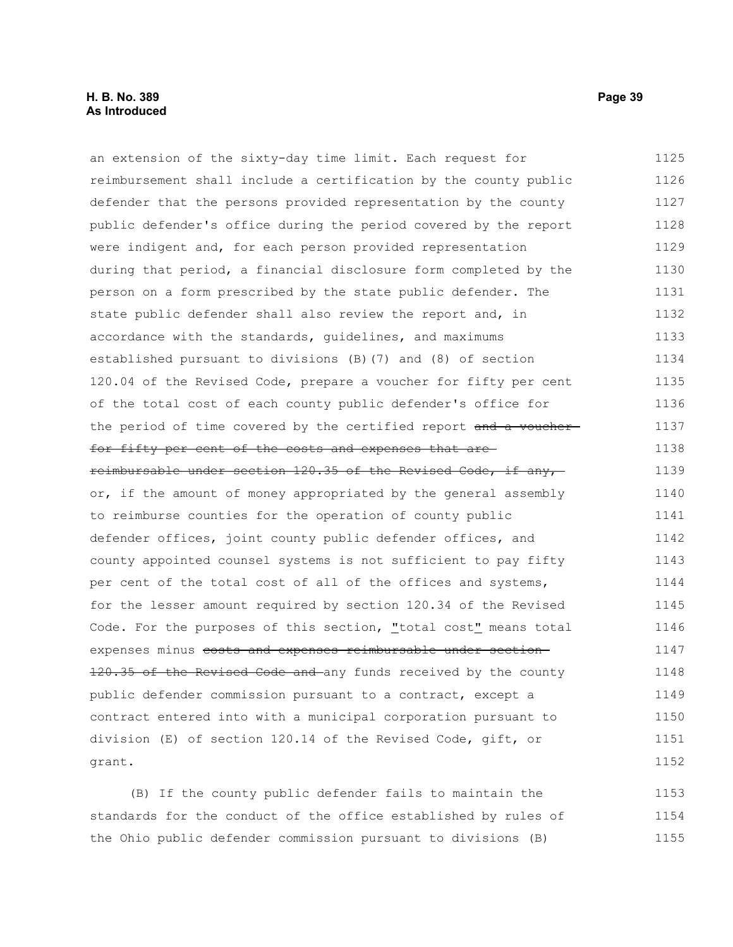# **H. B. No. 389 Page 39 As Introduced**

an extension of the sixty-day time limit. Each request for reimbursement shall include a certification by the county public defender that the persons provided representation by the county public defender's office during the period covered by the report were indigent and, for each person provided representation during that period, a financial disclosure form completed by the person on a form prescribed by the state public defender. The state public defender shall also review the report and, in accordance with the standards, guidelines, and maximums established pursuant to divisions (B)(7) and (8) of section 120.04 of the Revised Code, prepare a voucher for fifty per cent of the total cost of each county public defender's office for the period of time covered by the certified report and a voucherfor fifty per cent of the costs and expenses that are reimbursable under section 120.35 of the Revised Code, if any, or, if the amount of money appropriated by the general assembly to reimburse counties for the operation of county public defender offices, joint county public defender offices, and county appointed counsel systems is not sufficient to pay fifty per cent of the total cost of all of the offices and systems, for the lesser amount required by section 120.34 of the Revised Code. For the purposes of this section, "total cost" means total expenses minus costs and expenses reimbursable under section 120.35 of the Revised Code and any funds received by the county public defender commission pursuant to a contract, except a contract entered into with a municipal corporation pursuant to division (E) of section 120.14 of the Revised Code, gift, or grant. 1125 1126 1127 1128 1129 1130 1131 1132 1133 1134 1135 1136 1137 1138 1139 1140 1141 1142 1143 1144 1145 1146 1147 1148 1149 1150 1151 1152

(B) If the county public defender fails to maintain the standards for the conduct of the office established by rules of the Ohio public defender commission pursuant to divisions (B) 1153 1154 1155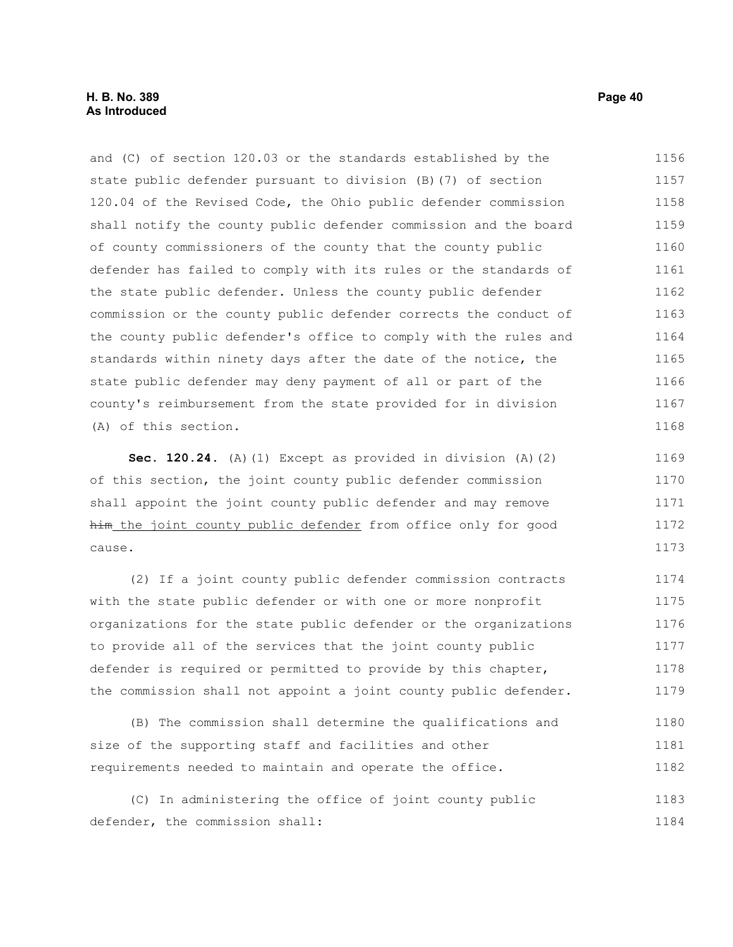and (C) of section 120.03 or the standards established by the state public defender pursuant to division (B)(7) of section 120.04 of the Revised Code, the Ohio public defender commission shall notify the county public defender commission and the board of county commissioners of the county that the county public defender has failed to comply with its rules or the standards of the state public defender. Unless the county public defender commission or the county public defender corrects the conduct of the county public defender's office to comply with the rules and standards within ninety days after the date of the notice, the state public defender may deny payment of all or part of the county's reimbursement from the state provided for in division (A) of this section. 1156 1157 1158 1159 1160 1161 1162 1163 1164 1165 1166 1167 1168

**Sec. 120.24.** (A)(1) Except as provided in division (A)(2) of this section, the joint county public defender commission shall appoint the joint county public defender and may remove him the joint county public defender from office only for good cause. 1169 1170 1171 1172 1173

(2) If a joint county public defender commission contracts with the state public defender or with one or more nonprofit organizations for the state public defender or the organizations to provide all of the services that the joint county public defender is required or permitted to provide by this chapter, the commission shall not appoint a joint county public defender. 1174 1175 1176 1177 1178 1179

(B) The commission shall determine the qualifications and size of the supporting staff and facilities and other requirements needed to maintain and operate the office. 1180 1181 1182

(C) In administering the office of joint county public defender, the commission shall: 1183 1184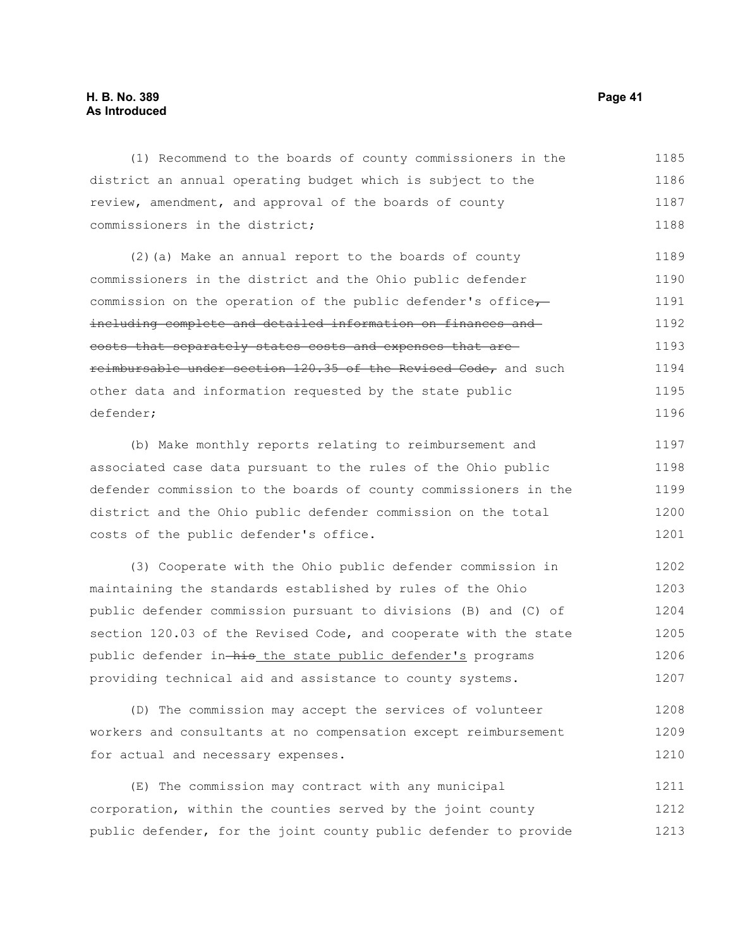# **H. B. No. 389 Page 41 As Introduced**

(1) Recommend to the boards of county commissioners in the district an annual operating budget which is subject to the review, amendment, and approval of the boards of county commissioners in the district; (2)(a) Make an annual report to the boards of county commissioners in the district and the Ohio public defender commission on the operation of the public defender's office $\tau$ including complete and detailed information on finances and costs that separately states costs and expenses that are reimbursable under section 120.35 of the Revised Code, and such other data and information requested by the state public defender; (b) Make monthly reports relating to reimbursement and associated case data pursuant to the rules of the Ohio public defender commission to the boards of county commissioners in the district and the Ohio public defender commission on the total costs of the public defender's office. (3) Cooperate with the Ohio public defender commission in maintaining the standards established by rules of the Ohio public defender commission pursuant to divisions (B) and (C) of section 120.03 of the Revised Code, and cooperate with the state public defender in-his the state public defender's programs providing technical aid and assistance to county systems. 1185 1186 1187 1188 1189 1190 1191 1192 1193 1194 1195 1196 1197 1198 1199 1200 1201 1202 1203 1204 1205 1206 1207

(D) The commission may accept the services of volunteer workers and consultants at no compensation except reimbursement for actual and necessary expenses. 1208 1209 1210

(E) The commission may contract with any municipal corporation, within the counties served by the joint county public defender, for the joint county public defender to provide 1211 1212 1213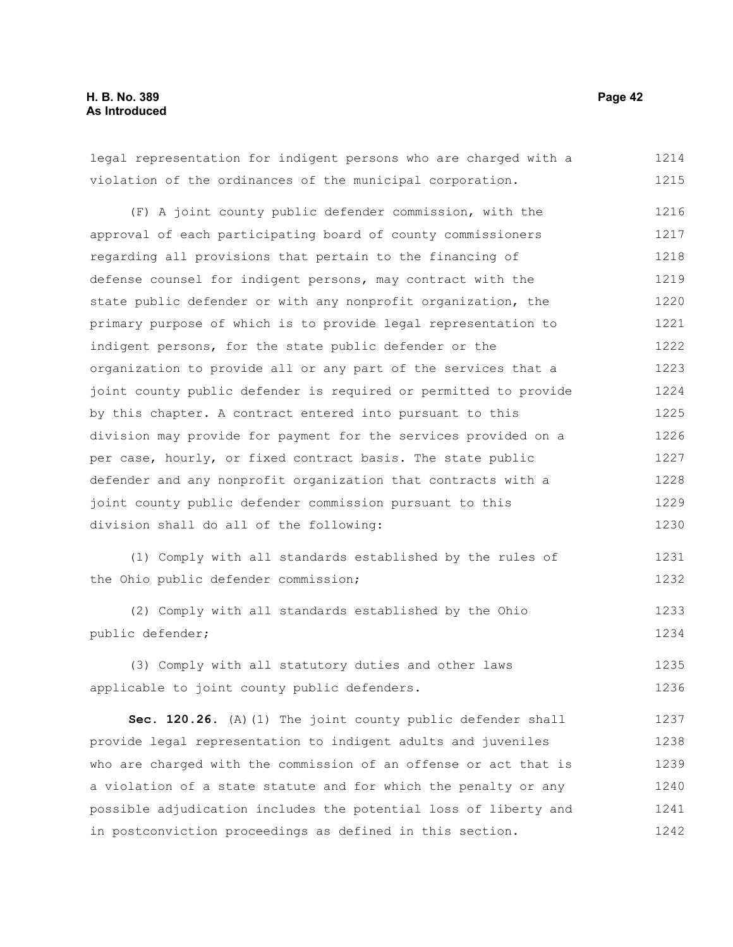legal representation for indigent persons who are charged with a violation of the ordinances of the municipal corporation. (F) A joint county public defender commission, with the approval of each participating board of county commissioners regarding all provisions that pertain to the financing of defense counsel for indigent persons, may contract with the state public defender or with any nonprofit organization, the primary purpose of which is to provide legal representation to indigent persons, for the state public defender or the organization to provide all or any part of the services that a joint county public defender is required or permitted to provide by this chapter. A contract entered into pursuant to this division may provide for payment for the services provided on a per case, hourly, or fixed contract basis. The state public defender and any nonprofit organization that contracts with a joint county public defender commission pursuant to this division shall do all of the following: (1) Comply with all standards established by the rules of 1214 1215 1216 1217 1218 1219 1220 1221 1222 1223 1224 1225 1226 1227 1228 1229 1230 1231

the Ohio public defender commission;

(2) Comply with all standards established by the Ohio public defender; 1233 1234

(3) Comply with all statutory duties and other laws applicable to joint county public defenders. 1235 1236

**Sec. 120.26.** (A)(1) The joint county public defender shall provide legal representation to indigent adults and juveniles who are charged with the commission of an offense or act that is a violation of a state statute and for which the penalty or any possible adjudication includes the potential loss of liberty and in postconviction proceedings as defined in this section. 1237 1238 1239 1240 1241 1242

1232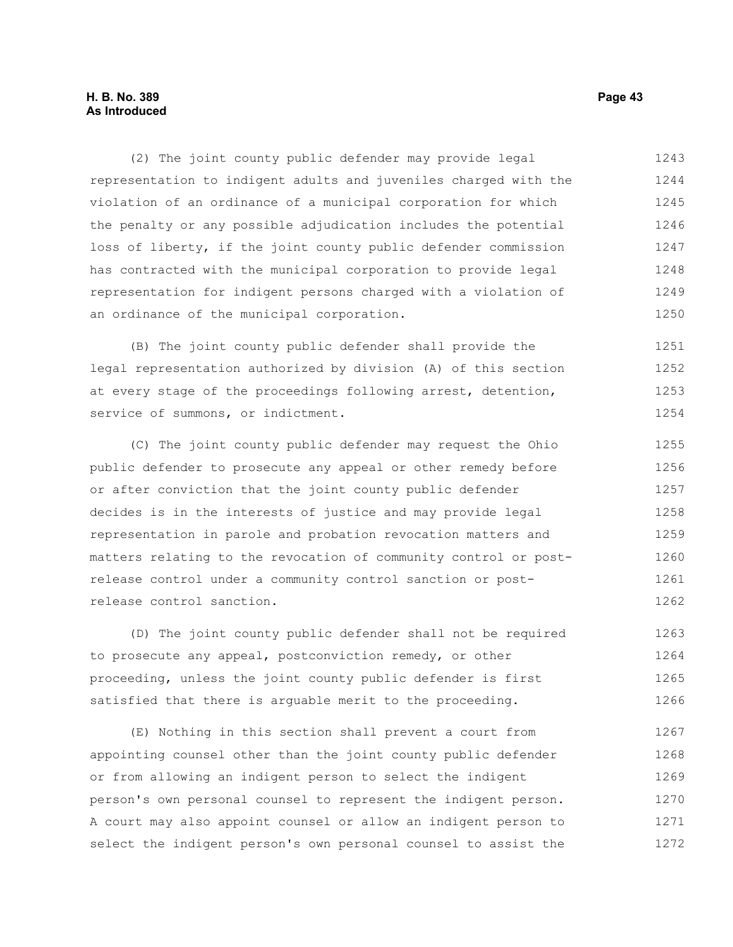(2) The joint county public defender may provide legal representation to indigent adults and juveniles charged with the violation of an ordinance of a municipal corporation for which the penalty or any possible adjudication includes the potential loss of liberty, if the joint county public defender commission has contracted with the municipal corporation to provide legal representation for indigent persons charged with a violation of an ordinance of the municipal corporation. 1243 1244 1245 1246 1247 1248 1249 1250

(B) The joint county public defender shall provide the legal representation authorized by division (A) of this section at every stage of the proceedings following arrest, detention, service of summons, or indictment. 1251 1252 1253 1254

(C) The joint county public defender may request the Ohio public defender to prosecute any appeal or other remedy before or after conviction that the joint county public defender decides is in the interests of justice and may provide legal representation in parole and probation revocation matters and matters relating to the revocation of community control or postrelease control under a community control sanction or postrelease control sanction. 1255 1256 1257 1258 1259 1260 1261 1262

(D) The joint county public defender shall not be required to prosecute any appeal, postconviction remedy, or other proceeding, unless the joint county public defender is first satisfied that there is arguable merit to the proceeding. 1263 1264 1265 1266

(E) Nothing in this section shall prevent a court from appointing counsel other than the joint county public defender or from allowing an indigent person to select the indigent person's own personal counsel to represent the indigent person. A court may also appoint counsel or allow an indigent person to select the indigent person's own personal counsel to assist the 1267 1268 1269 1270 1271 1272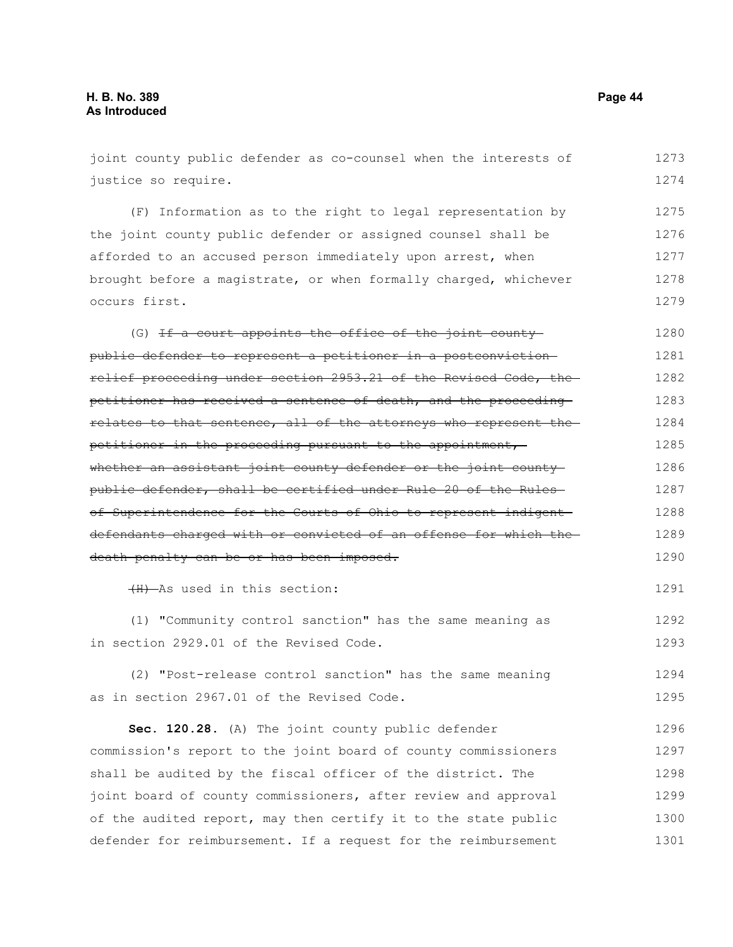| joint county public defender as co-counsel when the interests of       | 1273 |  |  |  |  |  |  |
|------------------------------------------------------------------------|------|--|--|--|--|--|--|
| justice so require.                                                    | 1274 |  |  |  |  |  |  |
| (F) Information as to the right to legal representation by             | 1275 |  |  |  |  |  |  |
| the joint county public defender or assigned counsel shall be          | 1276 |  |  |  |  |  |  |
| afforded to an accused person immediately upon arrest, when            |      |  |  |  |  |  |  |
| brought before a magistrate, or when formally charged, whichever       | 1278 |  |  |  |  |  |  |
| occurs first.                                                          | 1279 |  |  |  |  |  |  |
| (G) <del>If a court appoints the office of the joint county-</del>     | 1280 |  |  |  |  |  |  |
| public defender to represent a petitioner in a postconviction-         | 1281 |  |  |  |  |  |  |
| relief proceeding under section 2953.21 of the Revised Code, the       | 1282 |  |  |  |  |  |  |
| petitioner has received a sentence of death, and the proceeding        | 1283 |  |  |  |  |  |  |
| relates to that sentence, all of the attorneys who represent the       | 1284 |  |  |  |  |  |  |
| petitioner in the proceeding pursuant to the appointment,              | 1285 |  |  |  |  |  |  |
| whether an assistant joint county defender or the joint county         | 1286 |  |  |  |  |  |  |
| public defender, shall be certified under Rule 20 of the Rules-        | 1287 |  |  |  |  |  |  |
| of Superintendence for the Courts of Ohio to represent indigent        | 1288 |  |  |  |  |  |  |
| defendants charged with or convicted of an offense for which the-      | 1289 |  |  |  |  |  |  |
| death penalty can be or has been imposed.                              | 1290 |  |  |  |  |  |  |
| (H) As used in this section:                                           | 1291 |  |  |  |  |  |  |
| (1) "Community control sanction" has the same meaning as               | 1292 |  |  |  |  |  |  |
| in section 2929.01 of the Revised Code.                                | 1293 |  |  |  |  |  |  |
| (2) "Post-release control sanction" has the same meaning               | 1294 |  |  |  |  |  |  |
| as in section 2967.01 of the Revised Code.                             | 1295 |  |  |  |  |  |  |
| Sec. 120.28. (A) The joint county public defender                      | 1296 |  |  |  |  |  |  |
| commission's report to the joint board of county commissioners         | 1297 |  |  |  |  |  |  |
| shall be audited by the fiscal officer of the district. The            | 1298 |  |  |  |  |  |  |
| joint board of county commissioners, after review and approval<br>1299 |      |  |  |  |  |  |  |
| of the audited report, may then certify it to the state public         | 1300 |  |  |  |  |  |  |
| defender for reimbursement. If a request for the reimbursement         | 1301 |  |  |  |  |  |  |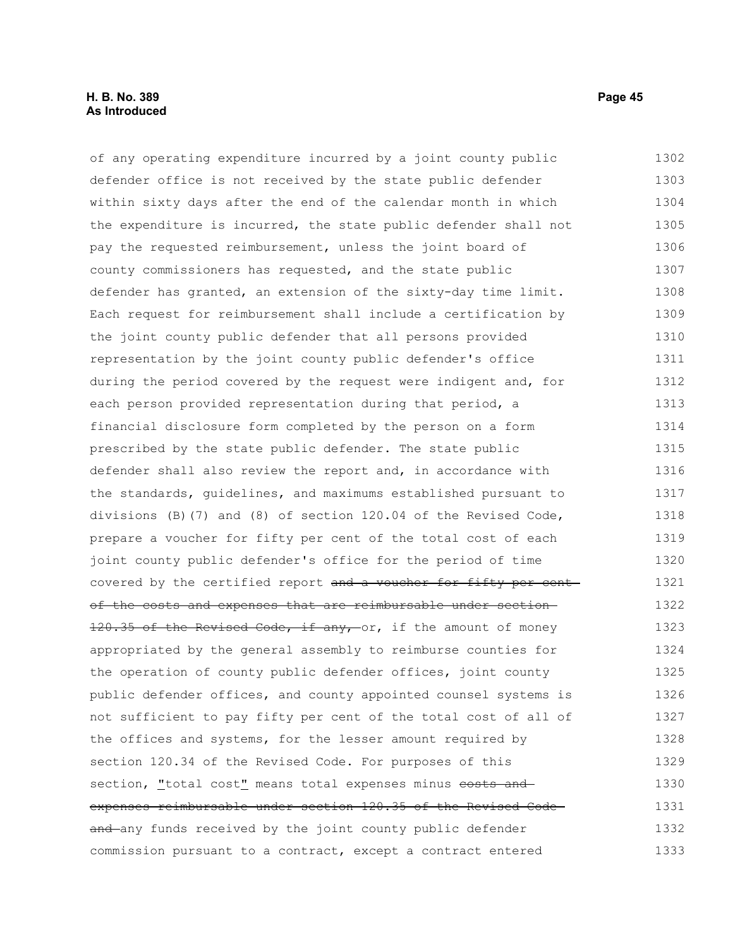## **H. B. No. 389 Page 45 As Introduced**

of any operating expenditure incurred by a joint county public defender office is not received by the state public defender within sixty days after the end of the calendar month in which the expenditure is incurred, the state public defender shall not pay the requested reimbursement, unless the joint board of county commissioners has requested, and the state public defender has granted, an extension of the sixty-day time limit. Each request for reimbursement shall include a certification by the joint county public defender that all persons provided representation by the joint county public defender's office during the period covered by the request were indigent and, for each person provided representation during that period, a financial disclosure form completed by the person on a form prescribed by the state public defender. The state public defender shall also review the report and, in accordance with the standards, guidelines, and maximums established pursuant to divisions (B)(7) and (8) of section 120.04 of the Revised Code, prepare a voucher for fifty per cent of the total cost of each joint county public defender's office for the period of time covered by the certified report and a voucher for fifty per cent of the costs and expenses that are reimbursable under section 120.35 of the Revised Code, if any, or, if the amount of money appropriated by the general assembly to reimburse counties for the operation of county public defender offices, joint county public defender offices, and county appointed counsel systems is not sufficient to pay fifty per cent of the total cost of all of the offices and systems, for the lesser amount required by section 120.34 of the Revised Code. For purposes of this section, "total cost" means total expenses minus costs and expenses reimbursable under section 120.35 of the Revised Code and any funds received by the joint county public defender commission pursuant to a contract, except a contract entered 1302 1303 1304 1305 1306 1307 1308 1309 1310 1311 1312 1313 1314 1315 1316 1317 1318 1319 1320 1321 1322 1323 1324 1325 1326 1327 1328 1329 1330 1331 1332 1333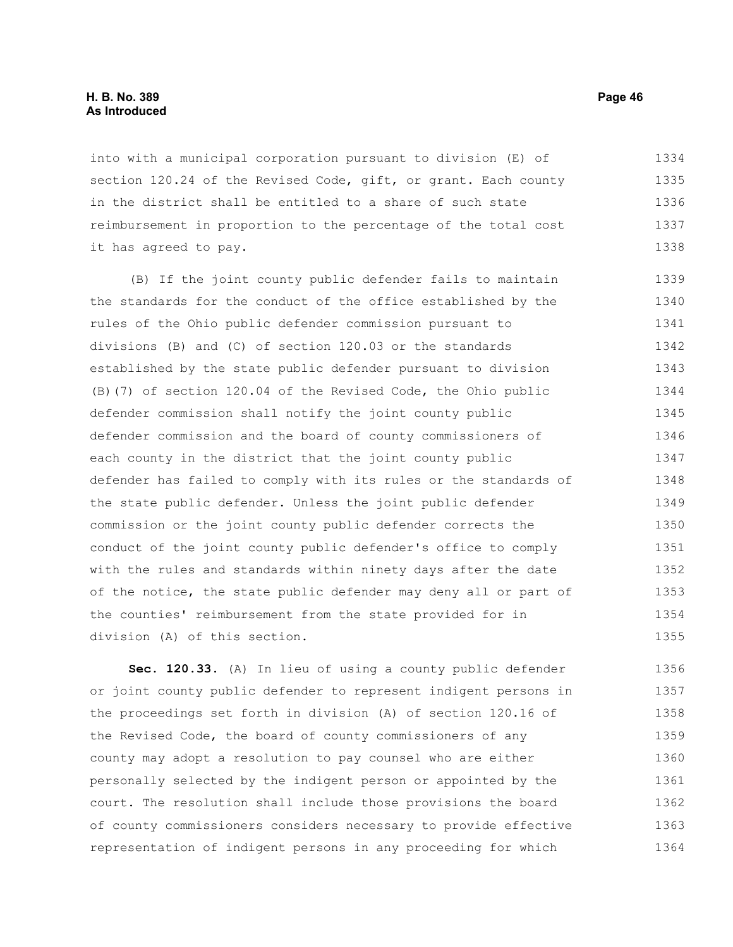into with a municipal corporation pursuant to division (E) of section 120.24 of the Revised Code, gift, or grant. Each county in the district shall be entitled to a share of such state reimbursement in proportion to the percentage of the total cost it has agreed to pay. 1334 1335 1336 1337 1338

(B) If the joint county public defender fails to maintain the standards for the conduct of the office established by the rules of the Ohio public defender commission pursuant to divisions (B) and (C) of section 120.03 or the standards established by the state public defender pursuant to division (B)(7) of section 120.04 of the Revised Code, the Ohio public defender commission shall notify the joint county public defender commission and the board of county commissioners of each county in the district that the joint county public defender has failed to comply with its rules or the standards of the state public defender. Unless the joint public defender commission or the joint county public defender corrects the conduct of the joint county public defender's office to comply with the rules and standards within ninety days after the date of the notice, the state public defender may deny all or part of the counties' reimbursement from the state provided for in division (A) of this section. 1339 1340 1341 1342 1343 1344 1345 1346 1347 1348 1349 1350 1351 1352 1353 1354 1355

**Sec. 120.33.** (A) In lieu of using a county public defender or joint county public defender to represent indigent persons in the proceedings set forth in division (A) of section 120.16 of the Revised Code, the board of county commissioners of any county may adopt a resolution to pay counsel who are either personally selected by the indigent person or appointed by the court. The resolution shall include those provisions the board of county commissioners considers necessary to provide effective representation of indigent persons in any proceeding for which 1356 1357 1358 1359 1360 1361 1362 1363 1364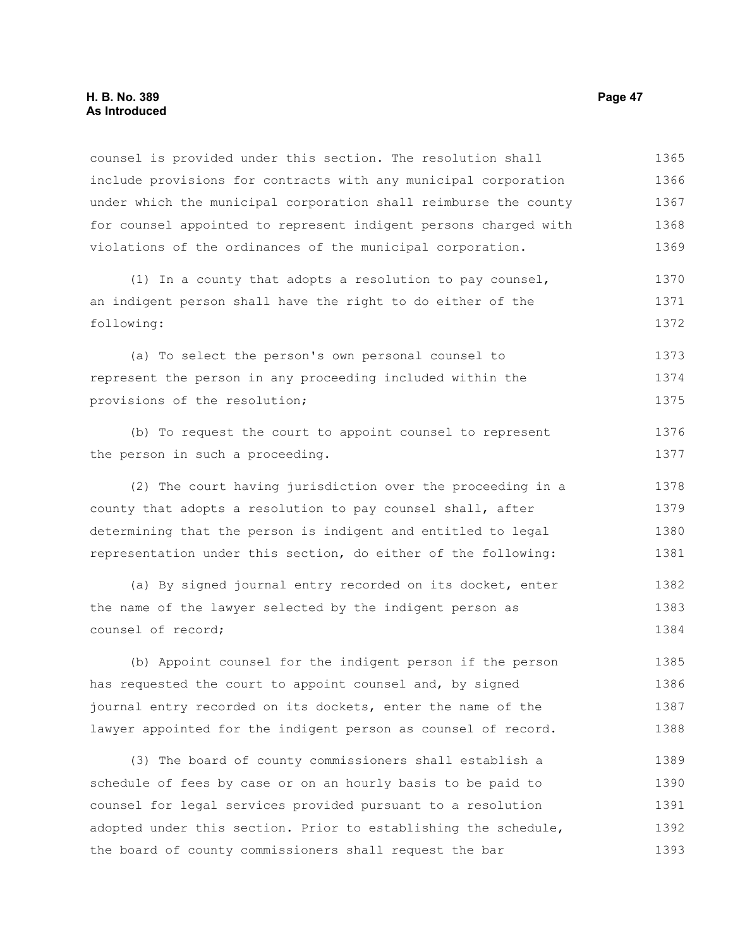## **H. B. No. 389 Page 47 As Introduced**

counsel is provided under this section. The resolution shall include provisions for contracts with any municipal corporation under which the municipal corporation shall reimburse the county for counsel appointed to represent indigent persons charged with violations of the ordinances of the municipal corporation. 1365 1366 1367 1368 1369

(1) In a county that adopts a resolution to pay counsel, an indigent person shall have the right to do either of the following: 1370 1371 1372

(a) To select the person's own personal counsel to represent the person in any proceeding included within the provisions of the resolution; 1373 1374 1375

(b) To request the court to appoint counsel to represent the person in such a proceeding.

(2) The court having jurisdiction over the proceeding in a county that adopts a resolution to pay counsel shall, after determining that the person is indigent and entitled to legal representation under this section, do either of the following: 1378 1379 1380 1381

(a) By signed journal entry recorded on its docket, enter the name of the lawyer selected by the indigent person as counsel of record; 1382 1383 1384

(b) Appoint counsel for the indigent person if the person has requested the court to appoint counsel and, by signed journal entry recorded on its dockets, enter the name of the lawyer appointed for the indigent person as counsel of record. 1385 1386 1387 1388

(3) The board of county commissioners shall establish a schedule of fees by case or on an hourly basis to be paid to counsel for legal services provided pursuant to a resolution adopted under this section. Prior to establishing the schedule, the board of county commissioners shall request the bar 1389 1390 1391 1392 1393

1376 1377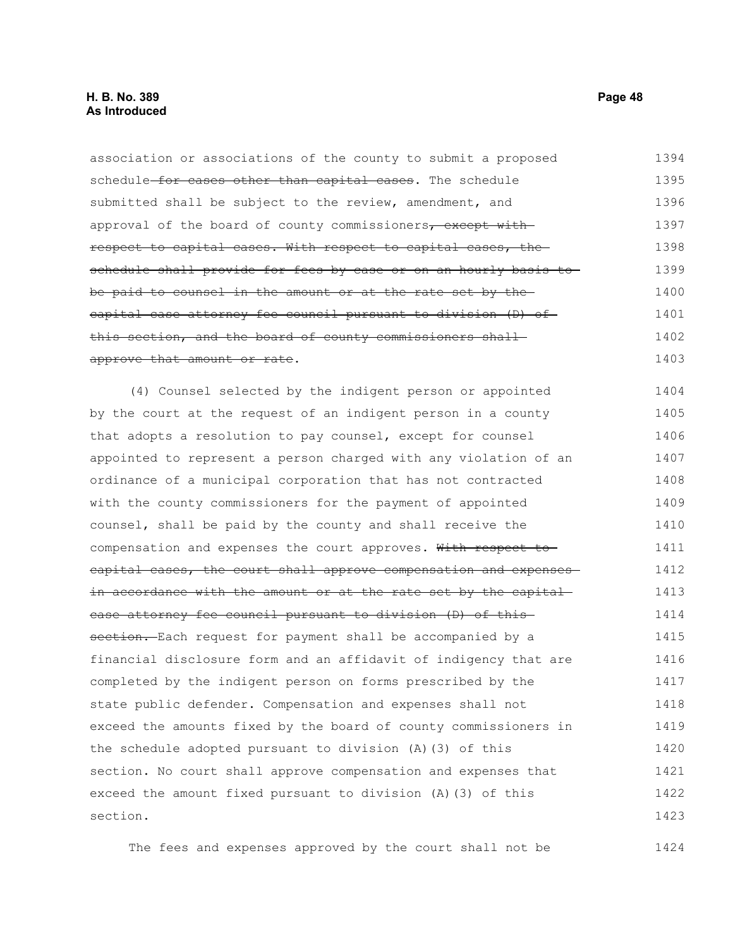association or associations of the county to submit a proposed schedule for cases other than capital cases. The schedule submitted shall be subject to the review, amendment, and approval of the board of county commissioners, except withrespect to capital cases. With respect to capital cases, the schedule shall provide for fees by case or on an hourly basis to be paid to counsel in the amount or at the rate set by the capital case attorney fee council pursuant to division (D) of this section, and the board of county commissioners shallapprove that amount or rate. 1394 1395 1396 1397 1398 1399 1400 1401 1402 1403

(4) Counsel selected by the indigent person or appointed by the court at the request of an indigent person in a county that adopts a resolution to pay counsel, except for counsel appointed to represent a person charged with any violation of an ordinance of a municipal corporation that has not contracted with the county commissioners for the payment of appointed counsel, shall be paid by the county and shall receive the compensation and expenses the court approves. With respect to capital cases, the court shall approve compensation and expenses in accordance with the amount or at the rate set by the capitalcase attorney fee council pursuant to division (D) of this section. Each request for payment shall be accompanied by a financial disclosure form and an affidavit of indigency that are completed by the indigent person on forms prescribed by the state public defender. Compensation and expenses shall not exceed the amounts fixed by the board of county commissioners in the schedule adopted pursuant to division (A)(3) of this section. No court shall approve compensation and expenses that exceed the amount fixed pursuant to division (A)(3) of this section. 1404 1405 1406 1407 1408 1409 1410 1411 1412 1413 1414 1415 1416 1417 1418 1419 1420 1421 1422 1423

The fees and expenses approved by the court shall not be 1424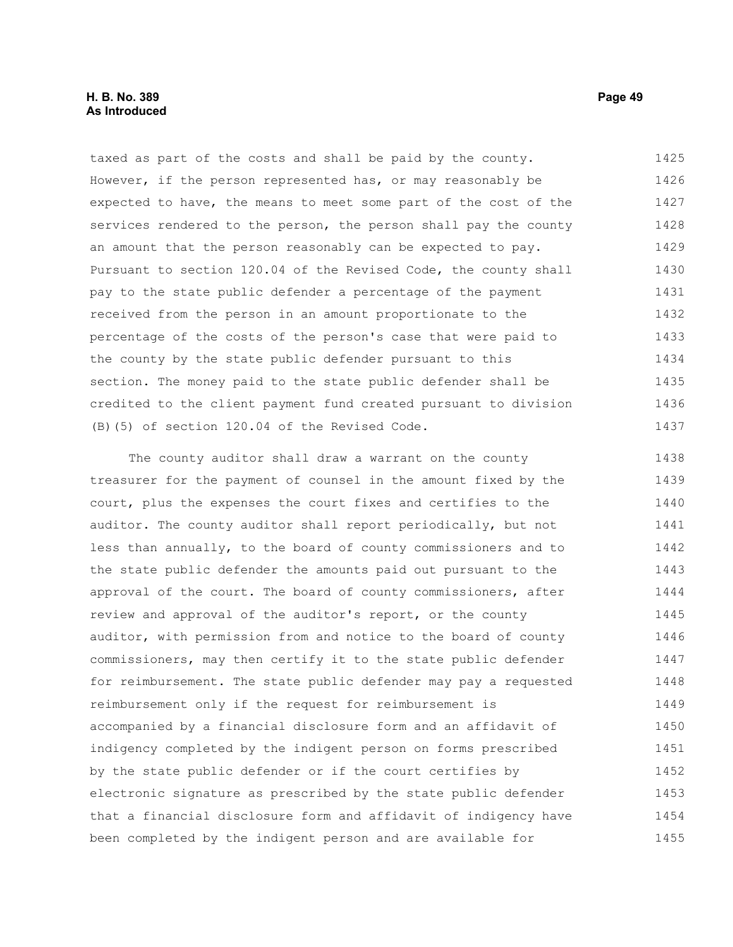taxed as part of the costs and shall be paid by the county. However, if the person represented has, or may reasonably be expected to have, the means to meet some part of the cost of the services rendered to the person, the person shall pay the county an amount that the person reasonably can be expected to pay. Pursuant to section 120.04 of the Revised Code, the county shall pay to the state public defender a percentage of the payment received from the person in an amount proportionate to the percentage of the costs of the person's case that were paid to the county by the state public defender pursuant to this section. The money paid to the state public defender shall be credited to the client payment fund created pursuant to division (B)(5) of section 120.04 of the Revised Code. 1425 1426 1427 1428 1429 1430 1431 1432 1433 1434 1435 1436 1437

The county auditor shall draw a warrant on the county treasurer for the payment of counsel in the amount fixed by the court, plus the expenses the court fixes and certifies to the auditor. The county auditor shall report periodically, but not less than annually, to the board of county commissioners and to the state public defender the amounts paid out pursuant to the approval of the court. The board of county commissioners, after review and approval of the auditor's report, or the county auditor, with permission from and notice to the board of county commissioners, may then certify it to the state public defender for reimbursement. The state public defender may pay a requested reimbursement only if the request for reimbursement is accompanied by a financial disclosure form and an affidavit of indigency completed by the indigent person on forms prescribed by the state public defender or if the court certifies by electronic signature as prescribed by the state public defender that a financial disclosure form and affidavit of indigency have been completed by the indigent person and are available for 1438 1439 1440 1441 1442 1443 1444 1445 1446 1447 1448 1449 1450 1451 1452 1453 1454 1455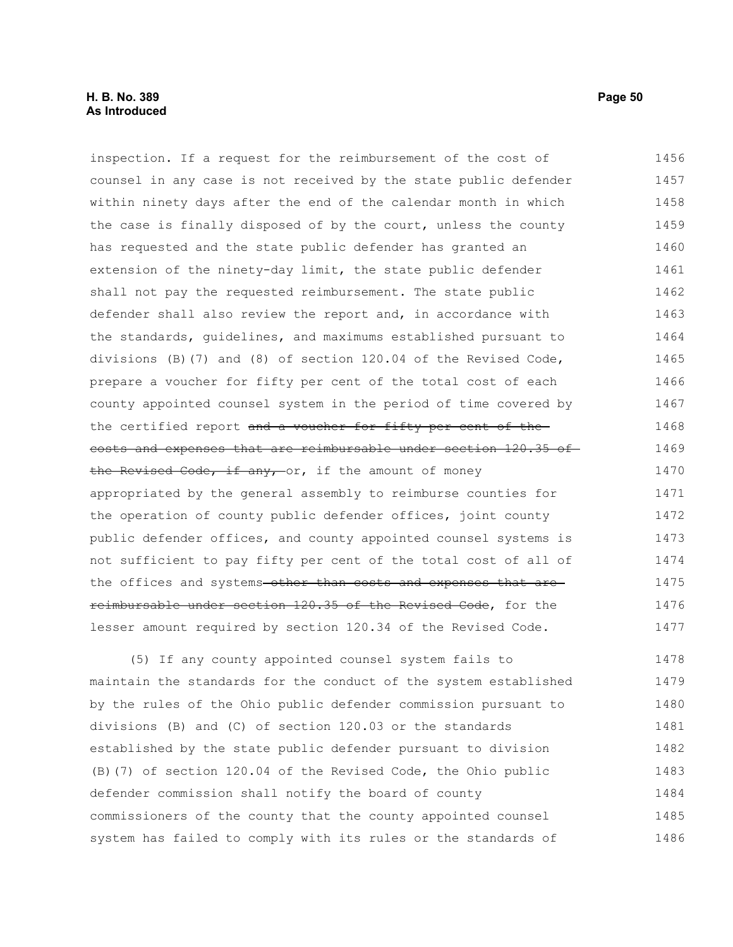# **H. B. No. 389 Page 50 As Introduced**

inspection. If a request for the reimbursement of the cost of counsel in any case is not received by the state public defender within ninety days after the end of the calendar month in which the case is finally disposed of by the court, unless the county has requested and the state public defender has granted an extension of the ninety-day limit, the state public defender shall not pay the requested reimbursement. The state public defender shall also review the report and, in accordance with the standards, guidelines, and maximums established pursuant to divisions (B)(7) and (8) of section 120.04 of the Revised Code, prepare a voucher for fifty per cent of the total cost of each county appointed counsel system in the period of time covered by the certified report and a voucher for fifty per cent of the costs and expenses that are reimbursable under section 120.35 of the Revised Code, if any, or, if the amount of money appropriated by the general assembly to reimburse counties for the operation of county public defender offices, joint county public defender offices, and county appointed counsel systems is not sufficient to pay fifty per cent of the total cost of all of the offices and systems-other than costs and expenses that arereimbursable under section 120.35 of the Revised Code, for the lesser amount required by section 120.34 of the Revised Code. 1456 1457 1458 1459 1460 1461 1462 1463 1464 1465 1466 1467 1468 1469 1470 1471 1472 1473 1474 1475 1476 1477

(5) If any county appointed counsel system fails to maintain the standards for the conduct of the system established by the rules of the Ohio public defender commission pursuant to divisions (B) and (C) of section 120.03 or the standards established by the state public defender pursuant to division (B)(7) of section 120.04 of the Revised Code, the Ohio public defender commission shall notify the board of county commissioners of the county that the county appointed counsel system has failed to comply with its rules or the standards of 1478 1479 1480 1481 1482 1483 1484 1485 1486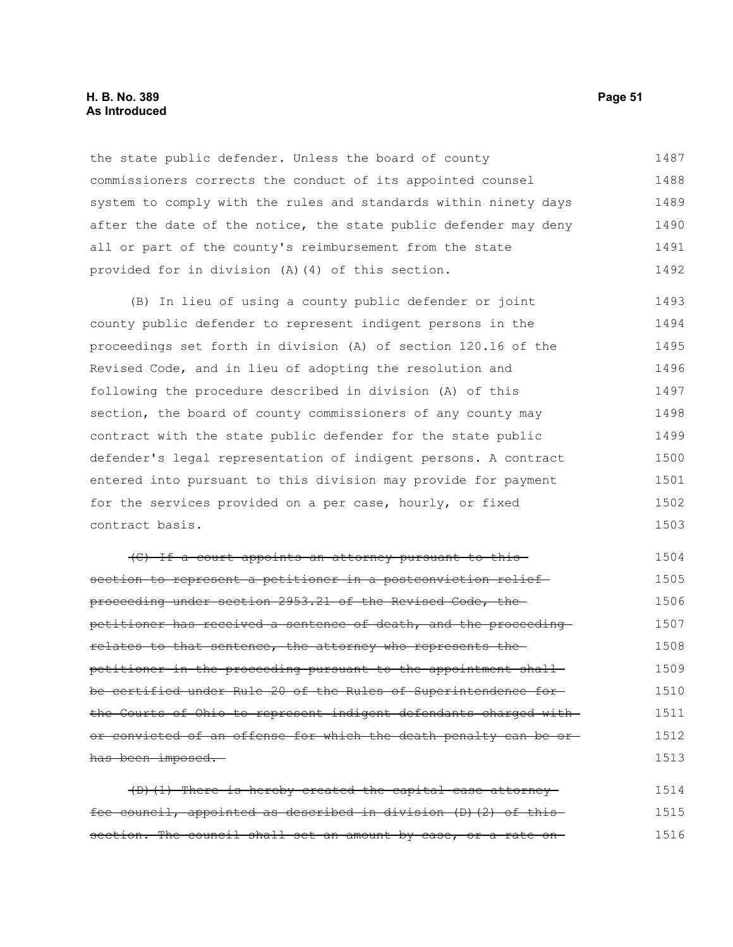# **H. B. No. 389 Page 51 As Introduced**

the state public defender. Unless the board of county commissioners corrects the conduct of its appointed counsel system to comply with the rules and standards within ninety days after the date of the notice, the state public defender may deny all or part of the county's reimbursement from the state provided for in division (A)(4) of this section. 1487 1488 1489 1490 1491 1492

(B) In lieu of using a county public defender or joint county public defender to represent indigent persons in the proceedings set forth in division (A) of section 120.16 of the Revised Code, and in lieu of adopting the resolution and following the procedure described in division (A) of this section, the board of county commissioners of any county may contract with the state public defender for the state public defender's legal representation of indigent persons. A contract entered into pursuant to this division may provide for payment for the services provided on a per case, hourly, or fixed contract basis. 1493 1494 1495 1496 1497 1498 1499 1500 1501 1502 1503

(C) If a court appoints an attorney pursuant to this section to represent a petitioner in a postconviction relief proceeding under section 2953.21 of the Revised Code, the petitioner has received a sentence of death, and the proceeding relates to that sentence, the attorney who represents the petitioner in the proceeding pursuant to the appointment shall be certified under Rule 20 of the Rules of Superintendence for the Courts of Ohio to represent indigent defendants charged with or convicted of an offense for which the death penalty can be or has been imposed. 1504 1505 1506 1507 1508 1509 1510 1511 1512 1513

(D)(1) There is hereby created the capital case attorney fee council, appointed as described in division (D)(2) of this section. The council shall set an amount by case, or a rate on 1514 1515 1516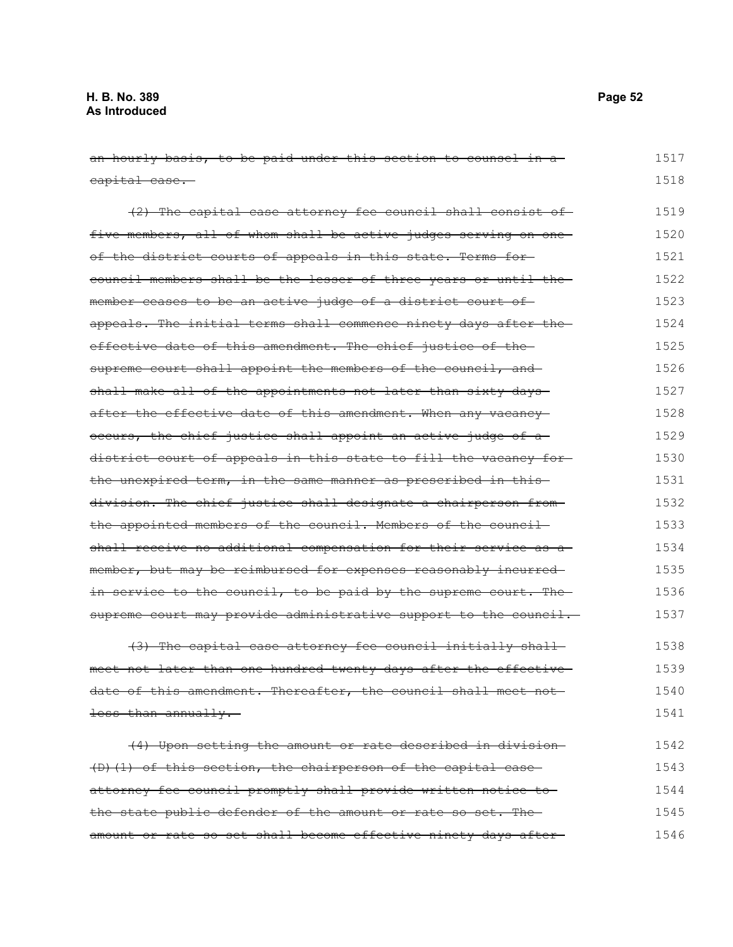| an hourly basis, to be paid under this section to counsel in a-  | 1517 |
|------------------------------------------------------------------|------|
| eapital case.                                                    | 1518 |
| (2) The capital case attorney fee council shall consist of       | 1519 |
| five members, all of whom shall be active judges serving on one- | 1520 |
| of the district courts of appeals in this state. Terms for-      | 1521 |
| council members shall be the lesser of three years or until the- | 1522 |
| member ceases to be an active judge of a district court of       | 1523 |
| appeals. The initial terms shall commence ninety days after the  | 1524 |
| effective date of this amendment. The chief justice of the-      | 1525 |
| supreme court shall appoint the members of the council, and      | 1526 |
| shall make all of the appointments not later than sixty days     | 1527 |
| after the effective date of this amendment. When any vacancy-    | 1528 |
| occurs, the chief justice shall appoint an active judge of a     | 1529 |
| district court of appeals in this state to fill the vacancy for- | 1530 |
| the unexpired term, in the same manner as prescribed in this-    | 1531 |
| division. The chief justice shall designate a chairperson from-  | 1532 |
| the appointed members of the council. Members of the council-    | 1533 |
| shall receive no additional compensation for their service as a  | 1534 |
| member, but may be reimbursed for expenses reasonably incurred   | 1535 |
| in service to the council, to be paid by the supreme court. The  | 1536 |
| supreme court may provide administrative support to the council. | 1537 |
| (3) The capital case attorney fee council initially shall        | 1538 |
| meet not later than one hundred twenty days after the effective  | 1539 |
| date of this amendment. Thereafter, the council shall meet not-  | 1540 |
| less than annually.                                              | 1541 |
|                                                                  |      |
| (4) Upon setting the amount or rate described in division        | 1542 |
| (D)(1) of this section, the chairperson of the capital case-     | 1543 |
| attorney fee council promptly shall provide written notice to    | 1544 |
| the state public defender of the amount or rate so set. The-     | 1545 |
| amount or rate so set shall become effective ninety days after-  | 1546 |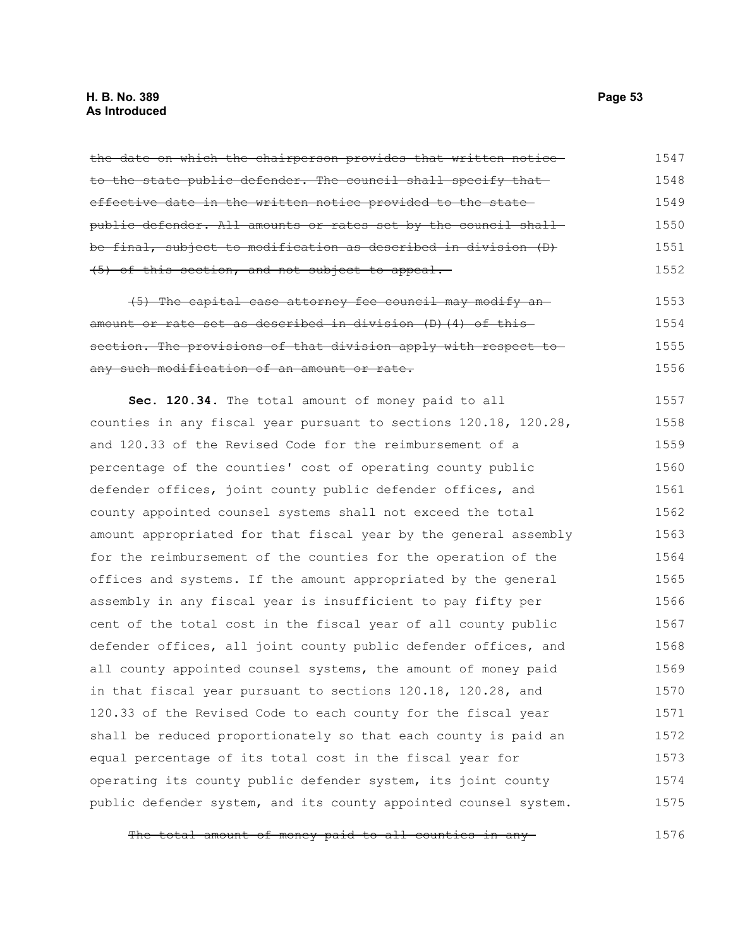# **H. B. No. 389 Page 53 As Introduced**

| the date on which the chairperson provides that written notice-            | 1547 |
|----------------------------------------------------------------------------|------|
| to the state public defender. The council shall specify that               | 1548 |
| effective date in the written notice provided to the state-                | 1549 |
| <del>public defender. All amounts or rates set by the council shall-</del> | 1550 |
| be final, subject to modification as described in division (D)             | 1551 |
| (5) of this section, and not subject to appeal.                            | 1552 |
| (5) The capital case attorney fee council may modify an-                   | 1553 |
| <del>amount or rate set as described in division (D)(4) of this-</del>     | 1554 |
| section. The provisions of that division apply with respect to-            | 1555 |
| any such modification of an amount or rate.                                | 1556 |
| Sec. 120.34. The total amount of money paid to all                         | 1557 |
| counties in any fiscal year pursuant to sections $120.18$ , $120.28$ ,     | 1558 |
| and 120.33 of the Revised Code for the reimbursement of a                  | 1559 |
| percentage of the counties' cost of operating county public                | 1560 |
| defender offices, joint county public defender offices, and                | 1561 |
| county appointed counsel systems shall not exceed the total                | 1562 |
| amount appropriated for that fiscal year by the general assembly           | 1563 |
| for the reimbursement of the counties for the operation of the             | 1564 |
| offices and systems. If the amount appropriated by the general             | 1565 |
| assembly in any fiscal year is insufficient to pay fifty per               | 1566 |
| cent of the total cost in the fiscal year of all county public             | 1567 |
| defender offices, all joint county public defender offices, and            | 1568 |
| all county appointed counsel systems, the amount of money paid             | 1569 |
| in that fiscal year pursuant to sections 120.18, 120.28, and               | 1570 |
| 120.33 of the Revised Code to each county for the fiscal year              | 1571 |
| shall be reduced proportionately so that each county is paid an            | 1572 |
| equal percentage of its total cost in the fiscal year for                  | 1573 |
| operating its county public defender system, its joint county              | 1574 |
| public defender system, and its county appointed counsel system.           | 1575 |
|                                                                            |      |

The total amount of money paid to all counties in any-

1576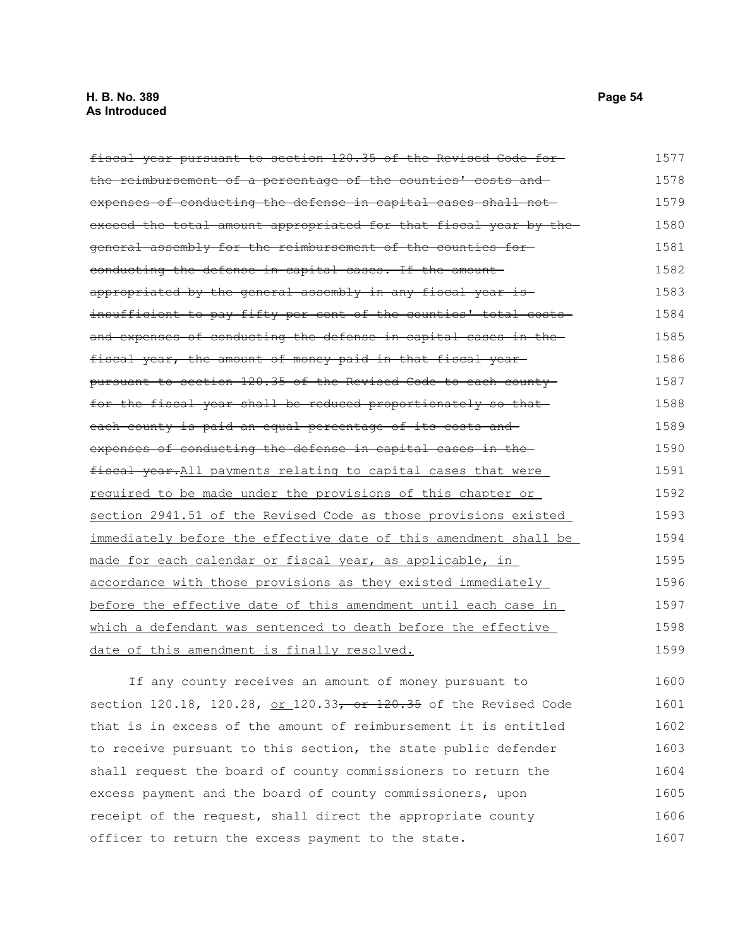#### **H. B. No. 389 Page 54 As Introduced**

fiscal year pursuant to section 120.35 of the Revised Code for the reimbursement of a percentage of the counties' costs and expenses of conducting the defense in capital cases shall notexceed the total amount appropriated for that fiscal year by the general assembly for the reimbursement of the counties for conducting the defense in capital cases. If the amount appropriated by the general assembly in any fiscal year is insufficient to pay fifty per cent of the counties' total costsand expenses of conducting the defense in capital cases in the fiscal year, the amount of money paid in that fiscal yearpursuant to section 120.35 of the Revised Code to each county for the fiscal year shall be reduced proportionately so that each county is paid an equal percentage of its costs and expenses of conducting the defense in capital cases in the fiscal year. All payments relating to capital cases that were required to be made under the provisions of this chapter or section 2941.51 of the Revised Code as those provisions existed immediately before the effective date of this amendment shall be made for each calendar or fiscal year, as applicable, in accordance with those provisions as they existed immediately before the effective date of this amendment until each case in which a defendant was sentenced to death before the effective date of this amendment is finally resolved. 1577 1578 1579 1580 1581 1582 1583 1584 1585 1586 1587 1588 1589 1590 1591 1592 1593 1594 1595 1596 1597 1598 1599

If any county receives an amount of money pursuant to section 120.18, 120.28, or 120.33, or 120.35 of the Revised Code that is in excess of the amount of reimbursement it is entitled to receive pursuant to this section, the state public defender shall request the board of county commissioners to return the excess payment and the board of county commissioners, upon receipt of the request, shall direct the appropriate county officer to return the excess payment to the state. 1600 1601 1602 1603 1604 1605 1606 1607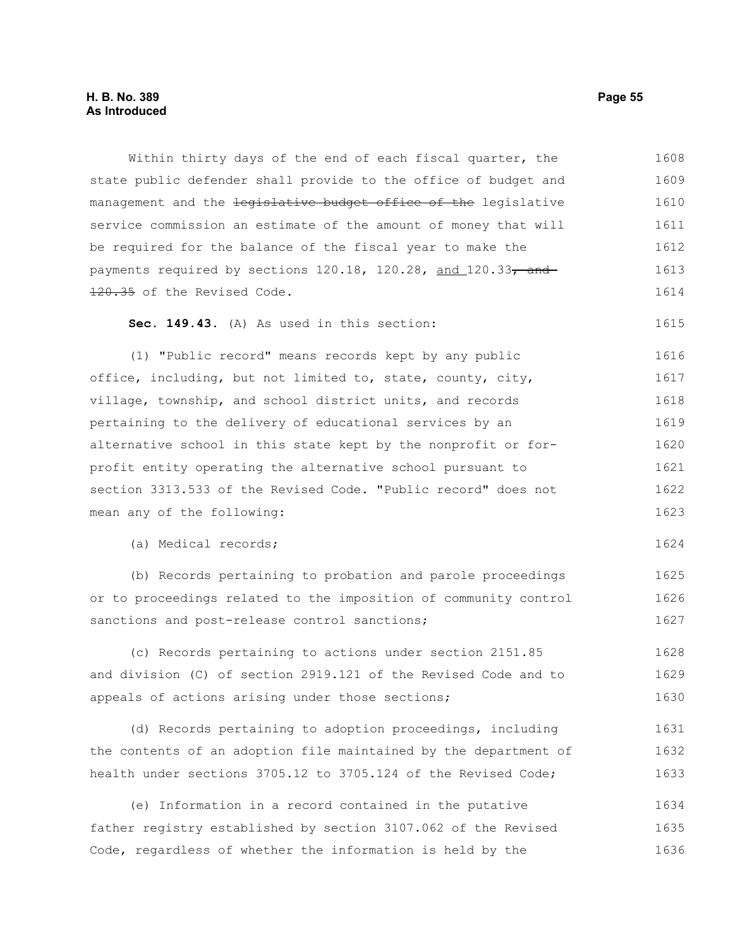Within thirty days of the end of each fiscal quarter, the state public defender shall provide to the office of budget and management and the legislative budget office of the legislative service commission an estimate of the amount of money that will be required for the balance of the fiscal year to make the payments required by sections  $120.18$ ,  $120.28$ , and  $120.33$ , and 120.35 of the Revised Code. **Sec. 149.43.** (A) As used in this section: (1) "Public record" means records kept by any public office, including, but not limited to, state, county, city, village, township, and school district units, and records pertaining to the delivery of educational services by an alternative school in this state kept by the nonprofit or forprofit entity operating the alternative school pursuant to section 3313.533 of the Revised Code. "Public record" does not mean any of the following: (a) Medical records; (b) Records pertaining to probation and parole proceedings or to proceedings related to the imposition of community control sanctions and post-release control sanctions; (c) Records pertaining to actions under section 2151.85 and division (C) of section 2919.121 of the Revised Code and to appeals of actions arising under those sections; 1608 1609 1610 1611 1612 1613 1614 1615 1616 1617 1618 1619 1620 1621 1622 1623 1624 1625 1626 1627 1628 1629 1630

(d) Records pertaining to adoption proceedings, including the contents of an adoption file maintained by the department of health under sections 3705.12 to 3705.124 of the Revised Code; 1631 1632 1633

(e) Information in a record contained in the putative father registry established by section 3107.062 of the Revised Code, regardless of whether the information is held by the 1634 1635 1636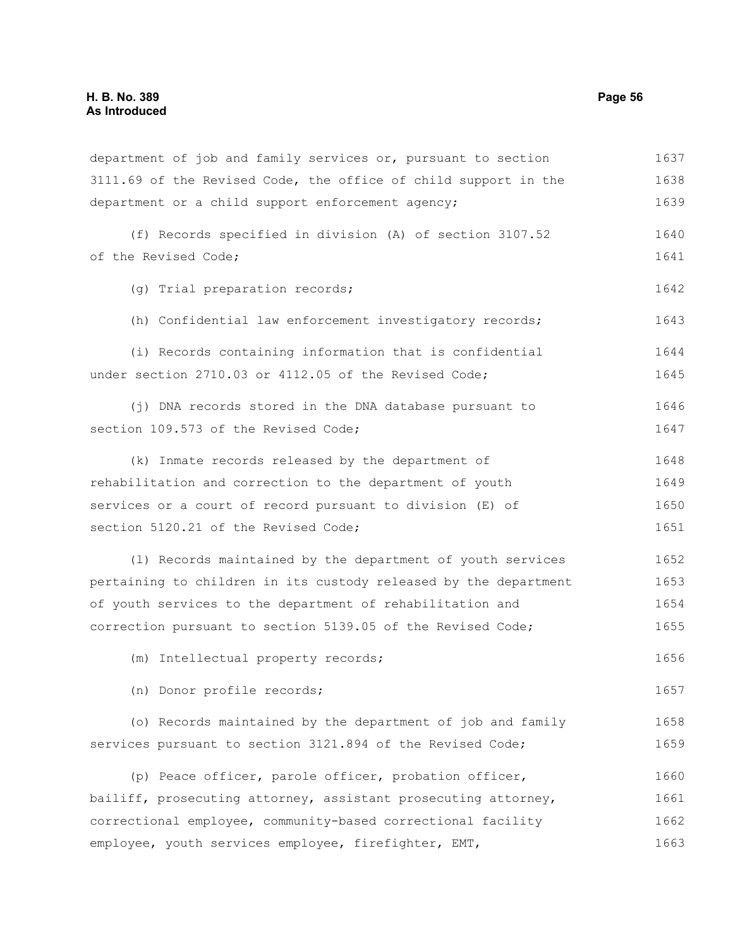department of job and family services or, pursuant to section 3111.69 of the Revised Code, the office of child support in the department or a child support enforcement agency; (f) Records specified in division (A) of section 3107.52 of the Revised Code; (g) Trial preparation records; (h) Confidential law enforcement investigatory records; (i) Records containing information that is confidential under section 2710.03 or 4112.05 of the Revised Code; (j) DNA records stored in the DNA database pursuant to section 109.573 of the Revised Code; (k) Inmate records released by the department of rehabilitation and correction to the department of youth services or a court of record pursuant to division (E) of section 5120.21 of the Revised Code; (l) Records maintained by the department of youth services pertaining to children in its custody released by the department of youth services to the department of rehabilitation and correction pursuant to section 5139.05 of the Revised Code; (m) Intellectual property records; (n) Donor profile records; (o) Records maintained by the department of job and family services pursuant to section 3121.894 of the Revised Code; (p) Peace officer, parole officer, probation officer, bailiff, prosecuting attorney, assistant prosecuting attorney, correctional employee, community-based correctional facility employee, youth services employee, firefighter, EMT, 1637 1638 1639 1640 1641 1642 1643 1644 1645 1646 1647 1648 1649 1650 1651 1652 1653 1654 1655 1656 1657 1658 1659 1660 1661 1662 1663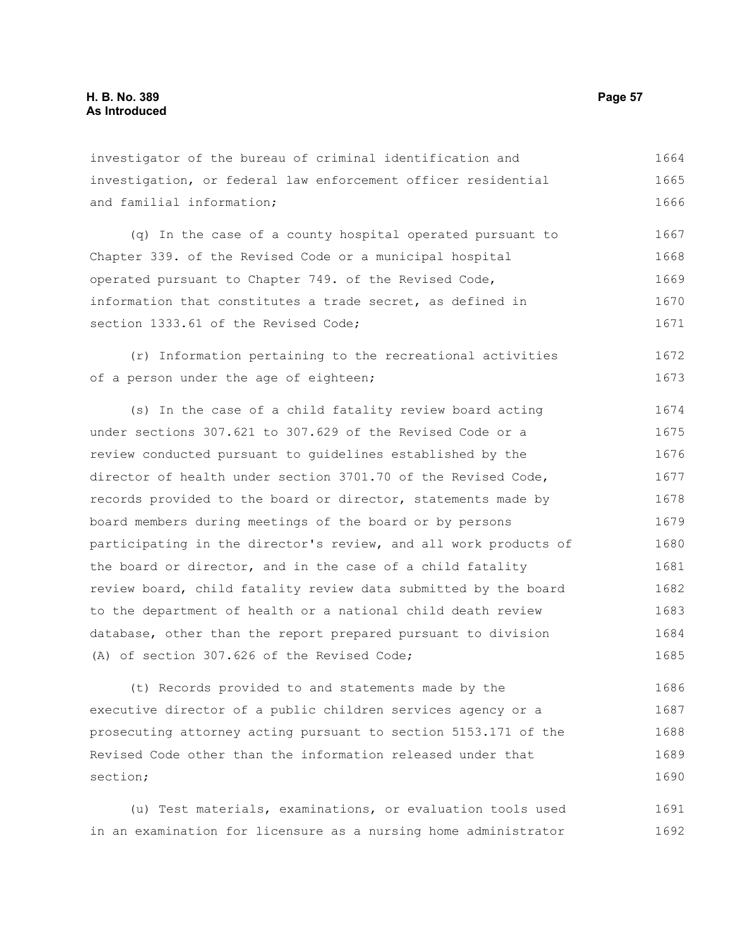investigator of the bureau of criminal identification and investigation, or federal law enforcement officer residential and familial information; 1664 1665 1666

(q) In the case of a county hospital operated pursuant to Chapter 339. of the Revised Code or a municipal hospital operated pursuant to Chapter 749. of the Revised Code, information that constitutes a trade secret, as defined in section 1333.61 of the Revised Code; 1667 1668 1669 1670 1671

(r) Information pertaining to the recreational activities of a person under the age of eighteen; 1672 1673

(s) In the case of a child fatality review board acting under sections 307.621 to 307.629 of the Revised Code or a review conducted pursuant to guidelines established by the director of health under section 3701.70 of the Revised Code, records provided to the board or director, statements made by board members during meetings of the board or by persons participating in the director's review, and all work products of the board or director, and in the case of a child fatality review board, child fatality review data submitted by the board to the department of health or a national child death review database, other than the report prepared pursuant to division (A) of section 307.626 of the Revised Code; 1674 1675 1676 1677 1678 1679 1680 1681 1682 1683 1684 1685

(t) Records provided to and statements made by the executive director of a public children services agency or a prosecuting attorney acting pursuant to section 5153.171 of the Revised Code other than the information released under that section; 1686 1687 1688 1689 1690

(u) Test materials, examinations, or evaluation tools used in an examination for licensure as a nursing home administrator 1691 1692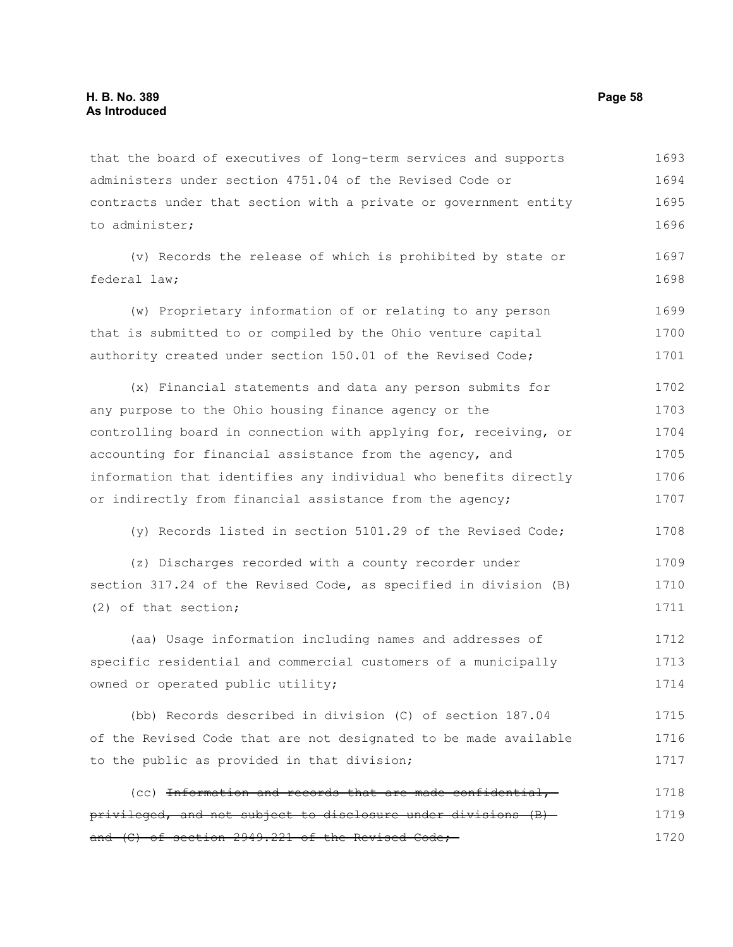that the board of executives of long-term services and supports administers under section 4751.04 of the Revised Code or contracts under that section with a private or government entity to administer; 1693 1694 1695 1696

(v) Records the release of which is prohibited by state or federal law; 1697 1698

(w) Proprietary information of or relating to any person that is submitted to or compiled by the Ohio venture capital authority created under section 150.01 of the Revised Code; 1699 1700 1701

(x) Financial statements and data any person submits for any purpose to the Ohio housing finance agency or the controlling board in connection with applying for, receiving, or accounting for financial assistance from the agency, and information that identifies any individual who benefits directly or indirectly from financial assistance from the agency; 1702 1703 1704 1705 1706 1707

(y) Records listed in section 5101.29 of the Revised Code; 1708

(z) Discharges recorded with a county recorder under section 317.24 of the Revised Code, as specified in division (B) (2) of that section; 1709 1710 1711

(aa) Usage information including names and addresses of specific residential and commercial customers of a municipally owned or operated public utility; 1712 1713 1714

(bb) Records described in division (C) of section 187.04 of the Revised Code that are not designated to be made available to the public as provided in that division; 1715 1716 1717

(cc) Information and records that are made confidential, privileged, and not subject to disclosure under divisions (B) and (C) of section 2949.221 of the Revised Code; 1718 1719 1720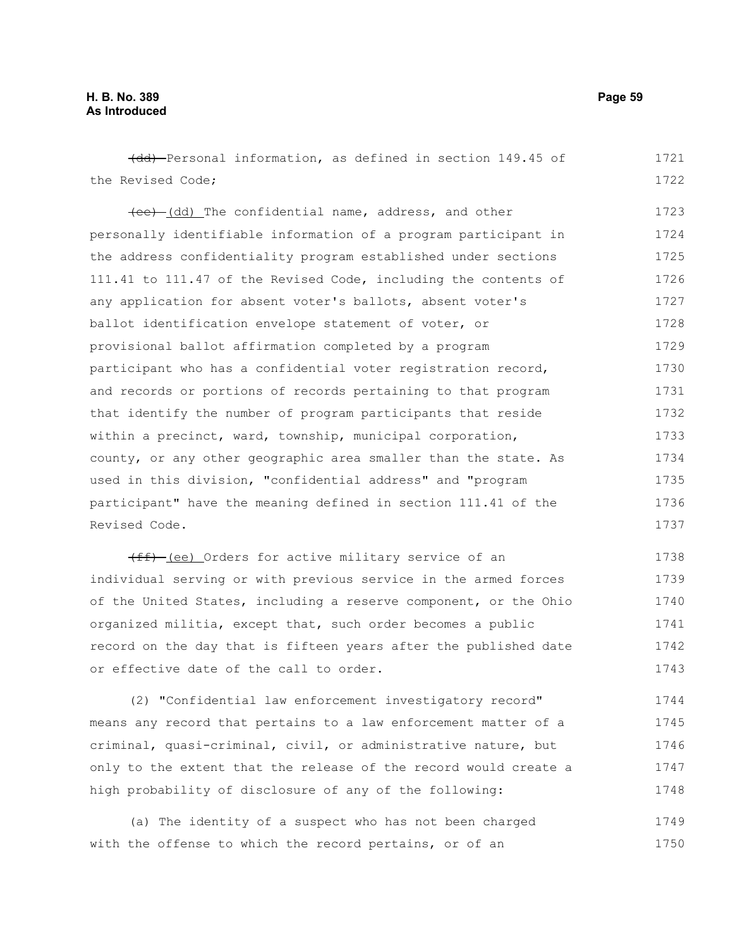# **H. B. No. 389 Page 59 As Introduced**

(dd) Personal information, as defined in section 149.45 of the Revised Code; (dd) The confidential name, address, and other personally identifiable information of a program participant in the address confidentiality program established under sections 111.41 to 111.47 of the Revised Code, including the contents of any application for absent voter's ballots, absent voter's ballot identification envelope statement of voter, or provisional ballot affirmation completed by a program participant who has a confidential voter registration record, and records or portions of records pertaining to that program that identify the number of program participants that reside within a precinct, ward, township, municipal corporation, county, or any other geographic area smaller than the state. As used in this division, "confidential address" and "program participant" have the meaning defined in section 111.41 of the Revised Code. 1721 1722 1723 1724 1725 1726 1727 1728 1729 1730 1731 1732 1733 1734 1735 1736 1737

(ff) (ee) Orders for active military service of an individual serving or with previous service in the armed forces of the United States, including a reserve component, or the Ohio organized militia, except that, such order becomes a public record on the day that is fifteen years after the published date or effective date of the call to order. 1738 1739 1740 1741 1742 1743

(2) "Confidential law enforcement investigatory record" means any record that pertains to a law enforcement matter of a criminal, quasi-criminal, civil, or administrative nature, but only to the extent that the release of the record would create a high probability of disclosure of any of the following: 1744 1745 1746 1747 1748

(a) The identity of a suspect who has not been charged with the offense to which the record pertains, or of an 1749 1750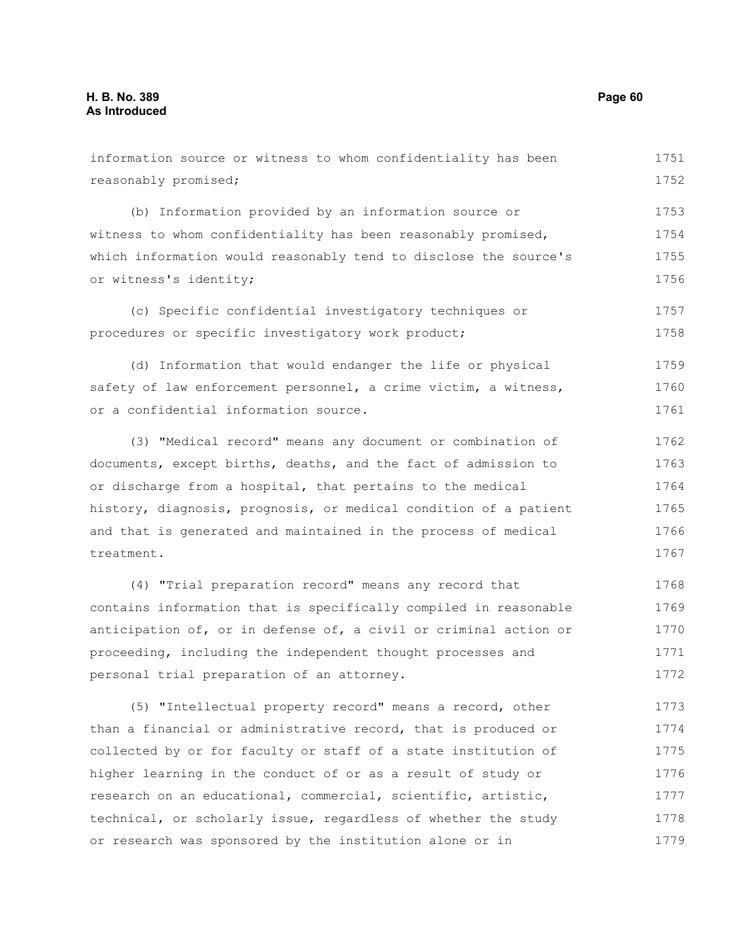| information source or witness to whom confidentiality has been   | 1751 |
|------------------------------------------------------------------|------|
| reasonably promised;                                             | 1752 |
| (b) Information provided by an information source or             | 1753 |
| witness to whom confidentiality has been reasonably promised,    | 1754 |
| which information would reasonably tend to disclose the source's | 1755 |
| or witness's identity;                                           | 1756 |
| (c) Specific confidential investigatory techniques or            | 1757 |
| procedures or specific investigatory work product;               | 1758 |
| (d) Information that would endanger the life or physical         | 1759 |
| safety of law enforcement personnel, a crime victim, a witness,  | 1760 |
| or a confidential information source.                            | 1761 |
| (3) "Medical record" means any document or combination of        | 1762 |
| documents, except births, deaths, and the fact of admission to   | 1763 |
| or discharge from a hospital, that pertains to the medical       | 1764 |
| history, diagnosis, prognosis, or medical condition of a patient | 1765 |
| and that is generated and maintained in the process of medical   | 1766 |
| treatment.                                                       | 1767 |
| (4) "Trial preparation record" means any record that             | 1768 |
| contains information that is specifically compiled in reasonable | 1769 |
| anticipation of, or in defense of, a civil or criminal action or | 1770 |
| proceeding, including the independent thought processes and      | 1771 |
| personal trial preparation of an attorney.                       | 1772 |
| (5) "Intellectual property record" means a record, other         | 1773 |
| than a financial or administrative record, that is produced or   | 1774 |
| collected by or for faculty or staff of a state institution of   | 1775 |
| higher learning in the conduct of or as a result of study or     | 1776 |
| research on an educational, commercial, scientific, artistic,    | 1777 |
| technical, or scholarly issue, regardless of whether the study   | 1778 |
| or research was sponsored by the institution alone or in         | 1779 |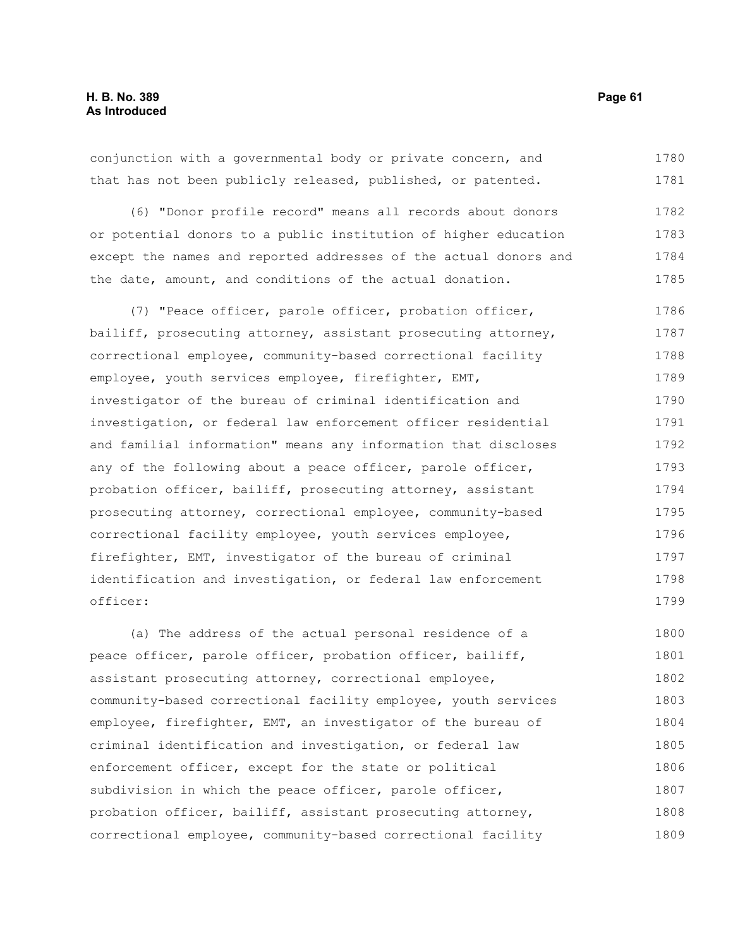conjunction with a governmental body or private concern, and that has not been publicly released, published, or patented. 1780 1781

(6) "Donor profile record" means all records about donors or potential donors to a public institution of higher education except the names and reported addresses of the actual donors and the date, amount, and conditions of the actual donation. 1782 1783 1784 1785

(7) "Peace officer, parole officer, probation officer, bailiff, prosecuting attorney, assistant prosecuting attorney, correctional employee, community-based correctional facility employee, youth services employee, firefighter, EMT, investigator of the bureau of criminal identification and investigation, or federal law enforcement officer residential and familial information" means any information that discloses any of the following about a peace officer, parole officer, probation officer, bailiff, prosecuting attorney, assistant prosecuting attorney, correctional employee, community-based correctional facility employee, youth services employee, firefighter, EMT, investigator of the bureau of criminal identification and investigation, or federal law enforcement officer: 1786 1787 1788 1789 1790 1791 1792 1793 1794 1795 1796 1797 1798 1799

(a) The address of the actual personal residence of a peace officer, parole officer, probation officer, bailiff, assistant prosecuting attorney, correctional employee, community-based correctional facility employee, youth services employee, firefighter, EMT, an investigator of the bureau of criminal identification and investigation, or federal law enforcement officer, except for the state or political subdivision in which the peace officer, parole officer, probation officer, bailiff, assistant prosecuting attorney, correctional employee, community-based correctional facility 1800 1801 1802 1803 1804 1805 1806 1807 1808 1809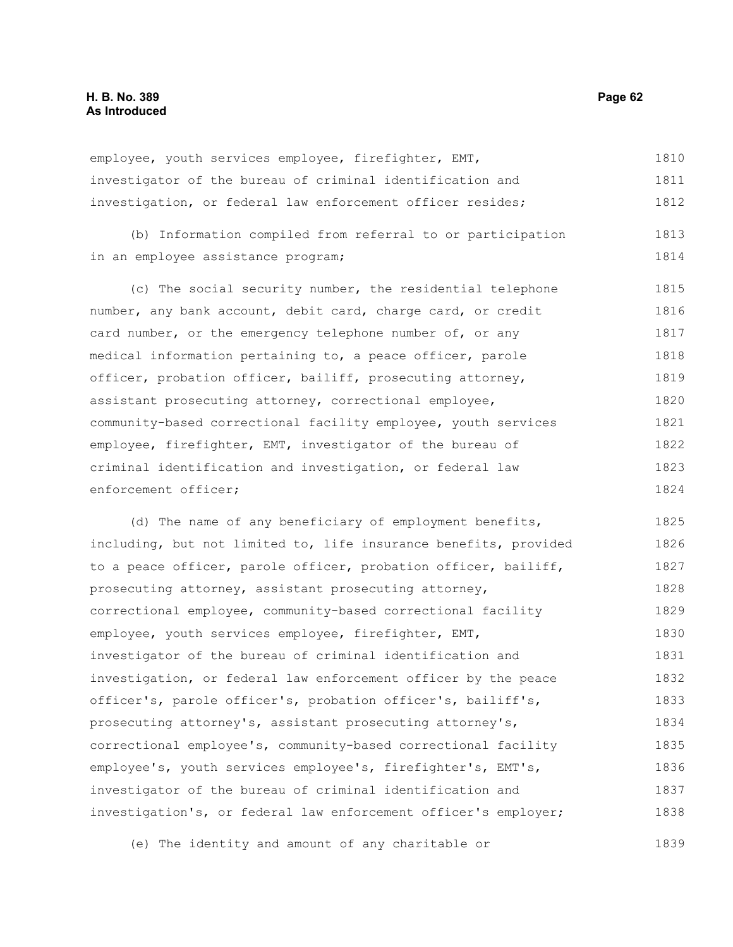employee, youth services employee, firefighter, EMT, investigator of the bureau of criminal identification and investigation, or federal law enforcement officer resides; 1810 1811 1812

(b) Information compiled from referral to or participation in an employee assistance program; 1813 1814

(c) The social security number, the residential telephone number, any bank account, debit card, charge card, or credit card number, or the emergency telephone number of, or any medical information pertaining to, a peace officer, parole officer, probation officer, bailiff, prosecuting attorney, assistant prosecuting attorney, correctional employee, community-based correctional facility employee, youth services employee, firefighter, EMT, investigator of the bureau of criminal identification and investigation, or federal law enforcement officer; 1815 1816 1817 1818 1819 1820 1821 1822 1823 1824

(d) The name of any beneficiary of employment benefits, including, but not limited to, life insurance benefits, provided to a peace officer, parole officer, probation officer, bailiff, prosecuting attorney, assistant prosecuting attorney, correctional employee, community-based correctional facility employee, youth services employee, firefighter, EMT, investigator of the bureau of criminal identification and investigation, or federal law enforcement officer by the peace officer's, parole officer's, probation officer's, bailiff's, prosecuting attorney's, assistant prosecuting attorney's, correctional employee's, community-based correctional facility employee's, youth services employee's, firefighter's, EMT's, investigator of the bureau of criminal identification and investigation's, or federal law enforcement officer's employer; 1825 1826 1827 1828 1829 1830 1831 1832 1833 1834 1835 1836 1837 1838

(e) The identity and amount of any charitable or

1839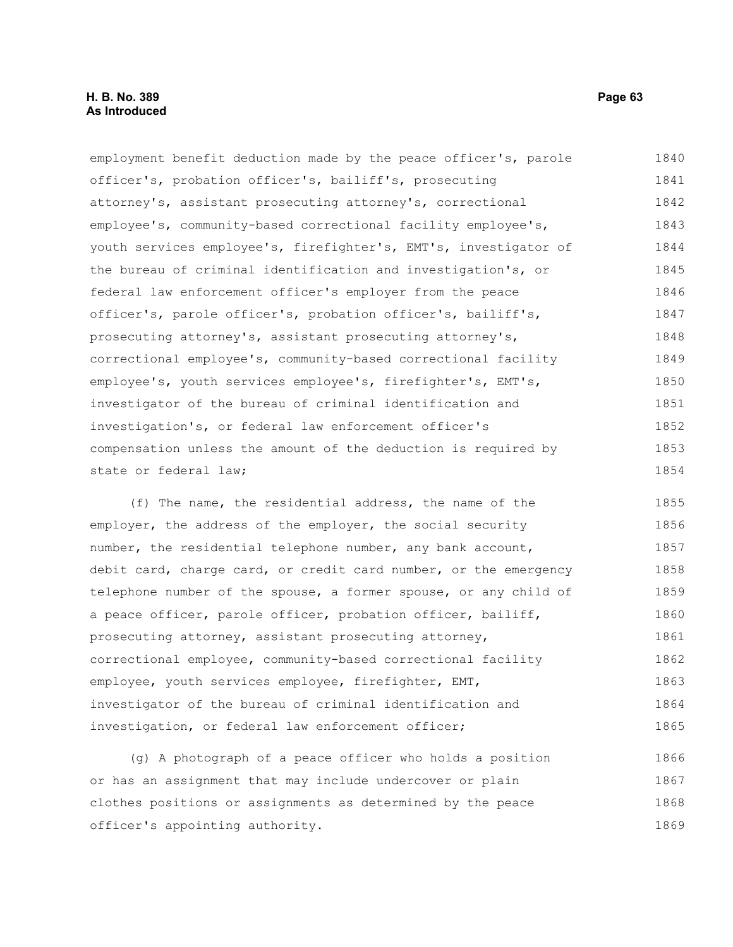employment benefit deduction made by the peace officer's, parole officer's, probation officer's, bailiff's, prosecuting attorney's, assistant prosecuting attorney's, correctional employee's, community-based correctional facility employee's, youth services employee's, firefighter's, EMT's, investigator of the bureau of criminal identification and investigation's, or federal law enforcement officer's employer from the peace officer's, parole officer's, probation officer's, bailiff's, prosecuting attorney's, assistant prosecuting attorney's, correctional employee's, community-based correctional facility employee's, youth services employee's, firefighter's, EMT's, investigator of the bureau of criminal identification and investigation's, or federal law enforcement officer's compensation unless the amount of the deduction is required by state or federal law; 1840 1841 1842 1843 1844 1845 1846 1847 1848 1849 1850 1851 1852 1853 1854

(f) The name, the residential address, the name of the employer, the address of the employer, the social security number, the residential telephone number, any bank account, debit card, charge card, or credit card number, or the emergency telephone number of the spouse, a former spouse, or any child of a peace officer, parole officer, probation officer, bailiff, prosecuting attorney, assistant prosecuting attorney, correctional employee, community-based correctional facility employee, youth services employee, firefighter, EMT, investigator of the bureau of criminal identification and investigation, or federal law enforcement officer; 1855 1856 1857 1858 1859 1860 1861 1862 1863 1864 1865

(g) A photograph of a peace officer who holds a position or has an assignment that may include undercover or plain clothes positions or assignments as determined by the peace officer's appointing authority. 1866 1867 1868 1869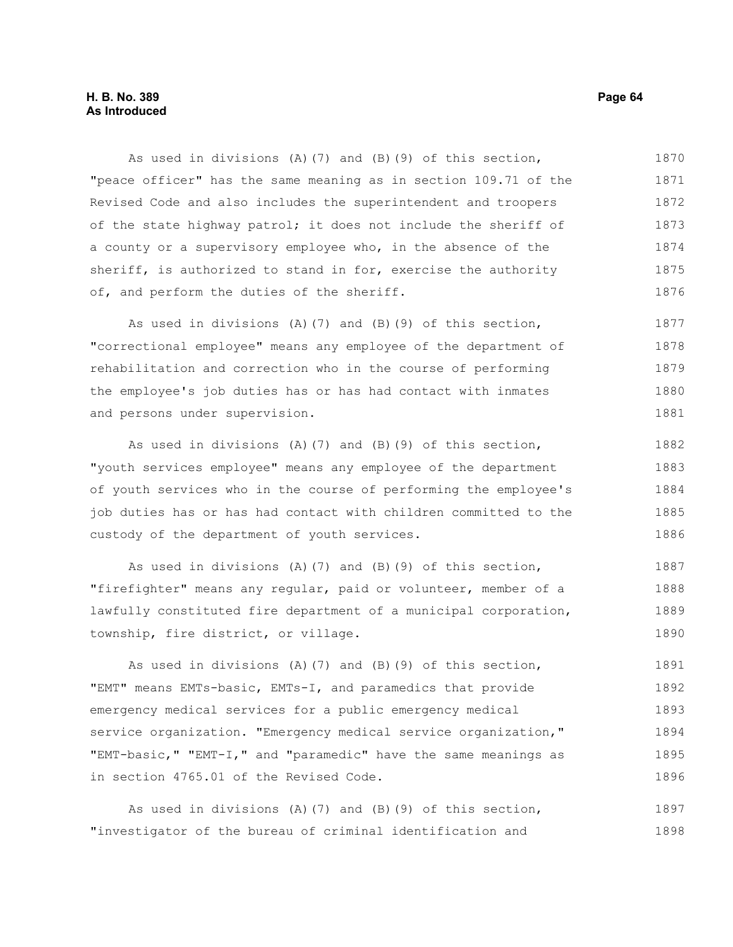# **H. B. No. 389 Page 64 As Introduced**

As used in divisions (A)(7) and (B)(9) of this section, "peace officer" has the same meaning as in section 109.71 of the Revised Code and also includes the superintendent and troopers of the state highway patrol; it does not include the sheriff of a county or a supervisory employee who, in the absence of the sheriff, is authorized to stand in for, exercise the authority of, and perform the duties of the sheriff. 1870 1871 1872 1873 1874 1875 1876

As used in divisions (A)(7) and (B)(9) of this section, "correctional employee" means any employee of the department of rehabilitation and correction who in the course of performing the employee's job duties has or has had contact with inmates and persons under supervision. 1877 1878 1879 1880 1881

As used in divisions (A)(7) and (B)(9) of this section, "youth services employee" means any employee of the department of youth services who in the course of performing the employee's job duties has or has had contact with children committed to the custody of the department of youth services. 1882 1883 1884 1885 1886

As used in divisions (A)(7) and (B)(9) of this section, "firefighter" means any regular, paid or volunteer, member of a lawfully constituted fire department of a municipal corporation, township, fire district, or village. 1887 1888 1889 1890

As used in divisions (A)(7) and (B)(9) of this section, "EMT" means EMTs-basic, EMTs-I, and paramedics that provide emergency medical services for a public emergency medical service organization. "Emergency medical service organization," "EMT-basic," "EMT-I," and "paramedic" have the same meanings as in section 4765.01 of the Revised Code. 1891 1892 1893 1894 1895 1896

As used in divisions (A)(7) and (B)(9) of this section, "investigator of the bureau of criminal identification and 1897 1898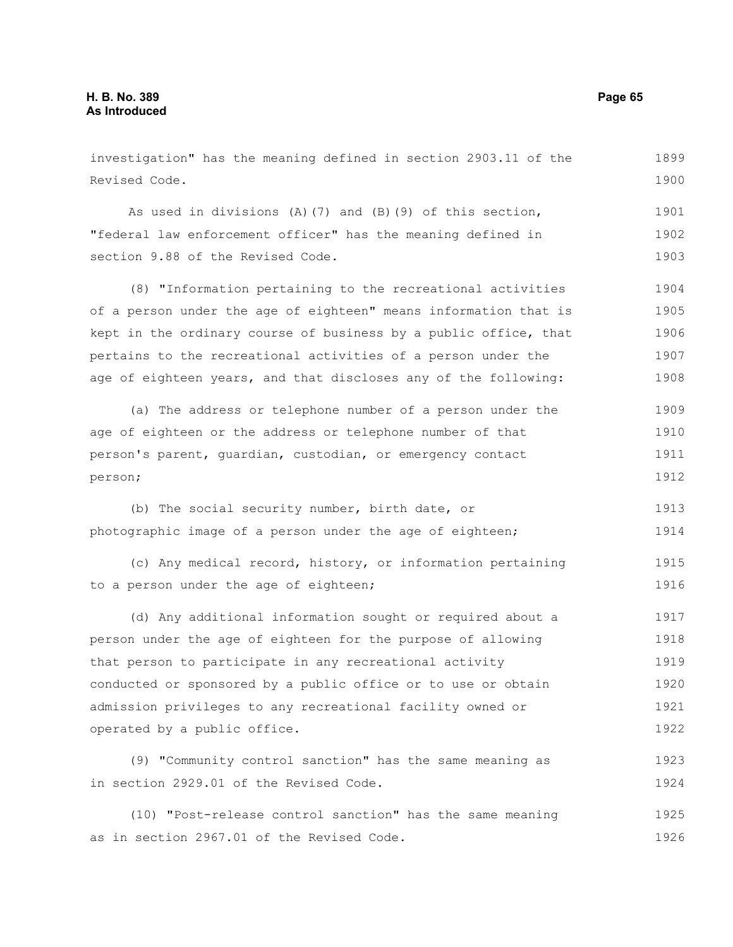investigation" has the meaning defined in section 2903.11 of the Revised Code. 1899 1900

As used in divisions (A)(7) and (B)(9) of this section, "federal law enforcement officer" has the meaning defined in section 9.88 of the Revised Code. 1901 1902 1903

(8) "Information pertaining to the recreational activities of a person under the age of eighteen" means information that is kept in the ordinary course of business by a public office, that pertains to the recreational activities of a person under the age of eighteen years, and that discloses any of the following: 1904 1905 1906 1907 1908

(a) The address or telephone number of a person under the age of eighteen or the address or telephone number of that person's parent, guardian, custodian, or emergency contact person; 1909 1910 1911 1912

(b) The social security number, birth date, or photographic image of a person under the age of eighteen; 1913 1914

|  |  |  |                                        | (c) Any medical record, history, or information pertaining |  | 1915 |
|--|--|--|----------------------------------------|------------------------------------------------------------|--|------|
|  |  |  | to a person under the age of eighteen; |                                                            |  | 1916 |

(d) Any additional information sought or required about a person under the age of eighteen for the purpose of allowing that person to participate in any recreational activity conducted or sponsored by a public office or to use or obtain admission privileges to any recreational facility owned or operated by a public office. 1917 1918 1919 1920 1921 1922

(9) "Community control sanction" has the same meaning as in section 2929.01 of the Revised Code. 1923 1924

(10) "Post-release control sanction" has the same meaning as in section 2967.01 of the Revised Code. 1925 1926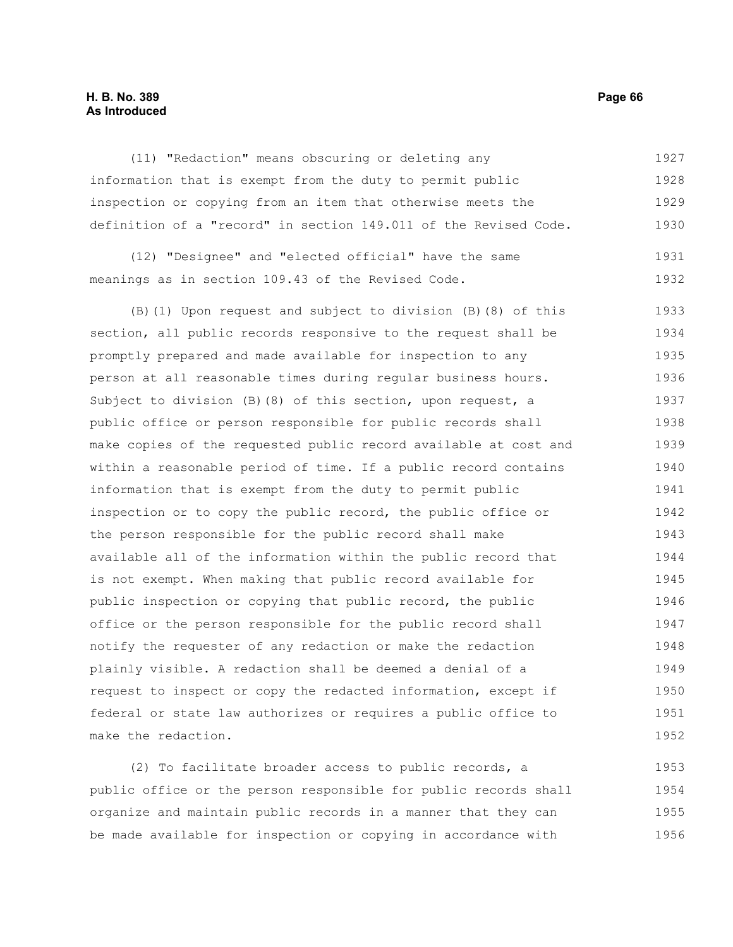# **H. B. No. 389 Page 66 As Introduced**

(11) "Redaction" means obscuring or deleting any information that is exempt from the duty to permit public inspection or copying from an item that otherwise meets the definition of a "record" in section 149.011 of the Revised Code. 1927 1928 1929 1930

(12) "Designee" and "elected official" have the same meanings as in section 109.43 of the Revised Code. 1931 1932

(B)(1) Upon request and subject to division (B)(8) of this section, all public records responsive to the request shall be promptly prepared and made available for inspection to any person at all reasonable times during regular business hours. Subject to division (B)(8) of this section, upon request, a public office or person responsible for public records shall make copies of the requested public record available at cost and within a reasonable period of time. If a public record contains information that is exempt from the duty to permit public inspection or to copy the public record, the public office or the person responsible for the public record shall make available all of the information within the public record that is not exempt. When making that public record available for public inspection or copying that public record, the public office or the person responsible for the public record shall notify the requester of any redaction or make the redaction plainly visible. A redaction shall be deemed a denial of a request to inspect or copy the redacted information, except if federal or state law authorizes or requires a public office to make the redaction. 1933 1934 1935 1936 1937 1938 1939 1940 1941 1942 1943 1944 1945 1946 1947 1948 1949 1950 1951 1952

(2) To facilitate broader access to public records, a public office or the person responsible for public records shall organize and maintain public records in a manner that they can be made available for inspection or copying in accordance with 1953 1954 1955 1956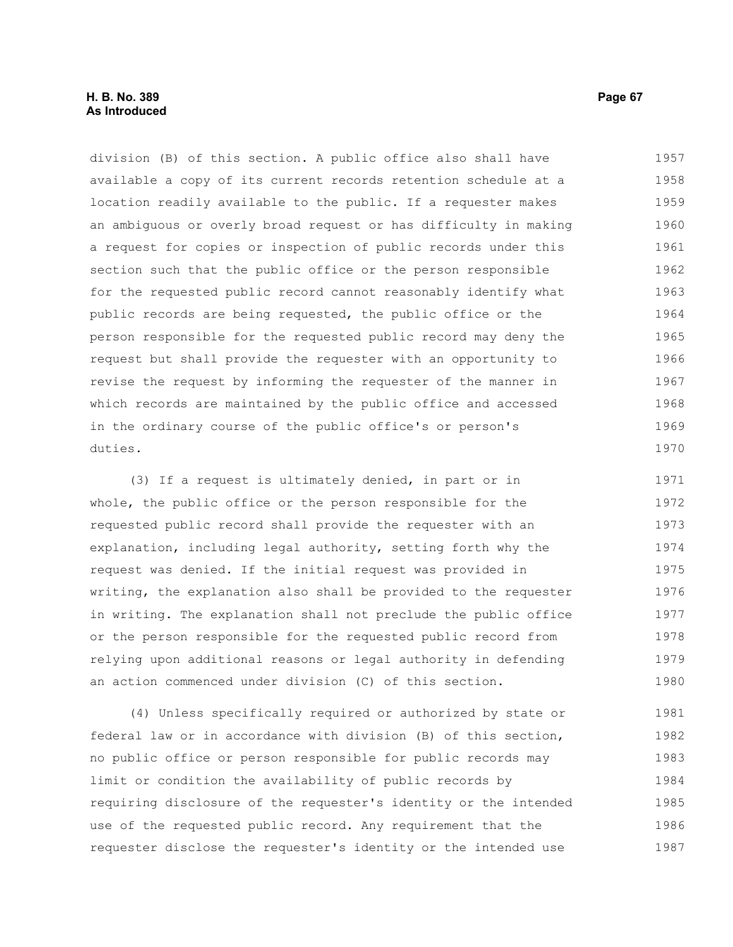division (B) of this section. A public office also shall have available a copy of its current records retention schedule at a location readily available to the public. If a requester makes an ambiguous or overly broad request or has difficulty in making a request for copies or inspection of public records under this section such that the public office or the person responsible for the requested public record cannot reasonably identify what public records are being requested, the public office or the person responsible for the requested public record may deny the request but shall provide the requester with an opportunity to revise the request by informing the requester of the manner in which records are maintained by the public office and accessed in the ordinary course of the public office's or person's duties. 1957 1958 1959 1960 1961 1962 1963 1964 1965 1966 1967 1968 1969 1970

(3) If a request is ultimately denied, in part or in whole, the public office or the person responsible for the requested public record shall provide the requester with an explanation, including legal authority, setting forth why the request was denied. If the initial request was provided in writing, the explanation also shall be provided to the requester in writing. The explanation shall not preclude the public office or the person responsible for the requested public record from relying upon additional reasons or legal authority in defending an action commenced under division (C) of this section. 1971 1972 1973 1974 1975 1976 1977 1978 1979 1980

(4) Unless specifically required or authorized by state or federal law or in accordance with division (B) of this section, no public office or person responsible for public records may limit or condition the availability of public records by requiring disclosure of the requester's identity or the intended use of the requested public record. Any requirement that the requester disclose the requester's identity or the intended use 1981 1982 1983 1984 1985 1986 1987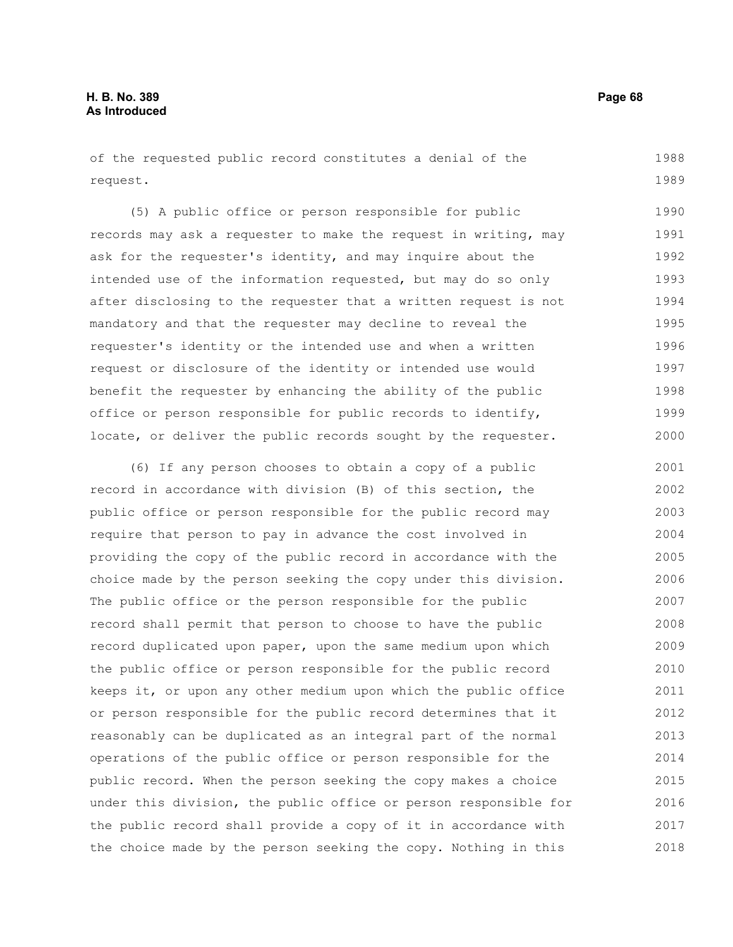of the requested public record constitutes a denial of the request. 1988 1989

(5) A public office or person responsible for public records may ask a requester to make the request in writing, may ask for the requester's identity, and may inquire about the intended use of the information requested, but may do so only after disclosing to the requester that a written request is not mandatory and that the requester may decline to reveal the requester's identity or the intended use and when a written request or disclosure of the identity or intended use would benefit the requester by enhancing the ability of the public office or person responsible for public records to identify, locate, or deliver the public records sought by the requester. 1990 1991 1992 1993 1994 1995 1996 1997 1998 1999 2000

(6) If any person chooses to obtain a copy of a public record in accordance with division (B) of this section, the public office or person responsible for the public record may require that person to pay in advance the cost involved in providing the copy of the public record in accordance with the choice made by the person seeking the copy under this division. The public office or the person responsible for the public record shall permit that person to choose to have the public record duplicated upon paper, upon the same medium upon which the public office or person responsible for the public record keeps it, or upon any other medium upon which the public office or person responsible for the public record determines that it reasonably can be duplicated as an integral part of the normal operations of the public office or person responsible for the public record. When the person seeking the copy makes a choice under this division, the public office or person responsible for the public record shall provide a copy of it in accordance with the choice made by the person seeking the copy. Nothing in this 2001 2002 2003 2004 2005 2006 2007 2008 2009 2010 2011 2012 2013 2014 2015 2016 2017 2018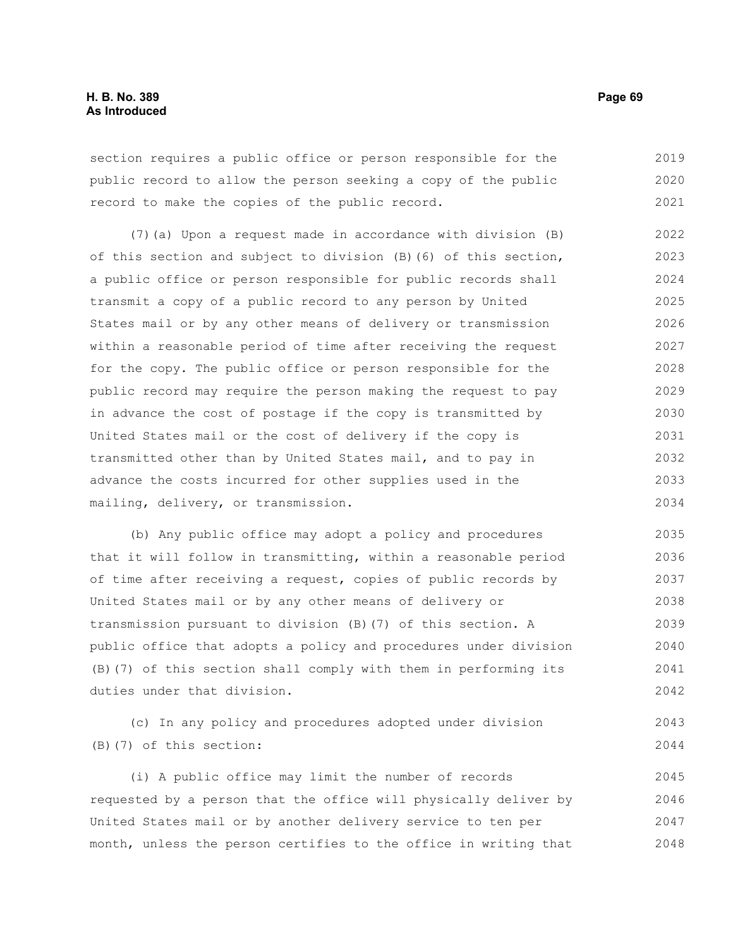section requires a public office or person responsible for the public record to allow the person seeking a copy of the public record to make the copies of the public record. 2019 2020 2021

(7)(a) Upon a request made in accordance with division (B) of this section and subject to division (B)(6) of this section, a public office or person responsible for public records shall transmit a copy of a public record to any person by United States mail or by any other means of delivery or transmission within a reasonable period of time after receiving the request for the copy. The public office or person responsible for the public record may require the person making the request to pay in advance the cost of postage if the copy is transmitted by United States mail or the cost of delivery if the copy is transmitted other than by United States mail, and to pay in advance the costs incurred for other supplies used in the mailing, delivery, or transmission. 2022 2023 2024 2025 2026 2027 2028 2029 2030 2031 2032 2033 2034

(b) Any public office may adopt a policy and procedures that it will follow in transmitting, within a reasonable period of time after receiving a request, copies of public records by United States mail or by any other means of delivery or transmission pursuant to division (B)(7) of this section. A public office that adopts a policy and procedures under division (B)(7) of this section shall comply with them in performing its duties under that division. 2035 2036 2037 2038 2039 2040 2041 2042

(c) In any policy and procedures adopted under division (B)(7) of this section: 2043 2044

(i) A public office may limit the number of records requested by a person that the office will physically deliver by United States mail or by another delivery service to ten per month, unless the person certifies to the office in writing that 2045 2046 2047 2048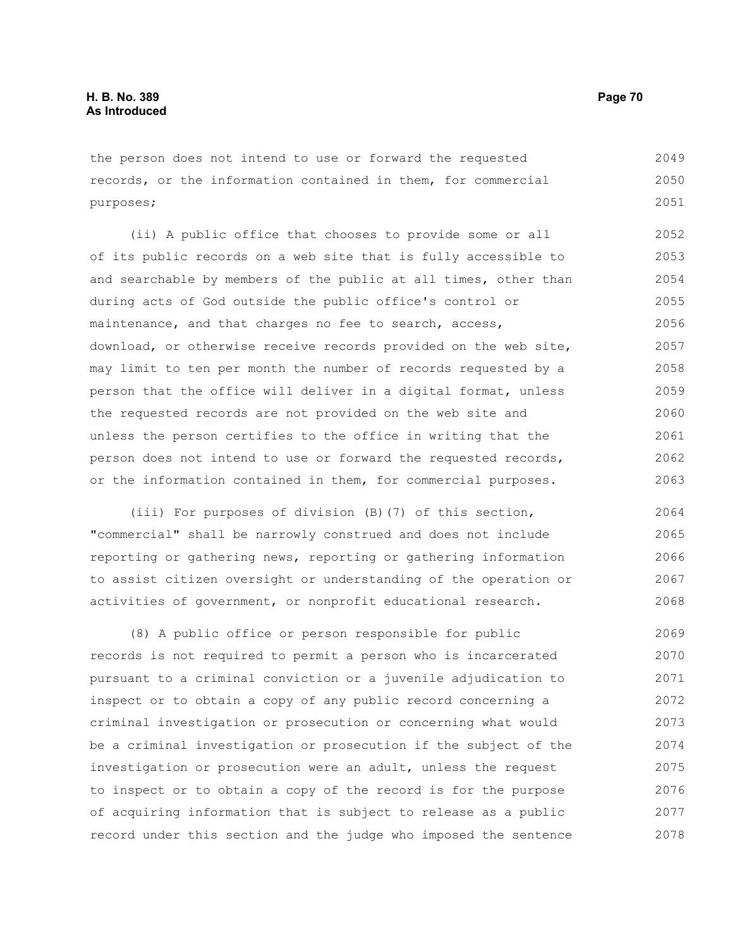the person does not intend to use or forward the requested records, or the information contained in them, for commercial purposes; 2049 2050 2051

(ii) A public office that chooses to provide some or all of its public records on a web site that is fully accessible to and searchable by members of the public at all times, other than during acts of God outside the public office's control or maintenance, and that charges no fee to search, access, download, or otherwise receive records provided on the web site, may limit to ten per month the number of records requested by a person that the office will deliver in a digital format, unless the requested records are not provided on the web site and unless the person certifies to the office in writing that the person does not intend to use or forward the requested records, or the information contained in them, for commercial purposes. 2052 2053 2054 2055 2056 2057 2058 2059 2060 2061 2062 2063

(iii) For purposes of division (B)(7) of this section, "commercial" shall be narrowly construed and does not include reporting or gathering news, reporting or gathering information to assist citizen oversight or understanding of the operation or activities of government, or nonprofit educational research. 2064 2065 2066 2067 2068

(8) A public office or person responsible for public records is not required to permit a person who is incarcerated pursuant to a criminal conviction or a juvenile adjudication to inspect or to obtain a copy of any public record concerning a criminal investigation or prosecution or concerning what would be a criminal investigation or prosecution if the subject of the investigation or prosecution were an adult, unless the request to inspect or to obtain a copy of the record is for the purpose of acquiring information that is subject to release as a public record under this section and the judge who imposed the sentence 2069 2070 2071 2072 2073 2074 2075 2076 2077 2078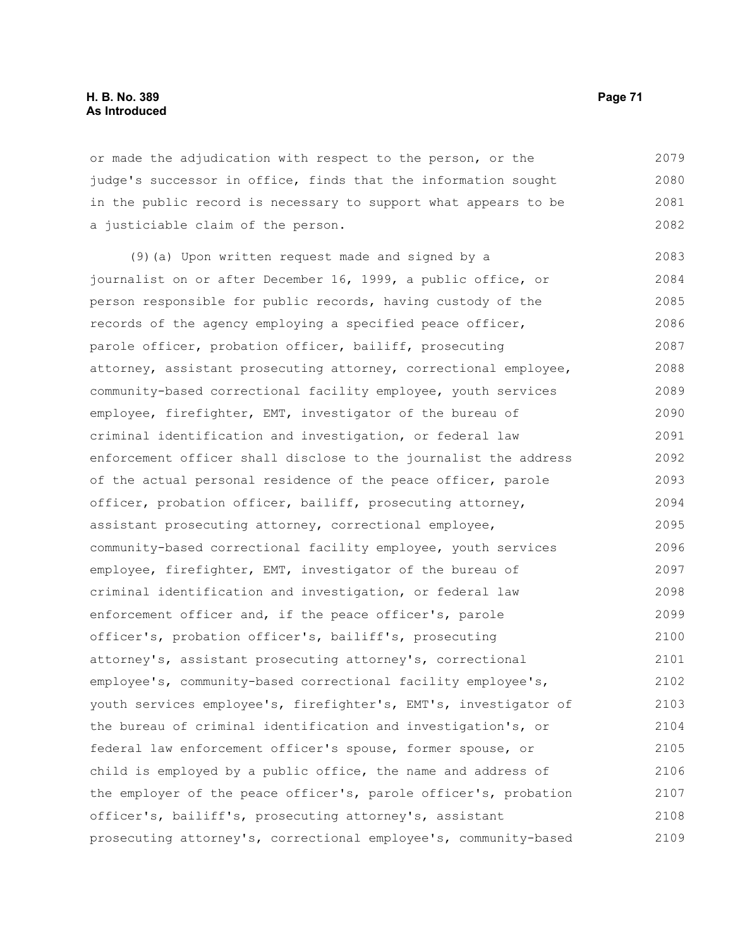# **H. B. No. 389 Page 71 As Introduced**

or made the adjudication with respect to the person, or the judge's successor in office, finds that the information sought in the public record is necessary to support what appears to be a justiciable claim of the person. 2079 2080 2081 2082

(9)(a) Upon written request made and signed by a journalist on or after December 16, 1999, a public office, or person responsible for public records, having custody of the records of the agency employing a specified peace officer, parole officer, probation officer, bailiff, prosecuting attorney, assistant prosecuting attorney, correctional employee, community-based correctional facility employee, youth services employee, firefighter, EMT, investigator of the bureau of criminal identification and investigation, or federal law enforcement officer shall disclose to the journalist the address of the actual personal residence of the peace officer, parole officer, probation officer, bailiff, prosecuting attorney, assistant prosecuting attorney, correctional employee, community-based correctional facility employee, youth services employee, firefighter, EMT, investigator of the bureau of criminal identification and investigation, or federal law enforcement officer and, if the peace officer's, parole officer's, probation officer's, bailiff's, prosecuting attorney's, assistant prosecuting attorney's, correctional employee's, community-based correctional facility employee's, youth services employee's, firefighter's, EMT's, investigator of the bureau of criminal identification and investigation's, or federal law enforcement officer's spouse, former spouse, or child is employed by a public office, the name and address of the employer of the peace officer's, parole officer's, probation officer's, bailiff's, prosecuting attorney's, assistant prosecuting attorney's, correctional employee's, community-based 2083 2084 2085 2086 2087 2088 2089 2090 2091 2092 2093 2094 2095 2096 2097 2098 2099 2100 2101 2102 2103 2104 2105 2106 2107 2108 2109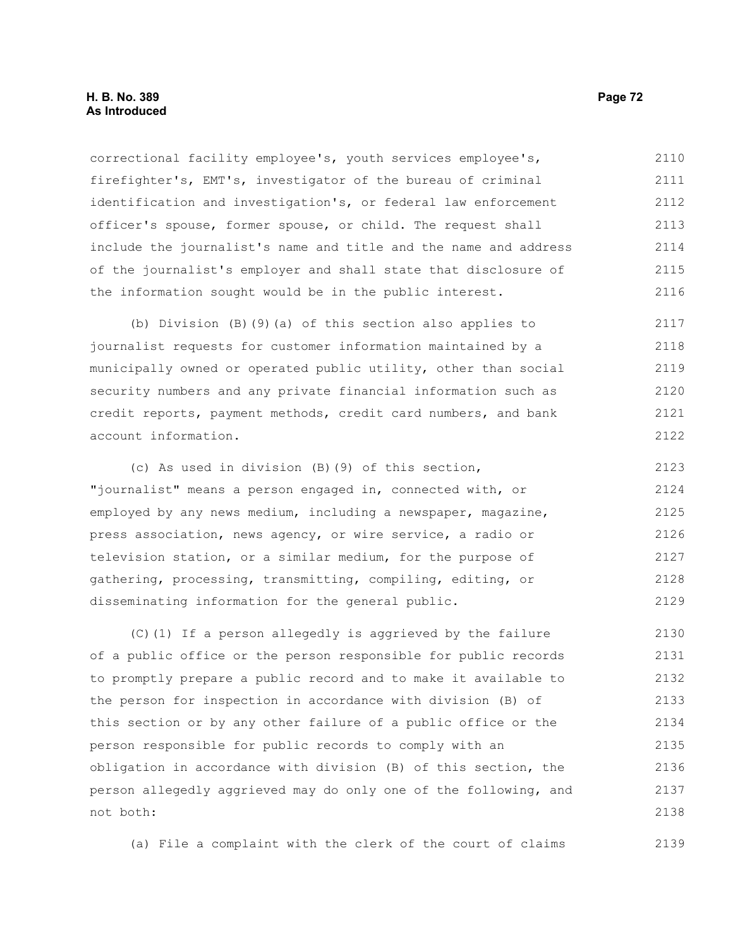## **H. B. No. 389 Page 72 As Introduced**

correctional facility employee's, youth services employee's, firefighter's, EMT's, investigator of the bureau of criminal identification and investigation's, or federal law enforcement officer's spouse, former spouse, or child. The request shall include the journalist's name and title and the name and address of the journalist's employer and shall state that disclosure of the information sought would be in the public interest. 2110 2111 2112 2113 2114 2115 2116

(b) Division (B)(9)(a) of this section also applies to journalist requests for customer information maintained by a municipally owned or operated public utility, other than social security numbers and any private financial information such as credit reports, payment methods, credit card numbers, and bank account information. 2117 2118 2119 2120 2121 2122

(c) As used in division (B)(9) of this section, "journalist" means a person engaged in, connected with, or employed by any news medium, including a newspaper, magazine, press association, news agency, or wire service, a radio or television station, or a similar medium, for the purpose of gathering, processing, transmitting, compiling, editing, or disseminating information for the general public. 2123 2124 2125 2126 2127 2128 2129

(C)(1) If a person allegedly is aggrieved by the failure of a public office or the person responsible for public records to promptly prepare a public record and to make it available to the person for inspection in accordance with division (B) of this section or by any other failure of a public office or the person responsible for public records to comply with an obligation in accordance with division (B) of this section, the person allegedly aggrieved may do only one of the following, and not both: 2130 2131 2132 2133 2134 2135 2136 2137 2138

(a) File a complaint with the clerk of the court of claims 2139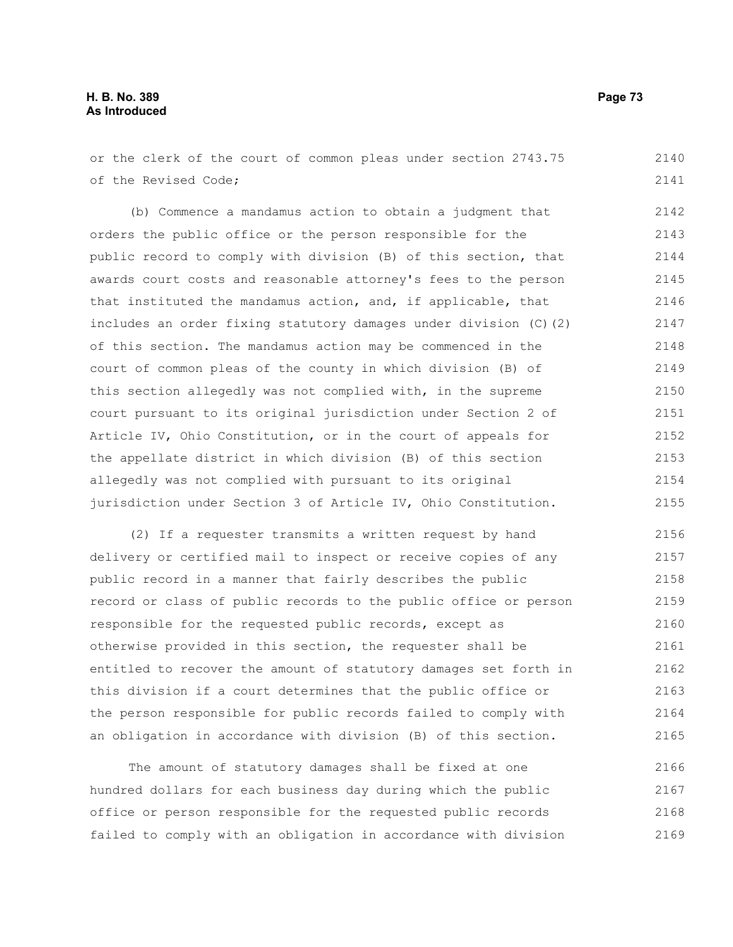| or the clerk of the court of common pleas under section 2743.75   | 2140 |
|-------------------------------------------------------------------|------|
| of the Revised Code;                                              | 2141 |
| (b) Commence a mandamus action to obtain a judgment that          | 2142 |
| orders the public office or the person responsible for the        | 2143 |
| public record to comply with division (B) of this section, that   | 2144 |
| awards court costs and reasonable attorney's fees to the person   | 2145 |
| that instituted the mandamus action, and, if applicable, that     | 2146 |
| includes an order fixing statutory damages under division (C) (2) | 2147 |
| of this section. The mandamus action may be commenced in the      | 2148 |
| court of common pleas of the county in which division (B) of      | 2149 |
| this section allegedly was not complied with, in the supreme      | 2150 |
| court pursuant to its original jurisdiction under Section 2 of    | 2151 |
| Article IV, Ohio Constitution, or in the court of appeals for     | 2152 |
| the appellate district in which division (B) of this section      | 2153 |
| allegedly was not complied with pursuant to its original          | 2154 |
| jurisdiction under Section 3 of Article IV, Ohio Constitution.    | 2155 |
| (2) If a requester transmits a written request by hand            | 2156 |

delivery or certified mail to inspect or receive copies of any public record in a manner that fairly describes the public record or class of public records to the public office or person responsible for the requested public records, except as otherwise provided in this section, the requester shall be entitled to recover the amount of statutory damages set forth in this division if a court determines that the public office or the person responsible for public records failed to comply with an obligation in accordance with division (B) of this section. 2157 2158 2159 2160 2161 2162 2163 2164 2165

The amount of statutory damages shall be fixed at one hundred dollars for each business day during which the public office or person responsible for the requested public records failed to comply with an obligation in accordance with division 2166 2167 2168 2169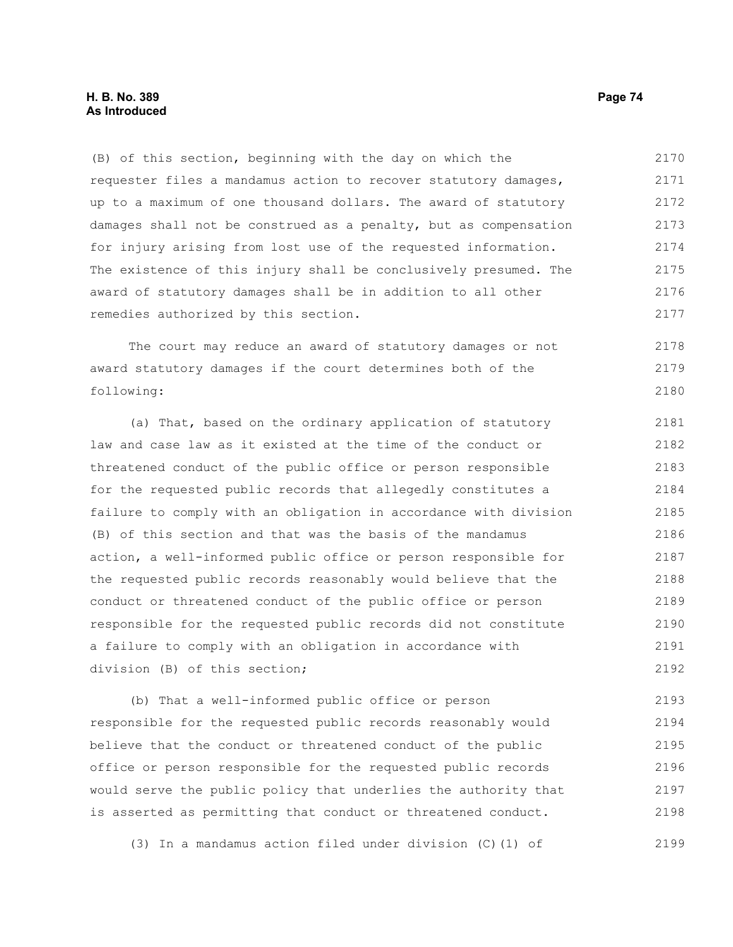(B) of this section, beginning with the day on which the requester files a mandamus action to recover statutory damages, up to a maximum of one thousand dollars. The award of statutory damages shall not be construed as a penalty, but as compensation for injury arising from lost use of the requested information. The existence of this injury shall be conclusively presumed. The award of statutory damages shall be in addition to all other remedies authorized by this section. 2170 2171 2172 2173 2174 2175 2176 2177

The court may reduce an award of statutory damages or not award statutory damages if the court determines both of the following: 2178 2179 2180

(a) That, based on the ordinary application of statutory law and case law as it existed at the time of the conduct or threatened conduct of the public office or person responsible for the requested public records that allegedly constitutes a failure to comply with an obligation in accordance with division (B) of this section and that was the basis of the mandamus action, a well-informed public office or person responsible for the requested public records reasonably would believe that the conduct or threatened conduct of the public office or person responsible for the requested public records did not constitute a failure to comply with an obligation in accordance with division (B) of this section; 2181 2182 2183 2184 2185 2186 2187 2188 2189 2190 2191 2192

(b) That a well-informed public office or person responsible for the requested public records reasonably would believe that the conduct or threatened conduct of the public office or person responsible for the requested public records would serve the public policy that underlies the authority that is asserted as permitting that conduct or threatened conduct. 2193 2194 2195 2196 2197 2198

(3) In a mandamus action filed under division (C)(1) of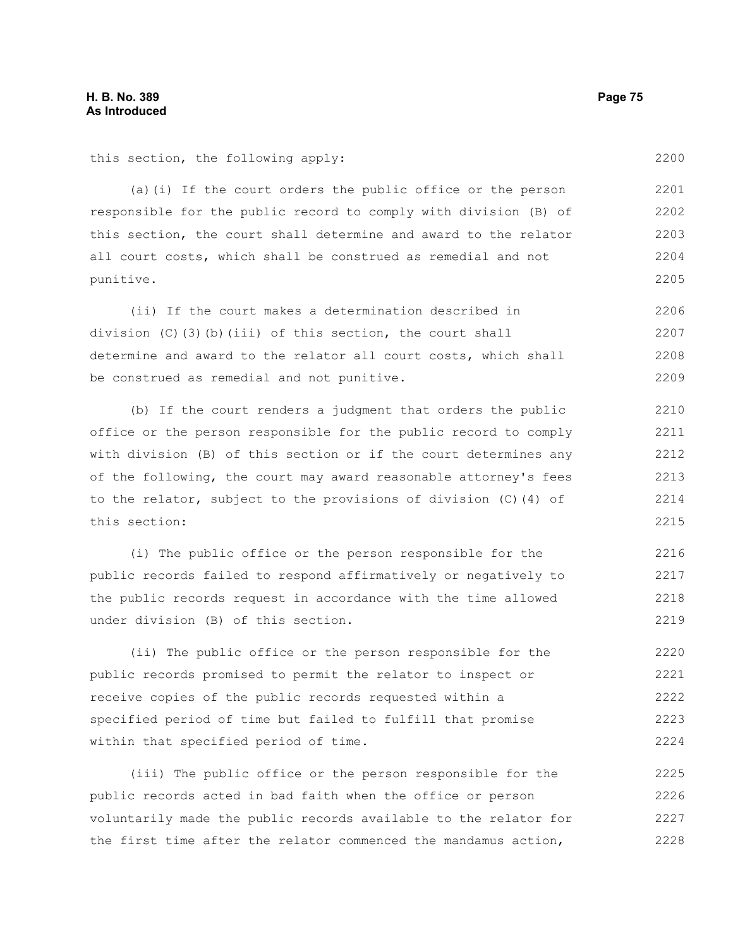this section, the following apply:

(a)(i) If the court orders the public office or the person responsible for the public record to comply with division (B) of this section, the court shall determine and award to the relator all court costs, which shall be construed as remedial and not punitive. 2201 2202 2203 2204 2205

(ii) If the court makes a determination described in division (C)(3)(b)(iii) of this section, the court shall determine and award to the relator all court costs, which shall be construed as remedial and not punitive. 2206 2207 2208 2209

(b) If the court renders a judgment that orders the public office or the person responsible for the public record to comply with division (B) of this section or if the court determines any of the following, the court may award reasonable attorney's fees to the relator, subject to the provisions of division (C)(4) of this section: 2210 2211 2212 2213 2214 2215

(i) The public office or the person responsible for the public records failed to respond affirmatively or negatively to the public records request in accordance with the time allowed under division (B) of this section. 2216 2217 2218 2219

(ii) The public office or the person responsible for the public records promised to permit the relator to inspect or receive copies of the public records requested within a specified period of time but failed to fulfill that promise within that specified period of time. 2220 2221 2222 2223 2224

(iii) The public office or the person responsible for the public records acted in bad faith when the office or person voluntarily made the public records available to the relator for the first time after the relator commenced the mandamus action, 2225 2226 2227 2228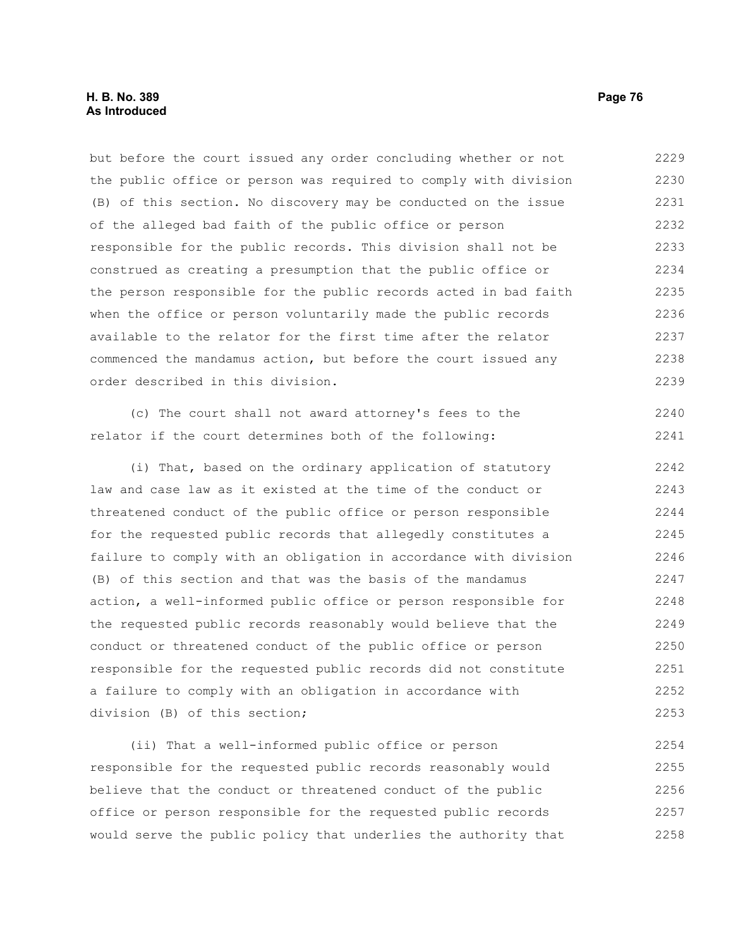but before the court issued any order concluding whether or not the public office or person was required to comply with division (B) of this section. No discovery may be conducted on the issue of the alleged bad faith of the public office or person responsible for the public records. This division shall not be construed as creating a presumption that the public office or the person responsible for the public records acted in bad faith when the office or person voluntarily made the public records available to the relator for the first time after the relator commenced the mandamus action, but before the court issued any order described in this division. 2229 2230 2231 2232 2233 2234 2235 2236 2237 2238 2239

(c) The court shall not award attorney's fees to the relator if the court determines both of the following:

(i) That, based on the ordinary application of statutory law and case law as it existed at the time of the conduct or threatened conduct of the public office or person responsible for the requested public records that allegedly constitutes a failure to comply with an obligation in accordance with division (B) of this section and that was the basis of the mandamus action, a well-informed public office or person responsible for the requested public records reasonably would believe that the conduct or threatened conduct of the public office or person responsible for the requested public records did not constitute a failure to comply with an obligation in accordance with division (B) of this section; 2242 2243 2244 2245 2246 2247 2248 2249 2250 2251 2252 2253

(ii) That a well-informed public office or person responsible for the requested public records reasonably would believe that the conduct or threatened conduct of the public office or person responsible for the requested public records would serve the public policy that underlies the authority that 2254 2255 2256 2257 2258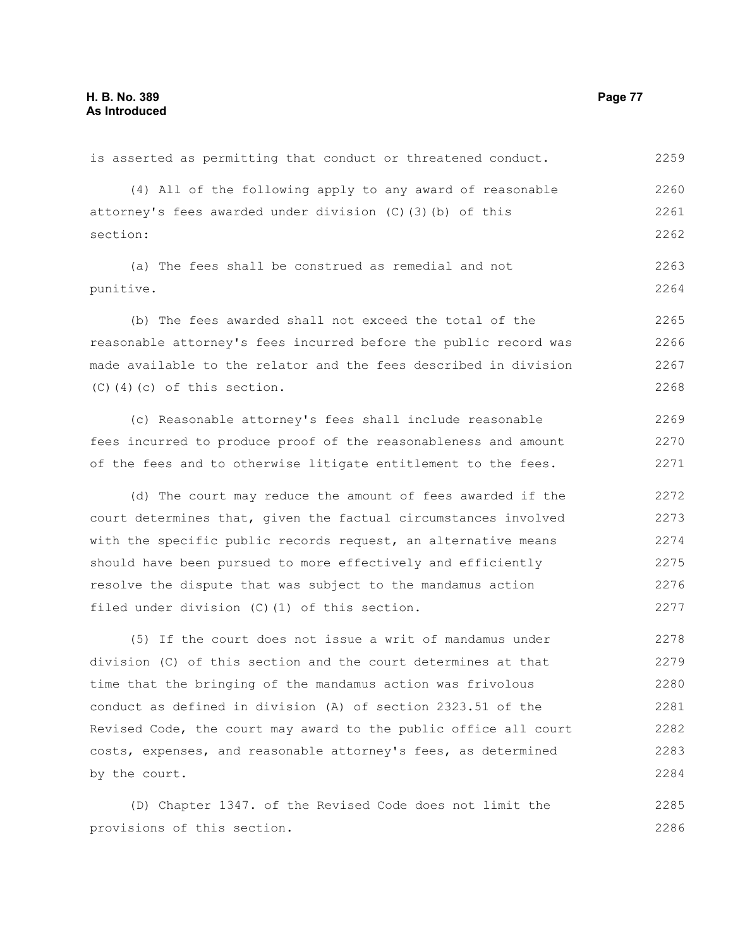| is asserted as permitting that conduct or threatened conduct.    | 2259 |
|------------------------------------------------------------------|------|
| (4) All of the following apply to any award of reasonable        | 2260 |
| attorney's fees awarded under division (C)(3)(b) of this         | 2261 |
| section:                                                         | 2262 |
| (a) The fees shall be construed as remedial and not              | 2263 |
| punitive.                                                        | 2264 |
| (b) The fees awarded shall not exceed the total of the           | 2265 |
| reasonable attorney's fees incurred before the public record was | 2266 |
| made available to the relator and the fees described in division | 2267 |
| $(C)$ $(4)$ $(c)$ of this section.                               | 2268 |
| (c) Reasonable attorney's fees shall include reasonable          | 2269 |
| fees incurred to produce proof of the reasonableness and amount  | 2270 |
| of the fees and to otherwise litigate entitlement to the fees.   | 2271 |
| (d) The court may reduce the amount of fees awarded if the       | 2272 |
| court determines that, given the factual circumstances involved  | 2273 |
| with the specific public records request, an alternative means   | 2274 |
| should have been pursued to more effectively and efficiently     | 2275 |
| resolve the dispute that was subject to the mandamus action      | 2276 |
| filed under division (C) (1) of this section.                    | 2277 |
| (5) If the court does not issue a writ of mandamus under         | 2278 |
| division (C) of this section and the court determines at that    | 2279 |
| time that the bringing of the mandamus action was frivolous      | 2280 |
| conduct as defined in division (A) of section 2323.51 of the     | 2281 |
| Revised Code, the court may award to the public office all court | 2282 |
| costs, expenses, and reasonable attorney's fees, as determined   | 2283 |
| by the court.                                                    | 2284 |
| (D) Chapter 1347. of the Revised Code does not limit the         | 2285 |
| provisions of this section.                                      | 2286 |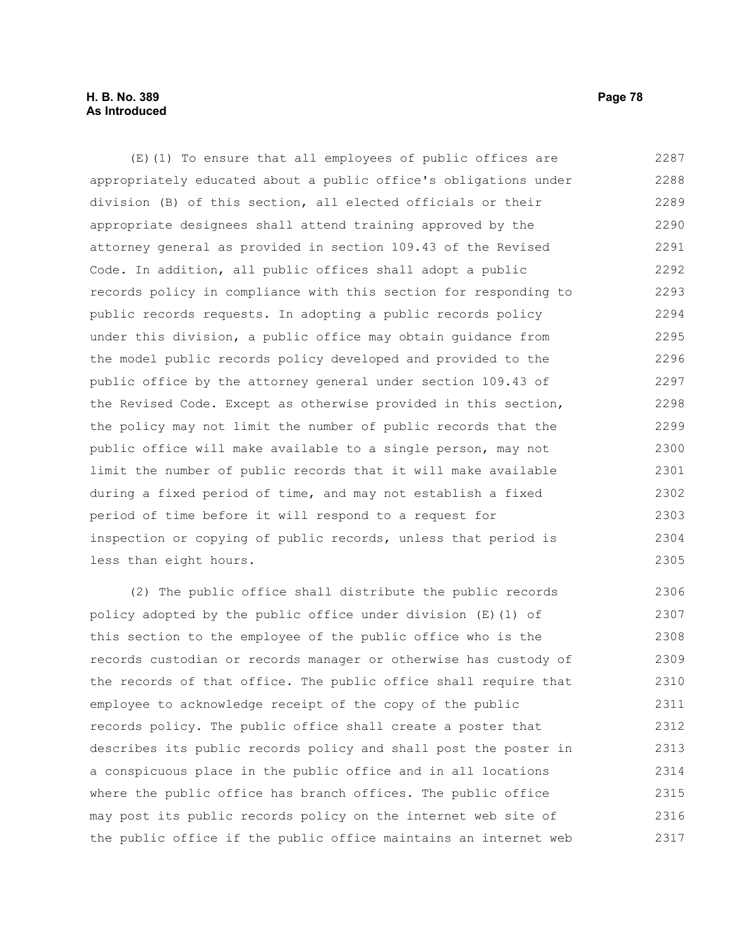(E)(1) To ensure that all employees of public offices are appropriately educated about a public office's obligations under division (B) of this section, all elected officials or their appropriate designees shall attend training approved by the attorney general as provided in section 109.43 of the Revised Code. In addition, all public offices shall adopt a public records policy in compliance with this section for responding to public records requests. In adopting a public records policy under this division, a public office may obtain guidance from the model public records policy developed and provided to the public office by the attorney general under section 109.43 of the Revised Code. Except as otherwise provided in this section, the policy may not limit the number of public records that the public office will make available to a single person, may not limit the number of public records that it will make available during a fixed period of time, and may not establish a fixed period of time before it will respond to a request for inspection or copying of public records, unless that period is less than eight hours. 2287 2288 2289 2290 2291 2292 2293 2294 2295 2296 2297 2298 2299 2300 2301 2302 2303 2304 2305

(2) The public office shall distribute the public records policy adopted by the public office under division (E)(1) of this section to the employee of the public office who is the records custodian or records manager or otherwise has custody of the records of that office. The public office shall require that employee to acknowledge receipt of the copy of the public records policy. The public office shall create a poster that describes its public records policy and shall post the poster in a conspicuous place in the public office and in all locations where the public office has branch offices. The public office may post its public records policy on the internet web site of the public office if the public office maintains an internet web 2306 2307 2308 2309 2310 2311 2312 2313 2314 2315 2316 2317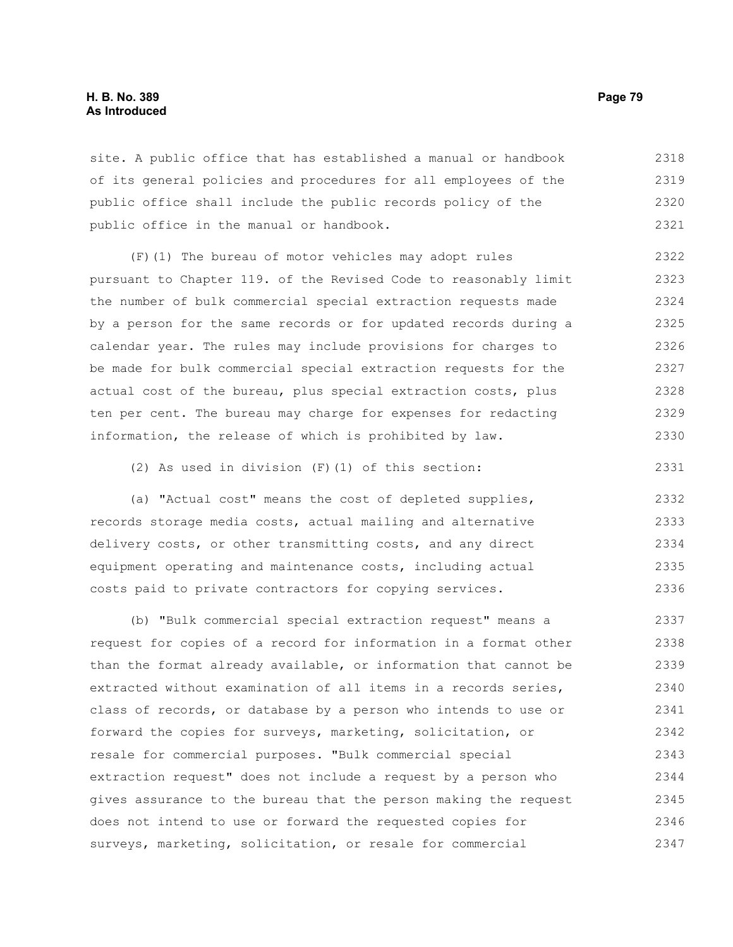site. A public office that has established a manual or handbook of its general policies and procedures for all employees of the public office shall include the public records policy of the public office in the manual or handbook. 2318 2319 2320 2321

(F)(1) The bureau of motor vehicles may adopt rules pursuant to Chapter 119. of the Revised Code to reasonably limit the number of bulk commercial special extraction requests made by a person for the same records or for updated records during a calendar year. The rules may include provisions for charges to be made for bulk commercial special extraction requests for the actual cost of the bureau, plus special extraction costs, plus ten per cent. The bureau may charge for expenses for redacting information, the release of which is prohibited by law. 2322 2323 2324 2325 2326 2327 2328 2329 2330

(2) As used in division (F)(1) of this section:

(a) "Actual cost" means the cost of depleted supplies, records storage media costs, actual mailing and alternative delivery costs, or other transmitting costs, and any direct equipment operating and maintenance costs, including actual costs paid to private contractors for copying services. 2332 2333 2334 2335 2336

(b) "Bulk commercial special extraction request" means a request for copies of a record for information in a format other than the format already available, or information that cannot be extracted without examination of all items in a records series, class of records, or database by a person who intends to use or forward the copies for surveys, marketing, solicitation, or resale for commercial purposes. "Bulk commercial special extraction request" does not include a request by a person who gives assurance to the bureau that the person making the request does not intend to use or forward the requested copies for surveys, marketing, solicitation, or resale for commercial 2337 2338 2339 2340 2341 2342 2343 2344 2345 2346 2347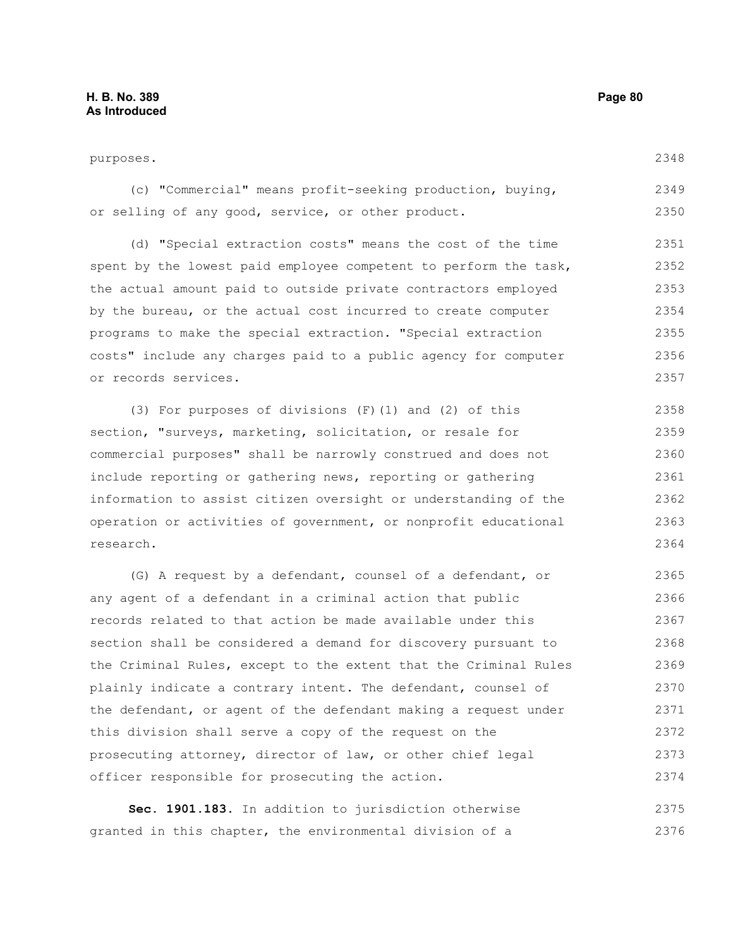#### purposes.

|  |  |  |  | (c) "Commercial" means profit-seeking production, buying, |  | 2349 |
|--|--|--|--|-----------------------------------------------------------|--|------|
|  |  |  |  | or selling of any good, service, or other product.        |  | 2350 |

(d) "Special extraction costs" means the cost of the time spent by the lowest paid employee competent to perform the task, the actual amount paid to outside private contractors employed by the bureau, or the actual cost incurred to create computer programs to make the special extraction. "Special extraction costs" include any charges paid to a public agency for computer or records services. 2351 2352 2353 2354 2355 2356 2357

(3) For purposes of divisions (F)(1) and (2) of this section, "surveys, marketing, solicitation, or resale for commercial purposes" shall be narrowly construed and does not include reporting or gathering news, reporting or gathering information to assist citizen oversight or understanding of the operation or activities of government, or nonprofit educational research. 2358 2359 2360 2361 2362 2363 2364

(G) A request by a defendant, counsel of a defendant, or any agent of a defendant in a criminal action that public records related to that action be made available under this section shall be considered a demand for discovery pursuant to the Criminal Rules, except to the extent that the Criminal Rules plainly indicate a contrary intent. The defendant, counsel of the defendant, or agent of the defendant making a request under this division shall serve a copy of the request on the prosecuting attorney, director of law, or other chief legal officer responsible for prosecuting the action. 2365 2366 2367 2368 2369 2370 2371 2372 2373 2374

**Sec. 1901.183.** In addition to jurisdiction otherwise granted in this chapter, the environmental division of a 2375 2376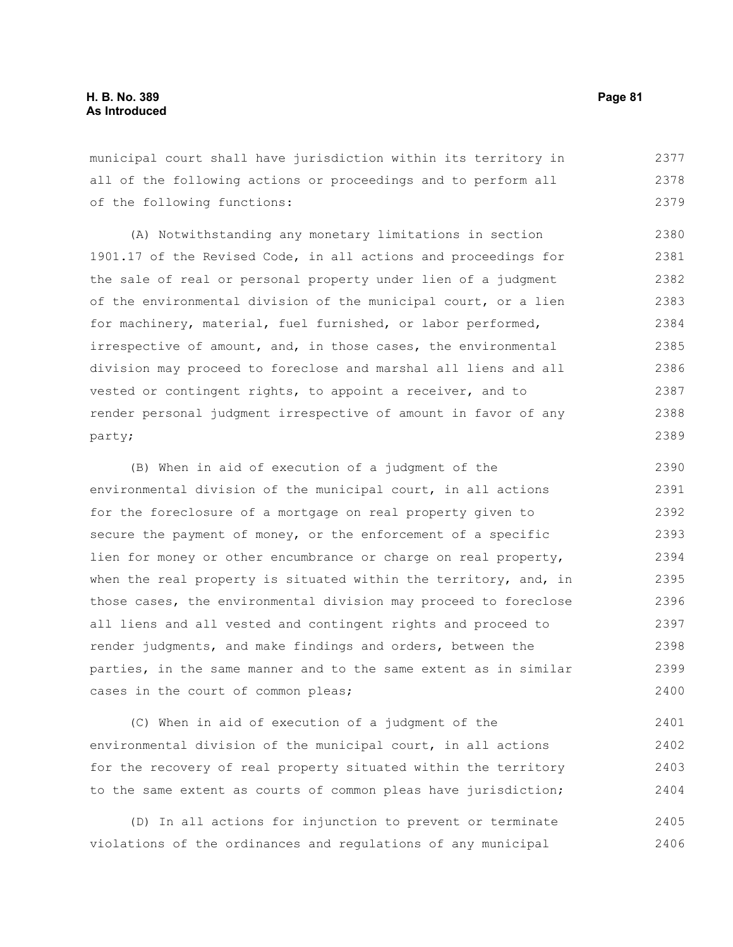municipal court shall have jurisdiction within its territory in all of the following actions or proceedings and to perform all of the following functions: 2377 2378 2379

(A) Notwithstanding any monetary limitations in section 1901.17 of the Revised Code, in all actions and proceedings for the sale of real or personal property under lien of a judgment of the environmental division of the municipal court, or a lien for machinery, material, fuel furnished, or labor performed, irrespective of amount, and, in those cases, the environmental division may proceed to foreclose and marshal all liens and all vested or contingent rights, to appoint a receiver, and to render personal judgment irrespective of amount in favor of any party; 2380 2381 2382 2383 2384 2385 2386 2387 2388 2389

(B) When in aid of execution of a judgment of the environmental division of the municipal court, in all actions for the foreclosure of a mortgage on real property given to secure the payment of money, or the enforcement of a specific lien for money or other encumbrance or charge on real property, when the real property is situated within the territory, and, in those cases, the environmental division may proceed to foreclose all liens and all vested and contingent rights and proceed to render judgments, and make findings and orders, between the parties, in the same manner and to the same extent as in similar cases in the court of common pleas; 2390 2391 2392 2393 2394 2395 2396 2397 2398 2399 2400

(C) When in aid of execution of a judgment of the environmental division of the municipal court, in all actions for the recovery of real property situated within the territory to the same extent as courts of common pleas have jurisdiction; 2401 2402 2403 2404

(D) In all actions for injunction to prevent or terminate violations of the ordinances and regulations of any municipal 2405 2406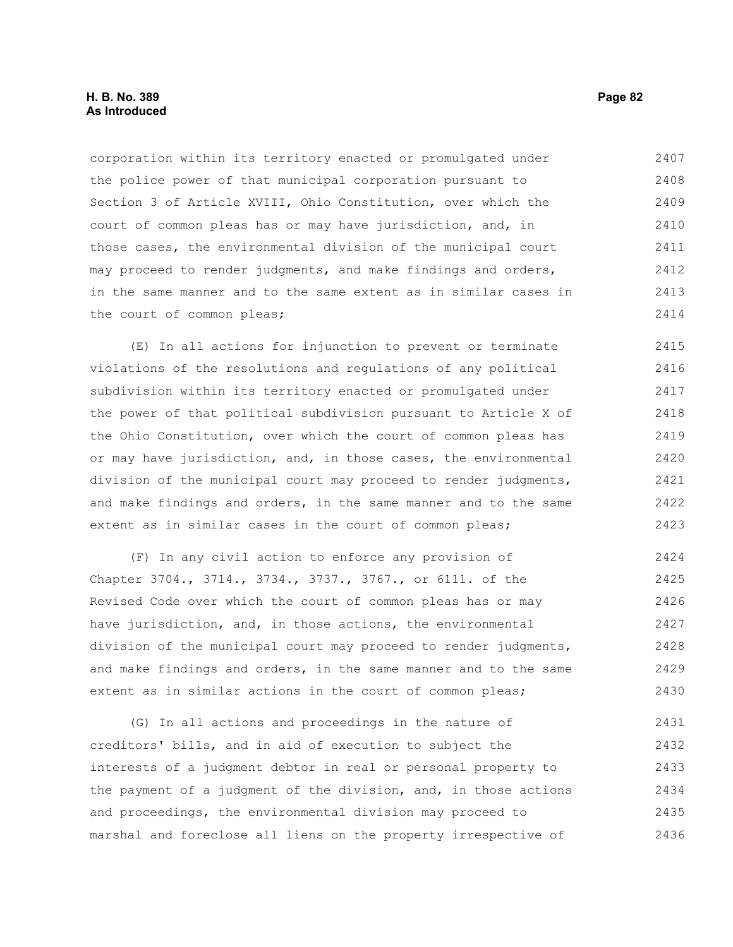corporation within its territory enacted or promulgated under the police power of that municipal corporation pursuant to Section 3 of Article XVIII, Ohio Constitution, over which the court of common pleas has or may have jurisdiction, and, in those cases, the environmental division of the municipal court may proceed to render judgments, and make findings and orders, in the same manner and to the same extent as in similar cases in the court of common pleas; 2407 2408 2409 2410 2411 2412 2413 2414

(E) In all actions for injunction to prevent or terminate violations of the resolutions and regulations of any political subdivision within its territory enacted or promulgated under the power of that political subdivision pursuant to Article X of the Ohio Constitution, over which the court of common pleas has or may have jurisdiction, and, in those cases, the environmental division of the municipal court may proceed to render judgments, and make findings and orders, in the same manner and to the same extent as in similar cases in the court of common pleas; 2415 2416 2417 2418 2419 2420 2421 2422 2423

(F) In any civil action to enforce any provision of Chapter 3704., 3714., 3734., 3737., 3767., or 6111. of the Revised Code over which the court of common pleas has or may have jurisdiction, and, in those actions, the environmental division of the municipal court may proceed to render judgments, and make findings and orders, in the same manner and to the same extent as in similar actions in the court of common pleas; 2424 2425 2426 2427 2428 2429 2430

(G) In all actions and proceedings in the nature of creditors' bills, and in aid of execution to subject the interests of a judgment debtor in real or personal property to the payment of a judgment of the division, and, in those actions and proceedings, the environmental division may proceed to marshal and foreclose all liens on the property irrespective of 2431 2432 2433 2434 2435 2436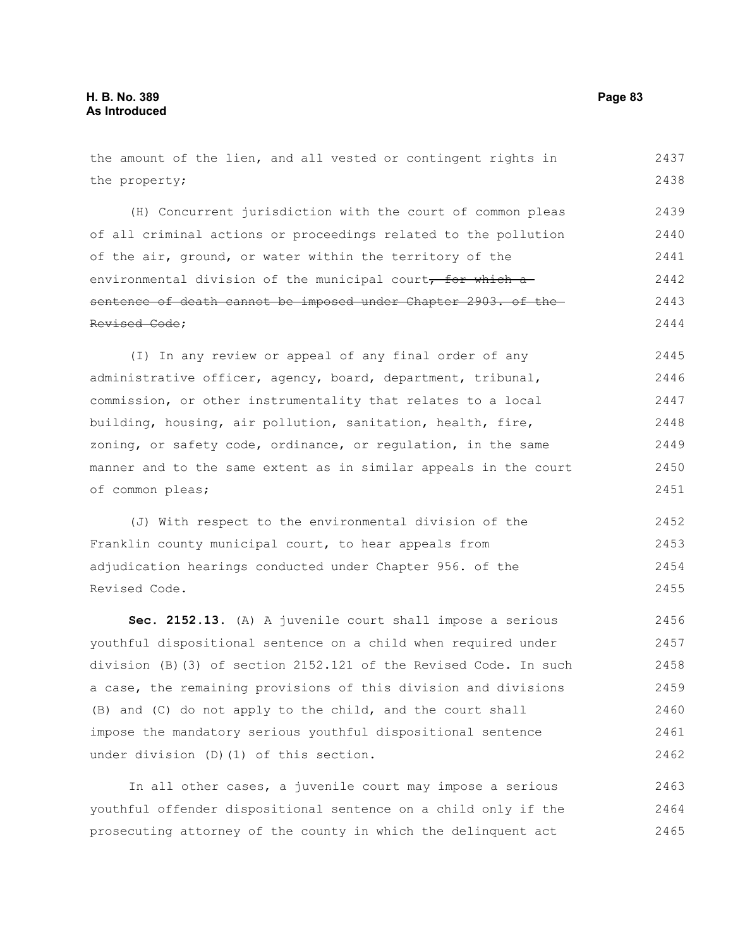#### the amount of the lien, and all vested or contingent rights in the property; (H) Concurrent jurisdiction with the court of common pleas of all criminal actions or proceedings related to the pollution of the air, ground, or water within the territory of the environmental division of the municipal court, for which  $a$ sentence of death cannot be imposed under Chapter 2903. of the-Revised Code; (I) In any review or appeal of any final order of any administrative officer, agency, board, department, tribunal, commission, or other instrumentality that relates to a local building, housing, air pollution, sanitation, health, fire, zoning, or safety code, ordinance, or regulation, in the same manner and to the same extent as in similar appeals in the court of common pleas; (J) With respect to the environmental division of the Franklin county municipal court, to hear appeals from adjudication hearings conducted under Chapter 956. of the Revised Code. **Sec. 2152.13.** (A) A juvenile court shall impose a serious youthful dispositional sentence on a child when required under division (B)(3) of section 2152.121 of the Revised Code. In such a case, the remaining provisions of this division and divisions (B) and (C) do not apply to the child, and the court shall impose the mandatory serious youthful dispositional sentence under division (D)(1) of this section. 2437 2438 2439 2440 2441 2442 2443 2444 2445 2446 2447 2448 2449 2450 2451 2452 2453 2454 2455 2456 2457 2458 2459 2460 2461 2462

In all other cases, a juvenile court may impose a serious youthful offender dispositional sentence on a child only if the prosecuting attorney of the county in which the delinquent act 2463 2464 2465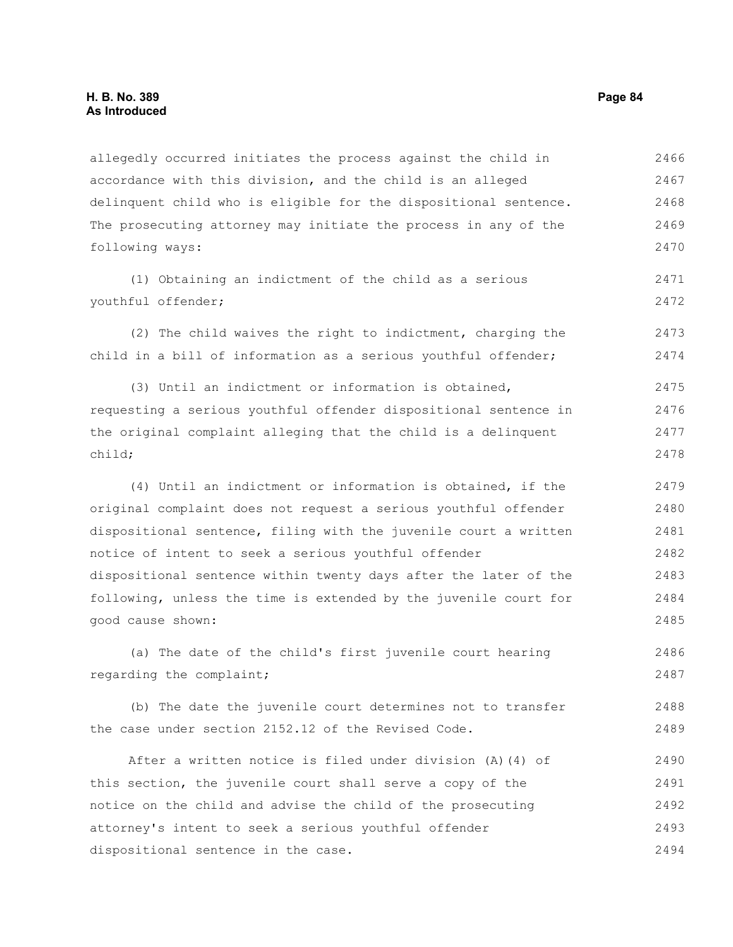allegedly occurred initiates the process against the child in accordance with this division, and the child is an alleged delinquent child who is eligible for the dispositional sentence. The prosecuting attorney may initiate the process in any of the following ways: 2466 2467 2468 2469 2470

(1) Obtaining an indictment of the child as a serious youthful offender; 2471 2472

(2) The child waives the right to indictment, charging the child in a bill of information as a serious youthful offender; 2473 2474

(3) Until an indictment or information is obtained, requesting a serious youthful offender dispositional sentence in the original complaint alleging that the child is a delinquent child; 2475 2476 2477 2478

(4) Until an indictment or information is obtained, if the original complaint does not request a serious youthful offender dispositional sentence, filing with the juvenile court a written notice of intent to seek a serious youthful offender dispositional sentence within twenty days after the later of the following, unless the time is extended by the juvenile court for good cause shown: 2479 2480 2481 2482 2483 2484 2485

(a) The date of the child's first juvenile court hearing regarding the complaint; 2486 2487

(b) The date the juvenile court determines not to transfer the case under section 2152.12 of the Revised Code. 2488 2489

After a written notice is filed under division (A)(4) of this section, the juvenile court shall serve a copy of the notice on the child and advise the child of the prosecuting attorney's intent to seek a serious youthful offender dispositional sentence in the case. 2490 2491 2492 2493 2494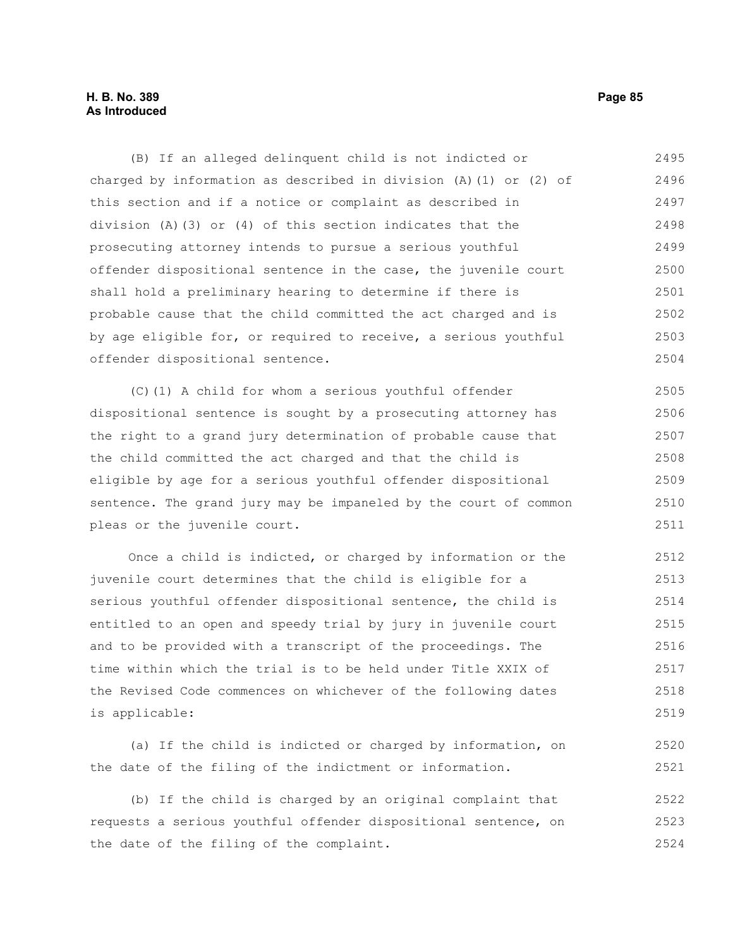# **H. B. No. 389 Page 85 As Introduced**

(B) If an alleged delinquent child is not indicted or charged by information as described in division (A)(1) or (2) of this section and if a notice or complaint as described in division (A)(3) or (4) of this section indicates that the prosecuting attorney intends to pursue a serious youthful offender dispositional sentence in the case, the juvenile court shall hold a preliminary hearing to determine if there is probable cause that the child committed the act charged and is by age eligible for, or required to receive, a serious youthful offender dispositional sentence. 2495 2496 2497 2498 2499 2500 2501 2502 2503 2504

(C)(1) A child for whom a serious youthful offender dispositional sentence is sought by a prosecuting attorney has the right to a grand jury determination of probable cause that the child committed the act charged and that the child is eligible by age for a serious youthful offender dispositional sentence. The grand jury may be impaneled by the court of common pleas or the juvenile court. 2505 2506 2507 2508 2509 2510 2511

Once a child is indicted, or charged by information or the juvenile court determines that the child is eligible for a serious youthful offender dispositional sentence, the child is entitled to an open and speedy trial by jury in juvenile court and to be provided with a transcript of the proceedings. The time within which the trial is to be held under Title XXIX of the Revised Code commences on whichever of the following dates is applicable: 2512 2513 2514 2515 2516 2517 2518 2519

(a) If the child is indicted or charged by information, on the date of the filing of the indictment or information.

(b) If the child is charged by an original complaint that requests a serious youthful offender dispositional sentence, on the date of the filing of the complaint. 2522 2523 2524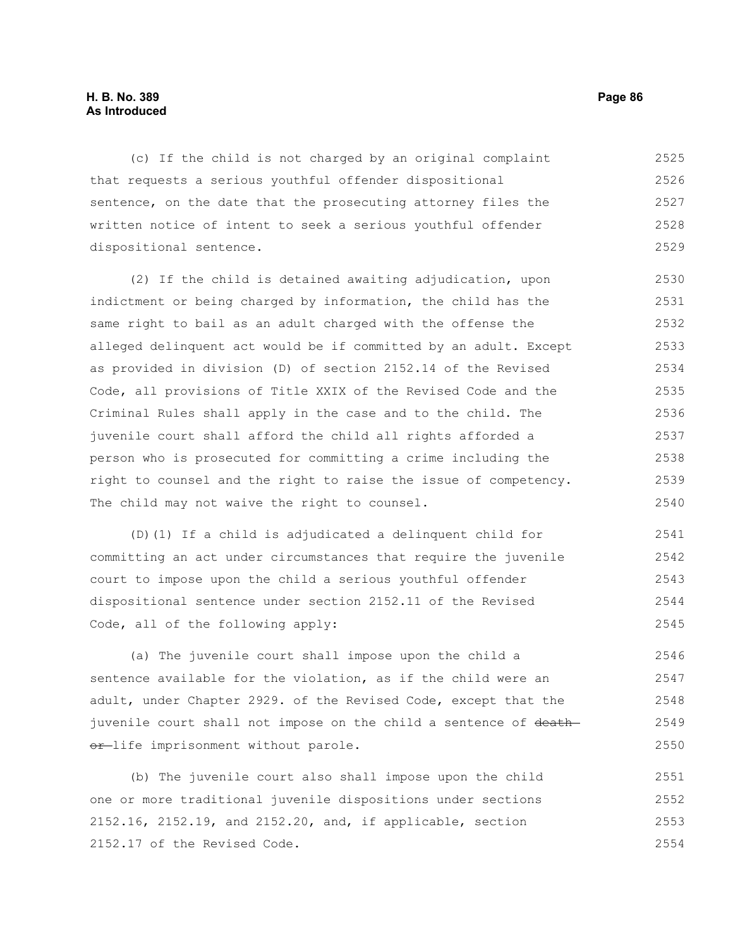# **H. B. No. 389 Page 86 As Introduced**

(c) If the child is not charged by an original complaint that requests a serious youthful offender dispositional sentence, on the date that the prosecuting attorney files the written notice of intent to seek a serious youthful offender dispositional sentence. 2525 2526 2527 2528 2529

(2) If the child is detained awaiting adjudication, upon indictment or being charged by information, the child has the same right to bail as an adult charged with the offense the alleged delinquent act would be if committed by an adult. Except as provided in division (D) of section 2152.14 of the Revised Code, all provisions of Title XXIX of the Revised Code and the Criminal Rules shall apply in the case and to the child. The juvenile court shall afford the child all rights afforded a person who is prosecuted for committing a crime including the right to counsel and the right to raise the issue of competency. The child may not waive the right to counsel. 2530 2531 2532 2533 2534 2535 2536 2537 2538 2539 2540

(D)(1) If a child is adjudicated a delinquent child for committing an act under circumstances that require the juvenile court to impose upon the child a serious youthful offender dispositional sentence under section 2152.11 of the Revised Code, all of the following apply: 2541 2542 2543 2544 2545

(a) The juvenile court shall impose upon the child a sentence available for the violation, as if the child were an adult, under Chapter 2929. of the Revised Code, except that the juvenile court shall not impose on the child a sentence of deathor-life imprisonment without parole.

(b) The juvenile court also shall impose upon the child one or more traditional juvenile dispositions under sections 2152.16, 2152.19, and 2152.20, and, if applicable, section 2152.17 of the Revised Code. 2551 2552 2553 2554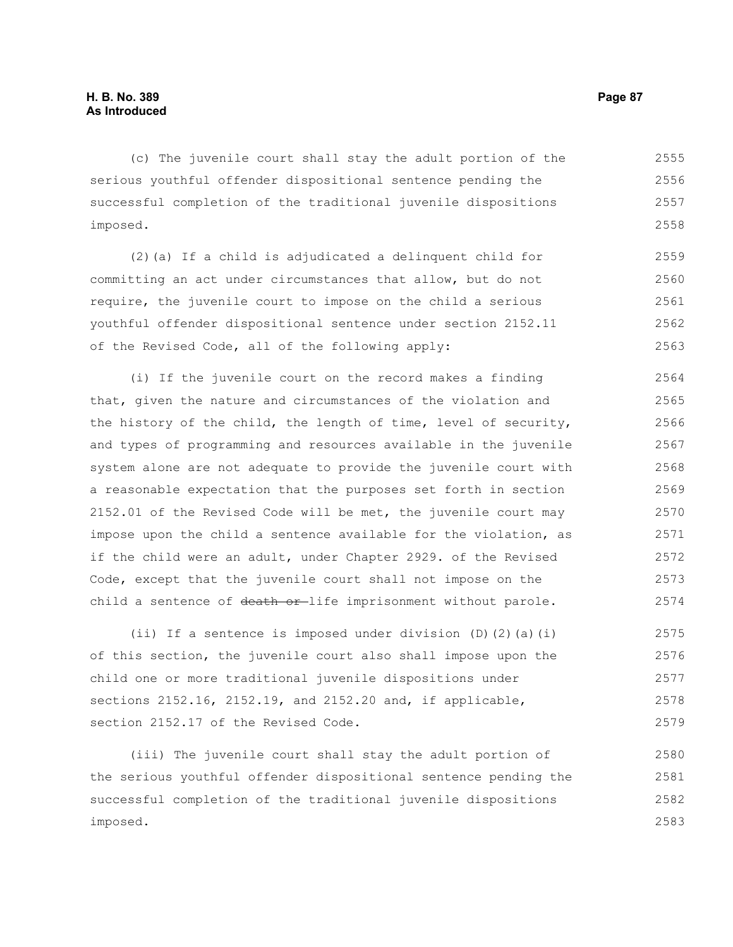(c) The juvenile court shall stay the adult portion of the serious youthful offender dispositional sentence pending the successful completion of the traditional juvenile dispositions imposed. 2555 2556 2557 2558

(2)(a) If a child is adjudicated a delinquent child for committing an act under circumstances that allow, but do not require, the juvenile court to impose on the child a serious youthful offender dispositional sentence under section 2152.11 of the Revised Code, all of the following apply: 2559 2560 2561 2562 2563

(i) If the juvenile court on the record makes a finding that, given the nature and circumstances of the violation and the history of the child, the length of time, level of security, and types of programming and resources available in the juvenile system alone are not adequate to provide the juvenile court with a reasonable expectation that the purposes set forth in section 2152.01 of the Revised Code will be met, the juvenile court may impose upon the child a sentence available for the violation, as if the child were an adult, under Chapter 2929. of the Revised Code, except that the juvenile court shall not impose on the child a sentence of death or life imprisonment without parole. 2564 2565 2566 2567 2568 2569 2570 2571 2572 2573 2574

(ii) If a sentence is imposed under division (D)(2)(a)(i) of this section, the juvenile court also shall impose upon the child one or more traditional juvenile dispositions under sections 2152.16, 2152.19, and 2152.20 and, if applicable, section 2152.17 of the Revised Code. 2575 2576 2577 2578 2579

(iii) The juvenile court shall stay the adult portion of the serious youthful offender dispositional sentence pending the successful completion of the traditional juvenile dispositions imposed. 2580 2581 2582 2583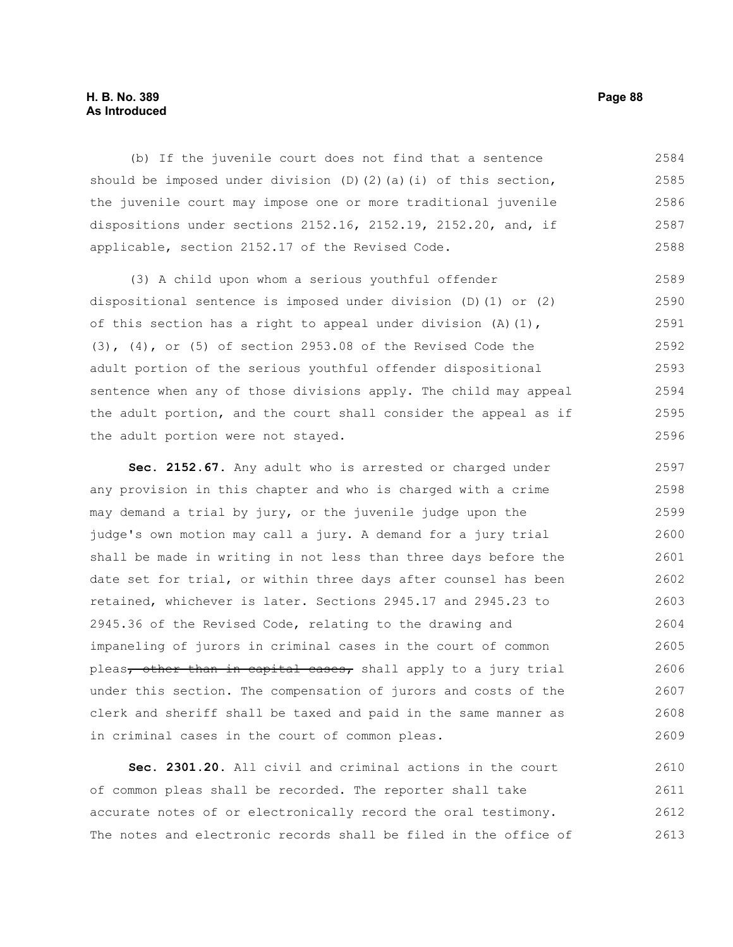# **H. B. No. 389 Page 88 As Introduced**

(b) If the juvenile court does not find that a sentence should be imposed under division  $(D)$   $(2)$   $(a)$   $(i)$  of this section, the juvenile court may impose one or more traditional juvenile dispositions under sections 2152.16, 2152.19, 2152.20, and, if applicable, section 2152.17 of the Revised Code. 2584 2585 2586 2587 2588

(3) A child upon whom a serious youthful offender dispositional sentence is imposed under division (D)(1) or (2) of this section has a right to appeal under division  $(A)$  (1), (3), (4), or (5) of section 2953.08 of the Revised Code the adult portion of the serious youthful offender dispositional sentence when any of those divisions apply. The child may appeal the adult portion, and the court shall consider the appeal as if the adult portion were not stayed.

**Sec. 2152.67.** Any adult who is arrested or charged under any provision in this chapter and who is charged with a crime may demand a trial by jury, or the juvenile judge upon the judge's own motion may call a jury. A demand for a jury trial shall be made in writing in not less than three days before the date set for trial, or within three days after counsel has been retained, whichever is later. Sections 2945.17 and 2945.23 to 2945.36 of the Revised Code, relating to the drawing and impaneling of jurors in criminal cases in the court of common pleas, other than in capital cases, shall apply to a jury trial under this section. The compensation of jurors and costs of the clerk and sheriff shall be taxed and paid in the same manner as in criminal cases in the court of common pleas. 2597 2598 2599 2600 2601 2602 2603 2604 2605 2606 2607 2608 2609

**Sec. 2301.20.** All civil and criminal actions in the court of common pleas shall be recorded. The reporter shall take accurate notes of or electronically record the oral testimony. The notes and electronic records shall be filed in the office of 2610 2611 2612 2613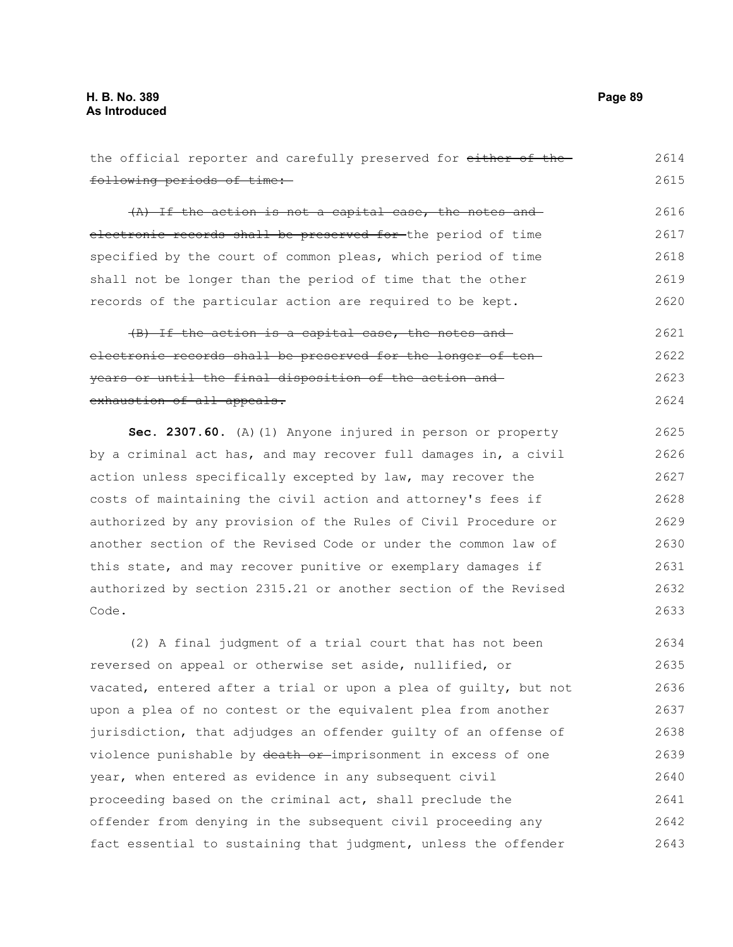following periods of time: (A) If the action is not a capital case, the notes and electronic records shall be preserved for the period of time specified by the court of common pleas, which period of time shall not be longer than the period of time that the other records of the particular action are required to be kept. (B) If the action is a capital case, the notes and electronic records shall be preserved for the longer of ten years or until the final disposition of the action and exhaustion of all appeals. **Sec. 2307.60.** (A)(1) Anyone injured in person or property by a criminal act has, and may recover full damages in, a civil action unless specifically excepted by law, may recover the costs of maintaining the civil action and attorney's fees if authorized by any provision of the Rules of Civil Procedure or another section of the Revised Code or under the common law of this state, and may recover punitive or exemplary damages if authorized by section 2315.21 or another section of the Revised Code. (2) A final judgment of a trial court that has not been reversed on appeal or otherwise set aside, nullified, or vacated, entered after a trial or upon a plea of guilty, but not upon a plea of no contest or the equivalent plea from another jurisdiction, that adjudges an offender guilty of an offense of violence punishable by death or imprisonment in excess of one year, when entered as evidence in any subsequent civil proceeding based on the criminal act, shall preclude the 2615 2616 2617 2618 2619 2620 2621 2622 2623 2624 2625 2626 2627 2628 2629 2630 2631 2632 2633 2634 2635 2636 2637 2638 2639 2640 2641

offender from denying in the subsequent civil proceeding any

fact essential to sustaining that judgment, unless the offender

the official reporter and carefully preserved for either of the

2614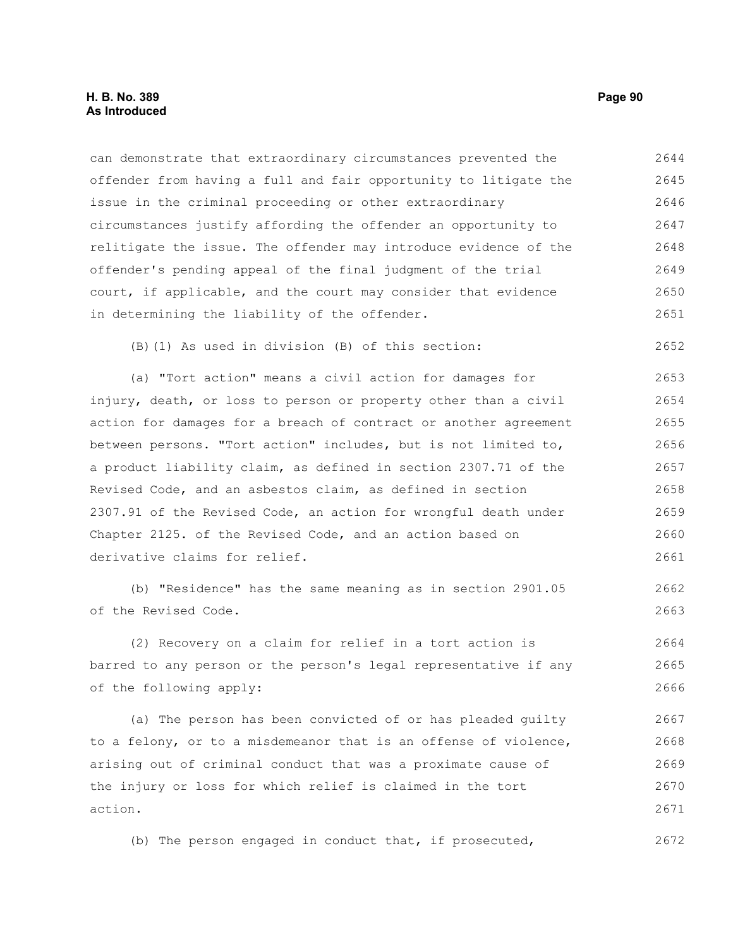#### **H. B. No. 389 Page 90 As Introduced**

can demonstrate that extraordinary circumstances prevented the offender from having a full and fair opportunity to litigate the issue in the criminal proceeding or other extraordinary circumstances justify affording the offender an opportunity to relitigate the issue. The offender may introduce evidence of the offender's pending appeal of the final judgment of the trial court, if applicable, and the court may consider that evidence in determining the liability of the offender. 2644 2645 2646 2647 2648 2649 2650 2651

(B)(1) As used in division (B) of this section:

(a) "Tort action" means a civil action for damages for injury, death, or loss to person or property other than a civil action for damages for a breach of contract or another agreement between persons. "Tort action" includes, but is not limited to, a product liability claim, as defined in section 2307.71 of the Revised Code, and an asbestos claim, as defined in section 2307.91 of the Revised Code, an action for wrongful death under Chapter 2125. of the Revised Code, and an action based on derivative claims for relief. 2653 2654 2655 2656 2657 2658 2659 2660 2661

(b) "Residence" has the same meaning as in section 2901.05 of the Revised Code.

(2) Recovery on a claim for relief in a tort action is barred to any person or the person's legal representative if any of the following apply: 2664 2665 2666

(a) The person has been convicted of or has pleaded guilty to a felony, or to a misdemeanor that is an offense of violence, arising out of criminal conduct that was a proximate cause of the injury or loss for which relief is claimed in the tort action. 2667 2668 2669 2670 2671

(b) The person engaged in conduct that, if prosecuted, 2672

2652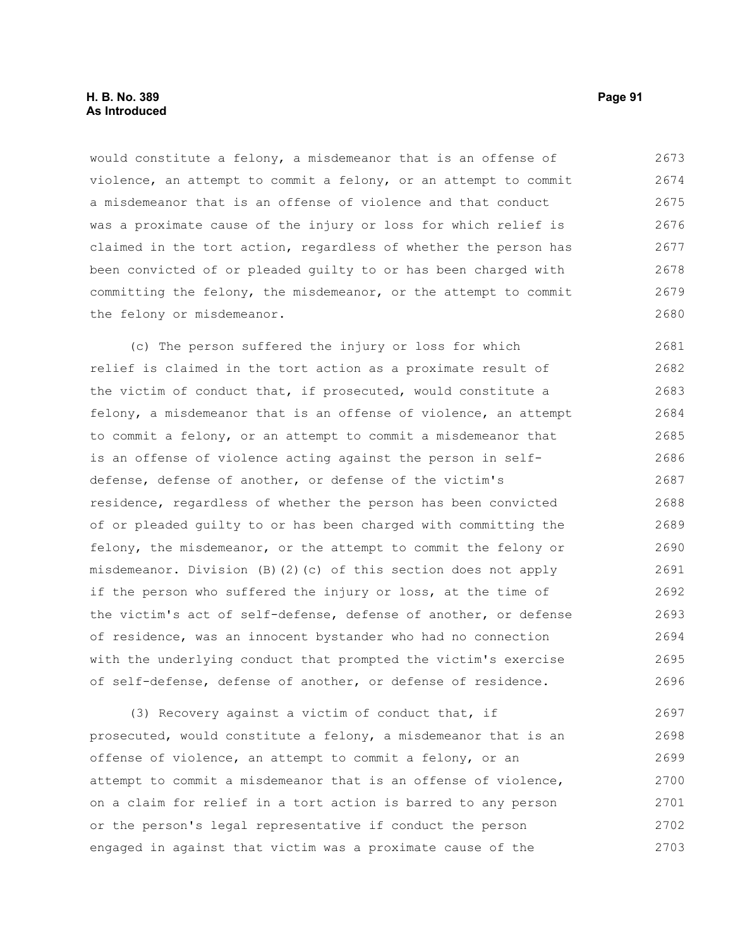would constitute a felony, a misdemeanor that is an offense of violence, an attempt to commit a felony, or an attempt to commit a misdemeanor that is an offense of violence and that conduct was a proximate cause of the injury or loss for which relief is claimed in the tort action, regardless of whether the person has been convicted of or pleaded guilty to or has been charged with committing the felony, the misdemeanor, or the attempt to commit the felony or misdemeanor. 2673 2674 2675 2676 2677 2678 2679 2680

(c) The person suffered the injury or loss for which relief is claimed in the tort action as a proximate result of the victim of conduct that, if prosecuted, would constitute a felony, a misdemeanor that is an offense of violence, an attempt to commit a felony, or an attempt to commit a misdemeanor that is an offense of violence acting against the person in selfdefense, defense of another, or defense of the victim's residence, regardless of whether the person has been convicted of or pleaded guilty to or has been charged with committing the felony, the misdemeanor, or the attempt to commit the felony or misdemeanor. Division (B)(2)(c) of this section does not apply if the person who suffered the injury or loss, at the time of the victim's act of self-defense, defense of another, or defense of residence, was an innocent bystander who had no connection with the underlying conduct that prompted the victim's exercise of self-defense, defense of another, or defense of residence. 2681 2682 2683 2684 2685 2686 2687 2688 2689 2690 2691 2692 2693 2694 2695 2696

(3) Recovery against a victim of conduct that, if prosecuted, would constitute a felony, a misdemeanor that is an offense of violence, an attempt to commit a felony, or an attempt to commit a misdemeanor that is an offense of violence, on a claim for relief in a tort action is barred to any person or the person's legal representative if conduct the person engaged in against that victim was a proximate cause of the 2697 2698 2699 2700 2701 2702 2703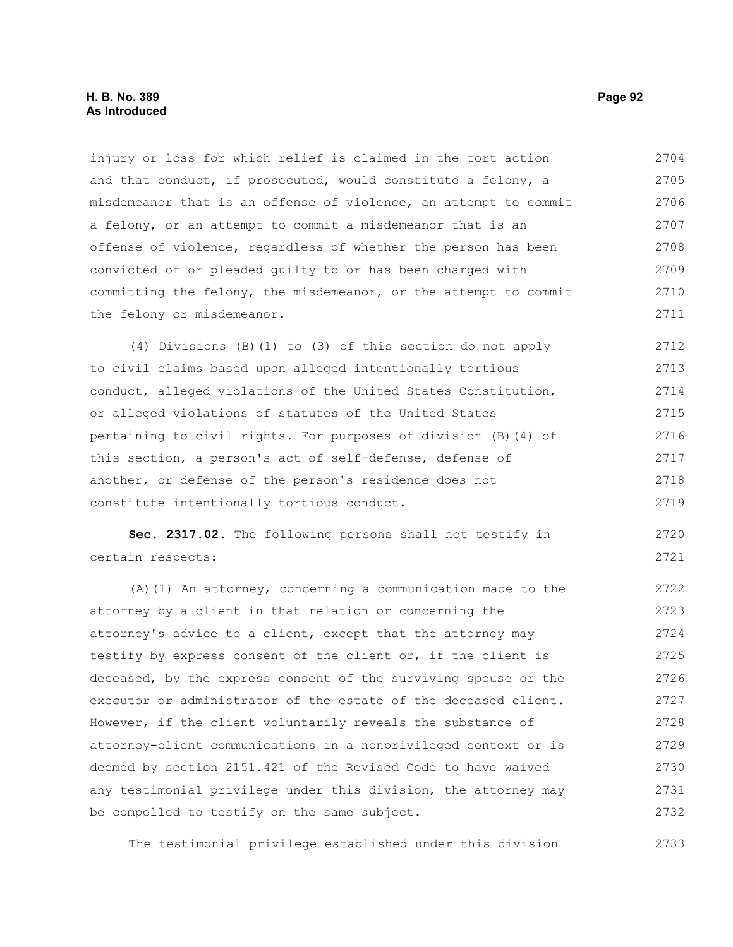#### **H. B. No. 389 Page 92 As Introduced**

injury or loss for which relief is claimed in the tort action and that conduct, if prosecuted, would constitute a felony, a misdemeanor that is an offense of violence, an attempt to commit a felony, or an attempt to commit a misdemeanor that is an offense of violence, regardless of whether the person has been convicted of or pleaded guilty to or has been charged with committing the felony, the misdemeanor, or the attempt to commit the felony or misdemeanor. 2704 2705 2706 2707 2708 2709 2710 2711

(4) Divisions (B)(1) to (3) of this section do not apply to civil claims based upon alleged intentionally tortious conduct, alleged violations of the United States Constitution, or alleged violations of statutes of the United States pertaining to civil rights. For purposes of division (B)(4) of this section, a person's act of self-defense, defense of another, or defense of the person's residence does not constitute intentionally tortious conduct. 2712 2713 2714 2715 2716 2717 2718 2719

**Sec. 2317.02.** The following persons shall not testify in certain respects: 2720 2721

(A)(1) An attorney, concerning a communication made to the attorney by a client in that relation or concerning the attorney's advice to a client, except that the attorney may testify by express consent of the client or, if the client is deceased, by the express consent of the surviving spouse or the executor or administrator of the estate of the deceased client. However, if the client voluntarily reveals the substance of attorney-client communications in a nonprivileged context or is deemed by section 2151.421 of the Revised Code to have waived any testimonial privilege under this division, the attorney may be compelled to testify on the same subject. 2722 2723 2724 2725 2726 2727 2728 2729 2730 2731 2732

The testimonial privilege established under this division 2733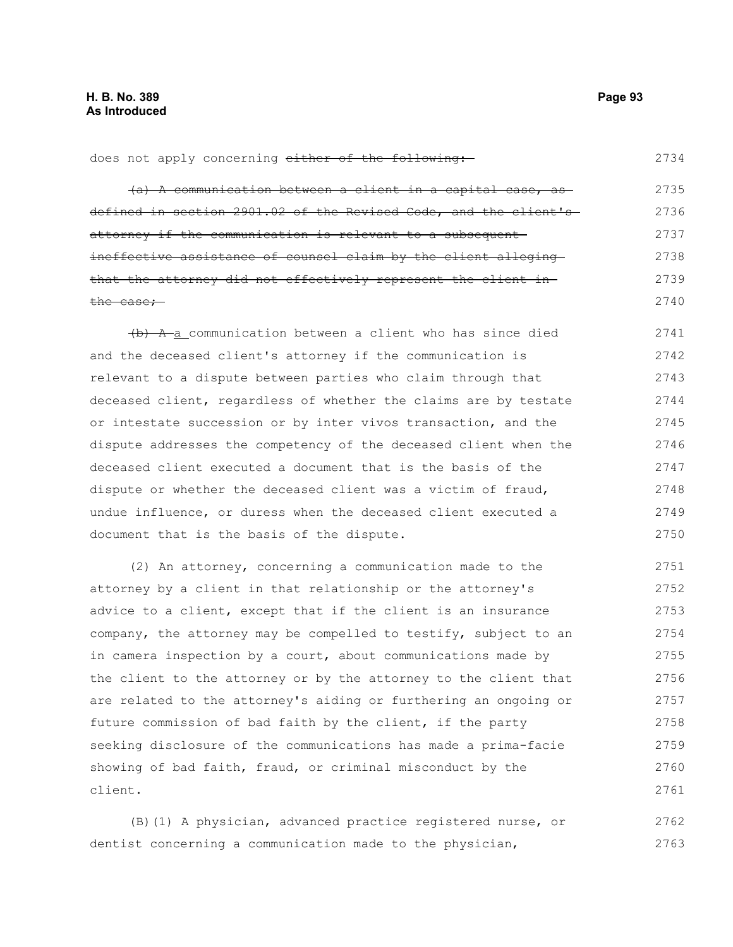does not apply concerning either of the following:

| (a) A communication between a client in a capital case, as       | 2735 |
|------------------------------------------------------------------|------|
| defined in section 2901.02 of the Revised Code, and the client's | 2736 |
| attorney if the communication is relevant to a subsequent        | 2737 |
| ineffective assistance of counsel claim by the client alleging   | 2738 |
| that the attorney did not effectively represent the client in-   | 2739 |
| <del>the case; -</del>                                           | 2740 |

 $(b)$  A a communication between a client who has since died and the deceased client's attorney if the communication is relevant to a dispute between parties who claim through that deceased client, regardless of whether the claims are by testate or intestate succession or by inter vivos transaction, and the dispute addresses the competency of the deceased client when the deceased client executed a document that is the basis of the dispute or whether the deceased client was a victim of fraud, undue influence, or duress when the deceased client executed a document that is the basis of the dispute. 2741 2742 2743 2744 2745 2746 2747 2748 2749 2750

(2) An attorney, concerning a communication made to the attorney by a client in that relationship or the attorney's advice to a client, except that if the client is an insurance company, the attorney may be compelled to testify, subject to an in camera inspection by a court, about communications made by the client to the attorney or by the attorney to the client that are related to the attorney's aiding or furthering an ongoing or future commission of bad faith by the client, if the party seeking disclosure of the communications has made a prima-facie showing of bad faith, fraud, or criminal misconduct by the client. 2751 2752 2753 2754 2755 2756 2757 2758 2759 2760 2761

(B)(1) A physician, advanced practice registered nurse, or dentist concerning a communication made to the physician, 2762 2763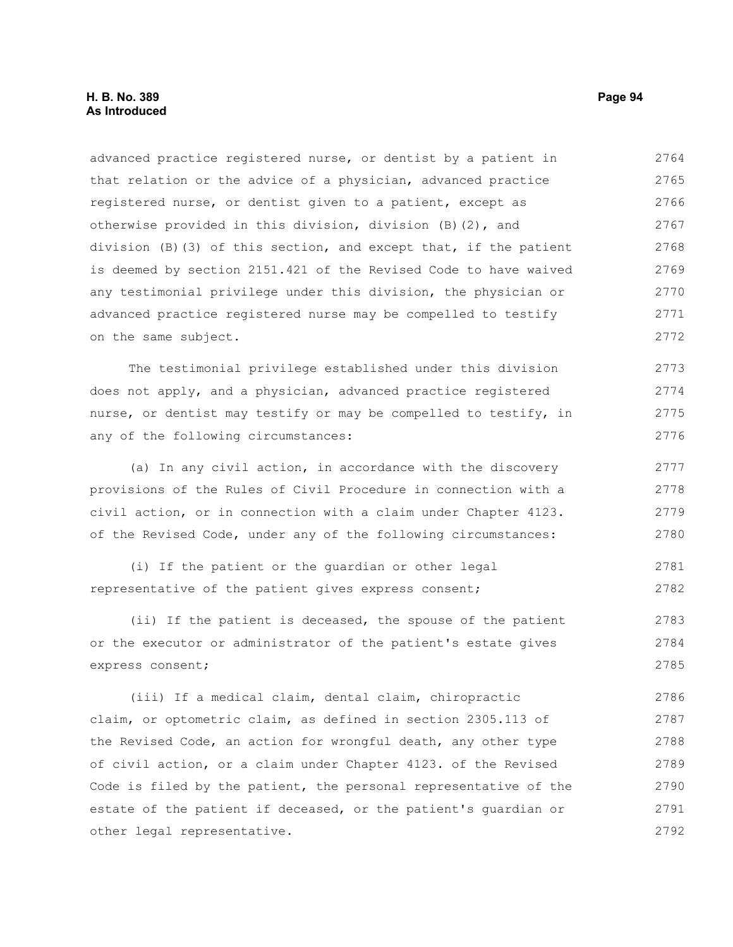## **H. B. No. 389 Page 94 As Introduced**

advanced practice registered nurse, or dentist by a patient in that relation or the advice of a physician, advanced practice registered nurse, or dentist given to a patient, except as otherwise provided in this division, division (B)(2), and division (B)(3) of this section, and except that, if the patient is deemed by section 2151.421 of the Revised Code to have waived any testimonial privilege under this division, the physician or advanced practice registered nurse may be compelled to testify on the same subject. 2764 2765 2766 2767 2768 2769 2770 2771 2772

The testimonial privilege established under this division does not apply, and a physician, advanced practice registered nurse, or dentist may testify or may be compelled to testify, in any of the following circumstances: 2773 2774 2775 2776

(a) In any civil action, in accordance with the discovery provisions of the Rules of Civil Procedure in connection with a civil action, or in connection with a claim under Chapter 4123. of the Revised Code, under any of the following circumstances: 2777 2778 2779 2780

(i) If the patient or the guardian or other legal representative of the patient gives express consent; 2781 2782

(ii) If the patient is deceased, the spouse of the patient or the executor or administrator of the patient's estate gives express consent; 2783 2784 2785

(iii) If a medical claim, dental claim, chiropractic claim, or optometric claim, as defined in section 2305.113 of the Revised Code, an action for wrongful death, any other type of civil action, or a claim under Chapter 4123. of the Revised Code is filed by the patient, the personal representative of the estate of the patient if deceased, or the patient's guardian or other legal representative. 2786 2787 2788 2789 2790 2791 2792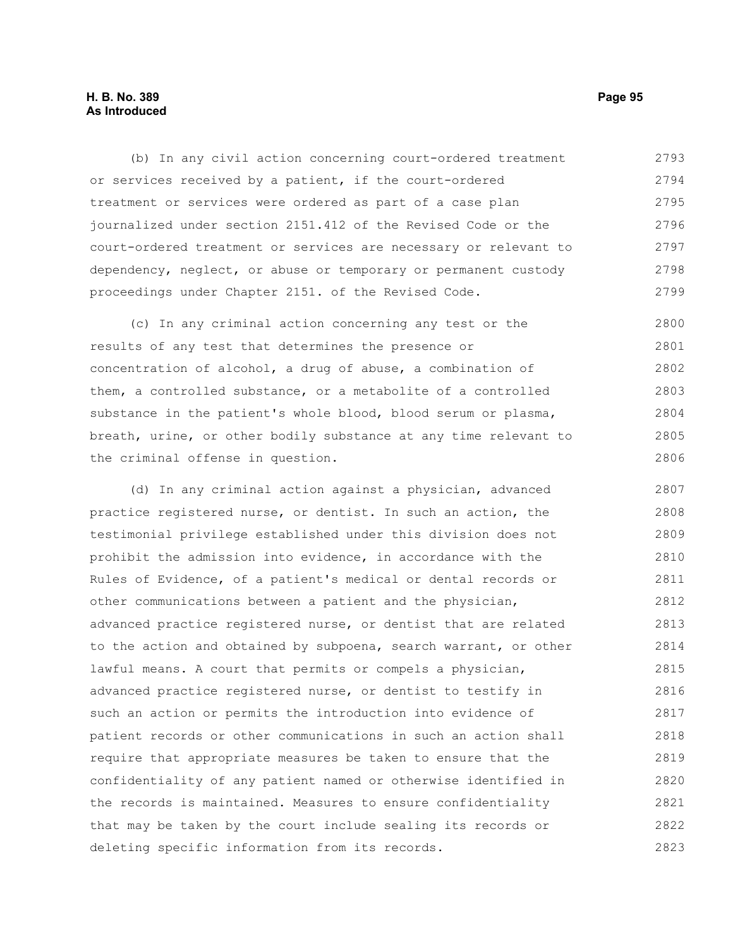# **H. B. No. 389 Page 95 As Introduced**

(b) In any civil action concerning court-ordered treatment or services received by a patient, if the court-ordered treatment or services were ordered as part of a case plan journalized under section 2151.412 of the Revised Code or the court-ordered treatment or services are necessary or relevant to dependency, neglect, or abuse or temporary or permanent custody proceedings under Chapter 2151. of the Revised Code. 2793 2794 2795 2796 2797 2798 2799

(c) In any criminal action concerning any test or the results of any test that determines the presence or concentration of alcohol, a drug of abuse, a combination of them, a controlled substance, or a metabolite of a controlled substance in the patient's whole blood, blood serum or plasma, breath, urine, or other bodily substance at any time relevant to the criminal offense in question. 2800 2801 2802 2803 2804 2805 2806

(d) In any criminal action against a physician, advanced practice registered nurse, or dentist. In such an action, the testimonial privilege established under this division does not prohibit the admission into evidence, in accordance with the Rules of Evidence, of a patient's medical or dental records or other communications between a patient and the physician, advanced practice registered nurse, or dentist that are related to the action and obtained by subpoena, search warrant, or other lawful means. A court that permits or compels a physician, advanced practice registered nurse, or dentist to testify in such an action or permits the introduction into evidence of patient records or other communications in such an action shall require that appropriate measures be taken to ensure that the confidentiality of any patient named or otherwise identified in the records is maintained. Measures to ensure confidentiality that may be taken by the court include sealing its records or deleting specific information from its records. 2807 2808 2809 2810 2811 2812 2813 2814 2815 2816 2817 2818 2819 2820 2821 2822 2823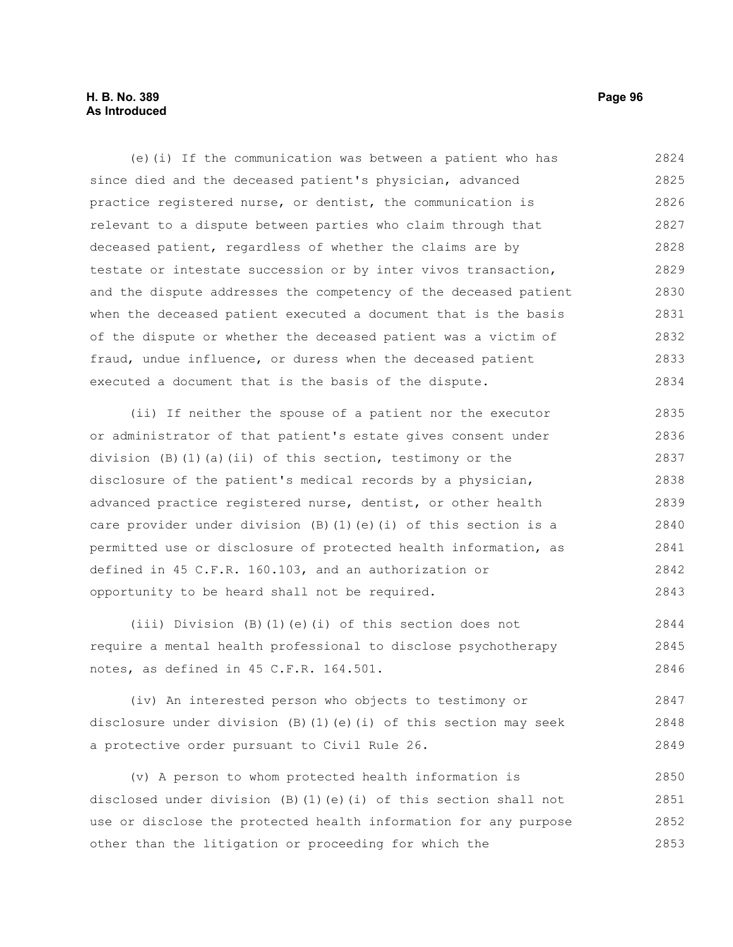# **H. B. No. 389 Page 96 As Introduced**

(e)(i) If the communication was between a patient who has since died and the deceased patient's physician, advanced practice registered nurse, or dentist, the communication is relevant to a dispute between parties who claim through that deceased patient, regardless of whether the claims are by testate or intestate succession or by inter vivos transaction, and the dispute addresses the competency of the deceased patient when the deceased patient executed a document that is the basis of the dispute or whether the deceased patient was a victim of fraud, undue influence, or duress when the deceased patient executed a document that is the basis of the dispute. 2824 2825 2826 2827 2828 2829 2830 2831 2832 2833 2834

(ii) If neither the spouse of a patient nor the executor or administrator of that patient's estate gives consent under division  $(B)$  (1)(a)(ii) of this section, testimony or the disclosure of the patient's medical records by a physician, advanced practice registered nurse, dentist, or other health care provider under division (B)(1)(e)(i) of this section is a permitted use or disclosure of protected health information, as defined in 45 C.F.R. 160.103, and an authorization or opportunity to be heard shall not be required. 2835 2836 2837 2838 2839 2840 2841 2842 2843

(iii) Division (B)(1)(e)(i) of this section does not require a mental health professional to disclose psychotherapy notes, as defined in 45 C.F.R. 164.501. 2844 2845 2846

(iv) An interested person who objects to testimony or disclosure under division (B)(1)(e)(i) of this section may seek a protective order pursuant to Civil Rule 26. 2847 2848 2849

(v) A person to whom protected health information is disclosed under division (B)(1)(e)(i) of this section shall not use or disclose the protected health information for any purpose other than the litigation or proceeding for which the 2850 2851 2852 2853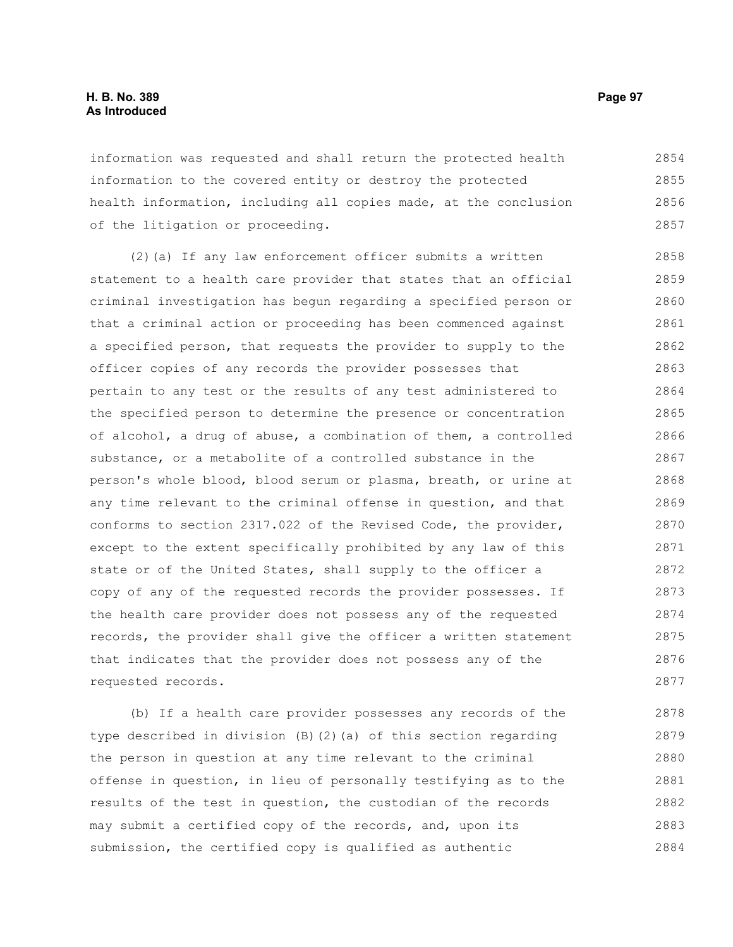information was requested and shall return the protected health information to the covered entity or destroy the protected health information, including all copies made, at the conclusion of the litigation or proceeding. 2854 2855 2856 2857

(2)(a) If any law enforcement officer submits a written statement to a health care provider that states that an official criminal investigation has begun regarding a specified person or that a criminal action or proceeding has been commenced against a specified person, that requests the provider to supply to the officer copies of any records the provider possesses that pertain to any test or the results of any test administered to the specified person to determine the presence or concentration of alcohol, a drug of abuse, a combination of them, a controlled substance, or a metabolite of a controlled substance in the person's whole blood, blood serum or plasma, breath, or urine at any time relevant to the criminal offense in question, and that conforms to section 2317.022 of the Revised Code, the provider, except to the extent specifically prohibited by any law of this state or of the United States, shall supply to the officer a copy of any of the requested records the provider possesses. If the health care provider does not possess any of the requested records, the provider shall give the officer a written statement that indicates that the provider does not possess any of the requested records. 2858 2859 2860 2861 2862 2863 2864 2865 2866 2867 2868 2869 2870 2871 2872 2873 2874 2875 2876 2877

(b) If a health care provider possesses any records of the type described in division (B)(2)(a) of this section regarding the person in question at any time relevant to the criminal offense in question, in lieu of personally testifying as to the results of the test in question, the custodian of the records may submit a certified copy of the records, and, upon its submission, the certified copy is qualified as authentic 2878 2879 2880 2881 2882 2883 2884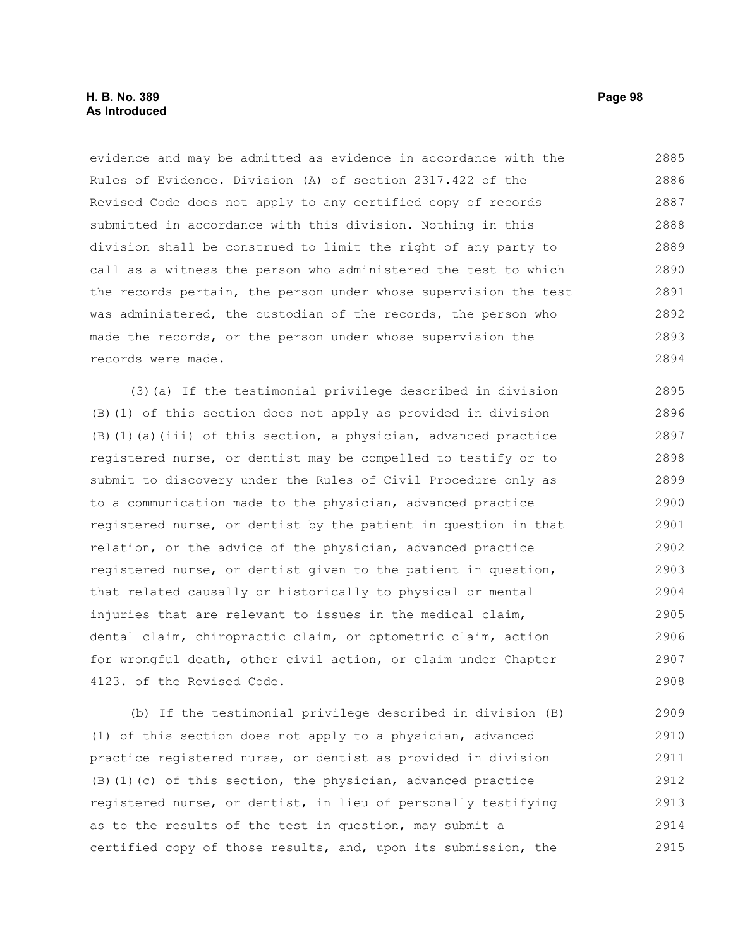# **H. B. No. 389 Page 98 As Introduced**

evidence and may be admitted as evidence in accordance with the Rules of Evidence. Division (A) of section 2317.422 of the Revised Code does not apply to any certified copy of records submitted in accordance with this division. Nothing in this division shall be construed to limit the right of any party to call as a witness the person who administered the test to which the records pertain, the person under whose supervision the test was administered, the custodian of the records, the person who made the records, or the person under whose supervision the records were made. 2885 2886 2887 2888 2889 2890 2891 2892 2893 2894

(3)(a) If the testimonial privilege described in division (B)(1) of this section does not apply as provided in division (B)(1)(a)(iii) of this section, a physician, advanced practice registered nurse, or dentist may be compelled to testify or to submit to discovery under the Rules of Civil Procedure only as to a communication made to the physician, advanced practice registered nurse, or dentist by the patient in question in that relation, or the advice of the physician, advanced practice registered nurse, or dentist given to the patient in question, that related causally or historically to physical or mental injuries that are relevant to issues in the medical claim, dental claim, chiropractic claim, or optometric claim, action for wrongful death, other civil action, or claim under Chapter 4123. of the Revised Code. 2895 2896 2897 2898 2899 2900 2901 2902 2903 2904 2905 2906 2907 2908

(b) If the testimonial privilege described in division (B) (1) of this section does not apply to a physician, advanced practice registered nurse, or dentist as provided in division (B)(1)(c) of this section, the physician, advanced practice registered nurse, or dentist, in lieu of personally testifying as to the results of the test in question, may submit a certified copy of those results, and, upon its submission, the 2909 2910 2911 2912 2913 2914 2915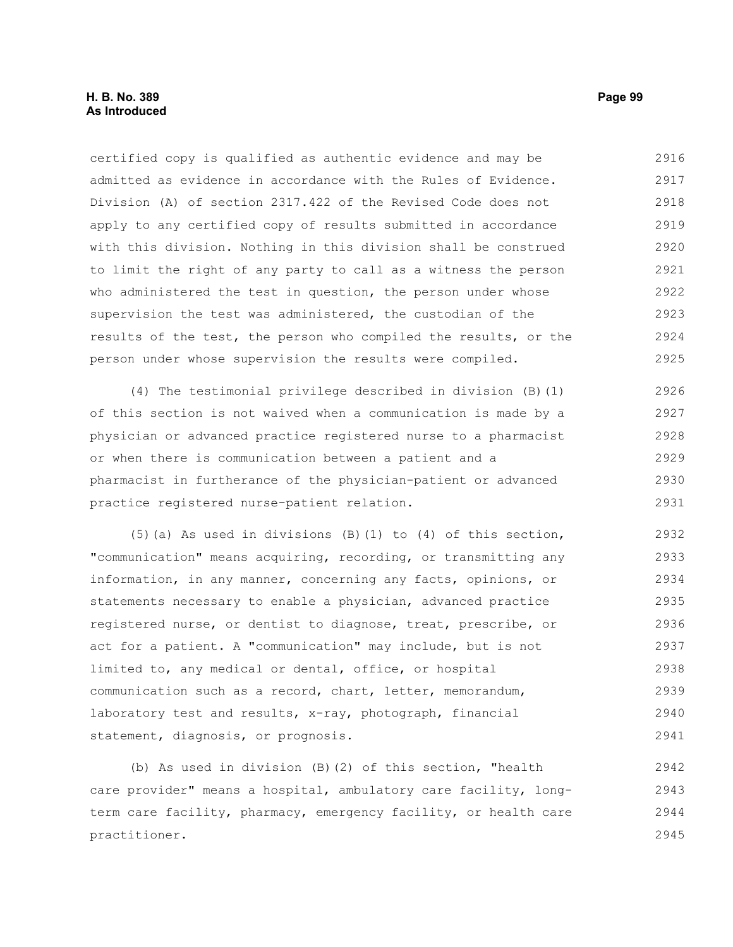certified copy is qualified as authentic evidence and may be admitted as evidence in accordance with the Rules of Evidence. Division (A) of section 2317.422 of the Revised Code does not apply to any certified copy of results submitted in accordance with this division. Nothing in this division shall be construed to limit the right of any party to call as a witness the person who administered the test in question, the person under whose supervision the test was administered, the custodian of the results of the test, the person who compiled the results, or the person under whose supervision the results were compiled. 2916 2917 2918 2919 2920 2921 2922 2923 2924 2925

(4) The testimonial privilege described in division (B)(1) of this section is not waived when a communication is made by a physician or advanced practice registered nurse to a pharmacist or when there is communication between a patient and a pharmacist in furtherance of the physician-patient or advanced practice registered nurse-patient relation. 2926 2927 2928 2929 2930 2931

(5)(a) As used in divisions  $(B)(1)$  to  $(4)$  of this section, "communication" means acquiring, recording, or transmitting any information, in any manner, concerning any facts, opinions, or statements necessary to enable a physician, advanced practice registered nurse, or dentist to diagnose, treat, prescribe, or act for a patient. A "communication" may include, but is not limited to, any medical or dental, office, or hospital communication such as a record, chart, letter, memorandum, laboratory test and results, x-ray, photograph, financial statement, diagnosis, or prognosis. 2932 2933 2934 2935 2936 2937 2938 2939 2940 2941

(b) As used in division (B)(2) of this section, "health care provider" means a hospital, ambulatory care facility, longterm care facility, pharmacy, emergency facility, or health care practitioner. 2942 2943 2944 2945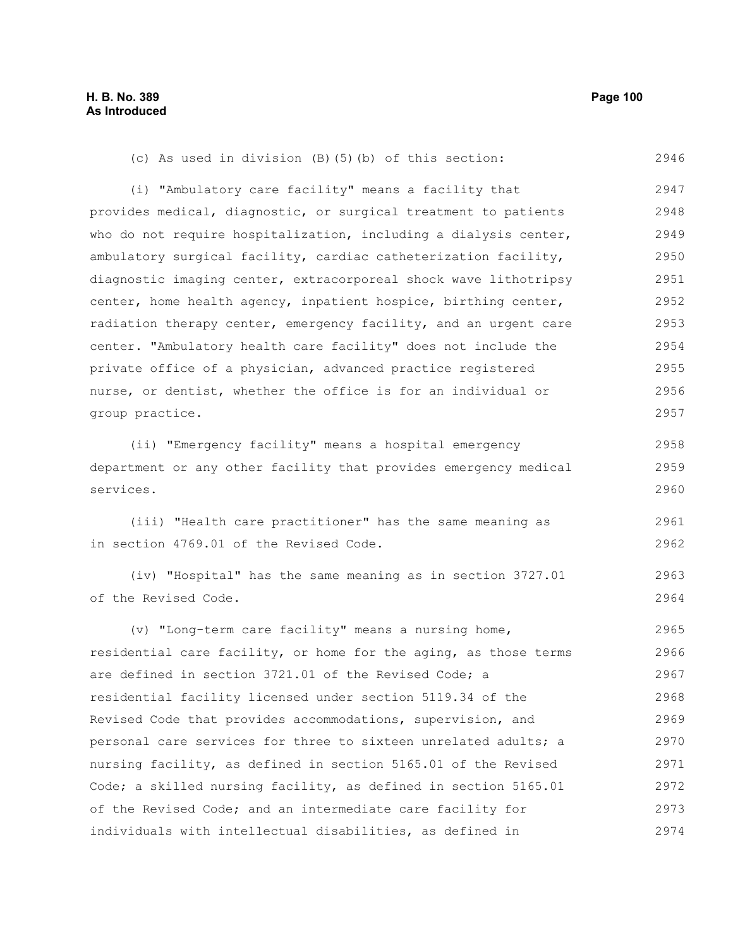2946

(i) "Ambulatory care facility" means a facility that provides medical, diagnostic, or surgical treatment to patients who do not require hospitalization, including a dialysis center, ambulatory surgical facility, cardiac catheterization facility, diagnostic imaging center, extracorporeal shock wave lithotripsy center, home health agency, inpatient hospice, birthing center, radiation therapy center, emergency facility, and an urgent care center. "Ambulatory health care facility" does not include the private office of a physician, advanced practice registered nurse, or dentist, whether the office is for an individual or group practice. (ii) "Emergency facility" means a hospital emergency department or any other facility that provides emergency medical services. (iii) "Health care practitioner" has the same meaning as in section 4769.01 of the Revised Code. (iv) "Hospital" has the same meaning as in section 3727.01 of the Revised Code. (v) "Long-term care facility" means a nursing home, residential care facility, or home for the aging, as those terms 2947 2948 2949 2950 2951 2952 2953 2954 2955 2956 2957 2958 2959 2960 2961 2962 2963 2964 2965 2966

(c) As used in division (B)(5)(b) of this section:

are defined in section 3721.01 of the Revised Code; a residential facility licensed under section 5119.34 of the Revised Code that provides accommodations, supervision, and personal care services for three to sixteen unrelated adults; a nursing facility, as defined in section 5165.01 of the Revised Code; a skilled nursing facility, as defined in section 5165.01 of the Revised Code; and an intermediate care facility for individuals with intellectual disabilities, as defined in 2967 2968 2969 2970 2971 2972 2973 2974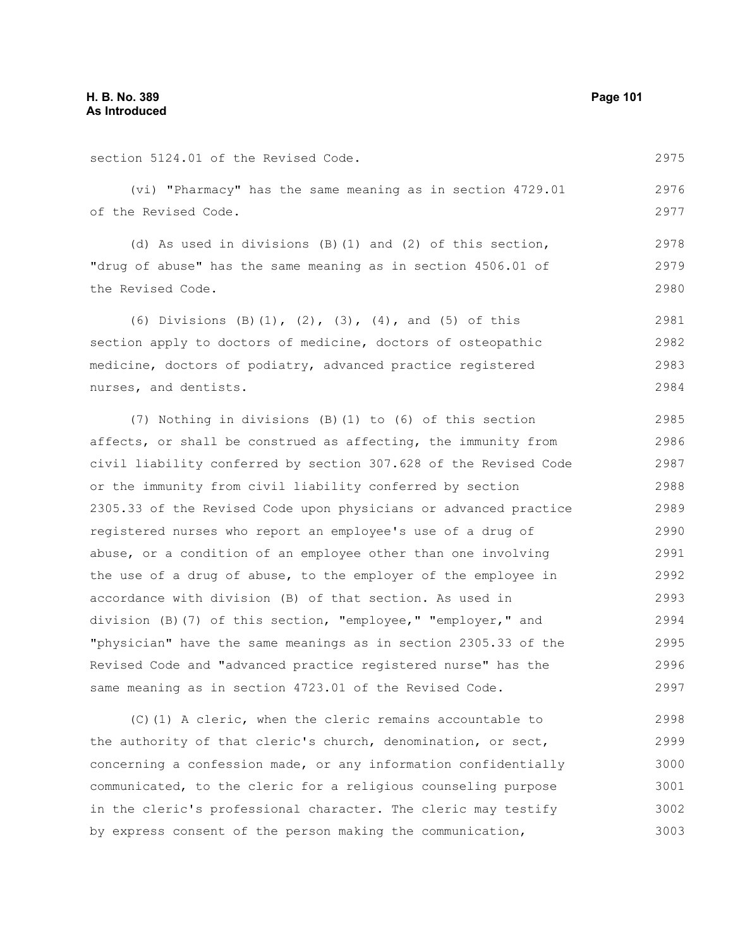3001 3002 3003

| section 5124.01 of the Revised Code.                             | 2975 |
|------------------------------------------------------------------|------|
| (vi) "Pharmacy" has the same meaning as in section 4729.01       | 2976 |
| of the Revised Code.                                             | 2977 |
| (d) As used in divisions $(B)$ (1) and (2) of this section,      | 2978 |
| "drug of abuse" has the same meaning as in section 4506.01 of    | 2979 |
| the Revised Code.                                                | 2980 |
| (6) Divisions (B)(1), (2), (3), (4), and (5) of this             | 2981 |
| section apply to doctors of medicine, doctors of osteopathic     | 2982 |
| medicine, doctors of podiatry, advanced practice registered      | 2983 |
| nurses, and dentists.                                            | 2984 |
| (7) Nothing in divisions (B) (1) to (6) of this section          | 2985 |
| affects, or shall be construed as affecting, the immunity from   | 2986 |
| civil liability conferred by section 307.628 of the Revised Code | 2987 |
| or the immunity from civil liability conferred by section        | 2988 |
| 2305.33 of the Revised Code upon physicians or advanced practice | 2989 |
| registered nurses who report an employee's use of a drug of      | 2990 |
| abuse, or a condition of an employee other than one involving    | 2991 |
| the use of a drug of abuse, to the employer of the employee in   | 2992 |
| accordance with division (B) of that section. As used in         | 2993 |
| division (B) (7) of this section, "employee," "employer," and    | 2994 |
| "physician" have the same meanings as in section 2305.33 of the  | 2995 |
| Revised Code and "advanced practice registered nurse" has the    | 2996 |
| same meaning as in section 4723.01 of the Revised Code.          | 2997 |
| (C)(1) A cleric, when the cleric remains accountable to          | 2998 |
| the authority of that cleric's church, denomination, or sect,    | 2999 |
| concerning a confession made, or any information confidentially  | 3000 |

communicated, to the cleric for a religious counseling purpose in the cleric's professional character. The cleric may testify

by express consent of the person making the communication,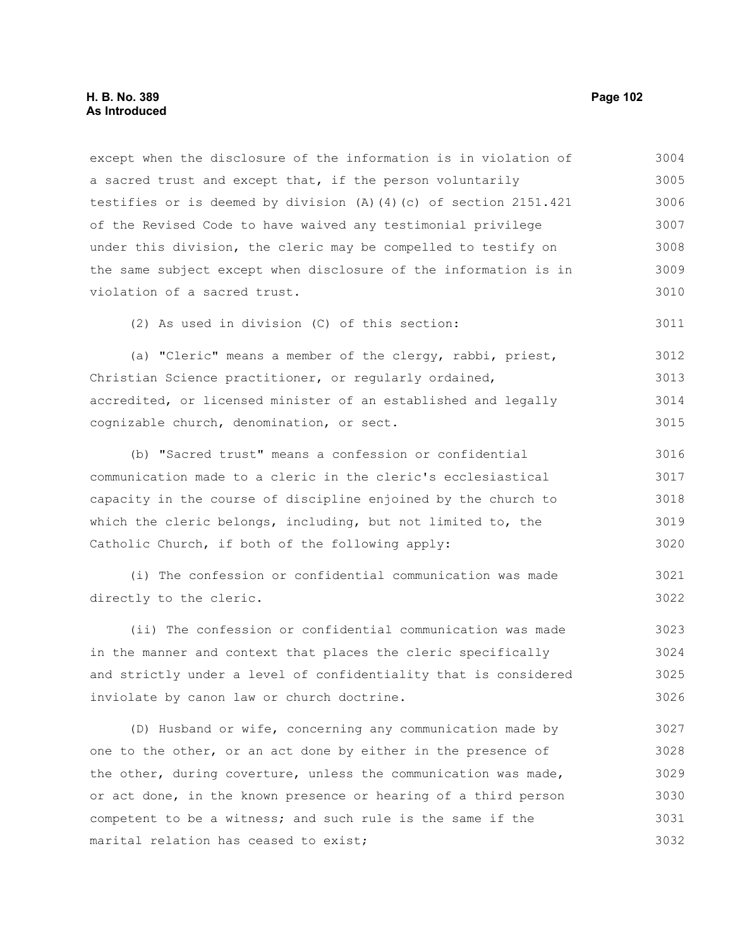## **H. B. No. 389 Page 102 As Introduced**

except when the disclosure of the information is in violation of a sacred trust and except that, if the person voluntarily testifies or is deemed by division (A)(4)(c) of section 2151.421 of the Revised Code to have waived any testimonial privilege under this division, the cleric may be compelled to testify on the same subject except when disclosure of the information is in violation of a sacred trust. 3004 3005 3006 3007 3008 3009 3010

(2) As used in division (C) of this section: 3011

(a) "Cleric" means a member of the clergy, rabbi, priest, Christian Science practitioner, or regularly ordained, accredited, or licensed minister of an established and legally cognizable church, denomination, or sect. 3012 3013 3014 3015

(b) "Sacred trust" means a confession or confidential communication made to a cleric in the cleric's ecclesiastical capacity in the course of discipline enjoined by the church to which the cleric belongs, including, but not limited to, the Catholic Church, if both of the following apply: 3016 3017 3018 3019 3020

(i) The confession or confidential communication was made directly to the cleric. 3021 3022

(ii) The confession or confidential communication was made in the manner and context that places the cleric specifically and strictly under a level of confidentiality that is considered inviolate by canon law or church doctrine. 3023 3024 3025 3026

(D) Husband or wife, concerning any communication made by one to the other, or an act done by either in the presence of the other, during coverture, unless the communication was made, or act done, in the known presence or hearing of a third person competent to be a witness; and such rule is the same if the marital relation has ceased to exist; 3027 3028 3029 3030 3031 3032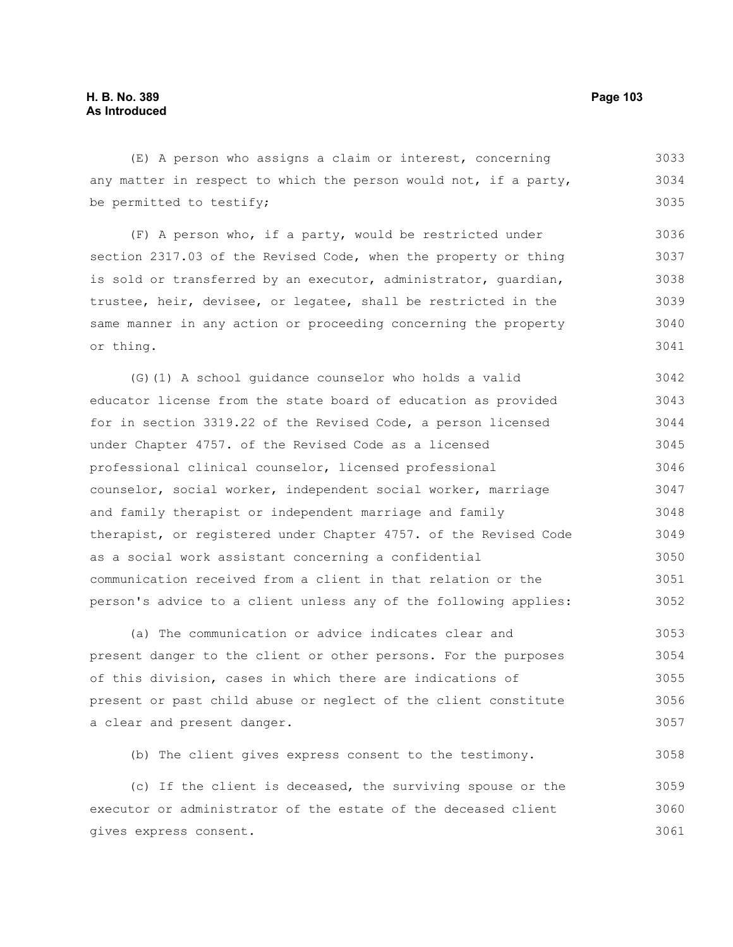#### (E) A person who assigns a claim or interest, concerning any matter in respect to which the person would not, if a party, be permitted to testify; (F) A person who, if a party, would be restricted under section 2317.03 of the Revised Code, when the property or thing is sold or transferred by an executor, administrator, guardian, trustee, heir, devisee, or legatee, shall be restricted in the same manner in any action or proceeding concerning the property or thing. (G)(1) A school guidance counselor who holds a valid educator license from the state board of education as provided for in section 3319.22 of the Revised Code, a person licensed under Chapter 4757. of the Revised Code as a licensed professional clinical counselor, licensed professional counselor, social worker, independent social worker, marriage and family therapist or independent marriage and family therapist, or registered under Chapter 4757. of the Revised Code as a social work assistant concerning a confidential communication received from a client in that relation or the person's advice to a client unless any of the following applies: (a) The communication or advice indicates clear and present danger to the client or other persons. For the purposes of this division, cases in which there are indications of present or past child abuse or neglect of the client constitute a clear and present danger. (b) The client gives express consent to the testimony. 3033 3034 3035 3036 3037 3038 3039 3040 3041 3042 3043 3044 3045 3046 3047 3048 3049 3050 3051 3052 3053 3054 3055 3056 3057 3058

(c) If the client is deceased, the surviving spouse or the executor or administrator of the estate of the deceased client gives express consent. 3059 3060 3061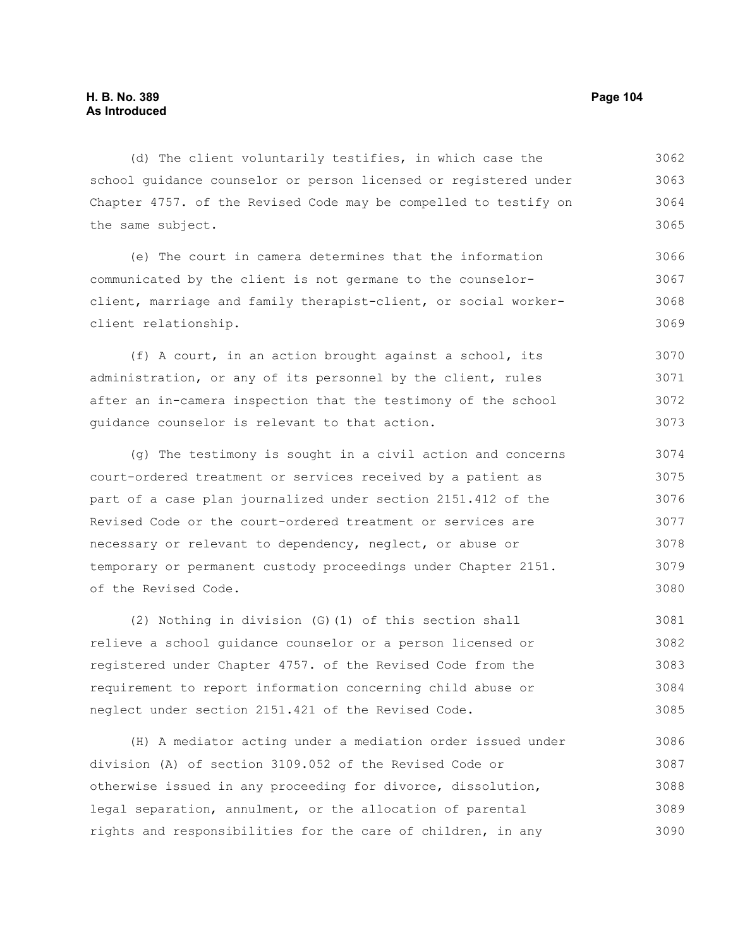(d) The client voluntarily testifies, in which case the school guidance counselor or person licensed or registered under Chapter 4757. of the Revised Code may be compelled to testify on the same subject.

(e) The court in camera determines that the information communicated by the client is not germane to the counselorclient, marriage and family therapist-client, or social workerclient relationship. 3066 3067 3068 3069

(f) A court, in an action brought against a school, its administration, or any of its personnel by the client, rules after an in-camera inspection that the testimony of the school guidance counselor is relevant to that action. 3070 3071 3072 3073

(g) The testimony is sought in a civil action and concerns court-ordered treatment or services received by a patient as part of a case plan journalized under section 2151.412 of the Revised Code or the court-ordered treatment or services are necessary or relevant to dependency, neglect, or abuse or temporary or permanent custody proceedings under Chapter 2151. of the Revised Code. 3074 3075 3076 3077 3078 3079 3080

(2) Nothing in division (G)(1) of this section shall relieve a school guidance counselor or a person licensed or registered under Chapter 4757. of the Revised Code from the requirement to report information concerning child abuse or neglect under section 2151.421 of the Revised Code. 3081 3082 3083 3084 3085

(H) A mediator acting under a mediation order issued under division (A) of section 3109.052 of the Revised Code or otherwise issued in any proceeding for divorce, dissolution, legal separation, annulment, or the allocation of parental rights and responsibilities for the care of children, in any 3086 3087 3088 3089 3090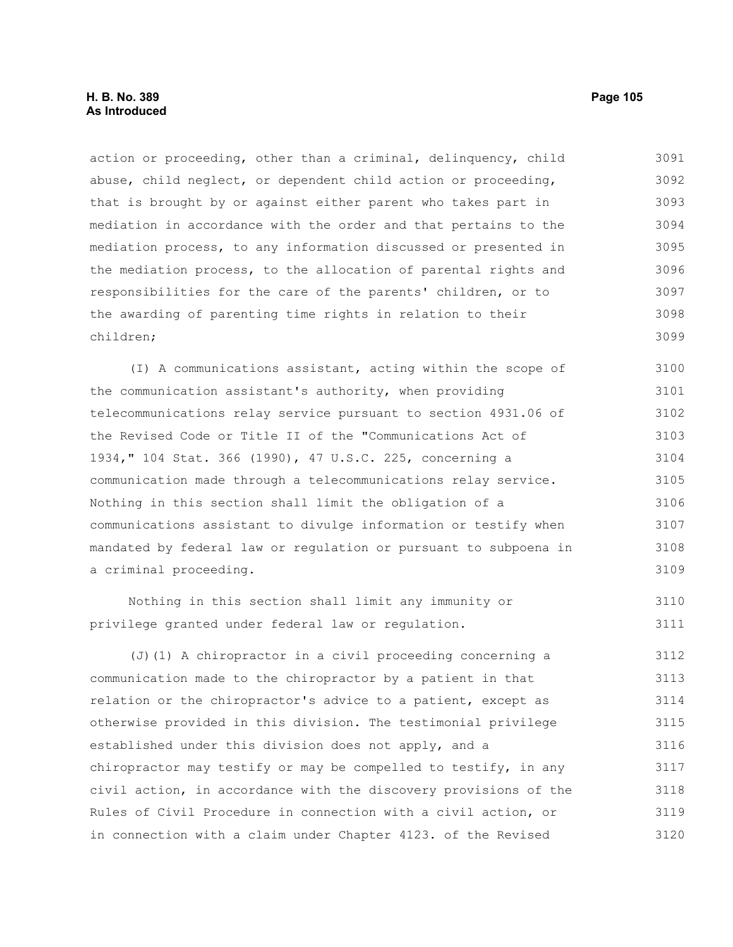# **H. B. No. 389 Page 105 As Introduced**

action or proceeding, other than a criminal, delinquency, child abuse, child neglect, or dependent child action or proceeding, that is brought by or against either parent who takes part in mediation in accordance with the order and that pertains to the mediation process, to any information discussed or presented in the mediation process, to the allocation of parental rights and responsibilities for the care of the parents' children, or to the awarding of parenting time rights in relation to their children; 3091 3092 3093 3094 3095 3096 3097 3098 3099

(I) A communications assistant, acting within the scope of the communication assistant's authority, when providing telecommunications relay service pursuant to section 4931.06 of the Revised Code or Title II of the "Communications Act of 1934," 104 Stat. 366 (1990), 47 U.S.C. 225, concerning a communication made through a telecommunications relay service. Nothing in this section shall limit the obligation of a communications assistant to divulge information or testify when mandated by federal law or regulation or pursuant to subpoena in a criminal proceeding. 3100 3101 3102 3103 3104 3105 3106 3107 3108 3109

Nothing in this section shall limit any immunity or privilege granted under federal law or regulation. 3110 3111

(J)(1) A chiropractor in a civil proceeding concerning a communication made to the chiropractor by a patient in that relation or the chiropractor's advice to a patient, except as otherwise provided in this division. The testimonial privilege established under this division does not apply, and a chiropractor may testify or may be compelled to testify, in any civil action, in accordance with the discovery provisions of the Rules of Civil Procedure in connection with a civil action, or in connection with a claim under Chapter 4123. of the Revised 3112 3113 3114 3115 3116 3117 3118 3119 3120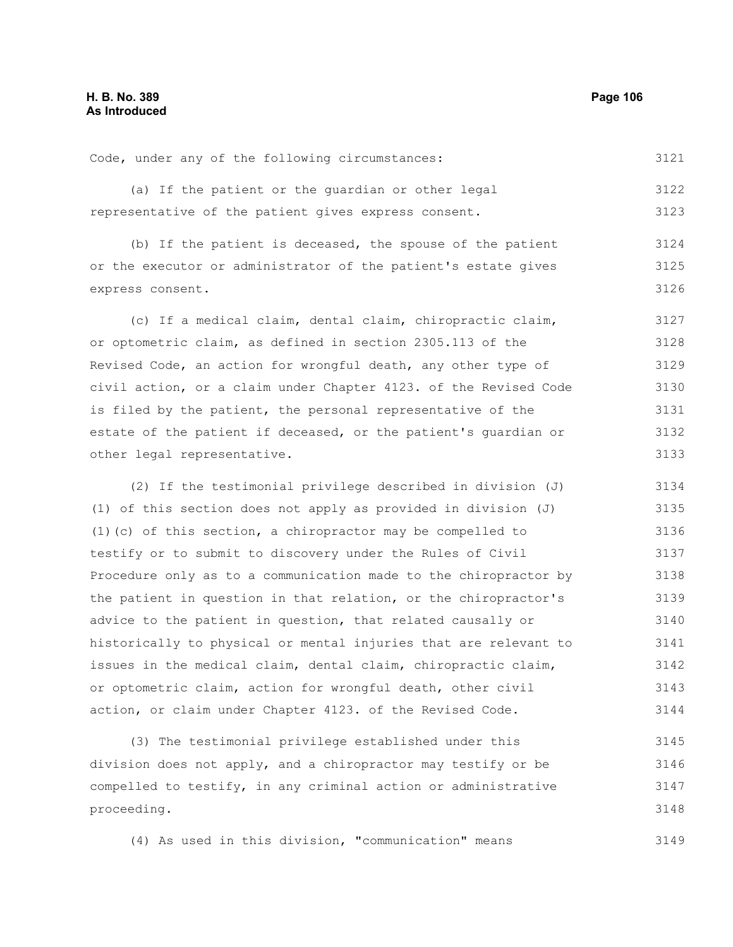#### Code, under any of the following circumstances: (a) If the patient or the guardian or other legal representative of the patient gives express consent. (b) If the patient is deceased, the spouse of the patient or the executor or administrator of the patient's estate gives express consent. (c) If a medical claim, dental claim, chiropractic claim, or optometric claim, as defined in section 2305.113 of the Revised Code, an action for wrongful death, any other type of civil action, or a claim under Chapter 4123. of the Revised Code is filed by the patient, the personal representative of the estate of the patient if deceased, or the patient's guardian or other legal representative. (2) If the testimonial privilege described in division (J) (1) of this section does not apply as provided in division (J) (1)(c) of this section, a chiropractor may be compelled to testify or to submit to discovery under the Rules of Civil Procedure only as to a communication made to the chiropractor by the patient in question in that relation, or the chiropractor's advice to the patient in question, that related causally or historically to physical or mental injuries that are relevant to issues in the medical claim, dental claim, chiropractic claim, or optometric claim, action for wrongful death, other civil action, or claim under Chapter 4123. of the Revised Code. 3121 3122 3123 3124 3125 3126 3127 3128 3129 3130 3131 3132 3133 3134 3135 3136 3137 3138 3139 3140 3141 3142 3143 3144

(3) The testimonial privilege established under this division does not apply, and a chiropractor may testify or be compelled to testify, in any criminal action or administrative proceeding. 3145 3146 3147 3148

(4) As used in this division, "communication" means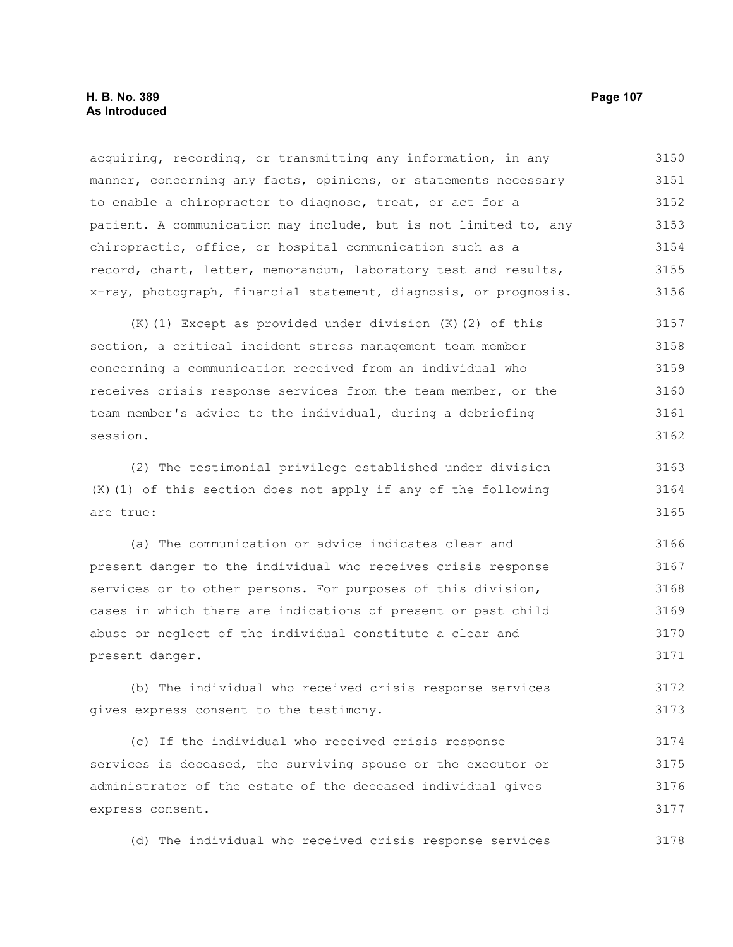acquiring, recording, or transmitting any information, in any manner, concerning any facts, opinions, or statements necessary to enable a chiropractor to diagnose, treat, or act for a patient. A communication may include, but is not limited to, any chiropractic, office, or hospital communication such as a record, chart, letter, memorandum, laboratory test and results, x-ray, photograph, financial statement, diagnosis, or prognosis. 3150 3151 3152 3153 3154 3155 3156

(K)(1) Except as provided under division (K)(2) of this section, a critical incident stress management team member concerning a communication received from an individual who receives crisis response services from the team member, or the team member's advice to the individual, during a debriefing session. 3157 3158 3159 3160 3161 3162

(2) The testimonial privilege established under division (K)(1) of this section does not apply if any of the following are true: 3163 3164 3165

(a) The communication or advice indicates clear and present danger to the individual who receives crisis response services or to other persons. For purposes of this division, cases in which there are indications of present or past child abuse or neglect of the individual constitute a clear and present danger. 3166 3167 3168 3169 3170 3171

(b) The individual who received crisis response services gives express consent to the testimony. 3172 3173

(c) If the individual who received crisis response services is deceased, the surviving spouse or the executor or administrator of the estate of the deceased individual gives express consent. 3174 3175 3176 3177

(d) The individual who received crisis response services 3178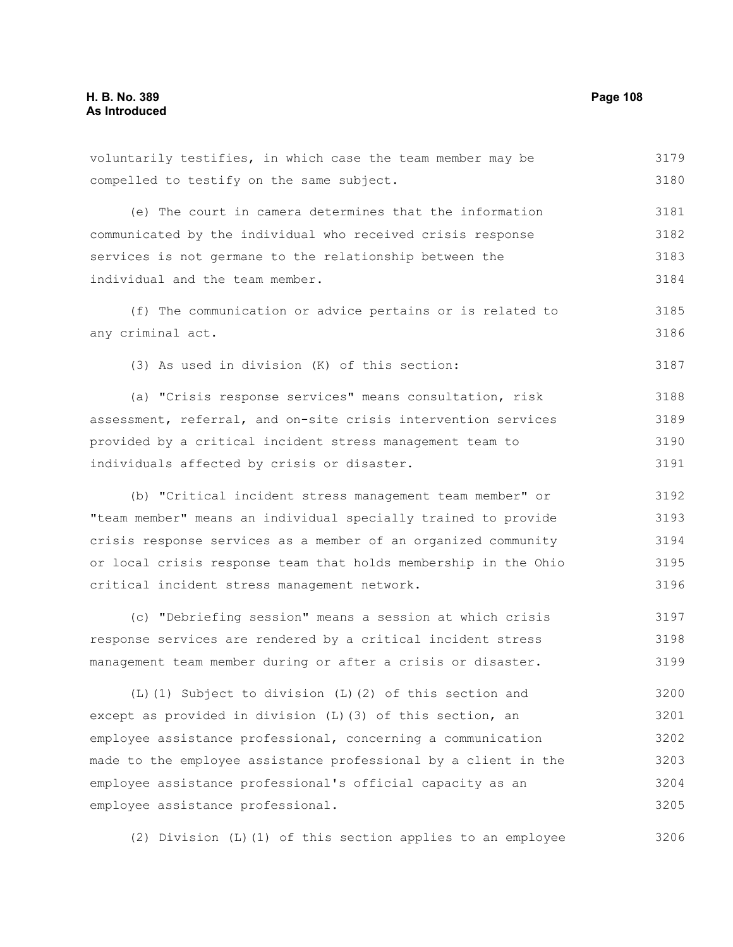| voluntarily testifies, in which case the team member may be     | 3179 |
|-----------------------------------------------------------------|------|
| compelled to testify on the same subject.                       | 3180 |
| (e) The court in camera determines that the information         | 3181 |
| communicated by the individual who received crisis response     | 3182 |
| services is not germane to the relationship between the         | 3183 |
| individual and the team member.                                 | 3184 |
| (f) The communication or advice pertains or is related to       | 3185 |
| any criminal act.                                               | 3186 |
| (3) As used in division (K) of this section:                    | 3187 |
| (a) "Crisis response services" means consultation, risk         | 3188 |
| assessment, referral, and on-site crisis intervention services  | 3189 |
| provided by a critical incident stress management team to       | 3190 |
| individuals affected by crisis or disaster.                     | 3191 |
| (b) "Critical incident stress management team member" or        | 3192 |
| "team member" means an individual specially trained to provide  | 3193 |
| crisis response services as a member of an organized community  | 3194 |
| or local crisis response team that holds membership in the Ohio | 3195 |
| critical incident stress management network.                    | 3196 |
| (c) "Debriefing session" means a session at which crisis        | 3197 |
| response services are rendered by a critical incident stress    | 3198 |
| management team member during or after a crisis or disaster.    | 3199 |
| (L) (1) Subject to division (L) (2) of this section and         | 3200 |
| except as provided in division (L) (3) of this section, an      | 3201 |
| employee assistance professional, concerning a communication    | 3202 |
| made to the employee assistance professional by a client in the | 3203 |
| employee assistance professional's official capacity as an      | 3204 |
| employee assistance professional.                               | 3205 |
| (2) Division (L) (1) of this section applies to an employee     | 3206 |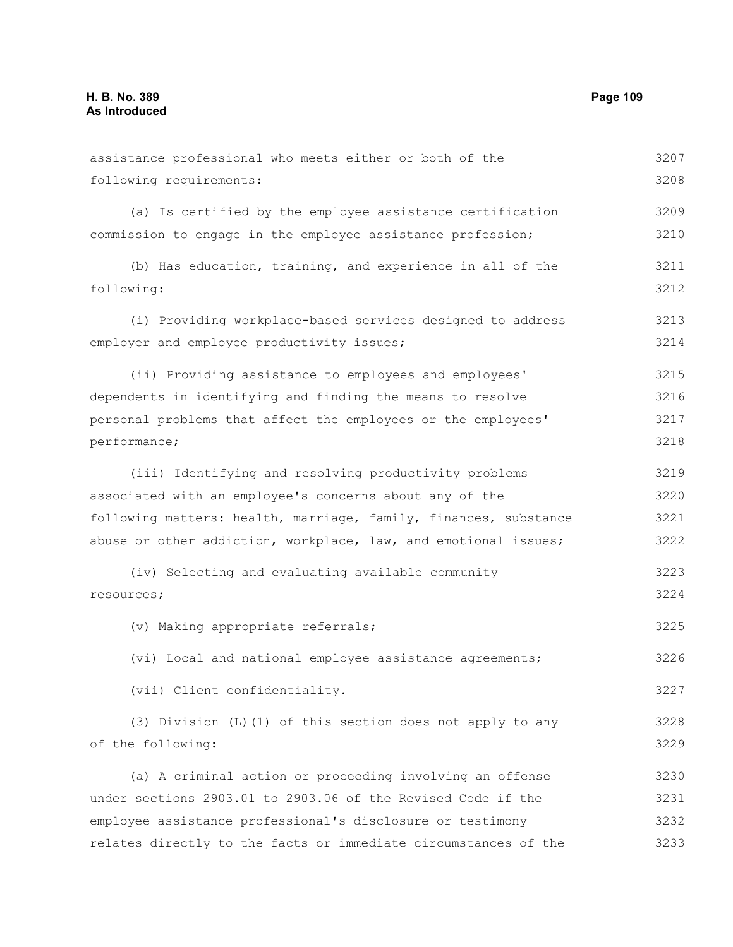assistance professional who meets either or both of the following requirements: (a) Is certified by the employee assistance certification commission to engage in the employee assistance profession; (b) Has education, training, and experience in all of the following: (i) Providing workplace-based services designed to address employer and employee productivity issues; (ii) Providing assistance to employees and employees' dependents in identifying and finding the means to resolve personal problems that affect the employees or the employees' performance; (iii) Identifying and resolving productivity problems associated with an employee's concerns about any of the following matters: health, marriage, family, finances, substance abuse or other addiction, workplace, law, and emotional issues; (iv) Selecting and evaluating available community resources; (v) Making appropriate referrals; (vi) Local and national employee assistance agreements; (vii) Client confidentiality. (3) Division (L)(1) of this section does not apply to any of the following: (a) A criminal action or proceeding involving an offense under sections 2903.01 to 2903.06 of the Revised Code if the employee assistance professional's disclosure or testimony 3207 3208 3209 3210 3211 3212 3213 3214 3215 3216 3217 3218 3219 3220 3221 3222 3223 3224 3225 3226 3227 3228 3229 3230 3231 3232

relates directly to the facts or immediate circumstances of the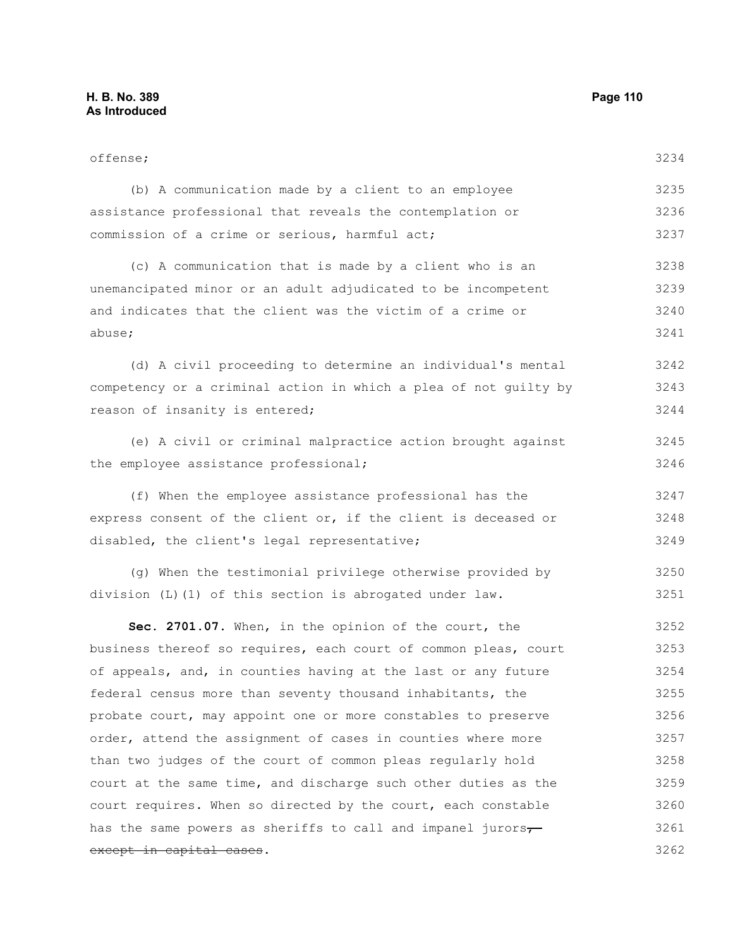| offense;                                                         | 3234 |
|------------------------------------------------------------------|------|
| (b) A communication made by a client to an employee              | 3235 |
| assistance professional that reveals the contemplation or        | 3236 |
| commission of a crime or serious, harmful act;                   | 3237 |
| (c) A communication that is made by a client who is an           | 3238 |
| unemancipated minor or an adult adjudicated to be incompetent    | 3239 |
| and indicates that the client was the victim of a crime or       | 3240 |
| abuse;                                                           | 3241 |
| (d) A civil proceeding to determine an individual's mental       | 3242 |
| competency or a criminal action in which a plea of not guilty by | 3243 |
| reason of insanity is entered;                                   | 3244 |
| (e) A civil or criminal malpractice action brought against       | 3245 |
| the employee assistance professional;                            | 3246 |
| (f) When the employee assistance professional has the            | 3247 |
| express consent of the client or, if the client is deceased or   | 3248 |
| disabled, the client's legal representative;                     | 3249 |
| (g) When the testimonial privilege otherwise provided by         | 3250 |
| division (L) (1) of this section is abrogated under law.         | 3251 |
| Sec. 2701.07. When, in the opinion of the court, the             | 3252 |
| business thereof so requires, each court of common pleas, court  | 3253 |
| of appeals, and, in counties having at the last or any future    | 3254 |
| federal census more than seventy thousand inhabitants, the       | 3255 |
| probate court, may appoint one or more constables to preserve    | 3256 |
| order, attend the assignment of cases in counties where more     | 3257 |
| than two judges of the court of common pleas regularly hold      | 3258 |
| court at the same time, and discharge such other duties as the   | 3259 |
| court requires. When so directed by the court, each constable    | 3260 |
| has the same powers as sheriffs to call and impanel jurors-      | 3261 |
| except in capital cases.                                         | 3262 |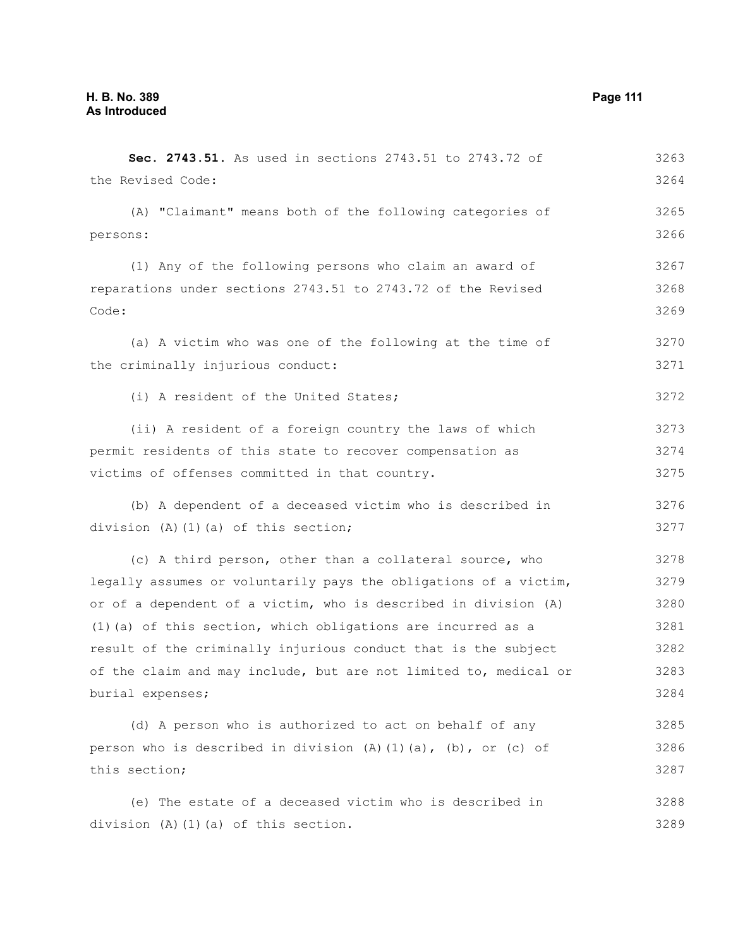persons:

Code:

the Revised Code: (A) "Claimant" means both of the following categories of (1) Any of the following persons who claim an award of reparations under sections 2743.51 to 2743.72 of the Revised (a) A victim who was one of the following at the time of the criminally injurious conduct: (i) A resident of the United States; (ii) A resident of a foreign country the laws of which permit residents of this state to recover compensation as victims of offenses committed in that country. (b) A dependent of a deceased victim who is described in division (A)(1)(a) of this section; (c) A third person, other than a collateral source, who legally assumes or voluntarily pays the obligations of a victim, or of a dependent of a victim, who is described in division (A) (1)(a) of this section, which obligations are incurred as a result of the criminally injurious conduct that is the subject of the claim and may include, but are not limited to, medical or burial expenses; (d) A person who is authorized to act on behalf of any person who is described in division  $(A)(1)(a)$ ,  $(b)$ , or  $(c)$  of this section; 3264 3265 3266 3267 3268 3269 3270 3271 3272 3273 3274 3275 3276 3277 3278 3279 3280 3281 3282 3283 3284 3285 3286 3287

**Sec. 2743.51.** As used in sections 2743.51 to 2743.72 of

(e) The estate of a deceased victim who is described in division (A)(1)(a) of this section. 3288 3289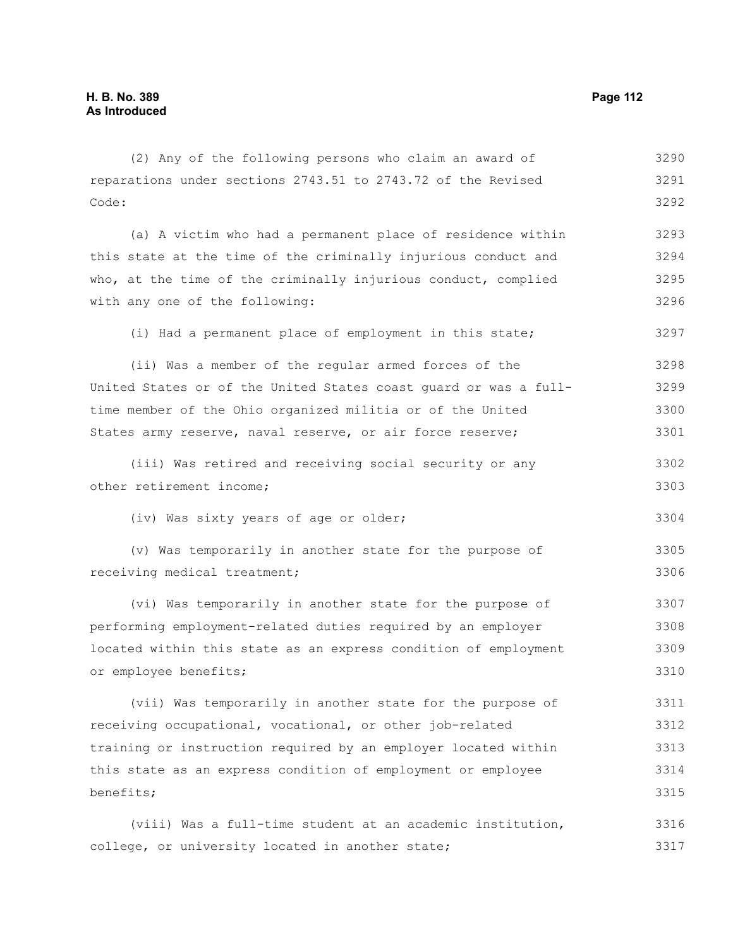| (2) Any of the following persons who claim an award of           | 3290 |
|------------------------------------------------------------------|------|
| reparations under sections 2743.51 to 2743.72 of the Revised     | 3291 |
| Code:                                                            | 3292 |
| (a) A victim who had a permanent place of residence within       | 3293 |
| this state at the time of the criminally injurious conduct and   | 3294 |
| who, at the time of the criminally injurious conduct, complied   | 3295 |
| with any one of the following:                                   | 3296 |
| (i) Had a permanent place of employment in this state;           | 3297 |
| (ii) Was a member of the regular armed forces of the             | 3298 |
| United States or of the United States coast quard or was a full- | 3299 |
| time member of the Ohio organized militia or of the United       | 3300 |
| States army reserve, naval reserve, or air force reserve;        | 3301 |
| (iii) Was retired and receiving social security or any           | 3302 |
| other retirement income;                                         | 3303 |
| (iv) Was sixty years of age or older;                            | 3304 |
| (v) Was temporarily in another state for the purpose of          | 3305 |
| receiving medical treatment;                                     | 3306 |
| (vi) Was temporarily in another state for the purpose of         | 3307 |
| performing employment-related duties required by an employer     | 3308 |
| located within this state as an express condition of employment  | 3309 |
| or employee benefits;                                            | 3310 |
| (vii) Was temporarily in another state for the purpose of        | 3311 |
| receiving occupational, vocational, or other job-related         | 3312 |
| training or instruction required by an employer located within   | 3313 |
| this state as an express condition of employment or employee     | 3314 |
| benefits;                                                        | 3315 |
| (viii) Was a full-time student at an academic institution,       | 3316 |
| college, or university located in another state;                 | 3317 |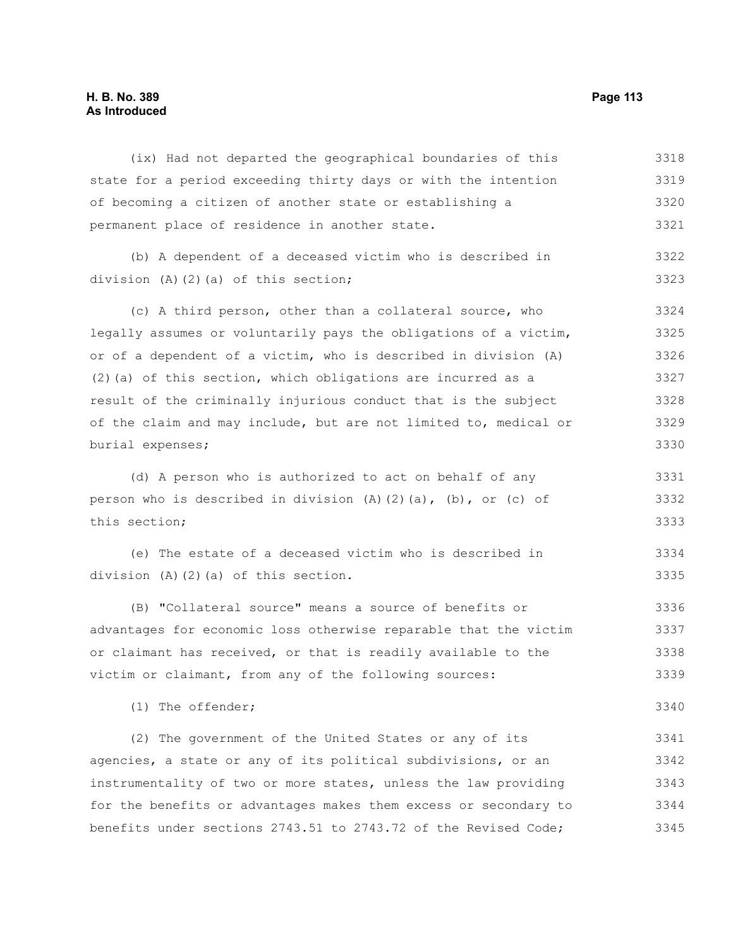# **H. B. No. 389 Page 113 As Introduced**

(ix) Had not departed the geographical boundaries of this state for a period exceeding thirty days or with the intention of becoming a citizen of another state or establishing a permanent place of residence in another state. (b) A dependent of a deceased victim who is described in division (A)(2)(a) of this section; (c) A third person, other than a collateral source, who legally assumes or voluntarily pays the obligations of a victim, or of a dependent of a victim, who is described in division (A) (2)(a) of this section, which obligations are incurred as a result of the criminally injurious conduct that is the subject of the claim and may include, but are not limited to, medical or burial expenses; (d) A person who is authorized to act on behalf of any person who is described in division  $(A)$   $(2)$   $(a)$ ,  $(b)$ , or  $(c)$  of this section; (e) The estate of a deceased victim who is described in division (A)(2)(a) of this section. (B) "Collateral source" means a source of benefits or advantages for economic loss otherwise reparable that the victim or claimant has received, or that is readily available to the victim or claimant, from any of the following sources: (1) The offender; (2) The government of the United States or any of its agencies, a state or any of its political subdivisions, or an instrumentality of two or more states, unless the law providing for the benefits or advantages makes them excess or secondary to 3318 3319 3320 3321 3322 3323 3324 3325 3326 3327 3328 3329 3330 3331 3332 3333 3334 3335 3336 3337 3338 3339 3340 3341 3342 3343 3344

benefits under sections 2743.51 to 2743.72 of the Revised Code;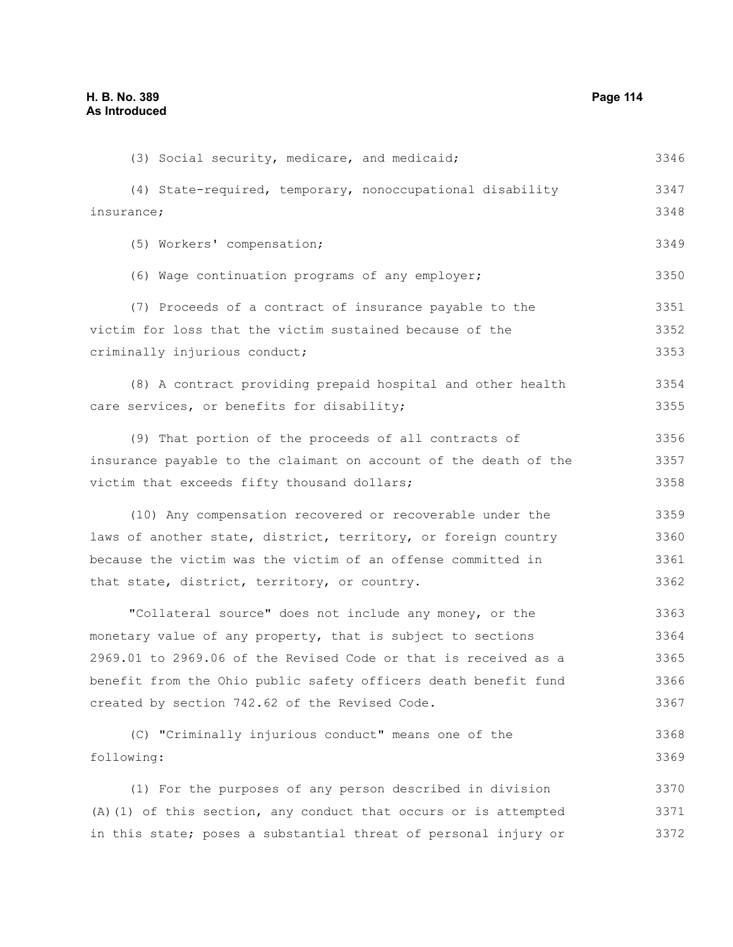(3) Social security, medicare, and medicaid; (4) State-required, temporary, nonoccupational disability insurance; (5) Workers' compensation; (6) Wage continuation programs of any employer; (7) Proceeds of a contract of insurance payable to the victim for loss that the victim sustained because of the criminally injurious conduct; (8) A contract providing prepaid hospital and other health care services, or benefits for disability; (9) That portion of the proceeds of all contracts of insurance payable to the claimant on account of the death of the victim that exceeds fifty thousand dollars; (10) Any compensation recovered or recoverable under the laws of another state, district, territory, or foreign country because the victim was the victim of an offense committed in that state, district, territory, or country. "Collateral source" does not include any money, or the monetary value of any property, that is subject to sections 2969.01 to 2969.06 of the Revised Code or that is received as a benefit from the Ohio public safety officers death benefit fund created by section 742.62 of the Revised Code. (C) "Criminally injurious conduct" means one of the following: (1) For the purposes of any person described in division (A)(1) of this section, any conduct that occurs or is attempted in this state; poses a substantial threat of personal injury or 3346 3347 3348 3349 3350 3351 3352 3353 3354 3355 3356 3357 3358 3359 3360 3361 3362 3363 3364 3365 3366 3367 3368 3369 3370 3371 3372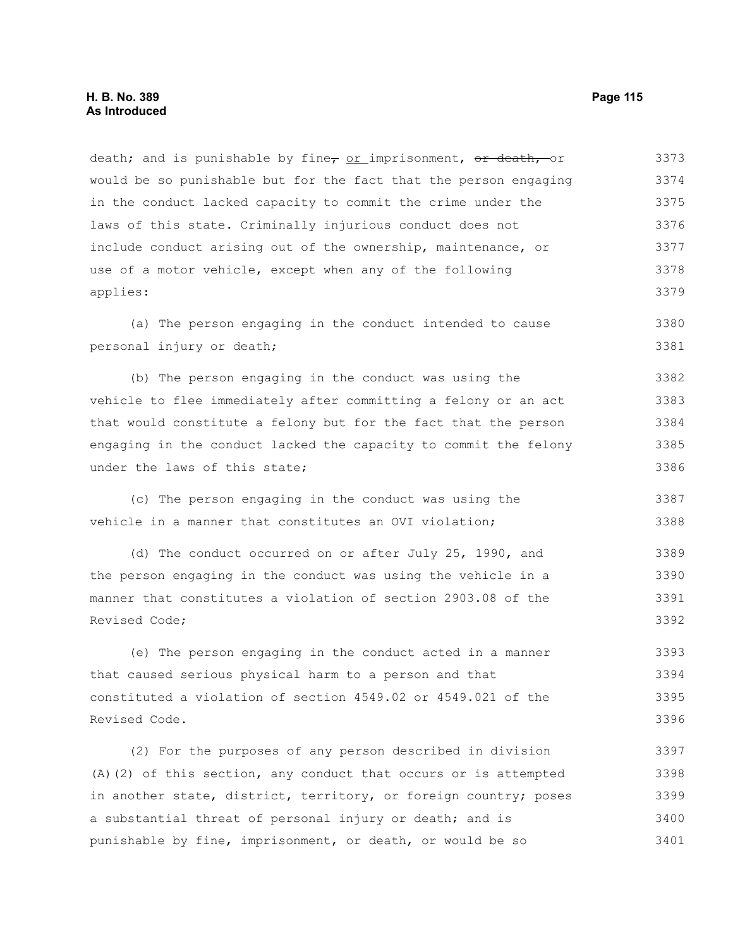death; and is punishable by fine, or imprisonment, or death, or would be so punishable but for the fact that the person engaging in the conduct lacked capacity to commit the crime under the laws of this state. Criminally injurious conduct does not include conduct arising out of the ownership, maintenance, or use of a motor vehicle, except when any of the following applies: 3373 3374 3375 3376 3377 3378 3379

(a) The person engaging in the conduct intended to cause personal injury or death; 3380 3381

(b) The person engaging in the conduct was using the vehicle to flee immediately after committing a felony or an act that would constitute a felony but for the fact that the person engaging in the conduct lacked the capacity to commit the felony under the laws of this state; 3382 3383 3384 3385 3386

(c) The person engaging in the conduct was using the vehicle in a manner that constitutes an OVI violation; 3387 3388

(d) The conduct occurred on or after July 25, 1990, and the person engaging in the conduct was using the vehicle in a manner that constitutes a violation of section 2903.08 of the Revised Code; 3389 3390 3391 3392

(e) The person engaging in the conduct acted in a manner that caused serious physical harm to a person and that constituted a violation of section 4549.02 or 4549.021 of the Revised Code. 3393 3394 3395 3396

(2) For the purposes of any person described in division (A)(2) of this section, any conduct that occurs or is attempted in another state, district, territory, or foreign country; poses a substantial threat of personal injury or death; and is punishable by fine, imprisonment, or death, or would be so 3397 3398 3399 3400 3401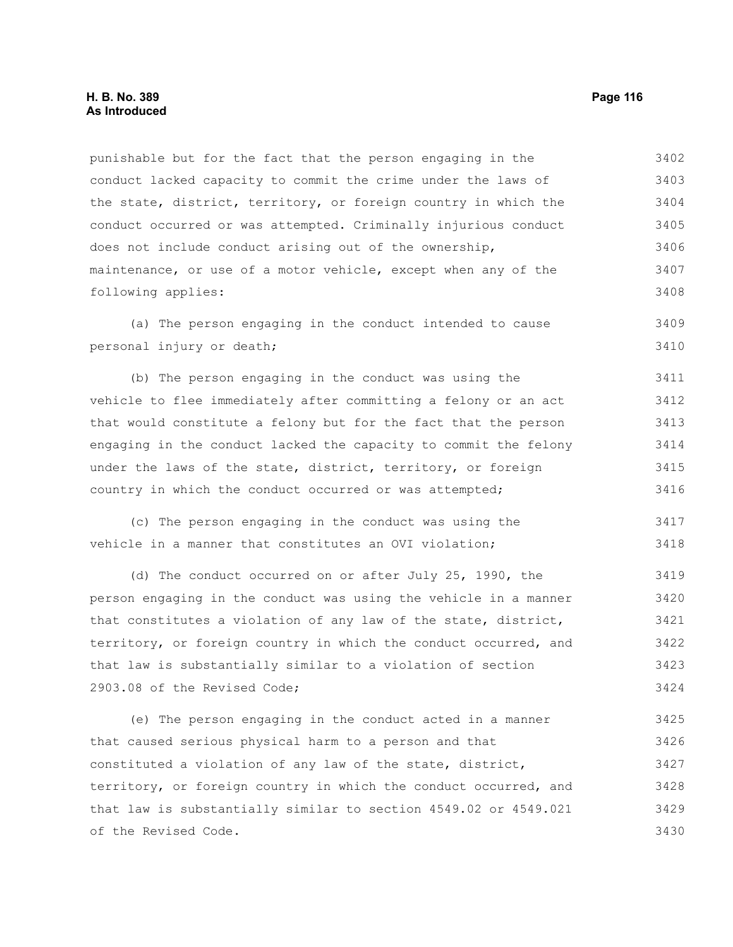punishable but for the fact that the person engaging in the conduct lacked capacity to commit the crime under the laws of the state, district, territory, or foreign country in which the conduct occurred or was attempted. Criminally injurious conduct does not include conduct arising out of the ownership, maintenance, or use of a motor vehicle, except when any of the following applies: 3402 3403 3404 3405 3406 3407 3408

(a) The person engaging in the conduct intended to cause personal injury or death; 3409 3410

(b) The person engaging in the conduct was using the vehicle to flee immediately after committing a felony or an act that would constitute a felony but for the fact that the person engaging in the conduct lacked the capacity to commit the felony under the laws of the state, district, territory, or foreign country in which the conduct occurred or was attempted; 3411 3412 3413 3414 3415 3416

(c) The person engaging in the conduct was using the vehicle in a manner that constitutes an OVI violation; 3417 3418

(d) The conduct occurred on or after July 25, 1990, the person engaging in the conduct was using the vehicle in a manner that constitutes a violation of any law of the state, district, territory, or foreign country in which the conduct occurred, and that law is substantially similar to a violation of section 2903.08 of the Revised Code; 3419 3420 3421 3422 3423 3424

(e) The person engaging in the conduct acted in a manner that caused serious physical harm to a person and that constituted a violation of any law of the state, district, territory, or foreign country in which the conduct occurred, and that law is substantially similar to section 4549.02 or 4549.021 of the Revised Code. 3425 3426 3427 3428 3429 3430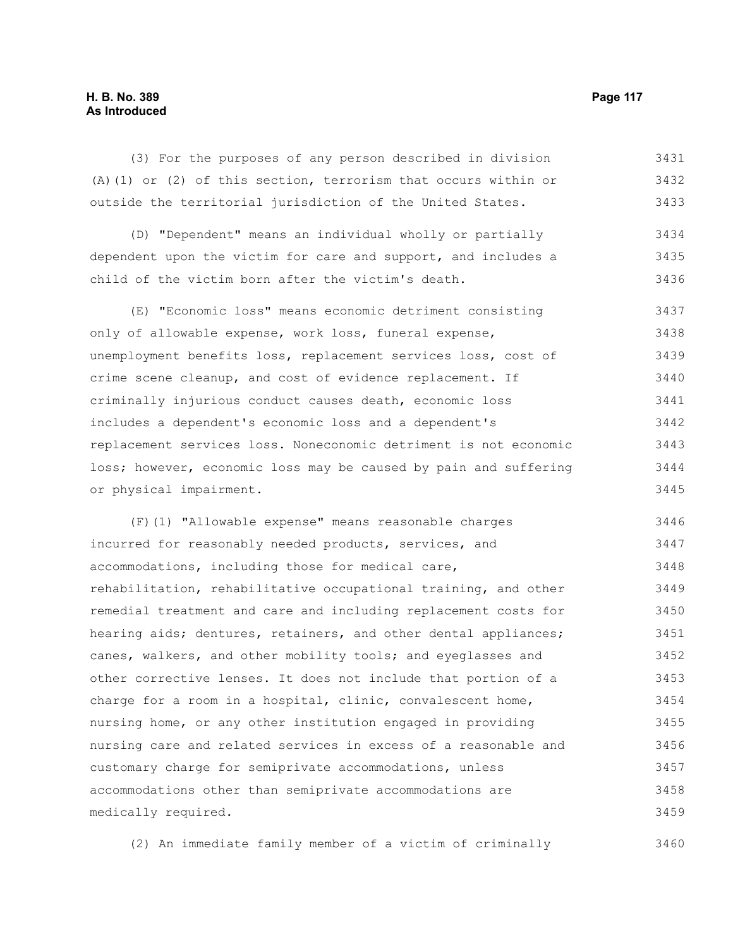# **H. B. No. 389 Page 117 As Introduced**

(3) For the purposes of any person described in division (A)(1) or (2) of this section, terrorism that occurs within or outside the territorial jurisdiction of the United States. 3431 3432 3433

(D) "Dependent" means an individual wholly or partially dependent upon the victim for care and support, and includes a child of the victim born after the victim's death. 3434 3435 3436

(E) "Economic loss" means economic detriment consisting only of allowable expense, work loss, funeral expense, unemployment benefits loss, replacement services loss, cost of crime scene cleanup, and cost of evidence replacement. If criminally injurious conduct causes death, economic loss includes a dependent's economic loss and a dependent's replacement services loss. Noneconomic detriment is not economic loss; however, economic loss may be caused by pain and suffering or physical impairment. 3437 3438 3439 3440 3441 3442 3443 3444 3445

(F)(1) "Allowable expense" means reasonable charges incurred for reasonably needed products, services, and accommodations, including those for medical care, rehabilitation, rehabilitative occupational training, and other remedial treatment and care and including replacement costs for hearing aids; dentures, retainers, and other dental appliances; canes, walkers, and other mobility tools; and eyeglasses and other corrective lenses. It does not include that portion of a charge for a room in a hospital, clinic, convalescent home, nursing home, or any other institution engaged in providing nursing care and related services in excess of a reasonable and customary charge for semiprivate accommodations, unless accommodations other than semiprivate accommodations are medically required. 3446 3447 3448 3449 3450 3451 3452 3453 3454 3455 3456 3457 3458 3459

(2) An immediate family member of a victim of criminally 3460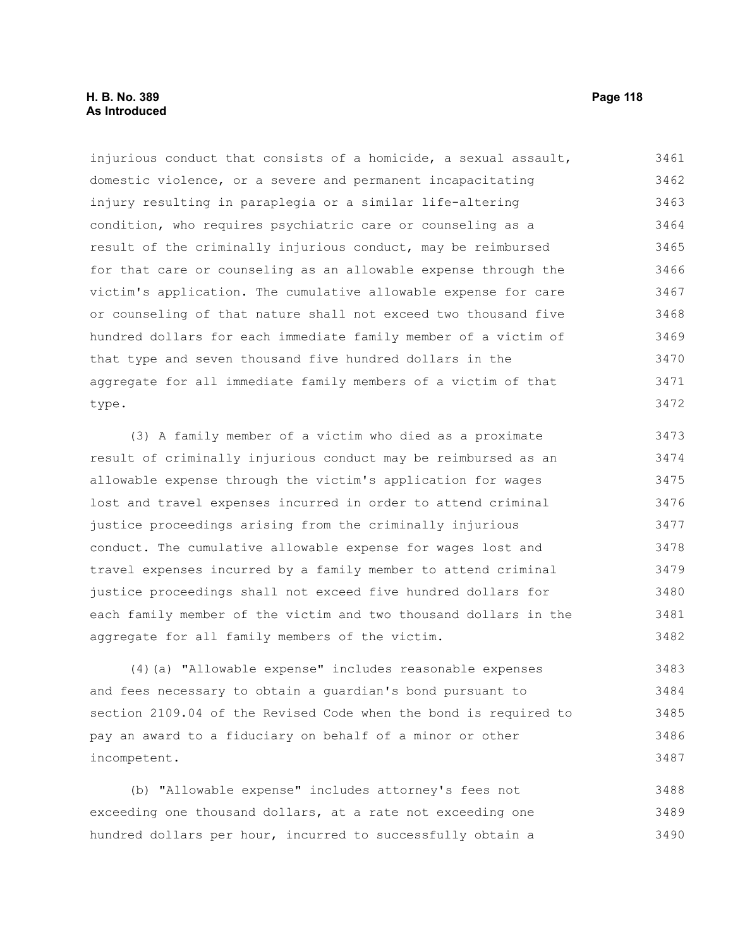# **H. B. No. 389 Page 118 As Introduced**

injurious conduct that consists of a homicide, a sexual assault, domestic violence, or a severe and permanent incapacitating injury resulting in paraplegia or a similar life-altering condition, who requires psychiatric care or counseling as a result of the criminally injurious conduct, may be reimbursed for that care or counseling as an allowable expense through the victim's application. The cumulative allowable expense for care or counseling of that nature shall not exceed two thousand five hundred dollars for each immediate family member of a victim of that type and seven thousand five hundred dollars in the aggregate for all immediate family members of a victim of that type. 3461 3462 3463 3464 3465 3466 3467 3468 3469 3470 3471 3472

(3) A family member of a victim who died as a proximate result of criminally injurious conduct may be reimbursed as an allowable expense through the victim's application for wages lost and travel expenses incurred in order to attend criminal justice proceedings arising from the criminally injurious conduct. The cumulative allowable expense for wages lost and travel expenses incurred by a family member to attend criminal justice proceedings shall not exceed five hundred dollars for each family member of the victim and two thousand dollars in the aggregate for all family members of the victim. 3473 3474 3475 3476 3477 3478 3479 3480 3481 3482

(4)(a) "Allowable expense" includes reasonable expenses and fees necessary to obtain a guardian's bond pursuant to section 2109.04 of the Revised Code when the bond is required to pay an award to a fiduciary on behalf of a minor or other incompetent. 3483 3484 3485 3486 3487

(b) "Allowable expense" includes attorney's fees not exceeding one thousand dollars, at a rate not exceeding one hundred dollars per hour, incurred to successfully obtain a 3488 3489 3490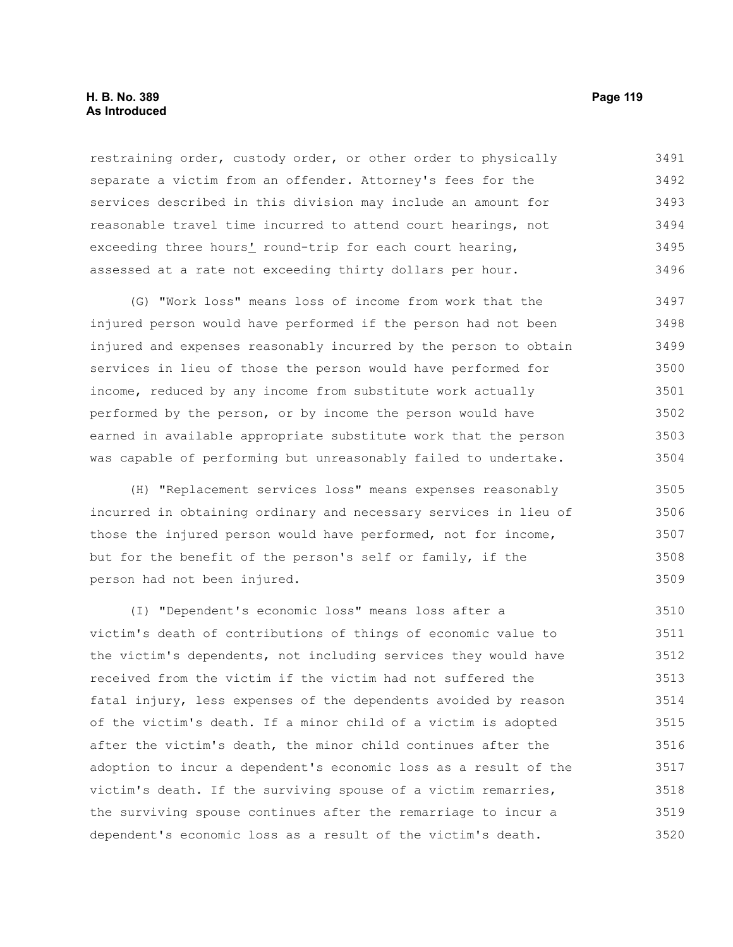# **H. B. No. 389 Page 119 As Introduced**

restraining order, custody order, or other order to physically separate a victim from an offender. Attorney's fees for the services described in this division may include an amount for reasonable travel time incurred to attend court hearings, not exceeding three hours' round-trip for each court hearing, assessed at a rate not exceeding thirty dollars per hour. 3491 3492 3493 3494 3495 3496

(G) "Work loss" means loss of income from work that the injured person would have performed if the person had not been injured and expenses reasonably incurred by the person to obtain services in lieu of those the person would have performed for income, reduced by any income from substitute work actually performed by the person, or by income the person would have earned in available appropriate substitute work that the person was capable of performing but unreasonably failed to undertake. 3497 3498 3499 3500 3501 3502 3503 3504

(H) "Replacement services loss" means expenses reasonably incurred in obtaining ordinary and necessary services in lieu of those the injured person would have performed, not for income, but for the benefit of the person's self or family, if the person had not been injured.

(I) "Dependent's economic loss" means loss after a victim's death of contributions of things of economic value to the victim's dependents, not including services they would have received from the victim if the victim had not suffered the fatal injury, less expenses of the dependents avoided by reason of the victim's death. If a minor child of a victim is adopted after the victim's death, the minor child continues after the adoption to incur a dependent's economic loss as a result of the victim's death. If the surviving spouse of a victim remarries, the surviving spouse continues after the remarriage to incur a dependent's economic loss as a result of the victim's death. 3510 3511 3512 3513 3514 3515 3516 3517 3518 3519 3520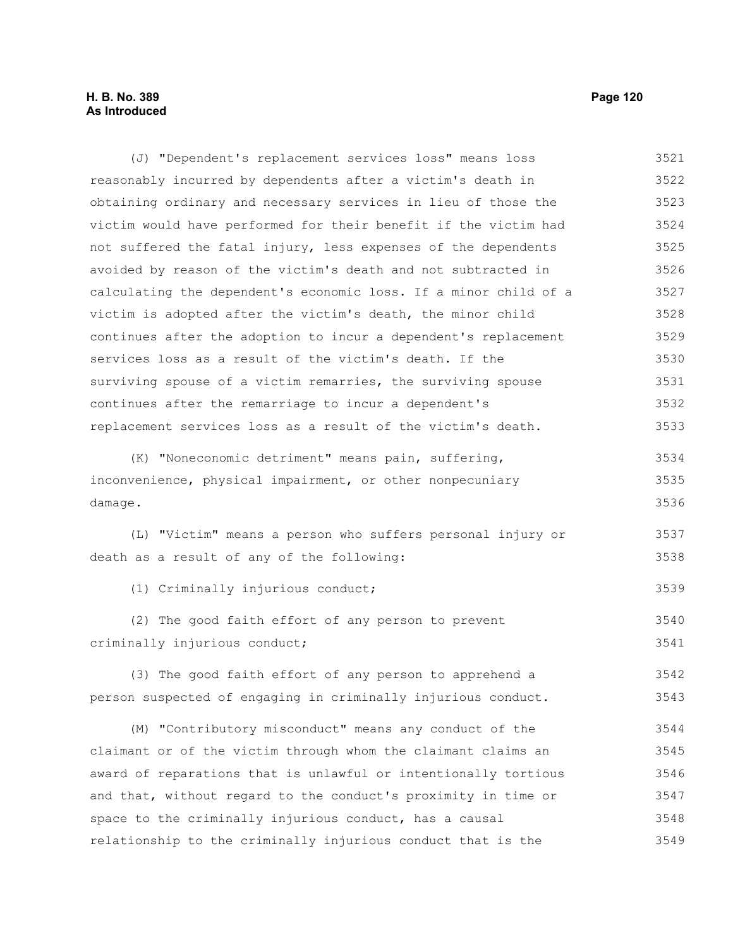(J) "Dependent's replacement services loss" means loss

reasonably incurred by dependents after a victim's death in obtaining ordinary and necessary services in lieu of those the victim would have performed for their benefit if the victim had not suffered the fatal injury, less expenses of the dependents avoided by reason of the victim's death and not subtracted in calculating the dependent's economic loss. If a minor child of a victim is adopted after the victim's death, the minor child continues after the adoption to incur a dependent's replacement services loss as a result of the victim's death. If the surviving spouse of a victim remarries, the surviving spouse continues after the remarriage to incur a dependent's replacement services loss as a result of the victim's death. (K) "Noneconomic detriment" means pain, suffering, inconvenience, physical impairment, or other nonpecuniary damage. (L) "Victim" means a person who suffers personal injury or death as a result of any of the following: (1) Criminally injurious conduct; (2) The good faith effort of any person to prevent criminally injurious conduct; (3) The good faith effort of any person to apprehend a person suspected of engaging in criminally injurious conduct. 3522 3523 3524 3525 3526 3527 3528 3529 3530 3531 3532 3533 3534 3535 3536 3537 3538 3539 3540 3541 3542 3543

(M) "Contributory misconduct" means any conduct of the claimant or of the victim through whom the claimant claims an award of reparations that is unlawful or intentionally tortious and that, without regard to the conduct's proximity in time or space to the criminally injurious conduct, has a causal relationship to the criminally injurious conduct that is the 3544 3545 3546 3547 3548 3549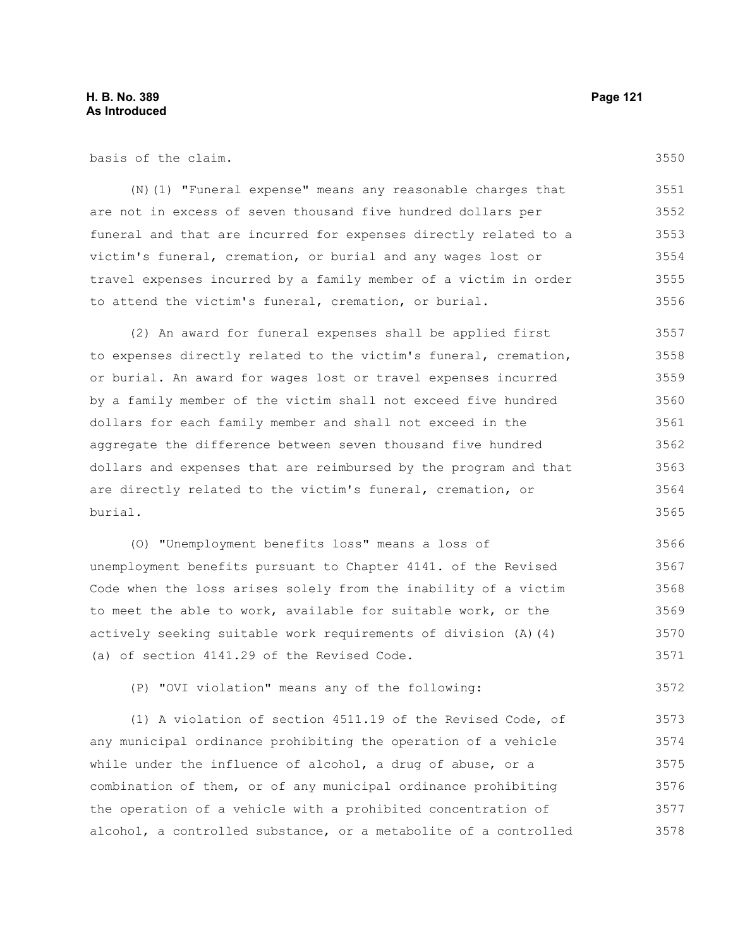3550

3572

basis of the claim.

(N)(1) "Funeral expense" means any reasonable charges that are not in excess of seven thousand five hundred dollars per funeral and that are incurred for expenses directly related to a victim's funeral, cremation, or burial and any wages lost or travel expenses incurred by a family member of a victim in order to attend the victim's funeral, cremation, or burial. 3551 3552 3553 3554 3555 3556

(2) An award for funeral expenses shall be applied first to expenses directly related to the victim's funeral, cremation, or burial. An award for wages lost or travel expenses incurred by a family member of the victim shall not exceed five hundred dollars for each family member and shall not exceed in the aggregate the difference between seven thousand five hundred dollars and expenses that are reimbursed by the program and that are directly related to the victim's funeral, cremation, or burial. 3557 3558 3559 3560 3561 3562 3563 3564 3565

(O) "Unemployment benefits loss" means a loss of unemployment benefits pursuant to Chapter 4141. of the Revised Code when the loss arises solely from the inability of a victim to meet the able to work, available for suitable work, or the actively seeking suitable work requirements of division (A)(4) (a) of section 4141.29 of the Revised Code. 3566 3567 3568 3569 3570 3571

(P) "OVI violation" means any of the following:

(1) A violation of section 4511.19 of the Revised Code, of any municipal ordinance prohibiting the operation of a vehicle while under the influence of alcohol, a drug of abuse, or a combination of them, or of any municipal ordinance prohibiting the operation of a vehicle with a prohibited concentration of alcohol, a controlled substance, or a metabolite of a controlled 3573 3574 3575 3576 3577 3578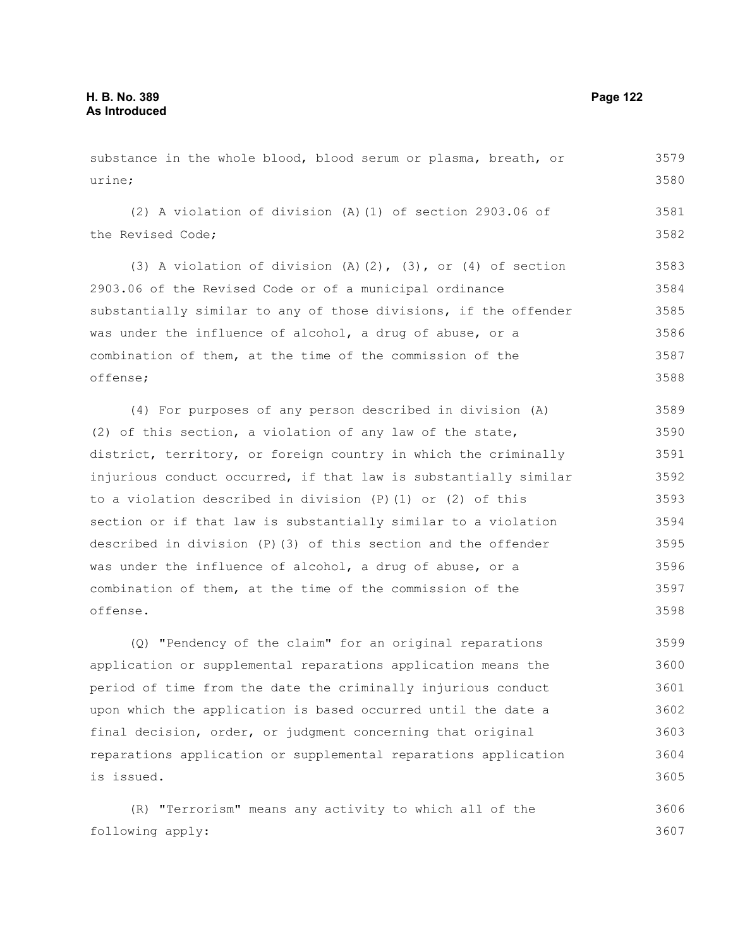substance in the whole blood, blood serum or plasma, breath, or urine; (2) A violation of division (A)(1) of section 2903.06 of the Revised Code; (3) A violation of division  $(A)$   $(2)$ ,  $(3)$ , or  $(4)$  of section 2903.06 of the Revised Code or of a municipal ordinance substantially similar to any of those divisions, if the offender was under the influence of alcohol, a drug of abuse, or a combination of them, at the time of the commission of the offense; (4) For purposes of any person described in division (A) (2) of this section, a violation of any law of the state, district, territory, or foreign country in which the criminally injurious conduct occurred, if that law is substantially similar to a violation described in division (P)(1) or (2) of this section or if that law is substantially similar to a violation described in division (P)(3) of this section and the offender 3579 3580 3581 3582 3583 3584 3585 3586 3587 3588 3589 3590 3591 3592 3593 3594 3595

was under the influence of alcohol, a drug of abuse, or a combination of them, at the time of the commission of the offense. 3596 3597 3598

(Q) "Pendency of the claim" for an original reparations application or supplemental reparations application means the period of time from the date the criminally injurious conduct upon which the application is based occurred until the date a final decision, order, or judgment concerning that original reparations application or supplemental reparations application is issued. 3599 3600 3601 3602 3603 3604 3605

(R) "Terrorism" means any activity to which all of the following apply: 3606 3607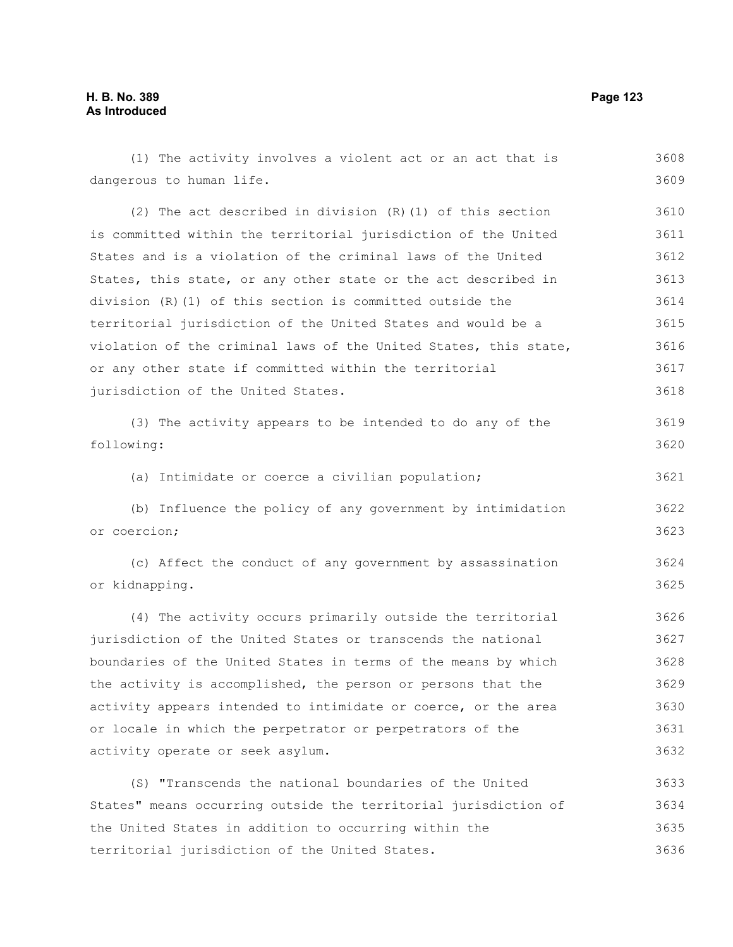| (1) The activity involves a violent act or an act that is        | 3608 |
|------------------------------------------------------------------|------|
| dangerous to human life.                                         | 3609 |
| (2) The act described in division $(R)$ (1) of this section      | 3610 |
| is committed within the territorial jurisdiction of the United   | 3611 |
| States and is a violation of the criminal laws of the United     | 3612 |
| States, this state, or any other state or the act described in   | 3613 |
| division (R) (1) of this section is committed outside the        | 3614 |
| territorial jurisdiction of the United States and would be a     | 3615 |
| violation of the criminal laws of the United States, this state, | 3616 |
| or any other state if committed within the territorial           | 3617 |
| jurisdiction of the United States.                               | 3618 |
| (3) The activity appears to be intended to do any of the         | 3619 |
| following:                                                       | 3620 |
| (a) Intimidate or coerce a civilian population;                  | 3621 |
| (b) Influence the policy of any government by intimidation       | 3622 |
| or coercion;                                                     | 3623 |
| (c) Affect the conduct of any government by assassination        | 3624 |
| or kidnapping.                                                   | 3625 |
| (4) The activity occurs primarily outside the territorial        | 3626 |
| jurisdiction of the United States or transcends the national     | 3627 |
| boundaries of the United States in terms of the means by which   | 3628 |
| the activity is accomplished, the person or persons that the     | 3629 |
| activity appears intended to intimidate or coerce, or the area   | 3630 |
| or locale in which the perpetrator or perpetrators of the        | 3631 |
| activity operate or seek asylum.                                 | 3632 |
| (S) "Transcends the national boundaries of the United            | 3633 |
| States" means occurring outside the territorial jurisdiction of  | 3634 |
| the United States in addition to occurring within the            | 3635 |
| territorial jurisdiction of the United States.                   | 3636 |
|                                                                  |      |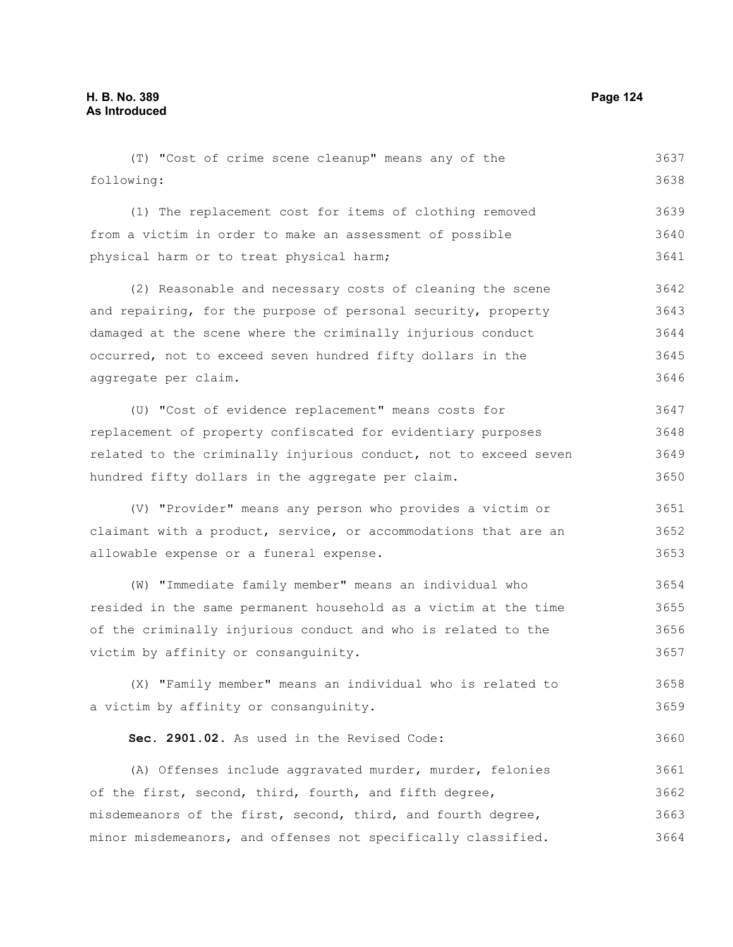| (T) "Cost of crime scene cleanup" means any of the               | 3637 |
|------------------------------------------------------------------|------|
| following:                                                       | 3638 |
| (1) The replacement cost for items of clothing removed           | 3639 |
| from a victim in order to make an assessment of possible         | 3640 |
| physical harm or to treat physical harm;                         | 3641 |
| (2) Reasonable and necessary costs of cleaning the scene         | 3642 |
| and repairing, for the purpose of personal security, property    | 3643 |
| damaged at the scene where the criminally injurious conduct      | 3644 |
| occurred, not to exceed seven hundred fifty dollars in the       | 3645 |
| aggregate per claim.                                             | 3646 |
|                                                                  |      |
| (U) "Cost of evidence replacement" means costs for               | 3647 |
| replacement of property confiscated for evidentiary purposes     | 3648 |
| related to the criminally injurious conduct, not to exceed seven | 3649 |
| hundred fifty dollars in the aggregate per claim.                | 3650 |
| (V) "Provider" means any person who provides a victim or         | 3651 |
| claimant with a product, service, or accommodations that are an  | 3652 |
| allowable expense or a funeral expense.                          | 3653 |
| (W) "Immediate family member" means an individual who            | 3654 |
| resided in the same permanent household as a victim at the time  | 3655 |
| of the criminally injurious conduct and who is related to the    | 3656 |
| victim by affinity or consanguinity.                             | 3657 |
| (X) "Family member" means an individual who is related to        | 3658 |
| a victim by affinity or consanguinity.                           | 3659 |
| Sec. 2901.02. As used in the Revised Code:                       | 3660 |
| (A) Offenses include aggravated murder, murder, felonies         | 3661 |
| of the first, second, third, fourth, and fifth degree,           | 3662 |
| misdemeanors of the first, second, third, and fourth degree,     | 3663 |
| minor misdemeanors, and offenses not specifically classified.    | 3664 |
|                                                                  |      |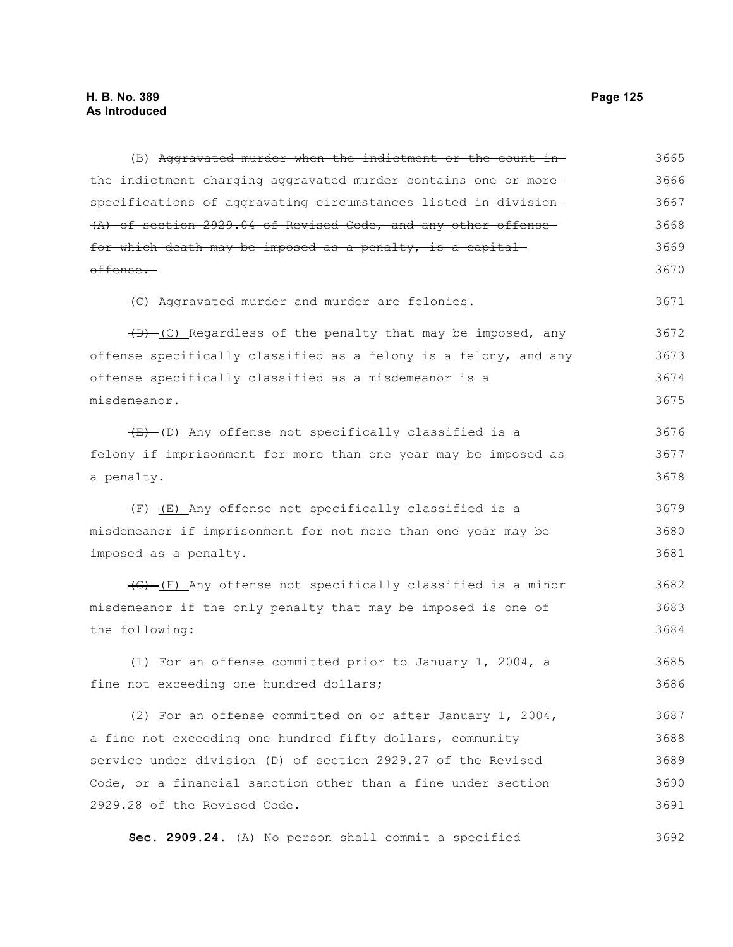(B) Aggravated murder when the indictment or the count in the indictment charging aggravated murder contains one or more specifications of aggravating circumstances listed in division (A) of section 2929.04 of Revised Code, and any other offense for which death may be imposed as a penalty, is a capital offense. (C) Aggravated murder and murder are felonies.  $(D)$  (C) Regardless of the penalty that may be imposed, any offense specifically classified as a felony is a felony, and any offense specifically classified as a misdemeanor is a misdemeanor.  $(E)$  (D) Any offense not specifically classified is a felony if imprisonment for more than one year may be imposed as a penalty.  $(F)$  (E) Any offense not specifically classified is a misdemeanor if imprisonment for not more than one year may be imposed as a penalty. (G) (F) Any offense not specifically classified is a minor misdemeanor if the only penalty that may be imposed is one of the following: (1) For an offense committed prior to January 1, 2004, a fine not exceeding one hundred dollars; (2) For an offense committed on or after January 1, 2004, a fine not exceeding one hundred fifty dollars, community service under division (D) of section 2929.27 of the Revised Code, or a financial sanction other than a fine under section 2929.28 of the Revised Code. **Sec. 2909.24.** (A) No person shall commit a specified 3665 3666 3667 3668 3669 3670 3671 3672 3673 3674 3675 3676 3677 3678 3679 3680 3681 3682 3683 3684 3685 3686 3687 3688 3689 3690 3691 3692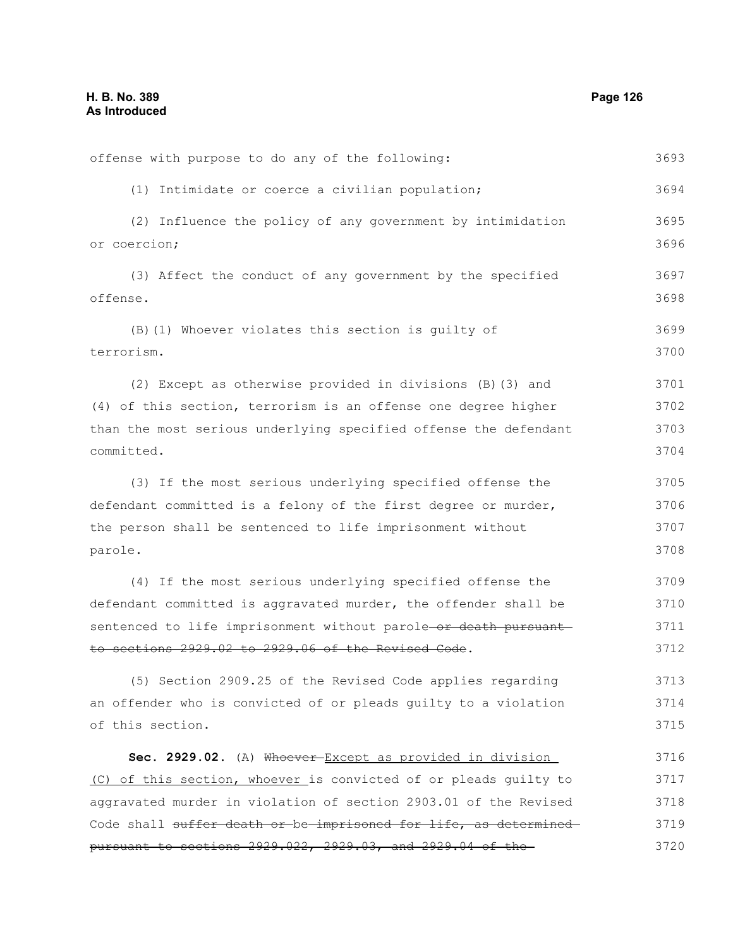offense with purpose to do any of the following:

(1) Intimidate or coerce a civilian population; (2) Influence the policy of any government by intimidation or coercion; (3) Affect the conduct of any government by the specified offense. (B)(1) Whoever violates this section is guilty of terrorism. (2) Except as otherwise provided in divisions (B)(3) and (4) of this section, terrorism is an offense one degree higher than the most serious underlying specified offense the defendant committed. (3) If the most serious underlying specified offense the defendant committed is a felony of the first degree or murder, the person shall be sentenced to life imprisonment without parole. (4) If the most serious underlying specified offense the defendant committed is aggravated murder, the offender shall be sentenced to life imprisonment without parole or death pursuant to sections 2929.02 to 2929.06 of the Revised Code. (5) Section 2909.25 of the Revised Code applies regarding an offender who is convicted of or pleads guilty to a violation of this section. **Sec. 2929.02.** (A) Whoever Except as provided in division (C) of this section, whoever is convicted of or pleads guilty to aggravated murder in violation of section 2903.01 of the Revised Code shall suffer death or be imprisoned for life, as determined pursuant to sections 2929.022, 2929.03, and 2929.04 of the 3694 3695 3696 3697 3698 3699 3700 3701 3702 3703 3704 3705 3706 3707 3708 3709 3710 3711 3712 3713 3714 3715 3716 3717 3718 3719 3720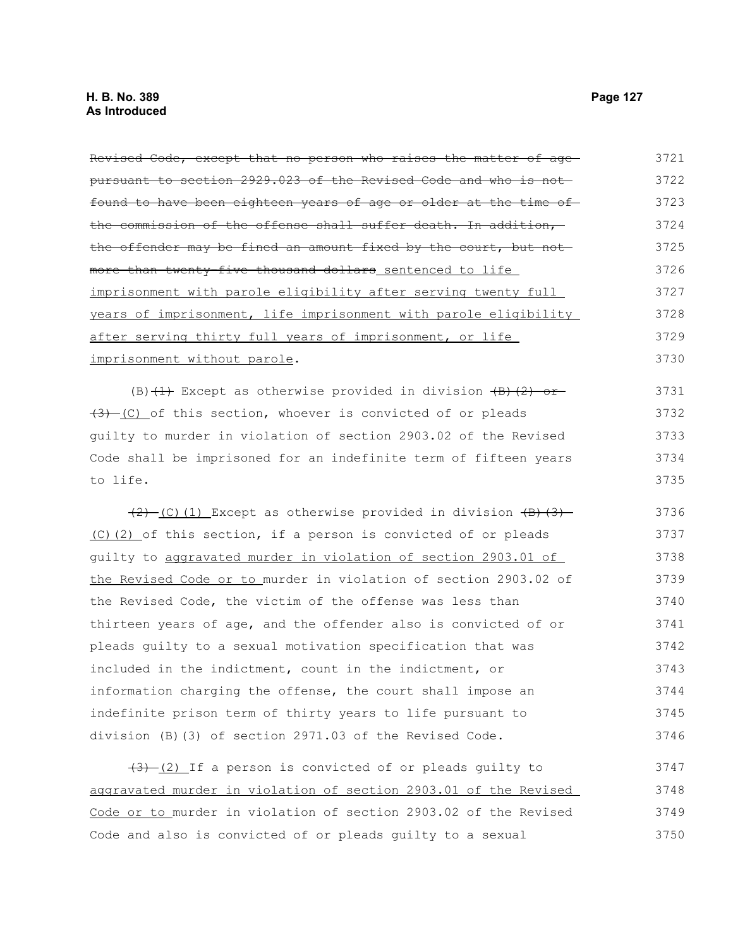Revised Code, except that no person who raises the matter of age pursuant to section 2929.023 of the Revised Code and who is not found to have been eighteen years of age or older at the time of the commission of the offense shall suffer death. In addition, the offender may be fined an amount fixed by the court, but notmore than twenty-five thousand dollars sentenced to life imprisonment with parole eligibility after serving twenty full years of imprisonment, life imprisonment with parole eligibility after serving thirty full years of imprisonment, or life imprisonment without parole. (B) $\left(\frac{1}{2}\right)$  Except as otherwise provided in division  $\left(\frac{1}{2}\right)$  or  $(3)$  (C) of this section, whoever is convicted of or pleads guilty to murder in violation of section 2903.02 of the Revised Code shall be imprisoned for an indefinite term of fifteen years to life.  $(2)$  (C)(1) Except as otherwise provided in division  $(B)$  (3) (C)(2) of this section, if a person is convicted of or pleads guilty to aggravated murder in violation of section 2903.01 of the Revised Code or to murder in violation of section 2903.02 of the Revised Code, the victim of the offense was less than thirteen years of age, and the offender also is convicted of or pleads guilty to a sexual motivation specification that was included in the indictment, count in the indictment, or information charging the offense, the court shall impose an indefinite prison term of thirty years to life pursuant to division (B)(3) of section 2971.03 of the Revised Code.  $(3)$   $(2)$  If a person is convicted of or pleads guilty to aggravated murder in violation of section 2903.01 of the Revised 3721 3722 3723 3724 3725 3726 3727 3728 3729 3730 3731 3732 3733 3734 3735 3736 3737 3738 3739 3740 3741 3742 3743 3744 3745 3746 3747 3748

Code or to murder in violation of section 2903.02 of the Revised Code and also is convicted of or pleads guilty to a sexual 3749 3750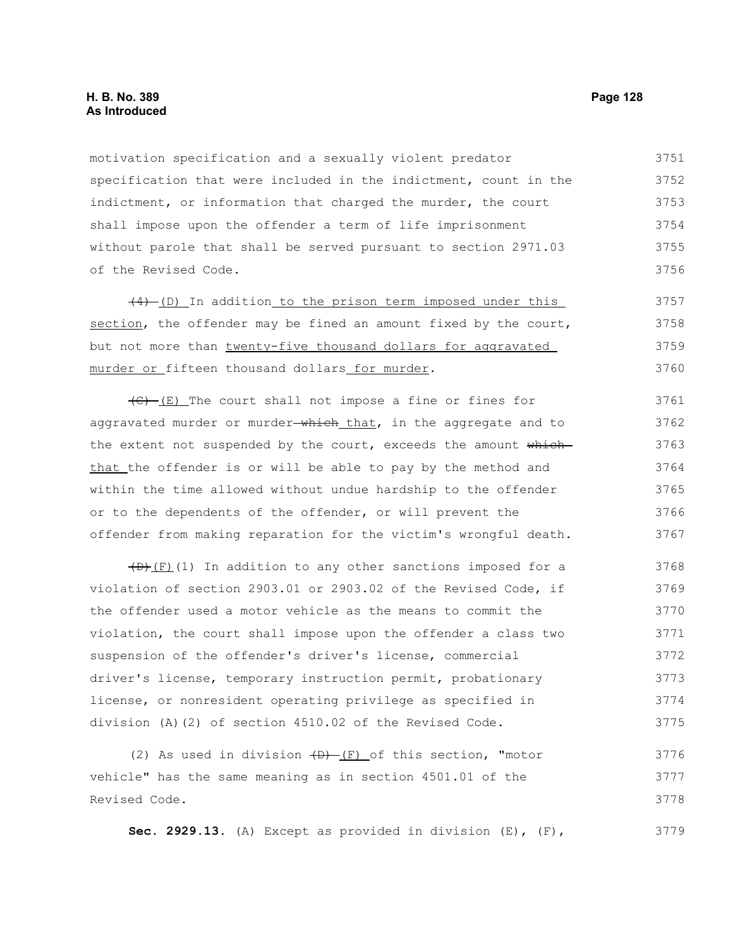# **H. B. No. 389 Page 128 As Introduced**

motivation specification and a sexually violent predator specification that were included in the indictment, count in the indictment, or information that charged the murder, the court shall impose upon the offender a term of life imprisonment without parole that shall be served pursuant to section 2971.03 of the Revised Code. 3751 3752 3753 3754 3755 3756

(4) (D) In addition to the prison term imposed under this section, the offender may be fined an amount fixed by the court, but not more than twenty-five thousand dollars for aggravated murder or fifteen thousand dollars for murder. 3757 3758 3759 3760

 $\overline{(C) - (E)}$  The court shall not impose a fine or fines for aggravated murder or murder-which that, in the aggregate and to the extent not suspended by the court, exceeds the amount which that the offender is or will be able to pay by the method and within the time allowed without undue hardship to the offender or to the dependents of the offender, or will prevent the offender from making reparation for the victim's wrongful death. 3761 3762 3763 3764 3765 3766 3767

 $(D)$ (F)(1) In addition to any other sanctions imposed for a violation of section 2903.01 or 2903.02 of the Revised Code, if the offender used a motor vehicle as the means to commit the violation, the court shall impose upon the offender a class two suspension of the offender's driver's license, commercial driver's license, temporary instruction permit, probationary license, or nonresident operating privilege as specified in division (A)(2) of section 4510.02 of the Revised Code. 3768 3769 3770 3771 3772 3773 3774 3775

(2) As used in division  $\overline{(D) - (E) -}$  of this section, "motor vehicle" has the same meaning as in section 4501.01 of the Revised Code. 3776 3777 3778

**Sec. 2929.13.** (A) Except as provided in division (E), (F), 3779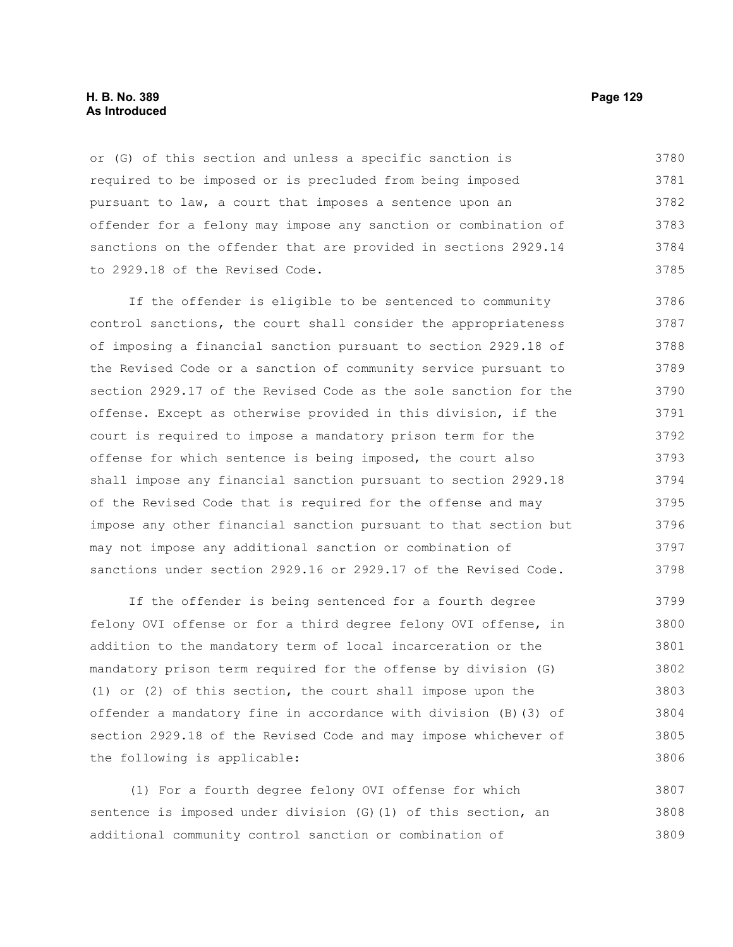# **H. B. No. 389 Page 129 As Introduced**

or (G) of this section and unless a specific sanction is required to be imposed or is precluded from being imposed pursuant to law, a court that imposes a sentence upon an offender for a felony may impose any sanction or combination of sanctions on the offender that are provided in sections 2929.14 to 2929.18 of the Revised Code. 3780 3781 3782 3783 3784 3785

If the offender is eligible to be sentenced to community control sanctions, the court shall consider the appropriateness of imposing a financial sanction pursuant to section 2929.18 of the Revised Code or a sanction of community service pursuant to section 2929.17 of the Revised Code as the sole sanction for the offense. Except as otherwise provided in this division, if the court is required to impose a mandatory prison term for the offense for which sentence is being imposed, the court also shall impose any financial sanction pursuant to section 2929.18 of the Revised Code that is required for the offense and may impose any other financial sanction pursuant to that section but may not impose any additional sanction or combination of sanctions under section 2929.16 or 2929.17 of the Revised Code. 3786 3787 3788 3789 3790 3791 3792 3793 3794 3795 3796 3797 3798

If the offender is being sentenced for a fourth degree felony OVI offense or for a third degree felony OVI offense, in addition to the mandatory term of local incarceration or the mandatory prison term required for the offense by division (G) (1) or (2) of this section, the court shall impose upon the offender a mandatory fine in accordance with division (B)(3) of section 2929.18 of the Revised Code and may impose whichever of the following is applicable: 3799 3800 3801 3802 3803 3804 3805 3806

(1) For a fourth degree felony OVI offense for which sentence is imposed under division (G)(1) of this section, an additional community control sanction or combination of 3807 3808 3809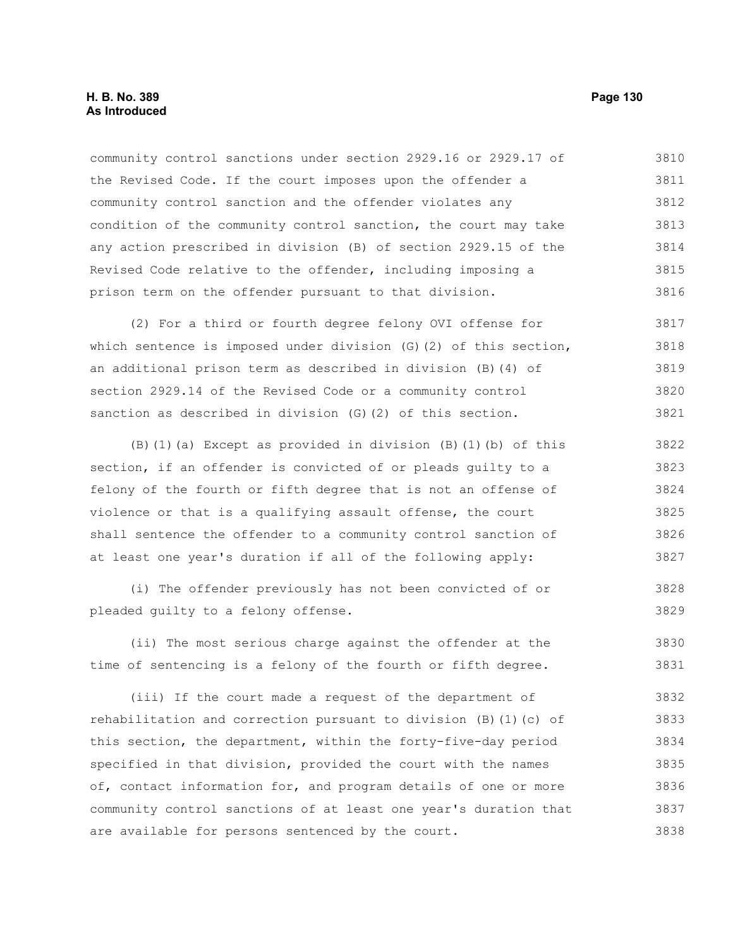# **H. B. No. 389 Page 130 As Introduced**

community control sanctions under section 2929.16 or 2929.17 of the Revised Code. If the court imposes upon the offender a community control sanction and the offender violates any condition of the community control sanction, the court may take any action prescribed in division (B) of section 2929.15 of the Revised Code relative to the offender, including imposing a prison term on the offender pursuant to that division. 3810 3811 3812 3813 3814 3815 3816

(2) For a third or fourth degree felony OVI offense for which sentence is imposed under division (G)(2) of this section, an additional prison term as described in division (B)(4) of section 2929.14 of the Revised Code or a community control sanction as described in division (G)(2) of this section. 3817 3818 3819 3820 3821

(B)(1)(a) Except as provided in division (B)(1)(b) of this section, if an offender is convicted of or pleads guilty to a felony of the fourth or fifth degree that is not an offense of violence or that is a qualifying assault offense, the court shall sentence the offender to a community control sanction of at least one year's duration if all of the following apply: 3822 3823 3824 3825 3826 3827

(i) The offender previously has not been convicted of or pleaded guilty to a felony offense.

(ii) The most serious charge against the offender at the time of sentencing is a felony of the fourth or fifth degree. 3830 3831

(iii) If the court made a request of the department of rehabilitation and correction pursuant to division (B)(1)(c) of this section, the department, within the forty-five-day period specified in that division, provided the court with the names of, contact information for, and program details of one or more community control sanctions of at least one year's duration that are available for persons sentenced by the court. 3832 3833 3834 3835 3836 3837 3838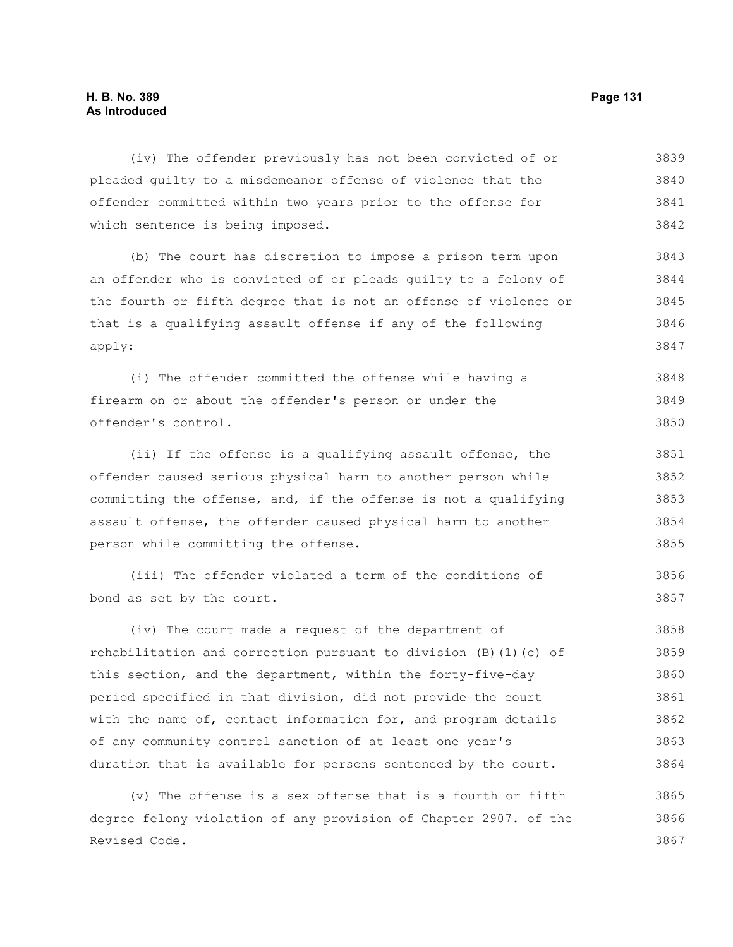# **H. B. No. 389 Page 131 As Introduced**

| (iv) The offender previously has not been convicted of or           | 3839 |
|---------------------------------------------------------------------|------|
| pleaded guilty to a misdemeanor offense of violence that the        | 3840 |
| offender committed within two years prior to the offense for        | 3841 |
| which sentence is being imposed.                                    | 3842 |
| (b) The court has discretion to impose a prison term upon           | 3843 |
| an offender who is convicted of or pleads guilty to a felony of     | 3844 |
| the fourth or fifth degree that is not an offense of violence or    | 3845 |
| that is a qualifying assault offense if any of the following        | 3846 |
| apply:                                                              | 3847 |
| (i) The offender committed the offense while having a               | 3848 |
| firearm on or about the offender's person or under the              | 3849 |
| offender's control.                                                 | 3850 |
| (ii) If the offense is a qualifying assault offense, the            | 3851 |
| offender caused serious physical harm to another person while       | 3852 |
| committing the offense, and, if the offense is not a qualifying     | 3853 |
| assault offense, the offender caused physical harm to another       | 3854 |
| person while committing the offense.                                | 3855 |
| (iii) The offender violated a term of the conditions of             | 3856 |
| bond as set by the court.                                           | 3857 |
| (iv) The court made a request of the department of                  | 3858 |
| rehabilitation and correction pursuant to division $(B) (1) (c)$ of | 3859 |
| this section, and the department, within the forty-five-day         | 3860 |
| period specified in that division, did not provide the court        | 3861 |
| with the name of, contact information for, and program details      | 3862 |
| of any community control sanction of at least one year's            | 3863 |
| duration that is available for persons sentenced by the court.      | 3864 |
| (v) The offense is a sex offense that is a fourth or fifth          | 3865 |
| degree felony violation of any provision of Chapter 2907. of the    | 3866 |
| Revised Code.                                                       | 3867 |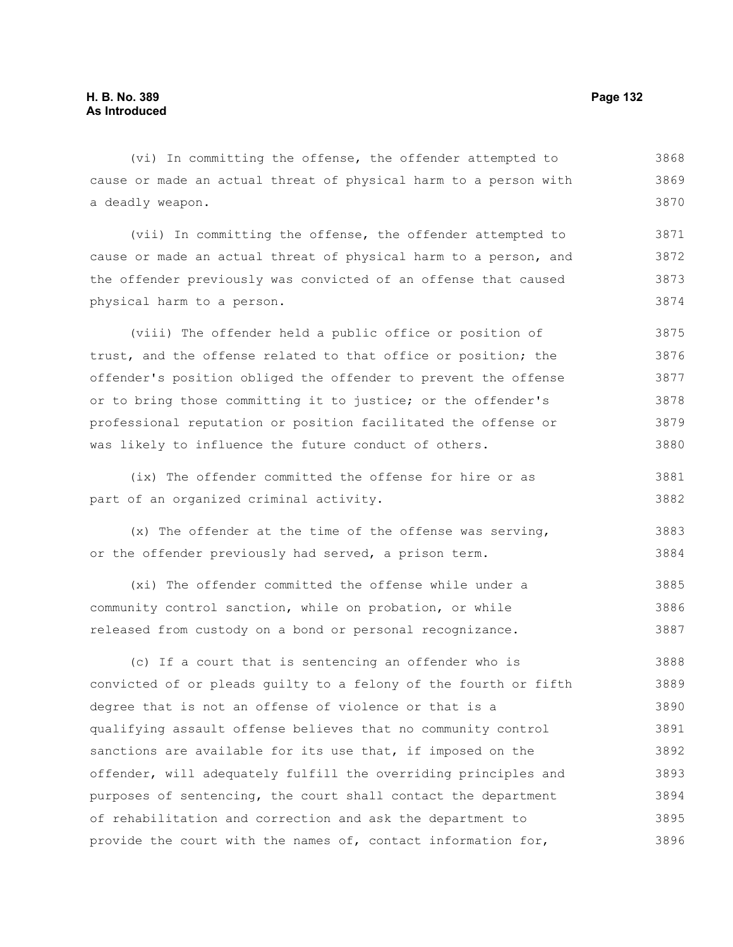| (vi) In committing the offense, the offender attempted to        | 3868 |
|------------------------------------------------------------------|------|
| cause or made an actual threat of physical harm to a person with | 3869 |
| a deadly weapon.                                                 | 3870 |
| (vii) In committing the offense, the offender attempted to       | 3871 |
| cause or made an actual threat of physical harm to a person, and | 3872 |
| the offender previously was convicted of an offense that caused  | 3873 |
| physical harm to a person.                                       | 3874 |
| (viii) The offender held a public office or position of          | 3875 |
| trust, and the offense related to that office or position; the   | 3876 |
| offender's position obliged the offender to prevent the offense  | 3877 |
| or to bring those committing it to justice; or the offender's    | 3878 |
| professional reputation or position facilitated the offense or   | 3879 |
| was likely to influence the future conduct of others.            | 3880 |
| (ix) The offender committed the offense for hire or as           | 3881 |
| part of an organized criminal activity.                          | 3882 |
| $(x)$ The offender at the time of the offense was serving,       | 3883 |
| or the offender previously had served, a prison term.            | 3884 |
| (xi) The offender committed the offense while under a            | 3885 |
| community control sanction, while on probation, or while         | 3886 |
| released from custody on a bond or personal recognizance.        | 3887 |
| (c) If a court that is sentencing an offender who is             | 3888 |
| convicted of or pleads quilty to a felony of the fourth or fifth | 3889 |
| degree that is not an offense of violence or that is a           | 3890 |
| qualifying assault offense believes that no community control    | 3891 |
| sanctions are available for its use that, if imposed on the      | 3892 |
| offender, will adequately fulfill the overriding principles and  | 3893 |
| purposes of sentencing, the court shall contact the department   | 3894 |
| of rehabilitation and correction and ask the department to       | 3895 |
| provide the court with the names of, contact information for,    | 3896 |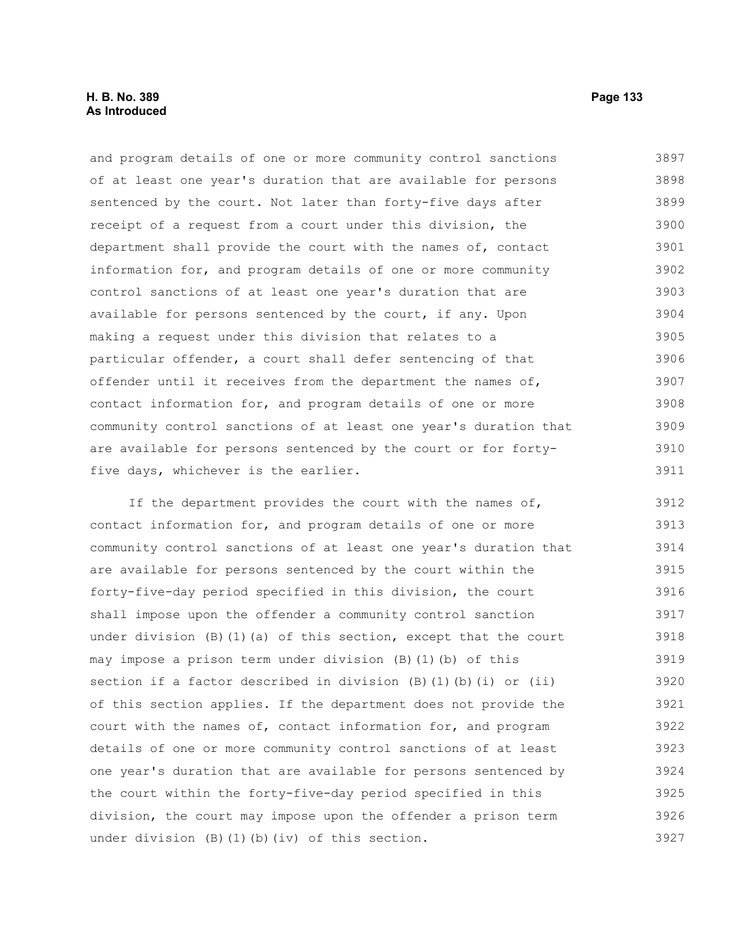and program details of one or more community control sanctions of at least one year's duration that are available for persons sentenced by the court. Not later than forty-five days after receipt of a request from a court under this division, the department shall provide the court with the names of, contact information for, and program details of one or more community control sanctions of at least one year's duration that are available for persons sentenced by the court, if any. Upon making a request under this division that relates to a particular offender, a court shall defer sentencing of that offender until it receives from the department the names of, contact information for, and program details of one or more community control sanctions of at least one year's duration that are available for persons sentenced by the court or for fortyfive days, whichever is the earlier. 3897 3898 3899 3900 3901 3902 3903 3904 3905 3906 3907 3908 3909 3910 3911

If the department provides the court with the names of, contact information for, and program details of one or more community control sanctions of at least one year's duration that are available for persons sentenced by the court within the forty-five-day period specified in this division, the court shall impose upon the offender a community control sanction under division  $(B)$  (1)(a) of this section, except that the court may impose a prison term under division (B)(1)(b) of this section if a factor described in division (B)(1)(b)(i) or (ii) of this section applies. If the department does not provide the court with the names of, contact information for, and program details of one or more community control sanctions of at least one year's duration that are available for persons sentenced by the court within the forty-five-day period specified in this division, the court may impose upon the offender a prison term under division (B)(1)(b)(iv) of this section. 3912 3913 3914 3915 3916 3917 3918 3919 3920 3921 3922 3923 3924 3925 3926 3927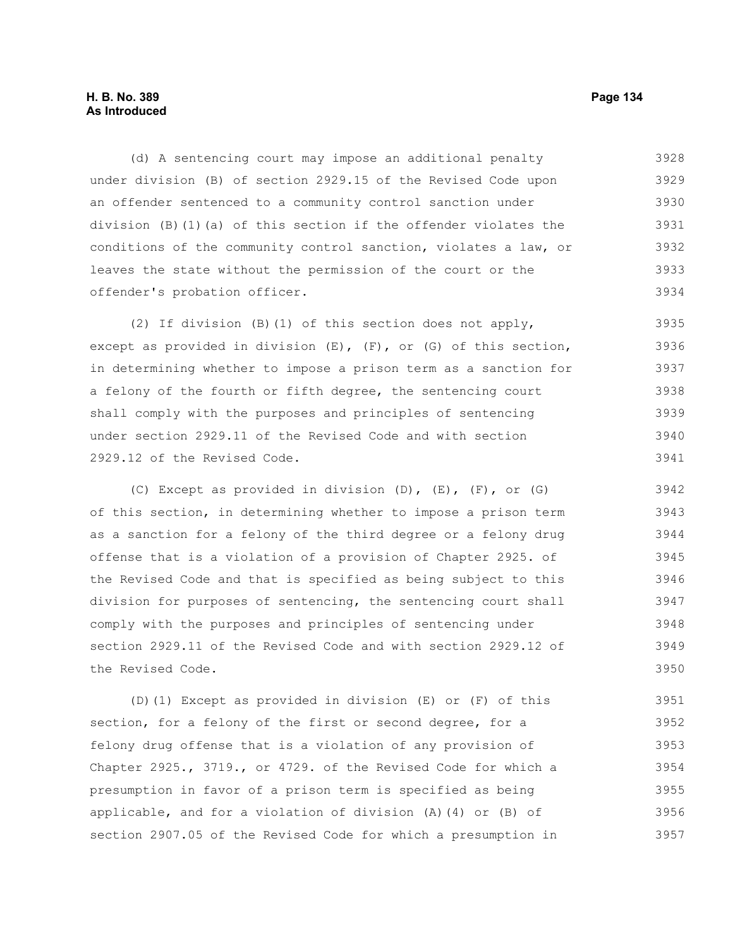# **H. B. No. 389 Page 134 As Introduced**

(d) A sentencing court may impose an additional penalty under division (B) of section 2929.15 of the Revised Code upon an offender sentenced to a community control sanction under division (B)(1)(a) of this section if the offender violates the conditions of the community control sanction, violates a law, or leaves the state without the permission of the court or the offender's probation officer. 3928 3929 3930 3931 3932 3933 3934

(2) If division (B)(1) of this section does not apply, except as provided in division  $(E)$ ,  $(F)$ , or  $(G)$  of this section, in determining whether to impose a prison term as a sanction for a felony of the fourth or fifth degree, the sentencing court shall comply with the purposes and principles of sentencing under section 2929.11 of the Revised Code and with section 2929.12 of the Revised Code. 3935 3936 3937 3938 3939 3940 3941

(C) Except as provided in division  $(D)$ ,  $(E)$ ,  $(F)$ , or  $(G)$ of this section, in determining whether to impose a prison term as a sanction for a felony of the third degree or a felony drug offense that is a violation of a provision of Chapter 2925. of the Revised Code and that is specified as being subject to this division for purposes of sentencing, the sentencing court shall comply with the purposes and principles of sentencing under section 2929.11 of the Revised Code and with section 2929.12 of the Revised Code. 3942 3943 3944 3945 3946 3947 3948 3949 3950

(D)(1) Except as provided in division (E) or (F) of this section, for a felony of the first or second degree, for a felony drug offense that is a violation of any provision of Chapter 2925., 3719., or 4729. of the Revised Code for which a presumption in favor of a prison term is specified as being applicable, and for a violation of division (A)(4) or (B) of section 2907.05 of the Revised Code for which a presumption in 3951 3952 3953 3954 3955 3956 3957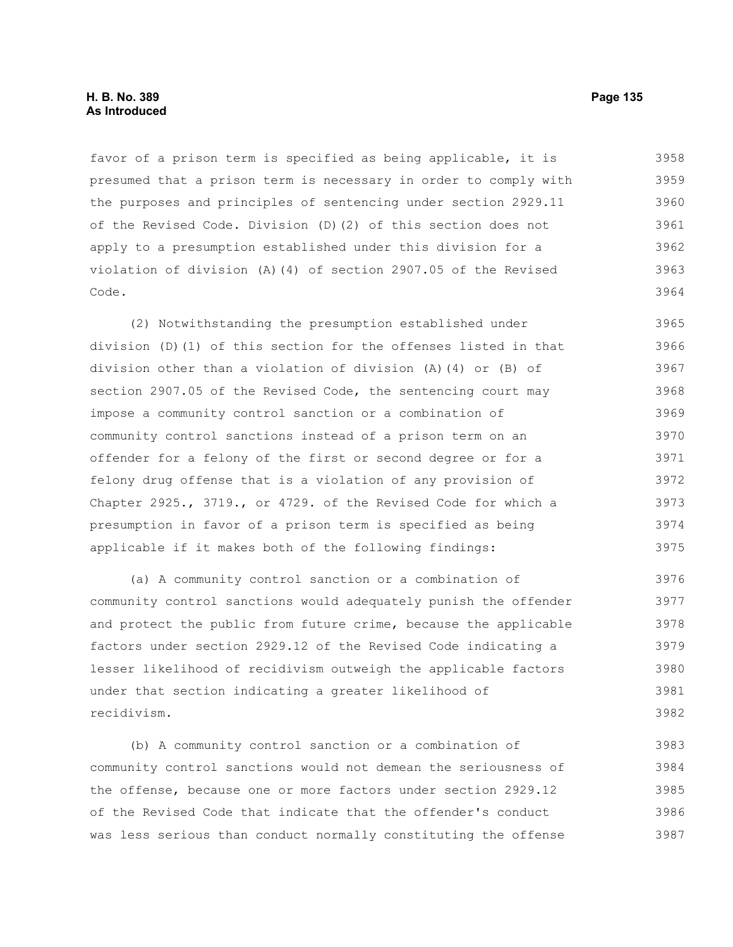# **H. B. No. 389 Page 135 As Introduced**

favor of a prison term is specified as being applicable, it is presumed that a prison term is necessary in order to comply with the purposes and principles of sentencing under section 2929.11 of the Revised Code. Division (D)(2) of this section does not apply to a presumption established under this division for a violation of division (A)(4) of section 2907.05 of the Revised Code. 3958 3959 3960 3961 3962 3963 3964

(2) Notwithstanding the presumption established under division (D)(1) of this section for the offenses listed in that division other than a violation of division (A)(4) or (B) of section 2907.05 of the Revised Code, the sentencing court may impose a community control sanction or a combination of community control sanctions instead of a prison term on an offender for a felony of the first or second degree or for a felony drug offense that is a violation of any provision of Chapter 2925., 3719., or 4729. of the Revised Code for which a presumption in favor of a prison term is specified as being applicable if it makes both of the following findings: 3965 3966 3967 3968 3969 3970 3971 3972 3973 3974 3975

(a) A community control sanction or a combination of community control sanctions would adequately punish the offender and protect the public from future crime, because the applicable factors under section 2929.12 of the Revised Code indicating a lesser likelihood of recidivism outweigh the applicable factors under that section indicating a greater likelihood of recidivism. 3976 3977 3978 3979 3980 3981 3982

(b) A community control sanction or a combination of community control sanctions would not demean the seriousness of the offense, because one or more factors under section 2929.12 of the Revised Code that indicate that the offender's conduct was less serious than conduct normally constituting the offense 3983 3984 3985 3986 3987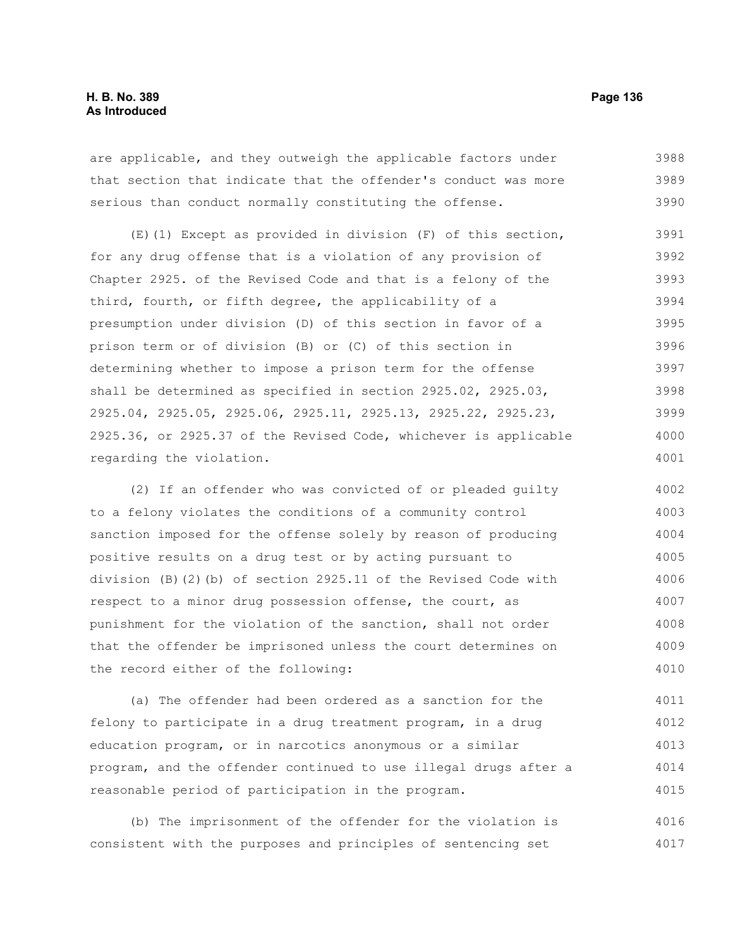are applicable, and they outweigh the applicable factors under that section that indicate that the offender's conduct was more serious than conduct normally constituting the offense. 3988 3989 3990

(E)(1) Except as provided in division (F) of this section, for any drug offense that is a violation of any provision of Chapter 2925. of the Revised Code and that is a felony of the third, fourth, or fifth degree, the applicability of a presumption under division (D) of this section in favor of a prison term or of division (B) or (C) of this section in determining whether to impose a prison term for the offense shall be determined as specified in section 2925.02, 2925.03, 2925.04, 2925.05, 2925.06, 2925.11, 2925.13, 2925.22, 2925.23, 2925.36, or 2925.37 of the Revised Code, whichever is applicable regarding the violation. 3991 3992 3993 3994 3995 3996 3997 3998 3999 4000 4001

(2) If an offender who was convicted of or pleaded guilty to a felony violates the conditions of a community control sanction imposed for the offense solely by reason of producing positive results on a drug test or by acting pursuant to division (B)(2)(b) of section 2925.11 of the Revised Code with respect to a minor drug possession offense, the court, as punishment for the violation of the sanction, shall not order that the offender be imprisoned unless the court determines on the record either of the following: 4002 4003 4004 4005 4006 4007 4008 4009 4010

(a) The offender had been ordered as a sanction for the felony to participate in a drug treatment program, in a drug education program, or in narcotics anonymous or a similar program, and the offender continued to use illegal drugs after a reasonable period of participation in the program. 4011 4012 4013 4014 4015

(b) The imprisonment of the offender for the violation is consistent with the purposes and principles of sentencing set 4016 4017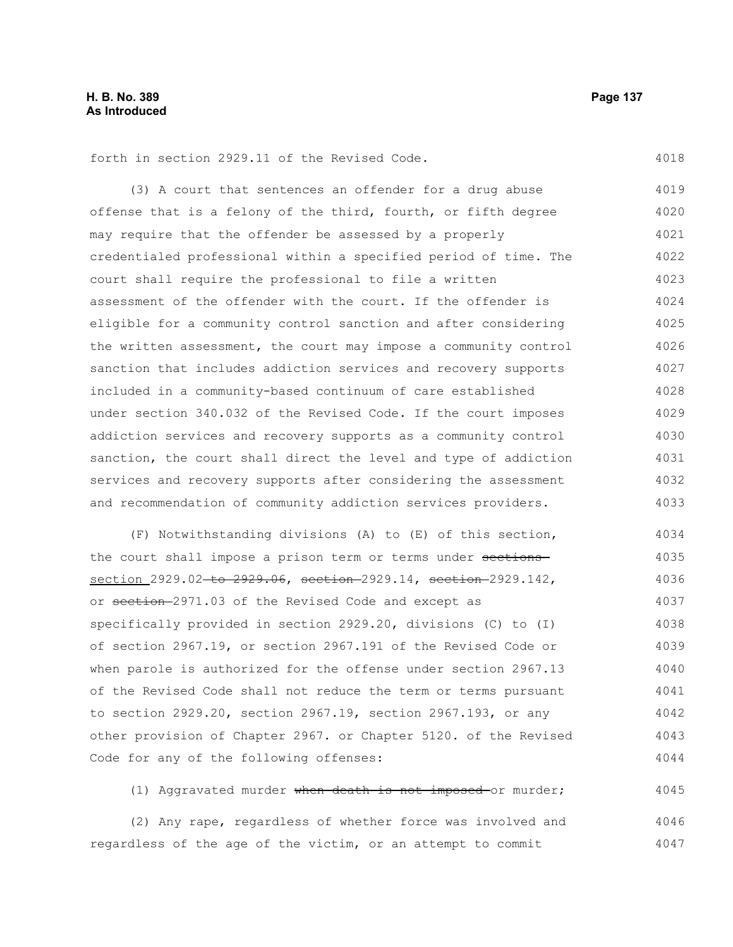4018

forth in section 2929.11 of the Revised Code.

(3) A court that sentences an offender for a drug abuse offense that is a felony of the third, fourth, or fifth degree may require that the offender be assessed by a properly credentialed professional within a specified period of time. The court shall require the professional to file a written assessment of the offender with the court. If the offender is eligible for a community control sanction and after considering the written assessment, the court may impose a community control sanction that includes addiction services and recovery supports included in a community-based continuum of care established under section 340.032 of the Revised Code. If the court imposes addiction services and recovery supports as a community control sanction, the court shall direct the level and type of addiction services and recovery supports after considering the assessment and recommendation of community addiction services providers. 4019 4020 4021 4022 4023 4024 4025 4026 4027 4028 4029 4030 4031 4032 4033

(F) Notwithstanding divisions (A) to (E) of this section, the court shall impose a prison term or terms under sectionssection 2929.02 to 2929.06, section 2929.14, section 2929.142, or section-2971.03 of the Revised Code and except as specifically provided in section 2929.20, divisions (C) to (I) of section 2967.19, or section 2967.191 of the Revised Code or when parole is authorized for the offense under section 2967.13 of the Revised Code shall not reduce the term or terms pursuant to section 2929.20, section 2967.19, section 2967.193, or any other provision of Chapter 2967. or Chapter 5120. of the Revised Code for any of the following offenses: 4034 4035 4036 4037 4038 4039 4040 4041 4042 4043 4044

(1) Aggravated murder when death is not imposed or murder; 4045

(2) Any rape, regardless of whether force was involved and regardless of the age of the victim, or an attempt to commit 4046 4047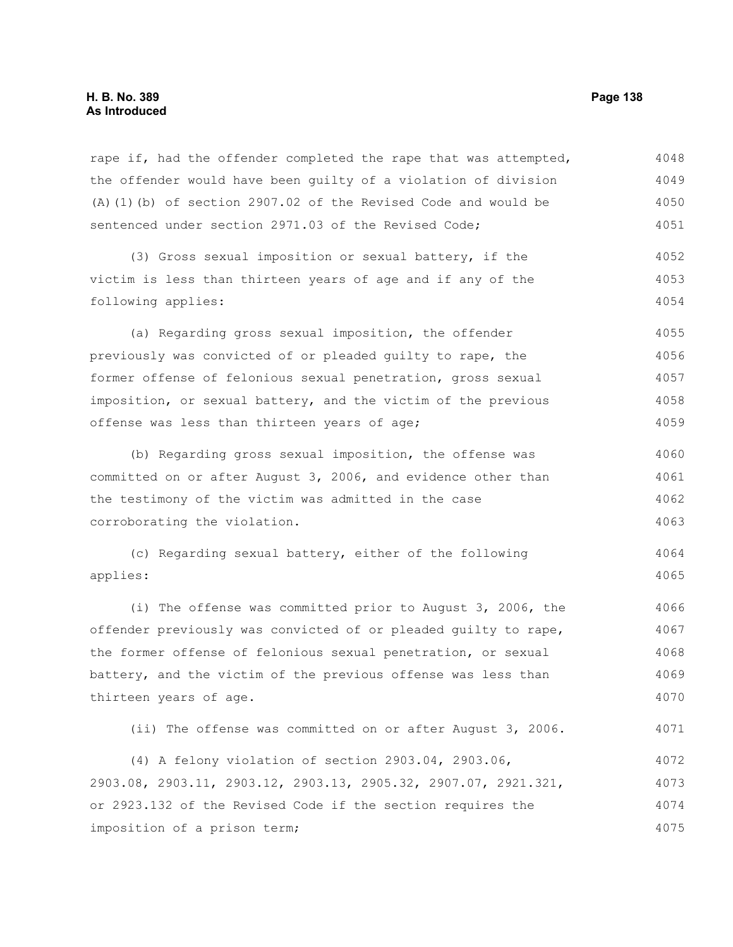rape if, had the offender completed the rape that was attempted, the offender would have been guilty of a violation of division (A)(1)(b) of section 2907.02 of the Revised Code and would be sentenced under section 2971.03 of the Revised Code; 4048 4049 4050 4051

(3) Gross sexual imposition or sexual battery, if the victim is less than thirteen years of age and if any of the following applies: 4052 4053 4054

(a) Regarding gross sexual imposition, the offender previously was convicted of or pleaded guilty to rape, the former offense of felonious sexual penetration, gross sexual imposition, or sexual battery, and the victim of the previous offense was less than thirteen years of age; 4055 4056 4057 4058 4059

(b) Regarding gross sexual imposition, the offense was committed on or after August 3, 2006, and evidence other than the testimony of the victim was admitted in the case corroborating the violation. 4060 4061 4062 4063

(c) Regarding sexual battery, either of the following applies: 4064 4065

(i) The offense was committed prior to August 3, 2006, the offender previously was convicted of or pleaded guilty to rape, the former offense of felonious sexual penetration, or sexual battery, and the victim of the previous offense was less than thirteen years of age. 4066 4067 4068 4069 4070

(ii) The offense was committed on or after August 3, 2006. (4) A felony violation of section 2903.04, 2903.06, 2903.08, 2903.11, 2903.12, 2903.13, 2905.32, 2907.07, 2921.321, or 2923.132 of the Revised Code if the section requires the imposition of a prison term; 4071 4072 4073 4074 4075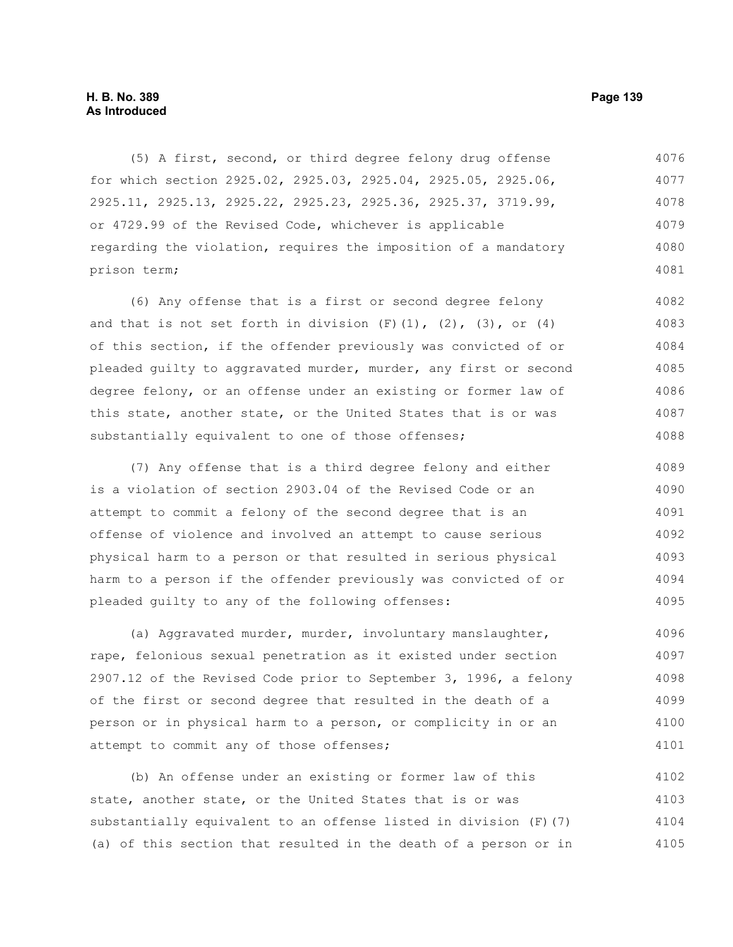(5) A first, second, or third degree felony drug offense for which section 2925.02, 2925.03, 2925.04, 2925.05, 2925.06, 2925.11, 2925.13, 2925.22, 2925.23, 2925.36, 2925.37, 3719.99, or 4729.99 of the Revised Code, whichever is applicable regarding the violation, requires the imposition of a mandatory prison term; 4076 4077 4078 4079 4080 4081

(6) Any offense that is a first or second degree felony and that is not set forth in division  $(F)(1)$ ,  $(2)$ ,  $(3)$ , or  $(4)$ of this section, if the offender previously was convicted of or pleaded guilty to aggravated murder, murder, any first or second degree felony, or an offense under an existing or former law of this state, another state, or the United States that is or was substantially equivalent to one of those offenses; 4082 4083 4084 4085 4086 4087 4088

(7) Any offense that is a third degree felony and either is a violation of section 2903.04 of the Revised Code or an attempt to commit a felony of the second degree that is an offense of violence and involved an attempt to cause serious physical harm to a person or that resulted in serious physical harm to a person if the offender previously was convicted of or pleaded guilty to any of the following offenses: 4089 4090 4091 4092 4093 4094 4095

(a) Aggravated murder, murder, involuntary manslaughter, rape, felonious sexual penetration as it existed under section 2907.12 of the Revised Code prior to September 3, 1996, a felony of the first or second degree that resulted in the death of a person or in physical harm to a person, or complicity in or an attempt to commit any of those offenses; 4096 4097 4098 4099 4100 4101

(b) An offense under an existing or former law of this state, another state, or the United States that is or was substantially equivalent to an offense listed in division (F)(7) (a) of this section that resulted in the death of a person or in 4102 4103 4104 4105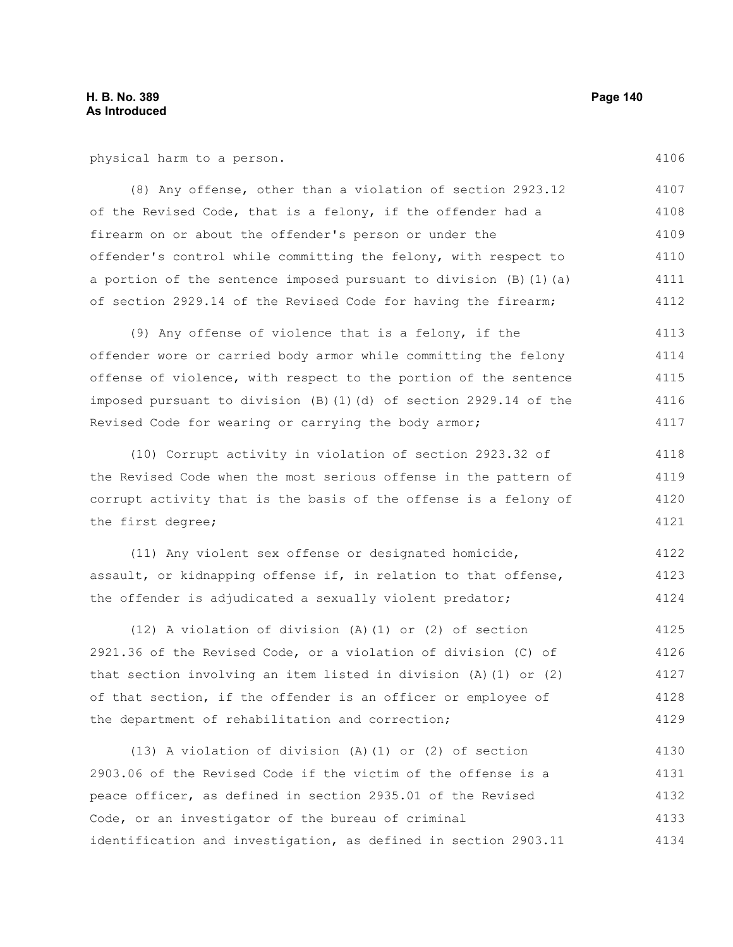physical harm to a person.

(8) Any offense, other than a violation of section 2923.12 of the Revised Code, that is a felony, if the offender had a firearm on or about the offender's person or under the offender's control while committing the felony, with respect to a portion of the sentence imposed pursuant to division  $(B)$  (1)(a) of section 2929.14 of the Revised Code for having the firearm; 4107 4108 4109 4110 4111 4112

(9) Any offense of violence that is a felony, if the offender wore or carried body armor while committing the felony offense of violence, with respect to the portion of the sentence imposed pursuant to division (B)(1)(d) of section 2929.14 of the Revised Code for wearing or carrying the body armor; 4113 4114 4115 4116 4117

(10) Corrupt activity in violation of section 2923.32 of the Revised Code when the most serious offense in the pattern of corrupt activity that is the basis of the offense is a felony of the first degree; 4118 4119 4120 4121

(11) Any violent sex offense or designated homicide, assault, or kidnapping offense if, in relation to that offense, the offender is adjudicated a sexually violent predator; 4122 4123 4124

(12) A violation of division (A)(1) or (2) of section 2921.36 of the Revised Code, or a violation of division (C) of that section involving an item listed in division (A)(1) or (2) of that section, if the offender is an officer or employee of the department of rehabilitation and correction; 4125 4126 4127 4128 4129

(13) A violation of division (A)(1) or (2) of section 2903.06 of the Revised Code if the victim of the offense is a peace officer, as defined in section 2935.01 of the Revised Code, or an investigator of the bureau of criminal identification and investigation, as defined in section 2903.11 4130 4131 4132 4133 4134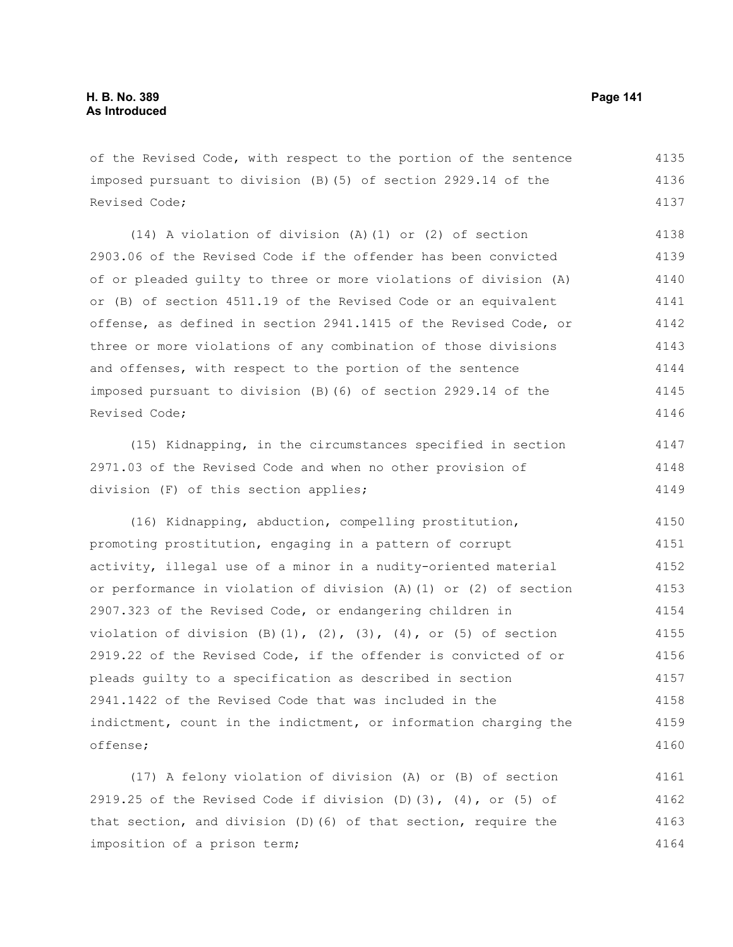of the Revised Code, with respect to the portion of the sentence imposed pursuant to division (B)(5) of section 2929.14 of the Revised Code; 4135 4136 4137

(14) A violation of division (A)(1) or (2) of section 2903.06 of the Revised Code if the offender has been convicted of or pleaded guilty to three or more violations of division (A) or (B) of section 4511.19 of the Revised Code or an equivalent offense, as defined in section 2941.1415 of the Revised Code, or three or more violations of any combination of those divisions and offenses, with respect to the portion of the sentence imposed pursuant to division (B)(6) of section 2929.14 of the Revised Code; 4138 4139 4140 4141 4142 4143 4144 4145 4146

(15) Kidnapping, in the circumstances specified in section 2971.03 of the Revised Code and when no other provision of division (F) of this section applies; 4147 4148 4149

(16) Kidnapping, abduction, compelling prostitution, promoting prostitution, engaging in a pattern of corrupt activity, illegal use of a minor in a nudity-oriented material or performance in violation of division (A)(1) or (2) of section 2907.323 of the Revised Code, or endangering children in violation of division  $(B)(1)$ ,  $(2)$ ,  $(3)$ ,  $(4)$ , or  $(5)$  of section 2919.22 of the Revised Code, if the offender is convicted of or pleads guilty to a specification as described in section 2941.1422 of the Revised Code that was included in the indictment, count in the indictment, or information charging the offense; 4150 4151 4152 4153 4154 4155 4156 4157 4158 4159 4160

(17) A felony violation of division (A) or (B) of section 2919.25 of the Revised Code if division  $(D)$  (3),  $(4)$ , or (5) of that section, and division (D)(6) of that section, require the imposition of a prison term; 4161 4162 4163 4164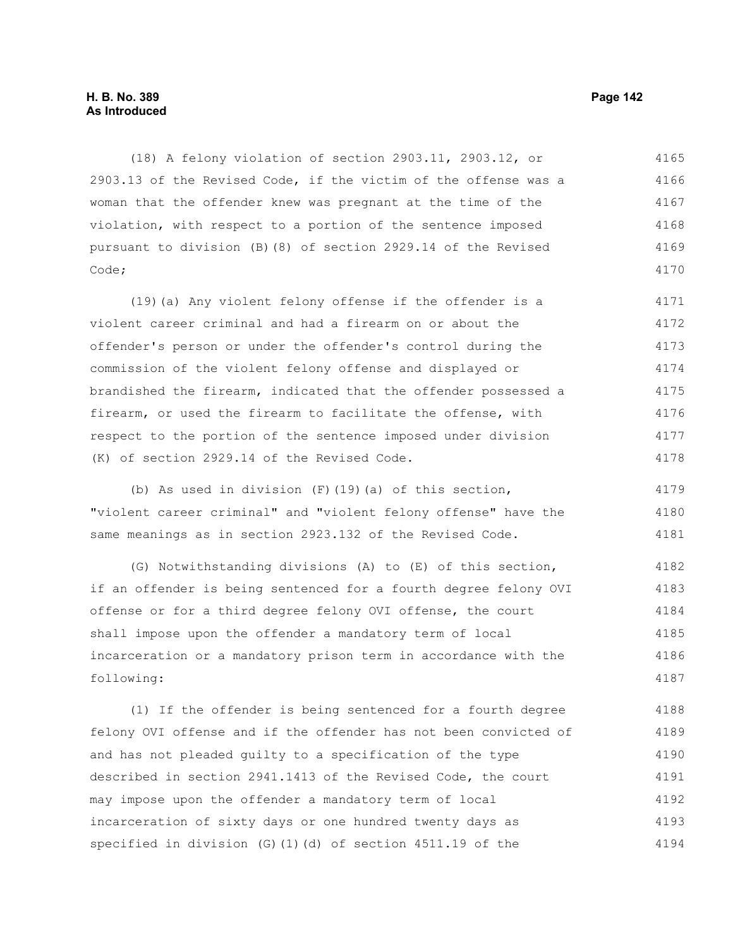# **H. B. No. 389 Page 142 As Introduced**

(18) A felony violation of section 2903.11, 2903.12, or 2903.13 of the Revised Code, if the victim of the offense was a woman that the offender knew was pregnant at the time of the violation, with respect to a portion of the sentence imposed pursuant to division (B)(8) of section 2929.14 of the Revised Code; 4165 4166 4167 4168 4169 4170

(19)(a) Any violent felony offense if the offender is a violent career criminal and had a firearm on or about the offender's person or under the offender's control during the commission of the violent felony offense and displayed or brandished the firearm, indicated that the offender possessed a firearm, or used the firearm to facilitate the offense, with respect to the portion of the sentence imposed under division (K) of section 2929.14 of the Revised Code. 4171 4172 4173 4174 4175 4176 4177 4178

(b) As used in division (F)(19)(a) of this section, "violent career criminal" and "violent felony offense" have the same meanings as in section 2923.132 of the Revised Code. 4179 4180 4181

(G) Notwithstanding divisions (A) to (E) of this section, if an offender is being sentenced for a fourth degree felony OVI offense or for a third degree felony OVI offense, the court shall impose upon the offender a mandatory term of local incarceration or a mandatory prison term in accordance with the following: 4182 4183 4184 4185 4186 4187

(1) If the offender is being sentenced for a fourth degree felony OVI offense and if the offender has not been convicted of and has not pleaded guilty to a specification of the type described in section 2941.1413 of the Revised Code, the court may impose upon the offender a mandatory term of local incarceration of sixty days or one hundred twenty days as specified in division (G)(1)(d) of section 4511.19 of the 4188 4189 4190 4191 4192 4193 4194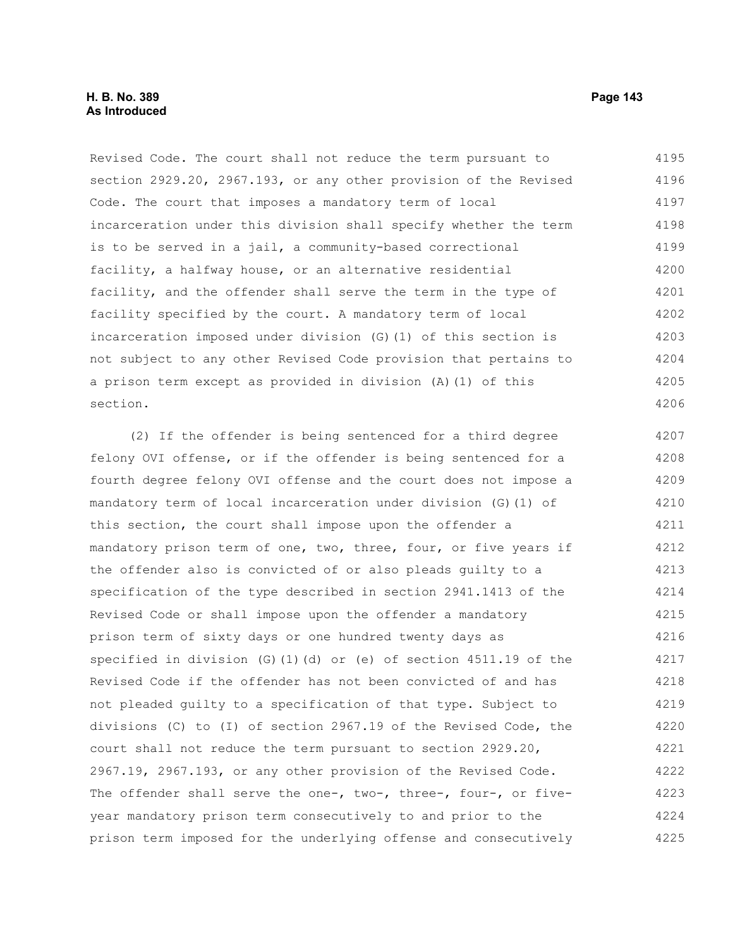Revised Code. The court shall not reduce the term pursuant to section 2929.20, 2967.193, or any other provision of the Revised Code. The court that imposes a mandatory term of local incarceration under this division shall specify whether the term is to be served in a jail, a community-based correctional facility, a halfway house, or an alternative residential facility, and the offender shall serve the term in the type of facility specified by the court. A mandatory term of local incarceration imposed under division (G)(1) of this section is not subject to any other Revised Code provision that pertains to a prison term except as provided in division (A)(1) of this section. 4195 4196 4197 4198 4199 4200 4201 4202 4203 4204 4205 4206

(2) If the offender is being sentenced for a third degree felony OVI offense, or if the offender is being sentenced for a fourth degree felony OVI offense and the court does not impose a mandatory term of local incarceration under division (G)(1) of this section, the court shall impose upon the offender a mandatory prison term of one, two, three, four, or five years if the offender also is convicted of or also pleads guilty to a specification of the type described in section 2941.1413 of the Revised Code or shall impose upon the offender a mandatory prison term of sixty days or one hundred twenty days as specified in division  $(G)$  (1)(d) or (e) of section 4511.19 of the Revised Code if the offender has not been convicted of and has not pleaded guilty to a specification of that type. Subject to divisions (C) to (I) of section 2967.19 of the Revised Code, the court shall not reduce the term pursuant to section 2929.20, 2967.19, 2967.193, or any other provision of the Revised Code. The offender shall serve the one-, two-, three-, four-, or fiveyear mandatory prison term consecutively to and prior to the prison term imposed for the underlying offense and consecutively 4207 4208 4209 4210 4211 4212 4213 4214 4215 4216 4217 4218 4219 4220 4221 4222 4223 4224 4225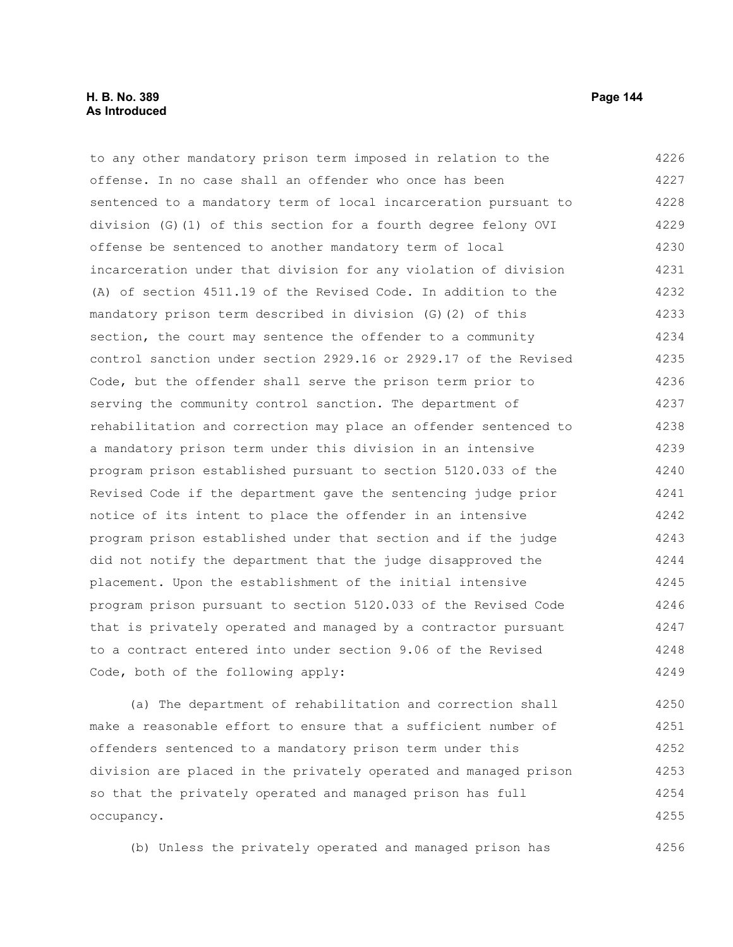# **H. B. No. 389 Page 144 As Introduced**

to any other mandatory prison term imposed in relation to the offense. In no case shall an offender who once has been sentenced to a mandatory term of local incarceration pursuant to division (G)(1) of this section for a fourth degree felony OVI offense be sentenced to another mandatory term of local incarceration under that division for any violation of division (A) of section 4511.19 of the Revised Code. In addition to the mandatory prison term described in division (G)(2) of this section, the court may sentence the offender to a community control sanction under section 2929.16 or 2929.17 of the Revised Code, but the offender shall serve the prison term prior to serving the community control sanction. The department of rehabilitation and correction may place an offender sentenced to a mandatory prison term under this division in an intensive program prison established pursuant to section 5120.033 of the Revised Code if the department gave the sentencing judge prior notice of its intent to place the offender in an intensive program prison established under that section and if the judge did not notify the department that the judge disapproved the placement. Upon the establishment of the initial intensive program prison pursuant to section 5120.033 of the Revised Code that is privately operated and managed by a contractor pursuant to a contract entered into under section 9.06 of the Revised Code, both of the following apply: 4226 4227 4228 4229 4230 4231 4232 4233 4234 4235 4236 4237 4238 4239 4240 4241 4242 4243 4244 4245 4246 4247 4248 4249

(a) The department of rehabilitation and correction shall make a reasonable effort to ensure that a sufficient number of offenders sentenced to a mandatory prison term under this division are placed in the privately operated and managed prison so that the privately operated and managed prison has full occupancy. 4250 4251 4252 4253 4254 4255

(b) Unless the privately operated and managed prison has 4256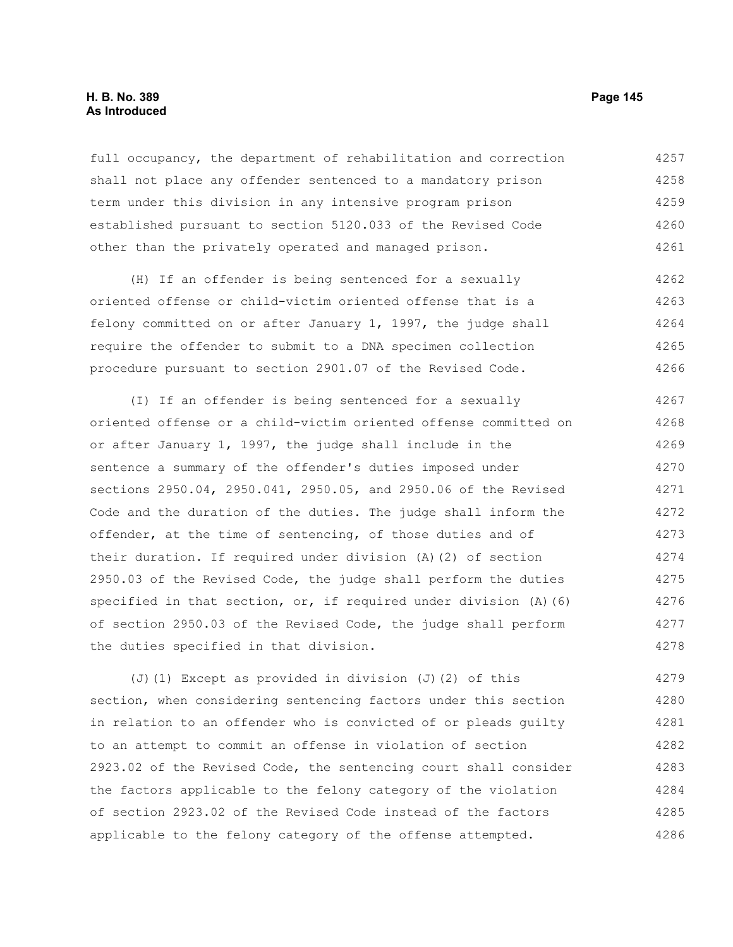# **H. B. No. 389 Page 145 As Introduced**

full occupancy, the department of rehabilitation and correction shall not place any offender sentenced to a mandatory prison term under this division in any intensive program prison established pursuant to section 5120.033 of the Revised Code other than the privately operated and managed prison. 4257 4258 4259 4260 4261

(H) If an offender is being sentenced for a sexually oriented offense or child-victim oriented offense that is a felony committed on or after January 1, 1997, the judge shall require the offender to submit to a DNA specimen collection procedure pursuant to section 2901.07 of the Revised Code. 4262 4263 4264 4265 4266

(I) If an offender is being sentenced for a sexually oriented offense or a child-victim oriented offense committed on or after January 1, 1997, the judge shall include in the sentence a summary of the offender's duties imposed under sections 2950.04, 2950.041, 2950.05, and 2950.06 of the Revised Code and the duration of the duties. The judge shall inform the offender, at the time of sentencing, of those duties and of their duration. If required under division (A)(2) of section 2950.03 of the Revised Code, the judge shall perform the duties specified in that section, or, if required under division  $(A)$  (6) of section 2950.03 of the Revised Code, the judge shall perform the duties specified in that division. 4267 4268 4269 4270 4271 4272 4273 4274 4275 4276 4277 4278

(J)(1) Except as provided in division (J)(2) of this section, when considering sentencing factors under this section in relation to an offender who is convicted of or pleads guilty to an attempt to commit an offense in violation of section 2923.02 of the Revised Code, the sentencing court shall consider the factors applicable to the felony category of the violation of section 2923.02 of the Revised Code instead of the factors applicable to the felony category of the offense attempted. 4279 4280 4281 4282 4283 4284 4285 4286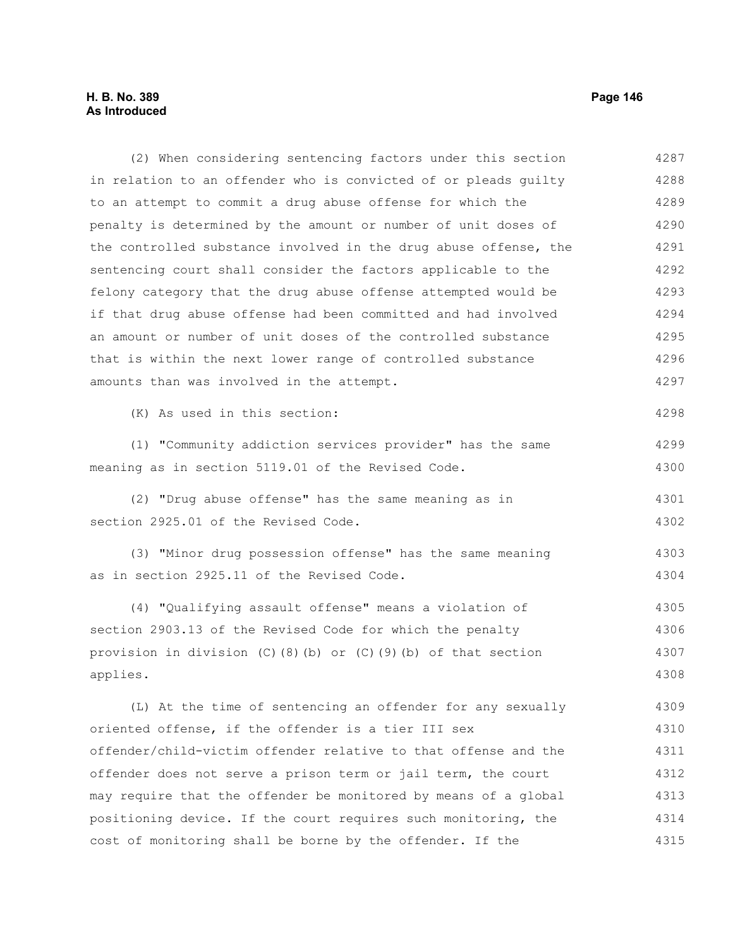# **H. B. No. 389 Page 146 As Introduced**

(2) When considering sentencing factors under this section in relation to an offender who is convicted of or pleads guilty to an attempt to commit a drug abuse offense for which the penalty is determined by the amount or number of unit doses of the controlled substance involved in the drug abuse offense, the sentencing court shall consider the factors applicable to the felony category that the drug abuse offense attempted would be if that drug abuse offense had been committed and had involved an amount or number of unit doses of the controlled substance that is within the next lower range of controlled substance amounts than was involved in the attempt. (K) As used in this section: (1) "Community addiction services provider" has the same meaning as in section 5119.01 of the Revised Code. (2) "Drug abuse offense" has the same meaning as in section 2925.01 of the Revised Code. (3) "Minor drug possession offense" has the same meaning as in section 2925.11 of the Revised Code. (4) "Qualifying assault offense" means a violation of section 2903.13 of the Revised Code for which the penalty provision in division (C)(8)(b) or (C)(9)(b) of that section applies. (L) At the time of sentencing an offender for any sexually oriented offense, if the offender is a tier III sex offender/child-victim offender relative to that offense and the offender does not serve a prison term or jail term, the court may require that the offender be monitored by means of a global positioning device. If the court requires such monitoring, the cost of monitoring shall be borne by the offender. If the 4287 4288 4289 4290 4291 4292 4293 4294 4295 4296 4297 4298 4299 4300 4301 4302 4303 4304 4305 4306 4307 4308 4309 4310 4311 4312 4313 4314 4315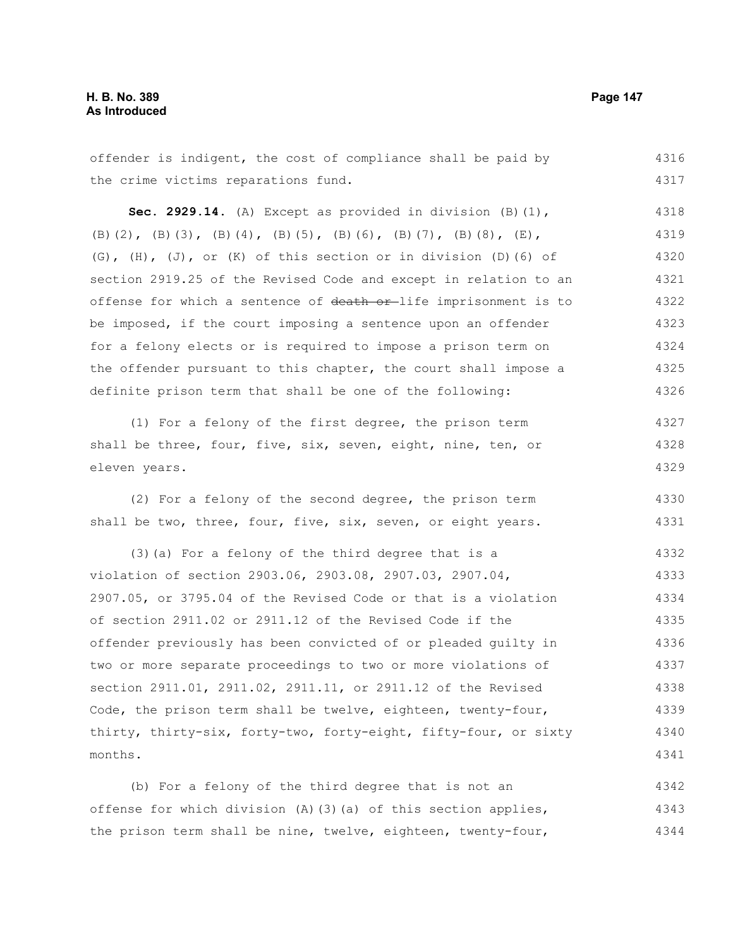eleven years.

4329

| offender is indigent, the cost of compliance shall be paid by                | 4316 |
|------------------------------------------------------------------------------|------|
| the crime victims reparations fund.                                          | 4317 |
| Sec. 2929.14. (A) Except as provided in division $(B)$ (1),                  | 4318 |
| (B) (2), (B) (3), (B) (4), (B) (5), (B) (6), (B) (7), (B) (8), (E),          | 4319 |
| $(G)$ , $(H)$ , $(J)$ , or $(K)$ of this section or in division $(D)$ (6) of | 4320 |
| section 2919.25 of the Revised Code and except in relation to an             | 4321 |
| offense for which a sentence of death or life imprisonment is to             | 4322 |
| be imposed, if the court imposing a sentence upon an offender                | 4323 |
| for a felony elects or is required to impose a prison term on                | 4324 |
| the offender pursuant to this chapter, the court shall impose a              | 4325 |
| definite prison term that shall be one of the following:                     | 4326 |
| (1) For a felony of the first degree, the prison term                        | 4327 |
| shall be three, four, five, six, seven, eight, nine, ten, or                 | 4328 |
|                                                                              |      |

(2) For a felony of the second degree, the prison term shall be two, three, four, five, six, seven, or eight years. 4330 4331

(3)(a) For a felony of the third degree that is a violation of section 2903.06, 2903.08, 2907.03, 2907.04, 2907.05, or 3795.04 of the Revised Code or that is a violation of section 2911.02 or 2911.12 of the Revised Code if the offender previously has been convicted of or pleaded guilty in two or more separate proceedings to two or more violations of section 2911.01, 2911.02, 2911.11, or 2911.12 of the Revised Code, the prison term shall be twelve, eighteen, twenty-four, thirty, thirty-six, forty-two, forty-eight, fifty-four, or sixty months. 4332 4333 4334 4335 4336 4337 4338 4339 4340 4341

(b) For a felony of the third degree that is not an offense for which division (A)(3)(a) of this section applies, the prison term shall be nine, twelve, eighteen, twenty-four, 4342 4343 4344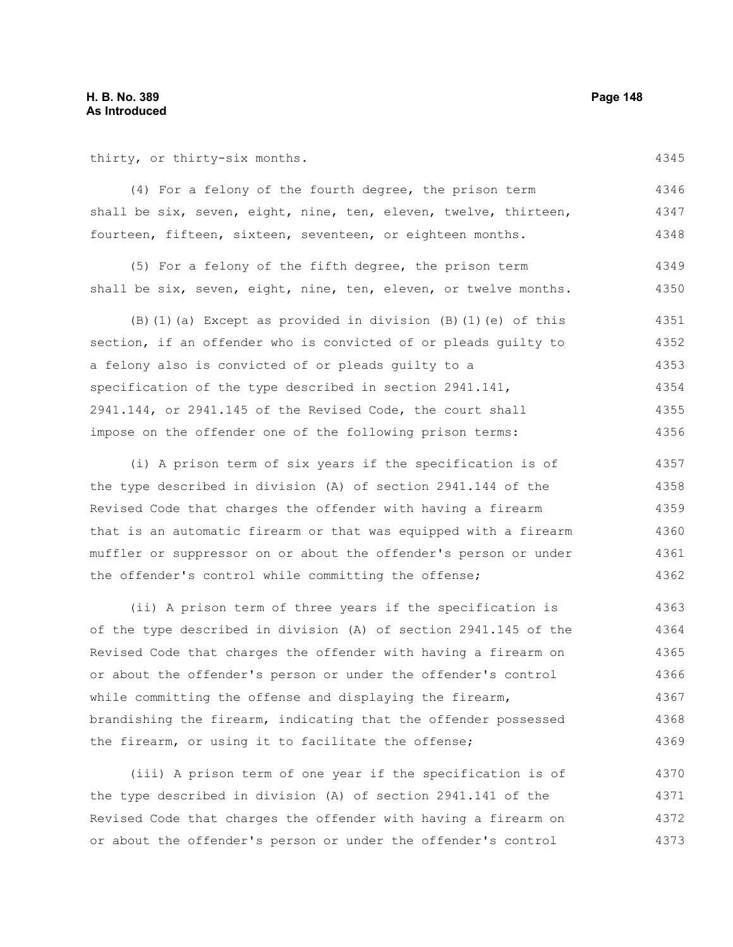thirty, or thirty-six months.

(4) For a felony of the fourth degree, the prison term shall be six, seven, eight, nine, ten, eleven, twelve, thirteen, 4346 4347

(5) For a felony of the fifth degree, the prison term shall be six, seven, eight, nine, ten, eleven, or twelve months. 4349 4350

fourteen, fifteen, sixteen, seventeen, or eighteen months.

(B)(1)(a) Except as provided in division (B)(1)(e) of this section, if an offender who is convicted of or pleads guilty to a felony also is convicted of or pleads guilty to a specification of the type described in section 2941.141, 2941.144, or 2941.145 of the Revised Code, the court shall impose on the offender one of the following prison terms: 4351 4352 4353 4354 4355 4356

(i) A prison term of six years if the specification is of the type described in division (A) of section 2941.144 of the Revised Code that charges the offender with having a firearm that is an automatic firearm or that was equipped with a firearm muffler or suppressor on or about the offender's person or under the offender's control while committing the offense; 4357 4358 4359 4360 4361 4362

(ii) A prison term of three years if the specification is of the type described in division (A) of section 2941.145 of the Revised Code that charges the offender with having a firearm on or about the offender's person or under the offender's control while committing the offense and displaying the firearm, brandishing the firearm, indicating that the offender possessed the firearm, or using it to facilitate the offense; 4363 4364 4365 4366 4367 4368 4369

(iii) A prison term of one year if the specification is of the type described in division (A) of section 2941.141 of the Revised Code that charges the offender with having a firearm on or about the offender's person or under the offender's control 4370 4371 4372 4373

4345

4348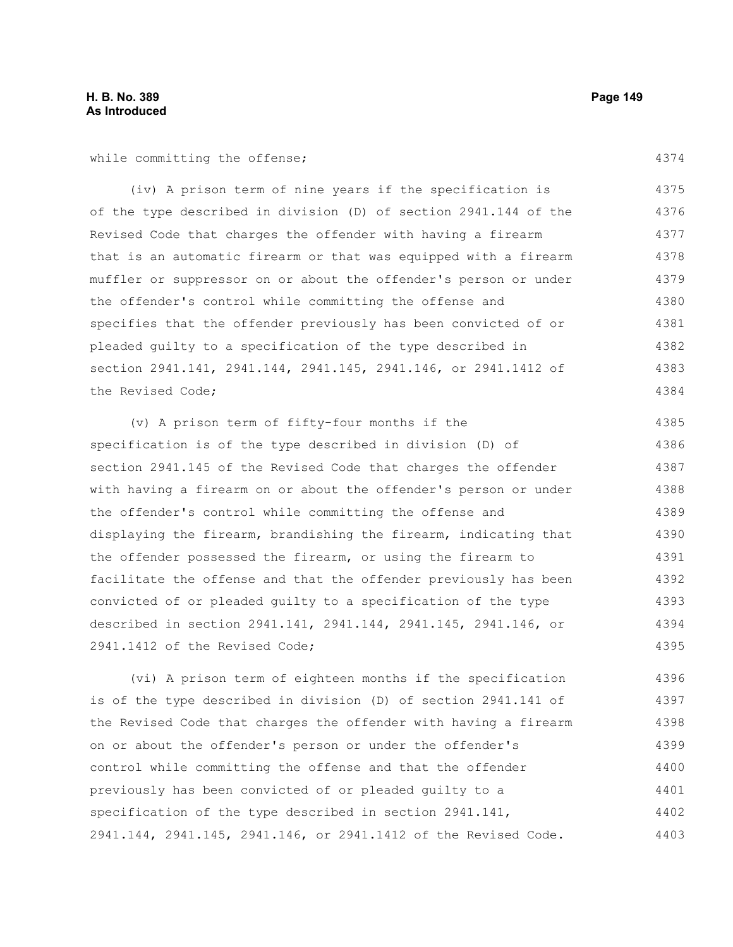while committing the offense;

(iv) A prison term of nine years if the specification is of the type described in division (D) of section 2941.144 of the Revised Code that charges the offender with having a firearm that is an automatic firearm or that was equipped with a firearm muffler or suppressor on or about the offender's person or under the offender's control while committing the offense and specifies that the offender previously has been convicted of or pleaded guilty to a specification of the type described in section 2941.141, 2941.144, 2941.145, 2941.146, or 2941.1412 of the Revised Code; 4375 4376 4377 4378 4379 4380 4381 4382 4383 4384

(v) A prison term of fifty-four months if the specification is of the type described in division (D) of section 2941.145 of the Revised Code that charges the offender with having a firearm on or about the offender's person or under the offender's control while committing the offense and displaying the firearm, brandishing the firearm, indicating that the offender possessed the firearm, or using the firearm to facilitate the offense and that the offender previously has been convicted of or pleaded guilty to a specification of the type described in section 2941.141, 2941.144, 2941.145, 2941.146, or 2941.1412 of the Revised Code; 4385 4386 4387 4388 4389 4390 4391 4392 4393 4394 4395

(vi) A prison term of eighteen months if the specification is of the type described in division (D) of section 2941.141 of the Revised Code that charges the offender with having a firearm on or about the offender's person or under the offender's control while committing the offense and that the offender previously has been convicted of or pleaded guilty to a specification of the type described in section 2941.141, 2941.144, 2941.145, 2941.146, or 2941.1412 of the Revised Code. 4396 4397 4398 4399 4400 4401 4402 4403

4374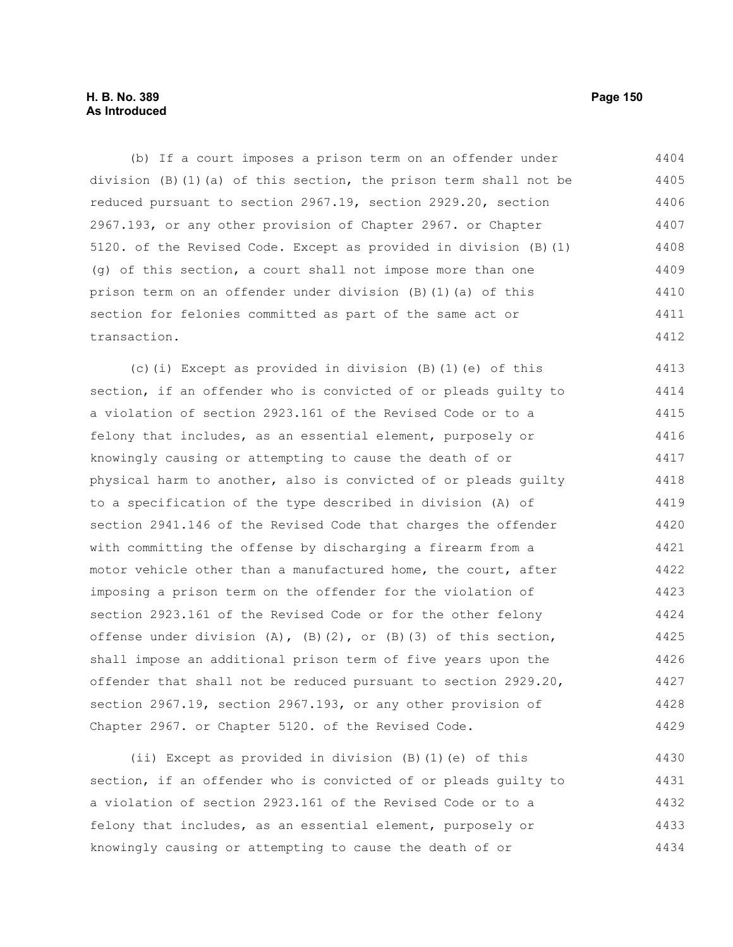# **H. B. No. 389 Page 150 As Introduced**

(b) If a court imposes a prison term on an offender under division (B)(1)(a) of this section, the prison term shall not be reduced pursuant to section 2967.19, section 2929.20, section 2967.193, or any other provision of Chapter 2967. or Chapter 5120. of the Revised Code. Except as provided in division (B)(1) (g) of this section, a court shall not impose more than one prison term on an offender under division (B)(1)(a) of this section for felonies committed as part of the same act or transaction. 4404 4405 4406 4407 4408 4409 4410 4411 4412

(c)(i) Except as provided in division (B)(1)(e) of this section, if an offender who is convicted of or pleads guilty to a violation of section 2923.161 of the Revised Code or to a felony that includes, as an essential element, purposely or knowingly causing or attempting to cause the death of or physical harm to another, also is convicted of or pleads guilty to a specification of the type described in division (A) of section 2941.146 of the Revised Code that charges the offender with committing the offense by discharging a firearm from a motor vehicle other than a manufactured home, the court, after imposing a prison term on the offender for the violation of section 2923.161 of the Revised Code or for the other felony offense under division  $(A)$ ,  $(B)$   $(2)$ , or  $(B)$   $(3)$  of this section, shall impose an additional prison term of five years upon the offender that shall not be reduced pursuant to section 2929.20, section 2967.19, section 2967.193, or any other provision of Chapter 2967. or Chapter 5120. of the Revised Code. 4413 4414 4415 4416 4417 4418 4419 4420 4421 4422 4423 4424 4425 4426 4427 4428 4429

(ii) Except as provided in division (B)(1)(e) of this section, if an offender who is convicted of or pleads guilty to a violation of section 2923.161 of the Revised Code or to a felony that includes, as an essential element, purposely or knowingly causing or attempting to cause the death of or 4430 4431 4432 4433 4434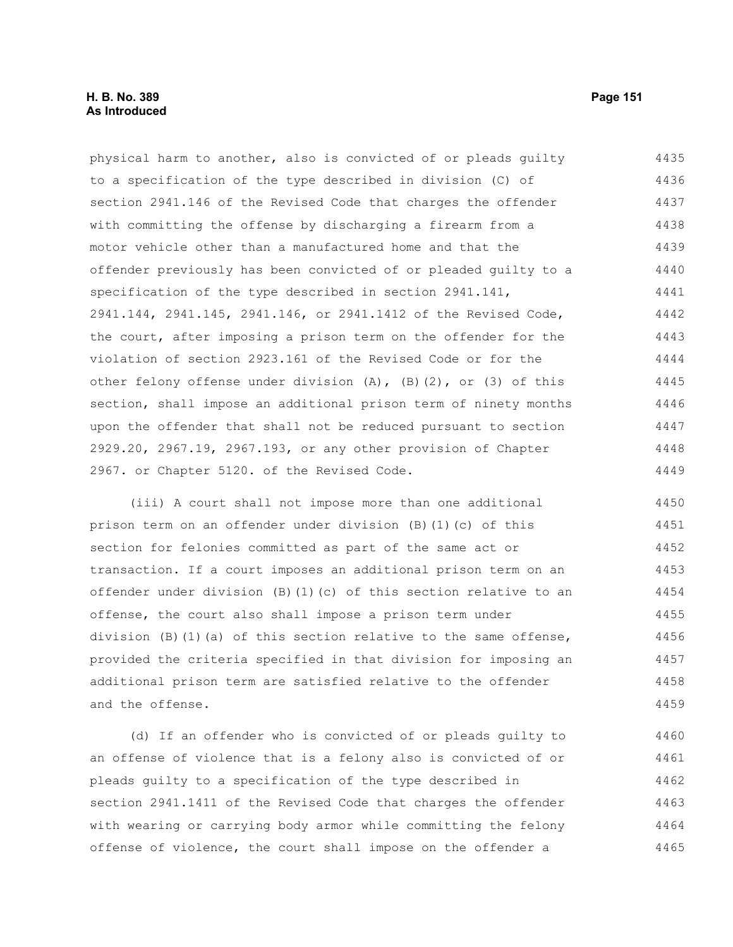physical harm to another, also is convicted of or pleads guilty to a specification of the type described in division (C) of section 2941.146 of the Revised Code that charges the offender with committing the offense by discharging a firearm from a motor vehicle other than a manufactured home and that the offender previously has been convicted of or pleaded guilty to a specification of the type described in section 2941.141, 2941.144, 2941.145, 2941.146, or 2941.1412 of the Revised Code, the court, after imposing a prison term on the offender for the violation of section 2923.161 of the Revised Code or for the other felony offense under division  $(A)$ ,  $(B)$   $(2)$ , or  $(3)$  of this section, shall impose an additional prison term of ninety months upon the offender that shall not be reduced pursuant to section 2929.20, 2967.19, 2967.193, or any other provision of Chapter 2967. or Chapter 5120. of the Revised Code. 4435 4436 4437 4438 4439 4440 4441 4442 4443 4444 4445 4446 4447 4448 4449

(iii) A court shall not impose more than one additional prison term on an offender under division (B)(1)(c) of this section for felonies committed as part of the same act or transaction. If a court imposes an additional prison term on an offender under division (B)(1)(c) of this section relative to an offense, the court also shall impose a prison term under division  $(B)$  (1)(a) of this section relative to the same offense, provided the criteria specified in that division for imposing an additional prison term are satisfied relative to the offender and the offense. 4450 4451 4452 4453 4454 4455 4456 4457 4458 4459

(d) If an offender who is convicted of or pleads guilty to an offense of violence that is a felony also is convicted of or pleads guilty to a specification of the type described in section 2941.1411 of the Revised Code that charges the offender with wearing or carrying body armor while committing the felony offense of violence, the court shall impose on the offender a 4460 4461 4462 4463 4464 4465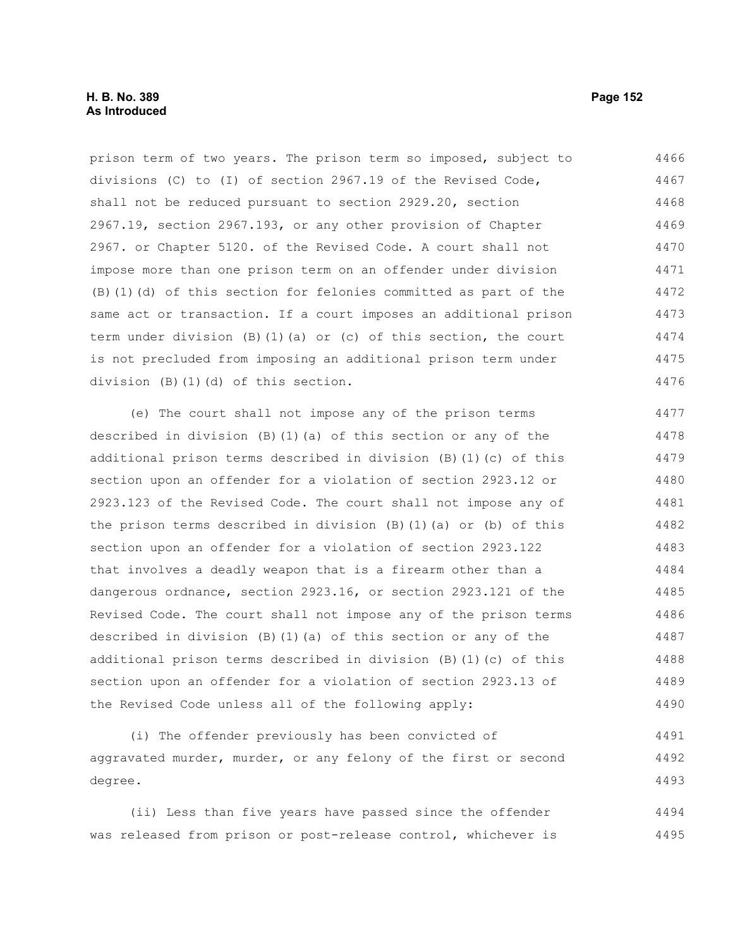prison term of two years. The prison term so imposed, subject to divisions (C) to (I) of section 2967.19 of the Revised Code, shall not be reduced pursuant to section 2929.20, section 2967.19, section 2967.193, or any other provision of Chapter 2967. or Chapter 5120. of the Revised Code. A court shall not impose more than one prison term on an offender under division (B)(1)(d) of this section for felonies committed as part of the same act or transaction. If a court imposes an additional prison term under division (B)(1)(a) or (c) of this section, the court is not precluded from imposing an additional prison term under division (B)(1)(d) of this section. 4466 4467 4468 4469 4470 4471 4472 4473 4474 4475 4476

(e) The court shall not impose any of the prison terms described in division (B)(1)(a) of this section or any of the additional prison terms described in division (B)(1)(c) of this section upon an offender for a violation of section 2923.12 or 2923.123 of the Revised Code. The court shall not impose any of the prison terms described in division (B)(1)(a) or (b) of this section upon an offender for a violation of section 2923.122 that involves a deadly weapon that is a firearm other than a dangerous ordnance, section 2923.16, or section 2923.121 of the Revised Code. The court shall not impose any of the prison terms described in division (B)(1)(a) of this section or any of the additional prison terms described in division (B)(1)(c) of this section upon an offender for a violation of section 2923.13 of the Revised Code unless all of the following apply: 4477 4478 4479 4480 4481 4482 4483 4484 4485 4486 4487 4488 4489 4490

(i) The offender previously has been convicted of aggravated murder, murder, or any felony of the first or second degree. 4491 4492 4493

(ii) Less than five years have passed since the offender was released from prison or post-release control, whichever is 4494 4495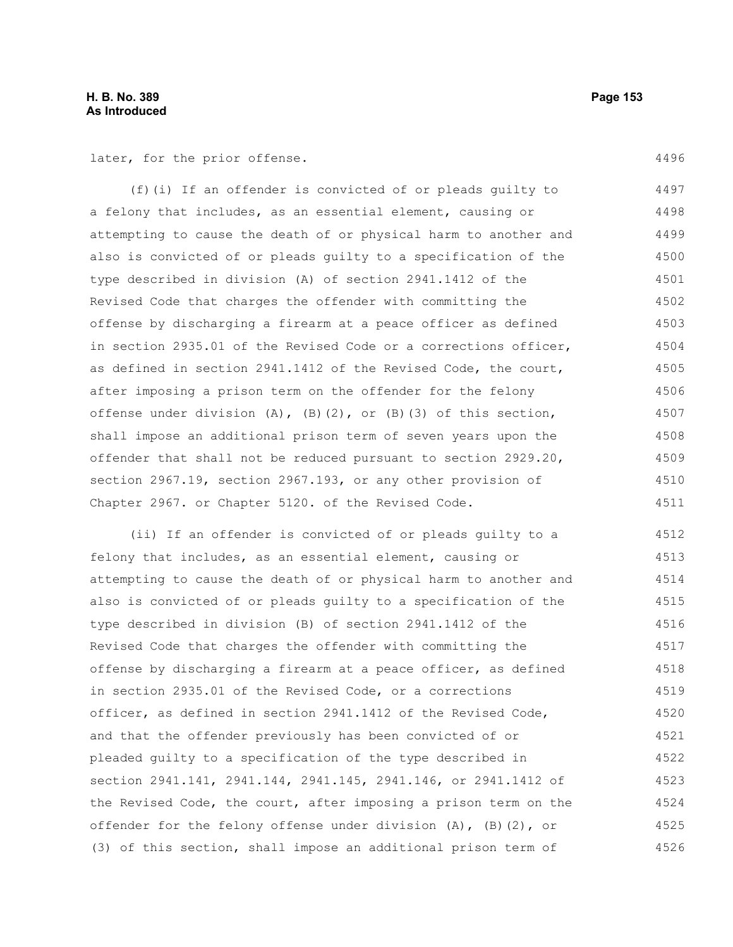later, for the prior offense.

(f)(i) If an offender is convicted of or pleads guilty to a felony that includes, as an essential element, causing or attempting to cause the death of or physical harm to another and also is convicted of or pleads guilty to a specification of the type described in division (A) of section 2941.1412 of the Revised Code that charges the offender with committing the offense by discharging a firearm at a peace officer as defined in section 2935.01 of the Revised Code or a corrections officer, as defined in section 2941.1412 of the Revised Code, the court, after imposing a prison term on the offender for the felony offense under division  $(A)$ ,  $(B)$   $(2)$ , or  $(B)$   $(3)$  of this section, shall impose an additional prison term of seven years upon the offender that shall not be reduced pursuant to section 2929.20, section 2967.19, section 2967.193, or any other provision of Chapter 2967. or Chapter 5120. of the Revised Code. 4497 4498 4499 4500 4501 4502 4503 4504 4505 4506 4507 4508 4509 4510 4511

(ii) If an offender is convicted of or pleads guilty to a felony that includes, as an essential element, causing or attempting to cause the death of or physical harm to another and also is convicted of or pleads guilty to a specification of the type described in division (B) of section 2941.1412 of the Revised Code that charges the offender with committing the offense by discharging a firearm at a peace officer, as defined in section 2935.01 of the Revised Code, or a corrections officer, as defined in section 2941.1412 of the Revised Code, and that the offender previously has been convicted of or pleaded guilty to a specification of the type described in section 2941.141, 2941.144, 2941.145, 2941.146, or 2941.1412 of the Revised Code, the court, after imposing a prison term on the offender for the felony offense under division  $(A)$ ,  $(B)$   $(2)$ , or (3) of this section, shall impose an additional prison term of 4512 4513 4514 4515 4516 4517 4518 4519 4520 4521 4522 4523 4524 4525 4526

4496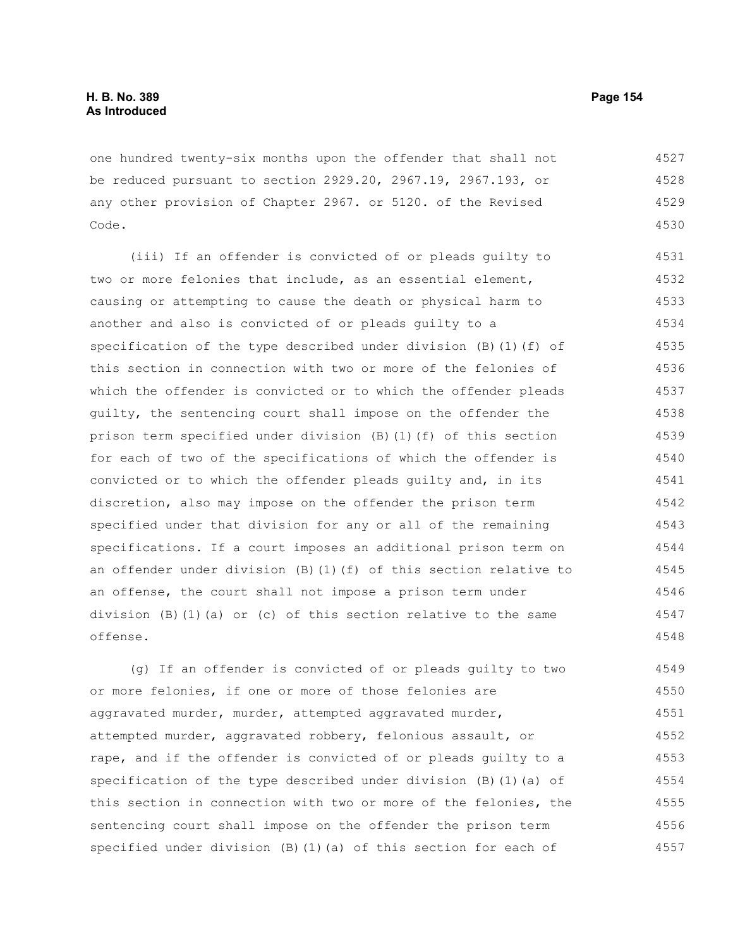one hundred twenty-six months upon the offender that shall not be reduced pursuant to section 2929.20, 2967.19, 2967.193, or any other provision of Chapter 2967. or 5120. of the Revised Code. 4527 4528 4529 4530

(iii) If an offender is convicted of or pleads guilty to two or more felonies that include, as an essential element, causing or attempting to cause the death or physical harm to another and also is convicted of or pleads guilty to a specification of the type described under division  $(B)$  (1)(f) of this section in connection with two or more of the felonies of which the offender is convicted or to which the offender pleads guilty, the sentencing court shall impose on the offender the prison term specified under division (B)(1)(f) of this section for each of two of the specifications of which the offender is convicted or to which the offender pleads guilty and, in its discretion, also may impose on the offender the prison term specified under that division for any or all of the remaining specifications. If a court imposes an additional prison term on an offender under division (B)(1)(f) of this section relative to an offense, the court shall not impose a prison term under division (B)(1)(a) or (c) of this section relative to the same offense. 4531 4532 4533 4534 4535 4536 4537 4538 4539 4540 4541 4542 4543 4544 4545 4546 4547 4548

(g) If an offender is convicted of or pleads guilty to two or more felonies, if one or more of those felonies are aggravated murder, murder, attempted aggravated murder, attempted murder, aggravated robbery, felonious assault, or rape, and if the offender is convicted of or pleads guilty to a specification of the type described under division (B)(1)(a) of this section in connection with two or more of the felonies, the sentencing court shall impose on the offender the prison term specified under division (B)(1)(a) of this section for each of 4549 4550 4551 4552 4553 4554 4555 4556 4557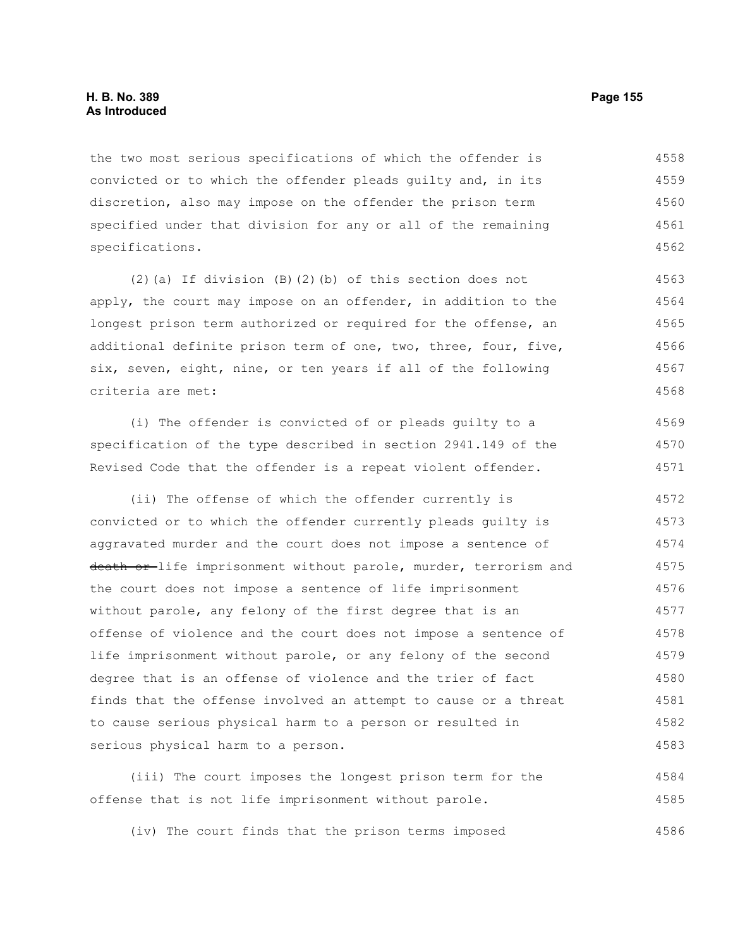the two most serious specifications of which the offender is convicted or to which the offender pleads guilty and, in its discretion, also may impose on the offender the prison term specified under that division for any or all of the remaining specifications. 4558 4559 4560 4561 4562

(2)(a) If division (B)(2)(b) of this section does not apply, the court may impose on an offender, in addition to the longest prison term authorized or required for the offense, an additional definite prison term of one, two, three, four, five, six, seven, eight, nine, or ten years if all of the following criteria are met: 4563 4564 4565 4566 4567 4568

(i) The offender is convicted of or pleads guilty to a specification of the type described in section 2941.149 of the Revised Code that the offender is a repeat violent offender. 4569 4570 4571

(ii) The offense of which the offender currently is convicted or to which the offender currently pleads guilty is aggravated murder and the court does not impose a sentence of death or life imprisonment without parole, murder, terrorism and the court does not impose a sentence of life imprisonment without parole, any felony of the first degree that is an offense of violence and the court does not impose a sentence of life imprisonment without parole, or any felony of the second degree that is an offense of violence and the trier of fact finds that the offense involved an attempt to cause or a threat to cause serious physical harm to a person or resulted in serious physical harm to a person. 4572 4573 4574 4575 4576 4577 4578 4579 4580 4581 4582 4583

(iii) The court imposes the longest prison term for the offense that is not life imprisonment without parole. 4584 4585

(iv) The court finds that the prison terms imposed 4586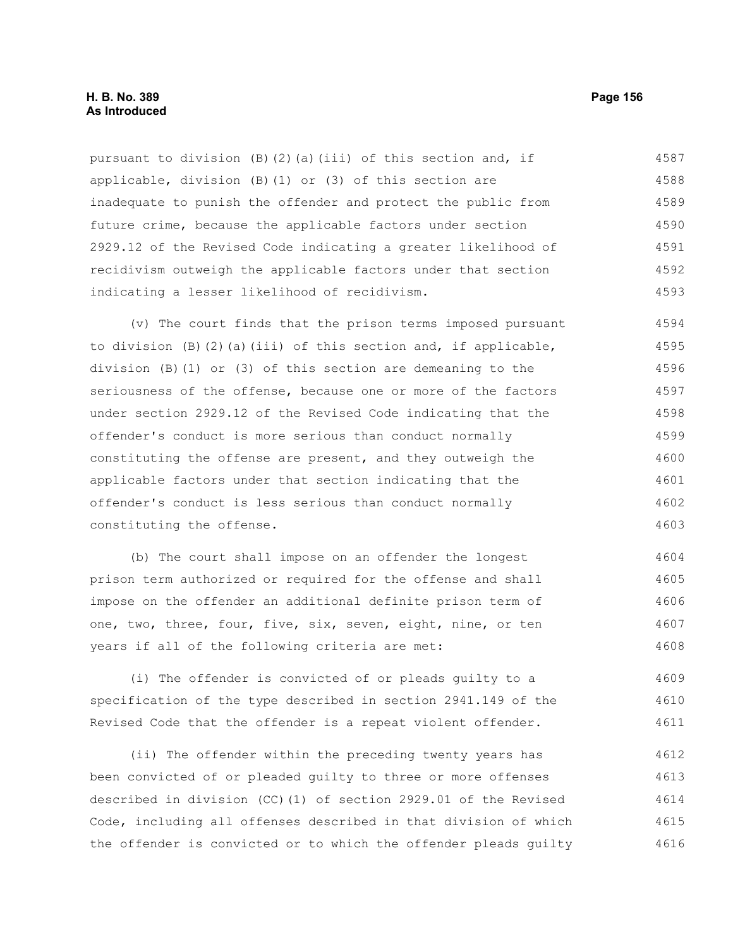## **H. B. No. 389 Page 156 As Introduced**

pursuant to division (B)(2)(a)(iii) of this section and, if applicable, division (B)(1) or (3) of this section are inadequate to punish the offender and protect the public from future crime, because the applicable factors under section 2929.12 of the Revised Code indicating a greater likelihood of recidivism outweigh the applicable factors under that section indicating a lesser likelihood of recidivism. 4587 4588 4589 4590 4591 4592 4593

(v) The court finds that the prison terms imposed pursuant to division  $(B)$   $(2)$   $(a)$  (iii) of this section and, if applicable, division (B)(1) or (3) of this section are demeaning to the seriousness of the offense, because one or more of the factors under section 2929.12 of the Revised Code indicating that the offender's conduct is more serious than conduct normally constituting the offense are present, and they outweigh the applicable factors under that section indicating that the offender's conduct is less serious than conduct normally constituting the offense. 4594 4595 4596 4597 4598 4599 4600 4601 4602 4603

(b) The court shall impose on an offender the longest prison term authorized or required for the offense and shall impose on the offender an additional definite prison term of one, two, three, four, five, six, seven, eight, nine, or ten years if all of the following criteria are met: 4604 4605 4606 4607 4608

(i) The offender is convicted of or pleads guilty to a specification of the type described in section 2941.149 of the Revised Code that the offender is a repeat violent offender. 4609 4610 4611

(ii) The offender within the preceding twenty years has been convicted of or pleaded guilty to three or more offenses described in division (CC)(1) of section 2929.01 of the Revised Code, including all offenses described in that division of which the offender is convicted or to which the offender pleads guilty 4612 4613 4614 4615 4616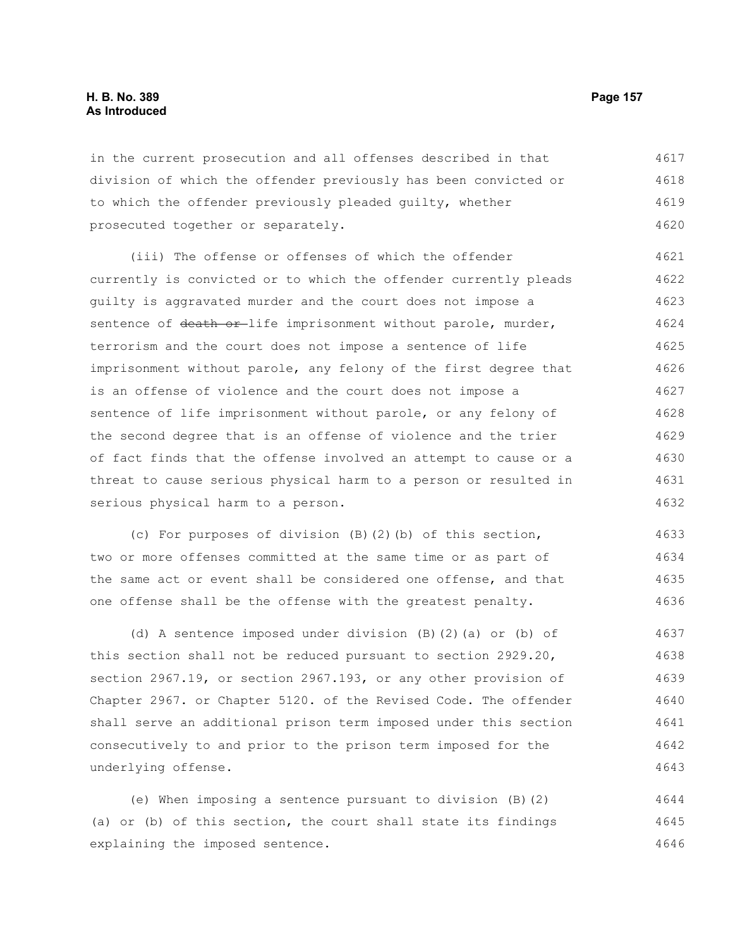in the current prosecution and all offenses described in that division of which the offender previously has been convicted or to which the offender previously pleaded guilty, whether prosecuted together or separately. 4617 4618 4619 4620

(iii) The offense or offenses of which the offender currently is convicted or to which the offender currently pleads guilty is aggravated murder and the court does not impose a sentence of death or-life imprisonment without parole, murder, terrorism and the court does not impose a sentence of life imprisonment without parole, any felony of the first degree that is an offense of violence and the court does not impose a sentence of life imprisonment without parole, or any felony of the second degree that is an offense of violence and the trier of fact finds that the offense involved an attempt to cause or a threat to cause serious physical harm to a person or resulted in serious physical harm to a person. 4621 4622 4623 4624 4625 4626 4627 4628 4629 4630 4631 4632

(c) For purposes of division (B)(2)(b) of this section, two or more offenses committed at the same time or as part of the same act or event shall be considered one offense, and that one offense shall be the offense with the greatest penalty. 4633 4634 4635 4636

(d) A sentence imposed under division (B)(2)(a) or (b) of this section shall not be reduced pursuant to section 2929.20, section 2967.19, or section 2967.193, or any other provision of Chapter 2967. or Chapter 5120. of the Revised Code. The offender shall serve an additional prison term imposed under this section consecutively to and prior to the prison term imposed for the underlying offense. 4637 4638 4639 4640 4641 4642 4643

(e) When imposing a sentence pursuant to division (B)(2) (a) or (b) of this section, the court shall state its findings explaining the imposed sentence. 4644 4645 4646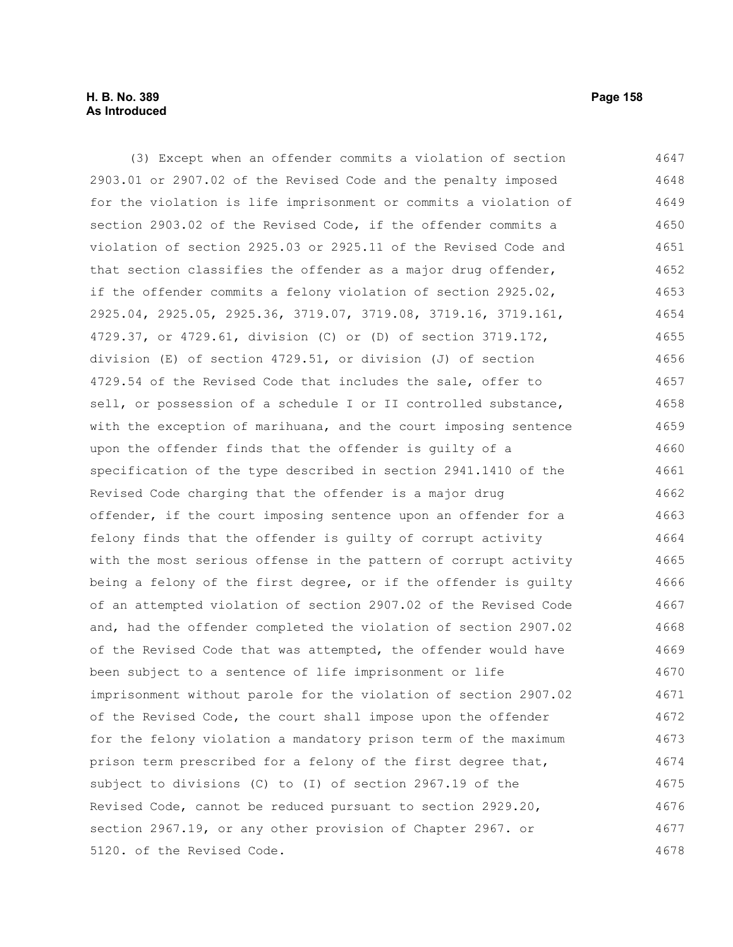# **H. B. No. 389 Page 158 As Introduced**

(3) Except when an offender commits a violation of section 2903.01 or 2907.02 of the Revised Code and the penalty imposed for the violation is life imprisonment or commits a violation of section 2903.02 of the Revised Code, if the offender commits a violation of section 2925.03 or 2925.11 of the Revised Code and that section classifies the offender as a major drug offender, if the offender commits a felony violation of section 2925.02, 2925.04, 2925.05, 2925.36, 3719.07, 3719.08, 3719.16, 3719.161, 4729.37, or 4729.61, division (C) or (D) of section 3719.172, division (E) of section 4729.51, or division (J) of section 4729.54 of the Revised Code that includes the sale, offer to sell, or possession of a schedule I or II controlled substance, with the exception of marihuana, and the court imposing sentence upon the offender finds that the offender is guilty of a specification of the type described in section 2941.1410 of the Revised Code charging that the offender is a major drug offender, if the court imposing sentence upon an offender for a felony finds that the offender is guilty of corrupt activity with the most serious offense in the pattern of corrupt activity being a felony of the first degree, or if the offender is guilty of an attempted violation of section 2907.02 of the Revised Code and, had the offender completed the violation of section 2907.02 of the Revised Code that was attempted, the offender would have been subject to a sentence of life imprisonment or life imprisonment without parole for the violation of section 2907.02 of the Revised Code, the court shall impose upon the offender for the felony violation a mandatory prison term of the maximum prison term prescribed for a felony of the first degree that, subject to divisions (C) to (I) of section 2967.19 of the Revised Code, cannot be reduced pursuant to section 2929.20, section 2967.19, or any other provision of Chapter 2967. or 5120. of the Revised Code. 4647 4648 4649 4650 4651 4652 4653 4654 4655 4656 4657 4658 4659 4660 4661 4662 4663 4664 4665 4666 4667 4668 4669 4670 4671 4672 4673 4674 4675 4676 4677 4678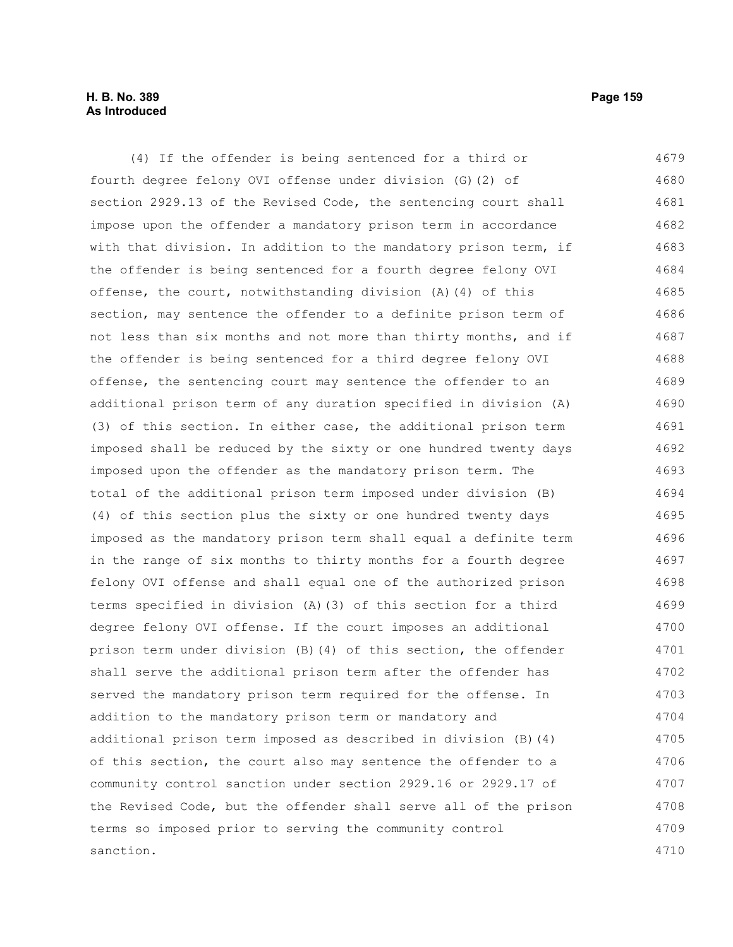# **H. B. No. 389 Page 159 As Introduced**

(4) If the offender is being sentenced for a third or fourth degree felony OVI offense under division (G)(2) of section 2929.13 of the Revised Code, the sentencing court shall impose upon the offender a mandatory prison term in accordance with that division. In addition to the mandatory prison term, if the offender is being sentenced for a fourth degree felony OVI offense, the court, notwithstanding division (A)(4) of this section, may sentence the offender to a definite prison term of not less than six months and not more than thirty months, and if the offender is being sentenced for a third degree felony OVI offense, the sentencing court may sentence the offender to an additional prison term of any duration specified in division (A) (3) of this section. In either case, the additional prison term imposed shall be reduced by the sixty or one hundred twenty days imposed upon the offender as the mandatory prison term. The total of the additional prison term imposed under division (B) (4) of this section plus the sixty or one hundred twenty days imposed as the mandatory prison term shall equal a definite term in the range of six months to thirty months for a fourth degree felony OVI offense and shall equal one of the authorized prison terms specified in division (A)(3) of this section for a third degree felony OVI offense. If the court imposes an additional prison term under division (B)(4) of this section, the offender shall serve the additional prison term after the offender has served the mandatory prison term required for the offense. In addition to the mandatory prison term or mandatory and additional prison term imposed as described in division (B)(4) of this section, the court also may sentence the offender to a community control sanction under section 2929.16 or 2929.17 of the Revised Code, but the offender shall serve all of the prison terms so imposed prior to serving the community control sanction. 4679 4680 4681 4682 4683 4684 4685 4686 4687 4688 4689 4690 4691 4692 4693 4694 4695 4696 4697 4698 4699 4700 4701 4702 4703 4704 4705 4706 4707 4708 4709 4710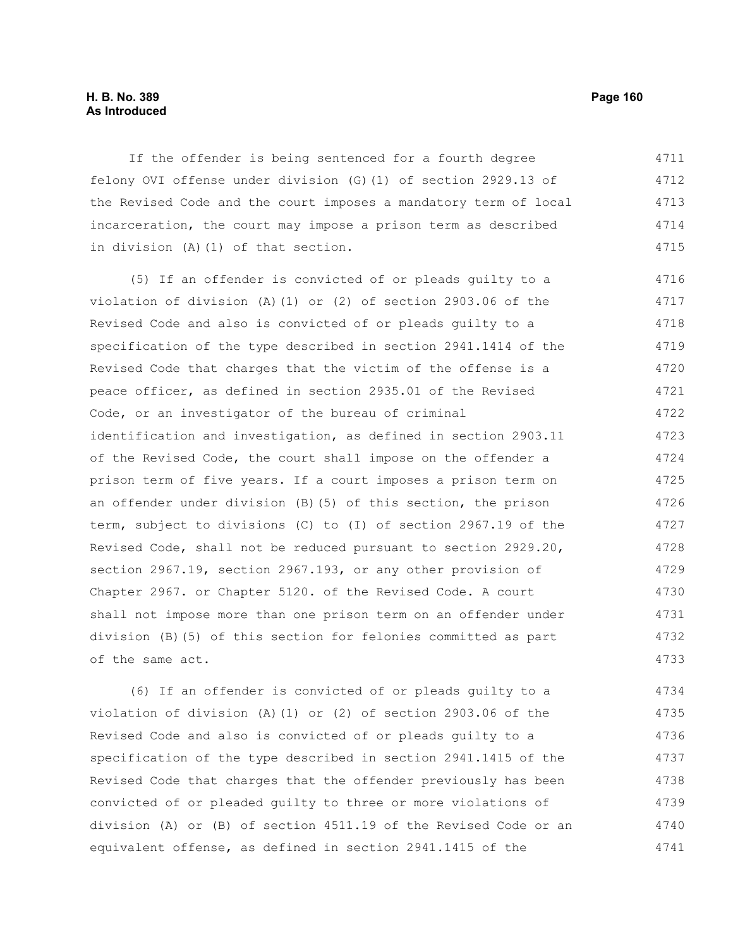## **H. B. No. 389 Page 160 As Introduced**

If the offender is being sentenced for a fourth degree felony OVI offense under division (G)(1) of section 2929.13 of the Revised Code and the court imposes a mandatory term of local incarceration, the court may impose a prison term as described in division (A)(1) of that section. 4711 4712 4713 4714 4715

(5) If an offender is convicted of or pleads guilty to a violation of division (A)(1) or (2) of section 2903.06 of the Revised Code and also is convicted of or pleads guilty to a specification of the type described in section 2941.1414 of the Revised Code that charges that the victim of the offense is a peace officer, as defined in section 2935.01 of the Revised Code, or an investigator of the bureau of criminal identification and investigation, as defined in section 2903.11 of the Revised Code, the court shall impose on the offender a prison term of five years. If a court imposes a prison term on an offender under division (B)(5) of this section, the prison term, subject to divisions (C) to (I) of section 2967.19 of the Revised Code, shall not be reduced pursuant to section 2929.20, section 2967.19, section 2967.193, or any other provision of Chapter 2967. or Chapter 5120. of the Revised Code. A court shall not impose more than one prison term on an offender under division (B)(5) of this section for felonies committed as part of the same act. 4716 4717 4718 4719 4720 4721 4722 4723 4724 4725 4726 4727 4728 4729 4730 4731 4732 4733

(6) If an offender is convicted of or pleads guilty to a violation of division (A)(1) or (2) of section 2903.06 of the Revised Code and also is convicted of or pleads guilty to a specification of the type described in section 2941.1415 of the Revised Code that charges that the offender previously has been convicted of or pleaded guilty to three or more violations of division (A) or (B) of section 4511.19 of the Revised Code or an equivalent offense, as defined in section 2941.1415 of the 4734 4735 4736 4737 4738 4739 4740 4741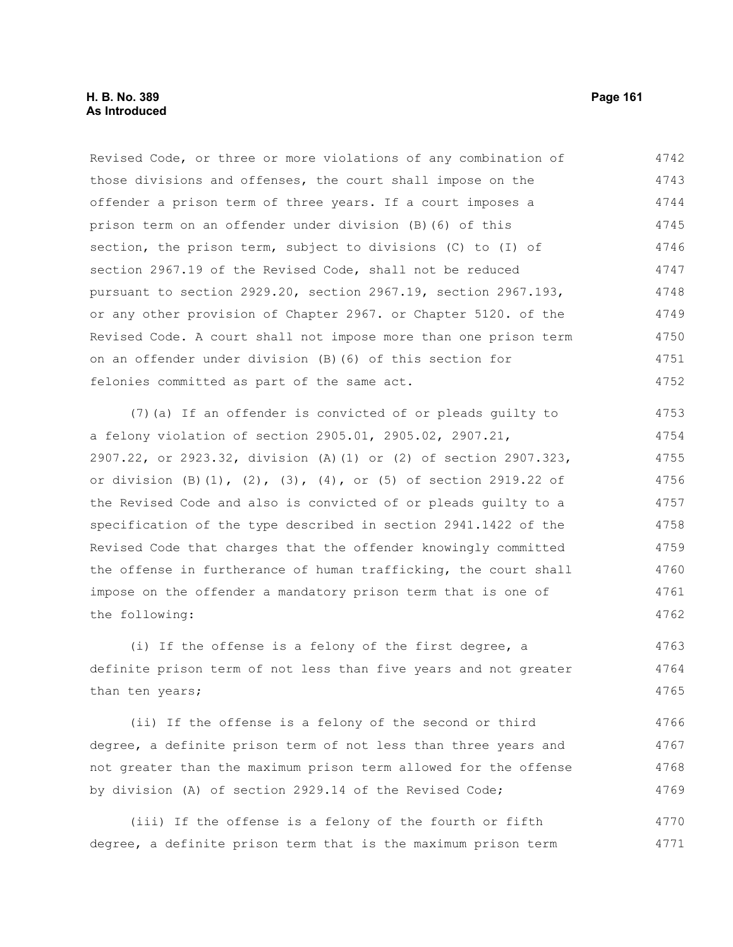Revised Code, or three or more violations of any combination of those divisions and offenses, the court shall impose on the offender a prison term of three years. If a court imposes a prison term on an offender under division (B)(6) of this section, the prison term, subject to divisions (C) to (I) of section 2967.19 of the Revised Code, shall not be reduced pursuant to section 2929.20, section 2967.19, section 2967.193, or any other provision of Chapter 2967. or Chapter 5120. of the Revised Code. A court shall not impose more than one prison term on an offender under division (B)(6) of this section for felonies committed as part of the same act. 4742 4743 4744 4745 4746 4747 4748 4749 4750 4751 4752

(7)(a) If an offender is convicted of or pleads guilty to a felony violation of section 2905.01, 2905.02, 2907.21, 2907.22, or 2923.32, division (A)(1) or (2) of section 2907.323, or division (B)(1), (2), (3), (4), or (5) of section 2919.22 of the Revised Code and also is convicted of or pleads guilty to a specification of the type described in section 2941.1422 of the Revised Code that charges that the offender knowingly committed the offense in furtherance of human trafficking, the court shall impose on the offender a mandatory prison term that is one of the following: 4753 4754 4755 4756 4757 4758 4759 4760 4761 4762

(i) If the offense is a felony of the first degree, a definite prison term of not less than five years and not greater than ten years; 4763 4764 4765

(ii) If the offense is a felony of the second or third degree, a definite prison term of not less than three years and not greater than the maximum prison term allowed for the offense by division (A) of section 2929.14 of the Revised Code; 4766 4767 4768 4769

(iii) If the offense is a felony of the fourth or fifth degree, a definite prison term that is the maximum prison term 4770 4771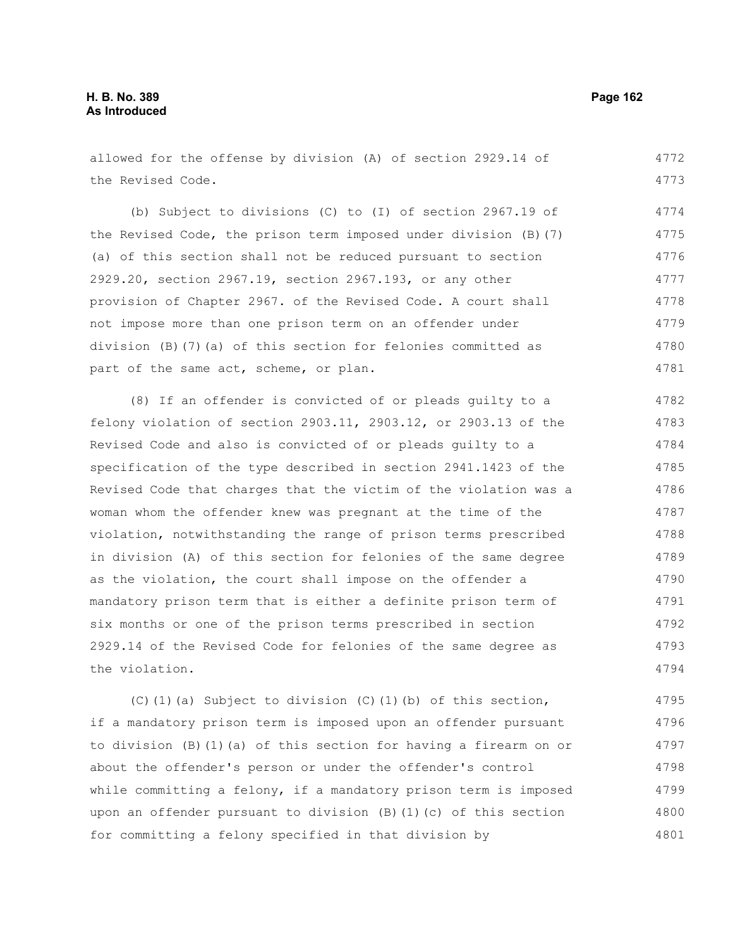allowed for the offense by division (A) of section 2929.14 of the Revised Code. (b) Subject to divisions (C) to (I) of section 2967.19 of the Revised Code, the prison term imposed under division (B)(7) (a) of this section shall not be reduced pursuant to section 2929.20, section 2967.19, section 2967.193, or any other provision of Chapter 2967. of the Revised Code. A court shall not impose more than one prison term on an offender under division (B)(7)(a) of this section for felonies committed as part of the same act, scheme, or plan. 4772 4773 4774 4775 4776 4777 4778 4779 4780 4781

(8) If an offender is convicted of or pleads guilty to a felony violation of section 2903.11, 2903.12, or 2903.13 of the Revised Code and also is convicted of or pleads guilty to a specification of the type described in section 2941.1423 of the Revised Code that charges that the victim of the violation was a woman whom the offender knew was pregnant at the time of the violation, notwithstanding the range of prison terms prescribed in division (A) of this section for felonies of the same degree as the violation, the court shall impose on the offender a mandatory prison term that is either a definite prison term of six months or one of the prison terms prescribed in section 2929.14 of the Revised Code for felonies of the same degree as the violation. 4782 4783 4784 4785 4786 4787 4788 4789 4790 4791 4792 4793 4794

 $(C)$ (1)(a) Subject to division  $(C)$ (1)(b) of this section, if a mandatory prison term is imposed upon an offender pursuant to division (B)(1)(a) of this section for having a firearm on or about the offender's person or under the offender's control while committing a felony, if a mandatory prison term is imposed upon an offender pursuant to division (B)(1)(c) of this section for committing a felony specified in that division by 4795 4796 4797 4798 4799 4800 4801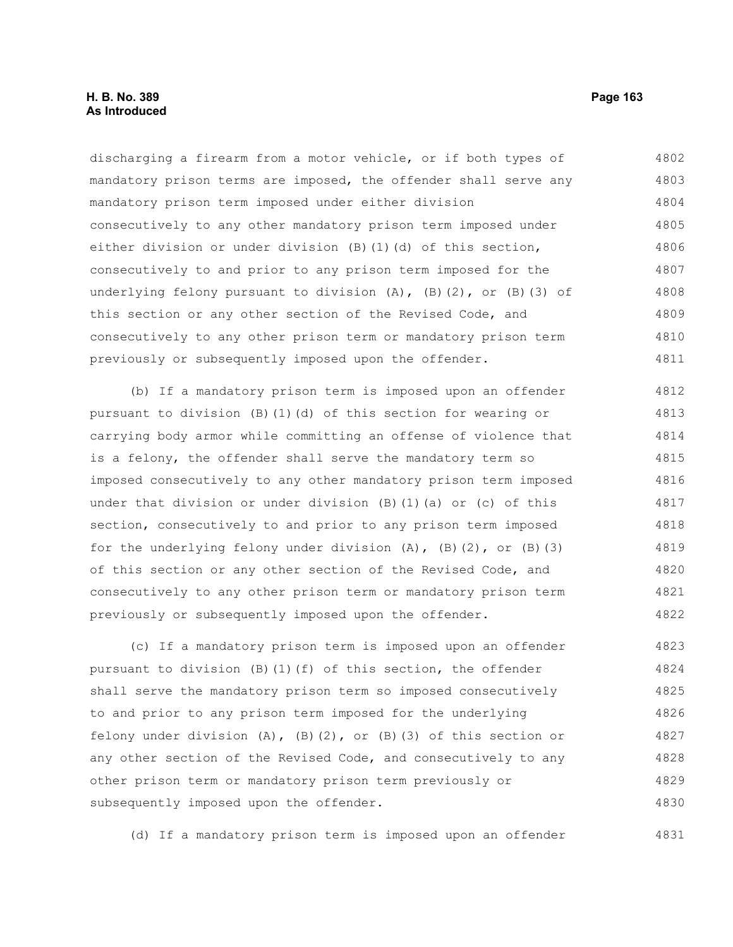discharging a firearm from a motor vehicle, or if both types of mandatory prison terms are imposed, the offender shall serve any mandatory prison term imposed under either division consecutively to any other mandatory prison term imposed under either division or under division (B)(1)(d) of this section, consecutively to and prior to any prison term imposed for the underlying felony pursuant to division  $(A)$ ,  $(B)$   $(2)$ , or  $(B)$   $(3)$  of this section or any other section of the Revised Code, and consecutively to any other prison term or mandatory prison term previously or subsequently imposed upon the offender. 4802 4803 4804 4805 4806 4807 4808 4809 4810 4811

(b) If a mandatory prison term is imposed upon an offender pursuant to division (B)(1)(d) of this section for wearing or carrying body armor while committing an offense of violence that is a felony, the offender shall serve the mandatory term so imposed consecutively to any other mandatory prison term imposed under that division or under division (B)(1)(a) or (c) of this section, consecutively to and prior to any prison term imposed for the underlying felony under division  $(A)$ ,  $(B)$   $(2)$ , or  $(B)$   $(3)$ of this section or any other section of the Revised Code, and consecutively to any other prison term or mandatory prison term previously or subsequently imposed upon the offender. 4812 4813 4814 4815 4816 4817 4818 4819 4820 4821 4822

(c) If a mandatory prison term is imposed upon an offender pursuant to division (B)(1)(f) of this section, the offender shall serve the mandatory prison term so imposed consecutively to and prior to any prison term imposed for the underlying felony under division (A), (B)(2), or (B)(3) of this section or any other section of the Revised Code, and consecutively to any other prison term or mandatory prison term previously or subsequently imposed upon the offender. 4823 4824 4825 4826 4827 4828 4829 4830

(d) If a mandatory prison term is imposed upon an offender 4831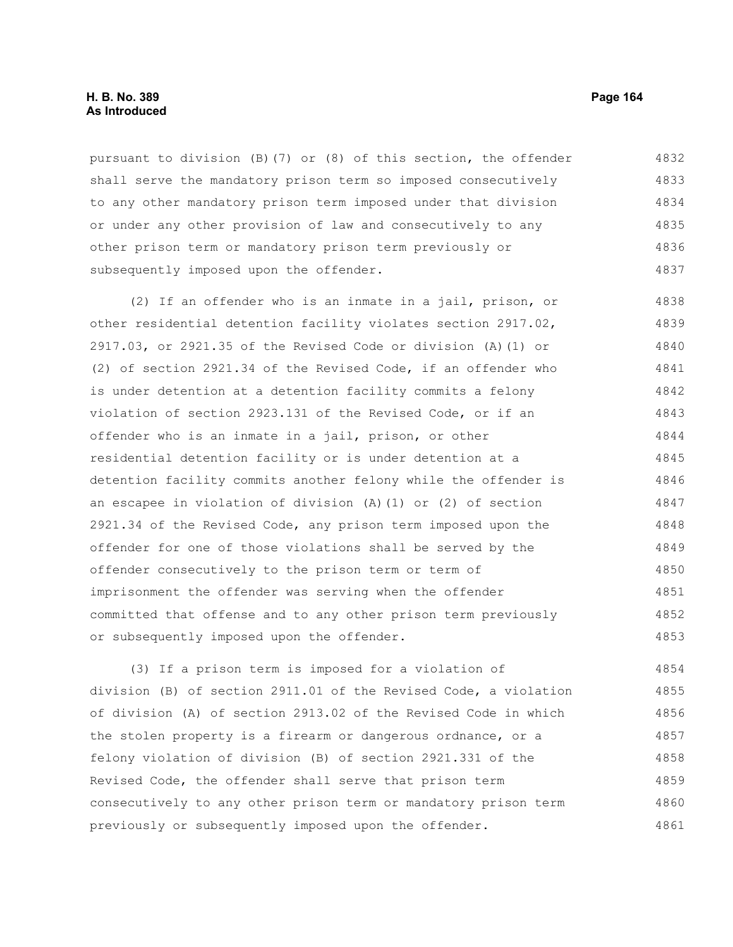pursuant to division (B)(7) or (8) of this section, the offender shall serve the mandatory prison term so imposed consecutively to any other mandatory prison term imposed under that division or under any other provision of law and consecutively to any other prison term or mandatory prison term previously or subsequently imposed upon the offender. 4832 4833 4834 4835 4836 4837

(2) If an offender who is an inmate in a jail, prison, or other residential detention facility violates section 2917.02, 2917.03, or 2921.35 of the Revised Code or division (A)(1) or (2) of section 2921.34 of the Revised Code, if an offender who is under detention at a detention facility commits a felony violation of section 2923.131 of the Revised Code, or if an offender who is an inmate in a jail, prison, or other residential detention facility or is under detention at a detention facility commits another felony while the offender is an escapee in violation of division (A)(1) or (2) of section 2921.34 of the Revised Code, any prison term imposed upon the offender for one of those violations shall be served by the offender consecutively to the prison term or term of imprisonment the offender was serving when the offender committed that offense and to any other prison term previously or subsequently imposed upon the offender. 4838 4839 4840 4841 4842 4843 4844 4845 4846 4847 4848 4849 4850 4851 4852 4853

(3) If a prison term is imposed for a violation of division (B) of section 2911.01 of the Revised Code, a violation of division (A) of section 2913.02 of the Revised Code in which the stolen property is a firearm or dangerous ordnance, or a felony violation of division (B) of section 2921.331 of the Revised Code, the offender shall serve that prison term consecutively to any other prison term or mandatory prison term previously or subsequently imposed upon the offender. 4854 4855 4856 4857 4858 4859 4860 4861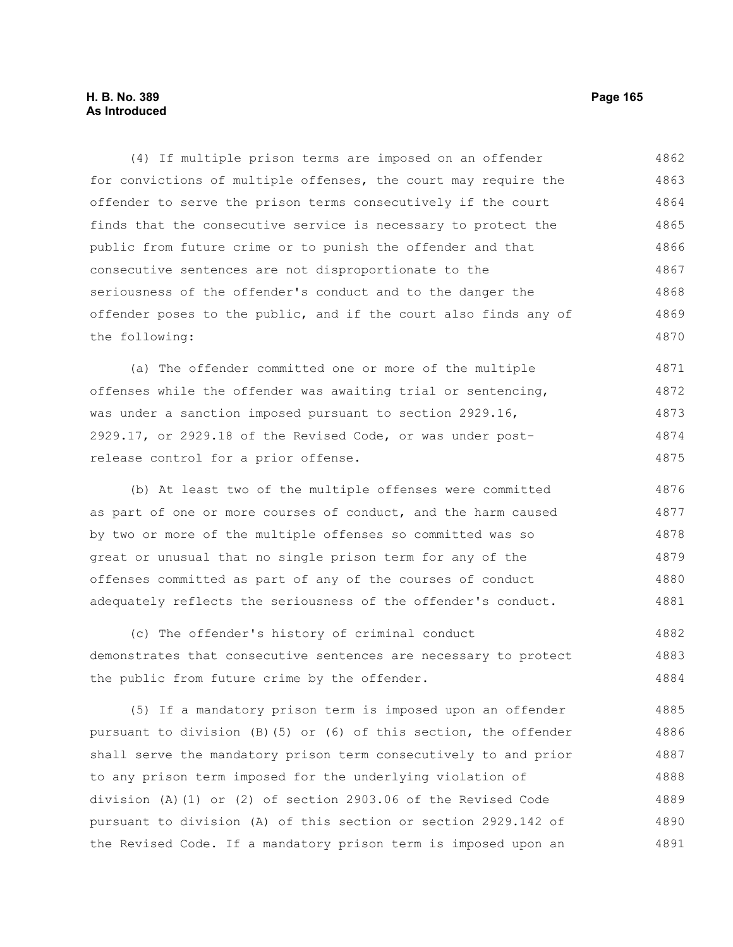# **H. B. No. 389 Page 165 As Introduced**

(4) If multiple prison terms are imposed on an offender for convictions of multiple offenses, the court may require the offender to serve the prison terms consecutively if the court finds that the consecutive service is necessary to protect the public from future crime or to punish the offender and that consecutive sentences are not disproportionate to the seriousness of the offender's conduct and to the danger the offender poses to the public, and if the court also finds any of the following: 4862 4863 4864 4865 4866 4867 4868 4869 4870

(a) The offender committed one or more of the multiple offenses while the offender was awaiting trial or sentencing, was under a sanction imposed pursuant to section 2929.16, 2929.17, or 2929.18 of the Revised Code, or was under postrelease control for a prior offense. 4871 4872 4873 4874 4875

(b) At least two of the multiple offenses were committed as part of one or more courses of conduct, and the harm caused by two or more of the multiple offenses so committed was so great or unusual that no single prison term for any of the offenses committed as part of any of the courses of conduct adequately reflects the seriousness of the offender's conduct. 4876 4877 4878 4879 4880 4881

(c) The offender's history of criminal conduct demonstrates that consecutive sentences are necessary to protect the public from future crime by the offender. 4882 4883 4884

(5) If a mandatory prison term is imposed upon an offender pursuant to division (B)(5) or (6) of this section, the offender shall serve the mandatory prison term consecutively to and prior to any prison term imposed for the underlying violation of division (A)(1) or (2) of section 2903.06 of the Revised Code pursuant to division (A) of this section or section 2929.142 of the Revised Code. If a mandatory prison term is imposed upon an 4885 4886 4887 4888 4889 4890 4891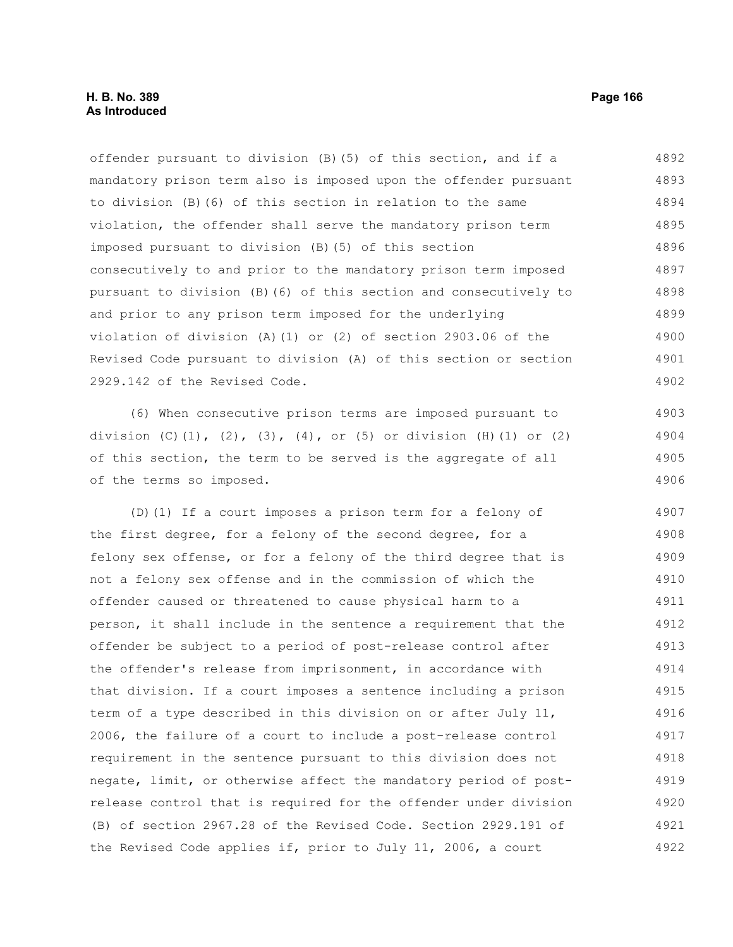## **H. B. No. 389 Page 166 As Introduced**

offender pursuant to division (B)(5) of this section, and if a mandatory prison term also is imposed upon the offender pursuant to division (B)(6) of this section in relation to the same violation, the offender shall serve the mandatory prison term imposed pursuant to division (B)(5) of this section consecutively to and prior to the mandatory prison term imposed pursuant to division (B)(6) of this section and consecutively to and prior to any prison term imposed for the underlying violation of division (A)(1) or (2) of section 2903.06 of the Revised Code pursuant to division (A) of this section or section 2929.142 of the Revised Code. 4892 4893 4894 4895 4896 4897 4898 4899 4900 4901 4902

(6) When consecutive prison terms are imposed pursuant to division  $(C)$   $(1)$ ,  $(2)$ ,  $(3)$ ,  $(4)$ , or  $(5)$  or division  $(H)$   $(1)$  or  $(2)$ of this section, the term to be served is the aggregate of all of the terms so imposed. 4903 4904 4905 4906

(D)(1) If a court imposes a prison term for a felony of the first degree, for a felony of the second degree, for a felony sex offense, or for a felony of the third degree that is not a felony sex offense and in the commission of which the offender caused or threatened to cause physical harm to a person, it shall include in the sentence a requirement that the offender be subject to a period of post-release control after the offender's release from imprisonment, in accordance with that division. If a court imposes a sentence including a prison term of a type described in this division on or after July 11, 2006, the failure of a court to include a post-release control requirement in the sentence pursuant to this division does not negate, limit, or otherwise affect the mandatory period of postrelease control that is required for the offender under division (B) of section 2967.28 of the Revised Code. Section 2929.191 of the Revised Code applies if, prior to July 11, 2006, a court 4907 4908 4909 4910 4911 4912 4913 4914 4915 4916 4917 4918 4919 4920 4921 4922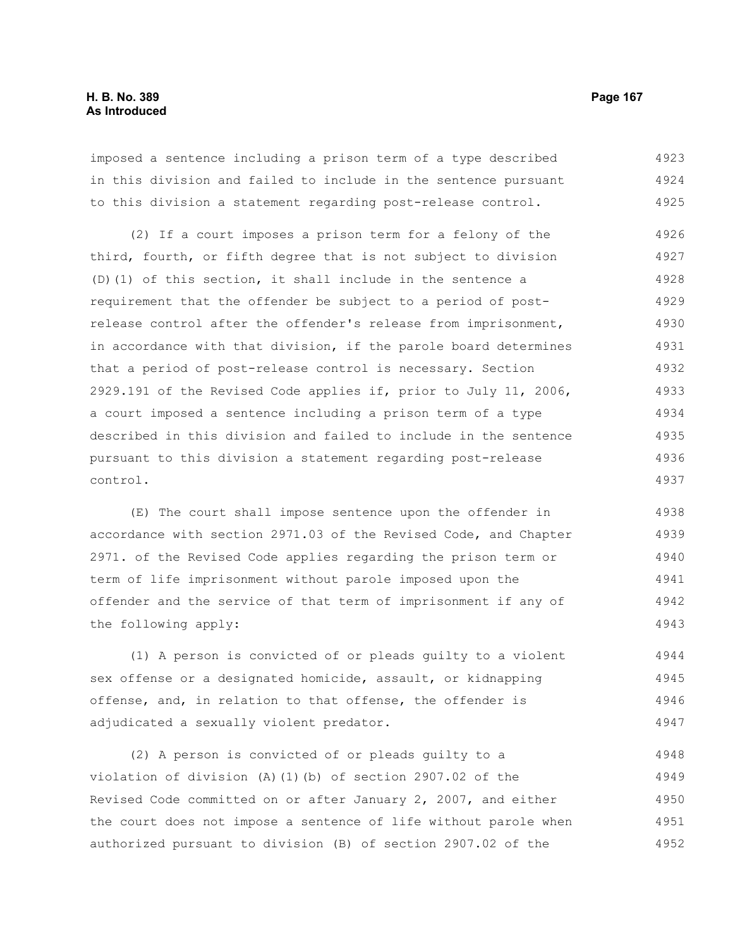imposed a sentence including a prison term of a type described in this division and failed to include in the sentence pursuant to this division a statement regarding post-release control. 4923 4924 4925

(2) If a court imposes a prison term for a felony of the third, fourth, or fifth degree that is not subject to division (D)(1) of this section, it shall include in the sentence a requirement that the offender be subject to a period of postrelease control after the offender's release from imprisonment, in accordance with that division, if the parole board determines that a period of post-release control is necessary. Section 2929.191 of the Revised Code applies if, prior to July 11, 2006, a court imposed a sentence including a prison term of a type described in this division and failed to include in the sentence pursuant to this division a statement regarding post-release control. 4926 4927 4928 4929 4930 4931 4932 4933 4934 4935 4936 4937

(E) The court shall impose sentence upon the offender in accordance with section 2971.03 of the Revised Code, and Chapter 2971. of the Revised Code applies regarding the prison term or term of life imprisonment without parole imposed upon the offender and the service of that term of imprisonment if any of the following apply: 4938 4939 4940 4941 4942 4943

(1) A person is convicted of or pleads guilty to a violent sex offense or a designated homicide, assault, or kidnapping offense, and, in relation to that offense, the offender is adjudicated a sexually violent predator. 4944 4945 4946 4947

(2) A person is convicted of or pleads guilty to a violation of division (A)(1)(b) of section 2907.02 of the Revised Code committed on or after January 2, 2007, and either the court does not impose a sentence of life without parole when authorized pursuant to division (B) of section 2907.02 of the 4948 4949 4950 4951 4952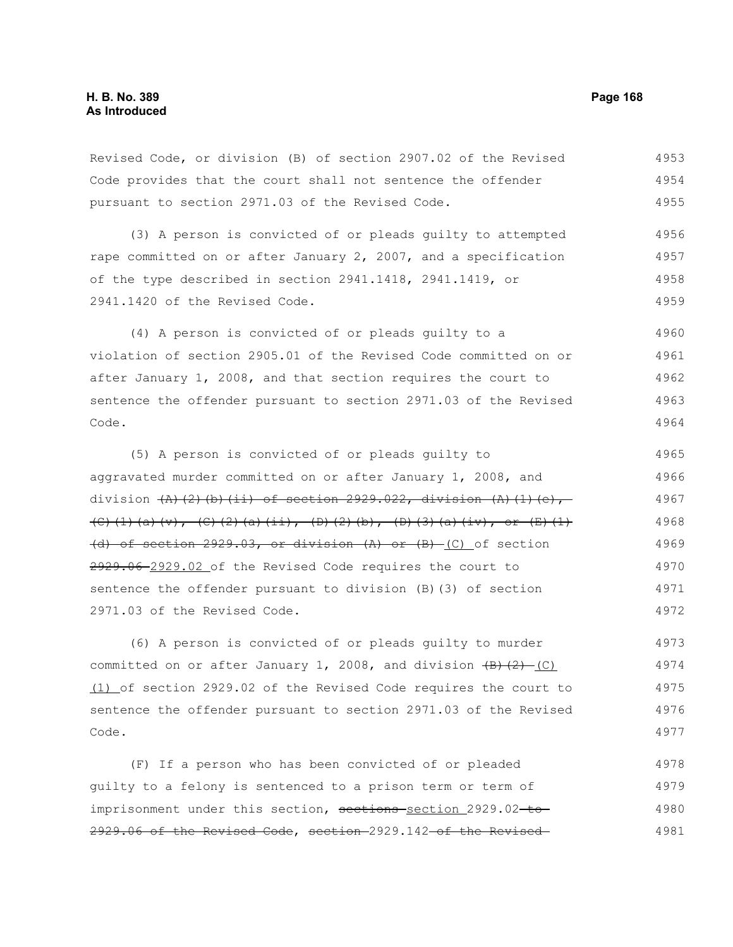Revised Code, or division (B) of section 2907.02 of the Revised Code provides that the court shall not sentence the offender pursuant to section 2971.03 of the Revised Code. 4953 4954 4955

(3) A person is convicted of or pleads guilty to attempted rape committed on or after January 2, 2007, and a specification of the type described in section 2941.1418, 2941.1419, or 2941.1420 of the Revised Code. 4956 4957 4958 4959

(4) A person is convicted of or pleads guilty to a violation of section 2905.01 of the Revised Code committed on or after January 1, 2008, and that section requires the court to sentence the offender pursuant to section 2971.03 of the Revised Code. 4960 4961 4962 4963 4964

(5) A person is convicted of or pleads guilty to aggravated murder committed on or after January 1, 2008, and division  $(A)$   $(2)$   $(b)$   $(ii)$  of section 2929.022, division  $(A)$   $(1)$   $(e)$ ,  $(3)(1)(a)(v), (c)(2)(a)(ii), (b)(2)(b), (b)(3)(a)(iv), or (E)(1)$ (d) of section  $2929.03$ , or division (A) or  $(B)$  (C) of section 2929.06 2929.02 of the Revised Code requires the court to sentence the offender pursuant to division (B)(3) of section 2971.03 of the Revised Code. 4965 4966 4967 4968 4969 4970 4971 4972

(6) A person is convicted of or pleads guilty to murder committed on or after January 1, 2008, and division  $\frac{1}{2}$   $\frac{1}{2}$   $\frac{1}{2}$  (1) of section 2929.02 of the Revised Code requires the court to sentence the offender pursuant to section 2971.03 of the Revised Code. 4973 4974 4975 4976 4977

(F) If a person who has been convicted of or pleaded guilty to a felony is sentenced to a prison term or term of imprisonment under this section, sections section 2929.02-to-2929.06 of the Revised Code, section 2929.142 of the Revised 4978 4979 4980 4981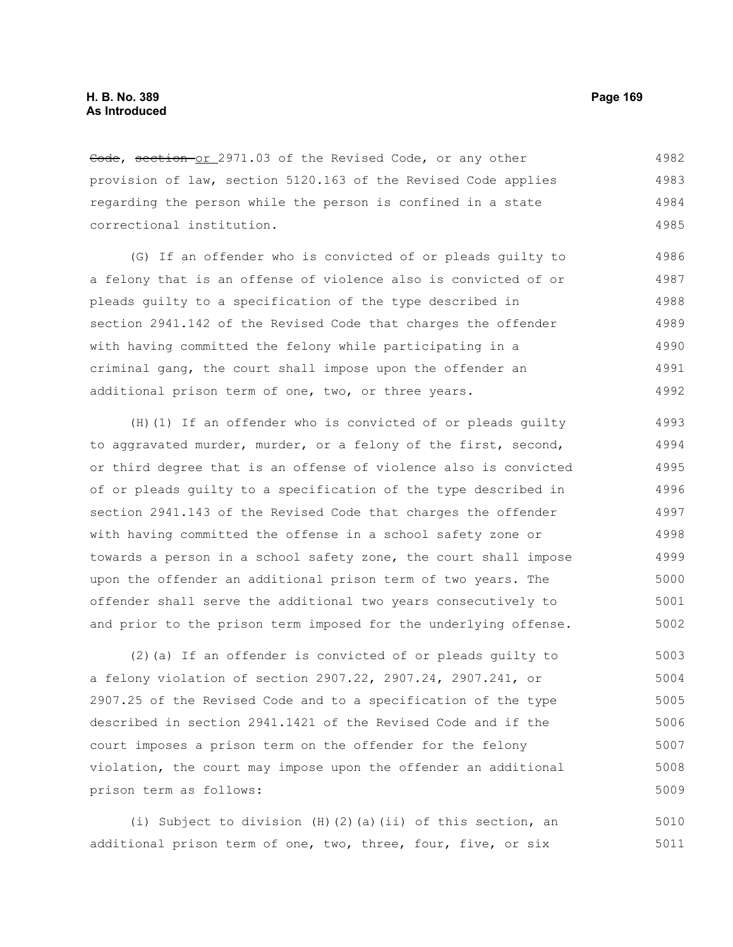Code, section or 2971.03 of the Revised Code, or any other provision of law, section 5120.163 of the Revised Code applies regarding the person while the person is confined in a state correctional institution. 4982 4983 4984 4985

(G) If an offender who is convicted of or pleads guilty to a felony that is an offense of violence also is convicted of or pleads guilty to a specification of the type described in section 2941.142 of the Revised Code that charges the offender with having committed the felony while participating in a criminal gang, the court shall impose upon the offender an additional prison term of one, two, or three years. 4986 4987 4988 4989 4990 4991 4992

(H)(1) If an offender who is convicted of or pleads guilty to aggravated murder, murder, or a felony of the first, second, or third degree that is an offense of violence also is convicted of or pleads guilty to a specification of the type described in section 2941.143 of the Revised Code that charges the offender with having committed the offense in a school safety zone or towards a person in a school safety zone, the court shall impose upon the offender an additional prison term of two years. The offender shall serve the additional two years consecutively to and prior to the prison term imposed for the underlying offense. 4993 4994 4995 4996 4997 4998 4999 5000 5001 5002

(2)(a) If an offender is convicted of or pleads guilty to a felony violation of section 2907.22, 2907.24, 2907.241, or 2907.25 of the Revised Code and to a specification of the type described in section 2941.1421 of the Revised Code and if the court imposes a prison term on the offender for the felony violation, the court may impose upon the offender an additional prison term as follows: 5003 5004 5005 5006 5007 5008 5009

(i) Subject to division (H)(2)(a)(ii) of this section, an additional prison term of one, two, three, four, five, or six 5010 5011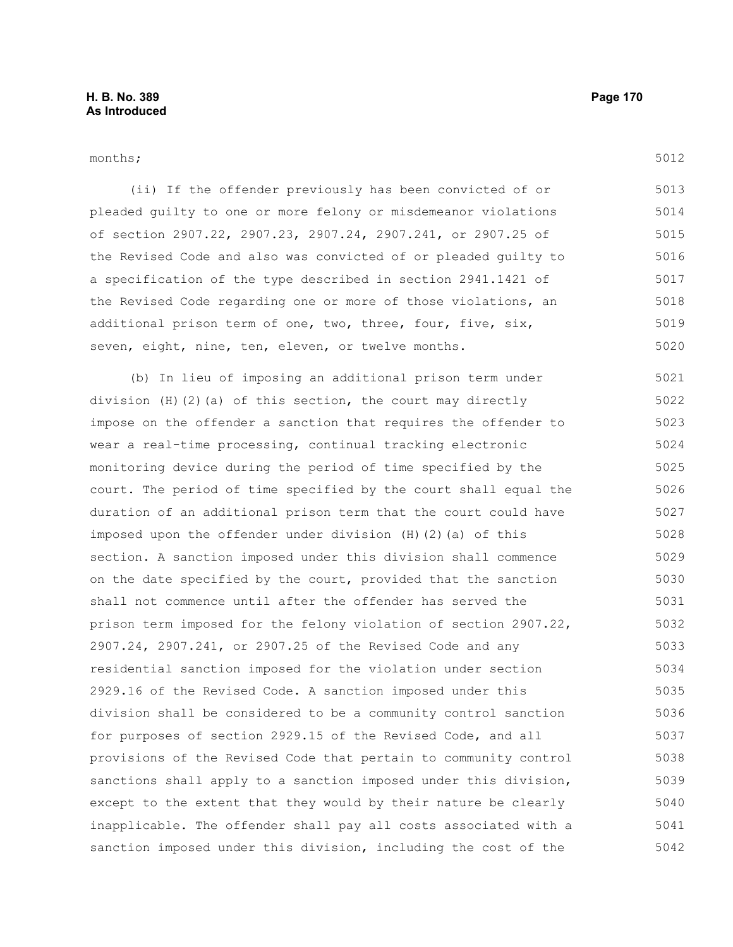### months;

(ii) If the offender previously has been convicted of or pleaded guilty to one or more felony or misdemeanor violations of section 2907.22, 2907.23, 2907.24, 2907.241, or 2907.25 of the Revised Code and also was convicted of or pleaded guilty to a specification of the type described in section 2941.1421 of the Revised Code regarding one or more of those violations, an additional prison term of one, two, three, four, five, six, seven, eight, nine, ten, eleven, or twelve months. 5013 5014 5015 5016 5017 5018 5019 5020

(b) In lieu of imposing an additional prison term under division (H)(2)(a) of this section, the court may directly impose on the offender a sanction that requires the offender to wear a real-time processing, continual tracking electronic monitoring device during the period of time specified by the court. The period of time specified by the court shall equal the duration of an additional prison term that the court could have imposed upon the offender under division (H)(2)(a) of this section. A sanction imposed under this division shall commence on the date specified by the court, provided that the sanction shall not commence until after the offender has served the prison term imposed for the felony violation of section 2907.22, 2907.24, 2907.241, or 2907.25 of the Revised Code and any residential sanction imposed for the violation under section 2929.16 of the Revised Code. A sanction imposed under this division shall be considered to be a community control sanction for purposes of section 2929.15 of the Revised Code, and all provisions of the Revised Code that pertain to community control sanctions shall apply to a sanction imposed under this division, except to the extent that they would by their nature be clearly inapplicable. The offender shall pay all costs associated with a sanction imposed under this division, including the cost of the 5021 5022 5023 5024 5025 5026 5027 5028 5029 5030 5031 5032 5033 5034 5035 5036 5037 5038 5039 5040 5041 5042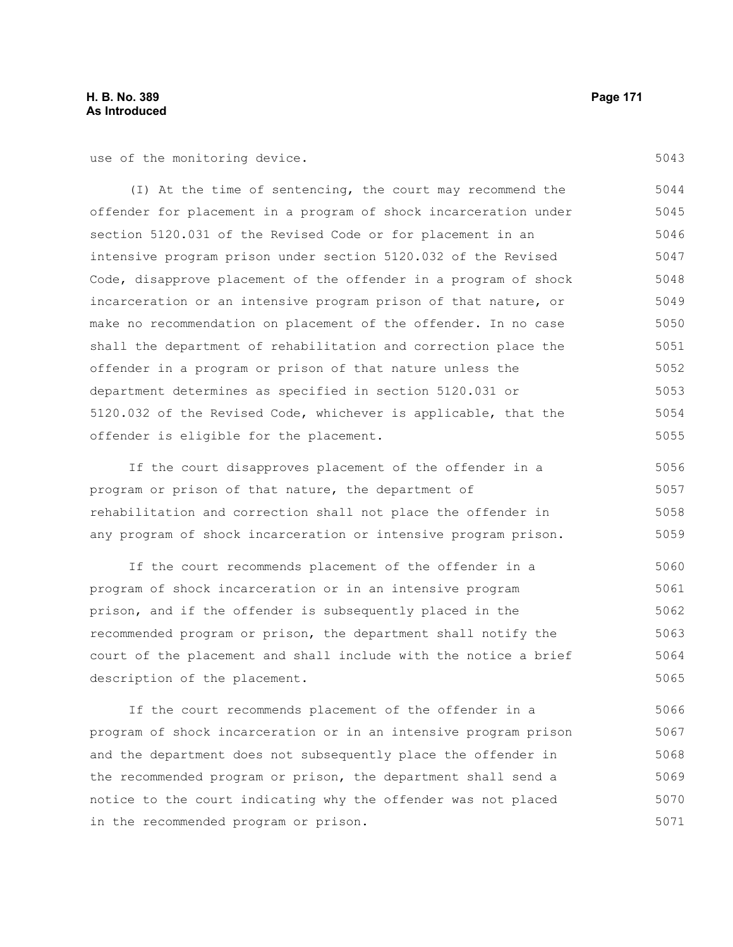use of the monitoring device.

(I) At the time of sentencing, the court may recommend the offender for placement in a program of shock incarceration under section 5120.031 of the Revised Code or for placement in an intensive program prison under section 5120.032 of the Revised Code, disapprove placement of the offender in a program of shock incarceration or an intensive program prison of that nature, or make no recommendation on placement of the offender. In no case shall the department of rehabilitation and correction place the offender in a program or prison of that nature unless the department determines as specified in section 5120.031 or 5120.032 of the Revised Code, whichever is applicable, that the offender is eligible for the placement. 5044 5045 5046 5047 5048 5049 5050 5051 5052 5053 5054 5055

If the court disapproves placement of the offender in a program or prison of that nature, the department of rehabilitation and correction shall not place the offender in any program of shock incarceration or intensive program prison. 5056 5057 5058 5059

If the court recommends placement of the offender in a program of shock incarceration or in an intensive program prison, and if the offender is subsequently placed in the recommended program or prison, the department shall notify the court of the placement and shall include with the notice a brief description of the placement. 5060 5061 5062 5063 5064 5065

If the court recommends placement of the offender in a program of shock incarceration or in an intensive program prison and the department does not subsequently place the offender in the recommended program or prison, the department shall send a notice to the court indicating why the offender was not placed in the recommended program or prison. 5066 5067 5068 5069 5070 5071

5043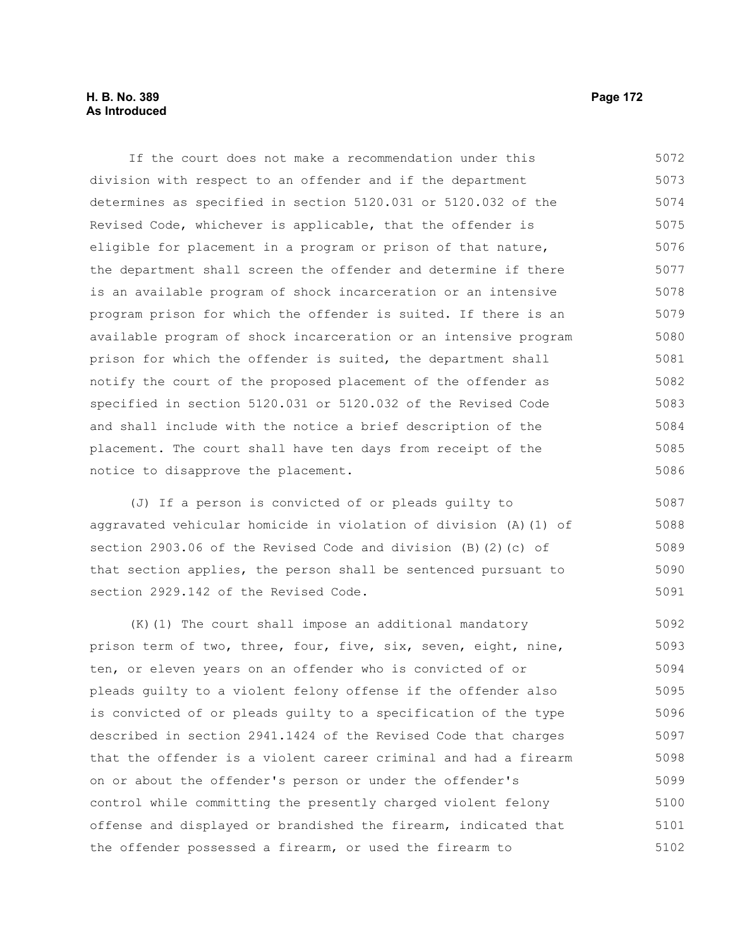# **H. B. No. 389 Page 172 As Introduced**

If the court does not make a recommendation under this division with respect to an offender and if the department determines as specified in section 5120.031 or 5120.032 of the Revised Code, whichever is applicable, that the offender is eligible for placement in a program or prison of that nature, the department shall screen the offender and determine if there is an available program of shock incarceration or an intensive program prison for which the offender is suited. If there is an available program of shock incarceration or an intensive program prison for which the offender is suited, the department shall notify the court of the proposed placement of the offender as specified in section 5120.031 or 5120.032 of the Revised Code and shall include with the notice a brief description of the placement. The court shall have ten days from receipt of the notice to disapprove the placement. 5072 5073 5074 5075 5076 5077 5078 5079 5080 5081 5082 5083 5084 5085 5086

(J) If a person is convicted of or pleads guilty to aggravated vehicular homicide in violation of division (A)(1) of section 2903.06 of the Revised Code and division (B)(2)(c) of that section applies, the person shall be sentenced pursuant to section 2929.142 of the Revised Code. 5087 5088 5089 5090 5091

(K)(1) The court shall impose an additional mandatory prison term of two, three, four, five, six, seven, eight, nine, ten, or eleven years on an offender who is convicted of or pleads guilty to a violent felony offense if the offender also is convicted of or pleads guilty to a specification of the type described in section 2941.1424 of the Revised Code that charges that the offender is a violent career criminal and had a firearm on or about the offender's person or under the offender's control while committing the presently charged violent felony offense and displayed or brandished the firearm, indicated that the offender possessed a firearm, or used the firearm to 5092 5093 5094 5095 5096 5097 5098 5099 5100 5101 5102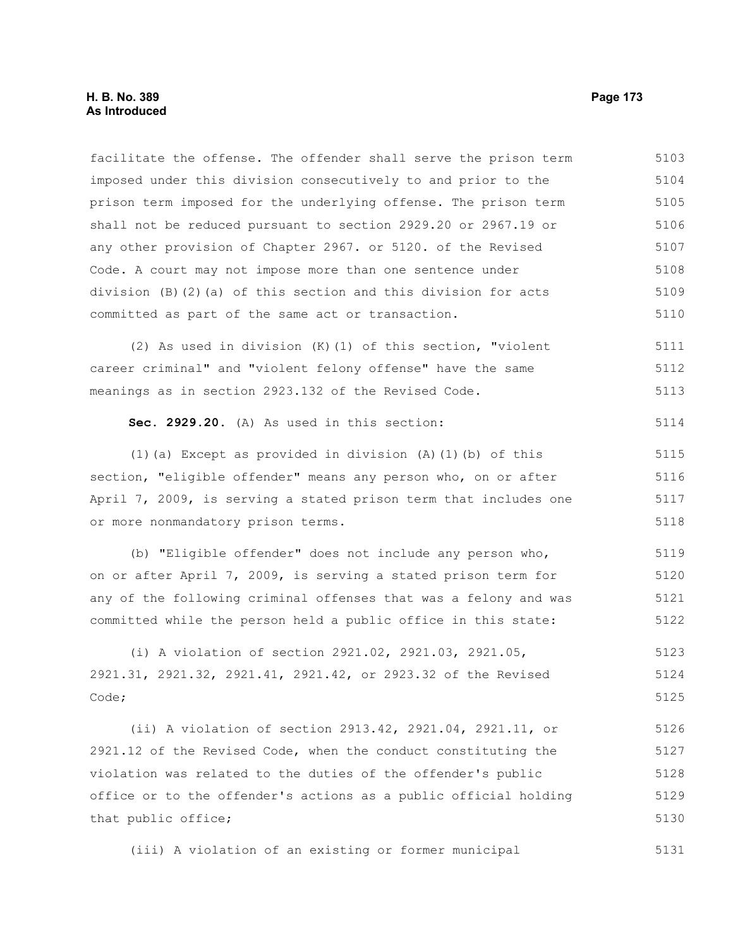facilitate the offense. The offender shall serve the prison term imposed under this division consecutively to and prior to the prison term imposed for the underlying offense. The prison term shall not be reduced pursuant to section 2929.20 or 2967.19 or any other provision of Chapter 2967. or 5120. of the Revised Code. A court may not impose more than one sentence under division (B)(2)(a) of this section and this division for acts committed as part of the same act or transaction. 5103 5104 5105 5106 5107 5108 5109 5110

(2) As used in division (K)(1) of this section, "violent career criminal" and "violent felony offense" have the same meanings as in section 2923.132 of the Revised Code. 5111 5112 5113

```
Sec. 2929.20. (A) As used in this section: 
                                                             5114
```
(1)(a) Except as provided in division (A)(1)(b) of this section, "eligible offender" means any person who, on or after April 7, 2009, is serving a stated prison term that includes one or more nonmandatory prison terms. 5115 5116 5117 5118

(b) "Eligible offender" does not include any person who, on or after April 7, 2009, is serving a stated prison term for any of the following criminal offenses that was a felony and was committed while the person held a public office in this state: 5119 5120 5121 5122

(i) A violation of section 2921.02, 2921.03, 2921.05, 2921.31, 2921.32, 2921.41, 2921.42, or 2923.32 of the Revised Code; 5123 5124 5125

(ii) A violation of section 2913.42, 2921.04, 2921.11, or 2921.12 of the Revised Code, when the conduct constituting the violation was related to the duties of the offender's public office or to the offender's actions as a public official holding that public office; 5126 5127 5128 5129 5130

(iii) A violation of an existing or former municipal 5131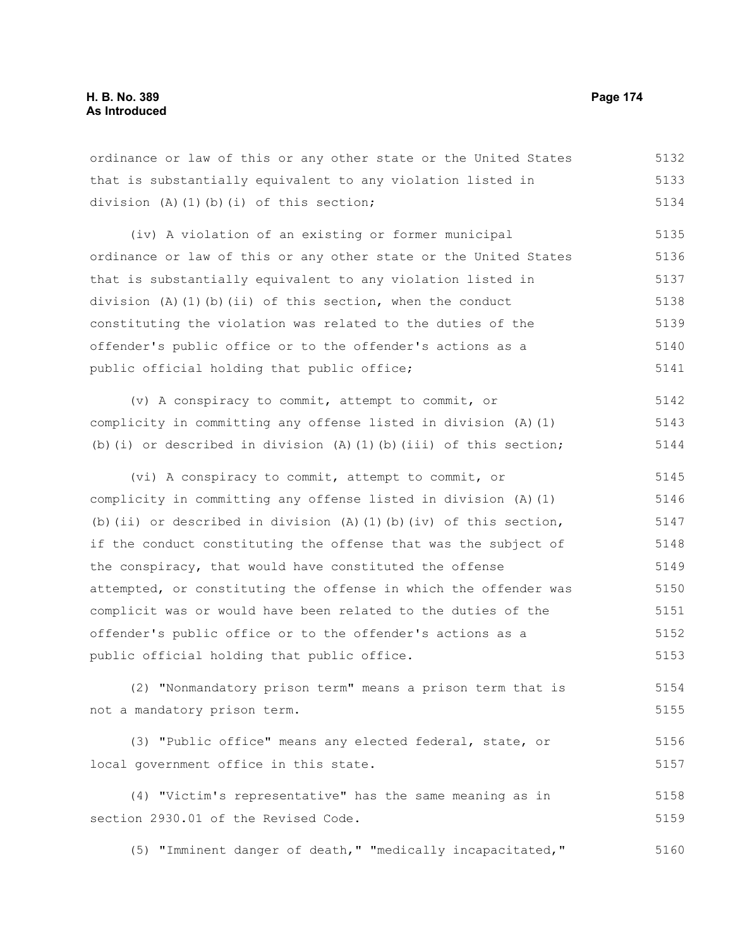| ordinance or law of this or any other state or the United States      | 5132 |
|-----------------------------------------------------------------------|------|
| that is substantially equivalent to any violation listed in           | 5133 |
| division (A)(1)(b)(i) of this section;                                | 5134 |
| (iv) A violation of an existing or former municipal                   | 5135 |
| ordinance or law of this or any other state or the United States      | 5136 |
| that is substantially equivalent to any violation listed in           | 5137 |
| division $(A)$ $(1)$ $(b)$ $(ii)$ of this section, when the conduct   | 5138 |
| constituting the violation was related to the duties of the           | 5139 |
| offender's public office or to the offender's actions as a            | 5140 |
| public official holding that public office;                           | 5141 |
| (v) A conspiracy to commit, attempt to commit, or                     | 5142 |
| complicity in committing any offense listed in division (A) (1)       | 5143 |
| (b) (i) or described in division $(A)$ (1) (b) (iii) of this section; | 5144 |
| (vi) A conspiracy to commit, attempt to commit, or                    | 5145 |
| complicity in committing any offense listed in division $(A)$ $(1)$   | 5146 |
| (b) (ii) or described in division (A) (1) (b) (iv) of this section,   | 5147 |
| if the conduct constituting the offense that was the subject of       | 5148 |
| the conspiracy, that would have constituted the offense               | 5149 |
| attempted, or constituting the offense in which the offender was      | 5150 |
| complicit was or would have been related to the duties of the         | 5151 |
| offender's public office or to the offender's actions as a            | 5152 |
| public official holding that public office.                           | 5153 |
| (2) "Nonmandatory prison term" means a prison term that is            | 5154 |
| not a mandatory prison term.                                          | 5155 |
| (3) "Public office" means any elected federal, state, or              | 5156 |
| local government office in this state.                                | 5157 |
| (4) "Victim's representative" has the same meaning as in              | 5158 |
| section 2930.01 of the Revised Code.                                  | 5159 |
| (5) "Imminent danger of death," "medically incapacitated,"            | 5160 |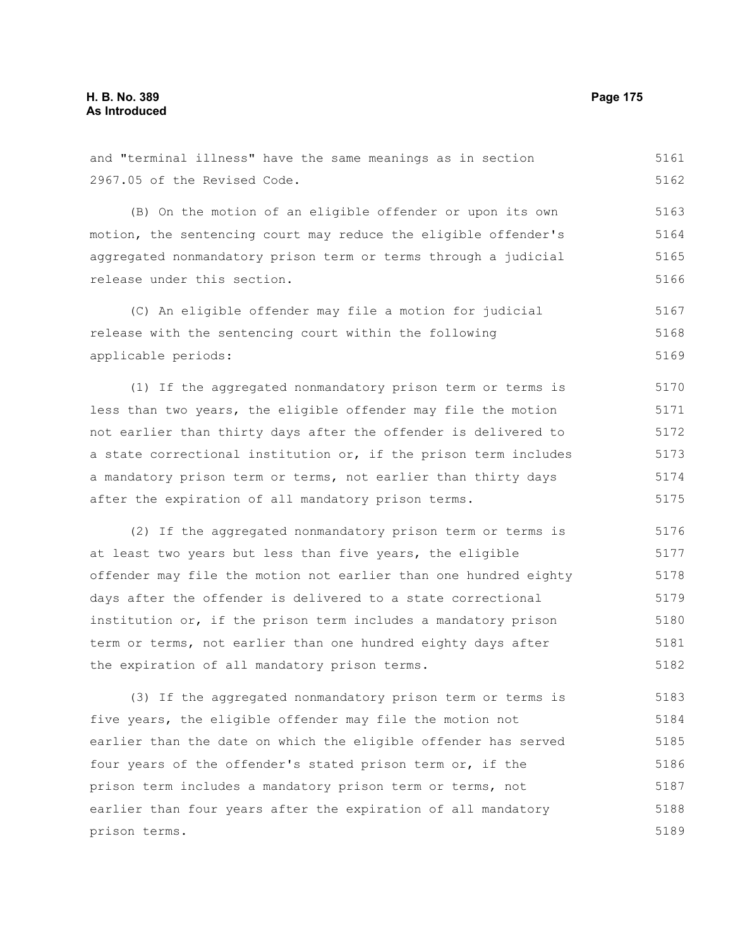5189

#### and "terminal illness" have the same meanings as in section 2967.05 of the Revised Code. (B) On the motion of an eligible offender or upon its own motion, the sentencing court may reduce the eligible offender's aggregated nonmandatory prison term or terms through a judicial release under this section. (C) An eligible offender may file a motion for judicial release with the sentencing court within the following applicable periods: (1) If the aggregated nonmandatory prison term or terms is less than two years, the eligible offender may file the motion not earlier than thirty days after the offender is delivered to a state correctional institution or, if the prison term includes a mandatory prison term or terms, not earlier than thirty days after the expiration of all mandatory prison terms. (2) If the aggregated nonmandatory prison term or terms is at least two years but less than five years, the eligible offender may file the motion not earlier than one hundred eighty days after the offender is delivered to a state correctional institution or, if the prison term includes a mandatory prison term or terms, not earlier than one hundred eighty days after the expiration of all mandatory prison terms. (3) If the aggregated nonmandatory prison term or terms is five years, the eligible offender may file the motion not earlier than the date on which the eligible offender has served four years of the offender's stated prison term or, if the prison term includes a mandatory prison term or terms, not earlier than four years after the expiration of all mandatory 5161 5162 5163 5164 5165 5166 5167 5168 5169 5170 5171 5172 5173 5174 5175 5176 5177 5178 5179 5180 5181 5182 5183 5184 5185 5186 5187 5188

prison terms.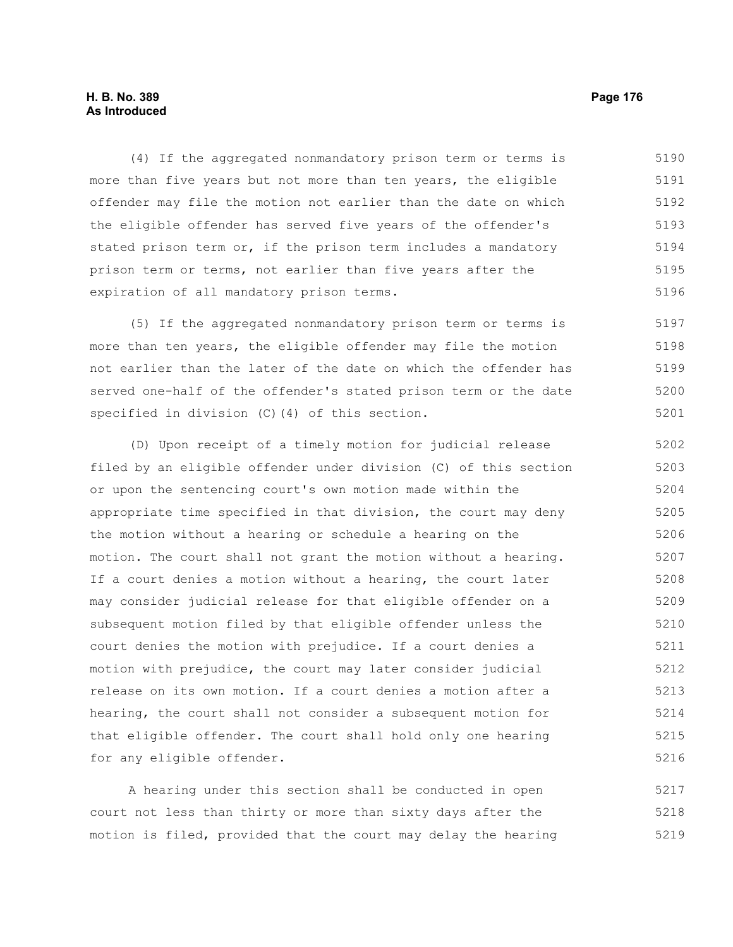# **H. B. No. 389 Page 176 As Introduced**

(4) If the aggregated nonmandatory prison term or terms is more than five years but not more than ten years, the eligible offender may file the motion not earlier than the date on which the eligible offender has served five years of the offender's stated prison term or, if the prison term includes a mandatory prison term or terms, not earlier than five years after the expiration of all mandatory prison terms. 5190 5191 5192 5193 5194 5195 5196

(5) If the aggregated nonmandatory prison term or terms is more than ten years, the eligible offender may file the motion not earlier than the later of the date on which the offender has served one-half of the offender's stated prison term or the date specified in division (C)(4) of this section. 5197 5198 5199 5200 5201

(D) Upon receipt of a timely motion for judicial release filed by an eligible offender under division (C) of this section or upon the sentencing court's own motion made within the appropriate time specified in that division, the court may deny the motion without a hearing or schedule a hearing on the motion. The court shall not grant the motion without a hearing. If a court denies a motion without a hearing, the court later may consider judicial release for that eligible offender on a subsequent motion filed by that eligible offender unless the court denies the motion with prejudice. If a court denies a motion with prejudice, the court may later consider judicial release on its own motion. If a court denies a motion after a hearing, the court shall not consider a subsequent motion for that eligible offender. The court shall hold only one hearing for any eligible offender. 5202 5203 5204 5205 5206 5207 5208 5209 5210 5211 5212 5213 5214 5215 5216

A hearing under this section shall be conducted in open court not less than thirty or more than sixty days after the motion is filed, provided that the court may delay the hearing 5217 5218 5219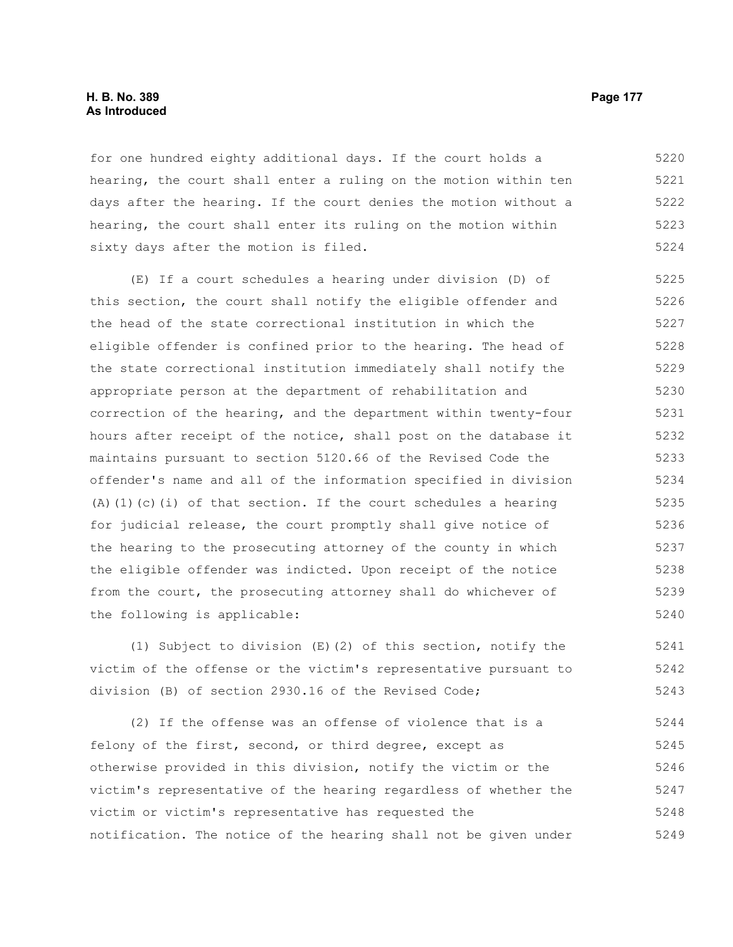#### **H. B. No. 389 Page 177 As Introduced**

for one hundred eighty additional days. If the court holds a hearing, the court shall enter a ruling on the motion within ten days after the hearing. If the court denies the motion without a hearing, the court shall enter its ruling on the motion within sixty days after the motion is filed. 5220 5221 5222 5223 5224

(E) If a court schedules a hearing under division (D) of this section, the court shall notify the eligible offender and the head of the state correctional institution in which the eligible offender is confined prior to the hearing. The head of the state correctional institution immediately shall notify the appropriate person at the department of rehabilitation and correction of the hearing, and the department within twenty-four hours after receipt of the notice, shall post on the database it maintains pursuant to section 5120.66 of the Revised Code the offender's name and all of the information specified in division (A)(1)(c)(i) of that section. If the court schedules a hearing for judicial release, the court promptly shall give notice of the hearing to the prosecuting attorney of the county in which the eligible offender was indicted. Upon receipt of the notice from the court, the prosecuting attorney shall do whichever of the following is applicable: 5225 5226 5227 5228 5229 5230 5231 5232 5233 5234 5235 5236 5237 5238 5239 5240

(1) Subject to division (E)(2) of this section, notify the victim of the offense or the victim's representative pursuant to division (B) of section 2930.16 of the Revised Code; 5241 5242 5243

(2) If the offense was an offense of violence that is a felony of the first, second, or third degree, except as otherwise provided in this division, notify the victim or the victim's representative of the hearing regardless of whether the victim or victim's representative has requested the notification. The notice of the hearing shall not be given under 5244 5245 5246 5247 5248 5249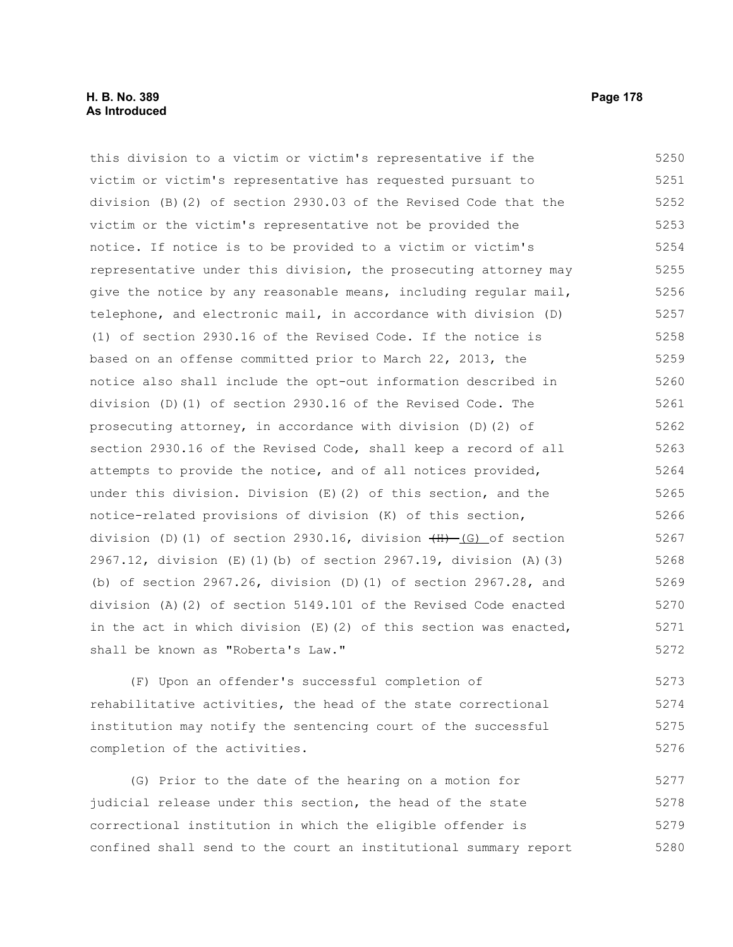## **H. B. No. 389 Page 178 As Introduced**

this division to a victim or victim's representative if the victim or victim's representative has requested pursuant to division (B)(2) of section 2930.03 of the Revised Code that the victim or the victim's representative not be provided the notice. If notice is to be provided to a victim or victim's representative under this division, the prosecuting attorney may give the notice by any reasonable means, including regular mail, telephone, and electronic mail, in accordance with division (D) (1) of section 2930.16 of the Revised Code. If the notice is based on an offense committed prior to March 22, 2013, the notice also shall include the opt-out information described in division (D)(1) of section 2930.16 of the Revised Code. The prosecuting attorney, in accordance with division (D)(2) of section 2930.16 of the Revised Code, shall keep a record of all attempts to provide the notice, and of all notices provided, under this division. Division  $(E)(2)$  of this section, and the notice-related provisions of division (K) of this section, division (D)(1) of section 2930.16, division  $(H)$  (G) of section 2967.12, division (E)(1)(b) of section 2967.19, division (A)(3) (b) of section 2967.26, division (D)(1) of section 2967.28, and division (A)(2) of section 5149.101 of the Revised Code enacted in the act in which division  $(E)(2)$  of this section was enacted, shall be known as "Roberta's Law." 5250 5251 5252 5253 5254 5255 5256 5257 5258 5259 5260 5261 5262 5263 5264 5265 5266 5267 5268 5269 5270 5271 5272

(F) Upon an offender's successful completion of rehabilitative activities, the head of the state correctional institution may notify the sentencing court of the successful completion of the activities. 5273 5274 5275 5276

(G) Prior to the date of the hearing on a motion for judicial release under this section, the head of the state correctional institution in which the eligible offender is confined shall send to the court an institutional summary report 5277 5278 5279 5280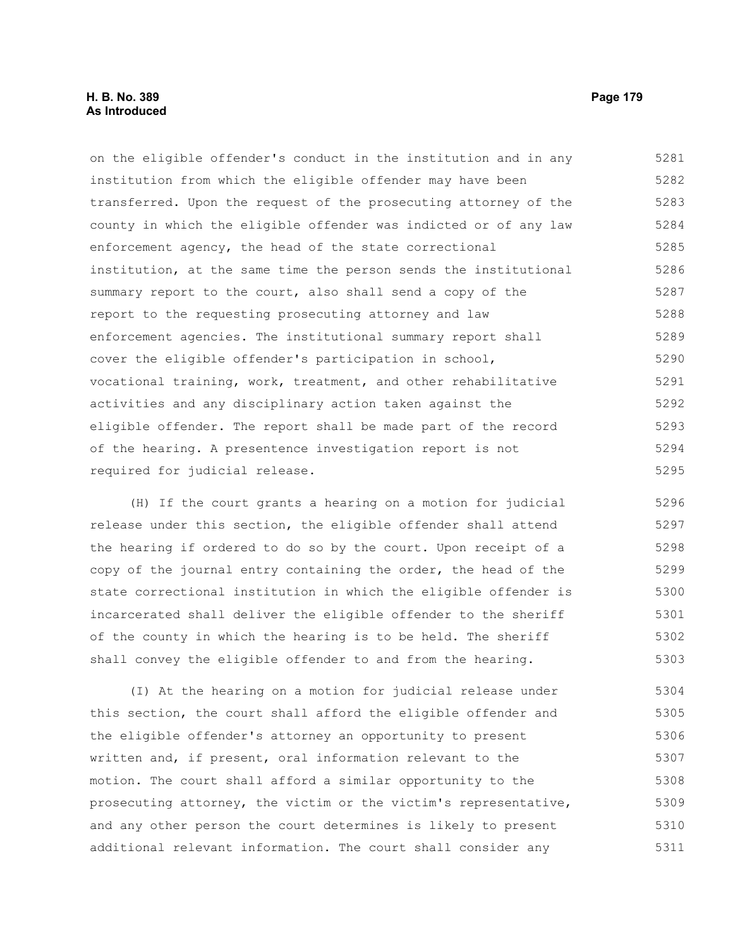on the eligible offender's conduct in the institution and in any institution from which the eligible offender may have been transferred. Upon the request of the prosecuting attorney of the county in which the eligible offender was indicted or of any law enforcement agency, the head of the state correctional institution, at the same time the person sends the institutional summary report to the court, also shall send a copy of the report to the requesting prosecuting attorney and law enforcement agencies. The institutional summary report shall cover the eligible offender's participation in school, vocational training, work, treatment, and other rehabilitative activities and any disciplinary action taken against the eligible offender. The report shall be made part of the record of the hearing. A presentence investigation report is not required for judicial release. 5281 5282 5283 5284 5285 5286 5287 5288 5289 5290 5291 5292 5293 5294 5295

(H) If the court grants a hearing on a motion for judicial release under this section, the eligible offender shall attend the hearing if ordered to do so by the court. Upon receipt of a copy of the journal entry containing the order, the head of the state correctional institution in which the eligible offender is incarcerated shall deliver the eligible offender to the sheriff of the county in which the hearing is to be held. The sheriff shall convey the eligible offender to and from the hearing. 5296 5297 5298 5299 5300 5301 5302 5303

(I) At the hearing on a motion for judicial release under this section, the court shall afford the eligible offender and the eligible offender's attorney an opportunity to present written and, if present, oral information relevant to the motion. The court shall afford a similar opportunity to the prosecuting attorney, the victim or the victim's representative, and any other person the court determines is likely to present additional relevant information. The court shall consider any 5304 5305 5306 5307 5308 5309 5310 5311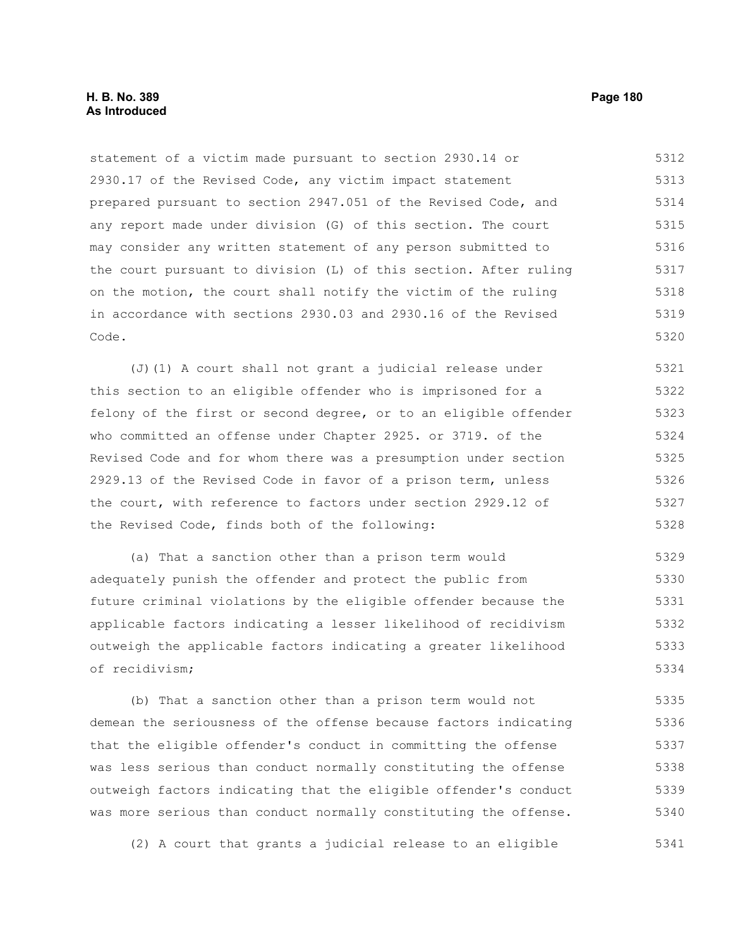statement of a victim made pursuant to section 2930.14 or 2930.17 of the Revised Code, any victim impact statement prepared pursuant to section 2947.051 of the Revised Code, and any report made under division (G) of this section. The court may consider any written statement of any person submitted to the court pursuant to division (L) of this section. After ruling on the motion, the court shall notify the victim of the ruling in accordance with sections 2930.03 and 2930.16 of the Revised Code. 5312 5313 5314 5315 5316 5317 5318 5319 5320

(J)(1) A court shall not grant a judicial release under this section to an eligible offender who is imprisoned for a felony of the first or second degree, or to an eligible offender who committed an offense under Chapter 2925. or 3719. of the Revised Code and for whom there was a presumption under section 2929.13 of the Revised Code in favor of a prison term, unless the court, with reference to factors under section 2929.12 of the Revised Code, finds both of the following: 5321 5322 5323 5324 5325 5326 5327 5328

(a) That a sanction other than a prison term would adequately punish the offender and protect the public from future criminal violations by the eligible offender because the applicable factors indicating a lesser likelihood of recidivism outweigh the applicable factors indicating a greater likelihood of recidivism; 5329 5330 5331 5332 5333 5334

(b) That a sanction other than a prison term would not demean the seriousness of the offense because factors indicating that the eligible offender's conduct in committing the offense was less serious than conduct normally constituting the offense outweigh factors indicating that the eligible offender's conduct was more serious than conduct normally constituting the offense. 5335 5336 5337 5338 5339 5340

(2) A court that grants a judicial release to an eligible 5341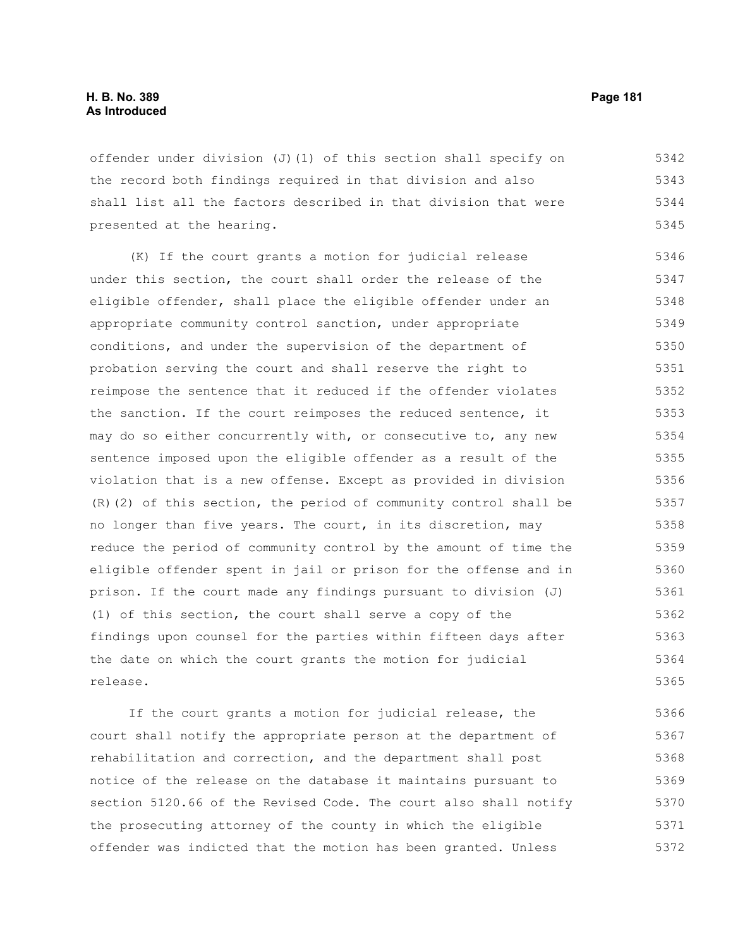offender under division (J)(1) of this section shall specify on the record both findings required in that division and also shall list all the factors described in that division that were presented at the hearing. 5342 5343 5344 5345

(K) If the court grants a motion for judicial release under this section, the court shall order the release of the eligible offender, shall place the eligible offender under an appropriate community control sanction, under appropriate conditions, and under the supervision of the department of probation serving the court and shall reserve the right to reimpose the sentence that it reduced if the offender violates the sanction. If the court reimposes the reduced sentence, it may do so either concurrently with, or consecutive to, any new sentence imposed upon the eligible offender as a result of the violation that is a new offense. Except as provided in division (R)(2) of this section, the period of community control shall be no longer than five years. The court, in its discretion, may reduce the period of community control by the amount of time the eligible offender spent in jail or prison for the offense and in prison. If the court made any findings pursuant to division (J) (1) of this section, the court shall serve a copy of the findings upon counsel for the parties within fifteen days after the date on which the court grants the motion for judicial release. 5346 5347 5348 5349 5350 5351 5352 5353 5354 5355 5356 5357 5358 5359 5360 5361 5362 5363 5364 5365

If the court grants a motion for judicial release, the court shall notify the appropriate person at the department of rehabilitation and correction, and the department shall post notice of the release on the database it maintains pursuant to section 5120.66 of the Revised Code. The court also shall notify the prosecuting attorney of the county in which the eligible offender was indicted that the motion has been granted. Unless 5366 5367 5368 5369 5370 5371 5372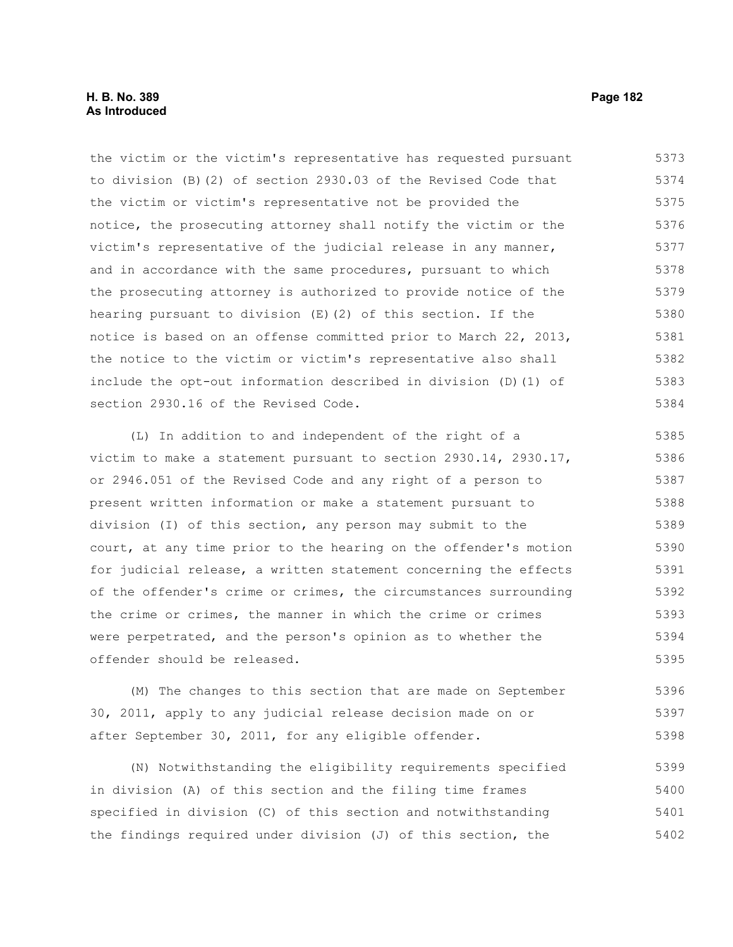### **H. B. No. 389 Page 182 As Introduced**

the victim or the victim's representative has requested pursuant to division (B)(2) of section 2930.03 of the Revised Code that the victim or victim's representative not be provided the notice, the prosecuting attorney shall notify the victim or the victim's representative of the judicial release in any manner, and in accordance with the same procedures, pursuant to which the prosecuting attorney is authorized to provide notice of the hearing pursuant to division (E)(2) of this section. If the notice is based on an offense committed prior to March 22, 2013, the notice to the victim or victim's representative also shall include the opt-out information described in division (D)(1) of section 2930.16 of the Revised Code. 5373 5374 5375 5376 5377 5378 5379 5380 5381 5382 5383 5384

(L) In addition to and independent of the right of a victim to make a statement pursuant to section 2930.14, 2930.17, or 2946.051 of the Revised Code and any right of a person to present written information or make a statement pursuant to division (I) of this section, any person may submit to the court, at any time prior to the hearing on the offender's motion for judicial release, a written statement concerning the effects of the offender's crime or crimes, the circumstances surrounding the crime or crimes, the manner in which the crime or crimes were perpetrated, and the person's opinion as to whether the offender should be released. 5385 5386 5387 5388 5389 5390 5391 5392 5393 5394 5395

(M) The changes to this section that are made on September 30, 2011, apply to any judicial release decision made on or after September 30, 2011, for any eligible offender. 5396 5397 5398

(N) Notwithstanding the eligibility requirements specified in division (A) of this section and the filing time frames specified in division (C) of this section and notwithstanding the findings required under division (J) of this section, the 5399 5400 5401 5402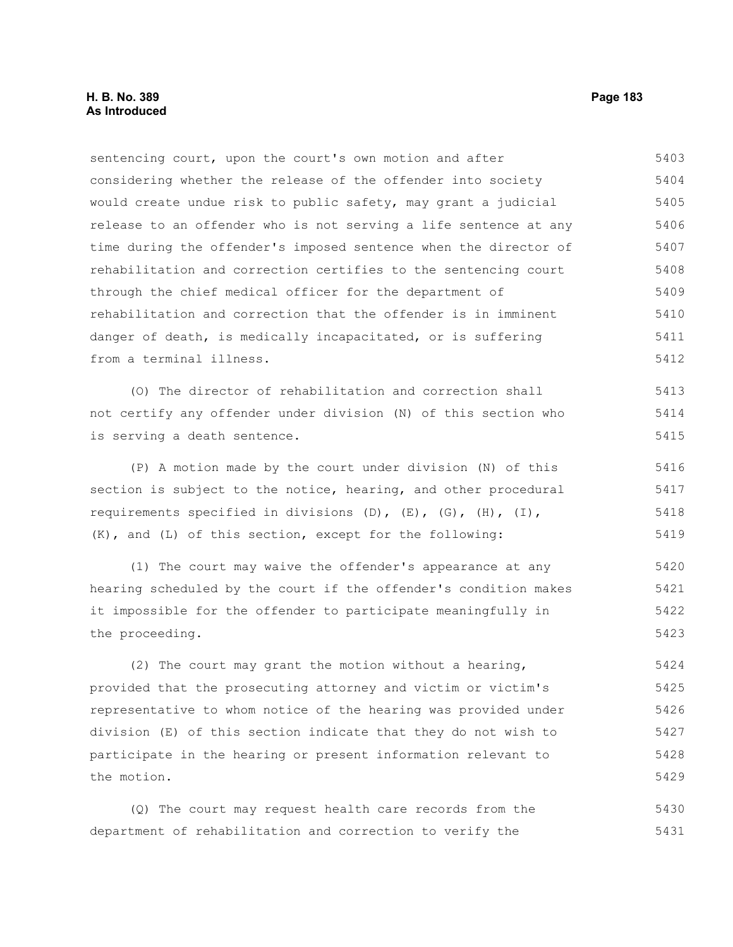sentencing court, upon the court's own motion and after considering whether the release of the offender into society would create undue risk to public safety, may grant a judicial release to an offender who is not serving a life sentence at any time during the offender's imposed sentence when the director of rehabilitation and correction certifies to the sentencing court through the chief medical officer for the department of rehabilitation and correction that the offender is in imminent danger of death, is medically incapacitated, or is suffering from a terminal illness. 5403 5404 5405 5406 5407 5408 5409 5410 5411 5412

(O) The director of rehabilitation and correction shall not certify any offender under division (N) of this section who is serving a death sentence.

(P) A motion made by the court under division (N) of this section is subject to the notice, hearing, and other procedural requirements specified in divisions  $(D)$ ,  $(E)$ ,  $(G)$ ,  $(H)$ ,  $(I)$ , (K), and (L) of this section, except for the following: 5416 5417 5418 5419

(1) The court may waive the offender's appearance at any hearing scheduled by the court if the offender's condition makes it impossible for the offender to participate meaningfully in the proceeding. 5420 5421 5422 5423

(2) The court may grant the motion without a hearing, provided that the prosecuting attorney and victim or victim's representative to whom notice of the hearing was provided under division (E) of this section indicate that they do not wish to participate in the hearing or present information relevant to the motion. 5424 5425 5426 5427 5428 5429

(Q) The court may request health care records from the department of rehabilitation and correction to verify the 5430 5431

5413 5414 5415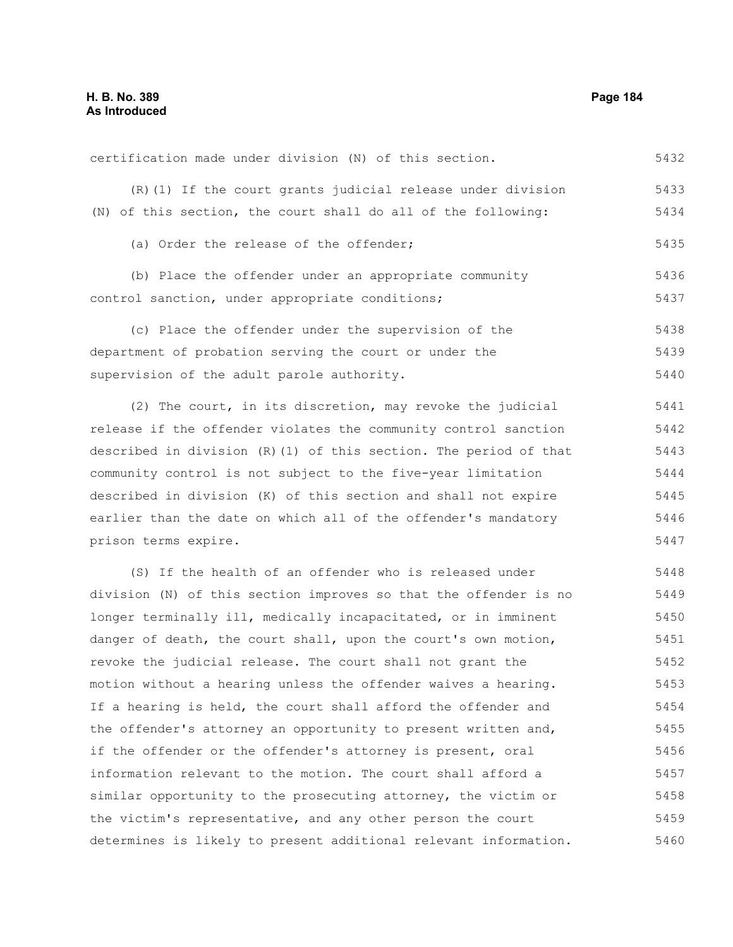| certification made under division (N) of this section.            | 5432 |  |  |  |  |
|-------------------------------------------------------------------|------|--|--|--|--|
| $(R)$ (1) If the court grants judicial release under division     | 5433 |  |  |  |  |
| (N) of this section, the court shall do all of the following:     | 5434 |  |  |  |  |
| (a) Order the release of the offender;                            | 5435 |  |  |  |  |
| (b) Place the offender under an appropriate community             | 5436 |  |  |  |  |
| control sanction, under appropriate conditions;                   | 5437 |  |  |  |  |
| (c) Place the offender under the supervision of the               | 5438 |  |  |  |  |
| department of probation serving the court or under the            |      |  |  |  |  |
| supervision of the adult parole authority.                        |      |  |  |  |  |
| (2) The court, in its discretion, may revoke the judicial         | 5441 |  |  |  |  |
| release if the offender violates the community control sanction   | 5442 |  |  |  |  |
| described in division (R) (1) of this section. The period of that | 5443 |  |  |  |  |
| community control is not subject to the five-year limitation      | 5444 |  |  |  |  |
| described in division (K) of this section and shall not expire    | 5445 |  |  |  |  |
| earlier than the date on which all of the offender's mandatory    | 5446 |  |  |  |  |
| prison terms expire.                                              | 5447 |  |  |  |  |

(S) If the health of an offender who is released under division (N) of this section improves so that the offender is no longer terminally ill, medically incapacitated, or in imminent danger of death, the court shall, upon the court's own motion, revoke the judicial release. The court shall not grant the motion without a hearing unless the offender waives a hearing. If a hearing is held, the court shall afford the offender and the offender's attorney an opportunity to present written and, if the offender or the offender's attorney is present, oral information relevant to the motion. The court shall afford a similar opportunity to the prosecuting attorney, the victim or the victim's representative, and any other person the court determines is likely to present additional relevant information. 5448 5449 5450 5451 5452 5453 5454 5455 5456 5457 5458 5459 5460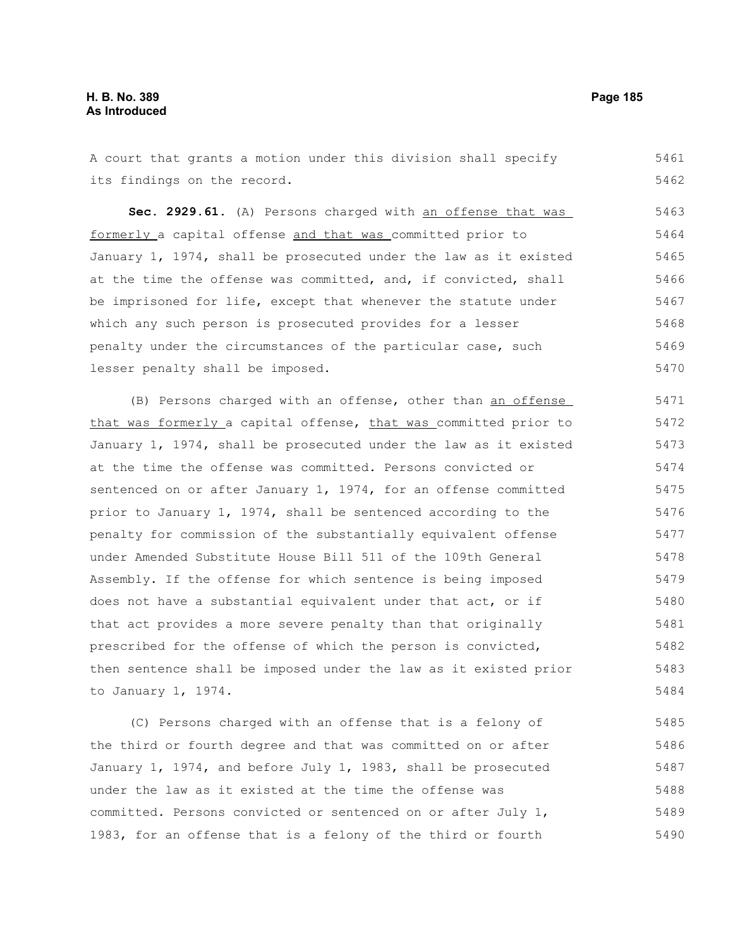A court that grants a motion under this division shall specify its findings on the record. **Sec. 2929.61.** (A) Persons charged with an offense that was formerly a capital offense and that was committed prior to January 1, 1974, shall be prosecuted under the law as it existed at the time the offense was committed, and, if convicted, shall be imprisoned for life, except that whenever the statute under which any such person is prosecuted provides for a lesser penalty under the circumstances of the particular case, such lesser penalty shall be imposed. 5461 5462 5463 5464 5465 5466 5467 5468 5469 5470

(B) Persons charged with an offense, other than an offense that was formerly a capital offense, that was committed prior to January 1, 1974, shall be prosecuted under the law as it existed at the time the offense was committed. Persons convicted or sentenced on or after January 1, 1974, for an offense committed prior to January 1, 1974, shall be sentenced according to the penalty for commission of the substantially equivalent offense under Amended Substitute House Bill 511 of the 109th General Assembly. If the offense for which sentence is being imposed does not have a substantial equivalent under that act, or if that act provides a more severe penalty than that originally prescribed for the offense of which the person is convicted, then sentence shall be imposed under the law as it existed prior to January 1, 1974. 5471 5472 5473 5474 5475 5476 5477 5478 5479 5480 5481 5482 5483 5484

(C) Persons charged with an offense that is a felony of the third or fourth degree and that was committed on or after January 1, 1974, and before July 1, 1983, shall be prosecuted under the law as it existed at the time the offense was committed. Persons convicted or sentenced on or after July 1, 1983, for an offense that is a felony of the third or fourth 5485 5486 5487 5488 5489 5490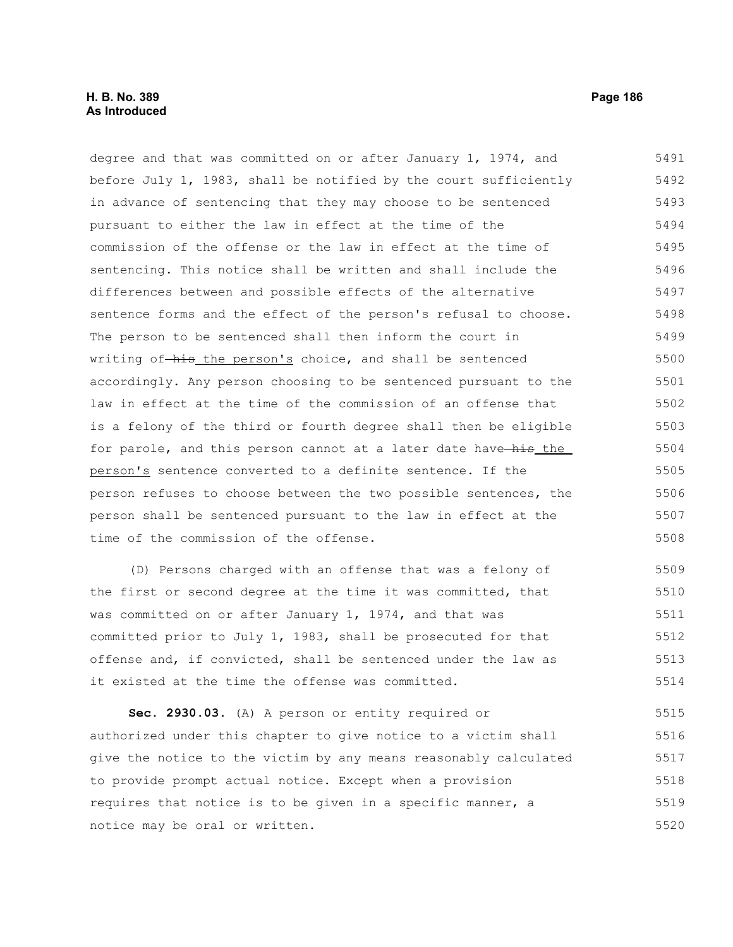### **H. B. No. 389 Page 186 As Introduced**

degree and that was committed on or after January 1, 1974, and before July 1, 1983, shall be notified by the court sufficiently in advance of sentencing that they may choose to be sentenced pursuant to either the law in effect at the time of the commission of the offense or the law in effect at the time of sentencing. This notice shall be written and shall include the differences between and possible effects of the alternative sentence forms and the effect of the person's refusal to choose. The person to be sentenced shall then inform the court in writing of-his the person's choice, and shall be sentenced accordingly. Any person choosing to be sentenced pursuant to the law in effect at the time of the commission of an offense that is a felony of the third or fourth degree shall then be eligible for parole, and this person cannot at a later date have-his the person's sentence converted to a definite sentence. If the person refuses to choose between the two possible sentences, the person shall be sentenced pursuant to the law in effect at the time of the commission of the offense. 5491 5492 5493 5494 5495 5496 5497 5498 5499 5500 5501 5502 5503 5504 5505 5506 5507 5508

(D) Persons charged with an offense that was a felony of the first or second degree at the time it was committed, that was committed on or after January 1, 1974, and that was committed prior to July 1, 1983, shall be prosecuted for that offense and, if convicted, shall be sentenced under the law as it existed at the time the offense was committed. 5509 5510 5511 5512 5513 5514

**Sec. 2930.03.** (A) A person or entity required or authorized under this chapter to give notice to a victim shall give the notice to the victim by any means reasonably calculated to provide prompt actual notice. Except when a provision requires that notice is to be given in a specific manner, a notice may be oral or written. 5515 5516 5517 5518 5519 5520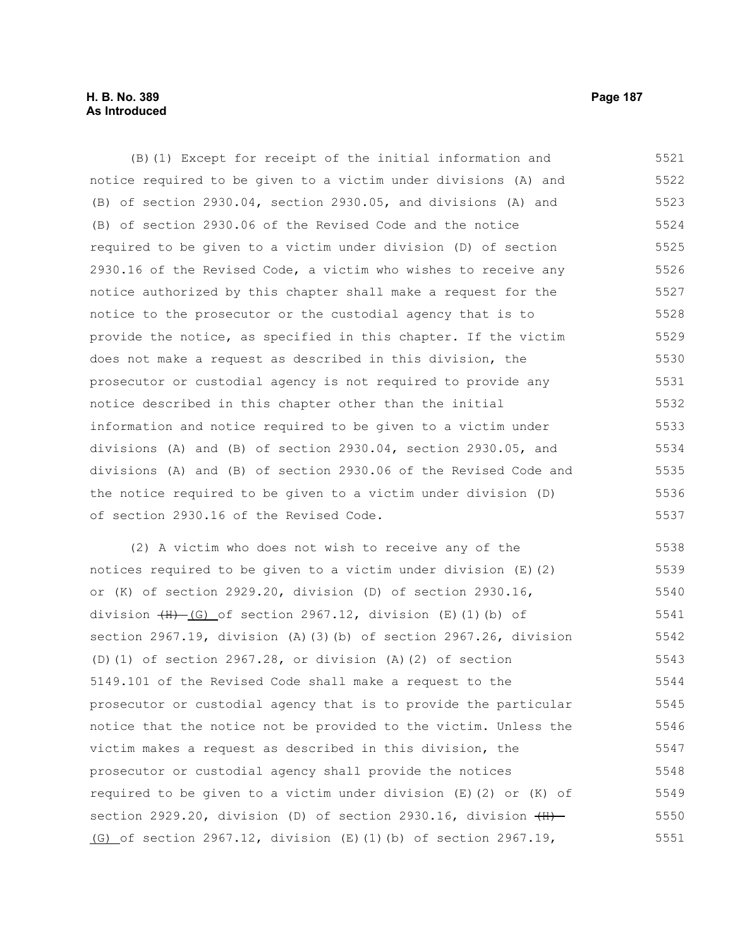(B)(1) Except for receipt of the initial information and notice required to be given to a victim under divisions (A) and (B) of section 2930.04, section 2930.05, and divisions (A) and (B) of section 2930.06 of the Revised Code and the notice required to be given to a victim under division (D) of section 2930.16 of the Revised Code, a victim who wishes to receive any notice authorized by this chapter shall make a request for the notice to the prosecutor or the custodial agency that is to provide the notice, as specified in this chapter. If the victim does not make a request as described in this division, the prosecutor or custodial agency is not required to provide any notice described in this chapter other than the initial information and notice required to be given to a victim under divisions (A) and (B) of section 2930.04, section 2930.05, and divisions (A) and (B) of section 2930.06 of the Revised Code and the notice required to be given to a victim under division (D) of section 2930.16 of the Revised Code. 5521 5522 5523 5524 5525 5526 5527 5528 5529 5530 5531 5532 5533 5534 5535 5536 5537

(2) A victim who does not wish to receive any of the notices required to be given to a victim under division (E)(2) or (K) of section 2929.20, division (D) of section 2930.16, division  $(H)$  (G) of section 2967.12, division (E)(1)(b) of section 2967.19, division (A)(3)(b) of section 2967.26, division (D)(1) of section 2967.28, or division (A)(2) of section 5149.101 of the Revised Code shall make a request to the prosecutor or custodial agency that is to provide the particular notice that the notice not be provided to the victim. Unless the victim makes a request as described in this division, the prosecutor or custodial agency shall provide the notices required to be given to a victim under division (E)(2) or (K) of section 2929.20, division (D) of section 2930.16, division  $\left\langle \mathrm{H} \right\rangle$  (G) of section 2967.12, division (E)(1)(b) of section 2967.19, 5538 5539 5540 5541 5542 5543 5544 5545 5546 5547 5548 5549 5550 5551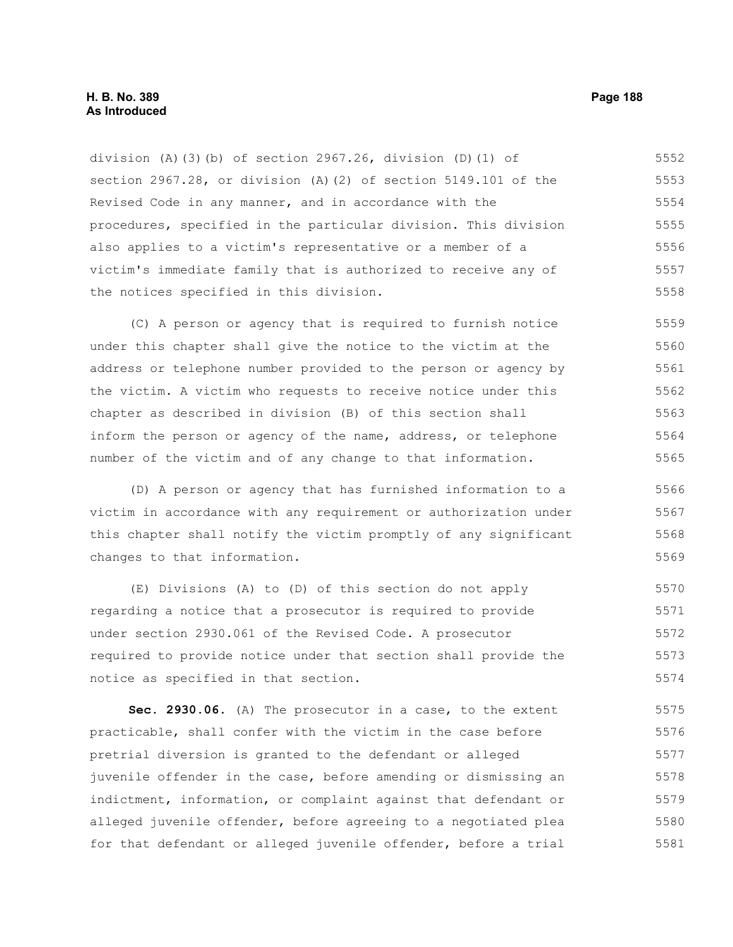### **H. B. No. 389 Page 188 As Introduced**

division (A)(3)(b) of section 2967.26, division (D)(1) of section 2967.28, or division (A)(2) of section 5149.101 of the Revised Code in any manner, and in accordance with the procedures, specified in the particular division. This division also applies to a victim's representative or a member of a victim's immediate family that is authorized to receive any of the notices specified in this division. 5552 5553 5554 5555 5556 5557 5558

(C) A person or agency that is required to furnish notice under this chapter shall give the notice to the victim at the address or telephone number provided to the person or agency by the victim. A victim who requests to receive notice under this chapter as described in division (B) of this section shall inform the person or agency of the name, address, or telephone number of the victim and of any change to that information. 5559 5560 5561 5562 5563 5564 5565

(D) A person or agency that has furnished information to a victim in accordance with any requirement or authorization under this chapter shall notify the victim promptly of any significant changes to that information. 5566 5567 5568 5569

(E) Divisions (A) to (D) of this section do not apply regarding a notice that a prosecutor is required to provide under section 2930.061 of the Revised Code. A prosecutor required to provide notice under that section shall provide the notice as specified in that section. 5570 5571 5572 5573 5574

**Sec. 2930.06.** (A) The prosecutor in a case, to the extent practicable, shall confer with the victim in the case before pretrial diversion is granted to the defendant or alleged juvenile offender in the case, before amending or dismissing an indictment, information, or complaint against that defendant or alleged juvenile offender, before agreeing to a negotiated plea for that defendant or alleged juvenile offender, before a trial 5575 5576 5577 5578 5579 5580 5581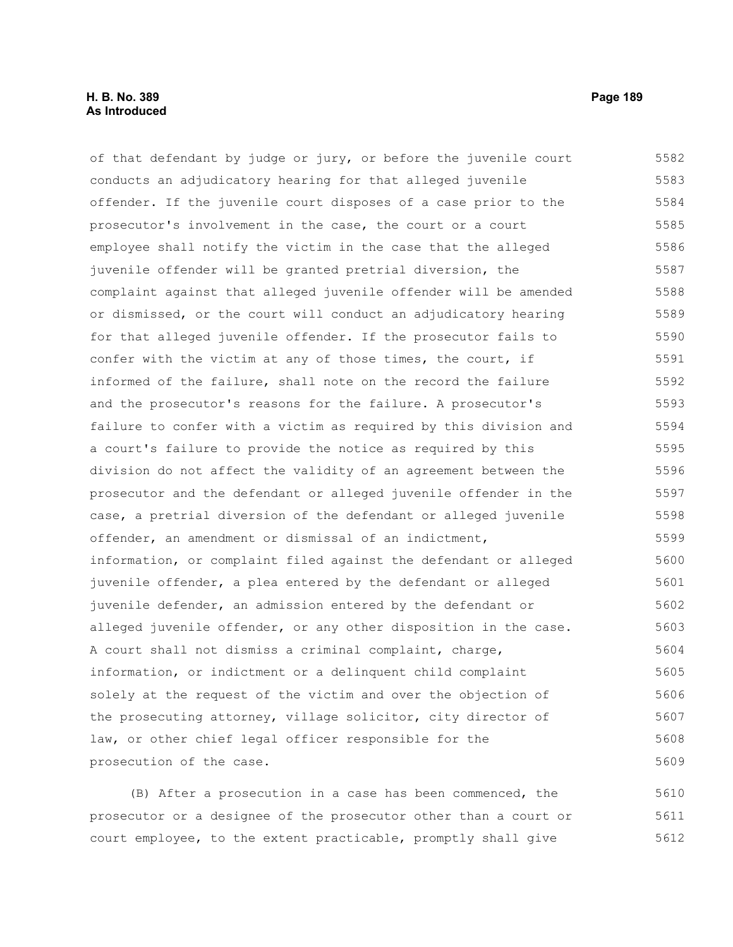### **H. B. No. 389 Page 189 As Introduced**

of that defendant by judge or jury, or before the juvenile court conducts an adjudicatory hearing for that alleged juvenile offender. If the juvenile court disposes of a case prior to the prosecutor's involvement in the case, the court or a court employee shall notify the victim in the case that the alleged juvenile offender will be granted pretrial diversion, the complaint against that alleged juvenile offender will be amended or dismissed, or the court will conduct an adjudicatory hearing for that alleged juvenile offender. If the prosecutor fails to confer with the victim at any of those times, the court, if informed of the failure, shall note on the record the failure and the prosecutor's reasons for the failure. A prosecutor's failure to confer with a victim as required by this division and a court's failure to provide the notice as required by this division do not affect the validity of an agreement between the prosecutor and the defendant or alleged juvenile offender in the case, a pretrial diversion of the defendant or alleged juvenile offender, an amendment or dismissal of an indictment, information, or complaint filed against the defendant or alleged juvenile offender, a plea entered by the defendant or alleged juvenile defender, an admission entered by the defendant or alleged juvenile offender, or any other disposition in the case. A court shall not dismiss a criminal complaint, charge, information, or indictment or a delinquent child complaint solely at the request of the victim and over the objection of the prosecuting attorney, village solicitor, city director of law, or other chief legal officer responsible for the prosecution of the case. 5582 5583 5584 5585 5586 5587 5588 5589 5590 5591 5592 5593 5594 5595 5596 5597 5598 5599 5600 5601 5602 5603 5604 5605 5606 5607 5608 5609

(B) After a prosecution in a case has been commenced, the prosecutor or a designee of the prosecutor other than a court or court employee, to the extent practicable, promptly shall give 5610 5611 5612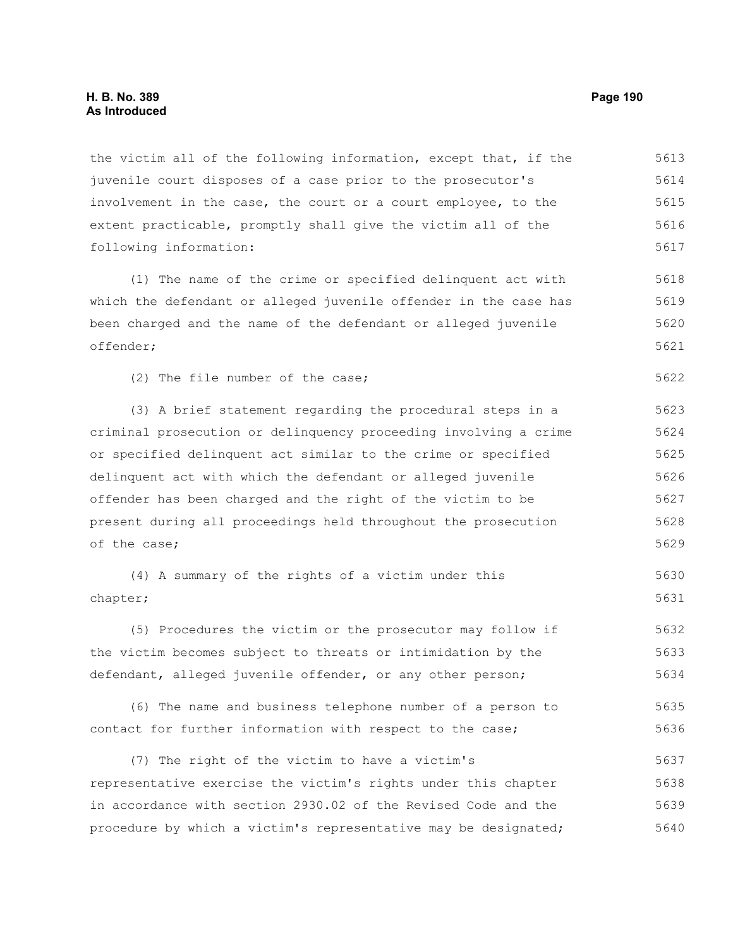### **H. B. No. 389 Page 190 As Introduced**

the victim all of the following information, except that, if the juvenile court disposes of a case prior to the prosecutor's involvement in the case, the court or a court employee, to the extent practicable, promptly shall give the victim all of the following information: 5613 5614 5615 5616 5617

(1) The name of the crime or specified delinquent act with which the defendant or alleged juvenile offender in the case has been charged and the name of the defendant or alleged juvenile offender; 5618 5619 5620 5621

(2) The file number of the case;

(3) A brief statement regarding the procedural steps in a criminal prosecution or delinquency proceeding involving a crime or specified delinquent act similar to the crime or specified delinquent act with which the defendant or alleged juvenile offender has been charged and the right of the victim to be present during all proceedings held throughout the prosecution of the case; 5623 5624 5625 5626 5627 5628 5629

```
(4) A summary of the rights of a victim under this
chapter;
                                                                             5630
                                                                             5631
```
(5) Procedures the victim or the prosecutor may follow if the victim becomes subject to threats or intimidation by the defendant, alleged juvenile offender, or any other person; 5632 5633 5634

(6) The name and business telephone number of a person to contact for further information with respect to the case; 5635 5636

(7) The right of the victim to have a victim's representative exercise the victim's rights under this chapter in accordance with section 2930.02 of the Revised Code and the procedure by which a victim's representative may be designated; 5637 5638 5639 5640

5622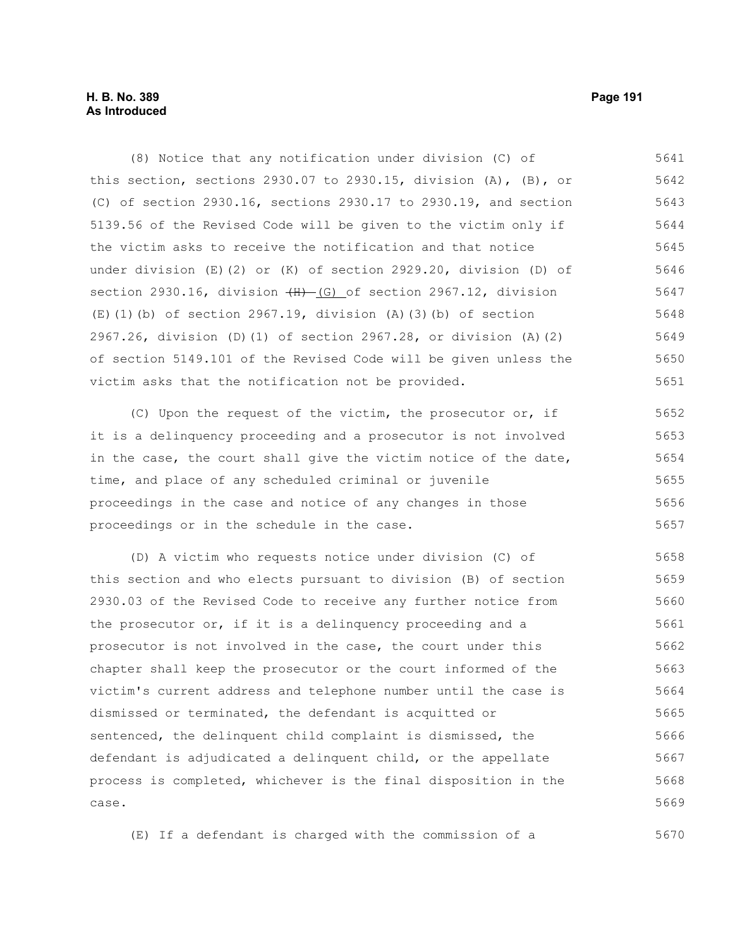(8) Notice that any notification under division (C) of this section, sections 2930.07 to 2930.15, division (A), (B), or (C) of section 2930.16, sections 2930.17 to 2930.19, and section 5139.56 of the Revised Code will be given to the victim only if the victim asks to receive the notification and that notice under division (E)(2) or (K) of section 2929.20, division (D) of section 2930.16, division  $(H)$  (G) of section 2967.12, division (E)(1)(b) of section 2967.19, division (A)(3)(b) of section 2967.26, division (D)(1) of section 2967.28, or division (A)(2) of section 5149.101 of the Revised Code will be given unless the victim asks that the notification not be provided. 5641 5642 5643 5644 5645 5646 5647 5648 5649 5650 5651

(C) Upon the request of the victim, the prosecutor or, if it is a delinquency proceeding and a prosecutor is not involved in the case, the court shall give the victim notice of the date, time, and place of any scheduled criminal or juvenile proceedings in the case and notice of any changes in those proceedings or in the schedule in the case. 5652 5653 5654 5655 5656 5657

(D) A victim who requests notice under division (C) of this section and who elects pursuant to division (B) of section 2930.03 of the Revised Code to receive any further notice from the prosecutor or, if it is a delinquency proceeding and a prosecutor is not involved in the case, the court under this chapter shall keep the prosecutor or the court informed of the victim's current address and telephone number until the case is dismissed or terminated, the defendant is acquitted or sentenced, the delinquent child complaint is dismissed, the defendant is adjudicated a delinquent child, or the appellate process is completed, whichever is the final disposition in the case. 5658 5659 5660 5661 5662 5663 5664 5665 5666 5667 5668 5669

(E) If a defendant is charged with the commission of a 5670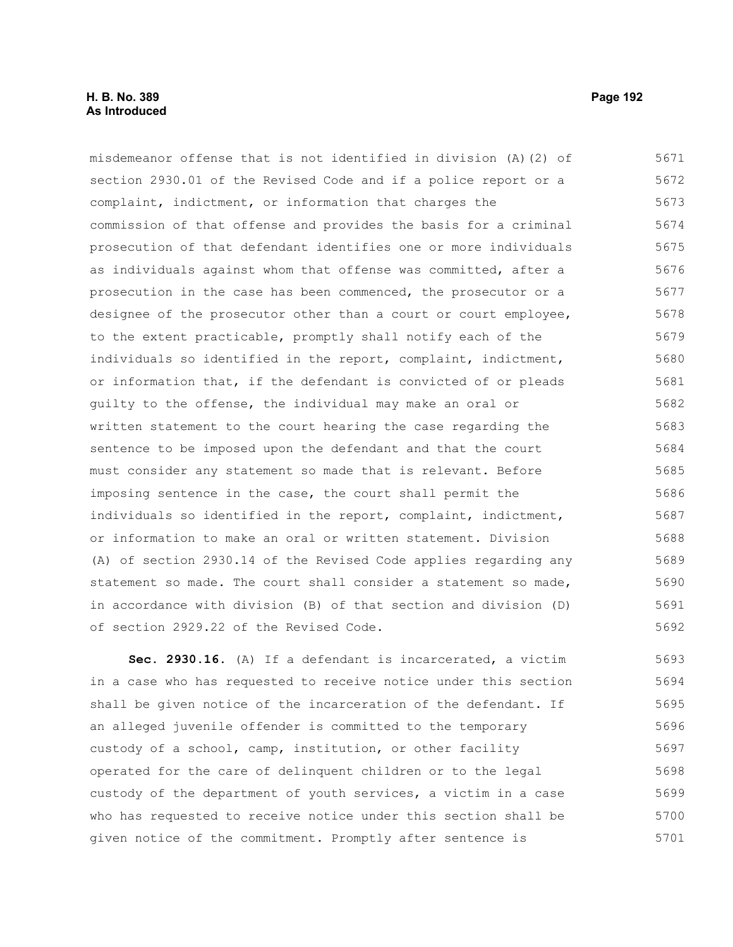### **H. B. No. 389 Page 192 As Introduced**

misdemeanor offense that is not identified in division (A)(2) of section 2930.01 of the Revised Code and if a police report or a complaint, indictment, or information that charges the commission of that offense and provides the basis for a criminal prosecution of that defendant identifies one or more individuals as individuals against whom that offense was committed, after a prosecution in the case has been commenced, the prosecutor or a designee of the prosecutor other than a court or court employee, to the extent practicable, promptly shall notify each of the individuals so identified in the report, complaint, indictment, or information that, if the defendant is convicted of or pleads guilty to the offense, the individual may make an oral or written statement to the court hearing the case regarding the sentence to be imposed upon the defendant and that the court must consider any statement so made that is relevant. Before imposing sentence in the case, the court shall permit the individuals so identified in the report, complaint, indictment, or information to make an oral or written statement. Division (A) of section 2930.14 of the Revised Code applies regarding any statement so made. The court shall consider a statement so made, in accordance with division (B) of that section and division (D) of section 2929.22 of the Revised Code. **Sec. 2930.16.** (A) If a defendant is incarcerated, a victim 5671 5672 5673 5674 5675 5676 5677 5678 5679 5680 5681 5682 5683 5684 5685 5686 5687 5688 5689 5690 5691 5692 5693

in a case who has requested to receive notice under this section shall be given notice of the incarceration of the defendant. If an alleged juvenile offender is committed to the temporary custody of a school, camp, institution, or other facility operated for the care of delinquent children or to the legal custody of the department of youth services, a victim in a case who has requested to receive notice under this section shall be given notice of the commitment. Promptly after sentence is 5694 5695 5696 5697 5698 5699 5700 5701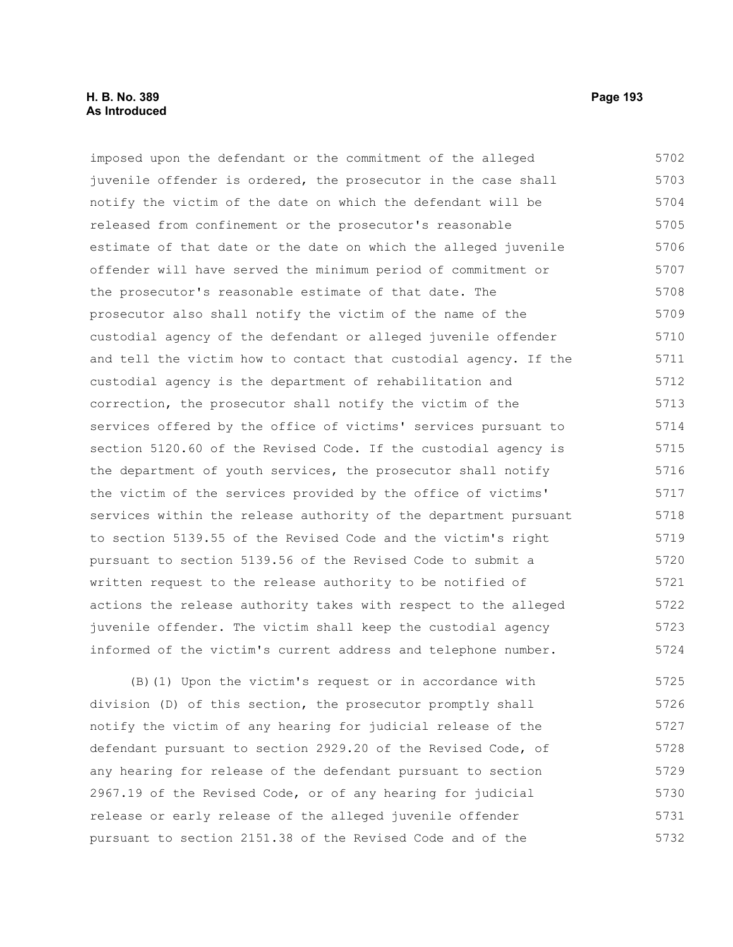### **H. B. No. 389 Page 193 As Introduced**

imposed upon the defendant or the commitment of the alleged juvenile offender is ordered, the prosecutor in the case shall notify the victim of the date on which the defendant will be released from confinement or the prosecutor's reasonable estimate of that date or the date on which the alleged juvenile offender will have served the minimum period of commitment or the prosecutor's reasonable estimate of that date. The prosecutor also shall notify the victim of the name of the custodial agency of the defendant or alleged juvenile offender and tell the victim how to contact that custodial agency. If the custodial agency is the department of rehabilitation and correction, the prosecutor shall notify the victim of the services offered by the office of victims' services pursuant to section 5120.60 of the Revised Code. If the custodial agency is the department of youth services, the prosecutor shall notify the victim of the services provided by the office of victims' services within the release authority of the department pursuant to section 5139.55 of the Revised Code and the victim's right pursuant to section 5139.56 of the Revised Code to submit a written request to the release authority to be notified of actions the release authority takes with respect to the alleged juvenile offender. The victim shall keep the custodial agency informed of the victim's current address and telephone number. 5702 5703 5704 5705 5706 5707 5708 5709 5710 5711 5712 5713 5714 5715 5716 5717 5718 5719 5720 5721 5722 5723 5724

(B)(1) Upon the victim's request or in accordance with division (D) of this section, the prosecutor promptly shall notify the victim of any hearing for judicial release of the defendant pursuant to section 2929.20 of the Revised Code, of any hearing for release of the defendant pursuant to section 2967.19 of the Revised Code, or of any hearing for judicial release or early release of the alleged juvenile offender pursuant to section 2151.38 of the Revised Code and of the 5725 5726 5727 5728 5729 5730 5731 5732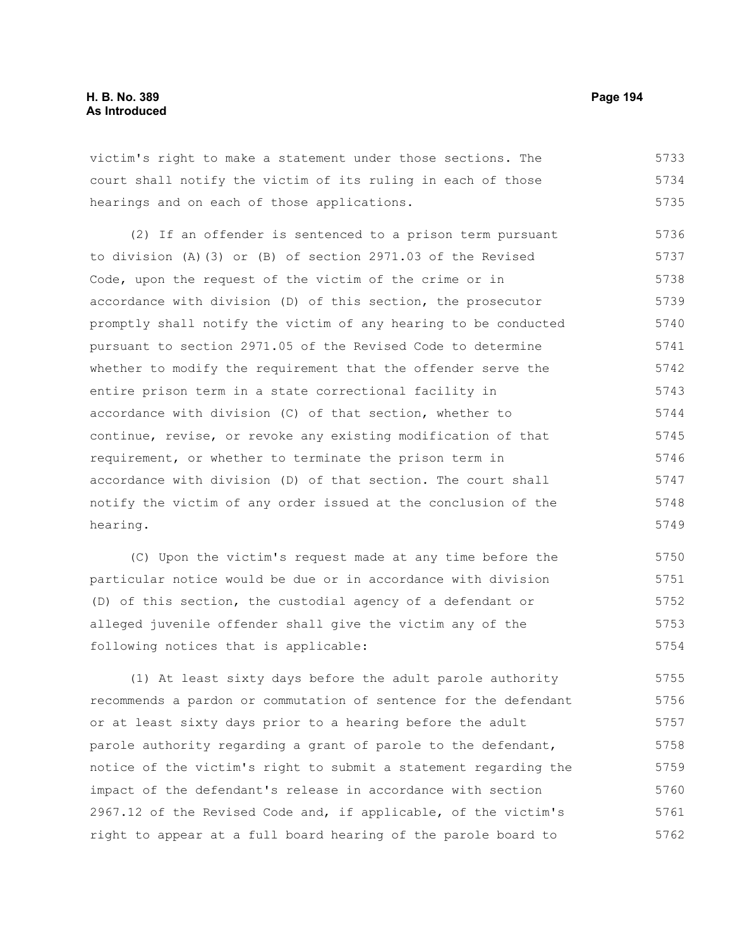victim's right to make a statement under those sections. The court shall notify the victim of its ruling in each of those hearings and on each of those applications. 5733 5734 5735

(2) If an offender is sentenced to a prison term pursuant to division (A)(3) or (B) of section 2971.03 of the Revised Code, upon the request of the victim of the crime or in accordance with division (D) of this section, the prosecutor promptly shall notify the victim of any hearing to be conducted pursuant to section 2971.05 of the Revised Code to determine whether to modify the requirement that the offender serve the entire prison term in a state correctional facility in accordance with division (C) of that section, whether to continue, revise, or revoke any existing modification of that requirement, or whether to terminate the prison term in accordance with division (D) of that section. The court shall notify the victim of any order issued at the conclusion of the hearing. 5736 5737 5738 5739 5740 5741 5742 5743 5744 5745 5746 5747 5748 5749

(C) Upon the victim's request made at any time before the particular notice would be due or in accordance with division (D) of this section, the custodial agency of a defendant or alleged juvenile offender shall give the victim any of the following notices that is applicable: 5750 5751 5752 5753 5754

(1) At least sixty days before the adult parole authority recommends a pardon or commutation of sentence for the defendant or at least sixty days prior to a hearing before the adult parole authority regarding a grant of parole to the defendant, notice of the victim's right to submit a statement regarding the impact of the defendant's release in accordance with section 2967.12 of the Revised Code and, if applicable, of the victim's right to appear at a full board hearing of the parole board to 5755 5756 5757 5758 5759 5760 5761 5762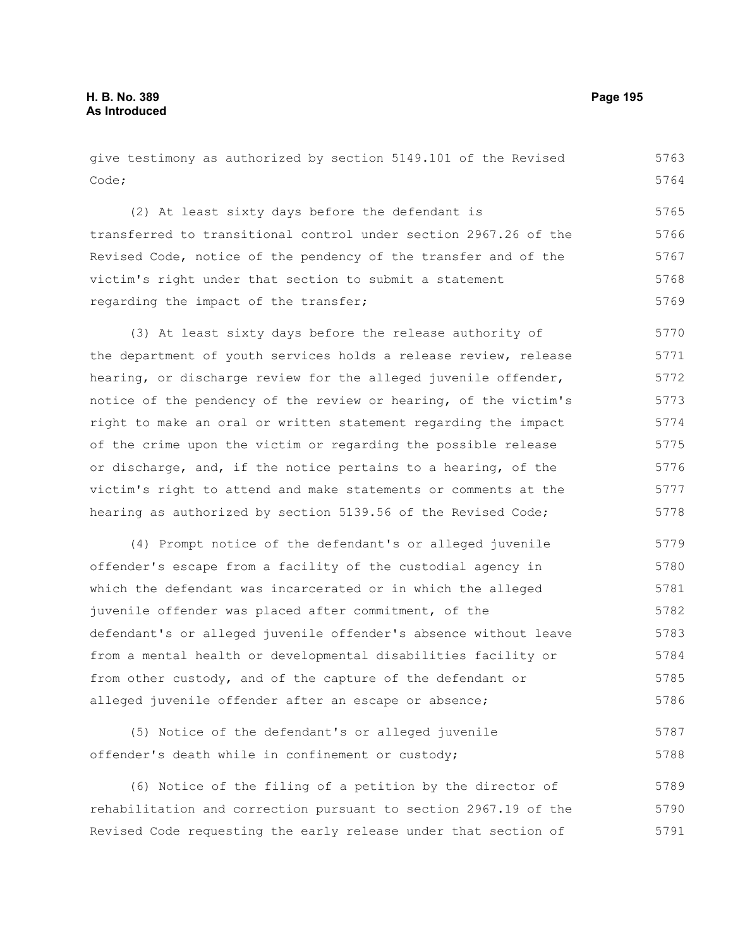give testimony as authorized by section 5149.101 of the Revised Code; (2) At least sixty days before the defendant is transferred to transitional control under section 2967.26 of the Revised Code, notice of the pendency of the transfer and of the victim's right under that section to submit a statement regarding the impact of the transfer; (3) At least sixty days before the release authority of the department of youth services holds a release review, release hearing, or discharge review for the alleged juvenile offender, notice of the pendency of the review or hearing, of the victim's right to make an oral or written statement regarding the impact of the crime upon the victim or regarding the possible release or discharge, and, if the notice pertains to a hearing, of the victim's right to attend and make statements or comments at the hearing as authorized by section 5139.56 of the Revised Code; (4) Prompt notice of the defendant's or alleged juvenile offender's escape from a facility of the custodial agency in which the defendant was incarcerated or in which the alleged juvenile offender was placed after commitment, of the defendant's or alleged juvenile offender's absence without leave from a mental health or developmental disabilities facility or from other custody, and of the capture of the defendant or 5763 5764 5765 5766 5767 5768 5769 5770 5771 5772 5773 5774 5775 5776 5777 5778 5779 5780 5781 5782 5783 5784 5785

alleged juvenile offender after an escape or absence; 5786

(5) Notice of the defendant's or alleged juvenile offender's death while in confinement or custody; 5787 5788

(6) Notice of the filing of a petition by the director of rehabilitation and correction pursuant to section 2967.19 of the Revised Code requesting the early release under that section of 5789 5790 5791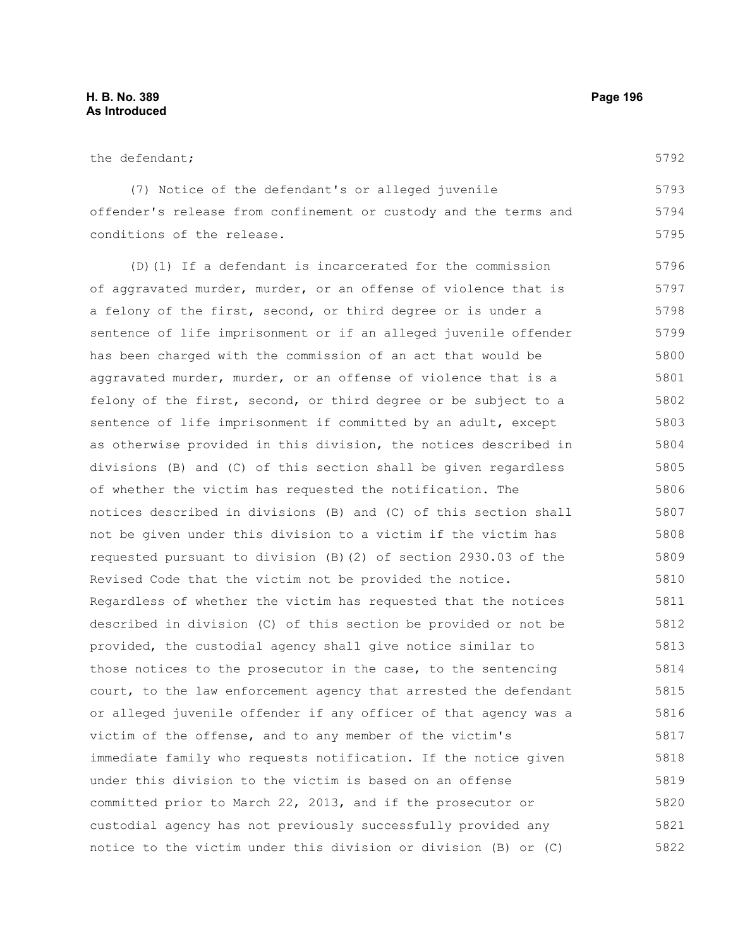| the defendant;                                                   | 5792 |
|------------------------------------------------------------------|------|
| (7) Notice of the defendant's or alleged juvenile                | 5793 |
| offender's release from confinement or custody and the terms and | 5794 |
| conditions of the release.                                       | 5795 |
| $(D)$ (1) If a defendant is incarcerated for the commission      | 5796 |
| of aggravated murder, murder, or an offense of violence that is  | 5797 |
| a felony of the first, second, or third degree or is under a     | 5798 |
| sentence of life imprisonment or if an alleged juvenile offender | 5799 |
| has been charged with the commission of an act that would be     | 5800 |
| aggravated murder, murder, or an offense of violence that is a   | 5801 |
| felony of the first, second, or third degree or be subject to a  | 5802 |
| sentence of life imprisonment if committed by an adult, except   | 5803 |
| as otherwise provided in this division, the notices described in | 5804 |
| divisions (B) and (C) of this section shall be given regardless  | 5805 |
| of whether the victim has requested the notification. The        | 5806 |
| notices described in divisions (B) and (C) of this section shall | 5807 |
| not be given under this division to a victim if the victim has   | 5808 |
| requested pursuant to division (B) (2) of section 2930.03 of the | 5809 |
| Revised Code that the victim not be provided the notice.         | 5810 |
| Regardless of whether the victim has requested that the notices  | 5811 |
| described in division (C) of this section be provided or not be  | 5812 |
| provided, the custodial agency shall give notice similar to      | 5813 |
| those notices to the prosecutor in the case, to the sentencing   | 5814 |
| court, to the law enforcement agency that arrested the defendant | 5815 |
| or alleged juvenile offender if any officer of that agency was a | 5816 |
| victim of the offense, and to any member of the victim's         | 5817 |
| immediate family who requests notification. If the notice given  | 5818 |
| under this division to the victim is based on an offense         | 5819 |
| committed prior to March 22, 2013, and if the prosecutor or      | 5820 |
| custodial agency has not previously successfully provided any    | 5821 |
| notice to the victim under this division or division (B) or (C)  | 5822 |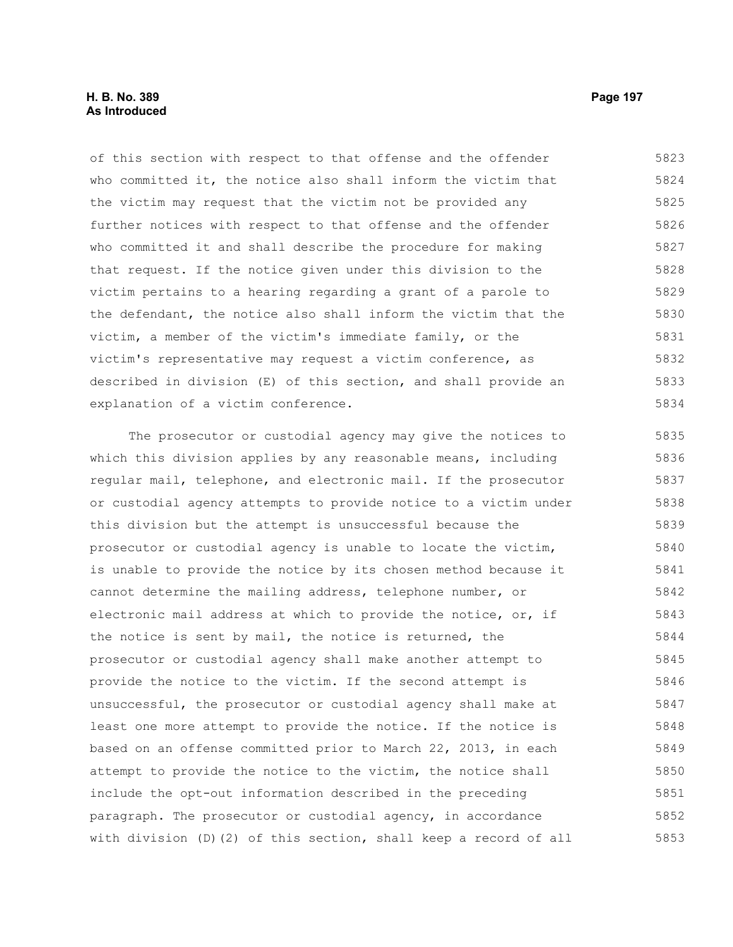### **H. B. No. 389 Page 197 As Introduced**

of this section with respect to that offense and the offender who committed it, the notice also shall inform the victim that the victim may request that the victim not be provided any further notices with respect to that offense and the offender who committed it and shall describe the procedure for making that request. If the notice given under this division to the victim pertains to a hearing regarding a grant of a parole to the defendant, the notice also shall inform the victim that the victim, a member of the victim's immediate family, or the victim's representative may request a victim conference, as described in division (E) of this section, and shall provide an explanation of a victim conference. 5823 5824 5825 5826 5827 5828 5829 5830 5831 5832 5833 5834

The prosecutor or custodial agency may give the notices to which this division applies by any reasonable means, including regular mail, telephone, and electronic mail. If the prosecutor or custodial agency attempts to provide notice to a victim under this division but the attempt is unsuccessful because the prosecutor or custodial agency is unable to locate the victim, is unable to provide the notice by its chosen method because it cannot determine the mailing address, telephone number, or electronic mail address at which to provide the notice, or, if the notice is sent by mail, the notice is returned, the prosecutor or custodial agency shall make another attempt to provide the notice to the victim. If the second attempt is unsuccessful, the prosecutor or custodial agency shall make at least one more attempt to provide the notice. If the notice is based on an offense committed prior to March 22, 2013, in each attempt to provide the notice to the victim, the notice shall include the opt-out information described in the preceding paragraph. The prosecutor or custodial agency, in accordance with division (D)(2) of this section, shall keep a record of all 5835 5836 5837 5838 5839 5840 5841 5842 5843 5844 5845 5846 5847 5848 5849 5850 5851 5852 5853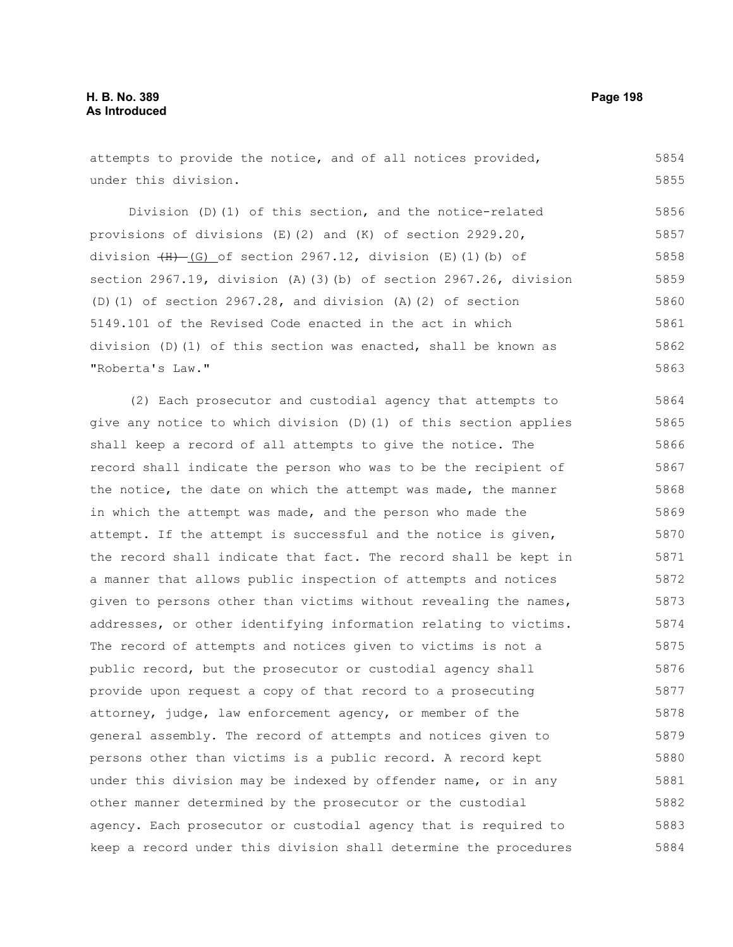attempts to provide the notice, and of all notices provided, under this division. Division (D)(1) of this section, and the notice-related provisions of divisions (E)(2) and (K) of section 2929.20, division  $(H)$  (G) of section 2967.12, division (E)(1)(b) of section 2967.19, division (A)(3)(b) of section 2967.26, division (D)(1) of section 2967.28, and division (A)(2) of section 5149.101 of the Revised Code enacted in the act in which division (D)(1) of this section was enacted, shall be known as "Roberta's Law." 5854 5855 5856 5857 5858 5859 5860 5861 5862 5863

(2) Each prosecutor and custodial agency that attempts to give any notice to which division (D)(1) of this section applies shall keep a record of all attempts to give the notice. The record shall indicate the person who was to be the recipient of the notice, the date on which the attempt was made, the manner in which the attempt was made, and the person who made the attempt. If the attempt is successful and the notice is given, the record shall indicate that fact. The record shall be kept in a manner that allows public inspection of attempts and notices given to persons other than victims without revealing the names, addresses, or other identifying information relating to victims. The record of attempts and notices given to victims is not a public record, but the prosecutor or custodial agency shall provide upon request a copy of that record to a prosecuting attorney, judge, law enforcement agency, or member of the general assembly. The record of attempts and notices given to persons other than victims is a public record. A record kept under this division may be indexed by offender name, or in any other manner determined by the prosecutor or the custodial agency. Each prosecutor or custodial agency that is required to keep a record under this division shall determine the procedures 5864 5865 5866 5867 5868 5869 5870 5871 5872 5873 5874 5875 5876 5877 5878 5879 5880 5881 5882 5883 5884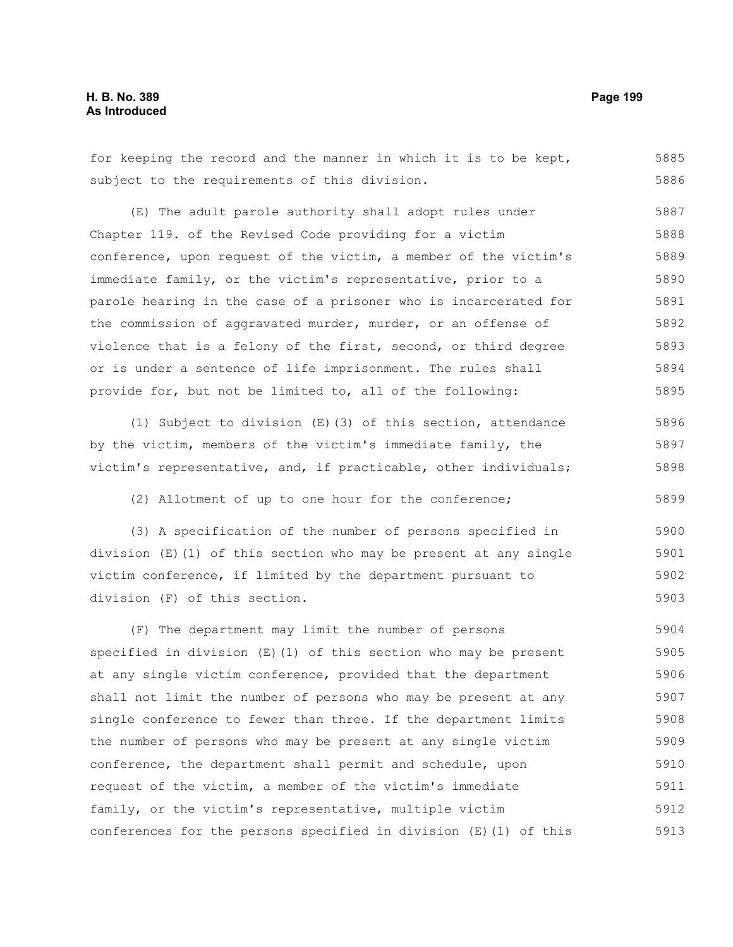for keeping the record and the manner in which it is to be kept, subject to the requirements of this division. (E) The adult parole authority shall adopt rules under Chapter 119. of the Revised Code providing for a victim conference, upon request of the victim, a member of the victim's immediate family, or the victim's representative, prior to a parole hearing in the case of a prisoner who is incarcerated for the commission of aggravated murder, murder, or an offense of violence that is a felony of the first, second, or third degree or is under a sentence of life imprisonment. The rules shall provide for, but not be limited to, all of the following: (1) Subject to division (E)(3) of this section, attendance by the victim, members of the victim's immediate family, the victim's representative, and, if practicable, other individuals; (2) Allotment of up to one hour for the conference; (3) A specification of the number of persons specified in division (E)(1) of this section who may be present at any single victim conference, if limited by the department pursuant to division (F) of this section. (F) The department may limit the number of persons specified in division (E)(1) of this section who may be present at any single victim conference, provided that the department shall not limit the number of persons who may be present at any single conference to fewer than three. If the department limits the number of persons who may be present at any single victim conference, the department shall permit and schedule, upon request of the victim, a member of the victim's immediate family, or the victim's representative, multiple victim conferences for the persons specified in division (E)(1) of this 5885 5886 5887 5888 5889 5890 5891 5892 5893 5894 5895 5896 5897 5898 5899 5900 5901 5902 5903 5904 5905 5906 5907 5908 5909 5910 5911 5912 5913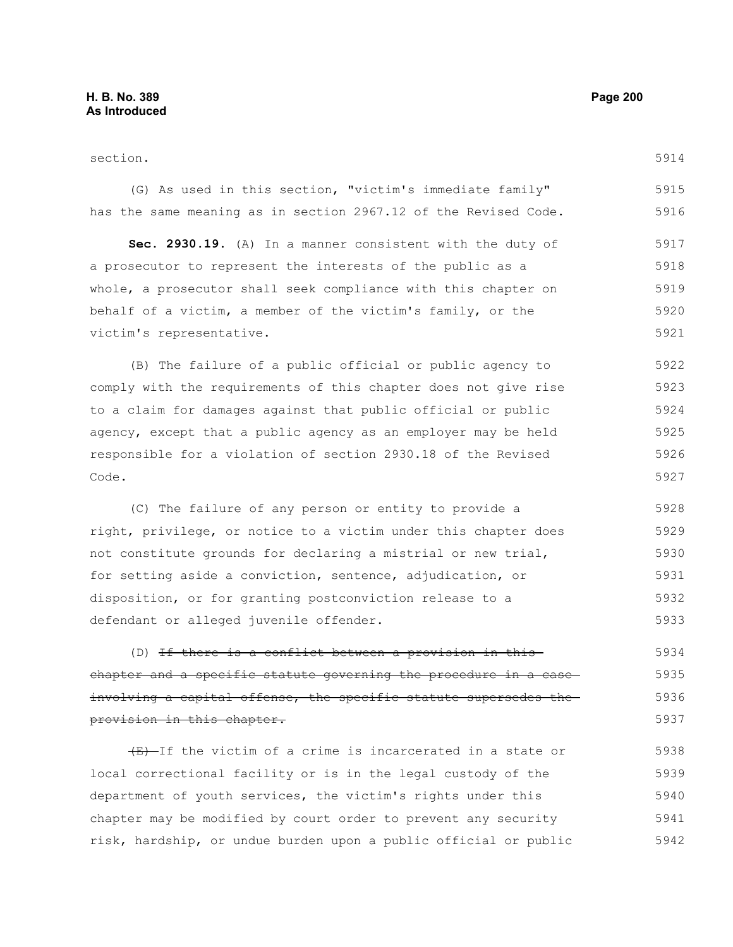# **H. B. No. 389 Page 200 As Introduced**

5940

| section.                                                          | 5914 |
|-------------------------------------------------------------------|------|
| (G) As used in this section, "victim's immediate family"          | 5915 |
| has the same meaning as in section 2967.12 of the Revised Code.   | 5916 |
| Sec. 2930.19. (A) In a manner consistent with the duty of         | 5917 |
| a prosecutor to represent the interests of the public as a        | 5918 |
| whole, a prosecutor shall seek compliance with this chapter on    | 5919 |
| behalf of a victim, a member of the victim's family, or the       | 5920 |
| victim's representative.                                          | 5921 |
| (B) The failure of a public official or public agency to          | 5922 |
| comply with the requirements of this chapter does not give rise   | 5923 |
| to a claim for damages against that public official or public     | 5924 |
| agency, except that a public agency as an employer may be held    | 5925 |
| responsible for a violation of section 2930.18 of the Revised     | 5926 |
| Code.                                                             | 5927 |
| (C) The failure of any person or entity to provide a              | 5928 |
| right, privilege, or notice to a victim under this chapter does   | 5929 |
| not constitute grounds for declaring a mistrial or new trial,     | 5930 |
| for setting aside a conviction, sentence, adjudication, or        | 5931 |
| disposition, or for granting postconviction release to a          | 5932 |
| defendant or alleged juvenile offender.                           | 5933 |
| (D) If there is a conflict between a provision in this            | 5934 |
| chapter and a specific statute governing the procedure in a case- | 5935 |
| involving a capital offense, the specific statute supersedes the  | 5936 |
| provision in this chapter.                                        | 5937 |
| (E) If the victim of a crime is incarcerated in a state or        | 5938 |
| local correctional facility or is in the legal custody of the     | 5939 |
|                                                                   |      |

chapter may be modified by court order to prevent any security risk, hardship, or undue burden upon a public official or public 5941 5942

department of youth services, the victim's rights under this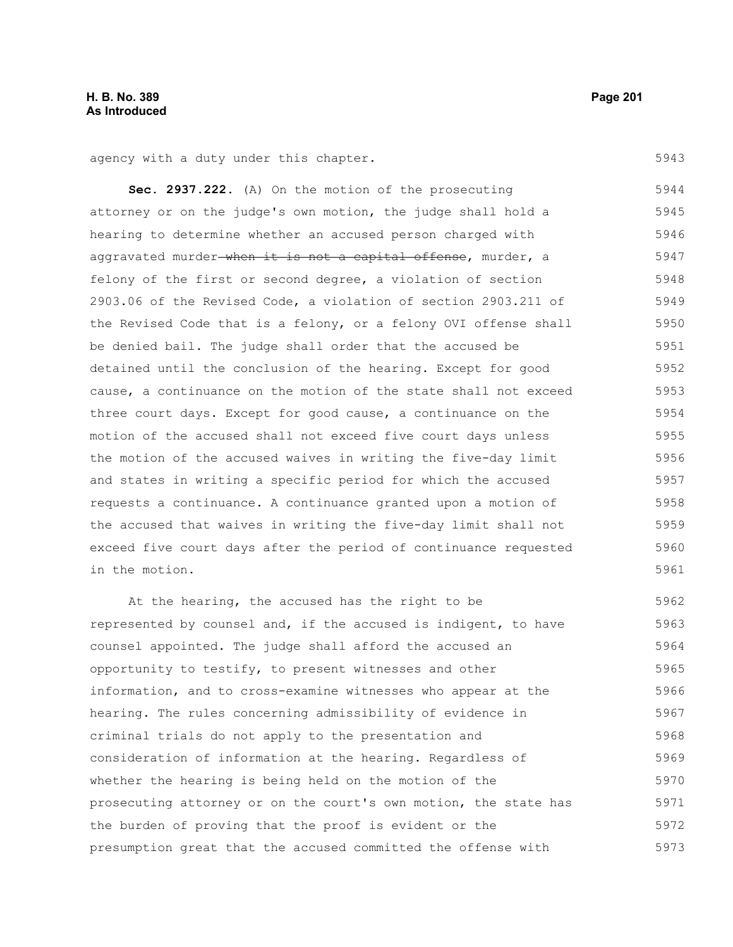agency with a duty under this chapter.

**Sec. 2937.222.** (A) On the motion of the prosecuting attorney or on the judge's own motion, the judge shall hold a hearing to determine whether an accused person charged with aggravated murder-when it is not a capital offense, murder, a felony of the first or second degree, a violation of section 2903.06 of the Revised Code, a violation of section 2903.211 of the Revised Code that is a felony, or a felony OVI offense shall be denied bail. The judge shall order that the accused be detained until the conclusion of the hearing. Except for good cause, a continuance on the motion of the state shall not exceed three court days. Except for good cause, a continuance on the motion of the accused shall not exceed five court days unless the motion of the accused waives in writing the five-day limit and states in writing a specific period for which the accused requests a continuance. A continuance granted upon a motion of the accused that waives in writing the five-day limit shall not exceed five court days after the period of continuance requested in the motion. 5944 5945 5946 5947 5948 5949 5950 5951 5952 5953 5954 5955 5956 5957 5958 5959 5960 5961

At the hearing, the accused has the right to be represented by counsel and, if the accused is indigent, to have counsel appointed. The judge shall afford the accused an opportunity to testify, to present witnesses and other information, and to cross-examine witnesses who appear at the hearing. The rules concerning admissibility of evidence in criminal trials do not apply to the presentation and consideration of information at the hearing. Regardless of whether the hearing is being held on the motion of the prosecuting attorney or on the court's own motion, the state has the burden of proving that the proof is evident or the presumption great that the accused committed the offense with 5962 5963 5964 5965 5966 5967 5968 5969 5970 5971 5972 5973

5943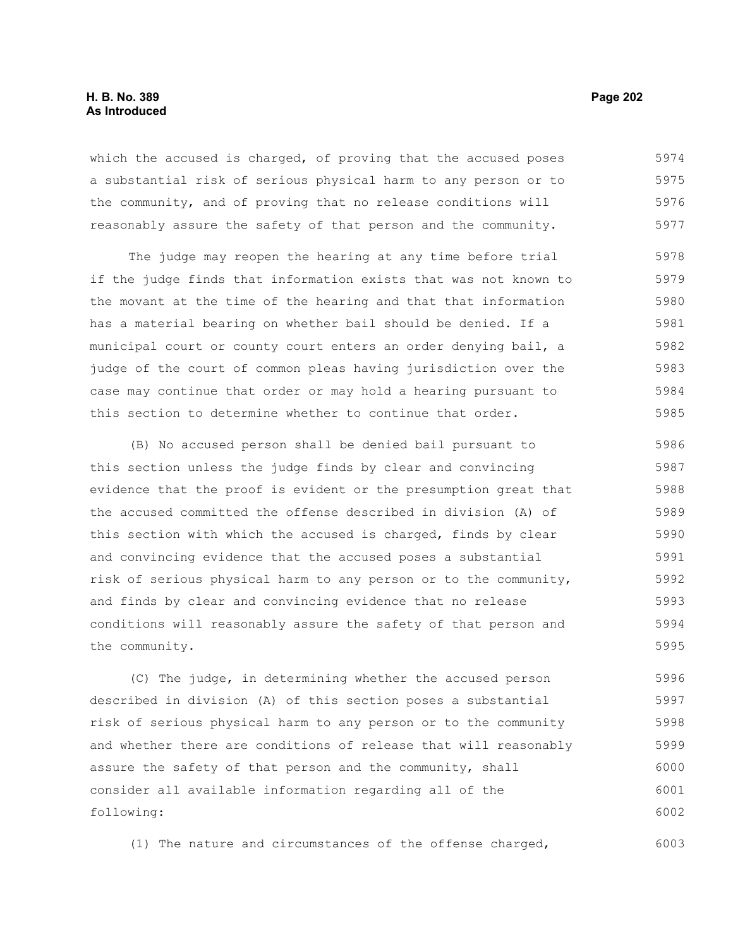### **H. B. No. 389 Page 202 As Introduced**

which the accused is charged, of proving that the accused poses a substantial risk of serious physical harm to any person or to the community, and of proving that no release conditions will reasonably assure the safety of that person and the community. 5974 5975 5976 5977

The judge may reopen the hearing at any time before trial if the judge finds that information exists that was not known to the movant at the time of the hearing and that that information has a material bearing on whether bail should be denied. If a municipal court or county court enters an order denying bail, a judge of the court of common pleas having jurisdiction over the case may continue that order or may hold a hearing pursuant to this section to determine whether to continue that order. 5978 5979 5980 5981 5982 5983 5984 5985

(B) No accused person shall be denied bail pursuant to this section unless the judge finds by clear and convincing evidence that the proof is evident or the presumption great that the accused committed the offense described in division (A) of this section with which the accused is charged, finds by clear and convincing evidence that the accused poses a substantial risk of serious physical harm to any person or to the community, and finds by clear and convincing evidence that no release conditions will reasonably assure the safety of that person and the community. 5986 5987 5988 5989 5990 5991 5992 5993 5994 5995

(C) The judge, in determining whether the accused person described in division (A) of this section poses a substantial risk of serious physical harm to any person or to the community and whether there are conditions of release that will reasonably assure the safety of that person and the community, shall consider all available information regarding all of the following: 5996 5997 5998 5999 6000 6001 6002

(1) The nature and circumstances of the offense charged, 6003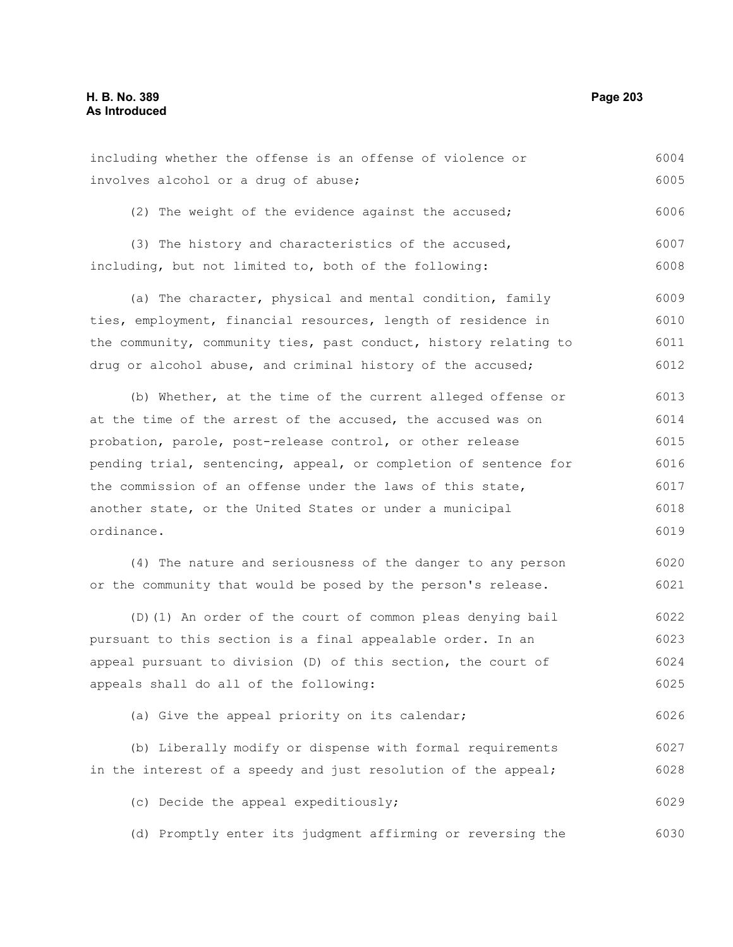including whether the offense is an offense of violence or involves alcohol or a drug of abuse; (2) The weight of the evidence against the accused; (3) The history and characteristics of the accused, including, but not limited to, both of the following: (a) The character, physical and mental condition, family ties, employment, financial resources, length of residence in the community, community ties, past conduct, history relating to drug or alcohol abuse, and criminal history of the accused; (b) Whether, at the time of the current alleged offense or at the time of the arrest of the accused, the accused was on probation, parole, post-release control, or other release pending trial, sentencing, appeal, or completion of sentence for the commission of an offense under the laws of this state, another state, or the United States or under a municipal ordinance. (4) The nature and seriousness of the danger to any person or the community that would be posed by the person's release. (D)(1) An order of the court of common pleas denying bail pursuant to this section is a final appealable order. In an appeal pursuant to division (D) of this section, the court of appeals shall do all of the following: (a) Give the appeal priority on its calendar; (b) Liberally modify or dispense with formal requirements in the interest of a speedy and just resolution of the appeal; (c) Decide the appeal expeditiously; (d) Promptly enter its judgment affirming or reversing the 6004 6005 6006 6007 6008 6009 6010 6011 6012 6013 6014 6015 6016 6017 6018 6019 6020 6021 6022 6023 6024 6025 6026 6027 6028 6029 6030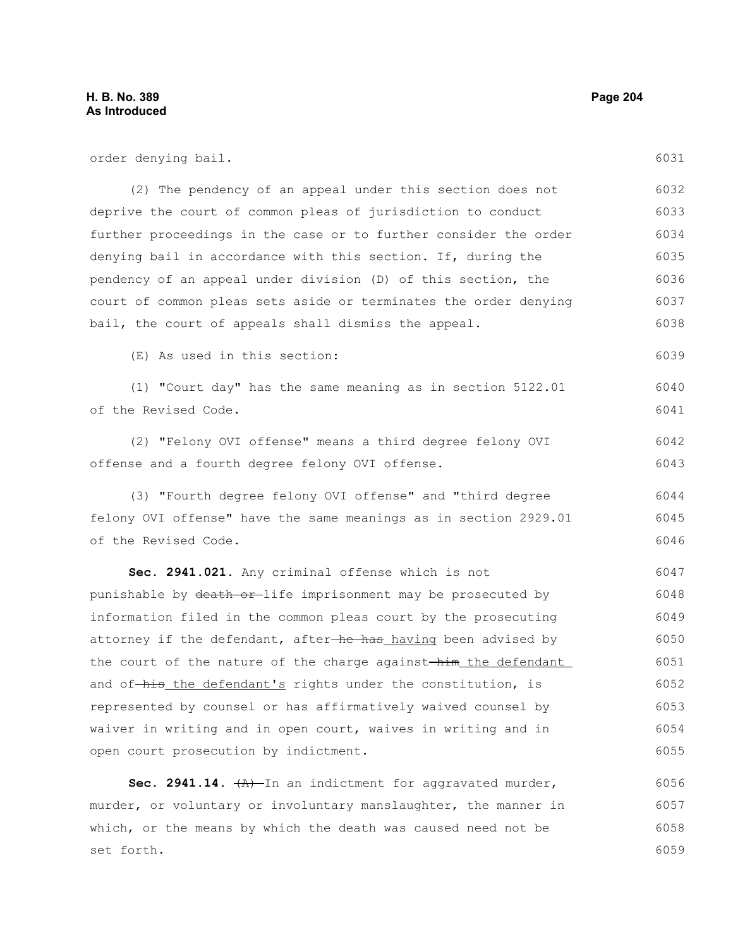set forth.

6059

| order denying bail.                                              |      |  |  |  |  |
|------------------------------------------------------------------|------|--|--|--|--|
| (2) The pendency of an appeal under this section does not        | 6032 |  |  |  |  |
| deprive the court of common pleas of jurisdiction to conduct     | 6033 |  |  |  |  |
| further proceedings in the case or to further consider the order | 6034 |  |  |  |  |
| denying bail in accordance with this section. If, during the     | 6035 |  |  |  |  |
| pendency of an appeal under division (D) of this section, the    | 6036 |  |  |  |  |
| court of common pleas sets aside or terminates the order denying | 6037 |  |  |  |  |
| bail, the court of appeals shall dismiss the appeal.             | 6038 |  |  |  |  |
| (E) As used in this section:                                     | 6039 |  |  |  |  |
| (1) "Court day" has the same meaning as in section 5122.01       | 6040 |  |  |  |  |
| of the Revised Code.                                             | 6041 |  |  |  |  |
| (2) "Felony OVI offense" means a third degree felony OVI         | 6042 |  |  |  |  |
| offense and a fourth degree felony OVI offense.                  | 6043 |  |  |  |  |
| (3) "Fourth degree felony OVI offense" and "third degree         | 6044 |  |  |  |  |
| felony OVI offense" have the same meanings as in section 2929.01 | 6045 |  |  |  |  |
| of the Revised Code.                                             | 6046 |  |  |  |  |
| Sec. 2941.021. Any criminal offense which is not                 | 6047 |  |  |  |  |
| punishable by death or life imprisonment may be prosecuted by    | 6048 |  |  |  |  |
| information filed in the common pleas court by the prosecuting   | 6049 |  |  |  |  |
| attorney if the defendant, after-he has having been advised by   | 6050 |  |  |  |  |
| the court of the nature of the charge against-him the defendant  | 6051 |  |  |  |  |
| and of-his the defendant's rights under the constitution, is     | 6052 |  |  |  |  |
| represented by counsel or has affirmatively waived counsel by    | 6053 |  |  |  |  |
| waiver in writing and in open court, waives in writing and in    | 6054 |  |  |  |  |
| open court prosecution by indictment.                            | 6055 |  |  |  |  |
| Sec. 2941.14. $(A)$ In an indictment for aggravated murder,      | 6056 |  |  |  |  |
| murder, or voluntary or involuntary manslaughter, the manner in  | 6057 |  |  |  |  |
| which, or the means by which the death was caused need not be    | 6058 |  |  |  |  |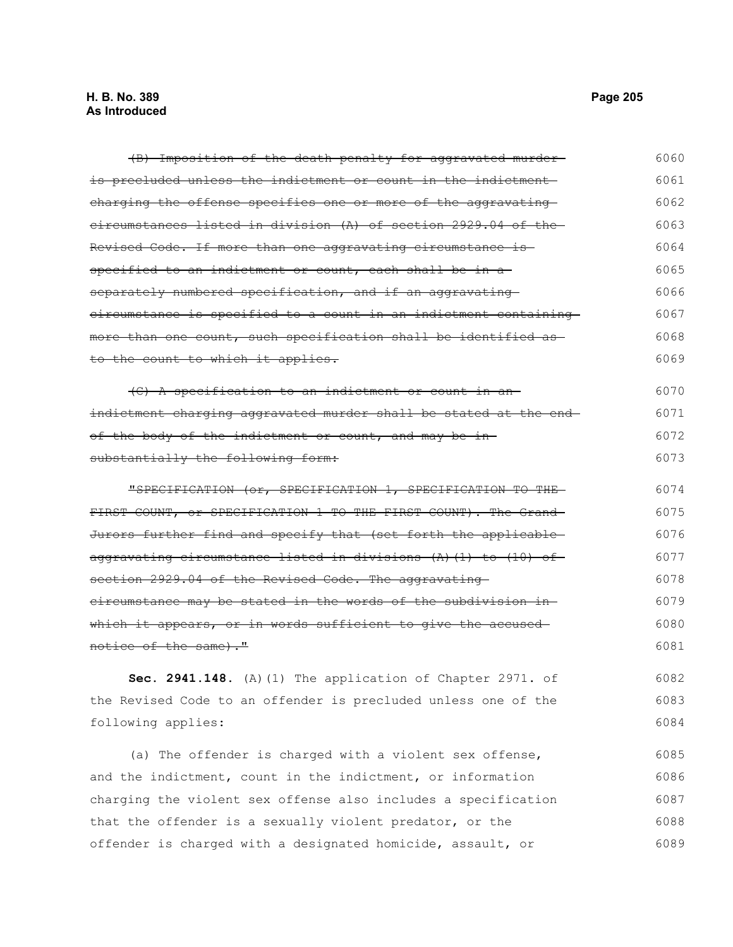### **H. B. No. 389 Page 205 As Introduced**

(B) Imposition of the death penalty for aggravated murder is precluded unless the indictment or count in the indictment charging the offense specifies one or more of the aggravating circumstances listed in division (A) of section 2929.04 of the Revised Code. If more than one aggravating circumstance is specified to an indictment or count, each shall be in aseparately numbered specification, and if an aggravating circumstance is specified to a count in an indictment containing more than one count, such specification shall be identified as to the count to which it applies. (C) A specification to an indictment or count in an indictment charging aggravated murder shall be stated at the endof the body of the indictment or count, and may be insubstantially the following form: "SPECIFICATION (or, SPECIFICATION 1, SPECIFICATION TO THE FIRST COUNT, or SPECIFICATION 1 TO THE FIRST COUNT). The Grand-Jurors further find and specify that (set forth the applicable aggravating circumstance listed in divisions  $(A)$  (1) to (10) of section 2929.04 of the Revised Code. The aggravating circumstance may be stated in the words of the subdivision in which it appears, or in words sufficient to give the accused notice of the same)." **Sec. 2941.148.** (A)(1) The application of Chapter 2971. of 6060 6061 6062 6063 6064 6065 6066 6067 6068 6069 6070 6071 6072 6073 6074 6075 6076 6077 6078 6079 6080 6081 6082

the Revised Code to an offender is precluded unless one of the following applies: 6083 6084

(a) The offender is charged with a violent sex offense, and the indictment, count in the indictment, or information charging the violent sex offense also includes a specification that the offender is a sexually violent predator, or the offender is charged with a designated homicide, assault, or 6085 6086 6087 6088 6089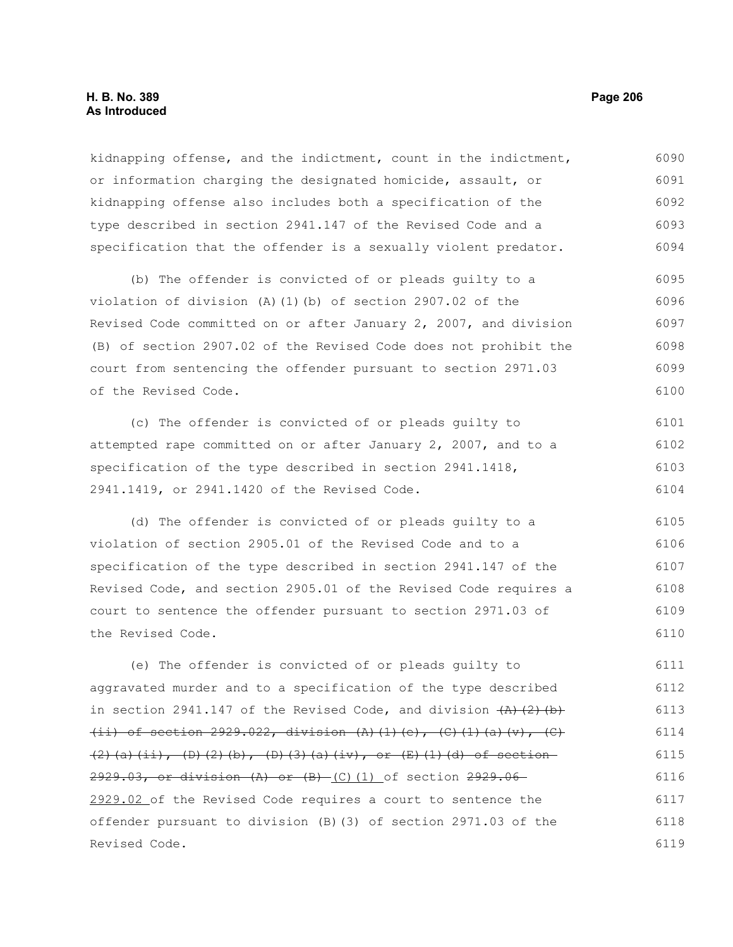### **H. B. No. 389 Page 206 As Introduced**

kidnapping offense, and the indictment, count in the indictment, or information charging the designated homicide, assault, or kidnapping offense also includes both a specification of the type described in section 2941.147 of the Revised Code and a specification that the offender is a sexually violent predator. 6090 6091 6092 6093 6094

(b) The offender is convicted of or pleads guilty to a violation of division (A)(1)(b) of section 2907.02 of the Revised Code committed on or after January 2, 2007, and division (B) of section 2907.02 of the Revised Code does not prohibit the court from sentencing the offender pursuant to section 2971.03 of the Revised Code. 6095 6096 6097 6098 6099 6100

(c) The offender is convicted of or pleads guilty to attempted rape committed on or after January 2, 2007, and to a specification of the type described in section 2941.1418, 2941.1419, or 2941.1420 of the Revised Code. 6101 6102 6103 6104

(d) The offender is convicted of or pleads guilty to a violation of section 2905.01 of the Revised Code and to a specification of the type described in section 2941.147 of the Revised Code, and section 2905.01 of the Revised Code requires a court to sentence the offender pursuant to section 2971.03 of the Revised Code. 6105 6106 6107 6108 6109 6110

(e) The offender is convicted of or pleads guilty to aggravated murder and to a specification of the type described in section 2941.147 of the Revised Code, and division  $(A)$   $(2)$   $(b)$ (ii) of section 2929.022, division (A)(1)(e), (C)(1)(a)(v), (C)  $(2)$  (a) (ii), (D)(2)(b), (D)(3)(a)(iv), or (E)(1)(d) of section- $2929.03$ , or division  $(A)$  or  $(B)$  (C)(1) of section  $2929.06$  2929.02 of the Revised Code requires a court to sentence the offender pursuant to division (B)(3) of section 2971.03 of the Revised Code. 6111 6112 6113 6114 6115 6116 6117 6118 6119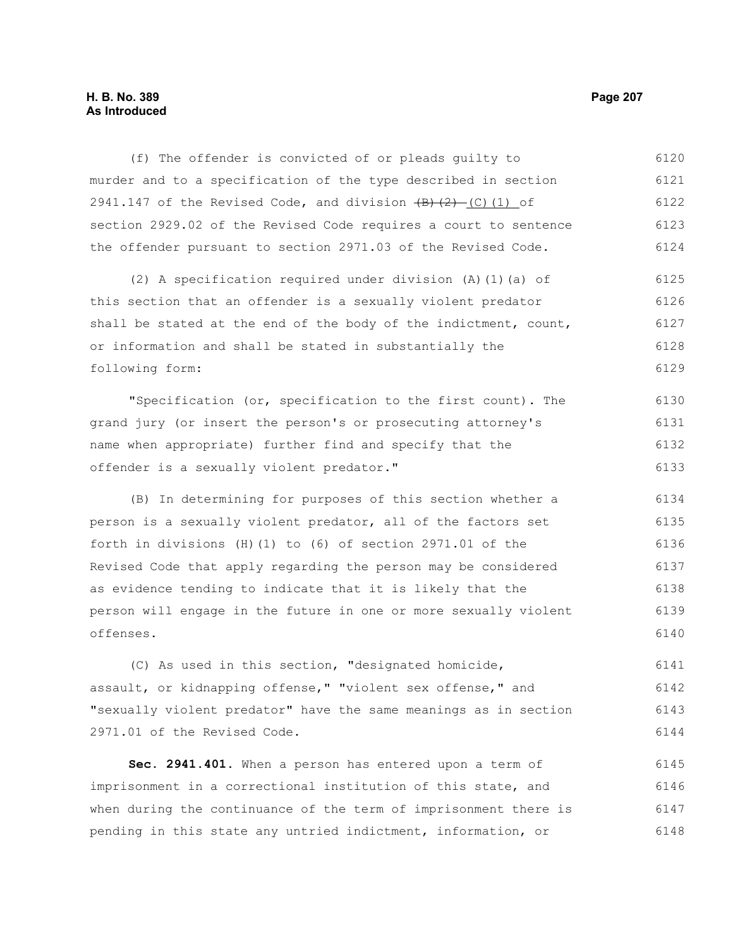### **H. B. No. 389 Page 207 As Introduced**

(f) The offender is convicted of or pleads guilty to murder and to a specification of the type described in section 2941.147 of the Revised Code, and division  $\overline{(B)(2)}$  (C)(1) of section 2929.02 of the Revised Code requires a court to sentence the offender pursuant to section 2971.03 of the Revised Code. 6120 6121 6122 6123 6124

(2) A specification required under division (A)(1)(a) of this section that an offender is a sexually violent predator shall be stated at the end of the body of the indictment, count, or information and shall be stated in substantially the following form: 6125 6126 6127 6128 6129

"Specification (or, specification to the first count). The grand jury (or insert the person's or prosecuting attorney's name when appropriate) further find and specify that the offender is a sexually violent predator." 6130 6131 6132 6133

(B) In determining for purposes of this section whether a person is a sexually violent predator, all of the factors set forth in divisions (H)(1) to (6) of section 2971.01 of the Revised Code that apply regarding the person may be considered as evidence tending to indicate that it is likely that the person will engage in the future in one or more sexually violent offenses. 6134 6135 6136 6137 6138 6139 6140

(C) As used in this section, "designated homicide, assault, or kidnapping offense," "violent sex offense," and "sexually violent predator" have the same meanings as in section 2971.01 of the Revised Code. 6141 6142 6143 6144

**Sec. 2941.401.** When a person has entered upon a term of imprisonment in a correctional institution of this state, and when during the continuance of the term of imprisonment there is pending in this state any untried indictment, information, or 6145 6146 6147 6148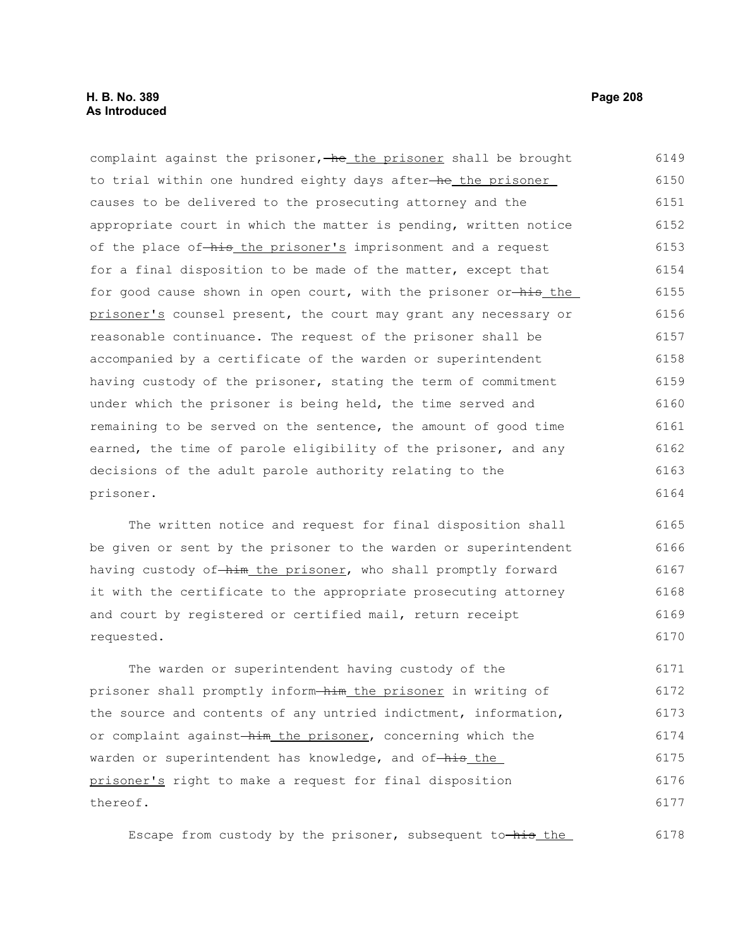### **H. B. No. 389 Page 208 As Introduced**

complaint against the prisoner, the the prisoner shall be brought to trial within one hundred eighty days after—he the prisoner causes to be delivered to the prosecuting attorney and the appropriate court in which the matter is pending, written notice of the place of-his the prisoner's imprisonment and a request for a final disposition to be made of the matter, except that for good cause shown in open court, with the prisoner or-his the prisoner's counsel present, the court may grant any necessary or reasonable continuance. The request of the prisoner shall be accompanied by a certificate of the warden or superintendent having custody of the prisoner, stating the term of commitment under which the prisoner is being held, the time served and remaining to be served on the sentence, the amount of good time earned, the time of parole eligibility of the prisoner, and any decisions of the adult parole authority relating to the prisoner. 6149 6150 6151 6152 6153 6154 6155 6156 6157 6158 6159 6160 6161 6162 6163 6164

The written notice and request for final disposition shall be given or sent by the prisoner to the warden or superintendent having custody of-him the prisoner, who shall promptly forward it with the certificate to the appropriate prosecuting attorney and court by registered or certified mail, return receipt requested. 6165 6166 6167 6168 6169 6170

The warden or superintendent having custody of the prisoner shall promptly inform-him the prisoner in writing of the source and contents of any untried indictment, information, or complaint against-him the prisoner, concerning which the warden or superintendent has knowledge, and of-his the prisoner's right to make a request for final disposition thereof. 6171 6172 6173 6174 6175 6176 6177

Escape from custody by the prisoner, subsequent to his the 6178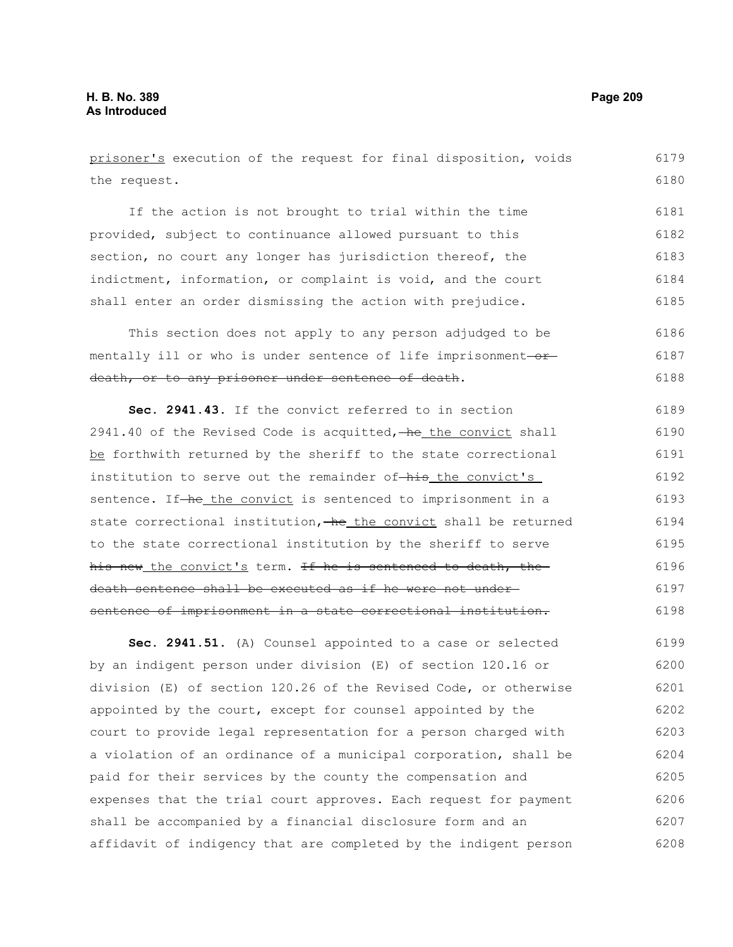6208

prisoner's execution of the request for final disposition, voids the request. If the action is not brought to trial within the time provided, subject to continuance allowed pursuant to this section, no court any longer has jurisdiction thereof, the indictment, information, or complaint is void, and the court shall enter an order dismissing the action with prejudice. This section does not apply to any person adjudged to be mentally ill or who is under sentence of life imprisonment-ordeath, or to any prisoner under sentence of death. **Sec. 2941.43.** If the convict referred to in section 2941.40 of the Revised Code is acquitted, the the convict shall be forthwith returned by the sheriff to the state correctional institution to serve out the remainder of-his the convict's sentence. If-he the convict is sentenced to imprisonment in a state correctional institution, he the convict shall be returned to the state correctional institution by the sheriff to serve his new the convict's term. If he is sentenced to death, the death sentence shall be executed as if he were not under sentence of imprisonment in a state correctional institution. **Sec. 2941.51.** (A) Counsel appointed to a case or selected by an indigent person under division (E) of section 120.16 or division (E) of section 120.26 of the Revised Code, or otherwise appointed by the court, except for counsel appointed by the court to provide legal representation for a person charged with a violation of an ordinance of a municipal corporation, shall be paid for their services by the county the compensation and expenses that the trial court approves. Each request for payment shall be accompanied by a financial disclosure form and an 6179 6180 6181 6182 6183 6184 6185 6186 6187 6188 6189 6190 6191 6192 6193 6194 6195 6196 6197 6198 6199 6200 6201 6202 6203 6204 6205 6206 6207

affidavit of indigency that are completed by the indigent person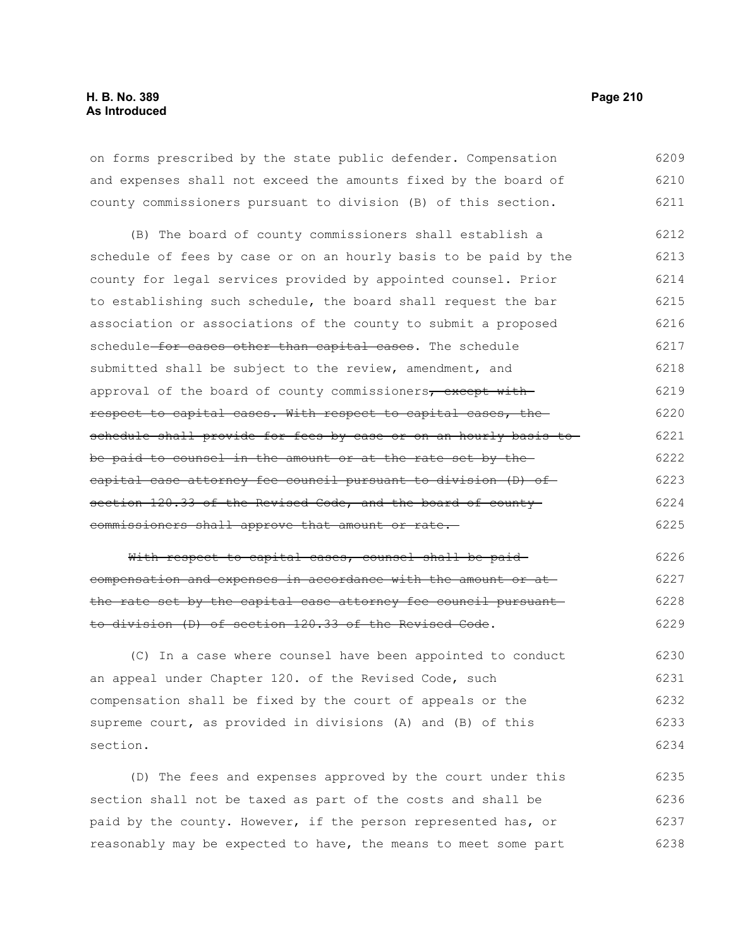on forms prescribed by the state public defender. Compensation and expenses shall not exceed the amounts fixed by the board of county commissioners pursuant to division (B) of this section. 6209 6210 6211

(B) The board of county commissioners shall establish a schedule of fees by case or on an hourly basis to be paid by the county for legal services provided by appointed counsel. Prior to establishing such schedule, the board shall request the bar association or associations of the county to submit a proposed schedule for cases other than capital cases. The schedule submitted shall be subject to the review, amendment, and approval of the board of county commissioners, except withrespect to capital cases. With respect to capital cases, the schedule shall provide for fees by case or on an hourly basis to be paid to counsel in the amount or at the rate set by the capital case attorney fee council pursuant to division (D) of section 120.33 of the Revised Code, and the board of countycommissioners shall approve that amount or rate. 6212 6213 6214 6215 6216 6217 6218 6219 6220 6221 6222 6223 6224 6225

With respect to capital cases, counsel shall be paidcompensation and expenses in accordance with the amount or at the rate set by the capital case attorney fee council pursuant to division (D) of section 120.33 of the Revised Code. 6226 6227 6228 6229

(C) In a case where counsel have been appointed to conduct an appeal under Chapter 120. of the Revised Code, such compensation shall be fixed by the court of appeals or the supreme court, as provided in divisions (A) and (B) of this section. 6230 6231 6232 6233 6234

(D) The fees and expenses approved by the court under this section shall not be taxed as part of the costs and shall be paid by the county. However, if the person represented has, or reasonably may be expected to have, the means to meet some part 6235 6236 6237 6238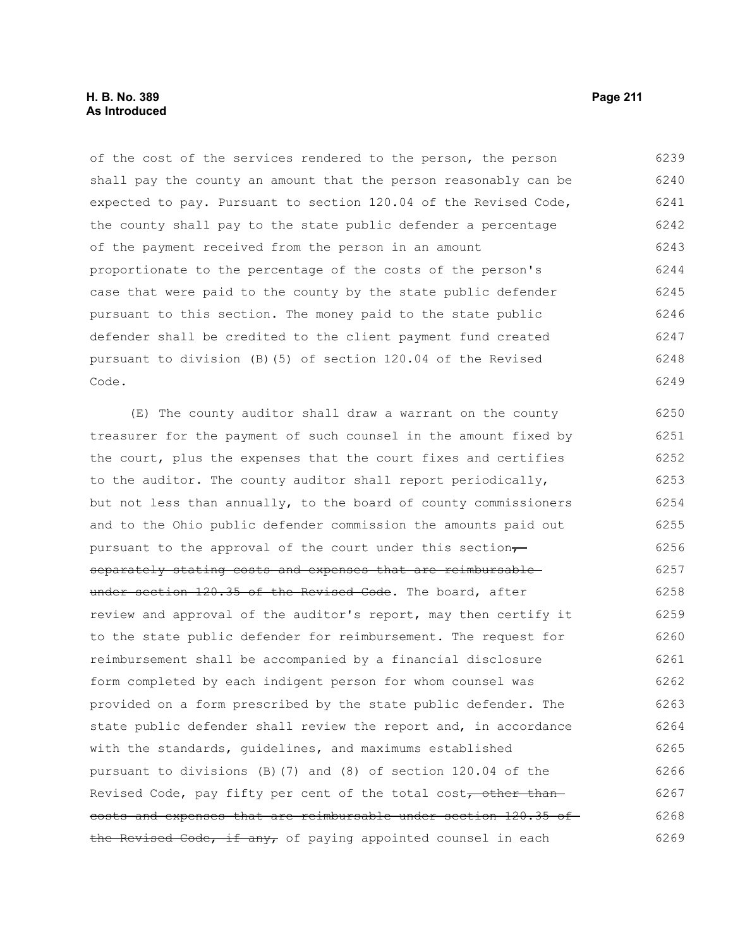### **H. B. No. 389 Page 211 As Introduced**

of the cost of the services rendered to the person, the person shall pay the county an amount that the person reasonably can be expected to pay. Pursuant to section 120.04 of the Revised Code, the county shall pay to the state public defender a percentage of the payment received from the person in an amount proportionate to the percentage of the costs of the person's case that were paid to the county by the state public defender pursuant to this section. The money paid to the state public defender shall be credited to the client payment fund created pursuant to division (B)(5) of section 120.04 of the Revised Code. 6239 6240 6241 6242 6243 6244 6245 6246 6247 6248 6249

(E) The county auditor shall draw a warrant on the county treasurer for the payment of such counsel in the amount fixed by the court, plus the expenses that the court fixes and certifies to the auditor. The county auditor shall report periodically, but not less than annually, to the board of county commissioners and to the Ohio public defender commission the amounts paid out pursuant to the approval of the court under this section $\tau$ separately stating costs and expenses that are reimbursableunder section 120.35 of the Revised Code. The board, after review and approval of the auditor's report, may then certify it to the state public defender for reimbursement. The request for reimbursement shall be accompanied by a financial disclosure form completed by each indigent person for whom counsel was provided on a form prescribed by the state public defender. The state public defender shall review the report and, in accordance with the standards, guidelines, and maximums established pursuant to divisions (B)(7) and (8) of section 120.04 of the Revised Code, pay fifty per cent of the total cost, other than costs and expenses that are reimbursable under section 120.35 of the Revised Code, if any, of paying appointed counsel in each 6250 6251 6252 6253 6254 6255 6256 6257 6258 6259 6260 6261 6262 6263 6264 6265 6266 6267 6268 6269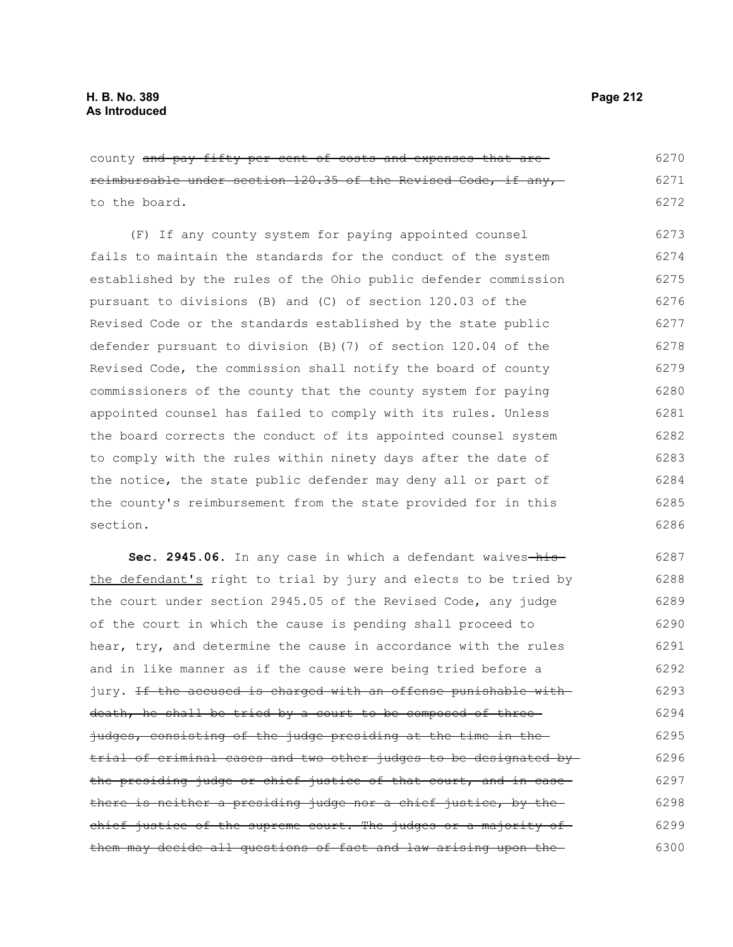county and pay fifty per cent of costs and expenses that are reimbursable under section 120.35 of the Revised Code, if any, to the board.

(F) If any county system for paying appointed counsel fails to maintain the standards for the conduct of the system established by the rules of the Ohio public defender commission pursuant to divisions (B) and (C) of section 120.03 of the Revised Code or the standards established by the state public defender pursuant to division (B)(7) of section 120.04 of the Revised Code, the commission shall notify the board of county commissioners of the county that the county system for paying appointed counsel has failed to comply with its rules. Unless the board corrects the conduct of its appointed counsel system to comply with the rules within ninety days after the date of the notice, the state public defender may deny all or part of the county's reimbursement from the state provided for in this section. 6273 6274 6275 6276 6277 6278 6279 6280 6281 6282 6283 6284 6285 6286

Sec. 2945.06. In any case in which a defendant waives-histhe defendant's right to trial by jury and elects to be tried by the court under section 2945.05 of the Revised Code, any judge of the court in which the cause is pending shall proceed to hear, try, and determine the cause in accordance with the rules and in like manner as if the cause were being tried before a jury. If the accused is charged with an offense punishable with death, he shall be tried by a court to be composed of threejudges, consisting of the judge presiding at the time in the trial of criminal cases and two other judges to be designated bythe presiding judge or chief justice of that court, and in casethere is neither a presiding judge nor a chief justice, by thechief justice of the supreme court. The judges or a majority of them may decide all questions of fact and law arising upon the 6287 6288 6289 6290 6291 6292 6293 6294 6295 6296 6297 6298 6299 6300

6270 6271 6272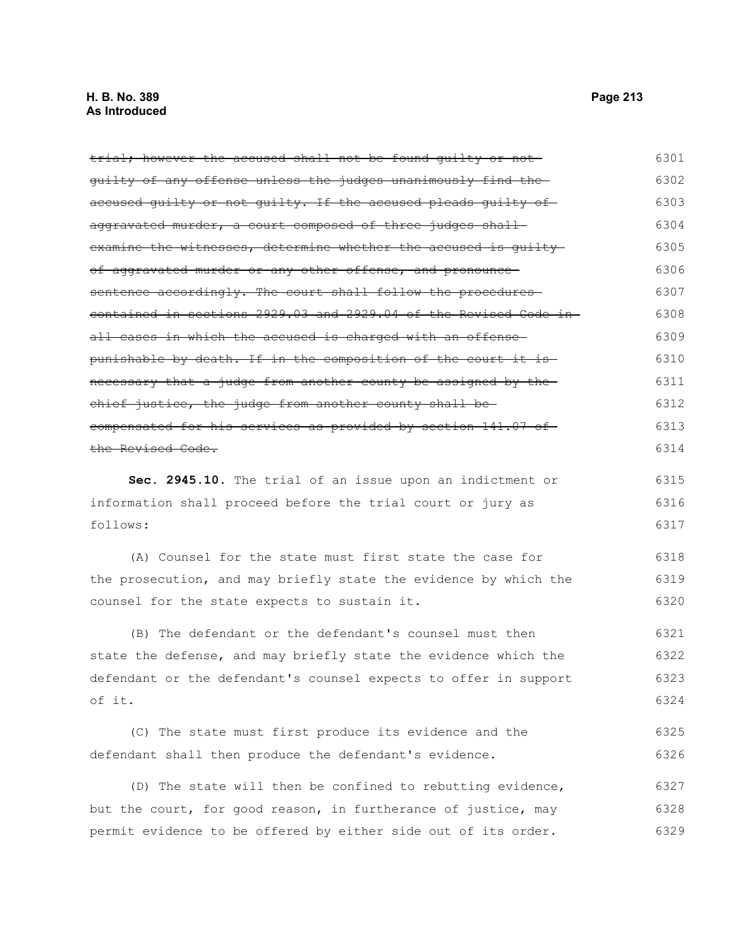## **H. B. No. 389 Page 213 As Introduced**

6317

| trial; however the accused shall not be found quilty or not       | 6301 |
|-------------------------------------------------------------------|------|
| quilty of any offense unless the judges unanimously find the      | 6302 |
| accused quilty or not quilty. If the accused pleads quilty of     | 6303 |
| aggravated murder, a court composed of three judges shall-        | 6304 |
| examine the witnesses, determine whether the accused is quilty-   | 6305 |
| of aggravated murder or any other offense, and pronounce-         | 6306 |
| sentence accordingly. The court shall follow the procedures       | 6307 |
| contained in sections 2929.03 and 2929.04 of the Revised Code in- | 6308 |
| all cases in which the accused is charged with an offense-        | 6309 |
| punishable by death. If in the composition of the court it is-    | 6310 |
| necessary that a judge from another county be assigned by the     | 6311 |
| chief justice, the judge from another county shall be-            | 6312 |
| compensated for his services as provided by section 141.07 of     | 6313 |
| the Revised Code.                                                 | 6314 |
| Sec. 2945.10. The trial of an issue upon an indictment or         | 6315 |
| information shall proceed before the trial court or jury as       | 6316 |
|                                                                   |      |

follows:

|  |                                              |  |  |  | (A) Counsel for the state must first state the case for          | 6318 |
|--|----------------------------------------------|--|--|--|------------------------------------------------------------------|------|
|  |                                              |  |  |  | the prosecution, and may briefly state the evidence by which the | 6319 |
|  | counsel for the state expects to sustain it. |  |  |  |                                                                  | 6320 |

(B) The defendant or the defendant's counsel must then state the defense, and may briefly state the evidence which the defendant or the defendant's counsel expects to offer in support of it. 6321 6322 6323 6324

```
(C) The state must first produce its evidence and the
defendant shall then produce the defendant's evidence. 
                                                                            6325
                                                                            6326
```
(D) The state will then be confined to rebutting evidence, but the court, for good reason, in furtherance of justice, may permit evidence to be offered by either side out of its order. 6327 6328 6329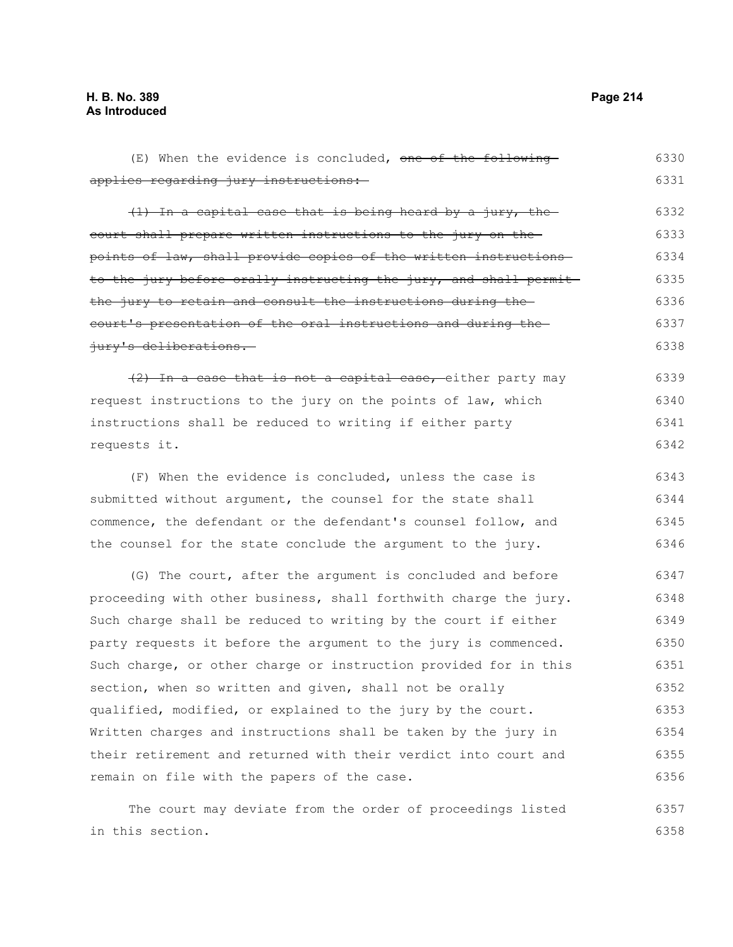| (E) When the evidence is concluded, one of the following          | 6330 |
|-------------------------------------------------------------------|------|
| applies regarding jury instructions:                              | 6331 |
| (1) In a capital case that is being heard by a jury, the          | 6332 |
| court shall prepare written instructions to the jury on the-      | 6333 |
| points of law, shall provide copies of the written instructions   | 6334 |
| to the jury before orally instructing the jury, and shall permit- | 6335 |
| the jury to retain and consult the instructions during the        | 6336 |
| court's presentation of the oral instructions and during the      | 6337 |
| jury's deliberations.                                             | 6338 |
| (2) In a case that is not a capital case, either party may        | 6339 |
| request instructions to the jury on the points of law, which      | 6340 |
| instructions shall be reduced to writing if either party          | 6341 |
| requests it.                                                      | 6342 |
|                                                                   |      |
| (F) When the evidence is concluded, unless the case is            | 6343 |
| submitted without argument, the counsel for the state shall       | 6344 |
| commence, the defendant or the defendant's counsel follow, and    | 6345 |
| the counsel for the state conclude the argument to the jury.      | 6346 |
| (G) The court, after the argument is concluded and before         | 6347 |
| proceeding with other business, shall forthwith charge the jury.  | 6348 |
| Such charge shall be reduced to writing by the court if either    | 6349 |
| party requests it before the argument to the jury is commenced.   | 6350 |
| Such charge, or other charge or instruction provided for in this  | 6351 |
| section, when so written and given, shall not be orally           | 6352 |
| qualified, modified, or explained to the jury by the court.       | 6353 |
| Written charges and instructions shall be taken by the jury in    | 6354 |
| their retirement and returned with their verdict into court and   | 6355 |
| remain on file with the papers of the case.                       | 6356 |
| The court may deviate from the order of proceedings listed        | 6357 |
| in this section.                                                  | 6358 |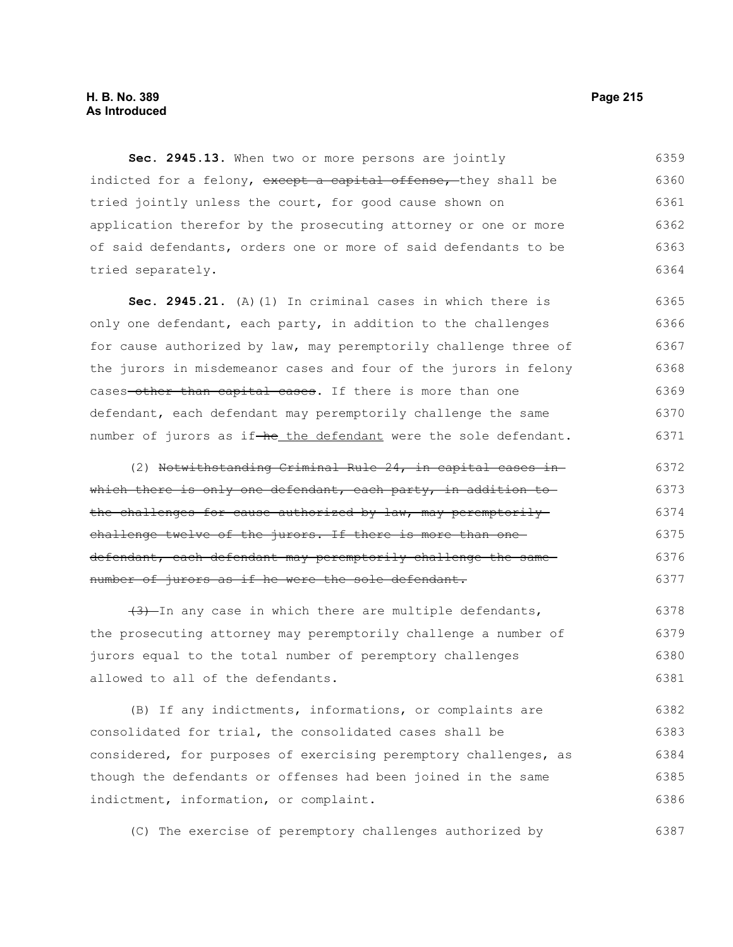**Sec. 2945.13.** When two or more persons are jointly indicted for a felony, except a capital offense, they shall be tried jointly unless the court, for good cause shown on application therefor by the prosecuting attorney or one or more of said defendants, orders one or more of said defendants to be tried separately. 6359 6360 6361 6362 6363 6364

**Sec. 2945.21.** (A)(1) In criminal cases in which there is only one defendant, each party, in addition to the challenges for cause authorized by law, may peremptorily challenge three of the jurors in misdemeanor cases and four of the jurors in felony cases-other than capital cases. If there is more than one defendant, each defendant may peremptorily challenge the same number of jurors as if-he the defendant were the sole defendant. 6365 6366 6367 6368 6369 6370 6371

(2) Notwithstanding Criminal Rule 24, in capital cases in which there is only one defendant, each party, in addition tothe challenges for cause authorized by law, may peremptorily challenge twelve of the jurors. If there is more than onedefendant, each defendant may peremptorily challenge the same number of jurors as if he were the sole defendant. 6372 6373 6374 6375 6376 6377

(3) In any case in which there are multiple defendants, the prosecuting attorney may peremptorily challenge a number of jurors equal to the total number of peremptory challenges allowed to all of the defendants. 6378 6379 6380 6381

(B) If any indictments, informations, or complaints are consolidated for trial, the consolidated cases shall be considered, for purposes of exercising peremptory challenges, as though the defendants or offenses had been joined in the same indictment, information, or complaint. 6382 6383 6384 6385 6386

(C) The exercise of peremptory challenges authorized by

6387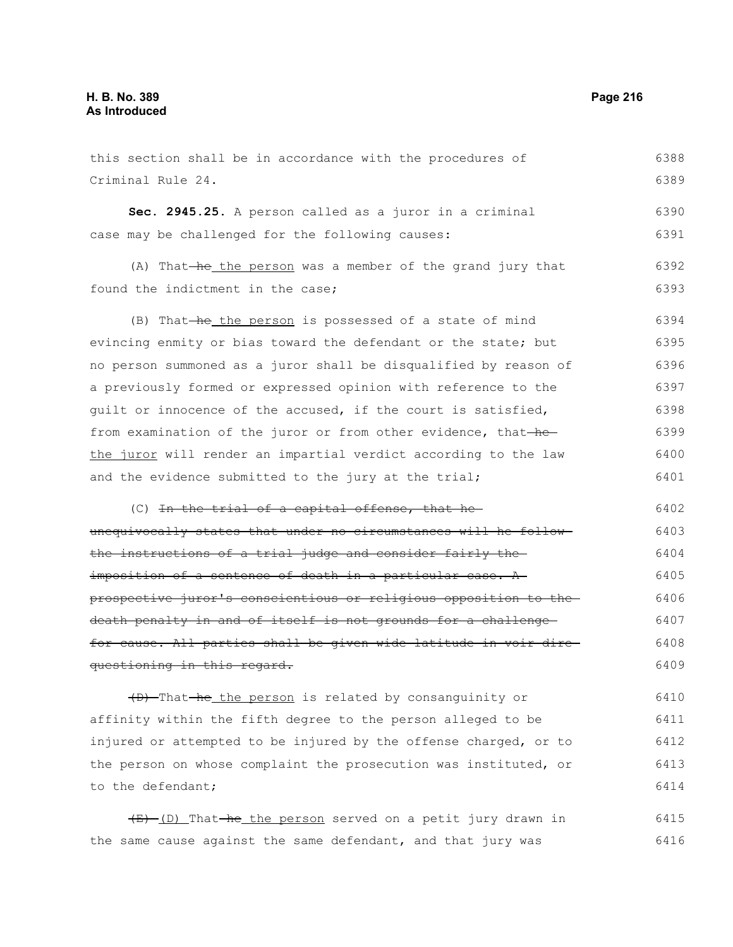### **H. B. No. 389 Page 216 As Introduced**

this section shall be in accordance with the procedures of Criminal Rule 24. **Sec. 2945.25.** A person called as a juror in a criminal case may be challenged for the following causes: (A) That-he the person was a member of the grand jury that found the indictment in the case; (B) That-he the person is possessed of a state of mind evincing enmity or bias toward the defendant or the state; but no person summoned as a juror shall be disqualified by reason of a previously formed or expressed opinion with reference to the guilt or innocence of the accused, if the court is satisfied, from examination of the juror or from other evidence, that-hethe juror will render an impartial verdict according to the law and the evidence submitted to the jury at the trial; (C) In the trial of a capital offense, that he unequivocally states that under no circumstances will he follow the instructions of a trial judge and consider fairly the 6388 6389 6390 6391 6392 6393 6394 6395 6396 6397 6398 6399 6400 6401 6402 6403 6404

imposition of a sentence of death in a particular case. A prospective juror's conscientious or religious opposition to the death penalty in and of itself is not grounds for a challenge for cause. All parties shall be given wide latitude in voir dire questioning in this regard. 6405 6406 6407 6408 6409

(D) That he the person is related by consanguinity or affinity within the fifth degree to the person alleged to be injured or attempted to be injured by the offense charged, or to the person on whose complaint the prosecution was instituted, or to the defendant; 6410 6411 6412 6413 6414

(E) (D) That he the person served on a petit jury drawn in the same cause against the same defendant, and that jury was 6415 6416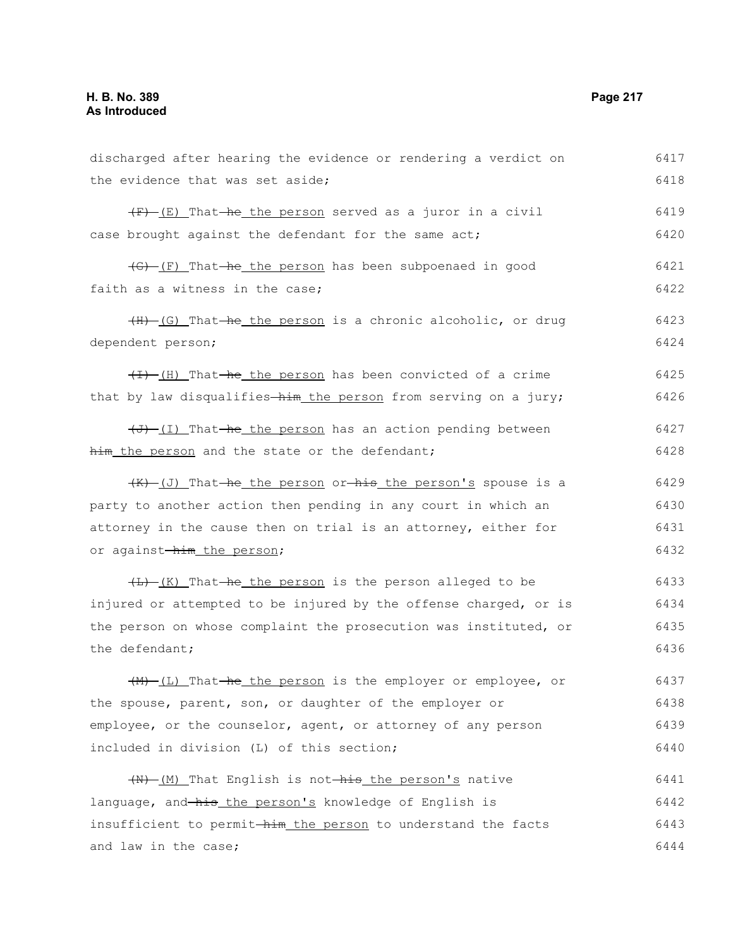| discharged after hearing the evidence or rendering a verdict on         | 6417 |
|-------------------------------------------------------------------------|------|
| the evidence that was set aside;                                        | 6418 |
| $(F)$ (E) That he the person served as a juror in a civil               | 6419 |
| case brought against the defendant for the same act;                    | 6420 |
|                                                                         | 6421 |
| (F) (F) That he the person has been subpoenaed in good                  | 6422 |
| faith as a witness in the case;                                         |      |
| (H) (G) That-he the person is a chronic alcoholic, or drug              | 6423 |
| dependent person;                                                       | 6424 |
| (H) That he the person has been convicted of a crime                    | 6425 |
| that by law disqualifies-him the person from serving on a jury;         | 6426 |
| $\overline{(J) - (I)}$ That-he the person has an action pending between | 6427 |
| him the person and the state or the defendant;                          | 6428 |
|                                                                         |      |
| (I) That he the person or his the person's spouse is a                  | 6429 |
| party to another action then pending in any court in which an           | 6430 |
| attorney in the cause then on trial is an attorney, either for          | 6431 |
| or against-him the person;                                              | 6432 |
| (L) -(K) That he the person is the person alleged to be                 | 6433 |
| injured or attempted to be injured by the offense charged, or is        | 6434 |
| the person on whose complaint the prosecution was instituted, or        | 6435 |
| the defendant;                                                          | 6436 |
| (M) (L) That he the person is the employer or employee, or              | 6437 |
| the spouse, parent, son, or daughter of the employer or                 | 6438 |
| employee, or the counselor, agent, or attorney of any person            | 6439 |
| included in division (L) of this section;                               | 6440 |
| (N) (M) That English is not his the person's native                     | 6441 |
| language, and-his the person's knowledge of English is                  | 6442 |
| insufficient to permit-him the person to understand the facts           | 6443 |
| and law in the case;                                                    | 6444 |
|                                                                         |      |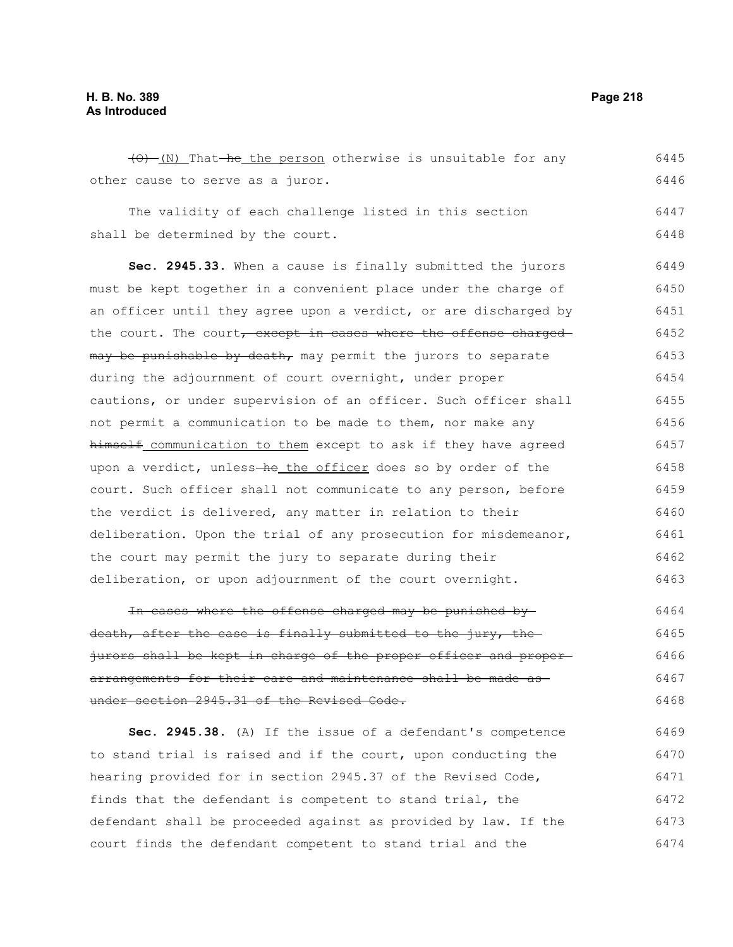## **H. B. No. 389 Page 218 As Introduced**

 $(0)$  (N) That he the person otherwise is unsuitable for any other cause to serve as a juror. The validity of each challenge listed in this section shall be determined by the court. **Sec. 2945.33.** When a cause is finally submitted the jurors must be kept together in a convenient place under the charge of an officer until they agree upon a verdict, or are discharged by the court. The court, except in cases where the offense chargedmay be punishable by death, may permit the jurors to separate during the adjournment of court overnight, under proper cautions, or under supervision of an officer. Such officer shall not permit a communication to be made to them, nor make any himself communication to them except to ask if they have agreed upon a verdict, unless-he the officer does so by order of the court. Such officer shall not communicate to any person, before the verdict is delivered, any matter in relation to their deliberation. Upon the trial of any prosecution for misdemeanor, the court may permit the jury to separate during their deliberation, or upon adjournment of the court overnight. In cases where the offense charged may be punished by death, after the case is finally submitted to the jury, the 6445 6446 6447 6448 6449 6450 6451 6452 6453 6454 6455 6456 6457 6458 6459 6460 6461 6462 6463 6464 6465

jurors shall be kept in charge of the proper officer and proper arrangements for their care and maintenance shall be made as under section 2945.31 of the Revised Code. 6466 6467 6468

**Sec. 2945.38.** (A) If the issue of a defendant's competence to stand trial is raised and if the court, upon conducting the hearing provided for in section 2945.37 of the Revised Code, finds that the defendant is competent to stand trial, the defendant shall be proceeded against as provided by law. If the court finds the defendant competent to stand trial and the 6469 6470 6471 6472 6473 6474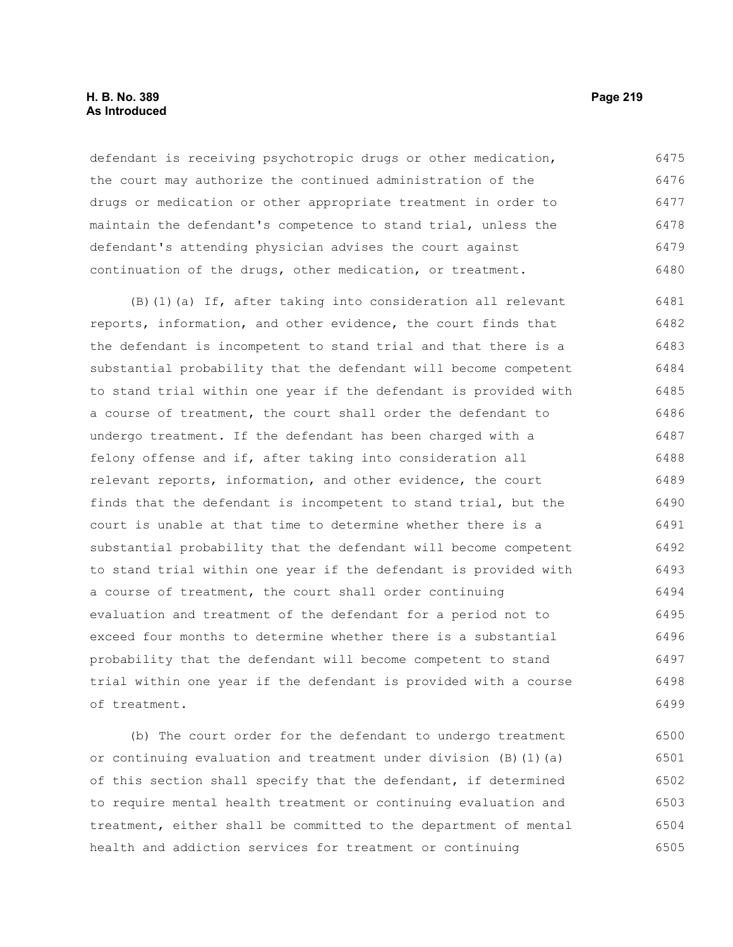#### **H. B. No. 389 Page 219 As Introduced**

defendant is receiving psychotropic drugs or other medication, the court may authorize the continued administration of the drugs or medication or other appropriate treatment in order to maintain the defendant's competence to stand trial, unless the defendant's attending physician advises the court against continuation of the drugs, other medication, or treatment. 6475 6476 6477 6478 6479 6480

(B)(1)(a) If, after taking into consideration all relevant reports, information, and other evidence, the court finds that the defendant is incompetent to stand trial and that there is a substantial probability that the defendant will become competent to stand trial within one year if the defendant is provided with a course of treatment, the court shall order the defendant to undergo treatment. If the defendant has been charged with a felony offense and if, after taking into consideration all relevant reports, information, and other evidence, the court finds that the defendant is incompetent to stand trial, but the court is unable at that time to determine whether there is a substantial probability that the defendant will become competent to stand trial within one year if the defendant is provided with a course of treatment, the court shall order continuing evaluation and treatment of the defendant for a period not to exceed four months to determine whether there is a substantial probability that the defendant will become competent to stand trial within one year if the defendant is provided with a course of treatment. 6481 6482 6483 6484 6485 6486 6487 6488 6489 6490 6491 6492 6493 6494 6495 6496 6497 6498 6499

(b) The court order for the defendant to undergo treatment or continuing evaluation and treatment under division (B)(1)(a) of this section shall specify that the defendant, if determined to require mental health treatment or continuing evaluation and treatment, either shall be committed to the department of mental health and addiction services for treatment or continuing 6500 6501 6502 6503 6504 6505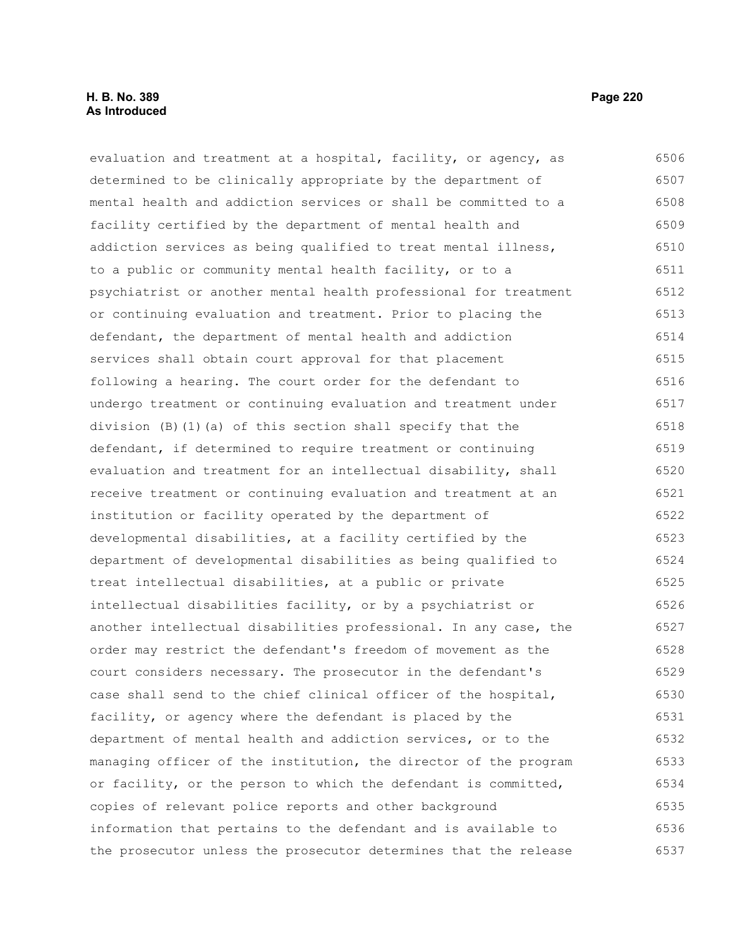#### **H. B. No. 389 Page 220 As Introduced**

evaluation and treatment at a hospital, facility, or agency, as determined to be clinically appropriate by the department of mental health and addiction services or shall be committed to a facility certified by the department of mental health and addiction services as being qualified to treat mental illness, to a public or community mental health facility, or to a psychiatrist or another mental health professional for treatment or continuing evaluation and treatment. Prior to placing the defendant, the department of mental health and addiction services shall obtain court approval for that placement following a hearing. The court order for the defendant to undergo treatment or continuing evaluation and treatment under division  $(B)$  (1)(a) of this section shall specify that the defendant, if determined to require treatment or continuing evaluation and treatment for an intellectual disability, shall receive treatment or continuing evaluation and treatment at an institution or facility operated by the department of developmental disabilities, at a facility certified by the department of developmental disabilities as being qualified to treat intellectual disabilities, at a public or private intellectual disabilities facility, or by a psychiatrist or another intellectual disabilities professional. In any case, the order may restrict the defendant's freedom of movement as the court considers necessary. The prosecutor in the defendant's case shall send to the chief clinical officer of the hospital, facility, or agency where the defendant is placed by the department of mental health and addiction services, or to the managing officer of the institution, the director of the program or facility, or the person to which the defendant is committed, copies of relevant police reports and other background information that pertains to the defendant and is available to the prosecutor unless the prosecutor determines that the release 6506 6507 6508 6509 6510 6511 6512 6513 6514 6515 6516 6517 6518 6519 6520 6521 6522 6523 6524 6525 6526 6527 6528 6529 6530 6531 6532 6533 6534 6535 6536 6537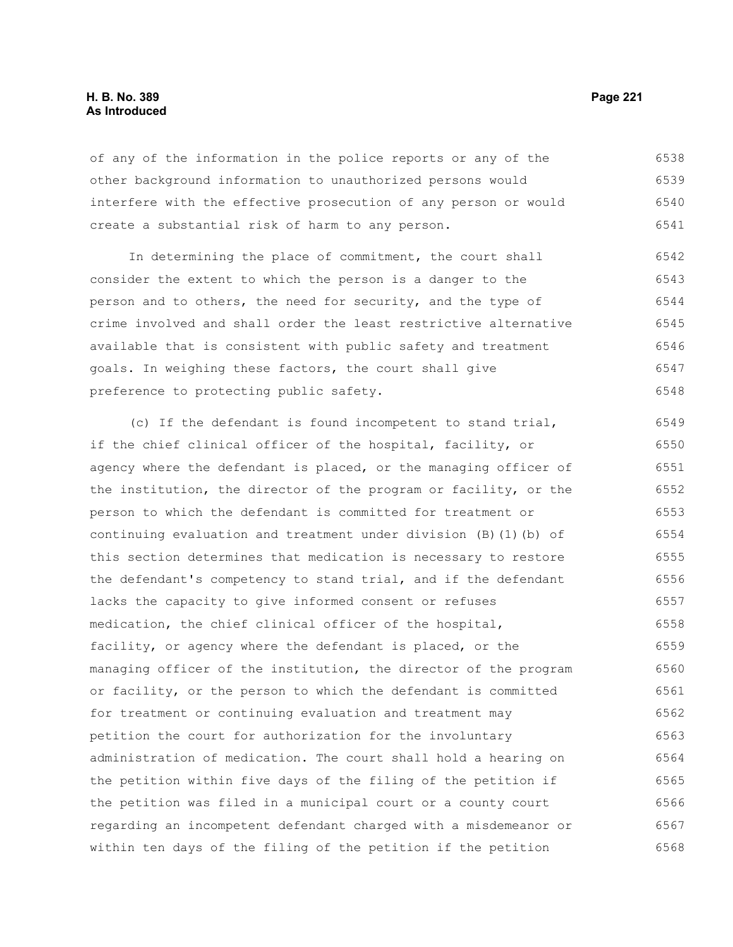#### **H. B. No. 389 Page 221 As Introduced**

of any of the information in the police reports or any of the other background information to unauthorized persons would interfere with the effective prosecution of any person or would create a substantial risk of harm to any person. 6538 6539 6540 6541

In determining the place of commitment, the court shall consider the extent to which the person is a danger to the person and to others, the need for security, and the type of crime involved and shall order the least restrictive alternative available that is consistent with public safety and treatment goals. In weighing these factors, the court shall give preference to protecting public safety. 6542 6543 6544 6545 6546 6547 6548

(c) If the defendant is found incompetent to stand trial, if the chief clinical officer of the hospital, facility, or agency where the defendant is placed, or the managing officer of the institution, the director of the program or facility, or the person to which the defendant is committed for treatment or continuing evaluation and treatment under division (B)(1)(b) of this section determines that medication is necessary to restore the defendant's competency to stand trial, and if the defendant lacks the capacity to give informed consent or refuses medication, the chief clinical officer of the hospital, facility, or agency where the defendant is placed, or the managing officer of the institution, the director of the program or facility, or the person to which the defendant is committed for treatment or continuing evaluation and treatment may petition the court for authorization for the involuntary administration of medication. The court shall hold a hearing on the petition within five days of the filing of the petition if the petition was filed in a municipal court or a county court regarding an incompetent defendant charged with a misdemeanor or within ten days of the filing of the petition if the petition 6549 6550 6551 6552 6553 6554 6555 6556 6557 6558 6559 6560 6561 6562 6563 6564 6565 6566 6567 6568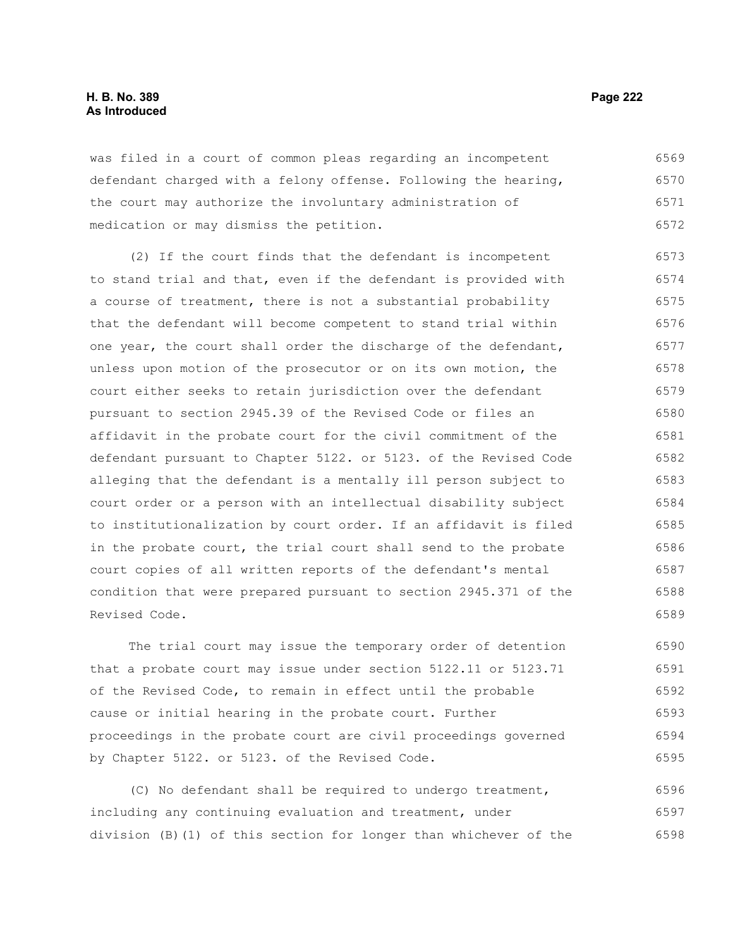#### **H. B. No. 389 Page 222 As Introduced**

was filed in a court of common pleas regarding an incompetent defendant charged with a felony offense. Following the hearing, the court may authorize the involuntary administration of medication or may dismiss the petition. 6569 6570 6571 6572

(2) If the court finds that the defendant is incompetent to stand trial and that, even if the defendant is provided with a course of treatment, there is not a substantial probability that the defendant will become competent to stand trial within one year, the court shall order the discharge of the defendant, unless upon motion of the prosecutor or on its own motion, the court either seeks to retain jurisdiction over the defendant pursuant to section 2945.39 of the Revised Code or files an affidavit in the probate court for the civil commitment of the defendant pursuant to Chapter 5122. or 5123. of the Revised Code alleging that the defendant is a mentally ill person subject to court order or a person with an intellectual disability subject to institutionalization by court order. If an affidavit is filed in the probate court, the trial court shall send to the probate court copies of all written reports of the defendant's mental condition that were prepared pursuant to section 2945.371 of the Revised Code. 6573 6574 6575 6576 6577 6578 6579 6580 6581 6582 6583 6584 6585 6586 6587 6588 6589

The trial court may issue the temporary order of detention that a probate court may issue under section 5122.11 or 5123.71 of the Revised Code, to remain in effect until the probable cause or initial hearing in the probate court. Further proceedings in the probate court are civil proceedings governed by Chapter 5122. or 5123. of the Revised Code. 6590 6591 6592 6593 6594 6595

(C) No defendant shall be required to undergo treatment, including any continuing evaluation and treatment, under division (B)(1) of this section for longer than whichever of the 6596 6597 6598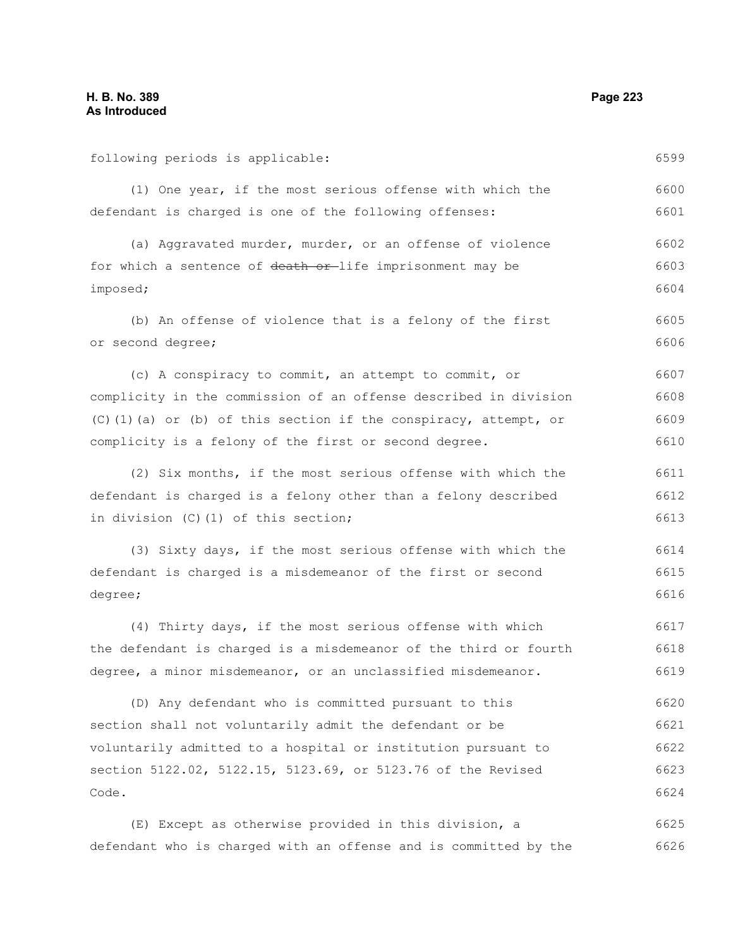| following periods is applicable:                                 | 6599 |
|------------------------------------------------------------------|------|
| (1) One year, if the most serious offense with which the         | 6600 |
| defendant is charged is one of the following offenses:           | 6601 |
| (a) Aggravated murder, murder, or an offense of violence         | 6602 |
| for which a sentence of death or life imprisonment may be        | 6603 |
| imposed;                                                         | 6604 |
| (b) An offense of violence that is a felony of the first         | 6605 |
| or second degree;                                                | 6606 |
| (c) A conspiracy to commit, an attempt to commit, or             | 6607 |
| complicity in the commission of an offense described in division | 6608 |
| (C)(1)(a) or (b) of this section if the conspiracy, attempt, or  | 6609 |
| complicity is a felony of the first or second degree.            | 6610 |
| (2) Six months, if the most serious offense with which the       | 6611 |
| defendant is charged is a felony other than a felony described   | 6612 |
| in division (C) (1) of this section;                             | 6613 |
| (3) Sixty days, if the most serious offense with which the       | 6614 |
| defendant is charged is a misdemeanor of the first or second     | 6615 |
| degree;                                                          | 6616 |
| (4) Thirty days, if the most serious offense with which          | 6617 |
| the defendant is charged is a misdemeanor of the third or fourth | 6618 |
| degree, a minor misdemeanor, or an unclassified misdemeanor.     | 6619 |
| (D) Any defendant who is committed pursuant to this              | 6620 |
| section shall not voluntarily admit the defendant or be          | 6621 |
| voluntarily admitted to a hospital or institution pursuant to    | 6622 |
| section 5122.02, 5122.15, 5123.69, or 5123.76 of the Revised     | 6623 |
| Code.                                                            | 6624 |
| (E) Except as otherwise provided in this division, a             | 6625 |
| defendant who is charged with an offense and is committed by the | 6626 |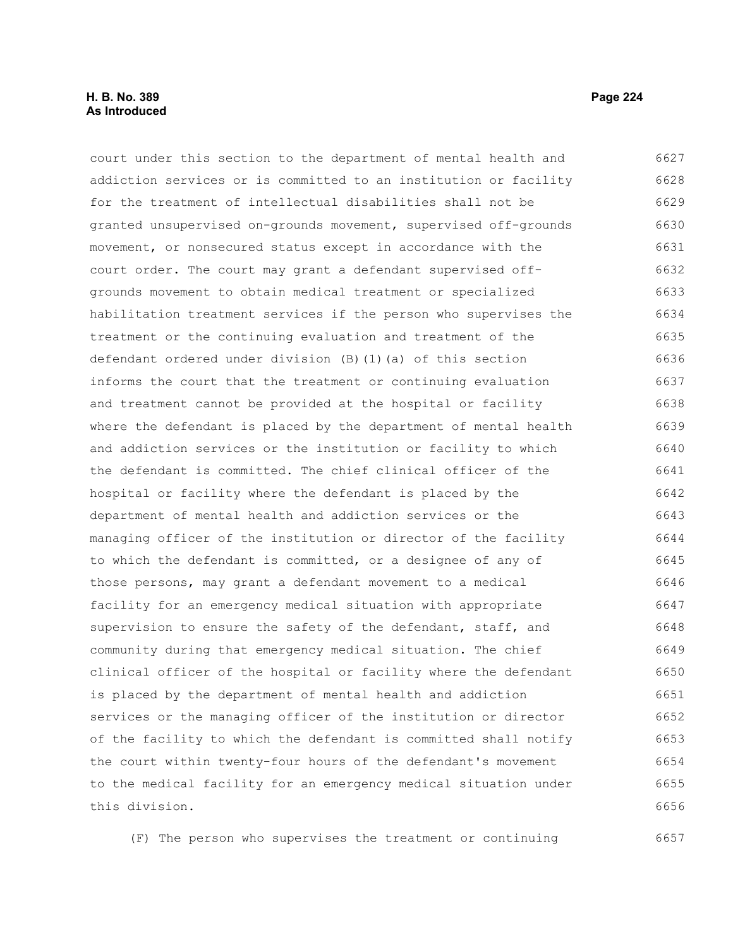#### **H. B. No. 389 Page 224 As Introduced**

court under this section to the department of mental health and addiction services or is committed to an institution or facility for the treatment of intellectual disabilities shall not be granted unsupervised on-grounds movement, supervised off-grounds movement, or nonsecured status except in accordance with the court order. The court may grant a defendant supervised offgrounds movement to obtain medical treatment or specialized habilitation treatment services if the person who supervises the treatment or the continuing evaluation and treatment of the defendant ordered under division (B)(1)(a) of this section informs the court that the treatment or continuing evaluation and treatment cannot be provided at the hospital or facility where the defendant is placed by the department of mental health and addiction services or the institution or facility to which the defendant is committed. The chief clinical officer of the hospital or facility where the defendant is placed by the department of mental health and addiction services or the managing officer of the institution or director of the facility to which the defendant is committed, or a designee of any of those persons, may grant a defendant movement to a medical facility for an emergency medical situation with appropriate supervision to ensure the safety of the defendant, staff, and community during that emergency medical situation. The chief clinical officer of the hospital or facility where the defendant is placed by the department of mental health and addiction services or the managing officer of the institution or director of the facility to which the defendant is committed shall notify the court within twenty-four hours of the defendant's movement to the medical facility for an emergency medical situation under this division. 6627 6628 6629 6630 6631 6632 6633 6634 6635 6636 6637 6638 6639 6640 6641 6642 6643 6644 6645 6646 6647 6648 6649 6650 6651 6652 6653 6654 6655 6656

(F) The person who supervises the treatment or continuing 6657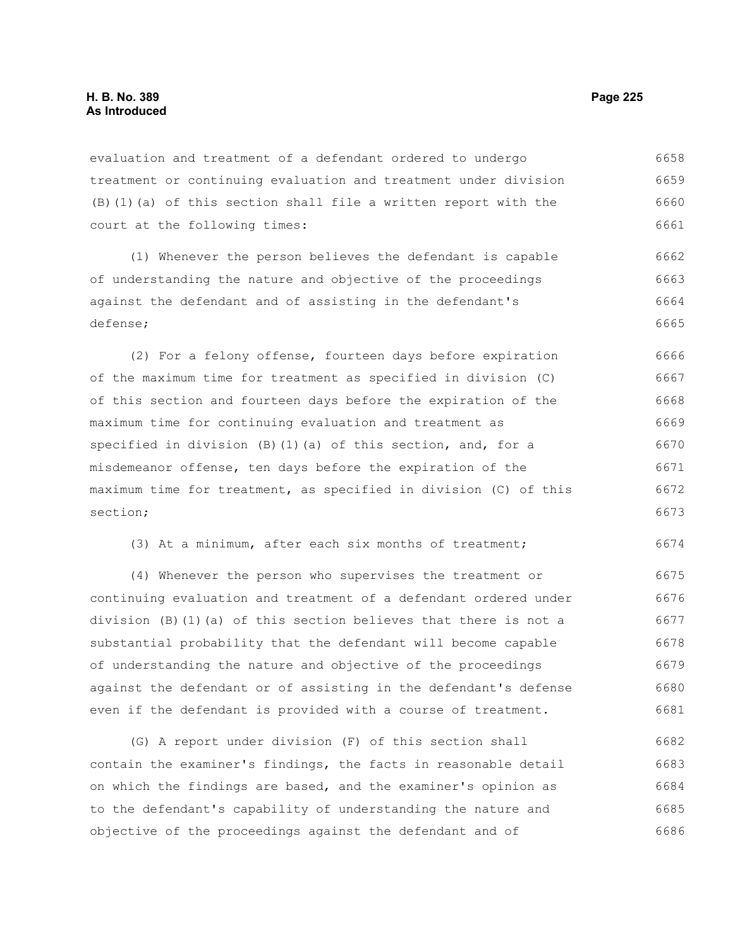evaluation and treatment of a defendant ordered to undergo treatment or continuing evaluation and treatment under division (B)(1)(a) of this section shall file a written report with the court at the following times: 6658 6659 6660 6661

(1) Whenever the person believes the defendant is capable of understanding the nature and objective of the proceedings against the defendant and of assisting in the defendant's defense; 6662 6663 6664 6665

(2) For a felony offense, fourteen days before expiration of the maximum time for treatment as specified in division (C) of this section and fourteen days before the expiration of the maximum time for continuing evaluation and treatment as specified in division (B)(1)(a) of this section, and, for a misdemeanor offense, ten days before the expiration of the maximum time for treatment, as specified in division (C) of this section; 6666 6667 6668 6669 6670 6671 6672 6673

(3) At a minimum, after each six months of treatment;

(4) Whenever the person who supervises the treatment or continuing evaluation and treatment of a defendant ordered under division (B)(1)(a) of this section believes that there is not a substantial probability that the defendant will become capable of understanding the nature and objective of the proceedings against the defendant or of assisting in the defendant's defense even if the defendant is provided with a course of treatment. 6675 6676 6677 6678 6679 6680 6681

(G) A report under division (F) of this section shall contain the examiner's findings, the facts in reasonable detail on which the findings are based, and the examiner's opinion as to the defendant's capability of understanding the nature and objective of the proceedings against the defendant and of 6682 6683 6684 6685 6686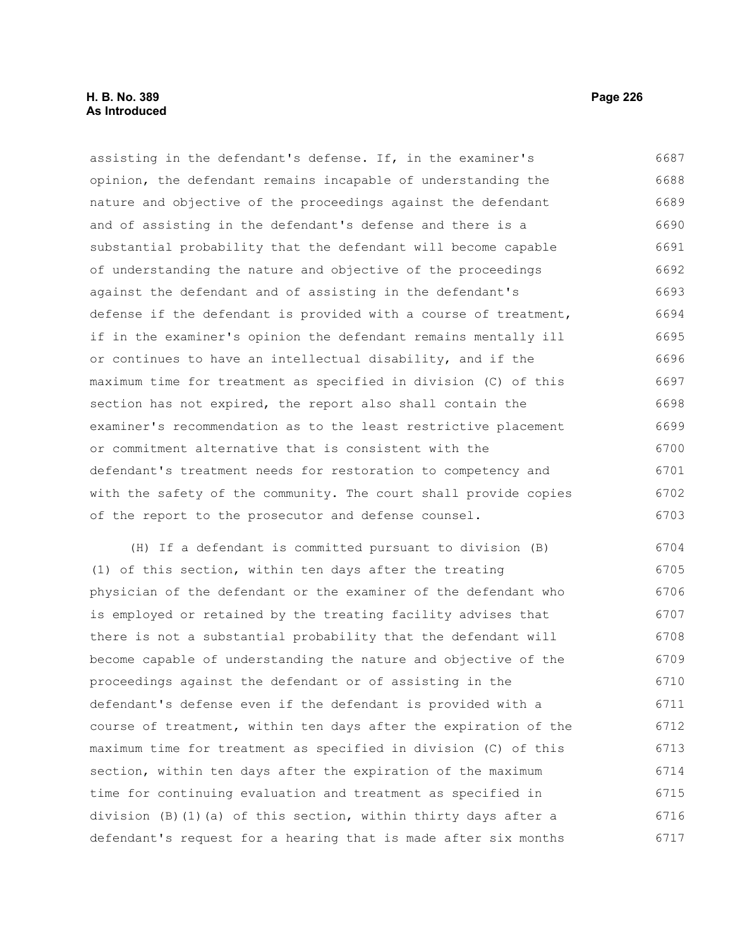#### **H. B. No. 389 Page 226 As Introduced**

assisting in the defendant's defense. If, in the examiner's opinion, the defendant remains incapable of understanding the nature and objective of the proceedings against the defendant and of assisting in the defendant's defense and there is a substantial probability that the defendant will become capable of understanding the nature and objective of the proceedings against the defendant and of assisting in the defendant's defense if the defendant is provided with a course of treatment, if in the examiner's opinion the defendant remains mentally ill or continues to have an intellectual disability, and if the maximum time for treatment as specified in division (C) of this section has not expired, the report also shall contain the examiner's recommendation as to the least restrictive placement or commitment alternative that is consistent with the defendant's treatment needs for restoration to competency and with the safety of the community. The court shall provide copies of the report to the prosecutor and defense counsel. 6687 6688 6689 6690 6691 6692 6693 6694 6695 6696 6697 6698 6699 6700 6701 6702 6703

(H) If a defendant is committed pursuant to division (B) (1) of this section, within ten days after the treating physician of the defendant or the examiner of the defendant who is employed or retained by the treating facility advises that there is not a substantial probability that the defendant will become capable of understanding the nature and objective of the proceedings against the defendant or of assisting in the defendant's defense even if the defendant is provided with a course of treatment, within ten days after the expiration of the maximum time for treatment as specified in division (C) of this section, within ten days after the expiration of the maximum time for continuing evaluation and treatment as specified in division (B)(1)(a) of this section, within thirty days after a defendant's request for a hearing that is made after six months 6704 6705 6706 6707 6708 6709 6710 6711 6712 6713 6714 6715 6716 6717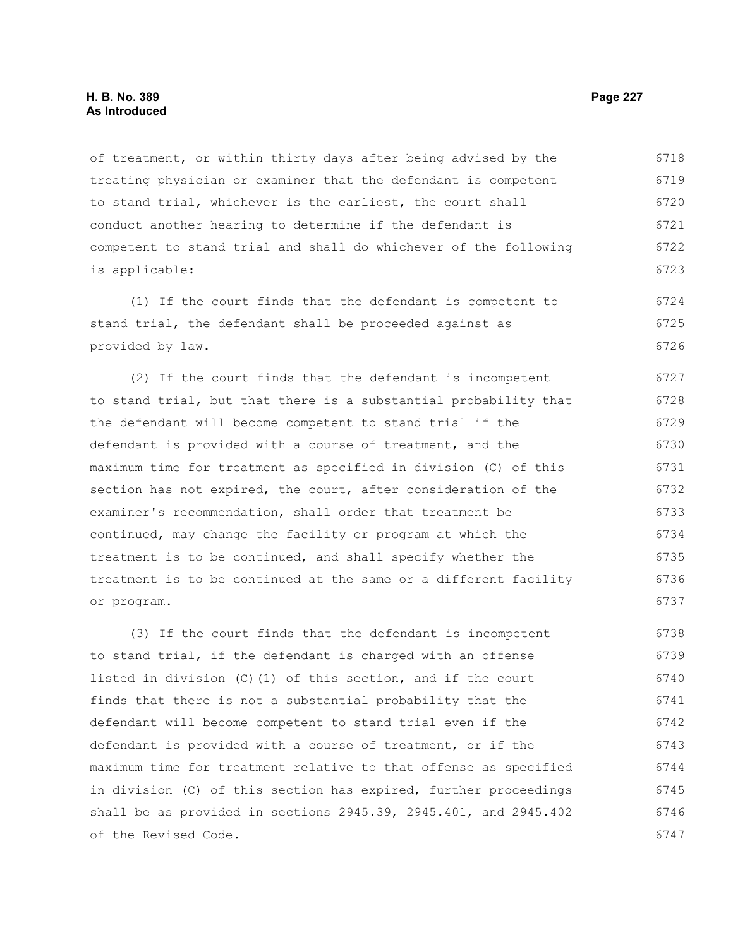#### **H. B. No. 389 Page 227 As Introduced**

of treatment, or within thirty days after being advised by the treating physician or examiner that the defendant is competent to stand trial, whichever is the earliest, the court shall conduct another hearing to determine if the defendant is competent to stand trial and shall do whichever of the following is applicable: 6718 6719 6720 6721 6722 6723

(1) If the court finds that the defendant is competent to stand trial, the defendant shall be proceeded against as provided by law. 6724 6725 6726

(2) If the court finds that the defendant is incompetent to stand trial, but that there is a substantial probability that the defendant will become competent to stand trial if the defendant is provided with a course of treatment, and the maximum time for treatment as specified in division (C) of this section has not expired, the court, after consideration of the examiner's recommendation, shall order that treatment be continued, may change the facility or program at which the treatment is to be continued, and shall specify whether the treatment is to be continued at the same or a different facility or program. 6727 6728 6729 6730 6731 6732 6733 6734 6735 6736 6737

(3) If the court finds that the defendant is incompetent to stand trial, if the defendant is charged with an offense listed in division (C)(1) of this section, and if the court finds that there is not a substantial probability that the defendant will become competent to stand trial even if the defendant is provided with a course of treatment, or if the maximum time for treatment relative to that offense as specified in division (C) of this section has expired, further proceedings shall be as provided in sections 2945.39, 2945.401, and 2945.402 of the Revised Code. 6738 6739 6740 6741 6742 6743 6744 6745 6746 6747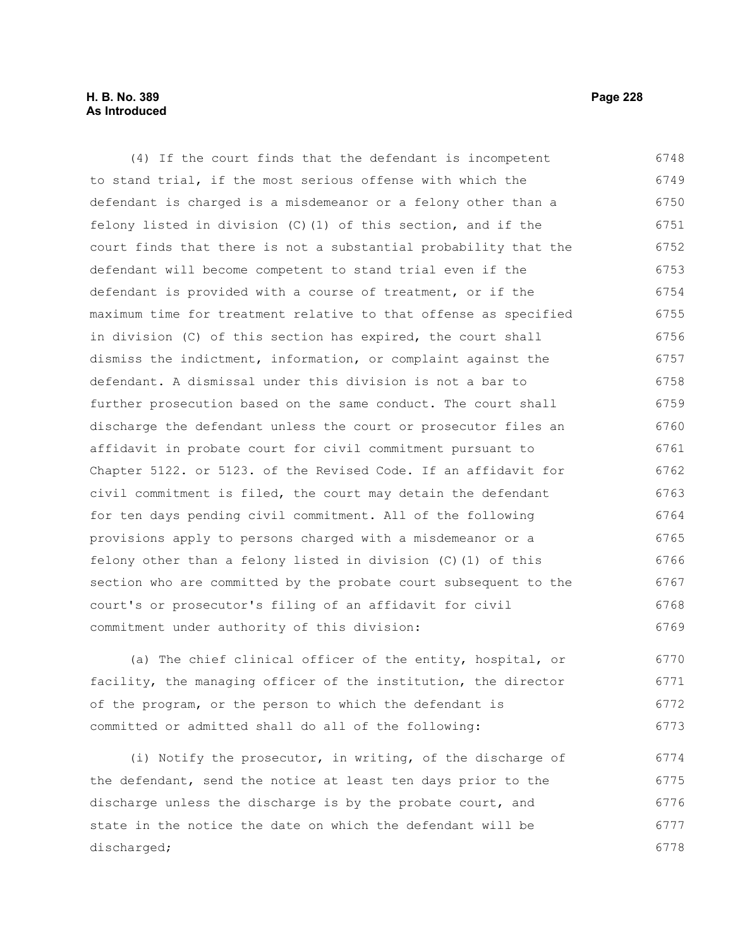## **H. B. No. 389 Page 228 As Introduced**

(4) If the court finds that the defendant is incompetent to stand trial, if the most serious offense with which the defendant is charged is a misdemeanor or a felony other than a felony listed in division (C)(1) of this section, and if the court finds that there is not a substantial probability that the defendant will become competent to stand trial even if the defendant is provided with a course of treatment, or if the maximum time for treatment relative to that offense as specified in division (C) of this section has expired, the court shall dismiss the indictment, information, or complaint against the defendant. A dismissal under this division is not a bar to further prosecution based on the same conduct. The court shall discharge the defendant unless the court or prosecutor files an affidavit in probate court for civil commitment pursuant to Chapter 5122. or 5123. of the Revised Code. If an affidavit for civil commitment is filed, the court may detain the defendant for ten days pending civil commitment. All of the following provisions apply to persons charged with a misdemeanor or a felony other than a felony listed in division (C)(1) of this section who are committed by the probate court subsequent to the court's or prosecutor's filing of an affidavit for civil commitment under authority of this division: 6748 6749 6750 6751 6752 6753 6754 6755 6756 6757 6758 6759 6760 6761 6762 6763 6764 6765 6766 6767 6768 6769

(a) The chief clinical officer of the entity, hospital, or facility, the managing officer of the institution, the director of the program, or the person to which the defendant is committed or admitted shall do all of the following: 6770 6771 6772 6773

(i) Notify the prosecutor, in writing, of the discharge of the defendant, send the notice at least ten days prior to the discharge unless the discharge is by the probate court, and state in the notice the date on which the defendant will be discharged; 6774 6775 6776 6777 6778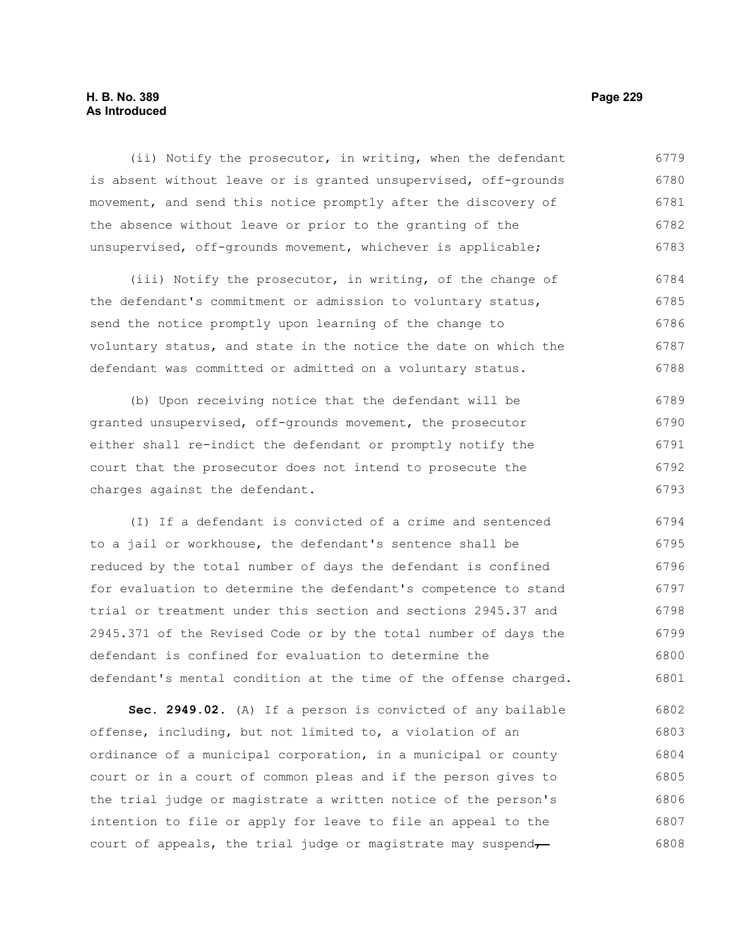## **H. B. No. 389 Page 229 As Introduced**

(ii) Notify the prosecutor, in writing, when the defendant is absent without leave or is granted unsupervised, off-grounds movement, and send this notice promptly after the discovery of the absence without leave or prior to the granting of the unsupervised, off-grounds movement, whichever is applicable; 6779 6780 6781 6782 6783

(iii) Notify the prosecutor, in writing, of the change of the defendant's commitment or admission to voluntary status, send the notice promptly upon learning of the change to voluntary status, and state in the notice the date on which the defendant was committed or admitted on a voluntary status. 6784 6785 6786 6787 6788

(b) Upon receiving notice that the defendant will be granted unsupervised, off-grounds movement, the prosecutor either shall re-indict the defendant or promptly notify the court that the prosecutor does not intend to prosecute the charges against the defendant. 6789 6790 6791 6792 6793

(I) If a defendant is convicted of a crime and sentenced to a jail or workhouse, the defendant's sentence shall be reduced by the total number of days the defendant is confined for evaluation to determine the defendant's competence to stand trial or treatment under this section and sections 2945.37 and 2945.371 of the Revised Code or by the total number of days the defendant is confined for evaluation to determine the defendant's mental condition at the time of the offense charged. 6794 6795 6796 6797 6798 6799 6800 6801

**Sec. 2949.02.** (A) If a person is convicted of any bailable offense, including, but not limited to, a violation of an ordinance of a municipal corporation, in a municipal or county court or in a court of common pleas and if the person gives to the trial judge or magistrate a written notice of the person's intention to file or apply for leave to file an appeal to the court of appeals, the trial judge or magistrate may suspend $\tau$ 6802 6803 6804 6805 6806 6807 6808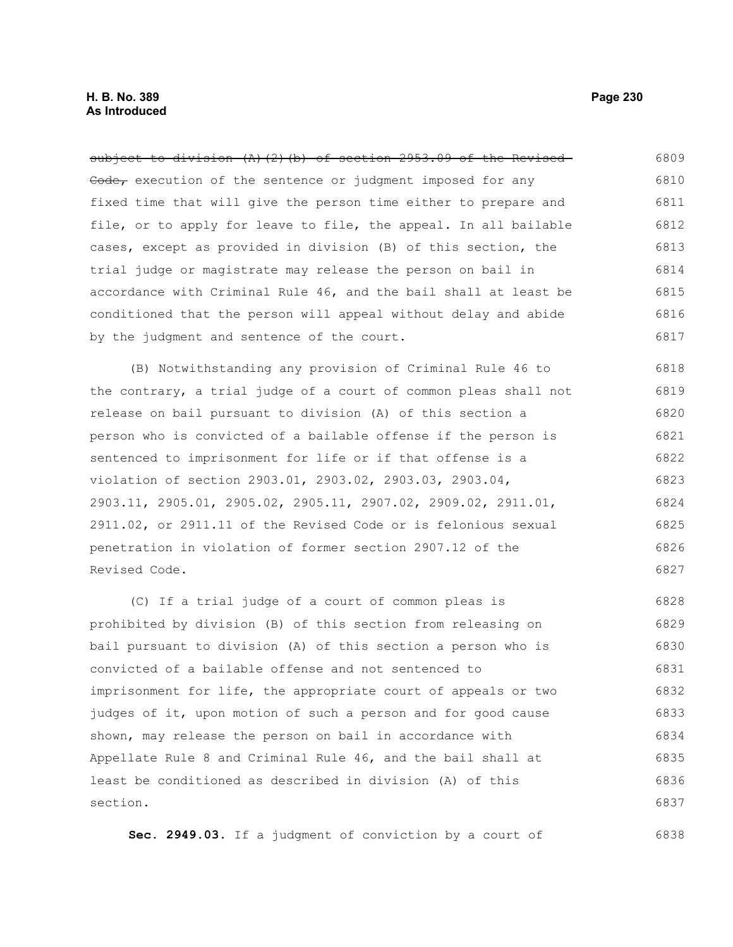subject to division (A)(2)(b) of section 2953.09 of the Revised-Gode, execution of the sentence or judgment imposed for any fixed time that will give the person time either to prepare and file, or to apply for leave to file, the appeal. In all bailable cases, except as provided in division (B) of this section, the trial judge or magistrate may release the person on bail in accordance with Criminal Rule 46, and the bail shall at least be conditioned that the person will appeal without delay and abide by the judgment and sentence of the court. (B) Notwithstanding any provision of Criminal Rule 46 to the contrary, a trial judge of a court of common pleas shall not release on bail pursuant to division (A) of this section a person who is convicted of a bailable offense if the person is sentenced to imprisonment for life or if that offense is a violation of section 2903.01, 2903.02, 2903.03, 2903.04, 2903.11, 2905.01, 2905.02, 2905.11, 2907.02, 2909.02, 2911.01, 2911.02, or 2911.11 of the Revised Code or is felonious sexual penetration in violation of former section 2907.12 of the Revised Code. 6809 6810 6811 6812 6813 6814 6815 6816 6817 6818 6819 6820 6821 6822 6823 6824 6825 6826

(C) If a trial judge of a court of common pleas is prohibited by division (B) of this section from releasing on bail pursuant to division (A) of this section a person who is convicted of a bailable offense and not sentenced to imprisonment for life, the appropriate court of appeals or two judges of it, upon motion of such a person and for good cause shown, may release the person on bail in accordance with Appellate Rule 8 and Criminal Rule 46, and the bail shall at least be conditioned as described in division (A) of this section. 6828 6829 6830 6831 6832 6833 6834 6835 6836 6837

**Sec. 2949.03.** If a judgment of conviction by a court of

6827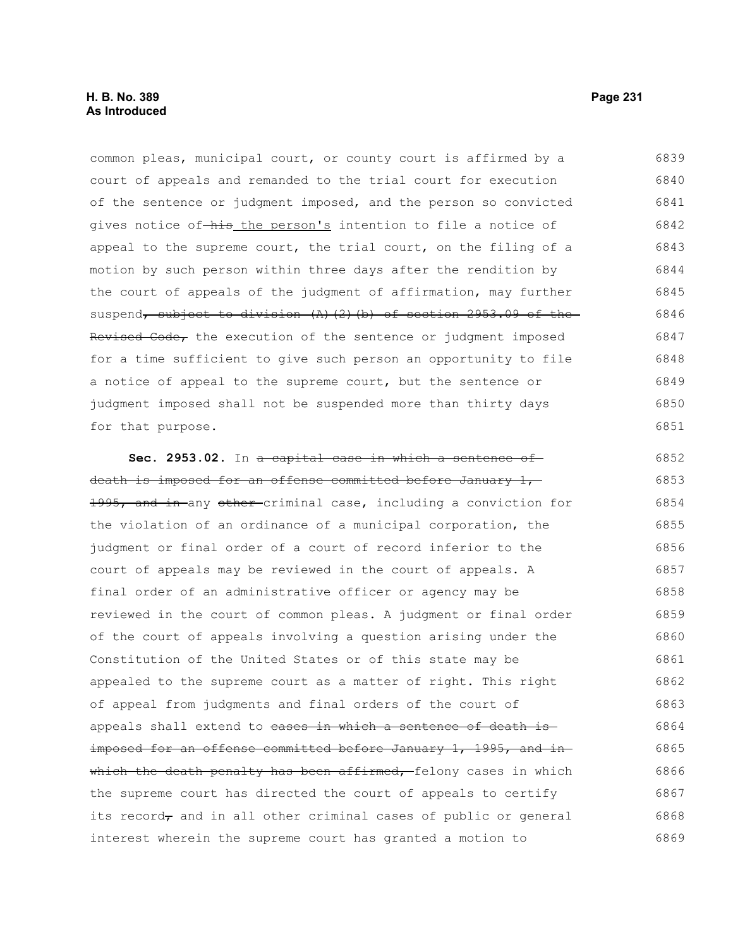common pleas, municipal court, or county court is affirmed by a court of appeals and remanded to the trial court for execution of the sentence or judgment imposed, and the person so convicted gives notice of-his the person's intention to file a notice of appeal to the supreme court, the trial court, on the filing of a motion by such person within three days after the rendition by the court of appeals of the judgment of affirmation, may further suspend, subject to division  $(A)$   $(2)$  (b) of section 2953.09 of the Revised Code, the execution of the sentence or judgment imposed for a time sufficient to give such person an opportunity to file a notice of appeal to the supreme court, but the sentence or judgment imposed shall not be suspended more than thirty days for that purpose. 6839 6840 6841 6842 6843 6844 6845 6846 6847 6848 6849 6850 6851

Sec. 2953.02. In a capital case in which a sentence of death is imposed for an offense committed before January  $1,$ 1995, and in any other criminal case, including a conviction for the violation of an ordinance of a municipal corporation, the judgment or final order of a court of record inferior to the court of appeals may be reviewed in the court of appeals. A final order of an administrative officer or agency may be reviewed in the court of common pleas. A judgment or final order of the court of appeals involving a question arising under the Constitution of the United States or of this state may be appealed to the supreme court as a matter of right. This right of appeal from judgments and final orders of the court of appeals shall extend to eases in which a sentence of death is imposed for an offense committed before January 1, 1995, and inwhich the death penalty has been affirmed, felony cases in which the supreme court has directed the court of appeals to certify its record<sub>7</sub> and in all other criminal cases of public or general interest wherein the supreme court has granted a motion to 6852 6853 6854 6855 6856 6857 6858 6859 6860 6861 6862 6863 6864 6865 6866 6867 6868 6869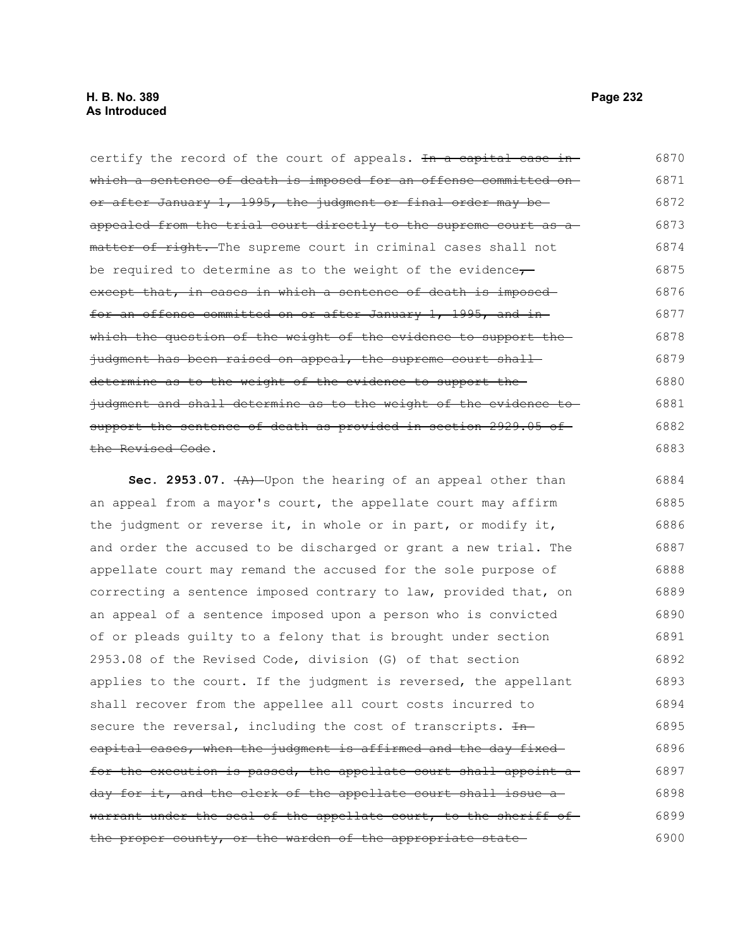certify the record of the court of appeals. In a capital case inwhich a sentence of death is imposed for an offense committed onor after January 1, 1995, the judgment or final order may be appealed from the trial court directly to the supreme court as a matter of right. The supreme court in criminal cases shall not be required to determine as to the weight of the evidence $\tau$ except that, in cases in which a sentence of death is imposedfor an offense committed on or after January 1, 1995, and in which the question of the weight of the evidence to support thejudgment has been raised on appeal, the supreme court shalldetermine as to the weight of the evidence to support the judgment and shall determine as to the weight of the evidence to support the sentence of death as provided in section 2929.05 ofthe Revised Code. 6870 6871 6872 6873 6874 6875 6876 6877 6878 6879 6880 6881 6882 6883

**Sec. 2953.07.**  $\overline{(A)}$  Upon the hearing of an appeal other than an appeal from a mayor's court, the appellate court may affirm the judgment or reverse it, in whole or in part, or modify it, and order the accused to be discharged or grant a new trial. The appellate court may remand the accused for the sole purpose of correcting a sentence imposed contrary to law, provided that, on an appeal of a sentence imposed upon a person who is convicted of or pleads guilty to a felony that is brought under section 2953.08 of the Revised Code, division (G) of that section applies to the court. If the judgment is reversed, the appellant shall recover from the appellee all court costs incurred to secure the reversal, including the cost of transcripts. Incapital cases, when the judgment is affirmed and the day fixed for the execution is passed, the appellate court shall appoint a day for it, and the clerk of the appellate court shall issue a warrant under the seal of the appellate court, to the sheriff of the proper county, or the warden of the appropriate state 6884 6885 6886 6887 6888 6889 6890 6891 6892 6893 6894 6895 6896 6897 6898 6899 6900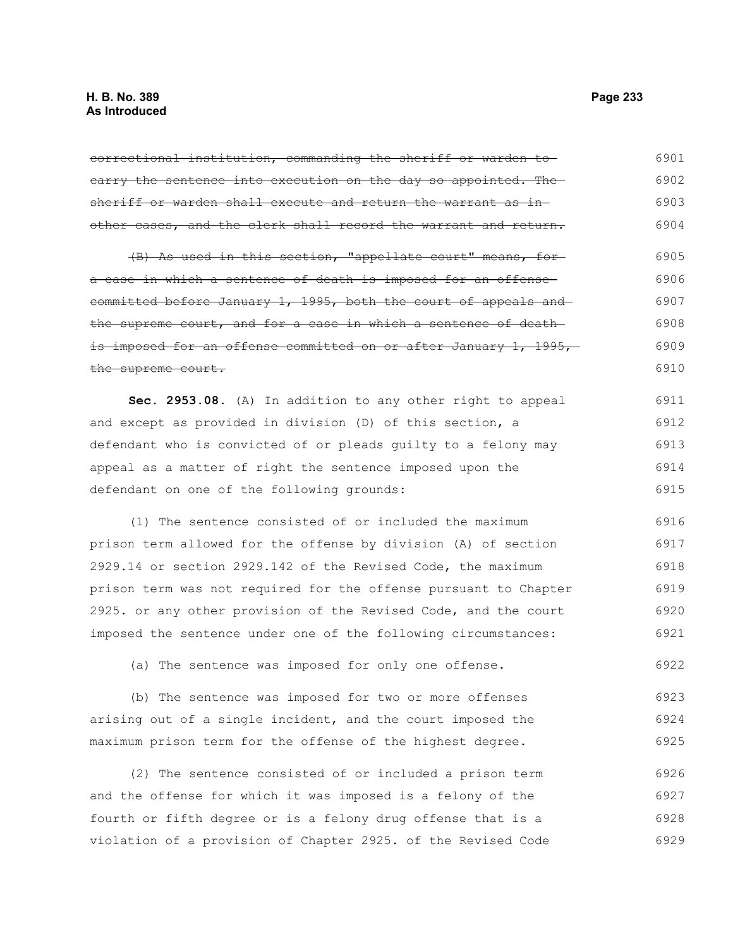carry the sentence into execution on the day so appointed. The sheriff or warden shall execute and return the warrant as in other cases, and the clerk shall record the warrant and return. (B) As used in this section, "appellate court" means, for a case in which a sentence of death is imposed for an offense committed before January 1, 1995, both the court of appeals and the supreme court, and for a case in which a sentence of death is imposed for an offense committed on or after January 1, 1995, the supreme court. **Sec. 2953.08.** (A) In addition to any other right to appeal and except as provided in division (D) of this section, a defendant who is convicted of or pleads guilty to a felony may appeal as a matter of right the sentence imposed upon the defendant on one of the following grounds: (1) The sentence consisted of or included the maximum prison term allowed for the offense by division (A) of section 2929.14 or section 2929.142 of the Revised Code, the maximum prison term was not required for the offense pursuant to Chapter 2925. or any other provision of the Revised Code, and the court imposed the sentence under one of the following circumstances: (a) The sentence was imposed for only one offense. (b) The sentence was imposed for two or more offenses arising out of a single incident, and the court imposed the maximum prison term for the offense of the highest degree. (2) The sentence consisted of or included a prison term and the offense for which it was imposed is a felony of the 6902 6903 6904 6905 6906 6907 6908 6909 6910 6911 6912 6913 6914 6915 6916 6917 6918 6919 6920 6921 6922 6923 6924 6925 6926 6927

correctional institution, commanding the sheriff or warden to

fourth or fifth degree or is a felony drug offense that is a violation of a provision of Chapter 2925. of the Revised Code 6928 6929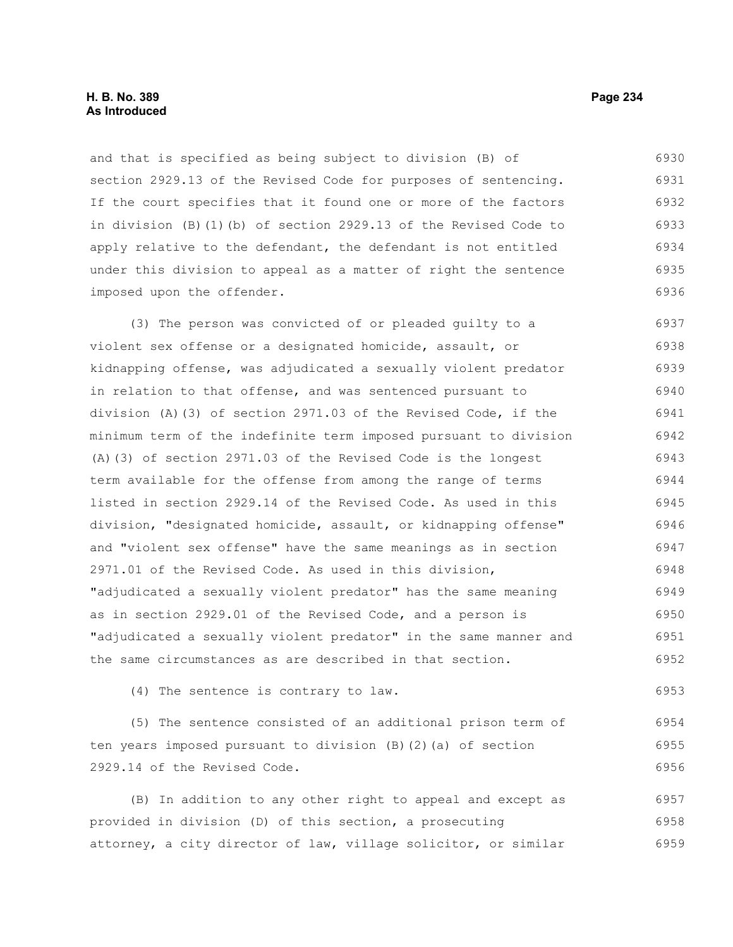#### **H. B. No. 389 Page 234 As Introduced**

and that is specified as being subject to division (B) of section 2929.13 of the Revised Code for purposes of sentencing. If the court specifies that it found one or more of the factors in division (B)(1)(b) of section 2929.13 of the Revised Code to apply relative to the defendant, the defendant is not entitled under this division to appeal as a matter of right the sentence imposed upon the offender. 6930 6931 6932 6933 6934 6935 6936

(3) The person was convicted of or pleaded guilty to a violent sex offense or a designated homicide, assault, or kidnapping offense, was adjudicated a sexually violent predator in relation to that offense, and was sentenced pursuant to division (A)(3) of section 2971.03 of the Revised Code, if the minimum term of the indefinite term imposed pursuant to division (A)(3) of section 2971.03 of the Revised Code is the longest term available for the offense from among the range of terms listed in section 2929.14 of the Revised Code. As used in this division, "designated homicide, assault, or kidnapping offense" and "violent sex offense" have the same meanings as in section 2971.01 of the Revised Code. As used in this division, "adjudicated a sexually violent predator" has the same meaning as in section 2929.01 of the Revised Code, and a person is "adjudicated a sexually violent predator" in the same manner and the same circumstances as are described in that section. 6937 6938 6939 6940 6941 6942 6943 6944 6945 6946 6947 6948 6949 6950 6951 6952

(4) The sentence is contrary to law.

(5) The sentence consisted of an additional prison term of ten years imposed pursuant to division (B)(2)(a) of section 2929.14 of the Revised Code. 6954 6955 6956

(B) In addition to any other right to appeal and except as provided in division (D) of this section, a prosecuting attorney, a city director of law, village solicitor, or similar 6957 6958 6959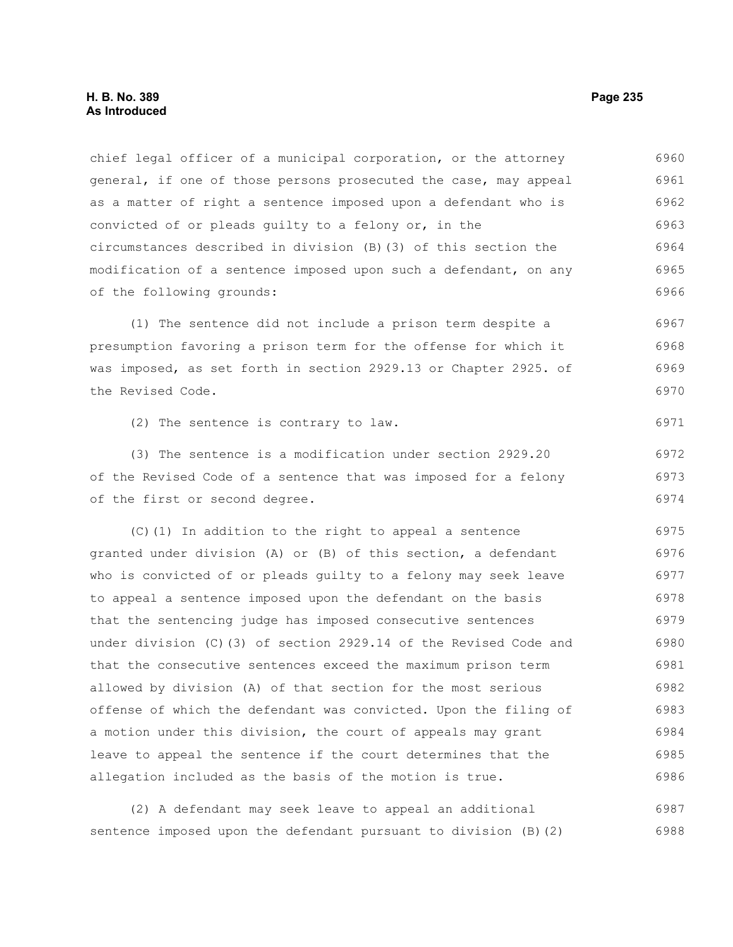chief legal officer of a municipal corporation, or the attorney general, if one of those persons prosecuted the case, may appeal as a matter of right a sentence imposed upon a defendant who is convicted of or pleads guilty to a felony or, in the circumstances described in division (B)(3) of this section the modification of a sentence imposed upon such a defendant, on any of the following grounds: 6960 6961 6962 6963 6964 6965 6966

(1) The sentence did not include a prison term despite a presumption favoring a prison term for the offense for which it was imposed, as set forth in section 2929.13 or Chapter 2925. of the Revised Code. 6967 6968 6969 6970

(2) The sentence is contrary to law.

(3) The sentence is a modification under section 2929.20 of the Revised Code of a sentence that was imposed for a felony of the first or second degree. 6972 6973 6974

(C)(1) In addition to the right to appeal a sentence granted under division (A) or (B) of this section, a defendant who is convicted of or pleads guilty to a felony may seek leave to appeal a sentence imposed upon the defendant on the basis that the sentencing judge has imposed consecutive sentences under division (C)(3) of section 2929.14 of the Revised Code and that the consecutive sentences exceed the maximum prison term allowed by division (A) of that section for the most serious offense of which the defendant was convicted. Upon the filing of a motion under this division, the court of appeals may grant leave to appeal the sentence if the court determines that the allegation included as the basis of the motion is true. 6975 6976 6977 6978 6979 6980 6981 6982 6983 6984 6985 6986

(2) A defendant may seek leave to appeal an additional sentence imposed upon the defendant pursuant to division (B)(2) 6987 6988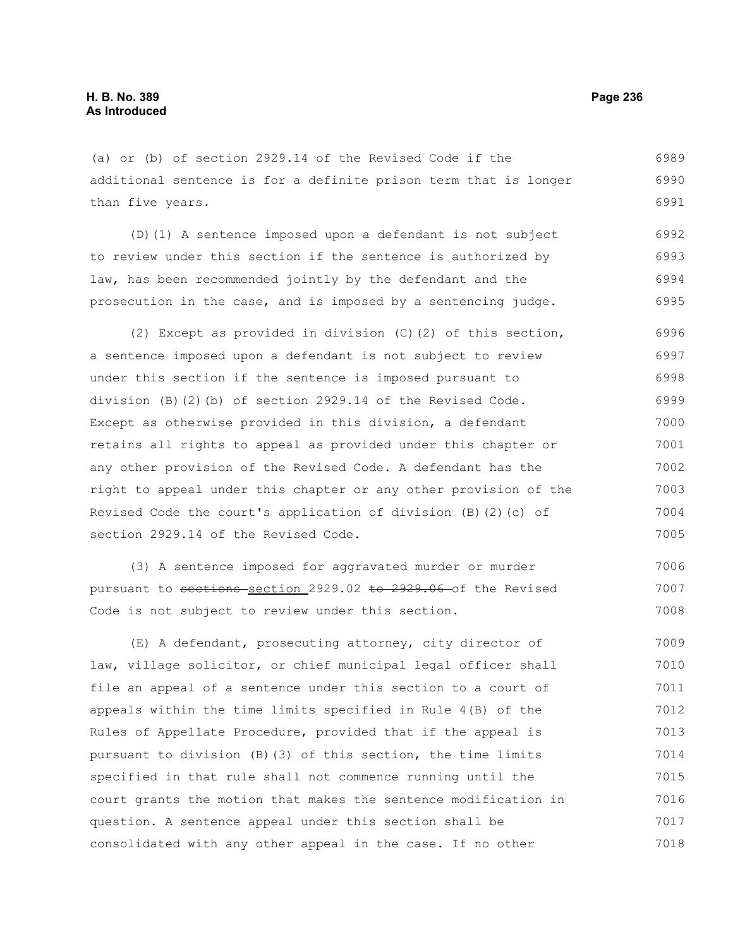#### (a) or (b) of section 2929.14 of the Revised Code if the additional sentence is for a definite prison term that is longer than five years. (D)(1) A sentence imposed upon a defendant is not subject to review under this section if the sentence is authorized by law, has been recommended jointly by the defendant and the prosecution in the case, and is imposed by a sentencing judge. (2) Except as provided in division (C)(2) of this section, a sentence imposed upon a defendant is not subject to review under this section if the sentence is imposed pursuant to division (B)(2)(b) of section 2929.14 of the Revised Code. Except as otherwise provided in this division, a defendant retains all rights to appeal as provided under this chapter or any other provision of the Revised Code. A defendant has the right to appeal under this chapter or any other provision of the Revised Code the court's application of division (B)(2)(c) of section 2929.14 of the Revised Code. 6989 6990 6991 6992 6993 6994 6995 6996 6997 6998 6999 7000 7001 7002 7003 7004 7005

(3) A sentence imposed for aggravated murder or murder pursuant to sections section 2929.02 to 2929.06 of the Revised Code is not subject to review under this section. 7006 7007 7008

(E) A defendant, prosecuting attorney, city director of law, village solicitor, or chief municipal legal officer shall file an appeal of a sentence under this section to a court of appeals within the time limits specified in Rule 4(B) of the Rules of Appellate Procedure, provided that if the appeal is pursuant to division (B)(3) of this section, the time limits specified in that rule shall not commence running until the court grants the motion that makes the sentence modification in question. A sentence appeal under this section shall be consolidated with any other appeal in the case. If no other 7009 7010 7011 7012 7013 7014 7015 7016 7017 7018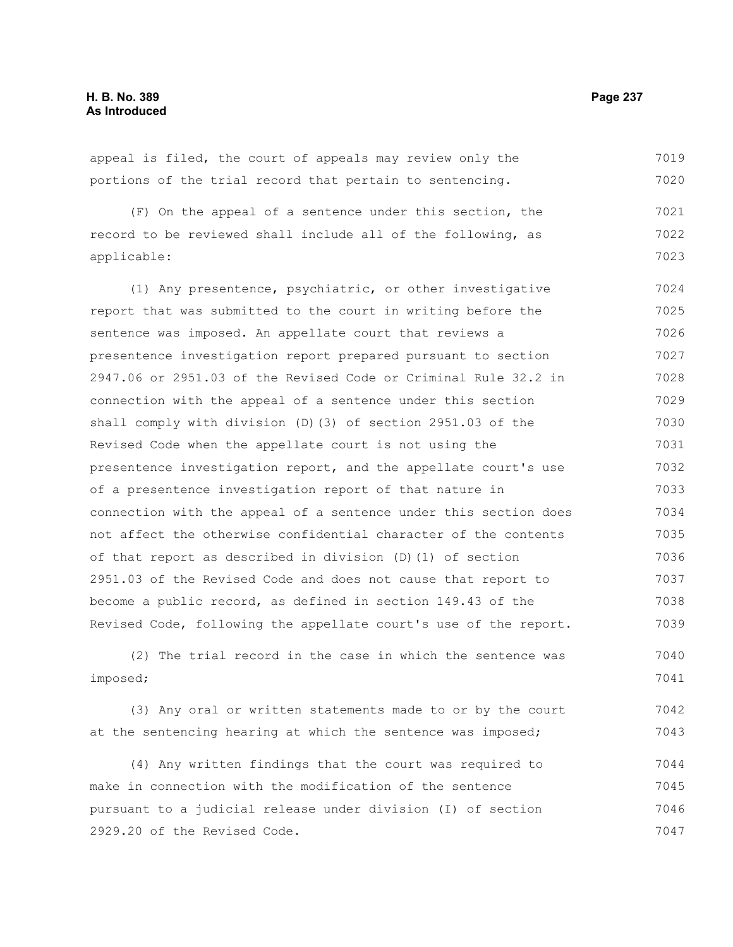appeal is filed, the court of appeals may review only the portions of the trial record that pertain to sentencing. (F) On the appeal of a sentence under this section, the record to be reviewed shall include all of the following, as applicable: (1) Any presentence, psychiatric, or other investigative report that was submitted to the court in writing before the sentence was imposed. An appellate court that reviews a presentence investigation report prepared pursuant to section 2947.06 or 2951.03 of the Revised Code or Criminal Rule 32.2 in connection with the appeal of a sentence under this section shall comply with division (D)(3) of section 2951.03 of the Revised Code when the appellate court is not using the presentence investigation report, and the appellate court's use of a presentence investigation report of that nature in connection with the appeal of a sentence under this section does not affect the otherwise confidential character of the contents of that report as described in division (D)(1) of section 2951.03 of the Revised Code and does not cause that report to become a public record, as defined in section 149.43 of the Revised Code, following the appellate court's use of the report. (2) The trial record in the case in which the sentence was imposed; (3) Any oral or written statements made to or by the court at the sentencing hearing at which the sentence was imposed; (4) Any written findings that the court was required to 7019 7020 7021 7022 7023 7024 7025 7026 7027 7028 7029 7030 7031 7032 7033 7034 7035 7036 7037 7038 7039 7040 7041 7042 7043 7044

make in connection with the modification of the sentence pursuant to a judicial release under division (I) of section 2929.20 of the Revised Code. 7045 7046 7047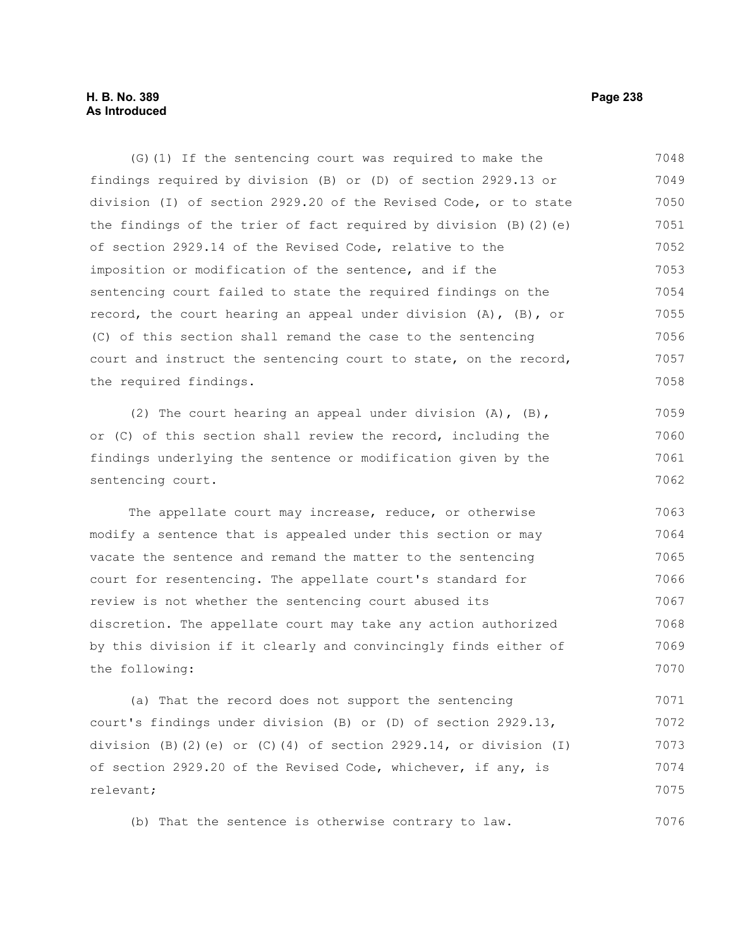## **H. B. No. 389 Page 238 As Introduced**

(G)(1) If the sentencing court was required to make the findings required by division (B) or (D) of section 2929.13 or division (I) of section 2929.20 of the Revised Code, or to state the findings of the trier of fact required by division  $(B)(2)(e)$ of section 2929.14 of the Revised Code, relative to the imposition or modification of the sentence, and if the sentencing court failed to state the required findings on the record, the court hearing an appeal under division (A), (B), or (C) of this section shall remand the case to the sentencing court and instruct the sentencing court to state, on the record, the required findings. 7048 7049 7050 7051 7052 7053 7054 7055 7056 7057 7058

(2) The court hearing an appeal under division (A), (B), or (C) of this section shall review the record, including the findings underlying the sentence or modification given by the sentencing court. 7059 7060 7061 7062

The appellate court may increase, reduce, or otherwise modify a sentence that is appealed under this section or may vacate the sentence and remand the matter to the sentencing court for resentencing. The appellate court's standard for review is not whether the sentencing court abused its discretion. The appellate court may take any action authorized by this division if it clearly and convincingly finds either of the following: 7063 7064 7065 7066 7067 7068 7069 7070

(a) That the record does not support the sentencing court's findings under division (B) or (D) of section 2929.13, division (B)(2)(e) or  $(C)$ (4) of section 2929.14, or division (I) of section 2929.20 of the Revised Code, whichever, if any, is relevant; 7071 7072 7073 7074 7075

(b) That the sentence is otherwise contrary to law. 7076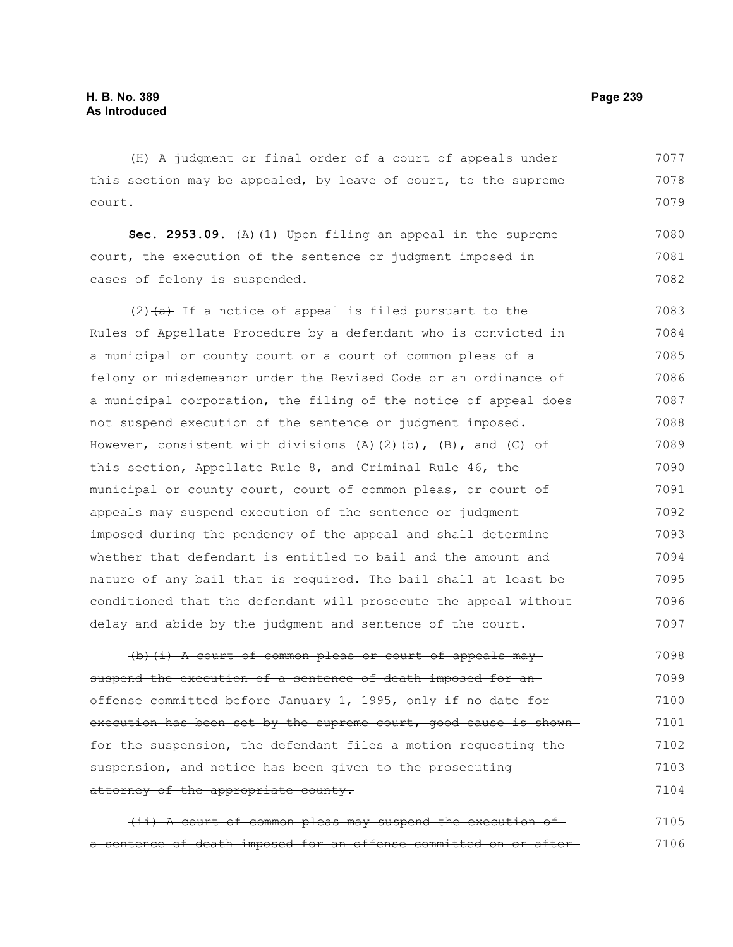(H) A judgment or final order of a court of appeals under this section may be appealed, by leave of court, to the supreme court.

**Sec. 2953.09.** (A)(1) Upon filing an appeal in the supreme court, the execution of the sentence or judgment imposed in cases of felony is suspended. 7080 7081 7082

(2) $(a)$  If a notice of appeal is filed pursuant to the Rules of Appellate Procedure by a defendant who is convicted in a municipal or county court or a court of common pleas of a felony or misdemeanor under the Revised Code or an ordinance of a municipal corporation, the filing of the notice of appeal does not suspend execution of the sentence or judgment imposed. However, consistent with divisions  $(A)$   $(2)$   $(b)$ ,  $(B)$ , and  $(C)$  of this section, Appellate Rule 8, and Criminal Rule 46, the municipal or county court, court of common pleas, or court of appeals may suspend execution of the sentence or judgment imposed during the pendency of the appeal and shall determine whether that defendant is entitled to bail and the amount and nature of any bail that is required. The bail shall at least be conditioned that the defendant will prosecute the appeal without delay and abide by the judgment and sentence of the court. 7083 7084 7085 7086 7087 7088 7089 7090 7091 7092 7093 7094 7095 7096 7097

(b)(i) A court of common pleas or court of appeals may suspend the execution of a sentence of death imposed for anoffense committed before January 1, 1995, only if no date for execution has been set by the supreme court, good cause is shownfor the suspension, the defendant files a motion requesting the suspension, and notice has been given to the prosecuting attorney of the appropriate county. 7098 7099 7100 7101 7102 7103 7104

(ii) A court of common pleas may suspend the execution of a sentence of death imposed for an offense committed on or after 7105 7106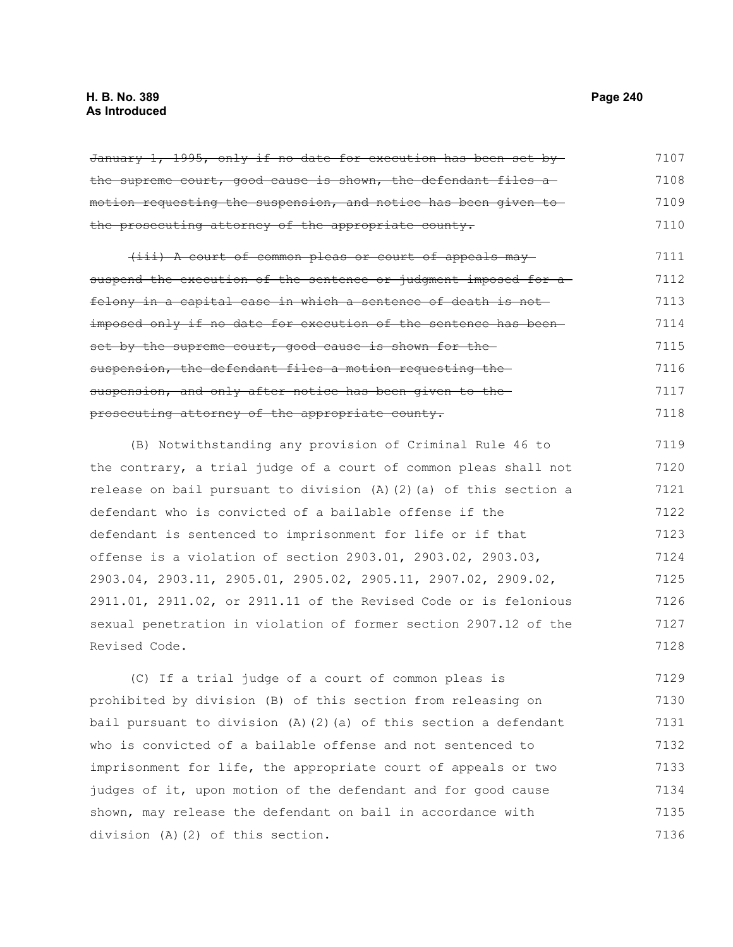January 1, 1995, only if no date for execution has been set by the supreme court, good cause is shown, the defendant files a motion requesting the suspension, and notice has been given to the prosecuting attorney of the appropriate county. (iii) A court of common pleas or court of appeals may suspend the execution of the sentence or judgment imposed for a felony in a capital case in which a sentence of death is not imposed only if no date for execution of the sentence has been set by the supreme court, good cause is shown for thesuspension, the defendant files a motion requesting thesuspension, and only after notice has been given to the prosecuting attorney of the appropriate county. (B) Notwithstanding any provision of Criminal Rule 46 to 7107 7108 7109 7110 7111 7112 7113 7114 7115 7116 7117 7118 7119

the contrary, a trial judge of a court of common pleas shall not release on bail pursuant to division (A)(2)(a) of this section a defendant who is convicted of a bailable offense if the defendant is sentenced to imprisonment for life or if that offense is a violation of section 2903.01, 2903.02, 2903.03, 2903.04, 2903.11, 2905.01, 2905.02, 2905.11, 2907.02, 2909.02, 2911.01, 2911.02, or 2911.11 of the Revised Code or is felonious sexual penetration in violation of former section 2907.12 of the Revised Code. 7120 7121 7122 7123 7124 7125 7126 7127 7128

(C) If a trial judge of a court of common pleas is prohibited by division (B) of this section from releasing on bail pursuant to division  $(A)$   $(2)$   $(a)$  of this section a defendant who is convicted of a bailable offense and not sentenced to imprisonment for life, the appropriate court of appeals or two judges of it, upon motion of the defendant and for good cause shown, may release the defendant on bail in accordance with division (A)(2) of this section. 7129 7130 7131 7132 7133 7134 7135 7136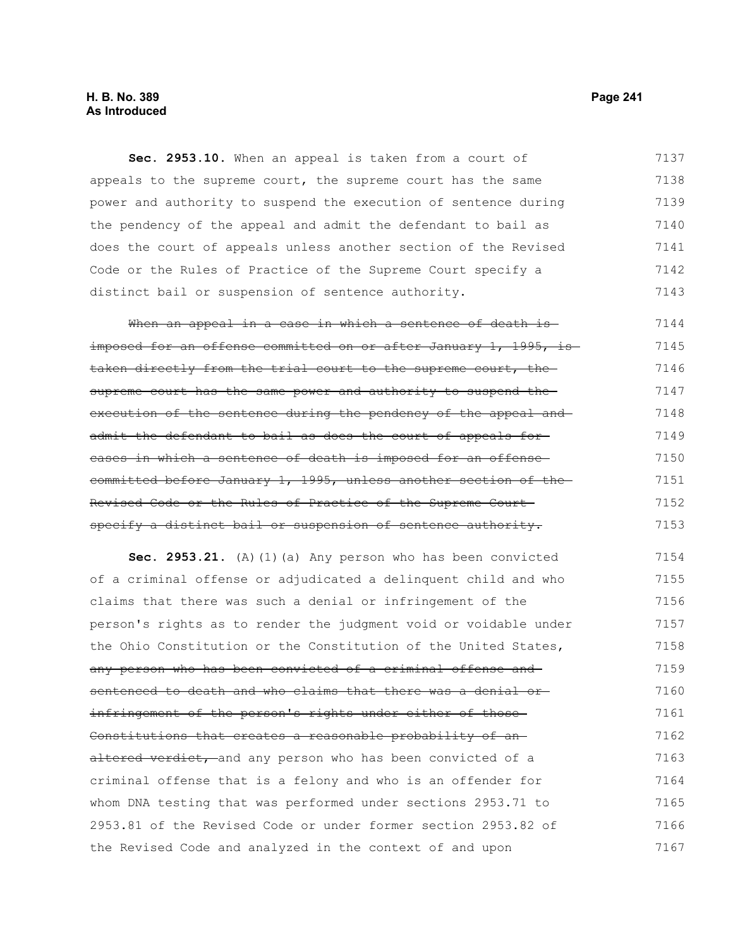**Sec. 2953.10.** When an appeal is taken from a court of appeals to the supreme court, the supreme court has the same power and authority to suspend the execution of sentence during the pendency of the appeal and admit the defendant to bail as does the court of appeals unless another section of the Revised Code or the Rules of Practice of the Supreme Court specify a distinct bail or suspension of sentence authority. 7137 7138 7139 7140 7141 7142 7143

When an appeal in a case in which a sentence of death is imposed for an offense committed on or after January 1, 1995, is taken directly from the trial court to the supreme court, the supreme court has the same power and authority to suspend the execution of the sentence during the pendency of the appeal and admit the defendant to bail as does the court of appeals for cases in which a sentence of death is imposed for an offense committed before January 1, 1995, unless another section of the Revised Code or the Rules of Practice of the Supreme Court specify a distinct bail or suspension of sentence authority. 7144 7145 7146 7147 7148 7149 7150 7151 7152 7153

**Sec. 2953.21.** (A)(1)(a) Any person who has been convicted of a criminal offense or adjudicated a delinquent child and who claims that there was such a denial or infringement of the person's rights as to render the judgment void or voidable under the Ohio Constitution or the Constitution of the United States, any person who has been convicted of a criminal offense and sentenced to death and who claims that there was a denial orinfringement of the person's rights under either of those Constitutions that creates a reasonable probability of an altered verdict, and any person who has been convicted of a criminal offense that is a felony and who is an offender for whom DNA testing that was performed under sections 2953.71 to 2953.81 of the Revised Code or under former section 2953.82 of the Revised Code and analyzed in the context of and upon 7154 7155 7156 7157 7158 7159 7160 7161 7162 7163 7164 7165 7166 7167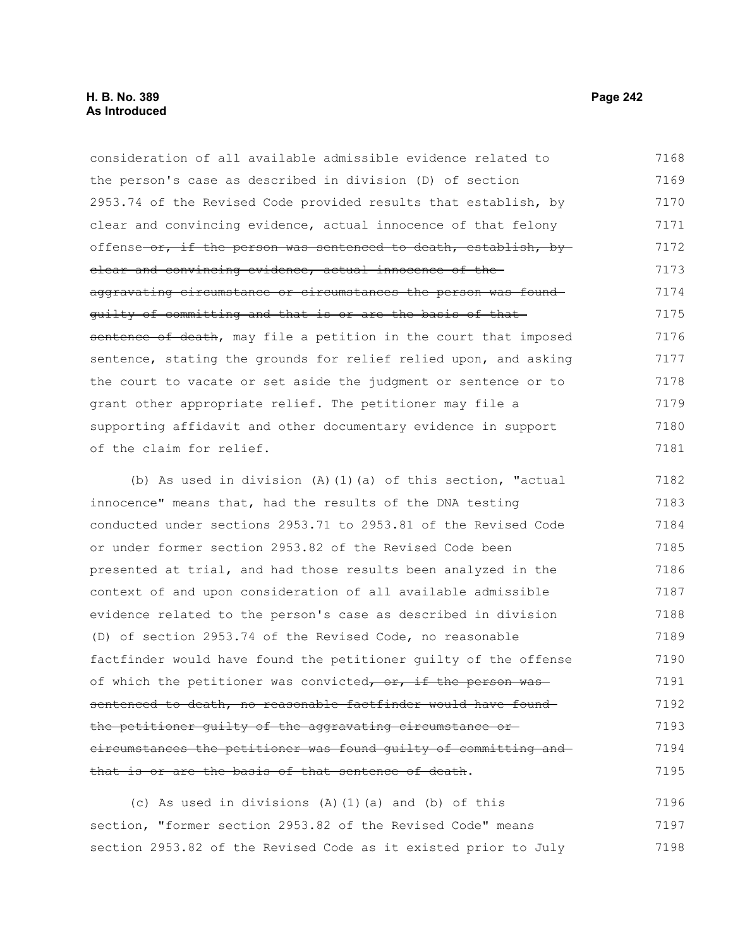consideration of all available admissible evidence related to the person's case as described in division (D) of section 2953.74 of the Revised Code provided results that establish, by clear and convincing evidence, actual innocence of that felony offense or, if the person was sentenced to death, establish, by clear and convincing evidence, actual innocence of the aggravating circumstance or circumstances the person was found guilty of committing and that is or are the basis of that sentence of death, may file a petition in the court that imposed sentence, stating the grounds for relief relied upon, and asking the court to vacate or set aside the judgment or sentence or to grant other appropriate relief. The petitioner may file a supporting affidavit and other documentary evidence in support of the claim for relief. (b) As used in division  $(A)$  (1)(a) of this section, "actual innocence" means that, had the results of the DNA testing conducted under sections 2953.71 to 2953.81 of the Revised Code 7168 7169 7170 7171 7172 7173 7174 7175 7176 7177 7178 7179 7180 7181 7182 7183 7184

or under former section 2953.82 of the Revised Code been presented at trial, and had those results been analyzed in the context of and upon consideration of all available admissible evidence related to the person's case as described in division (D) of section 2953.74 of the Revised Code, no reasonable factfinder would have found the petitioner guilty of the offense of which the petitioner was convicted, or, if the person was sentenced to death, no reasonable factfinder would have foundthe petitioner guilty of the aggravating circumstance or circumstances the petitioner was found guilty of committing and that is or are the basis of that sentence of death. 7185 7186 7187 7188 7189 7190 7191 7192 7193 7194 7195

(c) As used in divisions (A)(1)(a) and (b) of this section, "former section 2953.82 of the Revised Code" means section 2953.82 of the Revised Code as it existed prior to July 7196 7197 7198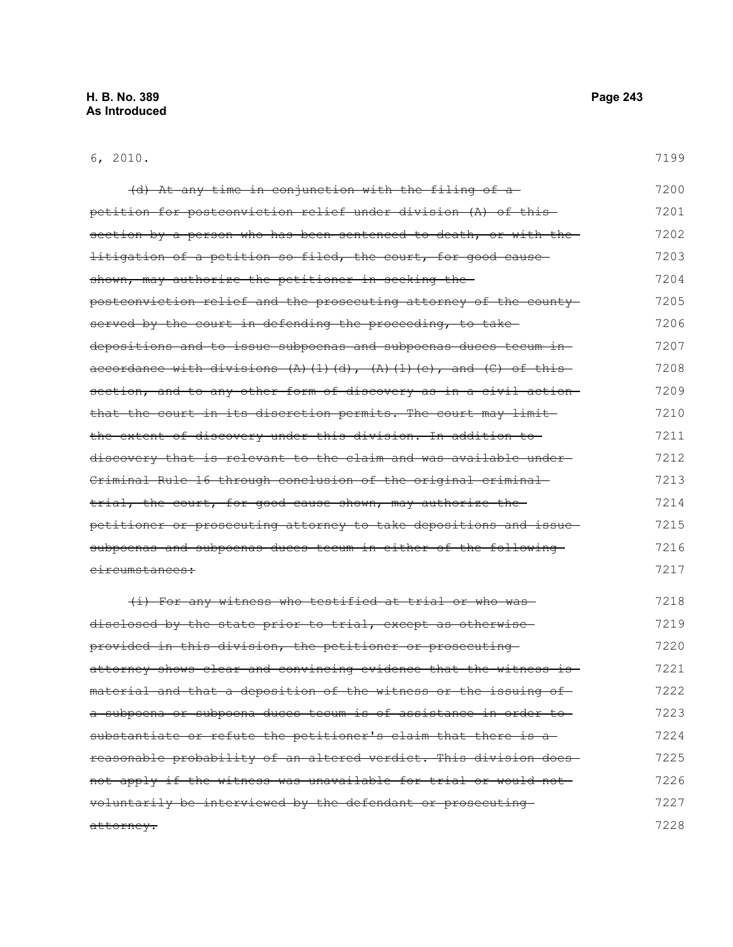# 6, 2010.

| (d) At any time in conjunction with the filing of a-                     | 7200 |
|--------------------------------------------------------------------------|------|
| petition for postconviction relief under division (A) of this-           | 7201 |
| <u>section by a person who has been sentenced to death, or with the-</u> | 7202 |
| litigation of a petition so filed, the court, for good cause             | 7203 |
| shown, may authorize the petitioner in seeking the-                      | 7204 |
| postconviction relief and the prosecuting attorney of the county         | 7205 |
| served by the court in defending the proceeding, to take-                | 7206 |
| depositions and to issue subpoenas and subpoenas duces tecum in-         | 7207 |
| $\alpha$ accordance with divisions (A)(1)(d), (A)(1)(e), and (C) of this | 7208 |
| section, and to any other form of discovery as in a civil action         | 7209 |
| that the court in its discretion permits. The court may limit-           | 7210 |
| the extent of discovery under this division. In addition to-             | 7211 |
| discovery that is relevant to the claim and was available under-         | 7212 |
| Criminal Rule 16 through conclusion of the original criminal             | 7213 |
| trial, the court, for good cause shown, may authorize the                | 7214 |
| petitioner or prosecuting attorney to take depositions and issue-        | 7215 |
| subpoenas and subpoenas duces tecum in either of the following           | 7216 |
| <del>circumstances:</del>                                                | 7217 |
| (i) For any witness who testified at trial or who was-                   | 7218 |
| disclosed by the state prior to trial, except as otherwise               | 7219 |
| provided in this division, the petitioner or prosecuting                 | 7220 |
| attorney shows clear and convincing evidence that the witness is-        | 7221 |
| material and that a deposition of the witness or the issuing of          | 7222 |
| a subpoena or subpoena duces tecum is of assistance in order to          | 7223 |
| substantiate or refute the petitioner's claim that there is a            | 7224 |
| reasonable probability of an altered verdict. This division does         | 7225 |
|                                                                          |      |

| not apply if the witness was unavailable for trial or would not | 7226 |
|-----------------------------------------------------------------|------|
| voluntarily be interviewed by the defendant or prosecuting      | 7227 |
| <del>attorney.</del>                                            | 7228 |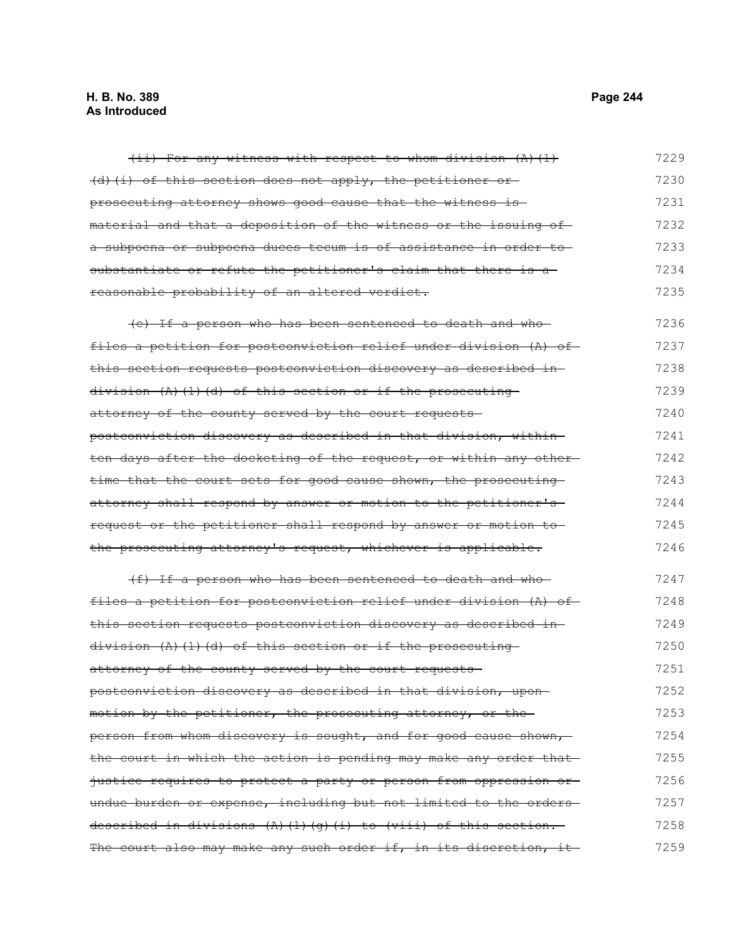#### **H. B. No. 389 Page 244 As Introduced**

(ii) For any witness with respect to whom division (A)(1) (d)(i) of this section does not apply, the petitioner or prosecuting attorney shows good cause that the witness is material and that a deposition of the witness or the issuing of a subpoena or subpoena duces tecum is of assistance in order to substantiate or refute the petitioner's claim that there is a reasonable probability of an altered verdict. (e) If a person who has been sentenced to death and who files a petition for postconviction relief under division (A) of this section requests postconviction discovery as described in division  $(A)$  (1)(d) of this section or if the prosecuting attorney of the county served by the court requests postconviction discovery as described in that division, within ten days after the docketing of the request, or within any other time that the court sets for good cause shown, the prosecuting attorney shall respond by answer or motion to the petitioner's request or the petitioner shall respond by answer or motion to the prosecuting attorney's request, whichever is applicable. (f) If a person who has been sentenced to death and who files a petition for postconviction relief under division (A) of this section requests postconviction discovery as described in division (A)(1)(d) of this section or if the prosecuting attorney of the county served by the court requests postconviction discovery as described in that division, upon motion by the petitioner, the prosecuting attorney, or the person from whom discovery is sought, and for good cause shown, the court in which the action is pending may make any order that justice requires to protect a party or person from oppression or undue burden or expense, including but not limited to the ordersdescribed in divisions (A)(1)(g)(i) to (viii) of this section. The court also may make any such order if, in its discretion, it 7229 7230 7231 7232 7233 7234 7235 7236 7237 7238 7239 7240 7241 7242 7243 7244 7245 7246 7247 7248 7249 7250 7251 7252 7253 7254 7255 7256 7257 7258 7259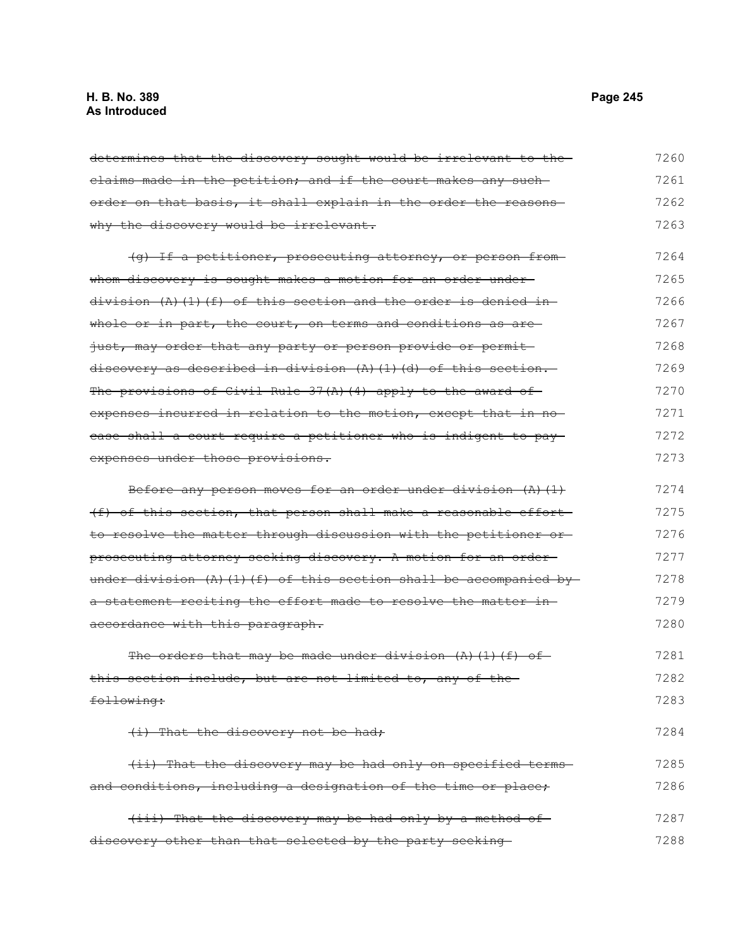determines that the discovery sought would be irrelevant to the claims made in the petition; and if the court makes any such order on that basis, it shall explain in the order the reasonswhy the discovery would be irrelevant. (g) If a petitioner, prosecuting attorney, or person from whom discovery is sought makes a motion for an order underdivision  $(A)$  (1)(f) of this section and the order is denied in whole or in part, the court, on terms and conditions as arejust, may order that any party or person provide or permit discovery as described in division (A)(1)(d) of this section. The provisions of Civil Rule  $37(A)$  (4) apply to the award of expenses incurred in relation to the motion, except that in nocase shall a court require a petitioner who is indigent to pay expenses under those provisions. Before any person moves for an order under division  $(A)$   $(1)$ (f) of this section, that person shall make a reasonable effort to resolve the matter through discussion with the petitioner or prosecuting attorney seeking discovery. A motion for an order under division  $(A)$  (1)(f) of this section shall be accompanied by a statement reciting the effort made to resolve the matter in accordance with this paragraph. The orders that may be made under division  $(A)$  (1)(f) ofthis section include, but are not limited to, any of thefollowing: (i) That the discovery not be had; (ii) That the discovery may be had only on specified terms and conditions, including a designation of the time or place, (iii) That the discovery may be had only by a method of discovery other than that selected by the party seeking 7260 7261 7262 7263 7264 7265 7266 7267 7268 7269 7270 7271 7272 7273 7274 7275 7276 7277 7278 7279 7280 7281 7282 7283 7284 7285 7286 7287 7288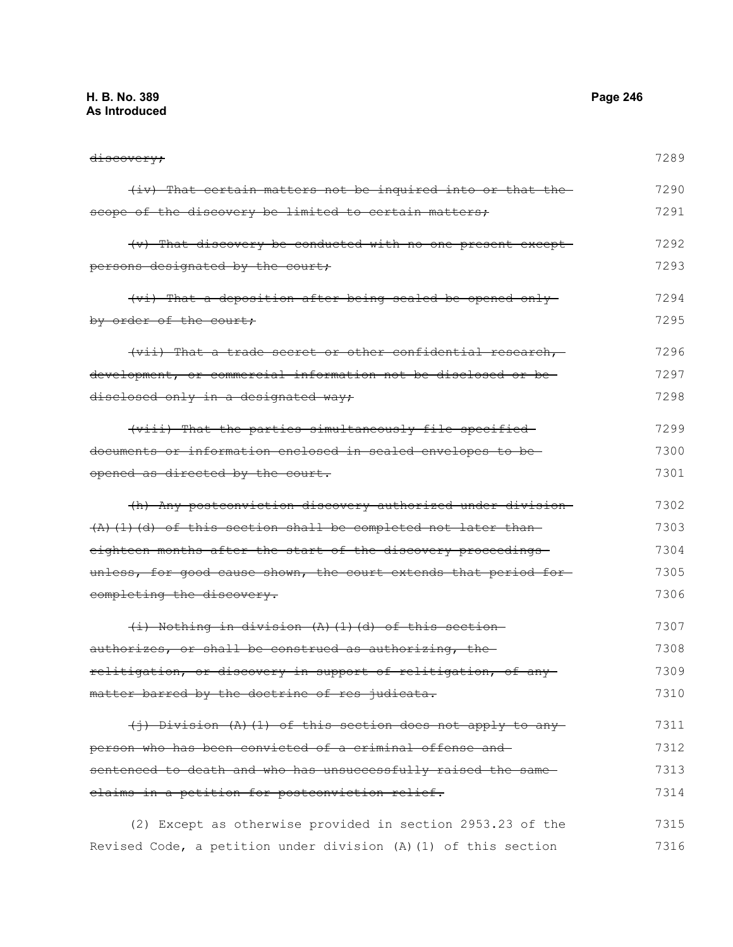| discovery;                                                       | 7289 |
|------------------------------------------------------------------|------|
| $(iv)$ That certain matters not be inquired into or that the     | 7290 |
| scope of the discovery be limited to certain matters,            | 7291 |
| (v) That discovery be conducted with no one present except-      | 7292 |
| persons designated by the court;                                 | 7293 |
| (vi) That a deposition after being sealed be opened only         | 7294 |
| by order of the court;                                           | 7295 |
| (vii) That a trade secret or other confidential research,        | 7296 |
| development, or commercial information not be disclosed or be-   | 7297 |
| disclosed only in a designated way;                              | 7298 |
| (viii) That the parties simultaneously file specified            | 7299 |
| documents or information enclosed in sealed envelopes to be-     | 7300 |
| opened as directed by the court.                                 | 7301 |
| (h) Any postconviction discovery authorized under division-      | 7302 |
| $(A)$ (1) (d) of this section shall be completed not later than  | 7303 |
| eighteen months after the start of the discovery proceedings-    | 7304 |
| unless, for good cause shown, the court extends that period for- | 7305 |
| completing the discovery.                                        | 7306 |
| (i) Nothing in division (A) (1) (d) of this section-             | 7307 |
| authorizes, or shall be construed as authorizing, the-           | 7308 |
| relitigation, or discovery in support of relitigation, of any    | 7309 |
| matter barred by the doctrine of res judicata.                   | 7310 |
| (j) Division (A) (1) of this section does not apply to any       | 7311 |
| person who has been convicted of a criminal offense and          | 7312 |
| sentenced to death and who has unsuccessfully raised the same-   | 7313 |
| claims in a petition for postconviction relief.                  | 7314 |
| (2) Except as otherwise provided in section 2953.23 of the       | 7315 |
| Revised Code, a petition under division (A) (1) of this section  | 7316 |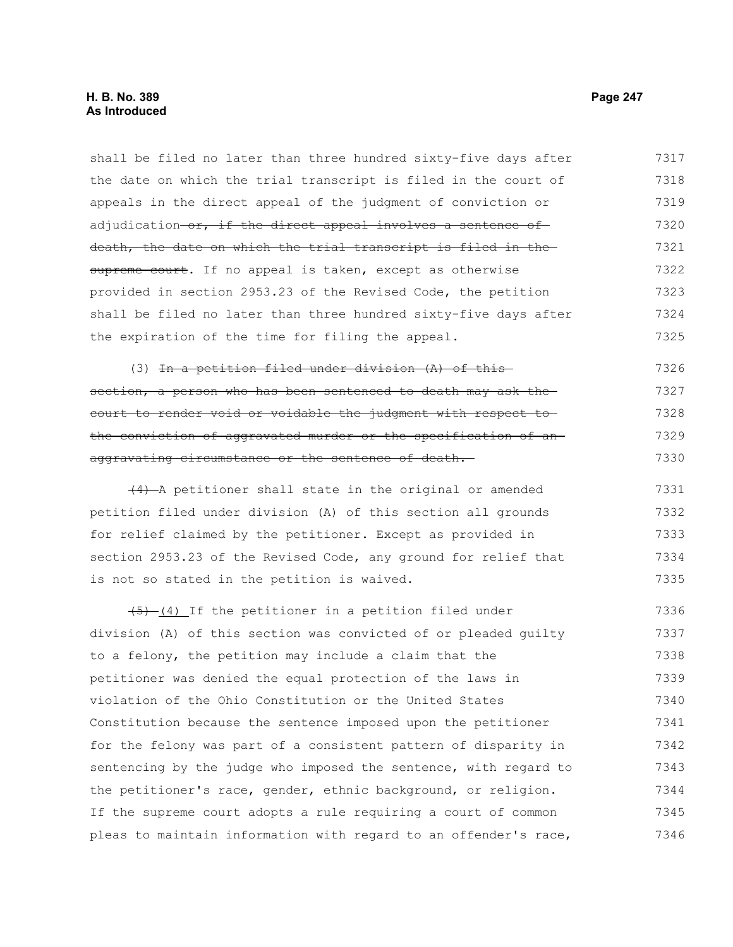shall be filed no later than three hundred sixty-five days after the date on which the trial transcript is filed in the court of appeals in the direct appeal of the judgment of conviction or adjudication-or, if the direct appeal involves a sentence of death, the date on which the trial transcript is filed in the supreme court. If no appeal is taken, except as otherwise provided in section 2953.23 of the Revised Code, the petition shall be filed no later than three hundred sixty-five days after the expiration of the time for filing the appeal. 7317 7318 7319 7320 7321 7322 7323 7324 7325

(3) In a petition filed under division (A) of this section, a person who has been sentenced to death may ask the court to render void or voidable the judgment with respect to the conviction of aggravated murder or the specification of an aggravating circumstance or the sentence of death. 7326 7327 7328 7329 7330

(4) A petitioner shall state in the original or amended petition filed under division (A) of this section all grounds for relief claimed by the petitioner. Except as provided in section 2953.23 of the Revised Code, any ground for relief that is not so stated in the petition is waived. 7331 7332 7333 7334 7335

 $(5)$   $(4)$  If the petitioner in a petition filed under division (A) of this section was convicted of or pleaded guilty to a felony, the petition may include a claim that the petitioner was denied the equal protection of the laws in violation of the Ohio Constitution or the United States Constitution because the sentence imposed upon the petitioner for the felony was part of a consistent pattern of disparity in sentencing by the judge who imposed the sentence, with regard to the petitioner's race, gender, ethnic background, or religion. If the supreme court adopts a rule requiring a court of common pleas to maintain information with regard to an offender's race, 7336 7337 7338 7339 7340 7341 7342 7343 7344 7345 7346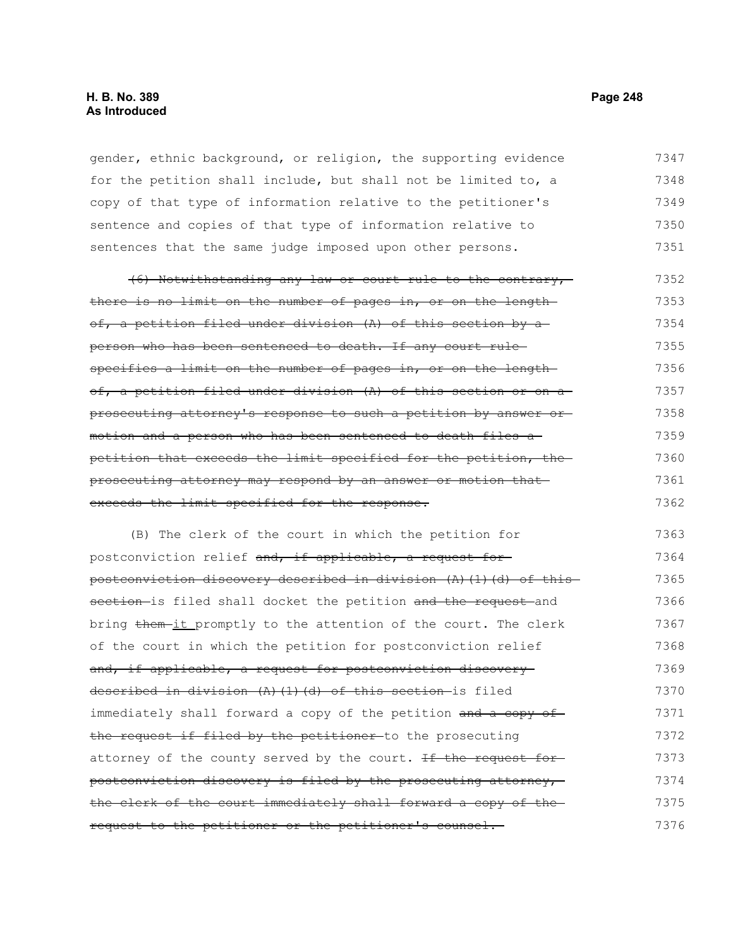gender, ethnic background, or religion, the supporting evidence for the petition shall include, but shall not be limited to, a copy of that type of information relative to the petitioner's sentence and copies of that type of information relative to sentences that the same judge imposed upon other persons. 7347 7348 7349 7350 7351

(6) Notwithstanding any law or court rule to the contrary, there is no limit on the number of pages in, or on the lengthof, a petition filed under division (A) of this section by a person who has been sentenced to death. If any court rule specifies a limit on the number of pages in, or on the length of, a petition filed under division (A) of this section or on a prosecuting attorney's response to such a petition by answer or motion and a person who has been sentenced to death files a petition that exceeds the limit specified for the petition, the prosecuting attorney may respond by an answer or motion that exceeds the limit specified for the response. 7352 7353 7354 7355 7356 7357 7358 7359 7360 7361 7362

(B) The clerk of the court in which the petition for postconviction relief and, if applicable, a request for postconviction discovery described in division (A)(1)(d) of this section is filed shall docket the petition and the request and bring them-it promptly to the attention of the court. The clerk of the court in which the petition for postconviction relief and, if applicable, a request for postconviction discovery described in division (A)(1)(d) of this section-is filed immediately shall forward a copy of the petition and a copy of the request if filed by the petitioner-to the prosecuting attorney of the county served by the court. If the request forpostconviction discovery is filed by the prosecuting attorney, the clerk of the court immediately shall forward a copy of the request to the petitioner or the petitioner's counsel. 7363 7364 7365 7366 7367 7368 7369 7370 7371 7372 7373 7374 7375 7376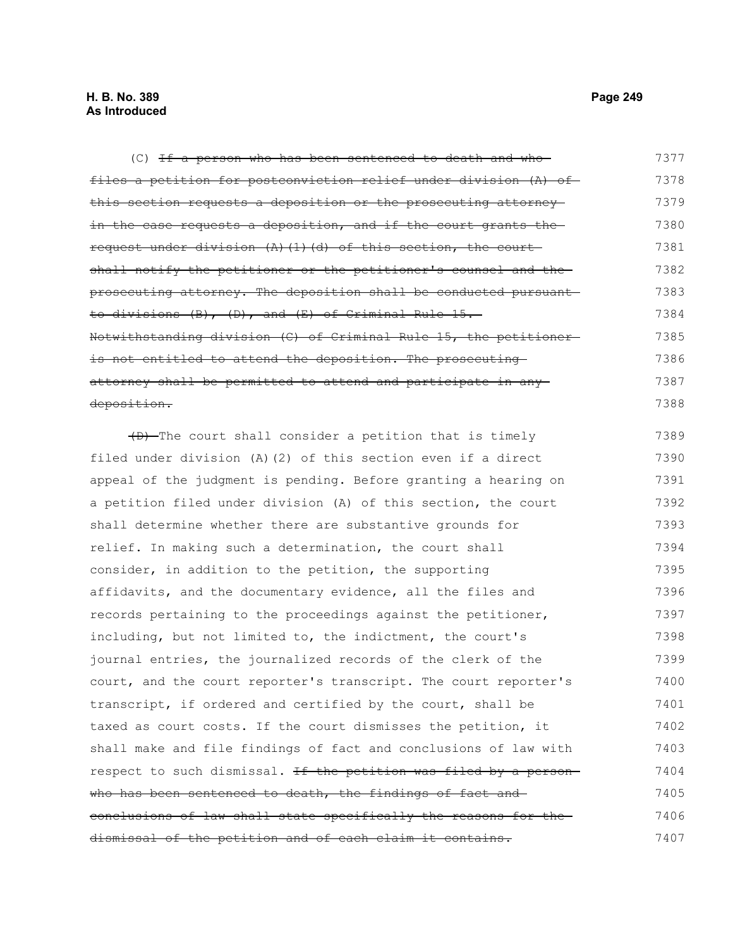## **H. B. No. 389 Page 249 As Introduced**

(C) If a person who has been sentenced to death and who files a petition for postconviction relief under division (A) of this section requests a deposition or the prosecuting attorney in the case requests a deposition, and if the court grants therequest under division  $(A)$  (1) (d) of this section, the courtshall notify the petitioner or the petitioner's counsel and theprosecuting attorney. The deposition shall be conducted pursuant to divisions (B), (D), and (E) of Criminal Rule 15. Notwithstanding division (C) of Criminal Rule 15, the petitioner is not entitled to attend the deposition. The prosecuting attorney shall be permitted to attend and participate in any deposition. 7377 7378 7379 7380 7381 7382 7383 7384 7385 7386 7387 7388

(D) The court shall consider a petition that is timely filed under division (A)(2) of this section even if a direct appeal of the judgment is pending. Before granting a hearing on a petition filed under division (A) of this section, the court shall determine whether there are substantive grounds for relief. In making such a determination, the court shall consider, in addition to the petition, the supporting affidavits, and the documentary evidence, all the files and records pertaining to the proceedings against the petitioner, including, but not limited to, the indictment, the court's journal entries, the journalized records of the clerk of the court, and the court reporter's transcript. The court reporter's transcript, if ordered and certified by the court, shall be taxed as court costs. If the court dismisses the petition, it shall make and file findings of fact and conclusions of law with respect to such dismissal. If the petition was filed by a personwho has been sentenced to death, the findings of fact and conclusions of law shall state specifically the reasons for the dismissal of the petition and of each claim it contains. 7389 7390 7391 7392 7393 7394 7395 7396 7397 7398 7399 7400 7401 7402 7403 7404 7405 7406 7407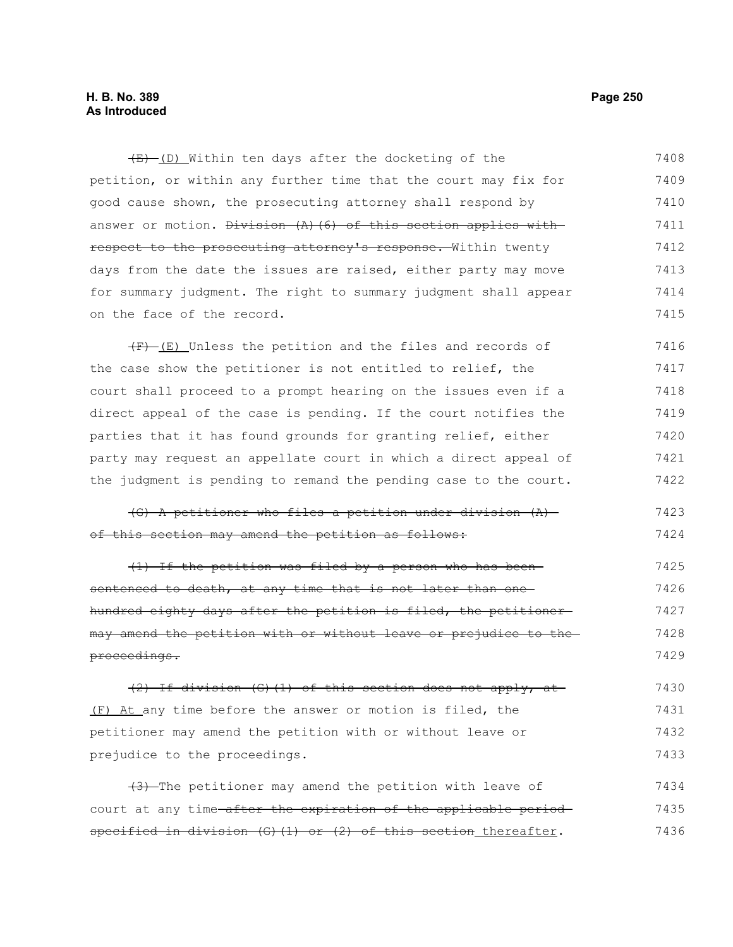$(E)$  (D) Within ten days after the docketing of the petition, or within any further time that the court may fix for good cause shown, the prosecuting attorney shall respond by answer or motion.  $~~Division~~$  (A)(6) of this section applies with-</del> respect to the prosecuting attorney's response. Within twenty days from the date the issues are raised, either party may move for summary judgment. The right to summary judgment shall appear on the face of the record. 7408 7409 7410 7411 7412 7413 7414 7415

 $(F)$  (E) Unless the petition and the files and records of the case show the petitioner is not entitled to relief, the court shall proceed to a prompt hearing on the issues even if a direct appeal of the case is pending. If the court notifies the parties that it has found grounds for granting relief, either party may request an appellate court in which a direct appeal of the judgment is pending to remand the pending case to the court. 7416 7417 7418 7419 7420 7421 7422

```
(G) A petitioner who files a petition under division (A)
of this section may amend the petition as follows:
                                                                          7423
                                                                          7424
```
(1) If the petition was filed by a person who has been sentenced to death, at any time that is not later than onehundred eighty days after the petition is filed, the petitioner may amend the petition with or without leave or prejudice to the proceedings. 7425 7426 7427 7428 7429

(2) If division (G)(1) of this section does not apply, at (F) At any time before the answer or motion is filed, the petitioner may amend the petition with or without leave or prejudice to the proceedings. 7430 7431 7432 7433

(3) The petitioner may amend the petition with leave of court at any time after the expiration of the applicable periodspecified in division  $(G)$  (1) or (2) of this section thereafter. 7434 7435 7436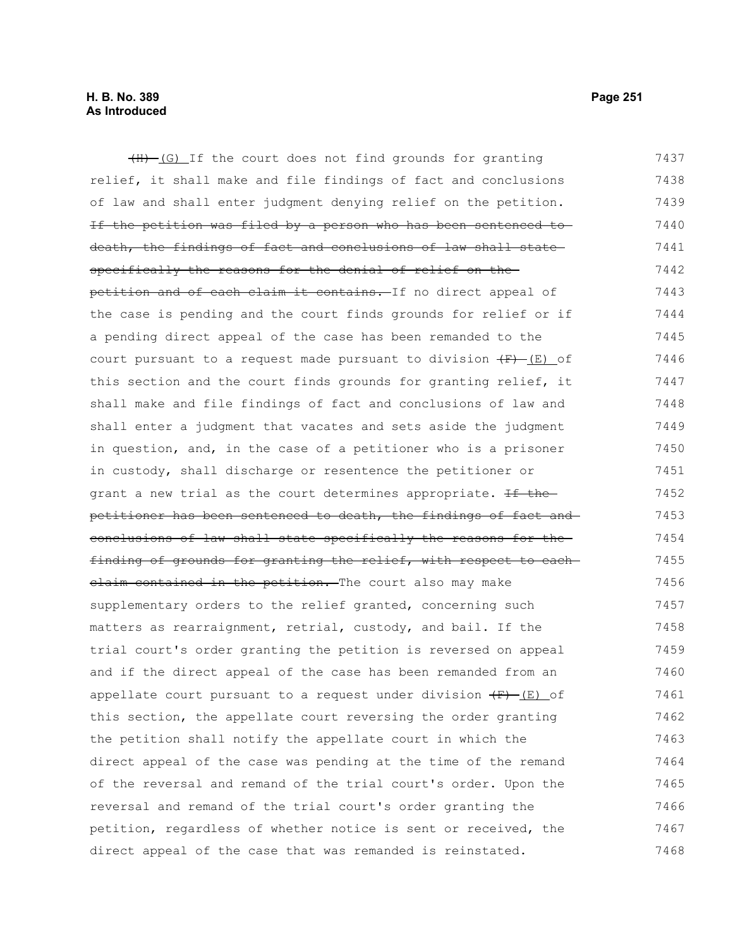## **H. B. No. 389 Page 251 As Introduced**

 $(H)$  (G) If the court does not find grounds for granting relief, it shall make and file findings of fact and conclusions of law and shall enter judgment denying relief on the petition. If the petition was filed by a person who has been sentenced to death, the findings of fact and conclusions of law shall state specifically the reasons for the denial of relief on the petition and of each claim it contains. If no direct appeal of the case is pending and the court finds grounds for relief or if a pending direct appeal of the case has been remanded to the court pursuant to a request made pursuant to division  $\overline{(F) - (E)}$  of this section and the court finds grounds for granting relief, it shall make and file findings of fact and conclusions of law and shall enter a judgment that vacates and sets aside the judgment in question, and, in the case of a petitioner who is a prisoner in custody, shall discharge or resentence the petitioner or grant a new trial as the court determines appropriate. If the petitioner has been sentenced to death, the findings of fact and conclusions of law shall state specifically the reasons for the finding of grounds for granting the relief, with respect to eachelaim contained in the petition. The court also may make supplementary orders to the relief granted, concerning such matters as rearraignment, retrial, custody, and bail. If the trial court's order granting the petition is reversed on appeal and if the direct appeal of the case has been remanded from an appellate court pursuant to a request under division  $(F)$  (E) of this section, the appellate court reversing the order granting the petition shall notify the appellate court in which the direct appeal of the case was pending at the time of the remand of the reversal and remand of the trial court's order. Upon the reversal and remand of the trial court's order granting the petition, regardless of whether notice is sent or received, the direct appeal of the case that was remanded is reinstated. 7437 7438 7439 7440 7441 7442 7443 7444 7445 7446 7447 7448 7449 7450 7451 7452 7453 7454 7455 7456 7457 7458 7459 7460 7461 7462 7463 7464 7465 7466 7467 7468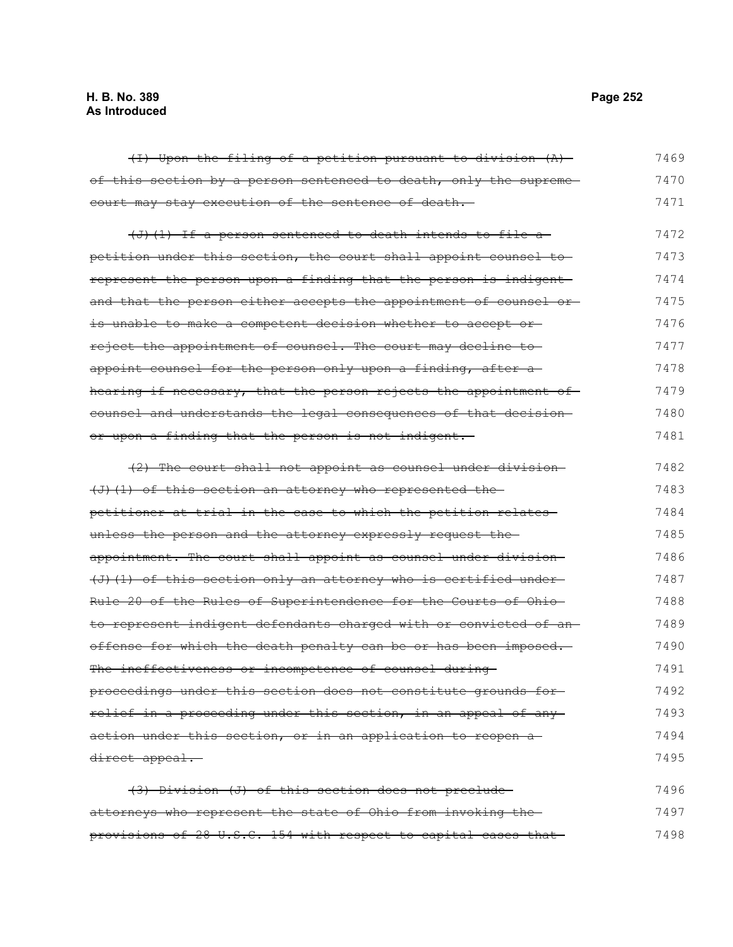| $(1)$ Upon the filing of a petition pursuant to division $(A)$    | 7469 |
|-------------------------------------------------------------------|------|
| of this section by a person sentenced to death, only the supreme  | 7470 |
| court may stay execution of the sentence of death.                | 7471 |
| $($ J) $(1)$ If a person sentenced to death intends to file a     | 7472 |
| petition under this section, the court shall appoint counsel to   | 7473 |
| represent the person upon a finding that the person is indigent-  | 7474 |
| and that the person either accepts the appointment of counsel or- | 7475 |
| is unable to make a competent decision whether to accept or       | 7476 |
| reject the appointment of counsel. The court may decline to-      | 7477 |
| appoint counsel for the person only upon a finding, after a       | 7478 |
| hearing if necessary, that the person rejects the appointment of  | 7479 |
| eounsel and understands the legal consequences of that decision-  | 7480 |
| or upon a finding that the person is not indigent.                | 7481 |
| (2) The court shall not appoint as counsel under division-        | 7482 |
| $($ J) $(1)$ of this section an attorney who represented the      | 7483 |
| petitioner at trial in the case to which the petition relates     | 7484 |
| unless the person and the attorney expressly request the-         | 7485 |
| appointment. The court shall appoint as counsel under division-   | 7486 |
| (J) (1) of this section only an attorney who is certified under-  | 7487 |
| Rule 20 of the Rules of Superintendence for the Courts of Ohio-   | 7488 |
| to represent indigent defendants charged with or convicted of an- | 7489 |
| offense for which the death penalty can be or has been imposed.   | 7490 |
| The ineffectiveness or incompetence of counsel during             | 7491 |
| proceedings under this section does not constitute grounds for-   | 7492 |
| relief in a proceeding under this section, in an appeal of any-   | 7493 |
| action under this section, or in an application to reopen a       | 7494 |
| direct appeal.                                                    | 7495 |
| (3) Division (J) of this section does not preclude-               | 7496 |
| attorneys who represent the state of Ohio from invoking the-      | 7497 |
| provisions of 28 U.S.C. 154 with respect to capital cases that-   | 7498 |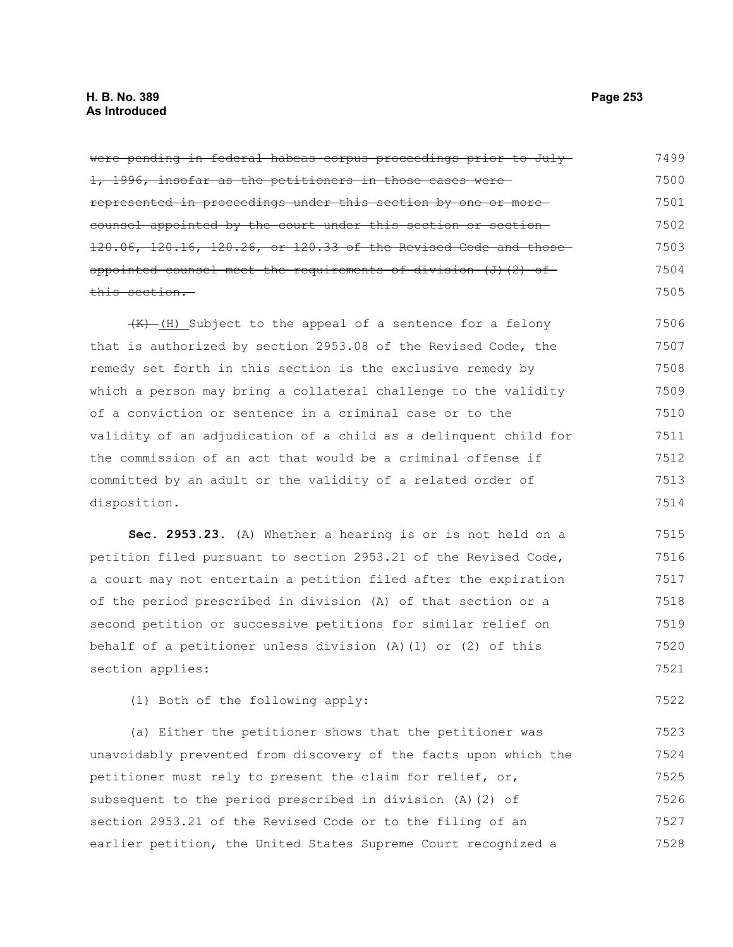were pending in federal habeas corpus proceedings prior to July 1, 1996, insofar as the petitioners in those cases were represented in proceedings under this section by one or more counsel appointed by the court under this section or section 120.06, 120.16, 120.26, or 120.33 of the Revised Code and those appointed counsel meet the requirements of division  $(J)$   $(2)$  of this section.  $\frac{f(K) - (H)}{H}$  Subject to the appeal of a sentence for a felony that is authorized by section 2953.08 of the Revised Code, the 7499 7500 7501 7502 7503 7504 7505 7506 7507

remedy set forth in this section is the exclusive remedy by which a person may bring a collateral challenge to the validity of a conviction or sentence in a criminal case or to the validity of an adjudication of a child as a delinquent child for the commission of an act that would be a criminal offense if committed by an adult or the validity of a related order of disposition. 7508 7509 7510 7511 7512 7513 7514

**Sec. 2953.23.** (A) Whether a hearing is or is not held on a petition filed pursuant to section 2953.21 of the Revised Code, a court may not entertain a petition filed after the expiration of the period prescribed in division (A) of that section or a second petition or successive petitions for similar relief on behalf of a petitioner unless division (A)(1) or (2) of this section applies: 7515 7516 7517 7518 7519 7520 7521

(1) Both of the following apply:

(a) Either the petitioner shows that the petitioner was unavoidably prevented from discovery of the facts upon which the petitioner must rely to present the claim for relief, or, subsequent to the period prescribed in division (A)(2) of section 2953.21 of the Revised Code or to the filing of an earlier petition, the United States Supreme Court recognized a 7523 7524 7525 7526 7527 7528

7522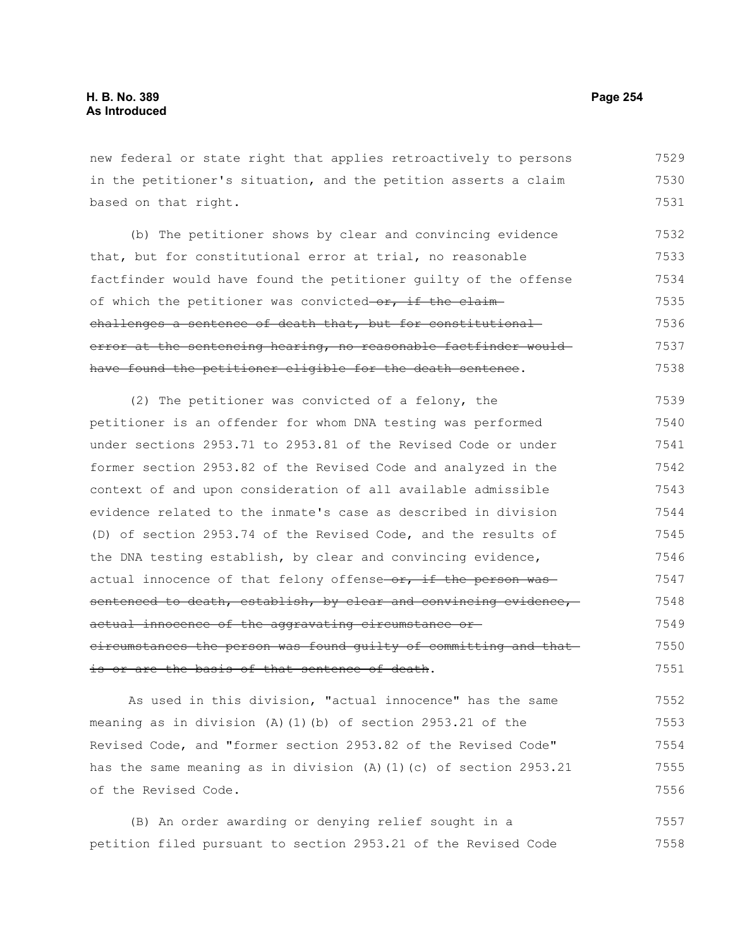new federal or state right that applies retroactively to persons in the petitioner's situation, and the petition asserts a claim based on that right. 7529 7530 7531

(b) The petitioner shows by clear and convincing evidence that, but for constitutional error at trial, no reasonable factfinder would have found the petitioner guilty of the offense of which the petitioner was convicted or, if the claimchallenges a sentence of death that, but for constitutional error at the sentencing hearing, no reasonable factfinder would have found the petitioner eligible for the death sentence. 7532 7533 7534 7535 7536 7537 7538

(2) The petitioner was convicted of a felony, the petitioner is an offender for whom DNA testing was performed under sections 2953.71 to 2953.81 of the Revised Code or under former section 2953.82 of the Revised Code and analyzed in the context of and upon consideration of all available admissible evidence related to the inmate's case as described in division (D) of section 2953.74 of the Revised Code, and the results of the DNA testing establish, by clear and convincing evidence, actual innocence of that felony offense-or, if the person wassentenced to death, establish, by clear and convincing evidence, actual innocence of the aggravating circumstance or circumstances the person was found guilty of committing and that is or are the basis of that sentence of death. 7539 7540 7541 7542 7543 7544 7545 7546 7547 7548 7549 7550 7551

As used in this division, "actual innocence" has the same meaning as in division (A)(1)(b) of section 2953.21 of the Revised Code, and "former section 2953.82 of the Revised Code" has the same meaning as in division (A)(1)(c) of section 2953.21 of the Revised Code. 7552 7553 7554 7555 7556

(B) An order awarding or denying relief sought in a petition filed pursuant to section 2953.21 of the Revised Code 7557 7558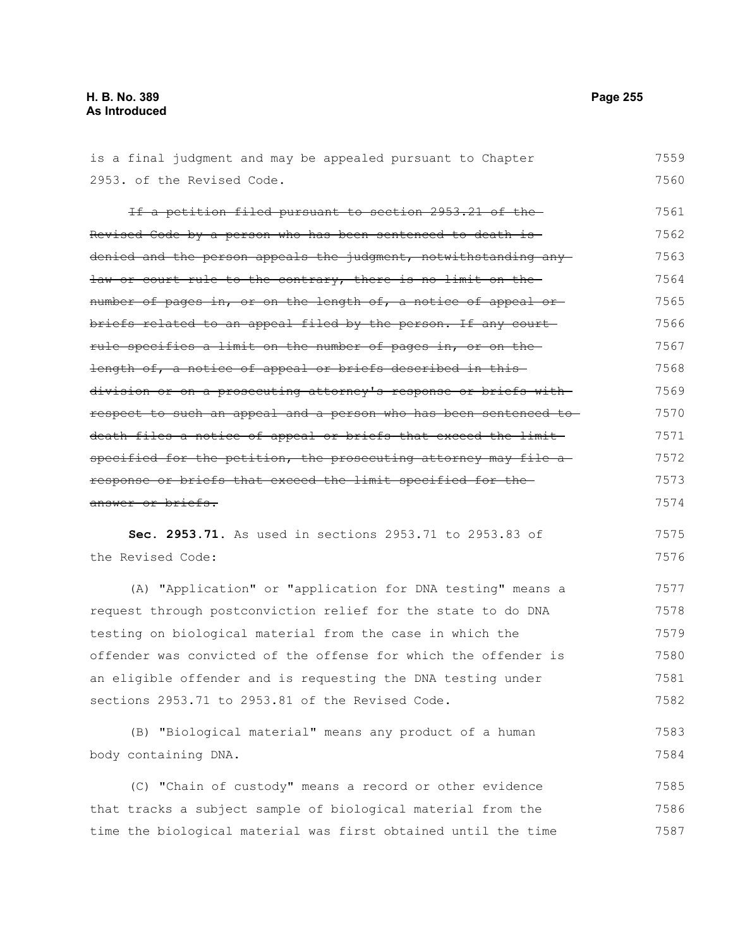| is a final judgment and may be appealed pursuant to Chapter      | 7559 |
|------------------------------------------------------------------|------|
| 2953. of the Revised Code.                                       | 7560 |
| If a petition filed pursuant to section 2953.21 of the-          | 7561 |
| Revised Code by a person who has been sentenced to death is      | 7562 |
| denied and the person appeals the judgment, notwithstanding any  | 7563 |
| law or court rule to the contrary, there is no limit on the      | 7564 |
| number of pages in, or on the length of, a notice of appeal or   | 7565 |
| briefs related to an appeal filed by the person. If any court    | 7566 |
| rule specifies a limit on the number of pages in, or on the      | 7567 |
| length of, a notice of appeal or briefs described in this-       | 7568 |
| division or on a prosecuting attorney's response or briefs with  | 7569 |
| respect to such an appeal and a person who has been sentenced to | 7570 |
| death files a notice of appeal or briefs that exceed the limit-  | 7571 |
| specified for the petition, the prosecuting attorney may file a  | 7572 |
| response or briefs that exceed the limit specified for the-      | 7573 |
| answer or briefs.                                                | 7574 |
| Sec. 2953.71. As used in sections 2953.71 to 2953.83 of          | 7575 |
| the Revised Code:                                                | 7576 |
| (A) "Application" or "application for DNA testing" means a       | 7577 |
| request through postconviction relief for the state to do DNA    | 7578 |
| testing on biological material from the case in which the        | 7579 |
| offender was convicted of the offense for which the offender is  | 7580 |
| an eligible offender and is requesting the DNA testing under     | 7581 |
| sections 2953.71 to 2953.81 of the Revised Code.                 | 7582 |
| (B) "Biological material" means any product of a human           | 7583 |
| body containing DNA.                                             | 7584 |
| (C) "Chain of custody" means a record or other evidence          | 7585 |
| that tracks a subject sample of biological material from the     | 7586 |
| time the biological material was first obtained until the time   | 7587 |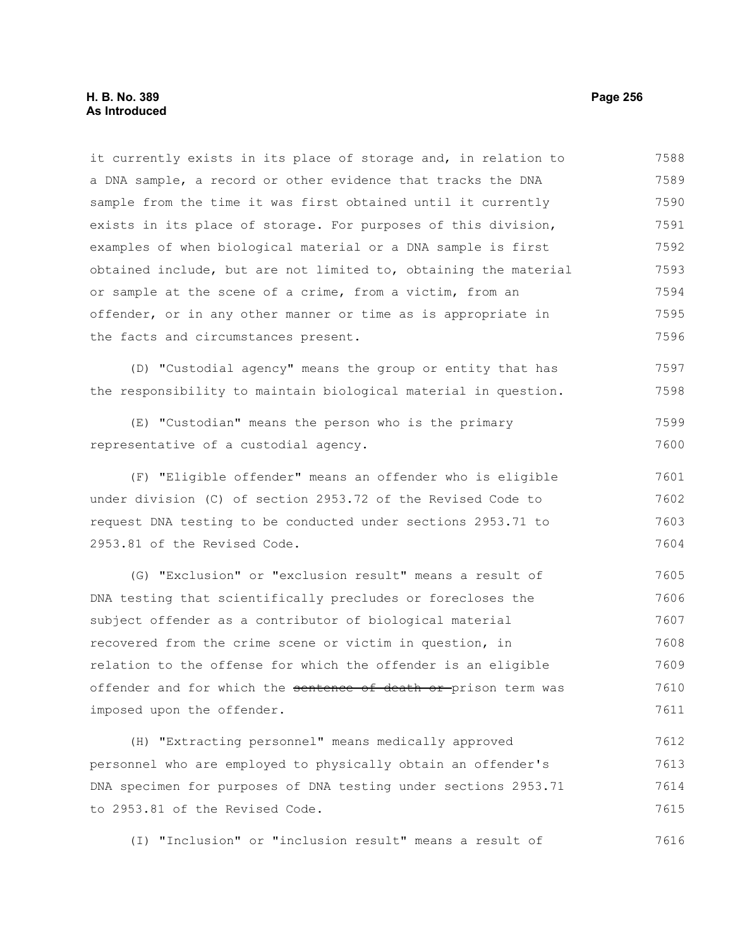# **H. B. No. 389 Page 256 As Introduced**

it currently exists in its place of storage and, in relation to a DNA sample, a record or other evidence that tracks the DNA sample from the time it was first obtained until it currently exists in its place of storage. For purposes of this division, examples of when biological material or a DNA sample is first obtained include, but are not limited to, obtaining the material or sample at the scene of a crime, from a victim, from an offender, or in any other manner or time as is appropriate in the facts and circumstances present. 7588 7589 7590 7591 7592 7593 7594 7595 7596

(D) "Custodial agency" means the group or entity that has the responsibility to maintain biological material in question. 7597 7598

(E) "Custodian" means the person who is the primary representative of a custodial agency. 7599 7600

(F) "Eligible offender" means an offender who is eligible under division (C) of section 2953.72 of the Revised Code to request DNA testing to be conducted under sections 2953.71 to 2953.81 of the Revised Code. 7601 7602 7603 7604

(G) "Exclusion" or "exclusion result" means a result of DNA testing that scientifically precludes or forecloses the subject offender as a contributor of biological material recovered from the crime scene or victim in question, in relation to the offense for which the offender is an eligible offender and for which the sentence of death or prison term was imposed upon the offender. 7605 7606 7607 7608 7609 7610 7611

(H) "Extracting personnel" means medically approved personnel who are employed to physically obtain an offender's DNA specimen for purposes of DNA testing under sections 2953.71 to 2953.81 of the Revised Code. 7612 7613 7614 7615

(I) "Inclusion" or "inclusion result" means a result of 7616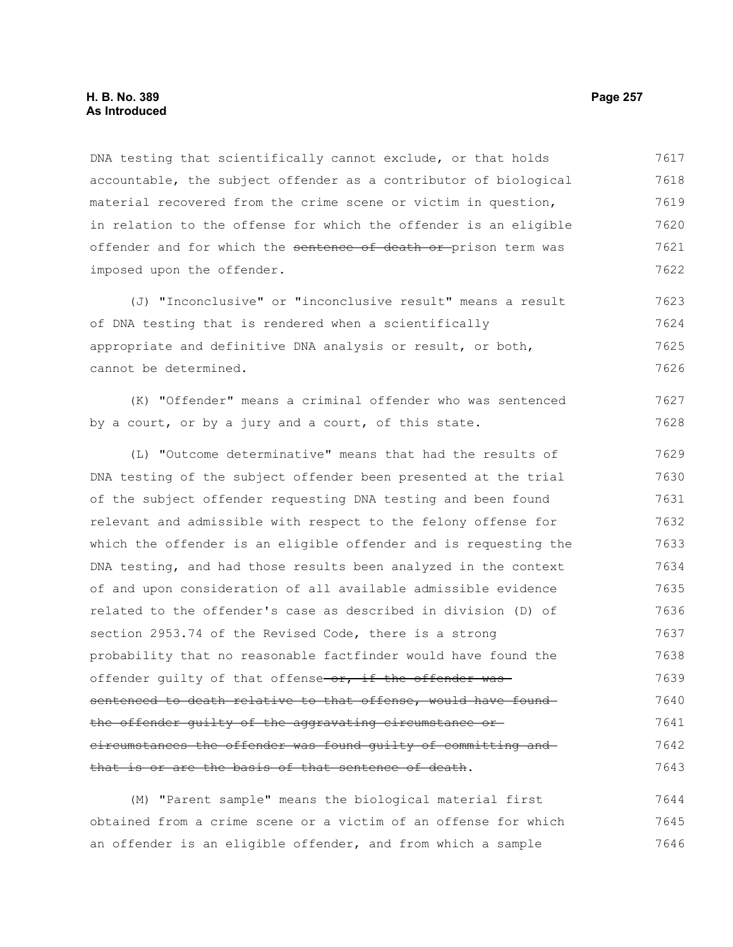DNA testing that scientifically cannot exclude, or that holds accountable, the subject offender as a contributor of biological material recovered from the crime scene or victim in question, in relation to the offense for which the offender is an eligible offender and for which the sentence of death or prison term was imposed upon the offender. 7617 7618 7619 7620 7621 7622

(J) "Inconclusive" or "inconclusive result" means a result of DNA testing that is rendered when a scientifically appropriate and definitive DNA analysis or result, or both, cannot be determined. 7623 7624 7625 7626

(K) "Offender" means a criminal offender who was sentenced by a court, or by a jury and a court, of this state. 7627 7628

(L) "Outcome determinative" means that had the results of DNA testing of the subject offender been presented at the trial of the subject offender requesting DNA testing and been found relevant and admissible with respect to the felony offense for which the offender is an eligible offender and is requesting the DNA testing, and had those results been analyzed in the context of and upon consideration of all available admissible evidence related to the offender's case as described in division (D) of section 2953.74 of the Revised Code, there is a strong probability that no reasonable factfinder would have found the offender quilty of that offense or, if the offender was sentenced to death relative to that offense, would have foundthe offender guilty of the aggravating circumstance or circumstances the offender was found guilty of committing and that is or are the basis of that sentence of death. 7629 7630 7631 7632 7633 7634 7635 7636 7637 7638 7639 7640 7641 7642 7643

(M) "Parent sample" means the biological material first obtained from a crime scene or a victim of an offense for which an offender is an eligible offender, and from which a sample 7644 7645 7646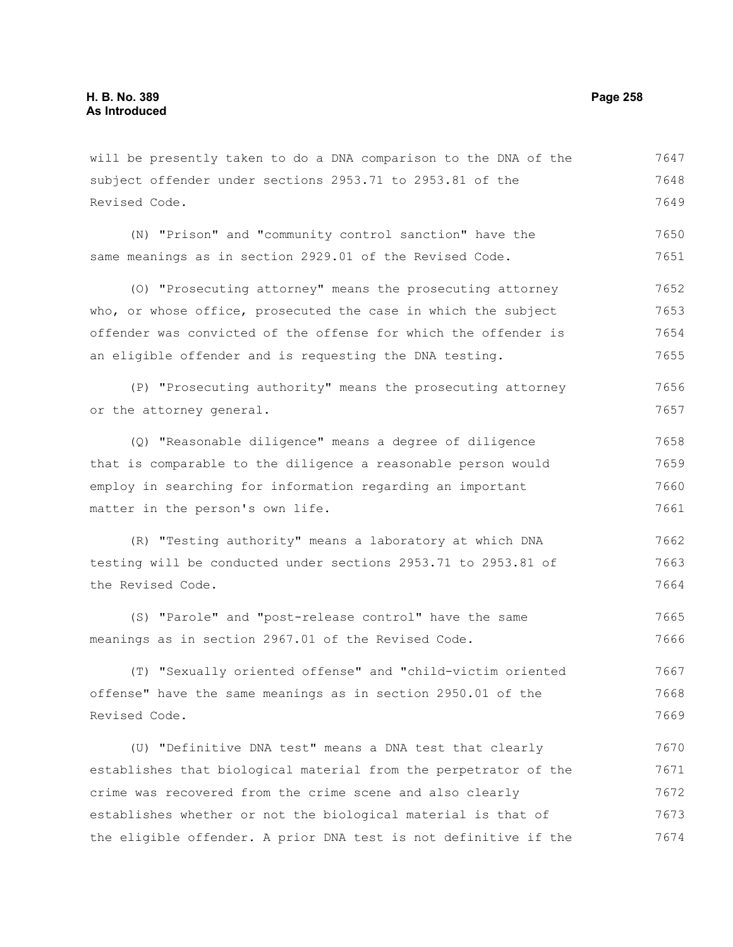| will be presently taken to do a DNA comparison to the DNA of the | 7647 |
|------------------------------------------------------------------|------|
| subject offender under sections 2953.71 to 2953.81 of the        | 7648 |
| Revised Code.                                                    | 7649 |
| (N) "Prison" and "community control sanction" have the           | 7650 |
| same meanings as in section 2929.01 of the Revised Code.         | 7651 |
| (O) "Prosecuting attorney" means the prosecuting attorney        | 7652 |
| who, or whose office, prosecuted the case in which the subject   | 7653 |
| offender was convicted of the offense for which the offender is  | 7654 |
| an eligible offender and is requesting the DNA testing.          | 7655 |
| (P) "Prosecuting authority" means the prosecuting attorney       | 7656 |
| or the attorney general.                                         | 7657 |
| (Q) "Reasonable diligence" means a degree of diligence           | 7658 |
| that is comparable to the diligence a reasonable person would    | 7659 |
| employ in searching for information regarding an important       | 7660 |
| matter in the person's own life.                                 | 7661 |
| (R) "Testing authority" means a laboratory at which DNA          | 7662 |
| testing will be conducted under sections 2953.71 to 2953.81 of   | 7663 |
| the Revised Code.                                                | 7664 |
| (S) "Parole" and "post-release control" have the same            | 7665 |
| meanings as in section 2967.01 of the Revised Code.              | 7666 |
| (T) "Sexually oriented offense" and "child-victim oriented       | 7667 |
| offense" have the same meanings as in section 2950.01 of the     | 7668 |
| Revised Code.                                                    | 7669 |
| (U) "Definitive DNA test" means a DNA test that clearly          | 7670 |
| establishes that biological material from the perpetrator of the | 7671 |
| crime was recovered from the crime scene and also clearly        | 7672 |
| establishes whether or not the biological material is that of    | 7673 |
| the eligible offender. A prior DNA test is not definitive if the | 7674 |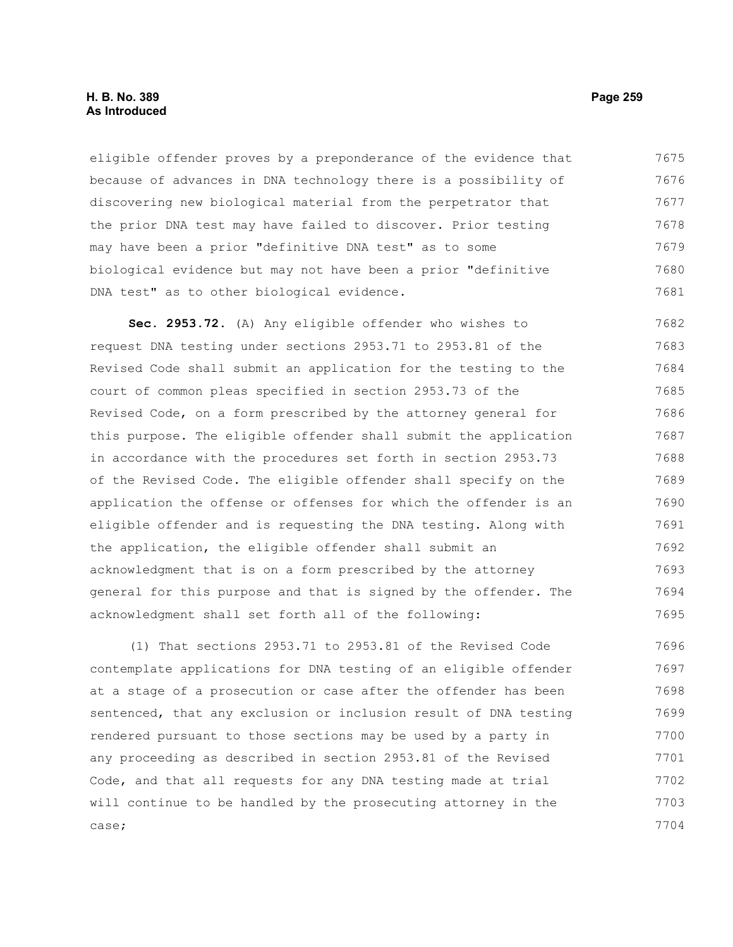## **H. B. No. 389 Page 259 As Introduced**

eligible offender proves by a preponderance of the evidence that because of advances in DNA technology there is a possibility of discovering new biological material from the perpetrator that the prior DNA test may have failed to discover. Prior testing may have been a prior "definitive DNA test" as to some biological evidence but may not have been a prior "definitive DNA test" as to other biological evidence. 7675 7676 7677 7678 7679 7680 7681

**Sec. 2953.72.** (A) Any eligible offender who wishes to request DNA testing under sections 2953.71 to 2953.81 of the Revised Code shall submit an application for the testing to the court of common pleas specified in section 2953.73 of the Revised Code, on a form prescribed by the attorney general for this purpose. The eligible offender shall submit the application in accordance with the procedures set forth in section 2953.73 of the Revised Code. The eligible offender shall specify on the application the offense or offenses for which the offender is an eligible offender and is requesting the DNA testing. Along with the application, the eligible offender shall submit an acknowledgment that is on a form prescribed by the attorney general for this purpose and that is signed by the offender. The acknowledgment shall set forth all of the following: 7682 7683 7684 7685 7686 7687 7688 7689 7690 7691 7692 7693 7694 7695

(1) That sections 2953.71 to 2953.81 of the Revised Code contemplate applications for DNA testing of an eligible offender at a stage of a prosecution or case after the offender has been sentenced, that any exclusion or inclusion result of DNA testing rendered pursuant to those sections may be used by a party in any proceeding as described in section 2953.81 of the Revised Code, and that all requests for any DNA testing made at trial will continue to be handled by the prosecuting attorney in the case; 7696 7697 7698 7699 7700 7701 7702 7703 7704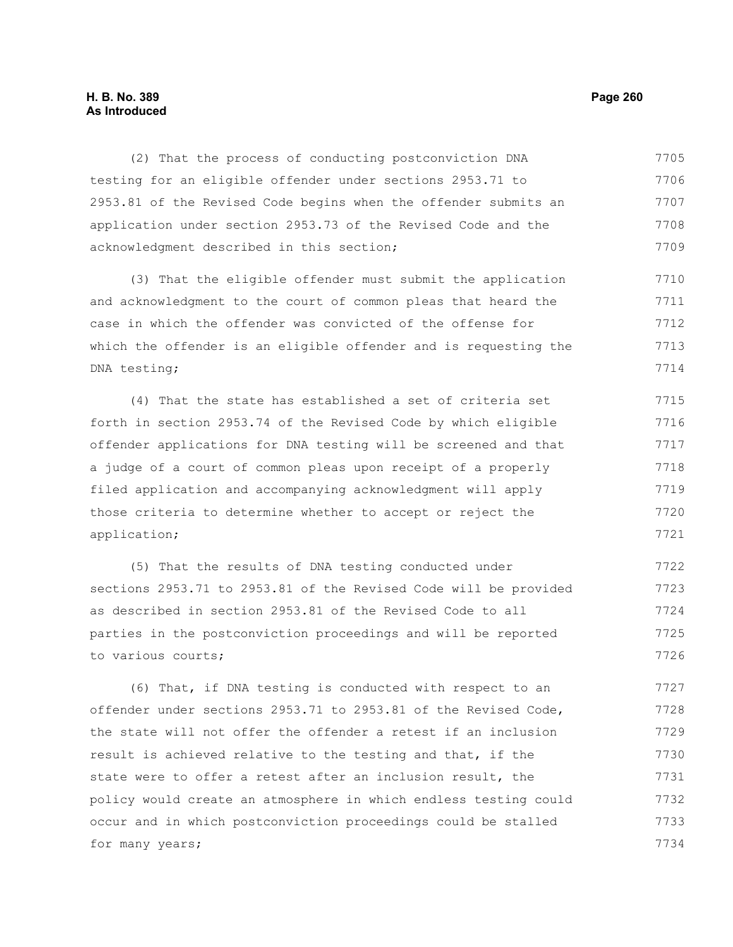# **H. B. No. 389 Page 260 As Introduced**

(2) That the process of conducting postconviction DNA testing for an eligible offender under sections 2953.71 to 2953.81 of the Revised Code begins when the offender submits an application under section 2953.73 of the Revised Code and the acknowledgment described in this section; 7705 7706 7707 7708 7709

(3) That the eligible offender must submit the application and acknowledgment to the court of common pleas that heard the case in which the offender was convicted of the offense for which the offender is an eligible offender and is requesting the DNA testing; 7710 7711 7712 7713 7714

(4) That the state has established a set of criteria set forth in section 2953.74 of the Revised Code by which eligible offender applications for DNA testing will be screened and that a judge of a court of common pleas upon receipt of a properly filed application and accompanying acknowledgment will apply those criteria to determine whether to accept or reject the application; 7715 7716 7717 7718 7719 7720 7721

(5) That the results of DNA testing conducted under sections 2953.71 to 2953.81 of the Revised Code will be provided as described in section 2953.81 of the Revised Code to all parties in the postconviction proceedings and will be reported to various courts; 7722 7723 7724 7725 7726

(6) That, if DNA testing is conducted with respect to an offender under sections 2953.71 to 2953.81 of the Revised Code, the state will not offer the offender a retest if an inclusion result is achieved relative to the testing and that, if the state were to offer a retest after an inclusion result, the policy would create an atmosphere in which endless testing could occur and in which postconviction proceedings could be stalled for many years; 7727 7728 7729 7730 7731 7732 7733 7734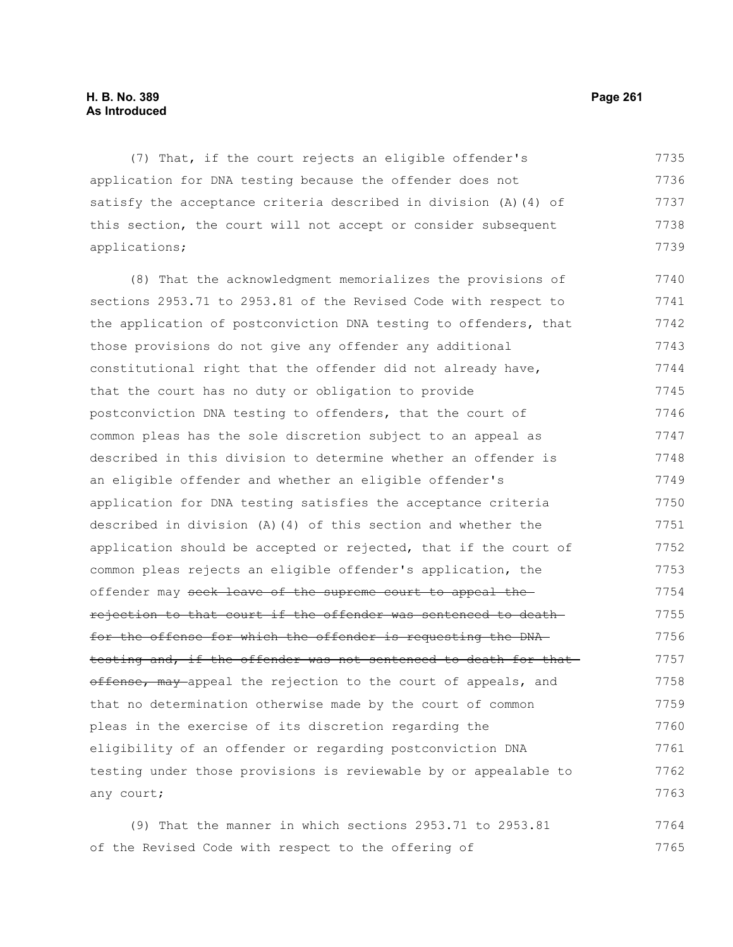(7) That, if the court rejects an eligible offender's application for DNA testing because the offender does not satisfy the acceptance criteria described in division (A)(4) of this section, the court will not accept or consider subsequent applications; 7735 7736 7737 7738 7739

(8) That the acknowledgment memorializes the provisions of sections 2953.71 to 2953.81 of the Revised Code with respect to the application of postconviction DNA testing to offenders, that those provisions do not give any offender any additional constitutional right that the offender did not already have, that the court has no duty or obligation to provide postconviction DNA testing to offenders, that the court of common pleas has the sole discretion subject to an appeal as described in this division to determine whether an offender is an eligible offender and whether an eligible offender's application for DNA testing satisfies the acceptance criteria described in division (A)(4) of this section and whether the application should be accepted or rejected, that if the court of common pleas rejects an eligible offender's application, the offender may seek leave of the supreme court to appeal therejection to that court if the offender was sentenced to deathfor the offense for which the offender is requesting the DNA testing and, if the offender was not sentenced to death for thatoffense, may appeal the rejection to the court of appeals, and that no determination otherwise made by the court of common pleas in the exercise of its discretion regarding the eligibility of an offender or regarding postconviction DNA testing under those provisions is reviewable by or appealable to any court; 7740 7741 7742 7743 7744 7745 7746 7747 7748 7749 7750 7751 7752 7753 7754 7755 7756 7757 7758 7759 7760 7761 7762 7763

(9) That the manner in which sections 2953.71 to 2953.81 of the Revised Code with respect to the offering of 7764 7765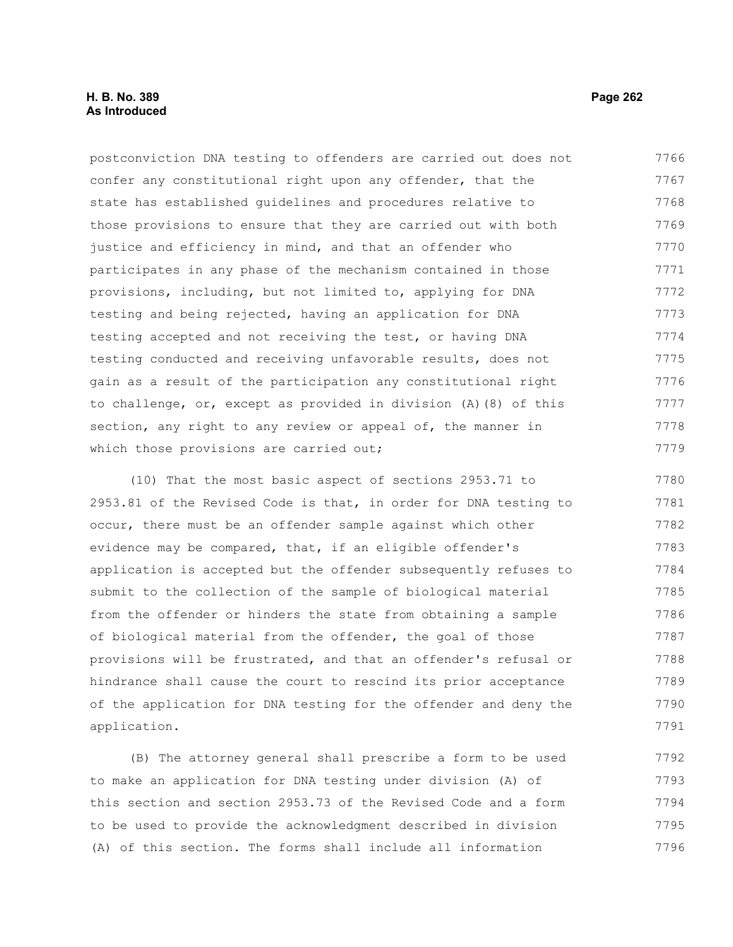postconviction DNA testing to offenders are carried out does not confer any constitutional right upon any offender, that the state has established guidelines and procedures relative to those provisions to ensure that they are carried out with both justice and efficiency in mind, and that an offender who participates in any phase of the mechanism contained in those provisions, including, but not limited to, applying for DNA testing and being rejected, having an application for DNA testing accepted and not receiving the test, or having DNA testing conducted and receiving unfavorable results, does not gain as a result of the participation any constitutional right to challenge, or, except as provided in division (A)(8) of this section, any right to any review or appeal of, the manner in which those provisions are carried out; 7766 7767 7768 7769 7770 7771 7772 7773 7774 7775 7776 7777 7778 7779

(10) That the most basic aspect of sections 2953.71 to 2953.81 of the Revised Code is that, in order for DNA testing to occur, there must be an offender sample against which other evidence may be compared, that, if an eligible offender's application is accepted but the offender subsequently refuses to submit to the collection of the sample of biological material from the offender or hinders the state from obtaining a sample of biological material from the offender, the goal of those provisions will be frustrated, and that an offender's refusal or hindrance shall cause the court to rescind its prior acceptance of the application for DNA testing for the offender and deny the application. 7780 7781 7782 7783 7784 7785 7786 7787 7788 7789 7790 7791

(B) The attorney general shall prescribe a form to be used to make an application for DNA testing under division (A) of this section and section 2953.73 of the Revised Code and a form to be used to provide the acknowledgment described in division (A) of this section. The forms shall include all information 7792 7793 7794 7795 7796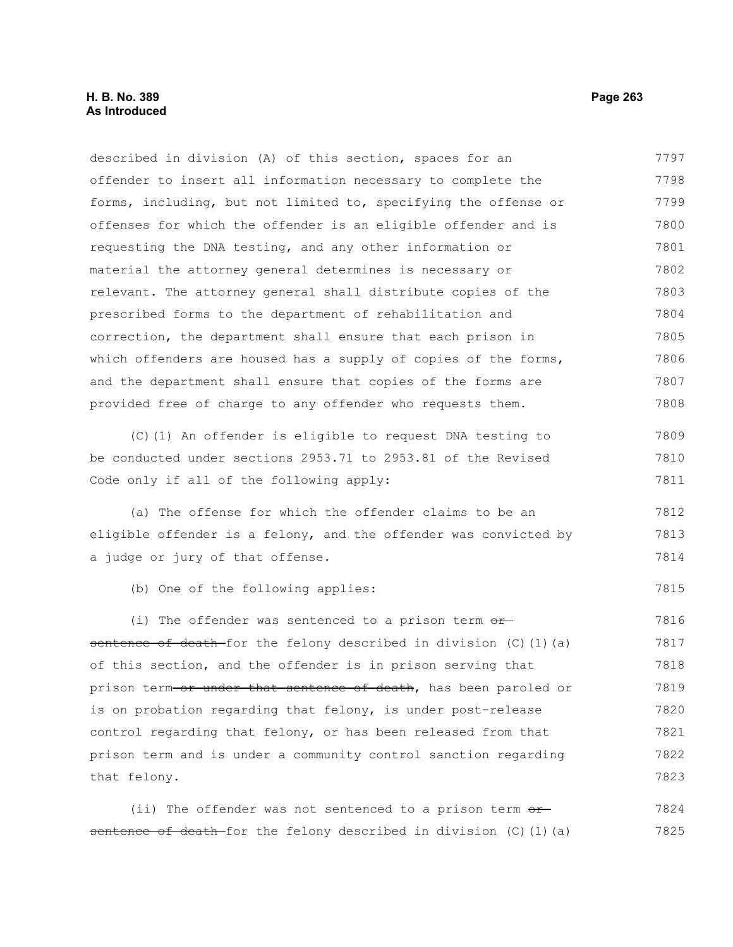described in division (A) of this section, spaces for an offender to insert all information necessary to complete the forms, including, but not limited to, specifying the offense or offenses for which the offender is an eligible offender and is requesting the DNA testing, and any other information or material the attorney general determines is necessary or relevant. The attorney general shall distribute copies of the prescribed forms to the department of rehabilitation and correction, the department shall ensure that each prison in which offenders are housed has a supply of copies of the forms, and the department shall ensure that copies of the forms are provided free of charge to any offender who requests them. (C)(1) An offender is eligible to request DNA testing to be conducted under sections 2953.71 to 2953.81 of the Revised Code only if all of the following apply: (a) The offense for which the offender claims to be an eligible offender is a felony, and the offender was convicted by a judge or jury of that offense. (b) One of the following applies: (i) The offender was sentenced to a prison term  $\theta$ rsentence of death for the felony described in division (C)(1)(a) of this section, and the offender is in prison serving that prison term-or under that sentence of death, has been paroled or is on probation regarding that felony, is under post-release control regarding that felony, or has been released from that prison term and is under a community control sanction regarding that felony. 7797 7798 7799 7800 7801 7802 7803 7804 7805 7806 7807 7808 7809 7810 7811 7812 7813 7814 7815 7816 7817 7818 7819 7820 7821 7822 7823

(ii) The offender was not sentenced to a prison term  $er$ sentence of death for the felony described in division (C)(1)(a) 7824 7825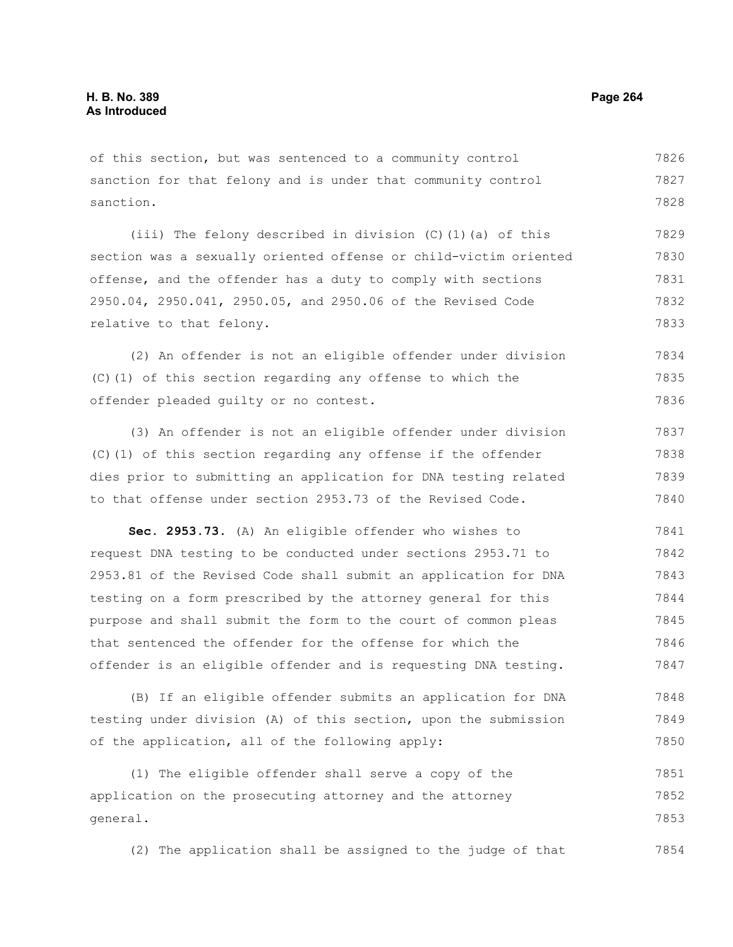| of this section, but was sentenced to a community control        | 7826 |
|------------------------------------------------------------------|------|
| sanction for that felony and is under that community control     | 7827 |
| sanction.                                                        | 7828 |
| (iii) The felony described in division (C)(1)(a) of this         | 7829 |
| section was a sexually oriented offense or child-victim oriented | 7830 |
| offense, and the offender has a duty to comply with sections     | 7831 |
| 2950.04, 2950.041, 2950.05, and 2950.06 of the Revised Code      | 7832 |
| relative to that felony.                                         | 7833 |
| (2) An offender is not an eligible offender under division       | 7834 |
| (C)(1) of this section regarding any offense to which the        | 7835 |
| offender pleaded guilty or no contest.                           | 7836 |
| (3) An offender is not an eligible offender under division       | 7837 |
| (C)(1) of this section regarding any offense if the offender     | 7838 |
| dies prior to submitting an application for DNA testing related  | 7839 |
| to that offense under section 2953.73 of the Revised Code.       | 7840 |
| Sec. 2953.73. (A) An eligible offender who wishes to             | 7841 |
| request DNA testing to be conducted under sections 2953.71 to    | 7842 |
| 2953.81 of the Revised Code shall submit an application for DNA  | 7843 |
| testing on a form prescribed by the attorney general for this    | 7844 |
| purpose and shall submit the form to the court of common pleas   | 7845 |
| that sentenced the offender for the offense for which the        | 7846 |
| offender is an eligible offender and is requesting DNA testing.  | 7847 |
| (B) If an eligible offender submits an application for DNA       | 7848 |
| testing under division (A) of this section, upon the submission  | 7849 |
| of the application, all of the following apply:                  | 7850 |
| (1) The eligible offender shall serve a copy of the              | 7851 |
| application on the prosecuting attorney and the attorney         | 7852 |
| general.                                                         | 7853 |
| (2) The application shall be assigned to the judge of that       | 7854 |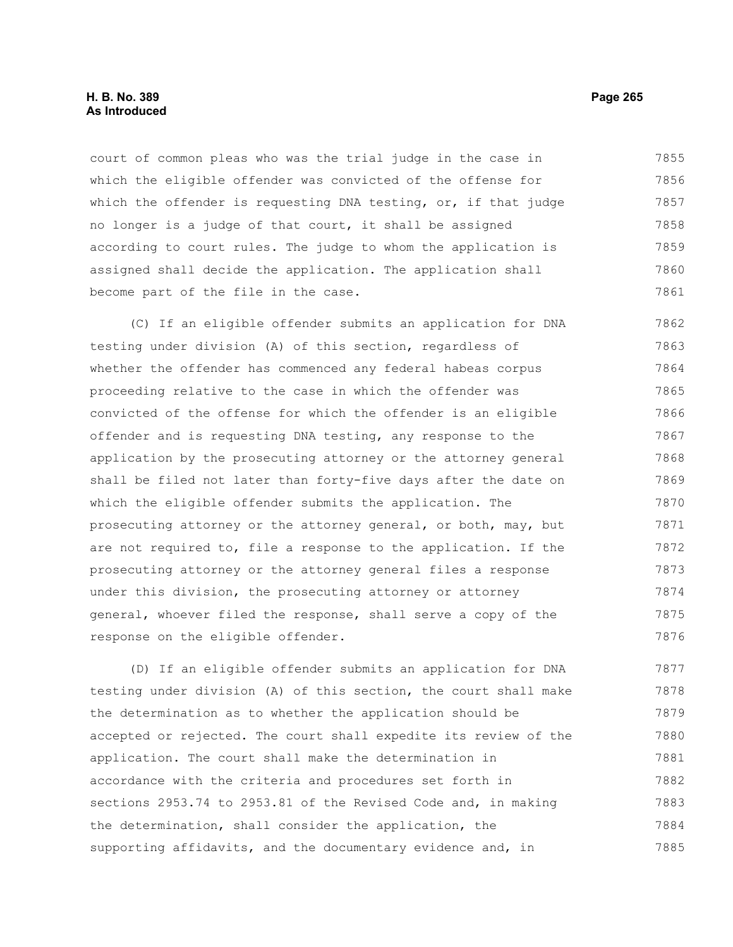### **H. B. No. 389 Page 265 As Introduced**

court of common pleas who was the trial judge in the case in which the eligible offender was convicted of the offense for which the offender is requesting DNA testing, or, if that judge no longer is a judge of that court, it shall be assigned according to court rules. The judge to whom the application is assigned shall decide the application. The application shall become part of the file in the case. 7855 7856 7857 7858 7859 7860 7861

(C) If an eligible offender submits an application for DNA testing under division (A) of this section, regardless of whether the offender has commenced any federal habeas corpus proceeding relative to the case in which the offender was convicted of the offense for which the offender is an eligible offender and is requesting DNA testing, any response to the application by the prosecuting attorney or the attorney general shall be filed not later than forty-five days after the date on which the eligible offender submits the application. The prosecuting attorney or the attorney general, or both, may, but are not required to, file a response to the application. If the prosecuting attorney or the attorney general files a response under this division, the prosecuting attorney or attorney general, whoever filed the response, shall serve a copy of the response on the eligible offender. 7862 7863 7864 7865 7866 7867 7868 7869 7870 7871 7872 7873 7874 7875 7876

(D) If an eligible offender submits an application for DNA testing under division (A) of this section, the court shall make the determination as to whether the application should be accepted or rejected. The court shall expedite its review of the application. The court shall make the determination in accordance with the criteria and procedures set forth in sections 2953.74 to 2953.81 of the Revised Code and, in making the determination, shall consider the application, the supporting affidavits, and the documentary evidence and, in 7877 7878 7879 7880 7881 7882 7883 7884 7885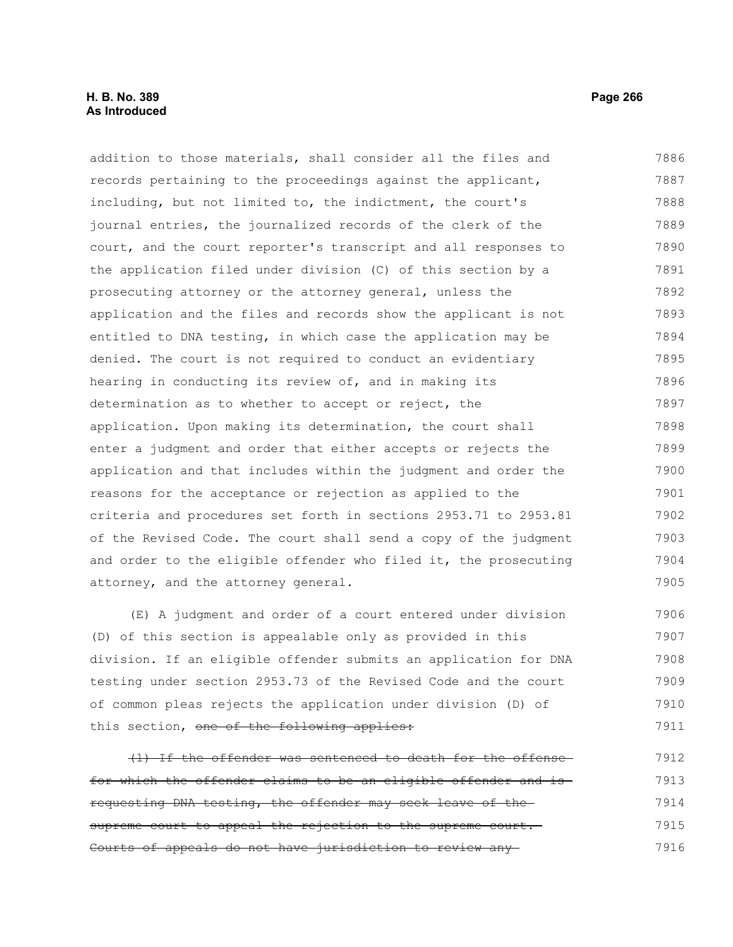# **H. B. No. 389 Page 266 As Introduced**

addition to those materials, shall consider all the files and records pertaining to the proceedings against the applicant, including, but not limited to, the indictment, the court's journal entries, the journalized records of the clerk of the court, and the court reporter's transcript and all responses to the application filed under division (C) of this section by a prosecuting attorney or the attorney general, unless the application and the files and records show the applicant is not entitled to DNA testing, in which case the application may be denied. The court is not required to conduct an evidentiary hearing in conducting its review of, and in making its determination as to whether to accept or reject, the application. Upon making its determination, the court shall enter a judgment and order that either accepts or rejects the application and that includes within the judgment and order the reasons for the acceptance or rejection as applied to the criteria and procedures set forth in sections 2953.71 to 2953.81 of the Revised Code. The court shall send a copy of the judgment and order to the eligible offender who filed it, the prosecuting attorney, and the attorney general. 7886 7887 7888 7889 7890 7891 7892 7893 7894 7895 7896 7897 7898 7899 7900 7901 7902 7903 7904 7905

(E) A judgment and order of a court entered under division (D) of this section is appealable only as provided in this division. If an eligible offender submits an application for DNA testing under section 2953.73 of the Revised Code and the court of common pleas rejects the application under division (D) of this section, one of the following applies: 7906 7907 7908 7909 7910 7911

(1) If the offender was sentenced to death for the offense for which the offender claims to be an eligible offender and is requesting DNA testing, the offender may seek leave of the supreme court to appeal the rejection to the supreme court. Courts of appeals do not have jurisdiction to review any 7912 7913 7914 7915 7916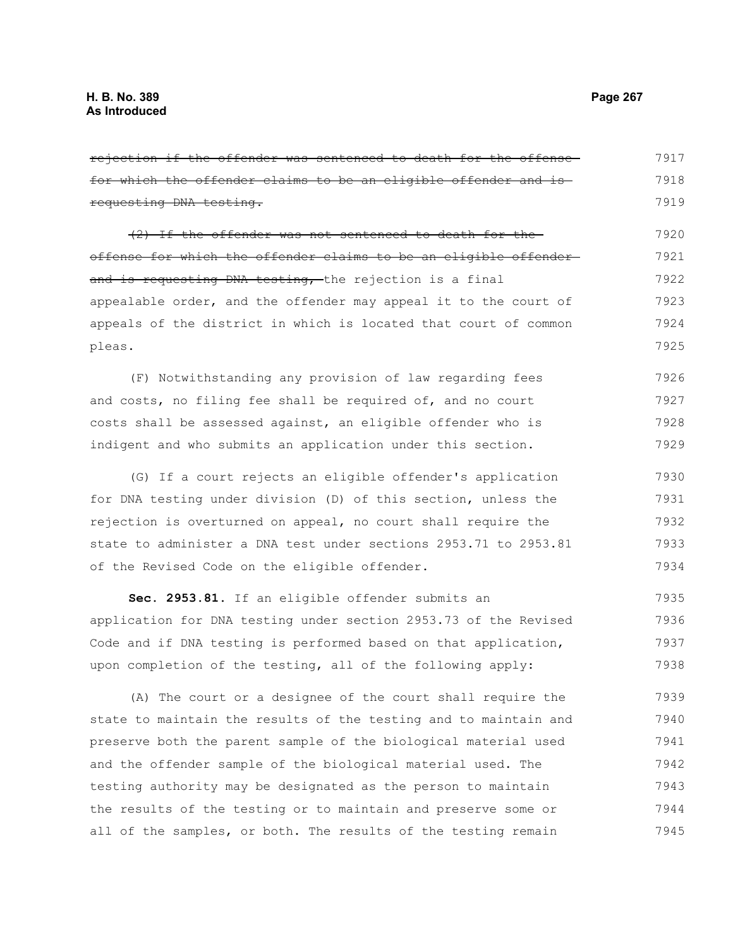rejection if the offender was sentenced to death for the offensefor which the offender claims to be an eligible offender and is requesting DNA testing. 7917 7918 7919

(2) If the offender was not sentenced to death for the offense for which the offender claims to be an eligible offender and is requesting DNA testing, the rejection is a final appealable order, and the offender may appeal it to the court of appeals of the district in which is located that court of common pleas. 7920 7921 7922 7923 7924 7925

(F) Notwithstanding any provision of law regarding fees and costs, no filing fee shall be required of, and no court costs shall be assessed against, an eligible offender who is indigent and who submits an application under this section. 7926 7927 7928 7929

(G) If a court rejects an eligible offender's application for DNA testing under division (D) of this section, unless the rejection is overturned on appeal, no court shall require the state to administer a DNA test under sections 2953.71 to 2953.81 of the Revised Code on the eligible offender. 7930 7931 7932 7933 7934

**Sec. 2953.81.** If an eligible offender submits an application for DNA testing under section 2953.73 of the Revised Code and if DNA testing is performed based on that application, upon completion of the testing, all of the following apply: 7935 7936 7937 7938

(A) The court or a designee of the court shall require the state to maintain the results of the testing and to maintain and preserve both the parent sample of the biological material used and the offender sample of the biological material used. The testing authority may be designated as the person to maintain the results of the testing or to maintain and preserve some or all of the samples, or both. The results of the testing remain 7939 7940 7941 7942 7943 7944 7945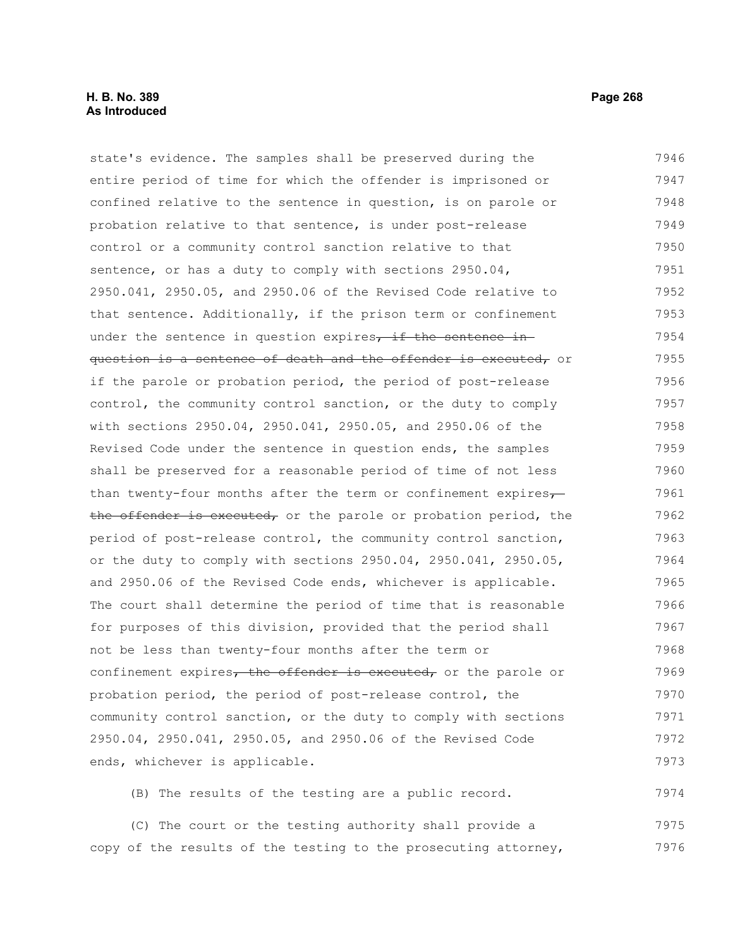# **H. B. No. 389 Page 268 As Introduced**

state's evidence. The samples shall be preserved during the entire period of time for which the offender is imprisoned or confined relative to the sentence in question, is on parole or probation relative to that sentence, is under post-release control or a community control sanction relative to that sentence, or has a duty to comply with sections 2950.04, 2950.041, 2950.05, and 2950.06 of the Revised Code relative to that sentence. Additionally, if the prison term or confinement under the sentence in question expires<sub> $\tau$ </sub> if the sentence inquestion is a sentence of death and the offender is executed, or if the parole or probation period, the period of post-release control, the community control sanction, or the duty to comply with sections 2950.04, 2950.041, 2950.05, and 2950.06 of the Revised Code under the sentence in question ends, the samples shall be preserved for a reasonable period of time of not less than twenty-four months after the term or confinement expires $\tau$ the offender is executed, or the parole or probation period, the period of post-release control, the community control sanction, or the duty to comply with sections 2950.04, 2950.041, 2950.05, and 2950.06 of the Revised Code ends, whichever is applicable. The court shall determine the period of time that is reasonable for purposes of this division, provided that the period shall not be less than twenty-four months after the term or confinement expires, the offender is executed, or the parole or probation period, the period of post-release control, the community control sanction, or the duty to comply with sections 2950.04, 2950.041, 2950.05, and 2950.06 of the Revised Code ends, whichever is applicable. (B) The results of the testing are a public record. 7946 7947 7948 7949 7950 7951 7952 7953 7954 7955 7956 7957 7958 7959 7960 7961 7962 7963 7964 7965 7966 7967 7968 7969 7970 7971 7972 7973 7974

(C) The court or the testing authority shall provide a copy of the results of the testing to the prosecuting attorney, 7975 7976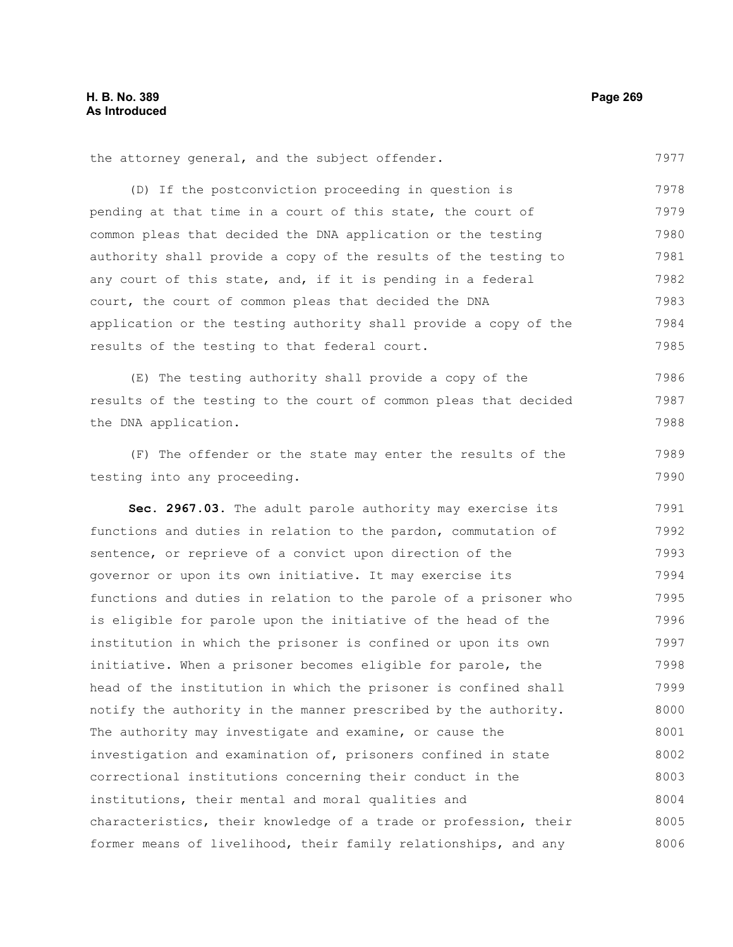7977

7989 7990

the attorney general, and the subject offender.

(D) If the postconviction proceeding in question is pending at that time in a court of this state, the court of common pleas that decided the DNA application or the testing authority shall provide a copy of the results of the testing to any court of this state, and, if it is pending in a federal court, the court of common pleas that decided the DNA application or the testing authority shall provide a copy of the results of the testing to that federal court. 7978 7979 7980 7981 7982 7983 7984 7985

(E) The testing authority shall provide a copy of the results of the testing to the court of common pleas that decided the DNA application. 7986 7987 7988

(F) The offender or the state may enter the results of the testing into any proceeding.

**Sec. 2967.03.** The adult parole authority may exercise its functions and duties in relation to the pardon, commutation of sentence, or reprieve of a convict upon direction of the governor or upon its own initiative. It may exercise its functions and duties in relation to the parole of a prisoner who is eligible for parole upon the initiative of the head of the institution in which the prisoner is confined or upon its own initiative. When a prisoner becomes eligible for parole, the head of the institution in which the prisoner is confined shall notify the authority in the manner prescribed by the authority. The authority may investigate and examine, or cause the investigation and examination of, prisoners confined in state correctional institutions concerning their conduct in the institutions, their mental and moral qualities and characteristics, their knowledge of a trade or profession, their former means of livelihood, their family relationships, and any 7991 7992 7993 7994 7995 7996 7997 7998 7999 8000 8001 8002 8003 8004 8005 8006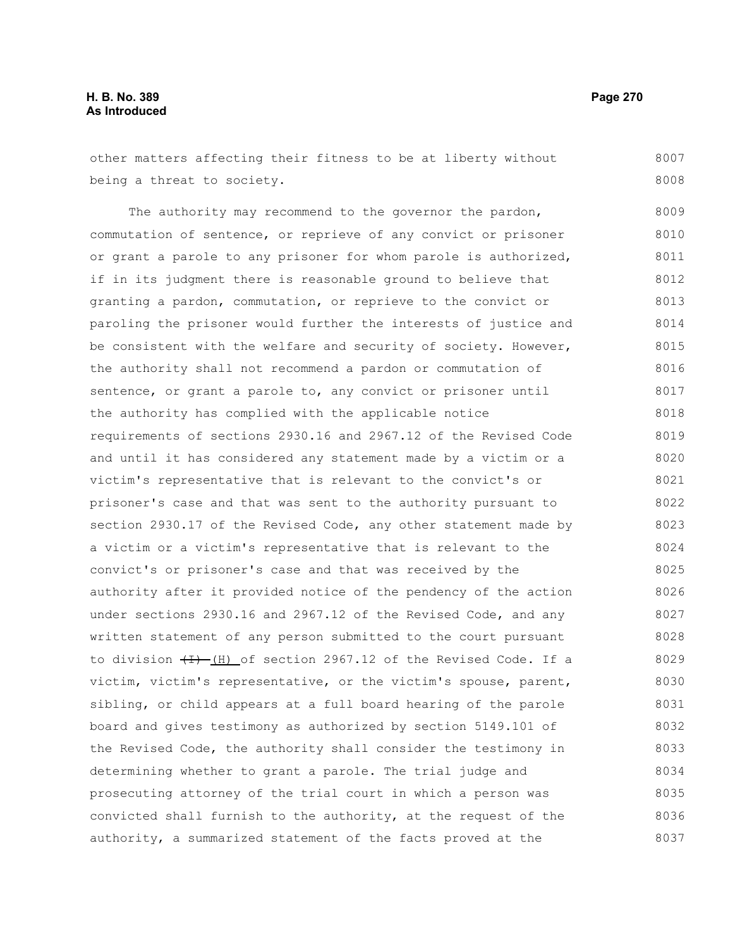other matters affecting their fitness to be at liberty without being a threat to society. The authority may recommend to the governor the pardon, commutation of sentence, or reprieve of any convict or prisoner or grant a parole to any prisoner for whom parole is authorized, if in its judgment there is reasonable ground to believe that granting a pardon, commutation, or reprieve to the convict or paroling the prisoner would further the interests of justice and be consistent with the welfare and security of society. However, the authority shall not recommend a pardon or commutation of sentence, or grant a parole to, any convict or prisoner until the authority has complied with the applicable notice requirements of sections 2930.16 and 2967.12 of the Revised Code and until it has considered any statement made by a victim or a victim's representative that is relevant to the convict's or prisoner's case and that was sent to the authority pursuant to section 2930.17 of the Revised Code, any other statement made by a victim or a victim's representative that is relevant to the convict's or prisoner's case and that was received by the authority after it provided notice of the pendency of the action under sections 2930.16 and 2967.12 of the Revised Code, and any written statement of any person submitted to the court pursuant to division  $(H)$  (H) of section 2967.12 of the Revised Code. If a victim, victim's representative, or the victim's spouse, parent, sibling, or child appears at a full board hearing of the parole board and gives testimony as authorized by section 5149.101 of the Revised Code, the authority shall consider the testimony in determining whether to grant a parole. The trial judge and prosecuting attorney of the trial court in which a person was convicted shall furnish to the authority, at the request of the authority, a summarized statement of the facts proved at the 8007 8008 8009 8010 8011 8012 8013 8014 8015 8016 8017 8018 8019 8020 8021 8022 8023 8024 8025 8026 8027 8028 8029 8030 8031 8032 8033 8034 8035 8036 8037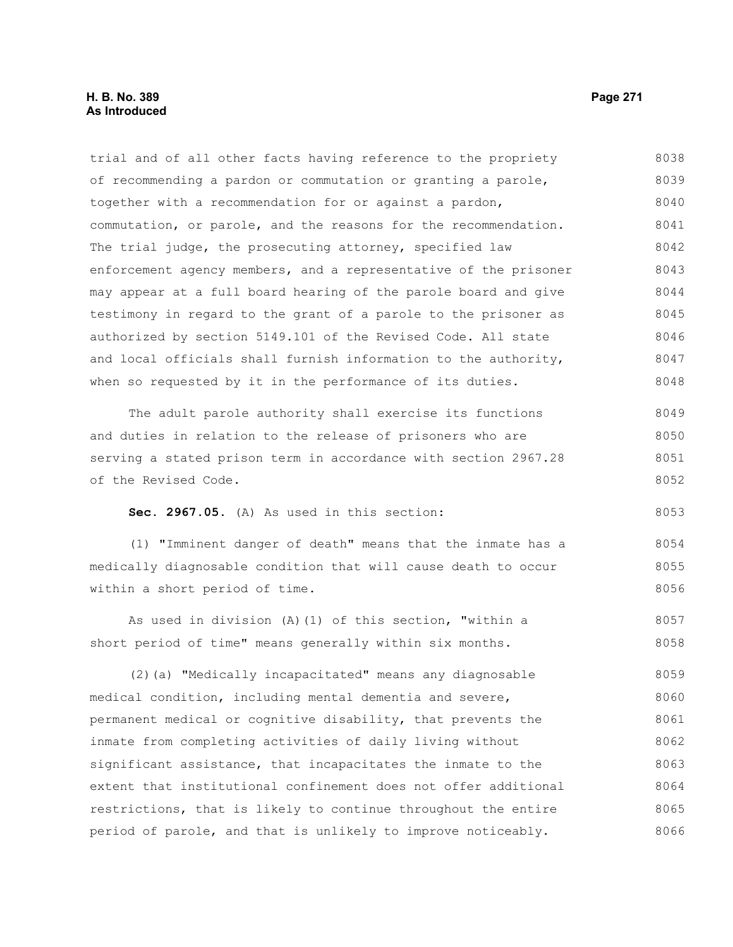trial and of all other facts having reference to the propriety of recommending a pardon or commutation or granting a parole, together with a recommendation for or against a pardon, commutation, or parole, and the reasons for the recommendation. The trial judge, the prosecuting attorney, specified law enforcement agency members, and a representative of the prisoner may appear at a full board hearing of the parole board and give testimony in regard to the grant of a parole to the prisoner as authorized by section 5149.101 of the Revised Code. All state and local officials shall furnish information to the authority, when so requested by it in the performance of its duties. 8038 8039 8040 8041 8042 8043 8044 8045 8046 8047 8048

The adult parole authority shall exercise its functions and duties in relation to the release of prisoners who are serving a stated prison term in accordance with section 2967.28 of the Revised Code. 8049 8050 8051 8052

**Sec. 2967.05.** (A) As used in this section:

(1) "Imminent danger of death" means that the inmate has a medically diagnosable condition that will cause death to occur within a short period of time. 8054 8055 8056

As used in division (A)(1) of this section, "within a short period of time" means generally within six months. 8057 8058

(2)(a) "Medically incapacitated" means any diagnosable medical condition, including mental dementia and severe, permanent medical or cognitive disability, that prevents the inmate from completing activities of daily living without significant assistance, that incapacitates the inmate to the extent that institutional confinement does not offer additional restrictions, that is likely to continue throughout the entire period of parole, and that is unlikely to improve noticeably. 8059 8060 8061 8062 8063 8064 8065 8066

8053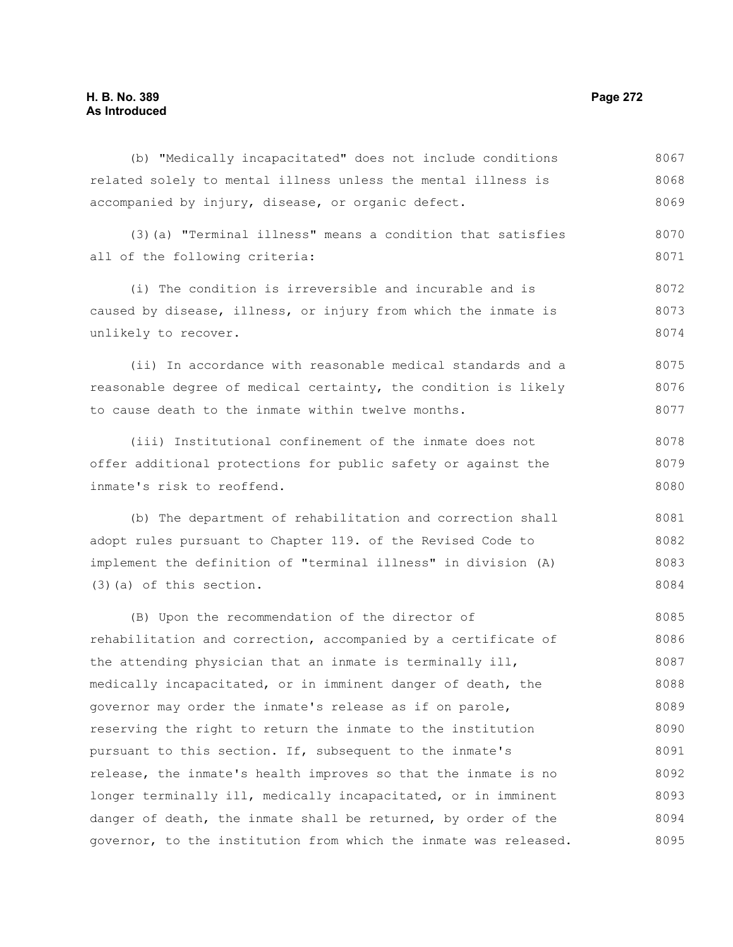# **H. B. No. 389 Page 272 As Introduced**

related solely to mental illness unless the mental illness is accompanied by injury, disease, or organic defect. (3)(a) "Terminal illness" means a condition that satisfies all of the following criteria: (i) The condition is irreversible and incurable and is caused by disease, illness, or injury from which the inmate is unlikely to recover. (ii) In accordance with reasonable medical standards and a reasonable degree of medical certainty, the condition is likely to cause death to the inmate within twelve months. (iii) Institutional confinement of the inmate does not offer additional protections for public safety or against the inmate's risk to reoffend. 8068 8069 8070 8071 8072 8073 8074 8075 8076 8077 8078 8079 8080

(b) "Medically incapacitated" does not include conditions

(b) The department of rehabilitation and correction shall adopt rules pursuant to Chapter 119. of the Revised Code to implement the definition of "terminal illness" in division (A) (3)(a) of this section. 8081 8082 8083 8084

(B) Upon the recommendation of the director of rehabilitation and correction, accompanied by a certificate of the attending physician that an inmate is terminally ill, medically incapacitated, or in imminent danger of death, the governor may order the inmate's release as if on parole, reserving the right to return the inmate to the institution pursuant to this section. If, subsequent to the inmate's release, the inmate's health improves so that the inmate is no longer terminally ill, medically incapacitated, or in imminent danger of death, the inmate shall be returned, by order of the governor, to the institution from which the inmate was released. 8085 8086 8087 8088 8089 8090 8091 8092 8093 8094 8095

8067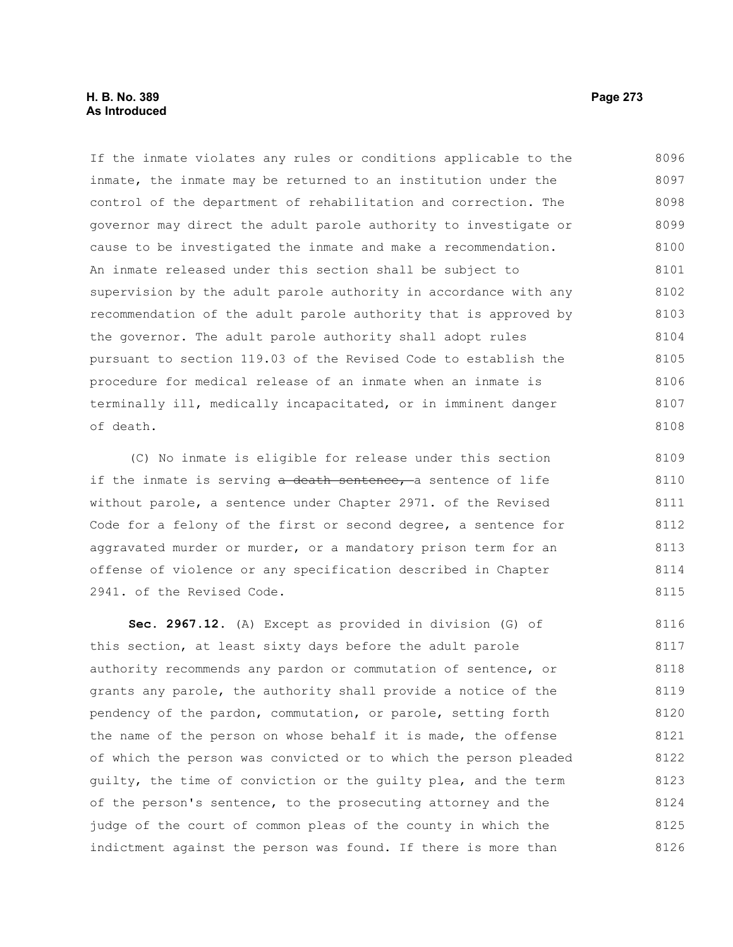If the inmate violates any rules or conditions applicable to the inmate, the inmate may be returned to an institution under the control of the department of rehabilitation and correction. The governor may direct the adult parole authority to investigate or cause to be investigated the inmate and make a recommendation. An inmate released under this section shall be subject to supervision by the adult parole authority in accordance with any recommendation of the adult parole authority that is approved by the governor. The adult parole authority shall adopt rules pursuant to section 119.03 of the Revised Code to establish the procedure for medical release of an inmate when an inmate is terminally ill, medically incapacitated, or in imminent danger of death. 8096 8097 8098 8099 8100 8101 8102 8103 8104 8105 8106 8107 8108

(C) No inmate is eligible for release under this section if the inmate is serving a death sentence, a sentence of life without parole, a sentence under Chapter 2971. of the Revised Code for a felony of the first or second degree, a sentence for aggravated murder or murder, or a mandatory prison term for an offense of violence or any specification described in Chapter 2941. of the Revised Code. 8109 8110 8111 8112 8113 8114 8115

**Sec. 2967.12.** (A) Except as provided in division (G) of this section, at least sixty days before the adult parole authority recommends any pardon or commutation of sentence, or grants any parole, the authority shall provide a notice of the pendency of the pardon, commutation, or parole, setting forth the name of the person on whose behalf it is made, the offense of which the person was convicted or to which the person pleaded guilty, the time of conviction or the guilty plea, and the term of the person's sentence, to the prosecuting attorney and the judge of the court of common pleas of the county in which the indictment against the person was found. If there is more than 8116 8117 8118 8119 8120 8121 8122 8123 8124 8125 8126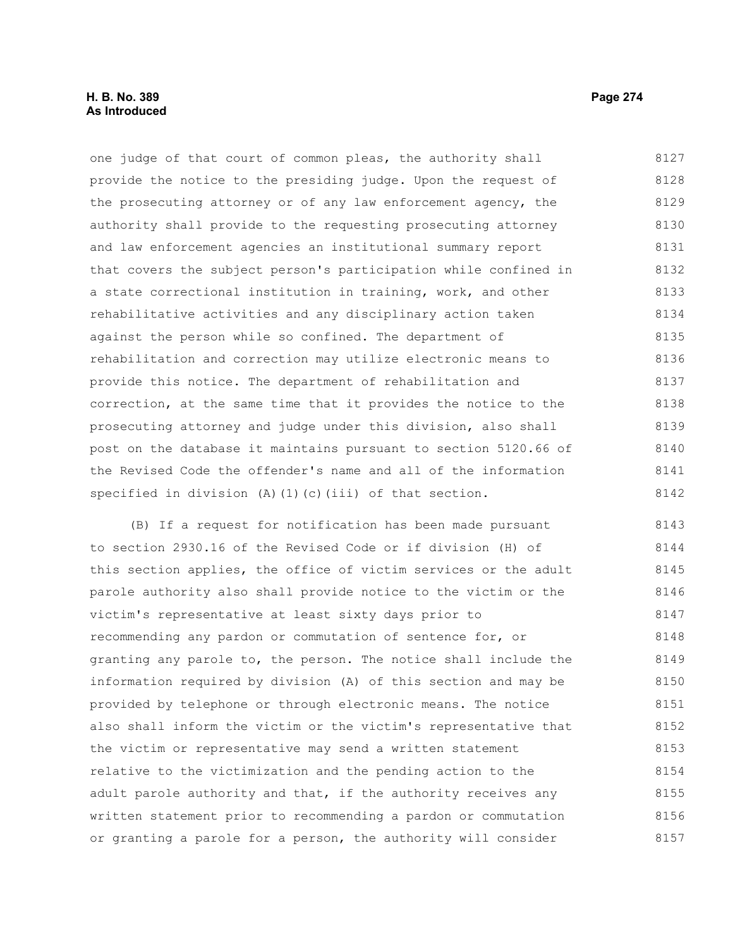# **H. B. No. 389 Page 274 As Introduced**

one judge of that court of common pleas, the authority shall provide the notice to the presiding judge. Upon the request of the prosecuting attorney or of any law enforcement agency, the authority shall provide to the requesting prosecuting attorney and law enforcement agencies an institutional summary report that covers the subject person's participation while confined in a state correctional institution in training, work, and other rehabilitative activities and any disciplinary action taken against the person while so confined. The department of rehabilitation and correction may utilize electronic means to provide this notice. The department of rehabilitation and correction, at the same time that it provides the notice to the prosecuting attorney and judge under this division, also shall post on the database it maintains pursuant to section 5120.66 of the Revised Code the offender's name and all of the information specified in division (A)(1)(c)(iii) of that section. 8127 8128 8129 8130 8131 8132 8133 8134 8135 8136 8137 8138 8139 8140 8141 8142

(B) If a request for notification has been made pursuant to section 2930.16 of the Revised Code or if division (H) of this section applies, the office of victim services or the adult parole authority also shall provide notice to the victim or the victim's representative at least sixty days prior to recommending any pardon or commutation of sentence for, or granting any parole to, the person. The notice shall include the information required by division (A) of this section and may be provided by telephone or through electronic means. The notice also shall inform the victim or the victim's representative that the victim or representative may send a written statement relative to the victimization and the pending action to the adult parole authority and that, if the authority receives any written statement prior to recommending a pardon or commutation or granting a parole for a person, the authority will consider 8143 8144 8145 8146 8147 8148 8149 8150 8151 8152 8153 8154 8155 8156 8157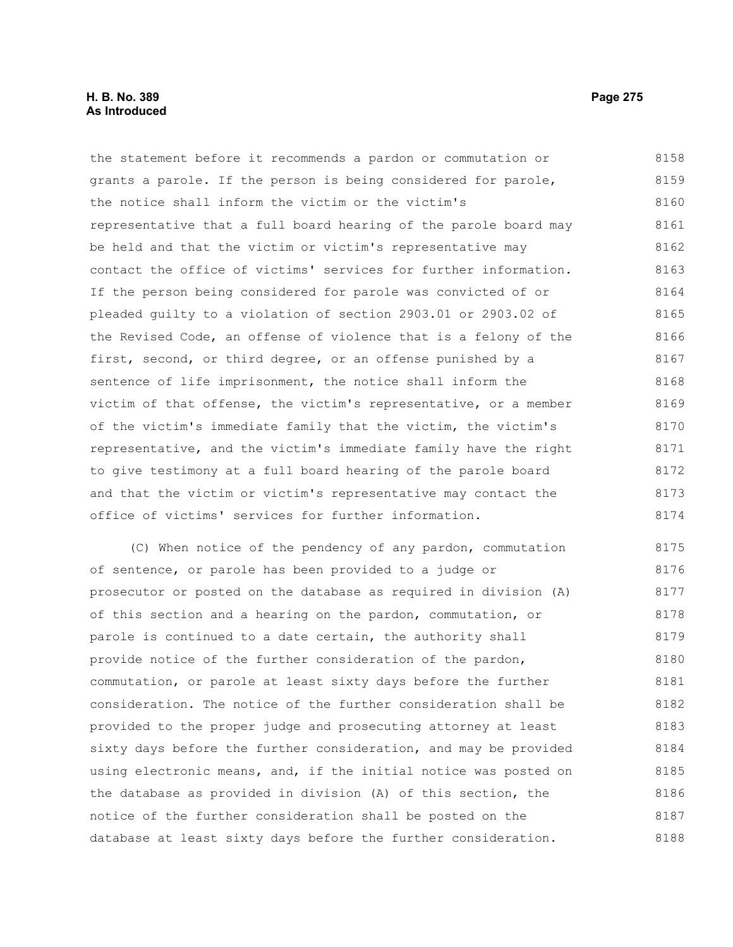the statement before it recommends a pardon or commutation or grants a parole. If the person is being considered for parole, the notice shall inform the victim or the victim's representative that a full board hearing of the parole board may be held and that the victim or victim's representative may contact the office of victims' services for further information. If the person being considered for parole was convicted of or pleaded guilty to a violation of section 2903.01 or 2903.02 of the Revised Code, an offense of violence that is a felony of the first, second, or third degree, or an offense punished by a sentence of life imprisonment, the notice shall inform the victim of that offense, the victim's representative, or a member of the victim's immediate family that the victim, the victim's representative, and the victim's immediate family have the right to give testimony at a full board hearing of the parole board and that the victim or victim's representative may contact the office of victims' services for further information. 8158 8159 8160 8161 8162 8163 8164 8165 8166 8167 8168 8169 8170 8171 8172 8173 8174

(C) When notice of the pendency of any pardon, commutation of sentence, or parole has been provided to a judge or prosecutor or posted on the database as required in division (A) of this section and a hearing on the pardon, commutation, or parole is continued to a date certain, the authority shall provide notice of the further consideration of the pardon, commutation, or parole at least sixty days before the further consideration. The notice of the further consideration shall be provided to the proper judge and prosecuting attorney at least sixty days before the further consideration, and may be provided using electronic means, and, if the initial notice was posted on the database as provided in division (A) of this section, the notice of the further consideration shall be posted on the database at least sixty days before the further consideration. 8175 8176 8177 8178 8179 8180 8181 8182 8183 8184 8185 8186 8187 8188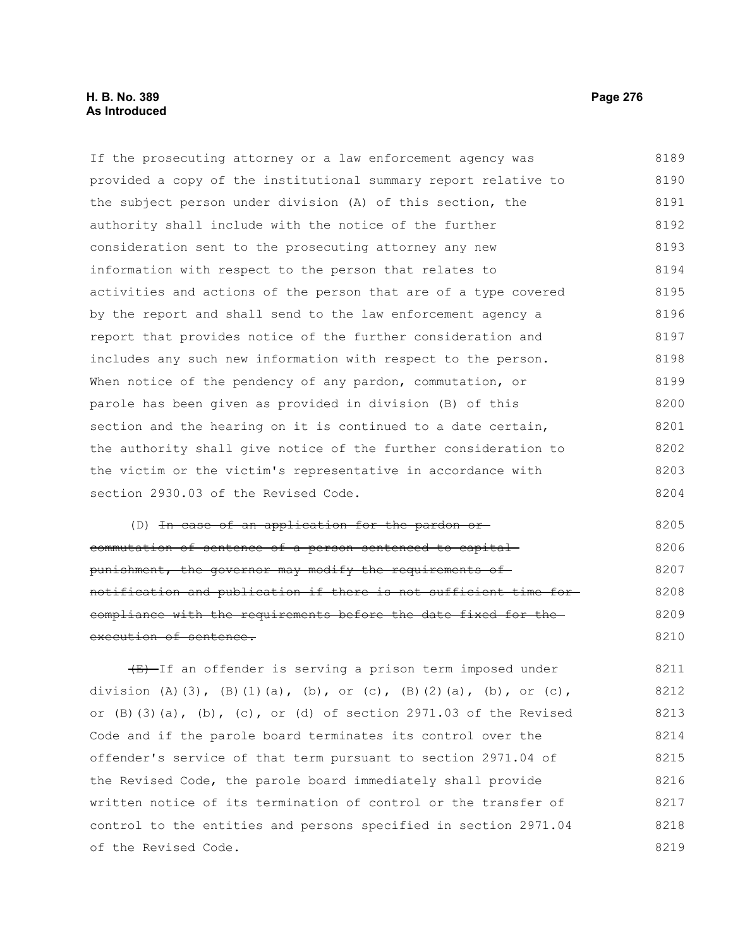# **H. B. No. 389 Page 276 As Introduced**

If the prosecuting attorney or a law enforcement agency was provided a copy of the institutional summary report relative to the subject person under division (A) of this section, the authority shall include with the notice of the further consideration sent to the prosecuting attorney any new information with respect to the person that relates to activities and actions of the person that are of a type covered by the report and shall send to the law enforcement agency a report that provides notice of the further consideration and includes any such new information with respect to the person. When notice of the pendency of any pardon, commutation, or parole has been given as provided in division (B) of this section and the hearing on it is continued to a date certain, the authority shall give notice of the further consideration to the victim or the victim's representative in accordance with section 2930.03 of the Revised Code. 8189 8190 8191 8192 8193 8194 8195 8196 8197 8198 8199 8200 8201 8202 8203 8204

(D) In case of an application for the pardon or commutation of sentence of a person sentenced to capital punishment, the governor may modify the requirements of notification and publication if there is not sufficient time for compliance with the requirements before the date fixed for the execution of sentence. 8205 8206 8207 8208 8209 8210

(E) If an offender is serving a prison term imposed under division (A)(3), (B)(1)(a), (b), or (c), (B)(2)(a), (b), or (c), or  $(B)(3)(a)$ ,  $(b)$ ,  $(c)$ , or  $(d)$  of section 2971.03 of the Revised Code and if the parole board terminates its control over the offender's service of that term pursuant to section 2971.04 of the Revised Code, the parole board immediately shall provide written notice of its termination of control or the transfer of control to the entities and persons specified in section 2971.04 of the Revised Code. 8211 8212 8213 8214 8215 8216 8217 8218 8219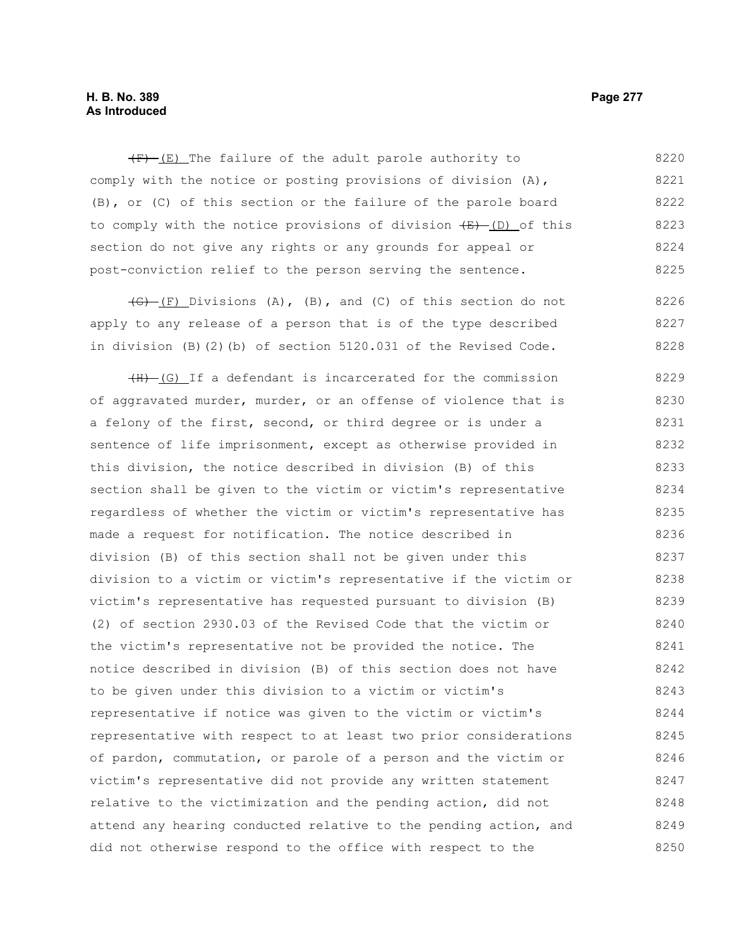# **H. B. No. 389 Page 277 As Introduced**

 $(F)$  (E) The failure of the adult parole authority to comply with the notice or posting provisions of division (A), (B), or (C) of this section or the failure of the parole board to comply with the notice provisions of division  $(E)$  (D) of this section do not give any rights or any grounds for appeal or post-conviction relief to the person serving the sentence. 8220 8221 8222 8223 8224 8225

 $\overline{(G)}$   $\overline{(F)}$  Divisions (A), (B), and (C) of this section do not apply to any release of a person that is of the type described in division (B)(2)(b) of section 5120.031 of the Revised Code. 8226 8227 8228

 $(H)$  (G) If a defendant is incarcerated for the commission of aggravated murder, murder, or an offense of violence that is a felony of the first, second, or third degree or is under a sentence of life imprisonment, except as otherwise provided in this division, the notice described in division (B) of this section shall be given to the victim or victim's representative regardless of whether the victim or victim's representative has made a request for notification. The notice described in division (B) of this section shall not be given under this division to a victim or victim's representative if the victim or victim's representative has requested pursuant to division (B) (2) of section 2930.03 of the Revised Code that the victim or the victim's representative not be provided the notice. The notice described in division (B) of this section does not have to be given under this division to a victim or victim's representative if notice was given to the victim or victim's representative with respect to at least two prior considerations of pardon, commutation, or parole of a person and the victim or victim's representative did not provide any written statement relative to the victimization and the pending action, did not attend any hearing conducted relative to the pending action, and did not otherwise respond to the office with respect to the 8229 8230 8231 8232 8233 8234 8235 8236 8237 8238 8239 8240 8241 8242 8243 8244 8245 8246 8247 8248 8249 8250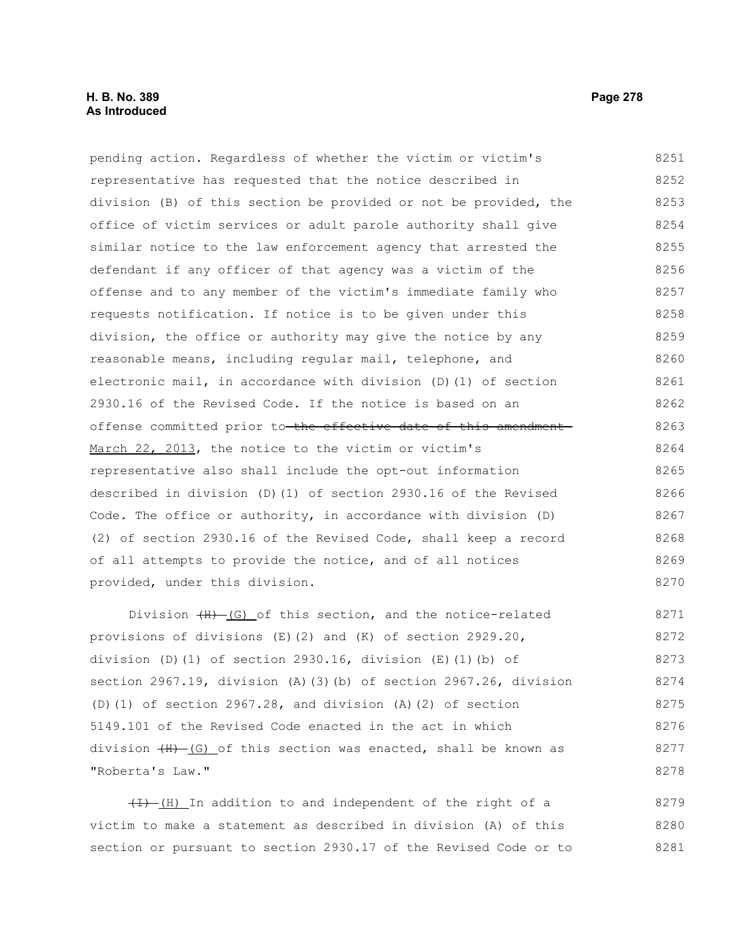pending action. Regardless of whether the victim or victim's representative has requested that the notice described in division (B) of this section be provided or not be provided, the office of victim services or adult parole authority shall give similar notice to the law enforcement agency that arrested the defendant if any officer of that agency was a victim of the offense and to any member of the victim's immediate family who requests notification. If notice is to be given under this division, the office or authority may give the notice by any reasonable means, including regular mail, telephone, and electronic mail, in accordance with division (D)(1) of section 2930.16 of the Revised Code. If the notice is based on an offense committed prior to the effective date of this amendment March 22, 2013, the notice to the victim or victim's representative also shall include the opt-out information described in division (D)(1) of section 2930.16 of the Revised Code. The office or authority, in accordance with division (D) (2) of section 2930.16 of the Revised Code, shall keep a record of all attempts to provide the notice, and of all notices provided, under this division. 8251 8252 8253 8254 8255 8256 8257 8258 8259 8260 8261 8262 8263 8264 8265 8266 8267 8268 8269 8270

Division  $(H)$  (G) of this section, and the notice-related provisions of divisions (E)(2) and (K) of section 2929.20, division (D)(1) of section 2930.16, division  $(E)$ (1)(b) of section 2967.19, division (A)(3)(b) of section 2967.26, division (D)(1) of section 2967.28, and division (A)(2) of section 5149.101 of the Revised Code enacted in the act in which division  $(H)$  (G) of this section was enacted, shall be known as "Roberta's Law." 8271 8272 8273 8274 8275 8276 8277 8278

 $(H)$  In addition to and independent of the right of a victim to make a statement as described in division (A) of this section or pursuant to section 2930.17 of the Revised Code or to 8279 8280 8281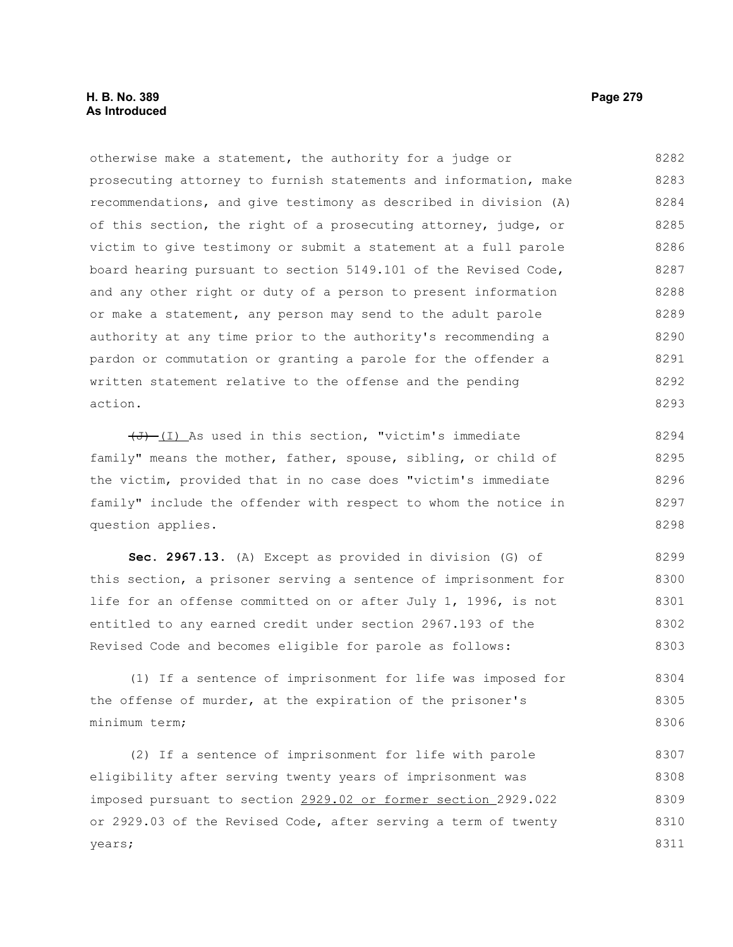otherwise make a statement, the authority for a judge or prosecuting attorney to furnish statements and information, make recommendations, and give testimony as described in division (A) of this section, the right of a prosecuting attorney, judge, or victim to give testimony or submit a statement at a full parole board hearing pursuant to section 5149.101 of the Revised Code, and any other right or duty of a person to present information or make a statement, any person may send to the adult parole authority at any time prior to the authority's recommending a pardon or commutation or granting a parole for the offender a written statement relative to the offense and the pending action.  $\overline{J}$  (I) As used in this section, "victim's immediate 8282 8283 8284 8285 8286 8287 8288 8289 8290 8291 8292 8293 8294

family" means the mother, father, spouse, sibling, or child of the victim, provided that in no case does "victim's immediate family" include the offender with respect to whom the notice in question applies. 8295 8296 8297 8298

**Sec. 2967.13.** (A) Except as provided in division (G) of this section, a prisoner serving a sentence of imprisonment for life for an offense committed on or after July 1, 1996, is not entitled to any earned credit under section 2967.193 of the Revised Code and becomes eligible for parole as follows: 8299 8300 8301 8302 8303

(1) If a sentence of imprisonment for life was imposed for the offense of murder, at the expiration of the prisoner's minimum term; 8304 8305 8306

(2) If a sentence of imprisonment for life with parole eligibility after serving twenty years of imprisonment was imposed pursuant to section 2929.02 or former section 2929.022 or 2929.03 of the Revised Code, after serving a term of twenty years; 8307 8308 8309 8310 8311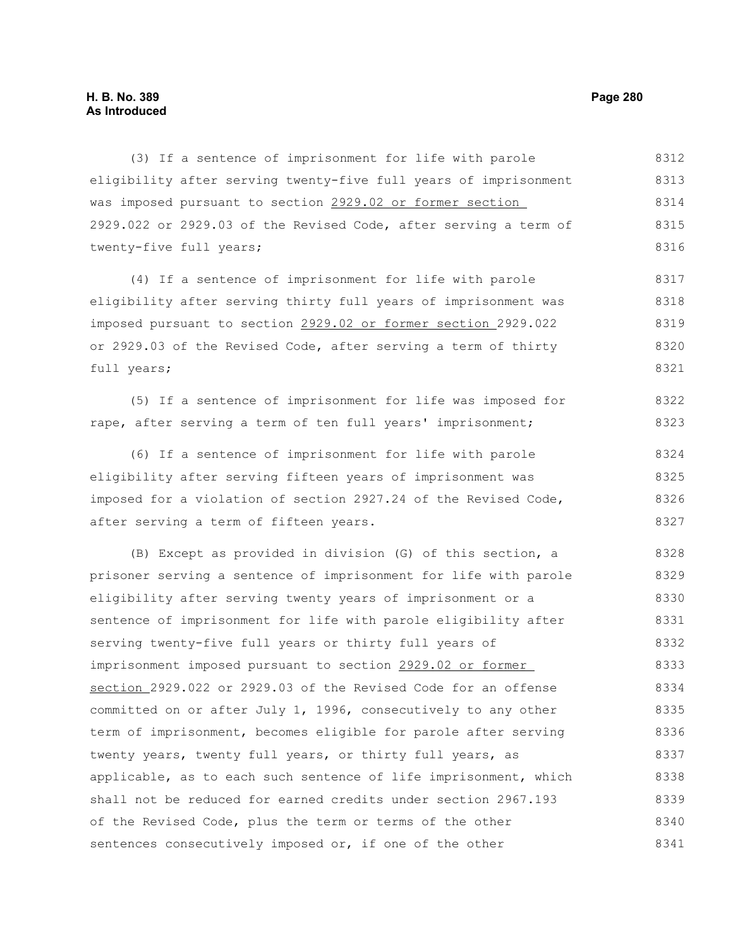(3) If a sentence of imprisonment for life with parole eligibility after serving twenty-five full years of imprisonment was imposed pursuant to section 2929.02 or former section 2929.022 or 2929.03 of the Revised Code, after serving a term of twenty-five full years; 8312 8313 8314 8315 8316

(4) If a sentence of imprisonment for life with parole eligibility after serving thirty full years of imprisonment was imposed pursuant to section 2929.02 or former section 2929.022 or 2929.03 of the Revised Code, after serving a term of thirty full years; 8317 8318 8319 8320 8321

(5) If a sentence of imprisonment for life was imposed for rape, after serving a term of ten full years' imprisonment; 8322 8323

(6) If a sentence of imprisonment for life with parole eligibility after serving fifteen years of imprisonment was imposed for a violation of section 2927.24 of the Revised Code, after serving a term of fifteen years. 8324 8325 8326 8327

(B) Except as provided in division (G) of this section, a prisoner serving a sentence of imprisonment for life with parole eligibility after serving twenty years of imprisonment or a sentence of imprisonment for life with parole eligibility after serving twenty-five full years or thirty full years of imprisonment imposed pursuant to section 2929.02 or former section 2929.022 or 2929.03 of the Revised Code for an offense committed on or after July 1, 1996, consecutively to any other term of imprisonment, becomes eligible for parole after serving twenty years, twenty full years, or thirty full years, as applicable, as to each such sentence of life imprisonment, which shall not be reduced for earned credits under section 2967.193 of the Revised Code, plus the term or terms of the other sentences consecutively imposed or, if one of the other 8328 8329 8330 8331 8332 8333 8334 8335 8336 8337 8338 8339 8340 8341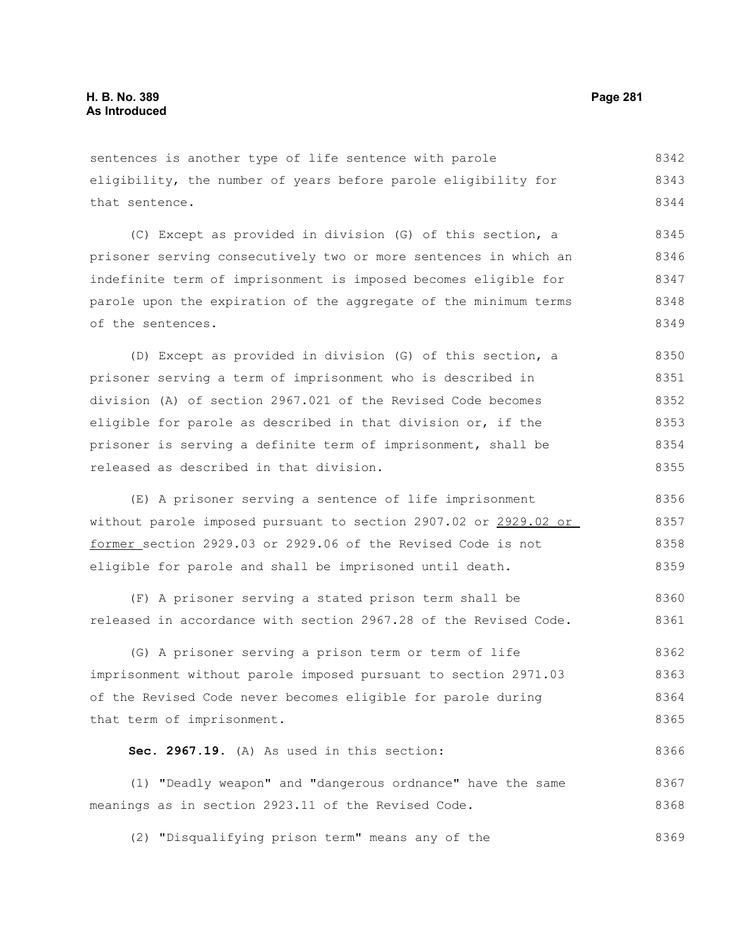| sentences is another type of life sentence with parole           | 8342 |
|------------------------------------------------------------------|------|
| eligibility, the number of years before parole eligibility for   | 8343 |
| that sentence.                                                   | 8344 |
| (C) Except as provided in division (G) of this section, a        | 8345 |
| prisoner serving consecutively two or more sentences in which an | 8346 |
| indefinite term of imprisonment is imposed becomes eligible for  | 8347 |
| parole upon the expiration of the aggregate of the minimum terms | 8348 |
| of the sentences.                                                | 8349 |
| (D) Except as provided in division (G) of this section, a        | 8350 |
| prisoner serving a term of imprisonment who is described in      | 8351 |
| division (A) of section 2967.021 of the Revised Code becomes     | 8352 |
| eligible for parole as described in that division or, if the     | 8353 |
| prisoner is serving a definite term of imprisonment, shall be    | 8354 |
| released as described in that division.                          | 8355 |
| (E) A prisoner serving a sentence of life imprisonment           | 8356 |
| without parole imposed pursuant to section 2907.02 or 2929.02 or | 8357 |
| former_section 2929.03 or 2929.06 of the Revised Code is not     | 8358 |
| eligible for parole and shall be imprisoned until death.         | 8359 |
| (F) A prisoner serving a stated prison term shall be             | 8360 |
| released in accordance with section 2967.28 of the Revised Code. | 8361 |
| (G) A prisoner serving a prison term or term of life             | 8362 |
| imprisonment without parole imposed pursuant to section 2971.03  | 8363 |
| of the Revised Code never becomes eligible for parole during     | 8364 |
| that term of imprisonment.                                       | 8365 |
| Sec. 2967.19. (A) As used in this section:                       | 8366 |
| (1) "Deadly weapon" and "dangerous ordnance" have the same       | 8367 |
| meanings as in section 2923.11 of the Revised Code.              | 8368 |
| (2) "Disqualifying prison term" means any of the                 | 8369 |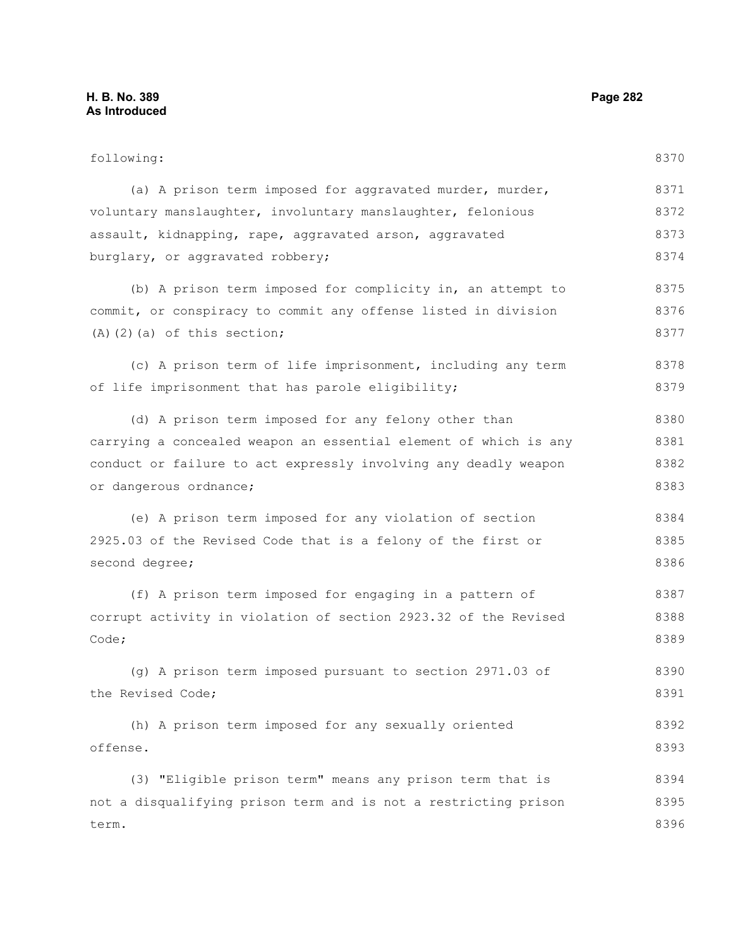| following:                                                       | 8370 |
|------------------------------------------------------------------|------|
| (a) A prison term imposed for aggravated murder, murder,         | 8371 |
| voluntary manslaughter, involuntary manslaughter, felonious      | 8372 |
| assault, kidnapping, rape, aggravated arson, aggravated          | 8373 |
| burglary, or aggravated robbery;                                 | 8374 |
| (b) A prison term imposed for complicity in, an attempt to       | 8375 |
| commit, or conspiracy to commit any offense listed in division   | 8376 |
| $(A)$ $(2)$ $(a)$ of this section;                               | 8377 |
| (c) A prison term of life imprisonment, including any term       | 8378 |
| of life imprisonment that has parole eligibility;                | 8379 |
| (d) A prison term imposed for any felony other than              | 8380 |
| carrying a concealed weapon an essential element of which is any | 8381 |
| conduct or failure to act expressly involving any deadly weapon  | 8382 |
| or dangerous ordnance;                                           | 8383 |
| (e) A prison term imposed for any violation of section           | 8384 |
| 2925.03 of the Revised Code that is a felony of the first or     | 8385 |
| second degree;                                                   | 8386 |
| (f) A prison term imposed for engaging in a pattern of           | 8387 |
| corrupt activity in violation of section 2923.32 of the Revised  | 8388 |
| Code;                                                            | 8389 |
| (g) A prison term imposed pursuant to section 2971.03 of         | 8390 |
| the Revised Code;                                                | 8391 |
| (h) A prison term imposed for any sexually oriented              | 8392 |
| offense.                                                         | 8393 |
| (3) "Eligible prison term" means any prison term that is         | 8394 |
| not a disqualifying prison term and is not a restricting prison  | 8395 |
| term.                                                            | 8396 |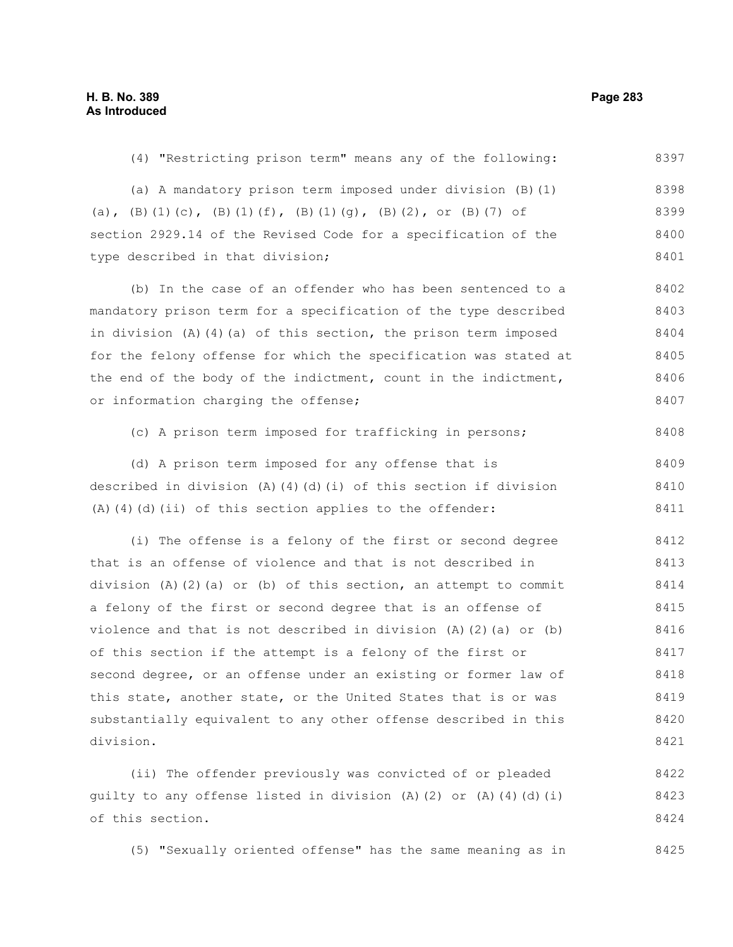(4) "Restricting prison term" means any of the following: (a) A mandatory prison term imposed under division (B)(1) (a), (B)(1)(c), (B)(1)(f), (B)(1)(g), (B)(2), or (B)(7) of section 2929.14 of the Revised Code for a specification of the type described in that division; (b) In the case of an offender who has been sentenced to a mandatory prison term for a specification of the type described in division (A)(4)(a) of this section, the prison term imposed for the felony offense for which the specification was stated at the end of the body of the indictment, count in the indictment, or information charging the offense; (c) A prison term imposed for trafficking in persons; (d) A prison term imposed for any offense that is described in division (A)(4)(d)(i) of this section if division  $(A)$  $(d)$  $(ii)$  of this section applies to the offender: (i) The offense is a felony of the first or second degree that is an offense of violence and that is not described in division (A)(2)(a) or (b) of this section, an attempt to commit a felony of the first or second degree that is an offense of violence and that is not described in division (A)(2)(a) or (b) of this section if the attempt is a felony of the first or second degree, or an offense under an existing or former law of this state, another state, or the United States that is or was substantially equivalent to any other offense described in this division. (ii) The offender previously was convicted of or pleaded 8397 8398 8399 8400 8401 8402 8403 8404 8405 8406 8407 8408 8409 8410 8411 8412 8413 8414 8415 8416 8417 8418 8419 8420 8421 8422

guilty to any offense listed in division  $(A)$   $(2)$  or  $(A)$   $(4)$   $(d)$   $(i)$ of this section. 8423 8424

(5) "Sexually oriented offense" has the same meaning as in 8425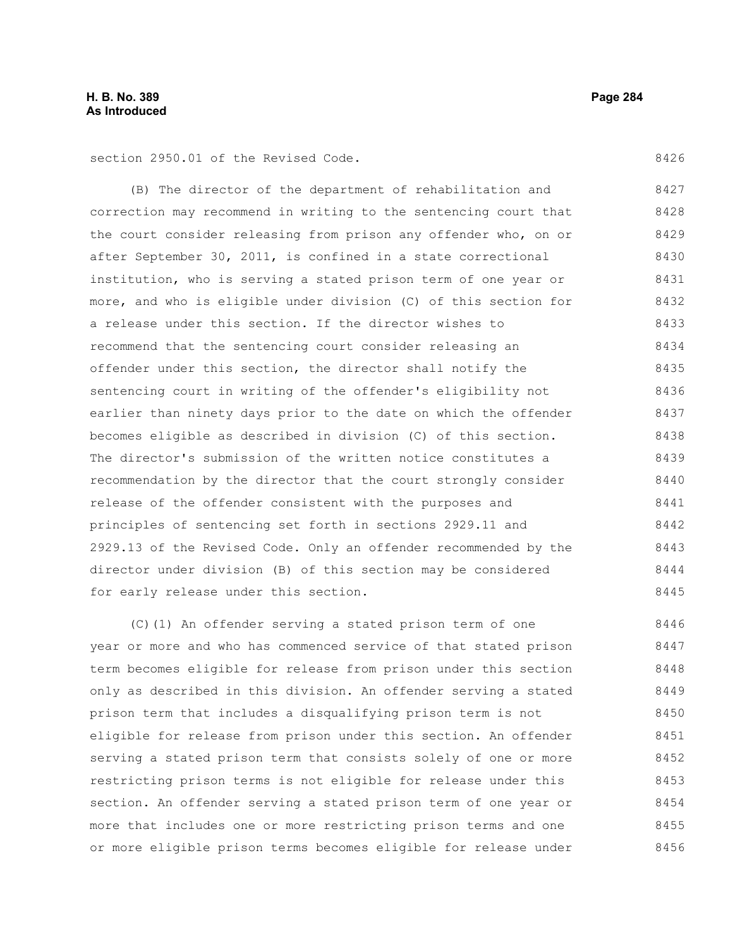section 2950.01 of the Revised Code.

(B) The director of the department of rehabilitation and correction may recommend in writing to the sentencing court that the court consider releasing from prison any offender who, on or after September 30, 2011, is confined in a state correctional institution, who is serving a stated prison term of one year or more, and who is eligible under division (C) of this section for a release under this section. If the director wishes to recommend that the sentencing court consider releasing an offender under this section, the director shall notify the sentencing court in writing of the offender's eligibility not earlier than ninety days prior to the date on which the offender becomes eligible as described in division (C) of this section. The director's submission of the written notice constitutes a recommendation by the director that the court strongly consider release of the offender consistent with the purposes and principles of sentencing set forth in sections 2929.11 and 2929.13 of the Revised Code. Only an offender recommended by the director under division (B) of this section may be considered for early release under this section. 8427 8428 8429 8430 8431 8432 8433 8434 8435 8436 8437 8438 8439 8440 8441 8442 8443 8444 8445

(C)(1) An offender serving a stated prison term of one year or more and who has commenced service of that stated prison term becomes eligible for release from prison under this section only as described in this division. An offender serving a stated prison term that includes a disqualifying prison term is not eligible for release from prison under this section. An offender serving a stated prison term that consists solely of one or more restricting prison terms is not eligible for release under this section. An offender serving a stated prison term of one year or more that includes one or more restricting prison terms and one or more eligible prison terms becomes eligible for release under 8446 8447 8448 8449 8450 8451 8452 8453 8454 8455 8456

8426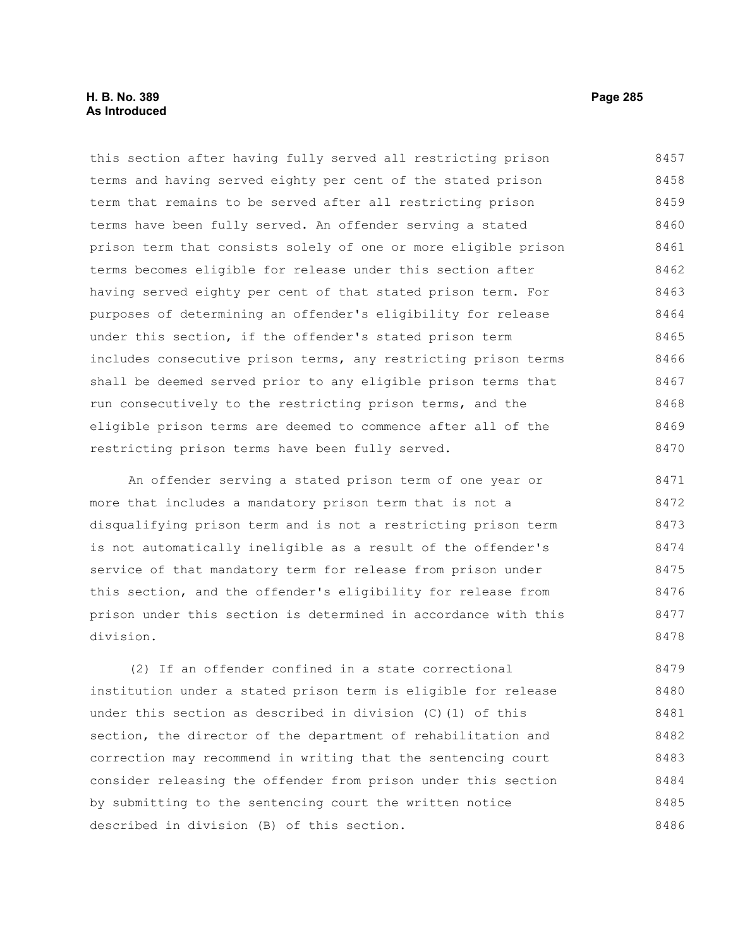# **H. B. No. 389 Page 285 As Introduced**

this section after having fully served all restricting prison terms and having served eighty per cent of the stated prison term that remains to be served after all restricting prison terms have been fully served. An offender serving a stated prison term that consists solely of one or more eligible prison terms becomes eligible for release under this section after having served eighty per cent of that stated prison term. For purposes of determining an offender's eligibility for release under this section, if the offender's stated prison term includes consecutive prison terms, any restricting prison terms shall be deemed served prior to any eligible prison terms that run consecutively to the restricting prison terms, and the eligible prison terms are deemed to commence after all of the restricting prison terms have been fully served. 8457 8458 8459 8460 8461 8462 8463 8464 8465 8466 8467 8468 8469 8470

An offender serving a stated prison term of one year or more that includes a mandatory prison term that is not a disqualifying prison term and is not a restricting prison term is not automatically ineligible as a result of the offender's service of that mandatory term for release from prison under this section, and the offender's eligibility for release from prison under this section is determined in accordance with this division. 8471 8472 8473 8474 8475 8476 8477 8478

(2) If an offender confined in a state correctional institution under a stated prison term is eligible for release under this section as described in division (C)(1) of this section, the director of the department of rehabilitation and correction may recommend in writing that the sentencing court consider releasing the offender from prison under this section by submitting to the sentencing court the written notice described in division (B) of this section. 8479 8480 8481 8482 8483 8484 8485 8486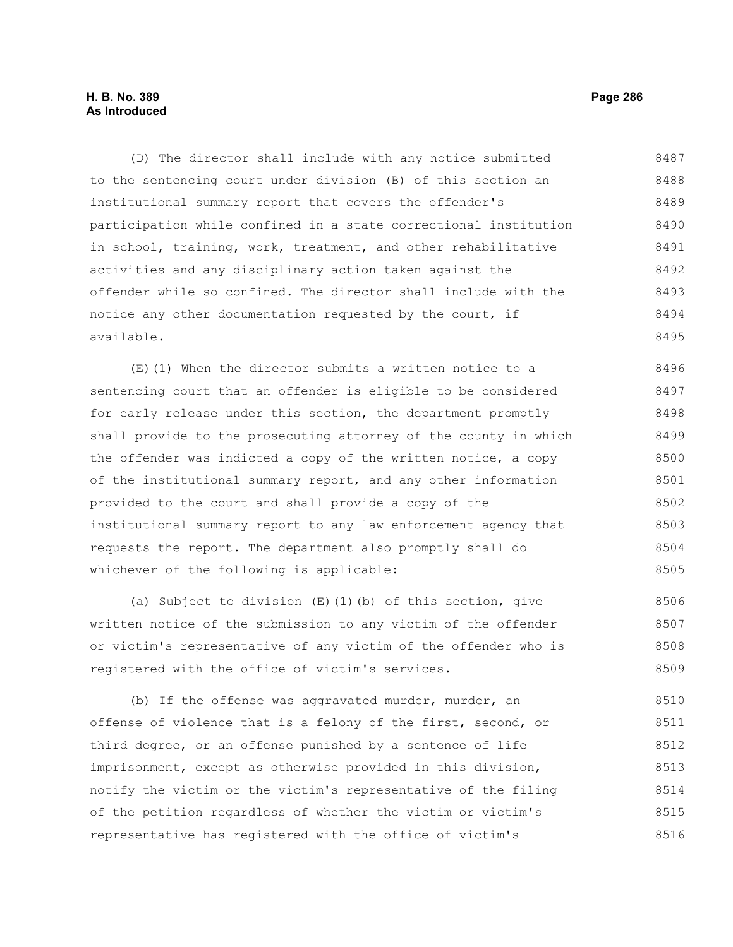# **H. B. No. 389 Page 286 As Introduced**

(D) The director shall include with any notice submitted to the sentencing court under division (B) of this section an institutional summary report that covers the offender's participation while confined in a state correctional institution in school, training, work, treatment, and other rehabilitative activities and any disciplinary action taken against the offender while so confined. The director shall include with the notice any other documentation requested by the court, if available. 8487 8488 8489 8490 8491 8492 8493 8494 8495

(E)(1) When the director submits a written notice to a sentencing court that an offender is eligible to be considered for early release under this section, the department promptly shall provide to the prosecuting attorney of the county in which the offender was indicted a copy of the written notice, a copy of the institutional summary report, and any other information provided to the court and shall provide a copy of the institutional summary report to any law enforcement agency that requests the report. The department also promptly shall do whichever of the following is applicable: 8496 8497 8498 8499 8500 8501 8502 8503 8504 8505

(a) Subject to division  $(E)$  (1)(b) of this section, give written notice of the submission to any victim of the offender or victim's representative of any victim of the offender who is registered with the office of victim's services. 8506 8507 8508 8509

(b) If the offense was aggravated murder, murder, an offense of violence that is a felony of the first, second, or third degree, or an offense punished by a sentence of life imprisonment, except as otherwise provided in this division, notify the victim or the victim's representative of the filing of the petition regardless of whether the victim or victim's representative has registered with the office of victim's 8510 8511 8512 8513 8514 8515 8516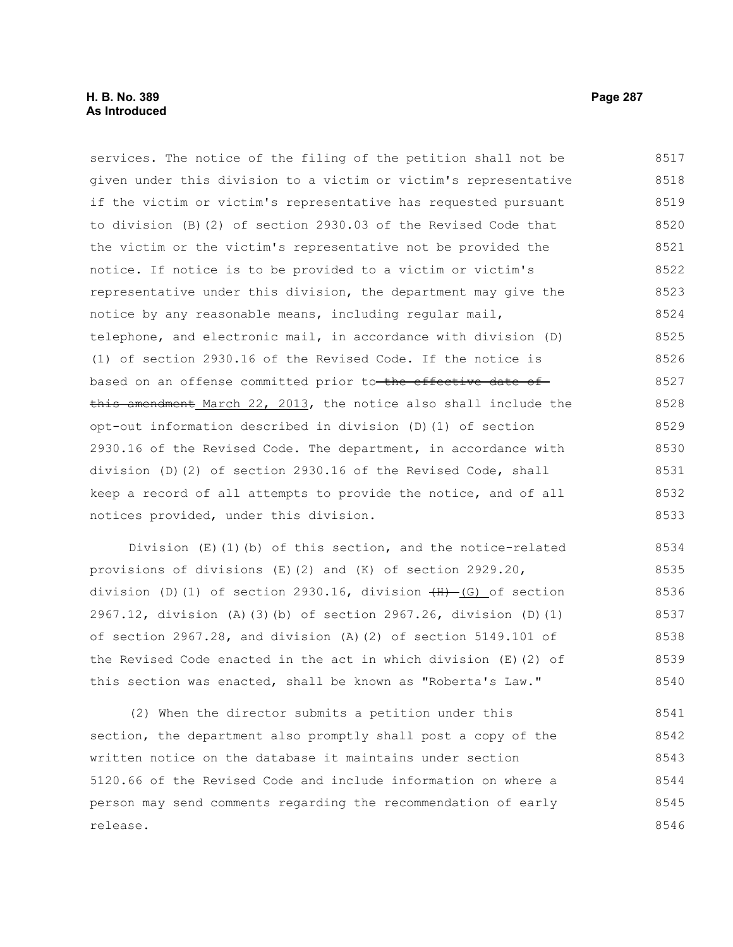services. The notice of the filing of the petition shall not be given under this division to a victim or victim's representative if the victim or victim's representative has requested pursuant to division (B)(2) of section 2930.03 of the Revised Code that the victim or the victim's representative not be provided the notice. If notice is to be provided to a victim or victim's representative under this division, the department may give the notice by any reasonable means, including regular mail, telephone, and electronic mail, in accordance with division (D) (1) of section 2930.16 of the Revised Code. If the notice is based on an offense committed prior to the effective date of this amendment March 22, 2013, the notice also shall include the opt-out information described in division (D)(1) of section 2930.16 of the Revised Code. The department, in accordance with division (D)(2) of section 2930.16 of the Revised Code, shall keep a record of all attempts to provide the notice, and of all notices provided, under this division. 8517 8518 8519 8520 8521 8522 8523 8524 8525 8526 8527 8528 8529 8530 8531 8532 8533

Division  $(E)$  (1)(b) of this section, and the notice-related provisions of divisions (E)(2) and (K) of section 2929.20, division (D)(1) of section 2930.16, division  $(H)$  (G) of section 2967.12, division (A)(3)(b) of section 2967.26, division (D)(1) of section 2967.28, and division (A)(2) of section 5149.101 of the Revised Code enacted in the act in which division (E)(2) of this section was enacted, shall be known as "Roberta's Law." 8534 8535 8536 8537 8538 8539 8540

(2) When the director submits a petition under this section, the department also promptly shall post a copy of the written notice on the database it maintains under section 5120.66 of the Revised Code and include information on where a person may send comments regarding the recommendation of early release. 8541 8542 8543 8544 8545 8546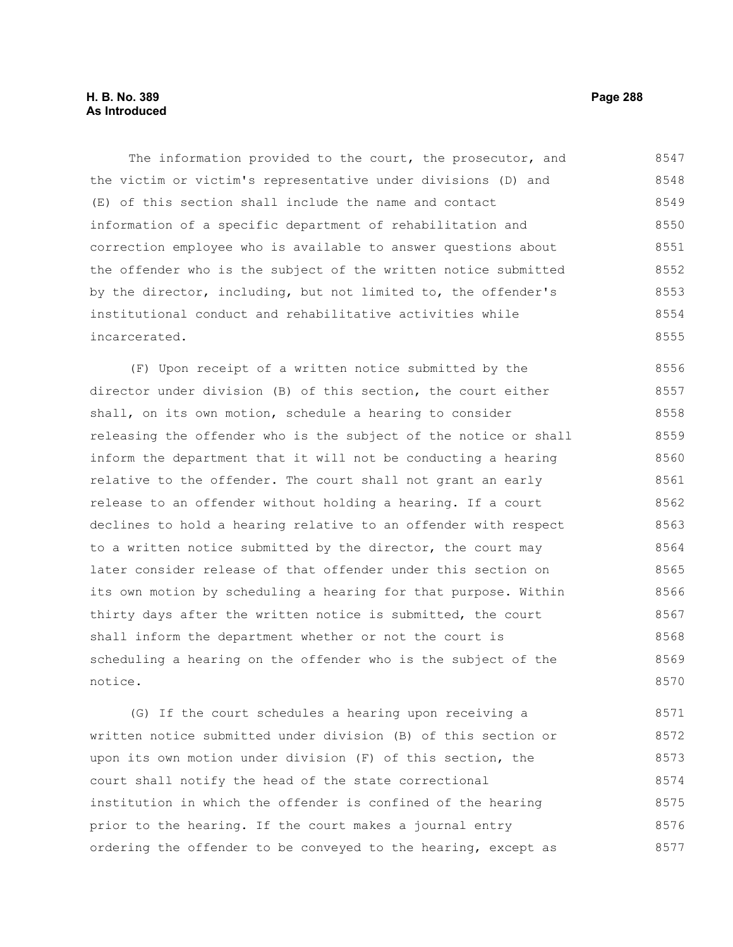# **H. B. No. 389 Page 288 As Introduced**

The information provided to the court, the prosecutor, and the victim or victim's representative under divisions (D) and (E) of this section shall include the name and contact information of a specific department of rehabilitation and correction employee who is available to answer questions about the offender who is the subject of the written notice submitted by the director, including, but not limited to, the offender's institutional conduct and rehabilitative activities while incarcerated. 8547 8548 8549 8550 8551 8552 8553 8554 8555

(F) Upon receipt of a written notice submitted by the director under division (B) of this section, the court either shall, on its own motion, schedule a hearing to consider releasing the offender who is the subject of the notice or shall inform the department that it will not be conducting a hearing relative to the offender. The court shall not grant an early release to an offender without holding a hearing. If a court declines to hold a hearing relative to an offender with respect to a written notice submitted by the director, the court may later consider release of that offender under this section on its own motion by scheduling a hearing for that purpose. Within thirty days after the written notice is submitted, the court shall inform the department whether or not the court is scheduling a hearing on the offender who is the subject of the notice. 8556 8557 8558 8559 8560 8561 8562 8563 8564 8565 8566 8567 8568 8569 8570

(G) If the court schedules a hearing upon receiving a written notice submitted under division (B) of this section or upon its own motion under division (F) of this section, the court shall notify the head of the state correctional institution in which the offender is confined of the hearing prior to the hearing. If the court makes a journal entry ordering the offender to be conveyed to the hearing, except as 8571 8572 8573 8574 8575 8576 8577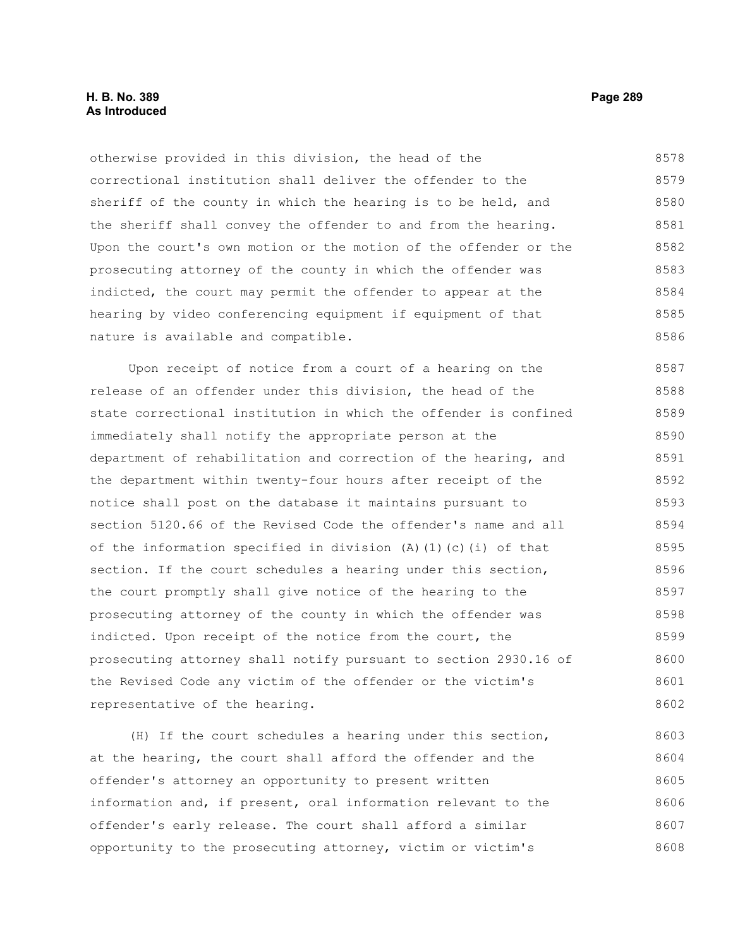# **H. B. No. 389 Page 289 As Introduced**

otherwise provided in this division, the head of the correctional institution shall deliver the offender to the sheriff of the county in which the hearing is to be held, and the sheriff shall convey the offender to and from the hearing. Upon the court's own motion or the motion of the offender or the prosecuting attorney of the county in which the offender was indicted, the court may permit the offender to appear at the hearing by video conferencing equipment if equipment of that nature is available and compatible. 8578 8579 8580 8581 8582 8583 8584 8585 8586

Upon receipt of notice from a court of a hearing on the release of an offender under this division, the head of the state correctional institution in which the offender is confined immediately shall notify the appropriate person at the department of rehabilitation and correction of the hearing, and the department within twenty-four hours after receipt of the notice shall post on the database it maintains pursuant to section 5120.66 of the Revised Code the offender's name and all of the information specified in division  $(A)$   $(1)$   $(c)$   $(i)$  of that section. If the court schedules a hearing under this section, the court promptly shall give notice of the hearing to the prosecuting attorney of the county in which the offender was indicted. Upon receipt of the notice from the court, the prosecuting attorney shall notify pursuant to section 2930.16 of the Revised Code any victim of the offender or the victim's representative of the hearing. 8587 8588 8589 8590 8591 8592 8593 8594 8595 8596 8597 8598 8599 8600 8601 8602

(H) If the court schedules a hearing under this section, at the hearing, the court shall afford the offender and the offender's attorney an opportunity to present written information and, if present, oral information relevant to the offender's early release. The court shall afford a similar opportunity to the prosecuting attorney, victim or victim's 8603 8604 8605 8606 8607 8608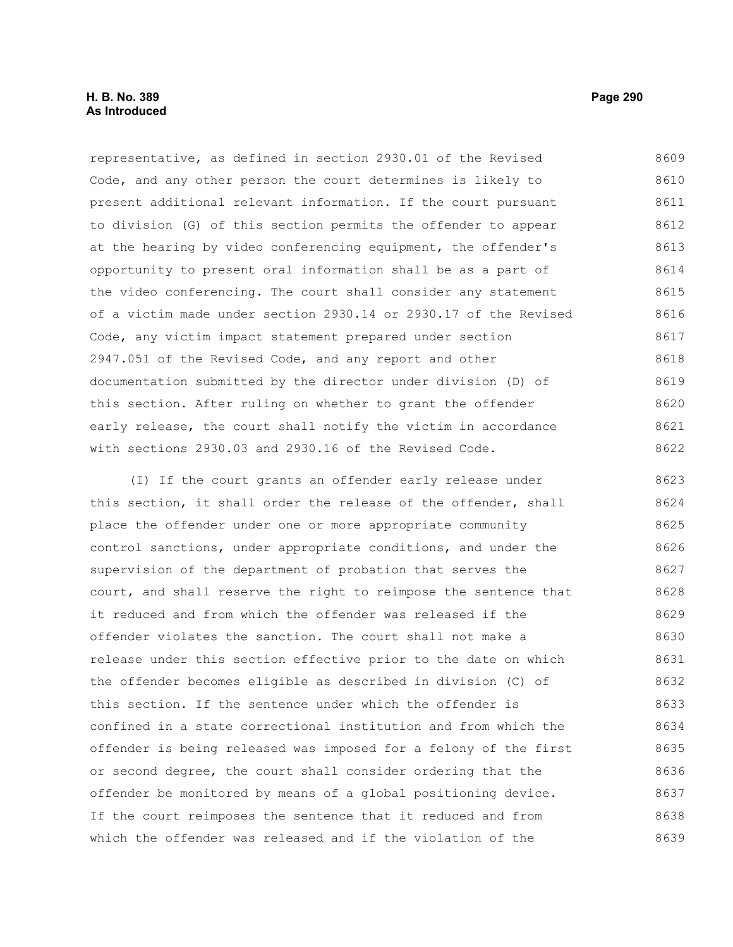representative, as defined in section 2930.01 of the Revised Code, and any other person the court determines is likely to present additional relevant information. If the court pursuant to division (G) of this section permits the offender to appear at the hearing by video conferencing equipment, the offender's opportunity to present oral information shall be as a part of the video conferencing. The court shall consider any statement of a victim made under section 2930.14 or 2930.17 of the Revised Code, any victim impact statement prepared under section 2947.051 of the Revised Code, and any report and other documentation submitted by the director under division (D) of this section. After ruling on whether to grant the offender early release, the court shall notify the victim in accordance with sections 2930.03 and 2930.16 of the Revised Code. 8609 8610 8611 8612 8613 8614 8615 8616 8617 8618 8619 8620 8621 8622

(I) If the court grants an offender early release under this section, it shall order the release of the offender, shall place the offender under one or more appropriate community control sanctions, under appropriate conditions, and under the supervision of the department of probation that serves the court, and shall reserve the right to reimpose the sentence that it reduced and from which the offender was released if the offender violates the sanction. The court shall not make a release under this section effective prior to the date on which the offender becomes eligible as described in division (C) of this section. If the sentence under which the offender is confined in a state correctional institution and from which the offender is being released was imposed for a felony of the first or second degree, the court shall consider ordering that the offender be monitored by means of a global positioning device. If the court reimposes the sentence that it reduced and from which the offender was released and if the violation of the 8623 8624 8625 8626 8627 8628 8629 8630 8631 8632 8633 8634 8635 8636 8637 8638 8639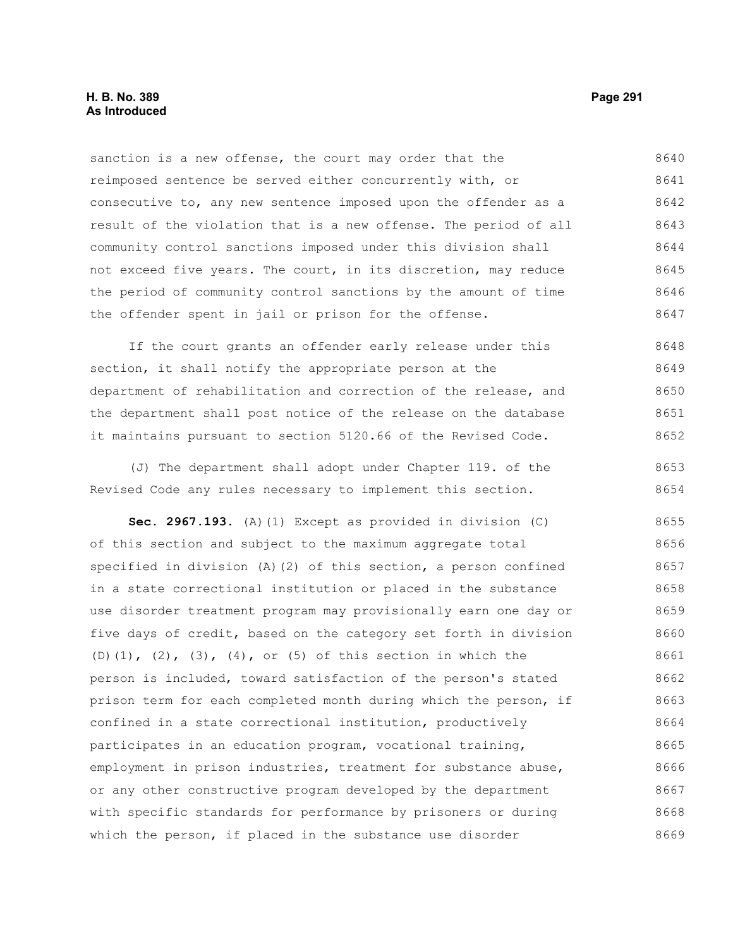sanction is a new offense, the court may order that the reimposed sentence be served either concurrently with, or consecutive to, any new sentence imposed upon the offender as a result of the violation that is a new offense. The period of all community control sanctions imposed under this division shall not exceed five years. The court, in its discretion, may reduce the period of community control sanctions by the amount of time the offender spent in jail or prison for the offense. 8640 8641 8642 8643 8644 8645 8646 8647

If the court grants an offender early release under this section, it shall notify the appropriate person at the department of rehabilitation and correction of the release, and the department shall post notice of the release on the database it maintains pursuant to section 5120.66 of the Revised Code. 8648 8649 8650 8651 8652

(J) The department shall adopt under Chapter 119. of the Revised Code any rules necessary to implement this section. 8653 8654

**Sec. 2967.193.** (A)(1) Except as provided in division (C) of this section and subject to the maximum aggregate total specified in division (A)(2) of this section, a person confined in a state correctional institution or placed in the substance use disorder treatment program may provisionally earn one day or five days of credit, based on the category set forth in division (D)(1),  $(2)$ ,  $(3)$ ,  $(4)$ , or  $(5)$  of this section in which the person is included, toward satisfaction of the person's stated prison term for each completed month during which the person, if confined in a state correctional institution, productively participates in an education program, vocational training, employment in prison industries, treatment for substance abuse, or any other constructive program developed by the department with specific standards for performance by prisoners or during which the person, if placed in the substance use disorder 8655 8656 8657 8658 8659 8660 8661 8662 8663 8664 8665 8666 8667 8668 8669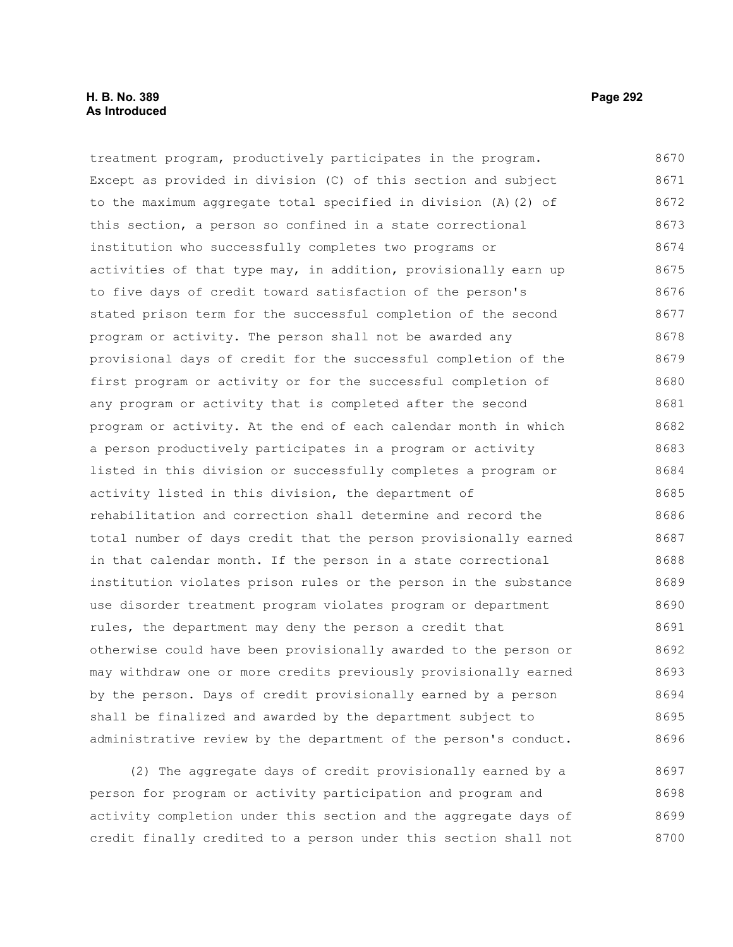# **H. B. No. 389 Page 292 As Introduced**

treatment program, productively participates in the program. Except as provided in division (C) of this section and subject to the maximum aggregate total specified in division (A)(2) of this section, a person so confined in a state correctional institution who successfully completes two programs or activities of that type may, in addition, provisionally earn up to five days of credit toward satisfaction of the person's stated prison term for the successful completion of the second program or activity. The person shall not be awarded any provisional days of credit for the successful completion of the first program or activity or for the successful completion of any program or activity that is completed after the second program or activity. At the end of each calendar month in which a person productively participates in a program or activity listed in this division or successfully completes a program or activity listed in this division, the department of rehabilitation and correction shall determine and record the total number of days credit that the person provisionally earned in that calendar month. If the person in a state correctional institution violates prison rules or the person in the substance use disorder treatment program violates program or department rules, the department may deny the person a credit that otherwise could have been provisionally awarded to the person or may withdraw one or more credits previously provisionally earned by the person. Days of credit provisionally earned by a person shall be finalized and awarded by the department subject to administrative review by the department of the person's conduct. 8670 8671 8672 8673 8674 8675 8676 8677 8678 8679 8680 8681 8682 8683 8684 8685 8686 8687 8688 8689 8690 8691 8692 8693 8694 8695 8696

(2) The aggregate days of credit provisionally earned by a person for program or activity participation and program and activity completion under this section and the aggregate days of credit finally credited to a person under this section shall not 8697 8698 8699 8700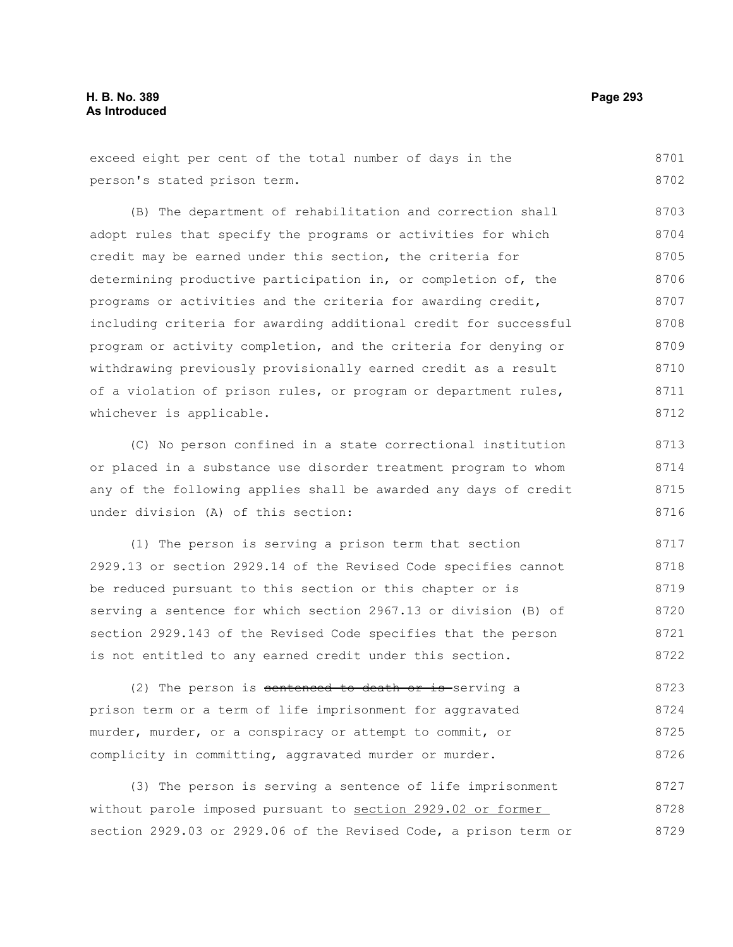exceed eight per cent of the total number of days in the person's stated prison term. 8701 8702

(B) The department of rehabilitation and correction shall adopt rules that specify the programs or activities for which credit may be earned under this section, the criteria for determining productive participation in, or completion of, the programs or activities and the criteria for awarding credit, including criteria for awarding additional credit for successful program or activity completion, and the criteria for denying or withdrawing previously provisionally earned credit as a result of a violation of prison rules, or program or department rules, whichever is applicable. 8703 8704 8705 8706 8707 8708 8709 8710 8711 8712

(C) No person confined in a state correctional institution or placed in a substance use disorder treatment program to whom any of the following applies shall be awarded any days of credit under division (A) of this section: 8713 8714 8715 8716

(1) The person is serving a prison term that section 2929.13 or section 2929.14 of the Revised Code specifies cannot be reduced pursuant to this section or this chapter or is serving a sentence for which section 2967.13 or division (B) of section 2929.143 of the Revised Code specifies that the person is not entitled to any earned credit under this section. 8717 8718 8719 8720 8721 8722

(2) The person is sentenced to death or is serving a prison term or a term of life imprisonment for aggravated murder, murder, or a conspiracy or attempt to commit, or complicity in committing, aggravated murder or murder. 8723 8724 8725 8726

(3) The person is serving a sentence of life imprisonment without parole imposed pursuant to section 2929.02 or former section 2929.03 or 2929.06 of the Revised Code, a prison term or 8727 8728 8729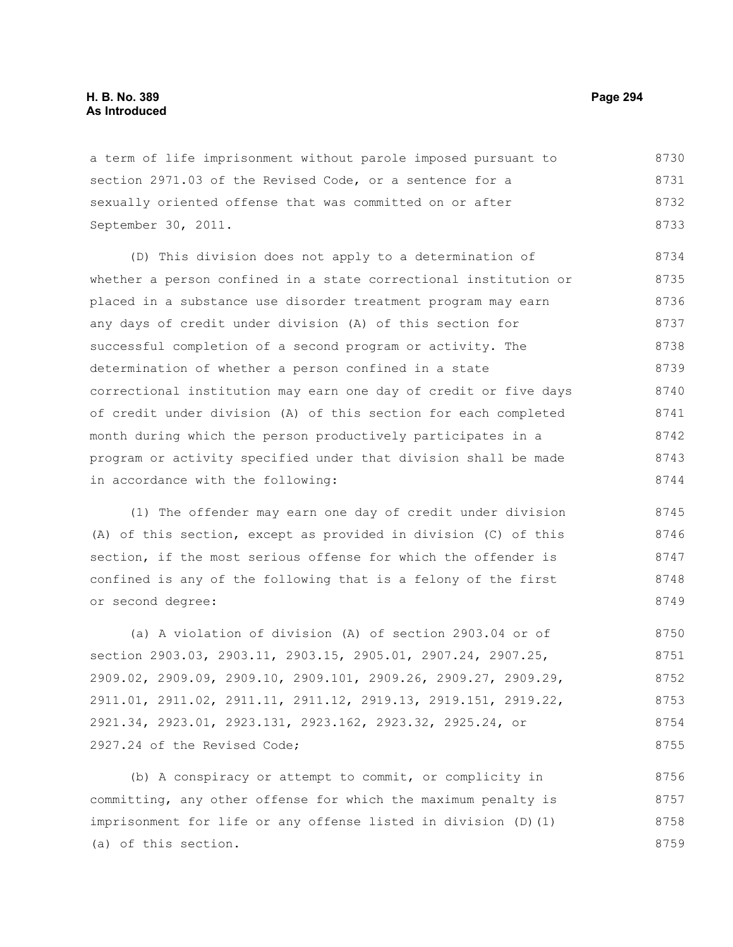# **H. B. No. 389 Page 294 As Introduced**

a term of life imprisonment without parole imposed pursuant to section 2971.03 of the Revised Code, or a sentence for a sexually oriented offense that was committed on or after September 30, 2011. 8730 8731 8732 8733

(D) This division does not apply to a determination of whether a person confined in a state correctional institution or placed in a substance use disorder treatment program may earn any days of credit under division (A) of this section for successful completion of a second program or activity. The determination of whether a person confined in a state correctional institution may earn one day of credit or five days of credit under division (A) of this section for each completed month during which the person productively participates in a program or activity specified under that division shall be made in accordance with the following: 8734 8735 8736 8737 8738 8739 8740 8741 8742 8743 8744

(1) The offender may earn one day of credit under division (A) of this section, except as provided in division (C) of this section, if the most serious offense for which the offender is confined is any of the following that is a felony of the first or second degree: 8745 8746 8747 8748 8749

(a) A violation of division (A) of section 2903.04 or of section 2903.03, 2903.11, 2903.15, 2905.01, 2907.24, 2907.25, 2909.02, 2909.09, 2909.10, 2909.101, 2909.26, 2909.27, 2909.29, 2911.01, 2911.02, 2911.11, 2911.12, 2919.13, 2919.151, 2919.22, 2921.34, 2923.01, 2923.131, 2923.162, 2923.32, 2925.24, or 2927.24 of the Revised Code; 8750 8751 8752 8753 8754 8755

(b) A conspiracy or attempt to commit, or complicity in committing, any other offense for which the maximum penalty is imprisonment for life or any offense listed in division (D)(1) (a) of this section. 8756 8757 8758 8759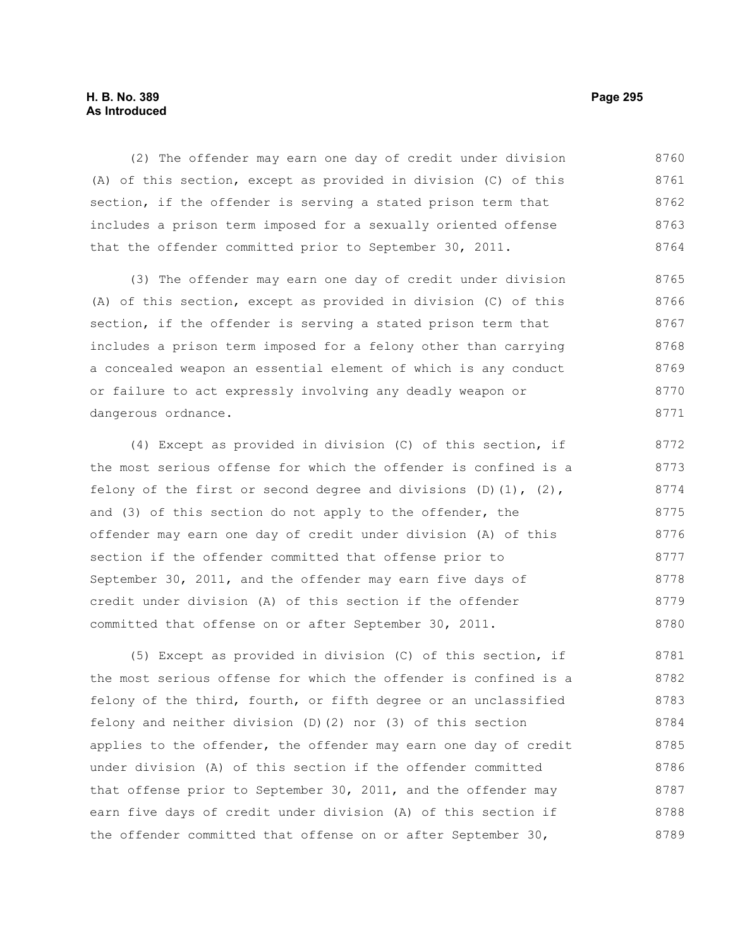# **H. B. No. 389 Page 295 As Introduced**

(2) The offender may earn one day of credit under division (A) of this section, except as provided in division (C) of this section, if the offender is serving a stated prison term that includes a prison term imposed for a sexually oriented offense that the offender committed prior to September 30, 2011. 8760 8761 8762 8763 8764

(3) The offender may earn one day of credit under division (A) of this section, except as provided in division (C) of this section, if the offender is serving a stated prison term that includes a prison term imposed for a felony other than carrying a concealed weapon an essential element of which is any conduct or failure to act expressly involving any deadly weapon or dangerous ordnance. 8765 8766 8767 8768 8769 8770 8771

(4) Except as provided in division (C) of this section, if the most serious offense for which the offender is confined is a felony of the first or second degree and divisions  $(D)(1)$ ,  $(2)$ , and (3) of this section do not apply to the offender, the offender may earn one day of credit under division (A) of this section if the offender committed that offense prior to September 30, 2011, and the offender may earn five days of credit under division (A) of this section if the offender committed that offense on or after September 30, 2011. 8772 8773 8774 8775 8776 8777 8778 8779 8780

(5) Except as provided in division (C) of this section, if the most serious offense for which the offender is confined is a felony of the third, fourth, or fifth degree or an unclassified felony and neither division (D)(2) nor (3) of this section applies to the offender, the offender may earn one day of credit under division (A) of this section if the offender committed that offense prior to September 30, 2011, and the offender may earn five days of credit under division (A) of this section if the offender committed that offense on or after September 30, 8781 8782 8783 8784 8785 8786 8787 8788 8789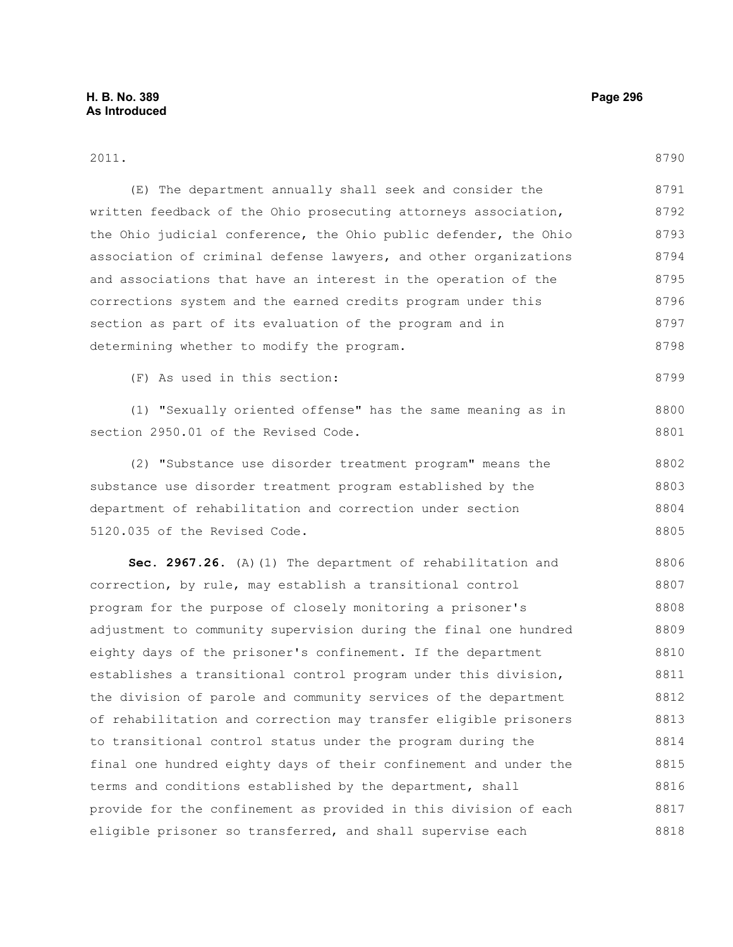8798

8799

| 2011.                                                            | 8790 |
|------------------------------------------------------------------|------|
| (E) The department annually shall seek and consider the          | 8791 |
| written feedback of the Ohio prosecuting attorneys association,  | 8792 |
| the Ohio judicial conference, the Ohio public defender, the Ohio | 8793 |
| association of criminal defense lawyers, and other organizations | 8794 |
| and associations that have an interest in the operation of the   | 8795 |
| corrections system and the earned credits program under this     | 8796 |
| section as part of its evaluation of the program and in          | 8797 |

(F) As used in this section:

determining whether to modify the program.

(1) "Sexually oriented offense" has the same meaning as in section 2950.01 of the Revised Code. 8800 8801

(2) "Substance use disorder treatment program" means the substance use disorder treatment program established by the department of rehabilitation and correction under section 5120.035 of the Revised Code. 8802 8803 8804 8805

Sec. 2967.26. (A)(1) The department of rehabilitation and correction, by rule, may establish a transitional control program for the purpose of closely monitoring a prisoner's adjustment to community supervision during the final one hundred eighty days of the prisoner's confinement. If the department establishes a transitional control program under this division, the division of parole and community services of the department of rehabilitation and correction may transfer eligible prisoners to transitional control status under the program during the final one hundred eighty days of their confinement and under the terms and conditions established by the department, shall provide for the confinement as provided in this division of each eligible prisoner so transferred, and shall supervise each 8806 8807 8808 8809 8810 8811 8812 8813 8814 8815 8816 8817 8818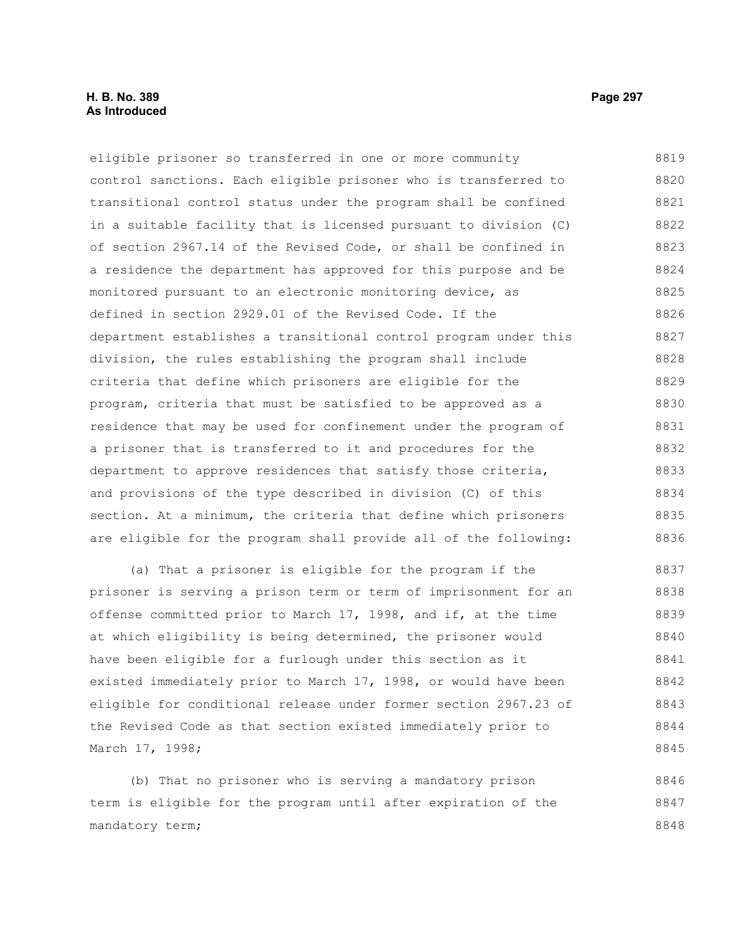# **H. B. No. 389 Page 297 As Introduced**

eligible prisoner so transferred in one or more community control sanctions. Each eligible prisoner who is transferred to transitional control status under the program shall be confined in a suitable facility that is licensed pursuant to division (C) of section 2967.14 of the Revised Code, or shall be confined in a residence the department has approved for this purpose and be monitored pursuant to an electronic monitoring device, as defined in section 2929.01 of the Revised Code. If the department establishes a transitional control program under this division, the rules establishing the program shall include criteria that define which prisoners are eligible for the program, criteria that must be satisfied to be approved as a residence that may be used for confinement under the program of a prisoner that is transferred to it and procedures for the department to approve residences that satisfy those criteria, and provisions of the type described in division (C) of this section. At a minimum, the criteria that define which prisoners are eligible for the program shall provide all of the following: (a) That a prisoner is eligible for the program if the 8819 8820 8821 8822 8823 8824 8825 8826 8827 8828 8829 8830 8831 8832 8833 8834 8835 8836 8837

prisoner is serving a prison term or term of imprisonment for an offense committed prior to March 17, 1998, and if, at the time at which eligibility is being determined, the prisoner would have been eligible for a furlough under this section as it existed immediately prior to March 17, 1998, or would have been eligible for conditional release under former section 2967.23 of the Revised Code as that section existed immediately prior to March 17, 1998; 8838 8839 8840 8841 8842 8843 8844 8845

(b) That no prisoner who is serving a mandatory prison term is eligible for the program until after expiration of the mandatory term; 8846 8847 8848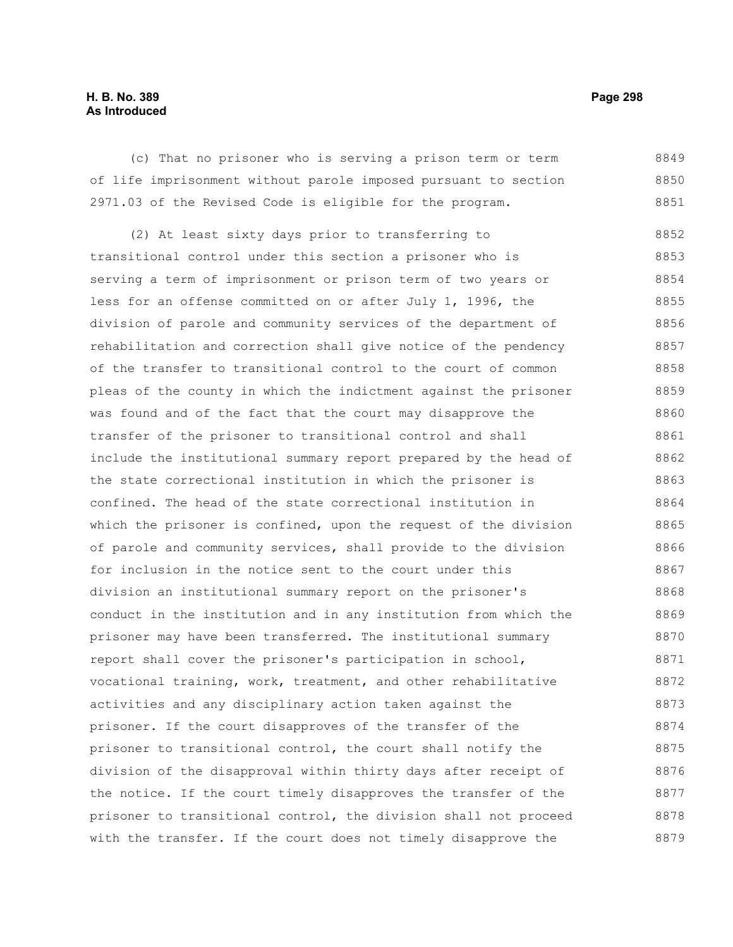# **H. B. No. 389 Page 298 As Introduced**

(c) That no prisoner who is serving a prison term or term of life imprisonment without parole imposed pursuant to section 2971.03 of the Revised Code is eligible for the program. 8849 8850 8851

(2) At least sixty days prior to transferring to transitional control under this section a prisoner who is serving a term of imprisonment or prison term of two years or less for an offense committed on or after July 1, 1996, the division of parole and community services of the department of rehabilitation and correction shall give notice of the pendency of the transfer to transitional control to the court of common pleas of the county in which the indictment against the prisoner was found and of the fact that the court may disapprove the transfer of the prisoner to transitional control and shall include the institutional summary report prepared by the head of the state correctional institution in which the prisoner is confined. The head of the state correctional institution in which the prisoner is confined, upon the request of the division of parole and community services, shall provide to the division for inclusion in the notice sent to the court under this division an institutional summary report on the prisoner's conduct in the institution and in any institution from which the prisoner may have been transferred. The institutional summary report shall cover the prisoner's participation in school, vocational training, work, treatment, and other rehabilitative activities and any disciplinary action taken against the prisoner. If the court disapproves of the transfer of the prisoner to transitional control, the court shall notify the division of the disapproval within thirty days after receipt of the notice. If the court timely disapproves the transfer of the prisoner to transitional control, the division shall not proceed with the transfer. If the court does not timely disapprove the 8852 8853 8854 8855 8856 8857 8858 8859 8860 8861 8862 8863 8864 8865 8866 8867 8868 8869 8870 8871 8872 8873 8874 8875 8876 8877 8878 8879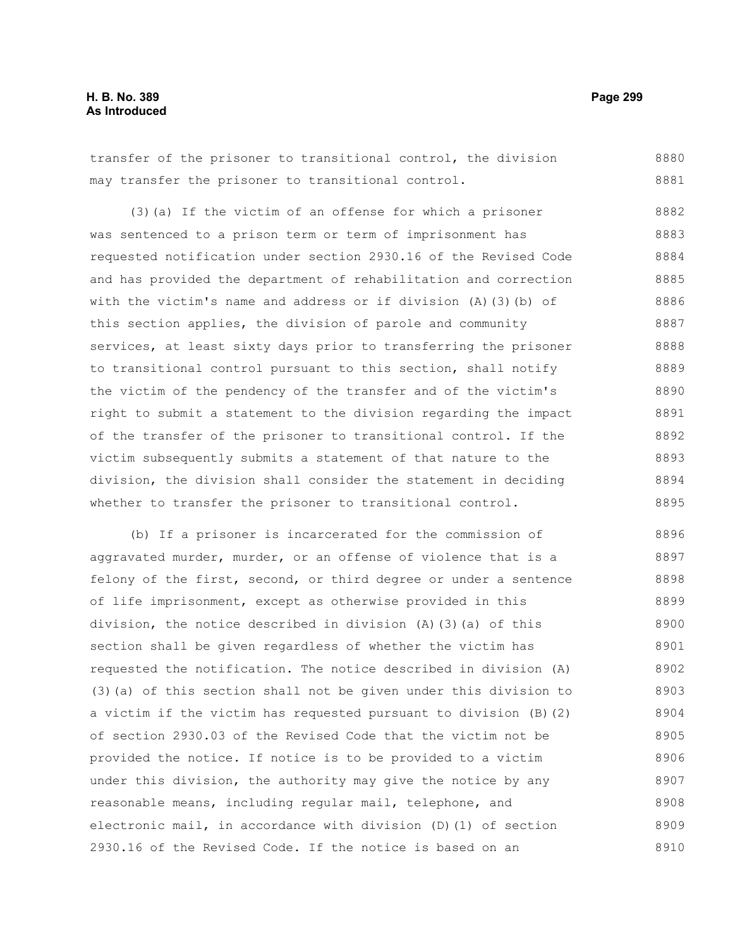transfer of the prisoner to transitional control, the division may transfer the prisoner to transitional control. 8880 8881

(3)(a) If the victim of an offense for which a prisoner was sentenced to a prison term or term of imprisonment has requested notification under section 2930.16 of the Revised Code and has provided the department of rehabilitation and correction with the victim's name and address or if division (A)(3)(b) of this section applies, the division of parole and community services, at least sixty days prior to transferring the prisoner to transitional control pursuant to this section, shall notify the victim of the pendency of the transfer and of the victim's right to submit a statement to the division regarding the impact of the transfer of the prisoner to transitional control. If the victim subsequently submits a statement of that nature to the division, the division shall consider the statement in deciding whether to transfer the prisoner to transitional control. 8882 8883 8884 8885 8886 8887 8888 8889 8890 8891 8892 8893 8894 8895

(b) If a prisoner is incarcerated for the commission of aggravated murder, murder, or an offense of violence that is a felony of the first, second, or third degree or under a sentence of life imprisonment, except as otherwise provided in this division, the notice described in division (A)(3)(a) of this section shall be given regardless of whether the victim has requested the notification. The notice described in division (A) (3)(a) of this section shall not be given under this division to a victim if the victim has requested pursuant to division (B)(2) of section 2930.03 of the Revised Code that the victim not be provided the notice. If notice is to be provided to a victim under this division, the authority may give the notice by any reasonable means, including regular mail, telephone, and electronic mail, in accordance with division (D)(1) of section 2930.16 of the Revised Code. If the notice is based on an 8896 8897 8898 8899 8900 8901 8902 8903 8904 8905 8906 8907 8908 8909 8910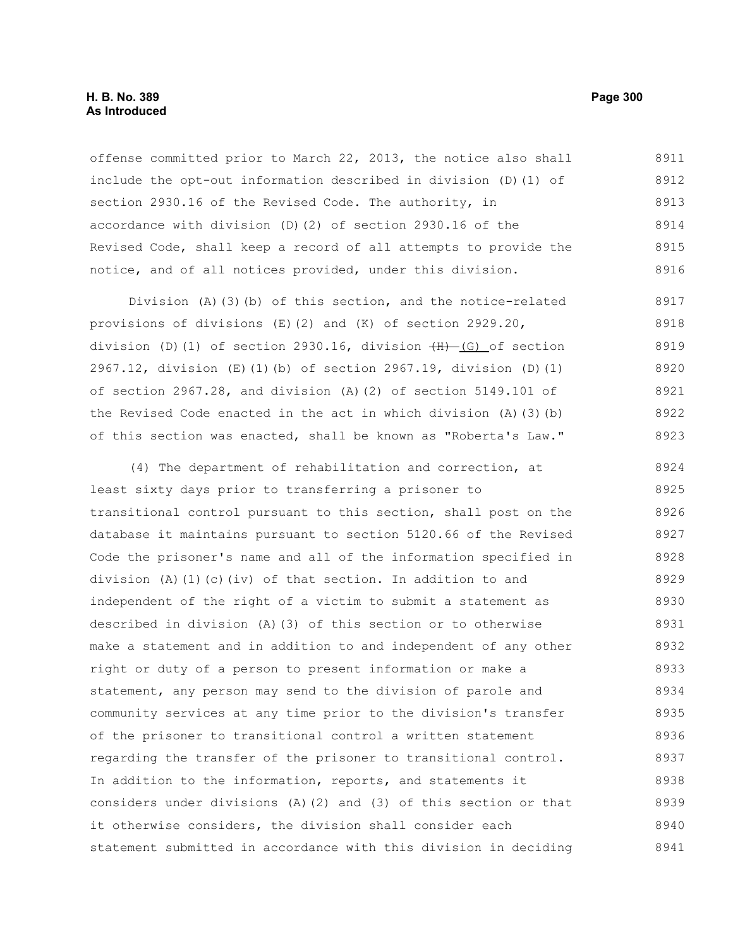# **H. B. No. 389 Page 300 As Introduced**

offense committed prior to March 22, 2013, the notice also shall include the opt-out information described in division (D)(1) of section 2930.16 of the Revised Code. The authority, in accordance with division (D)(2) of section 2930.16 of the Revised Code, shall keep a record of all attempts to provide the notice, and of all notices provided, under this division. 8911 8912 8913 8914 8915 8916

Division (A)(3)(b) of this section, and the notice-related provisions of divisions (E)(2) and (K) of section 2929.20, division (D)(1) of section 2930.16, division  $(H)$  (G) of section 2967.12, division (E)(1)(b) of section 2967.19, division (D)(1) of section 2967.28, and division (A)(2) of section 5149.101 of the Revised Code enacted in the act in which division (A)(3)(b) of this section was enacted, shall be known as "Roberta's Law." 8917 8918 8919 8920 8921 8922 8923

(4) The department of rehabilitation and correction, at least sixty days prior to transferring a prisoner to transitional control pursuant to this section, shall post on the database it maintains pursuant to section 5120.66 of the Revised Code the prisoner's name and all of the information specified in division (A)(1)(c)(iv) of that section. In addition to and independent of the right of a victim to submit a statement as described in division (A)(3) of this section or to otherwise make a statement and in addition to and independent of any other right or duty of a person to present information or make a statement, any person may send to the division of parole and community services at any time prior to the division's transfer of the prisoner to transitional control a written statement regarding the transfer of the prisoner to transitional control. In addition to the information, reports, and statements it considers under divisions (A)(2) and (3) of this section or that it otherwise considers, the division shall consider each statement submitted in accordance with this division in deciding 8924 8925 8926 8927 8928 8929 8930 8931 8932 8933 8934 8935 8936 8937 8938 8939 8940 8941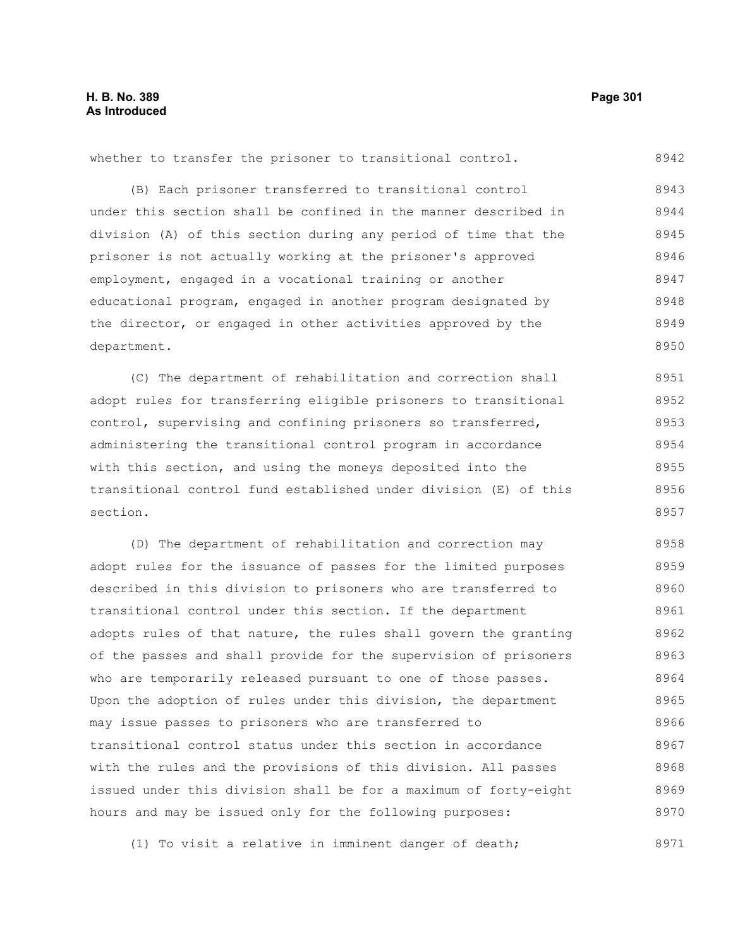### whether to transfer the prisoner to transitional control. (B) Each prisoner transferred to transitional control under this section shall be confined in the manner described in division (A) of this section during any period of time that the prisoner is not actually working at the prisoner's approved employment, engaged in a vocational training or another educational program, engaged in another program designated by the director, or engaged in other activities approved by the department. 8942 8943 8944 8945 8946 8947 8948 8949 8950

(C) The department of rehabilitation and correction shall adopt rules for transferring eligible prisoners to transitional control, supervising and confining prisoners so transferred, administering the transitional control program in accordance with this section, and using the moneys deposited into the transitional control fund established under division (E) of this section. 8951 8952 8953 8954 8955 8956 8957

(D) The department of rehabilitation and correction may adopt rules for the issuance of passes for the limited purposes described in this division to prisoners who are transferred to transitional control under this section. If the department adopts rules of that nature, the rules shall govern the granting of the passes and shall provide for the supervision of prisoners who are temporarily released pursuant to one of those passes. Upon the adoption of rules under this division, the department may issue passes to prisoners who are transferred to transitional control status under this section in accordance with the rules and the provisions of this division. All passes issued under this division shall be for a maximum of forty-eight hours and may be issued only for the following purposes: 8958 8959 8960 8961 8962 8963 8964 8965 8966 8967 8968 8969 8970

(1) To visit a relative in imminent danger of death; 8971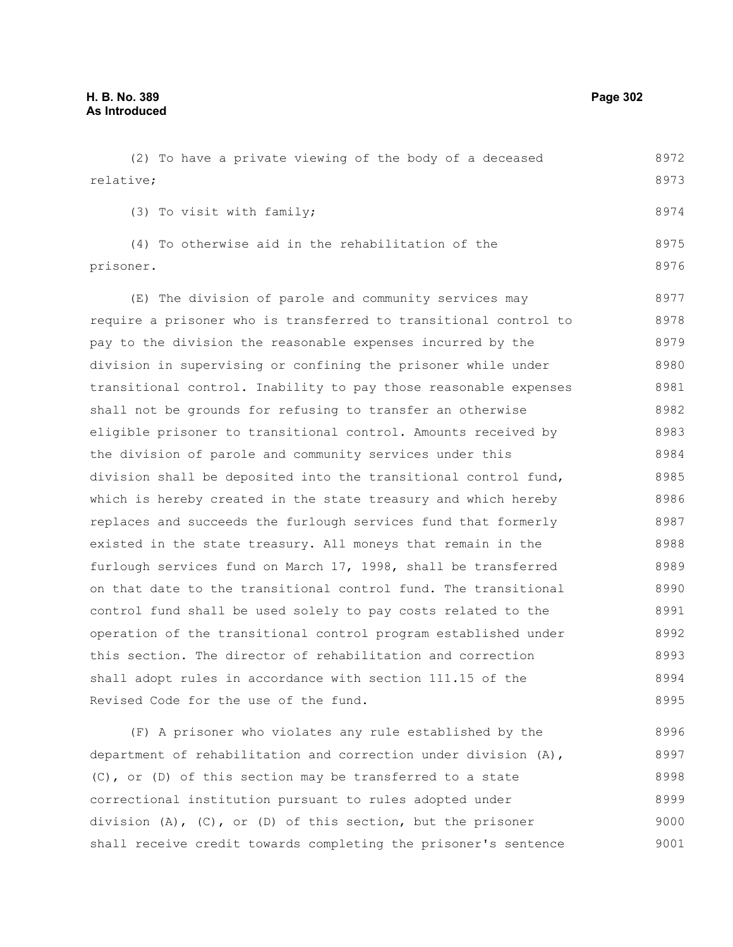(2) To have a private viewing of the body of a deceased relative; (3) To visit with family; (4) To otherwise aid in the rehabilitation of the prisoner. (E) The division of parole and community services may require a prisoner who is transferred to transitional control to pay to the division the reasonable expenses incurred by the division in supervising or confining the prisoner while under transitional control. Inability to pay those reasonable expenses shall not be grounds for refusing to transfer an otherwise eligible prisoner to transitional control. Amounts received by the division of parole and community services under this division shall be deposited into the transitional control fund, which is hereby created in the state treasury and which hereby replaces and succeeds the furlough services fund that formerly existed in the state treasury. All moneys that remain in the furlough services fund on March 17, 1998, shall be transferred on that date to the transitional control fund. The transitional control fund shall be used solely to pay costs related to the operation of the transitional control program established under this section. The director of rehabilitation and correction shall adopt rules in accordance with section 111.15 of the 8972 8973 8974 8975 8976 8977 8978 8979 8980 8981 8982 8983 8984 8985 8986 8987 8988 8989 8990 8991 8992 8993 8994

(F) A prisoner who violates any rule established by the department of rehabilitation and correction under division (A), (C), or (D) of this section may be transferred to a state correctional institution pursuant to rules adopted under division (A), (C), or (D) of this section, but the prisoner shall receive credit towards completing the prisoner's sentence 8996 8997 8998 8999 9000 9001

Revised Code for the use of the fund.

8995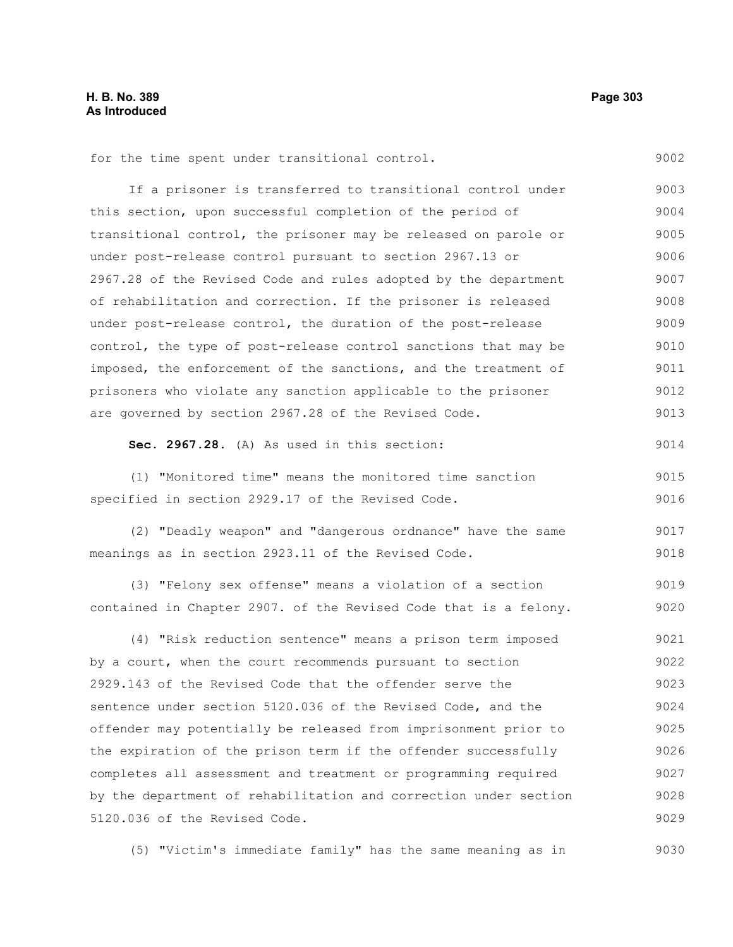9002

for the time spent under transitional control.

If a prisoner is transferred to transitional control under this section, upon successful completion of the period of transitional control, the prisoner may be released on parole or under post-release control pursuant to section 2967.13 or 2967.28 of the Revised Code and rules adopted by the department of rehabilitation and correction. If the prisoner is released under post-release control, the duration of the post-release control, the type of post-release control sanctions that may be imposed, the enforcement of the sanctions, and the treatment of prisoners who violate any sanction applicable to the prisoner are governed by section 2967.28 of the Revised Code. 9003 9004 9005 9006 9007 9008 9009 9010 9011 9012 9013

### **Sec. 2967.28.** (A) As used in this section: 9014

(1) "Monitored time" means the monitored time sanction specified in section 2929.17 of the Revised Code. 9015 9016

(2) "Deadly weapon" and "dangerous ordnance" have the same meanings as in section 2923.11 of the Revised Code. 9017 9018

(3) "Felony sex offense" means a violation of a section contained in Chapter 2907. of the Revised Code that is a felony. 9019 9020

(4) "Risk reduction sentence" means a prison term imposed by a court, when the court recommends pursuant to section 2929.143 of the Revised Code that the offender serve the sentence under section 5120.036 of the Revised Code, and the offender may potentially be released from imprisonment prior to the expiration of the prison term if the offender successfully completes all assessment and treatment or programming required by the department of rehabilitation and correction under section 5120.036 of the Revised Code. 9021 9022 9023 9024 9025 9026 9027 9028 9029

(5) "Victim's immediate family" has the same meaning as in 9030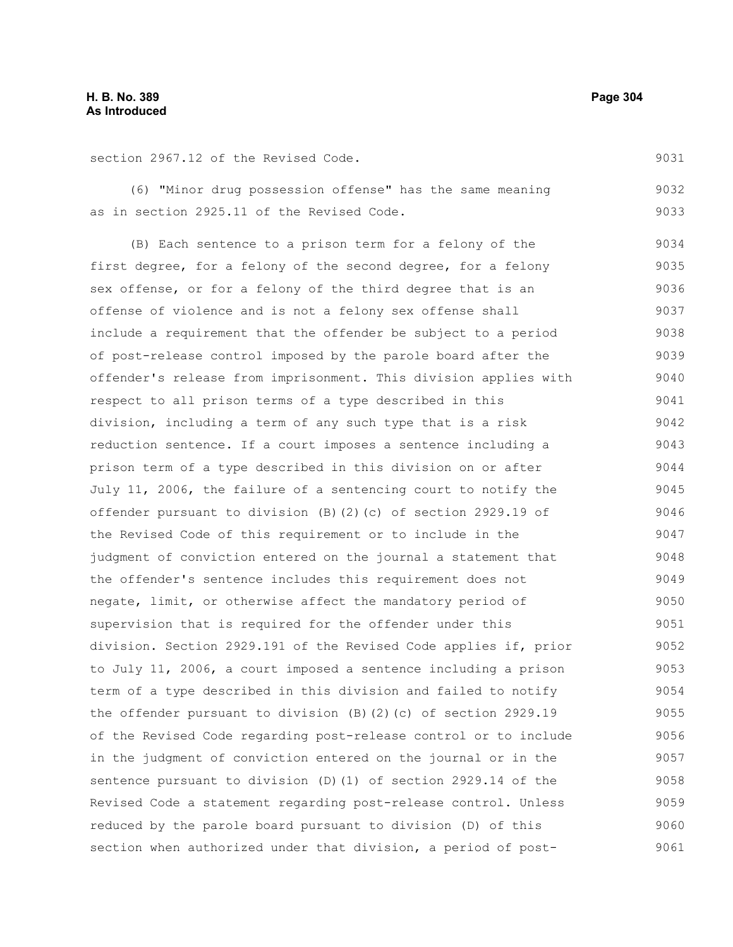| section 2967.12 of the Revised Code.                                   | 9031 |
|------------------------------------------------------------------------|------|
| (6) "Minor drug possession offense" has the same meaning               | 9032 |
| as in section 2925.11 of the Revised Code.                             | 9033 |
| (B) Each sentence to a prison term for a felony of the                 | 9034 |
| first degree, for a felony of the second degree, for a felony          | 9035 |
| sex offense, or for a felony of the third degree that is an            | 9036 |
| offense of violence and is not a felony sex offense shall              | 9037 |
| include a requirement that the offender be subject to a period         | 9038 |
| of post-release control imposed by the parole board after the          | 9039 |
| offender's release from imprisonment. This division applies with       | 9040 |
| respect to all prison terms of a type described in this                | 9041 |
| division, including a term of any such type that is a risk             | 9042 |
| reduction sentence. If a court imposes a sentence including a          | 9043 |
| prison term of a type described in this division on or after           | 9044 |
| July 11, 2006, the failure of a sentencing court to notify the         | 9045 |
| offender pursuant to division (B) (2) (c) of section 2929.19 of        | 9046 |
| the Revised Code of this requirement or to include in the              | 9047 |
| judgment of conviction entered on the journal a statement that         | 9048 |
| the offender's sentence includes this requirement does not             | 9049 |
| negate, limit, or otherwise affect the mandatory period of             | 9050 |
| supervision that is required for the offender under this               | 9051 |
| division. Section 2929.191 of the Revised Code applies if, prior       | 9052 |
| to July 11, 2006, a court imposed a sentence including a prison        | 9053 |
| term of a type described in this division and failed to notify         | 9054 |
| the offender pursuant to division $(B)$ $(2)$ $(c)$ of section 2929.19 | 9055 |
| of the Revised Code regarding post-release control or to include       | 9056 |
| in the judgment of conviction entered on the journal or in the         | 9057 |
| sentence pursuant to division (D) (1) of section 2929.14 of the        | 9058 |
| Revised Code a statement regarding post-release control. Unless        | 9059 |
| reduced by the parole board pursuant to division (D) of this           | 9060 |
| section when authorized under that division, a period of post-         | 9061 |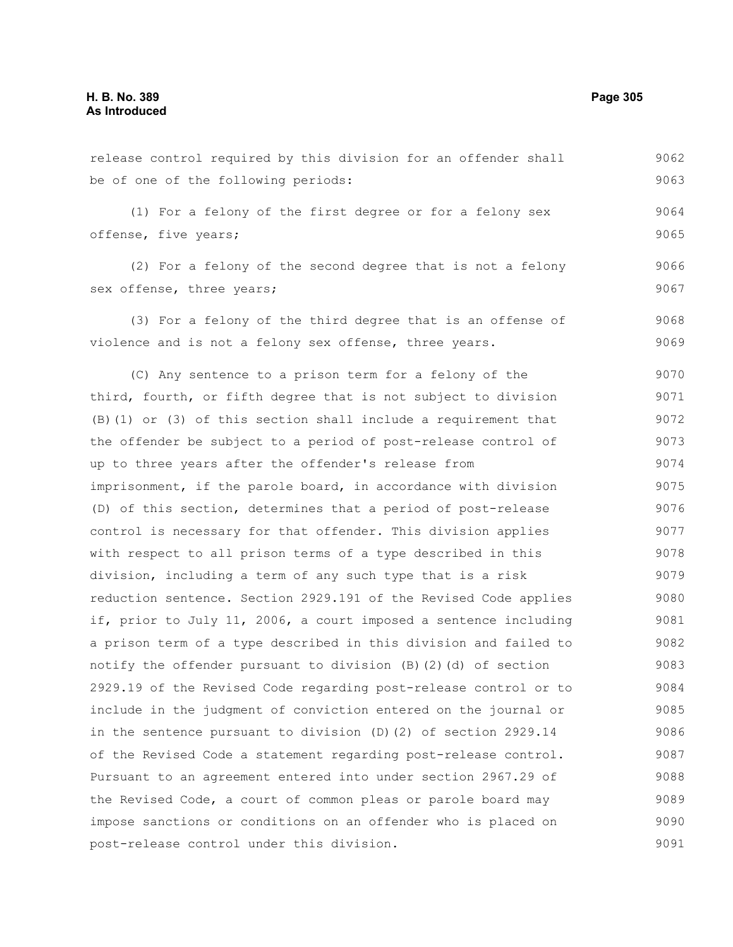## release control required by this division for an offender shall be of one of the following periods: (1) For a felony of the first degree or for a felony sex offense, five years; (2) For a felony of the second degree that is not a felony sex offense, three years; (3) For a felony of the third degree that is an offense of violence and is not a felony sex offense, three years. (C) Any sentence to a prison term for a felony of the third, fourth, or fifth degree that is not subject to division (B)(1) or (3) of this section shall include a requirement that the offender be subject to a period of post-release control of up to three years after the offender's release from imprisonment, if the parole board, in accordance with division (D) of this section, determines that a period of post-release control is necessary for that offender. This division applies with respect to all prison terms of a type described in this division, including a term of any such type that is a risk reduction sentence. Section 2929.191 of the Revised Code applies if, prior to July 11, 2006, a court imposed a sentence including a prison term of a type described in this division and failed to notify the offender pursuant to division (B)(2)(d) of section 2929.19 of the Revised Code regarding post-release control or to include in the judgment of conviction entered on the journal or in the sentence pursuant to division (D)(2) of section 2929.14 of the Revised Code a statement regarding post-release control. Pursuant to an agreement entered into under section 2967.29 of the Revised Code, a court of common pleas or parole board may impose sanctions or conditions on an offender who is placed on post-release control under this division. 9062 9063 9064 9065 9066 9067 9068 9069 9070 9071 9072 9073 9074 9075 9076 9077 9078 9079 9080 9081 9082 9083 9084 9085 9086 9087 9088 9089 9090 9091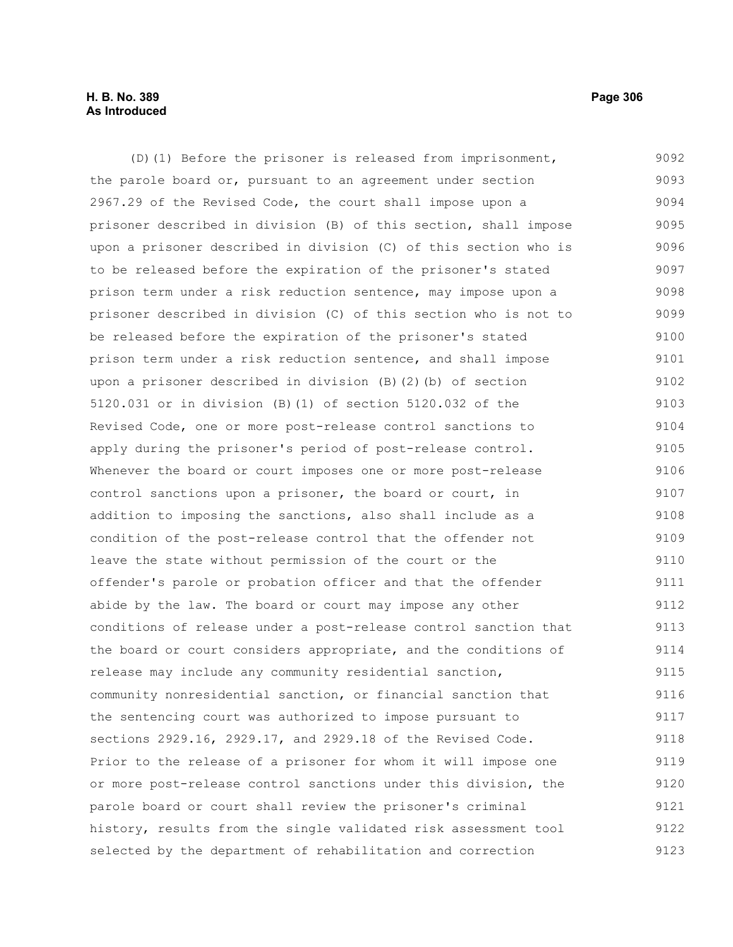# **H. B. No. 389 Page 306 As Introduced**

| (D)(1) Before the prisoner is released from imprisonment,          | 9092 |
|--------------------------------------------------------------------|------|
| the parole board or, pursuant to an agreement under section        | 9093 |
| 2967.29 of the Revised Code, the court shall impose upon a         | 9094 |
| prisoner described in division (B) of this section, shall impose   | 9095 |
| upon a prisoner described in division (C) of this section who is   | 9096 |
| to be released before the expiration of the prisoner's stated      | 9097 |
| prison term under a risk reduction sentence, may impose upon a     | 9098 |
| prisoner described in division (C) of this section who is not to   | 9099 |
| be released before the expiration of the prisoner's stated         | 9100 |
| prison term under a risk reduction sentence, and shall impose      | 9101 |
| upon a prisoner described in division $(B)$ $(2)$ $(b)$ of section | 9102 |
| 5120.031 or in division (B) (1) of section 5120.032 of the         | 9103 |
| Revised Code, one or more post-release control sanctions to        | 9104 |
| apply during the prisoner's period of post-release control.        | 9105 |
| Whenever the board or court imposes one or more post-release       | 9106 |
| control sanctions upon a prisoner, the board or court, in          | 9107 |
| addition to imposing the sanctions, also shall include as a        | 9108 |
| condition of the post-release control that the offender not        | 9109 |
| leave the state without permission of the court or the             | 9110 |
| offender's parole or probation officer and that the offender       | 9111 |
| abide by the law. The board or court may impose any other          | 9112 |
| conditions of release under a post-release control sanction that   | 9113 |
| the board or court considers appropriate, and the conditions of    | 9114 |
| release may include any community residential sanction,            | 9115 |
| community nonresidential sanction, or financial sanction that      | 9116 |
| the sentencing court was authorized to impose pursuant to          | 9117 |
| sections 2929.16, 2929.17, and 2929.18 of the Revised Code.        | 9118 |
| Prior to the release of a prisoner for whom it will impose one     | 9119 |
| or more post-release control sanctions under this division, the    | 9120 |
| parole board or court shall review the prisoner's criminal         | 9121 |
| history, results from the single validated risk assessment tool    | 9122 |
| selected by the department of rehabilitation and correction        | 9123 |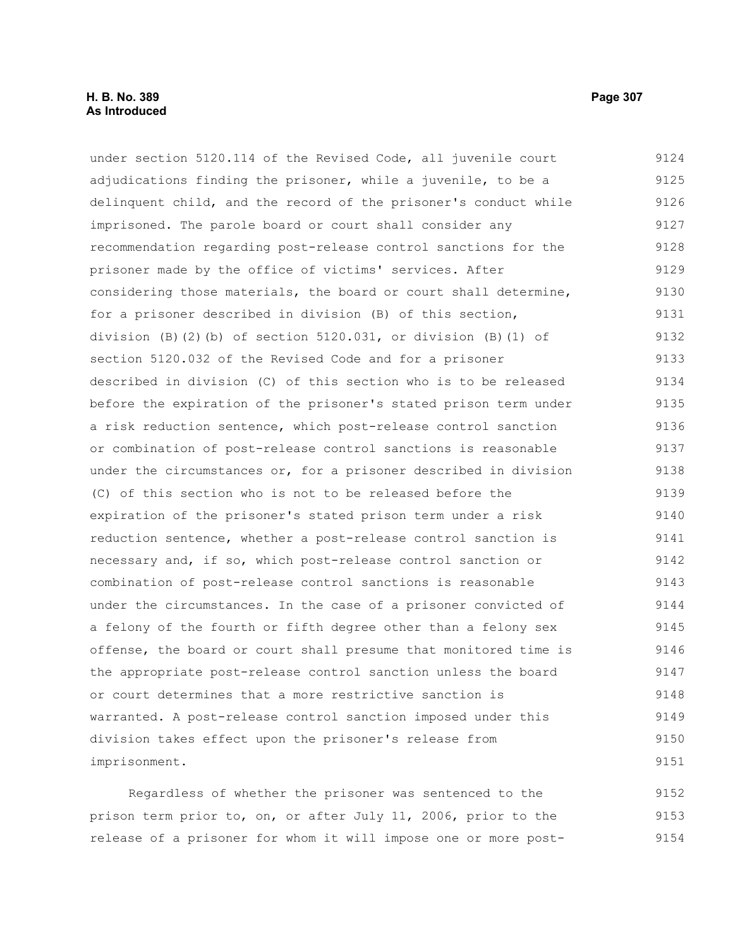under section 5120.114 of the Revised Code, all juvenile court adjudications finding the prisoner, while a juvenile, to be a delinquent child, and the record of the prisoner's conduct while imprisoned. The parole board or court shall consider any recommendation regarding post-release control sanctions for the prisoner made by the office of victims' services. After considering those materials, the board or court shall determine, for a prisoner described in division (B) of this section, division (B)(2)(b) of section  $5120.031$ , or division (B)(1) of section 5120.032 of the Revised Code and for a prisoner described in division (C) of this section who is to be released before the expiration of the prisoner's stated prison term under a risk reduction sentence, which post-release control sanction or combination of post-release control sanctions is reasonable under the circumstances or, for a prisoner described in division (C) of this section who is not to be released before the expiration of the prisoner's stated prison term under a risk reduction sentence, whether a post-release control sanction is necessary and, if so, which post-release control sanction or combination of post-release control sanctions is reasonable under the circumstances. In the case of a prisoner convicted of a felony of the fourth or fifth degree other than a felony sex offense, the board or court shall presume that monitored time is the appropriate post-release control sanction unless the board or court determines that a more restrictive sanction is warranted. A post-release control sanction imposed under this division takes effect upon the prisoner's release from imprisonment. 9124 9125 9126 9127 9128 9129 9130 9131 9132 9133 9134 9135 9136 9137 9138 9139 9140 9141 9142 9143 9144 9145 9146 9147 9148 9149 9150 9151

Regardless of whether the prisoner was sentenced to the prison term prior to, on, or after July 11, 2006, prior to the release of a prisoner for whom it will impose one or more post-9152 9153 9154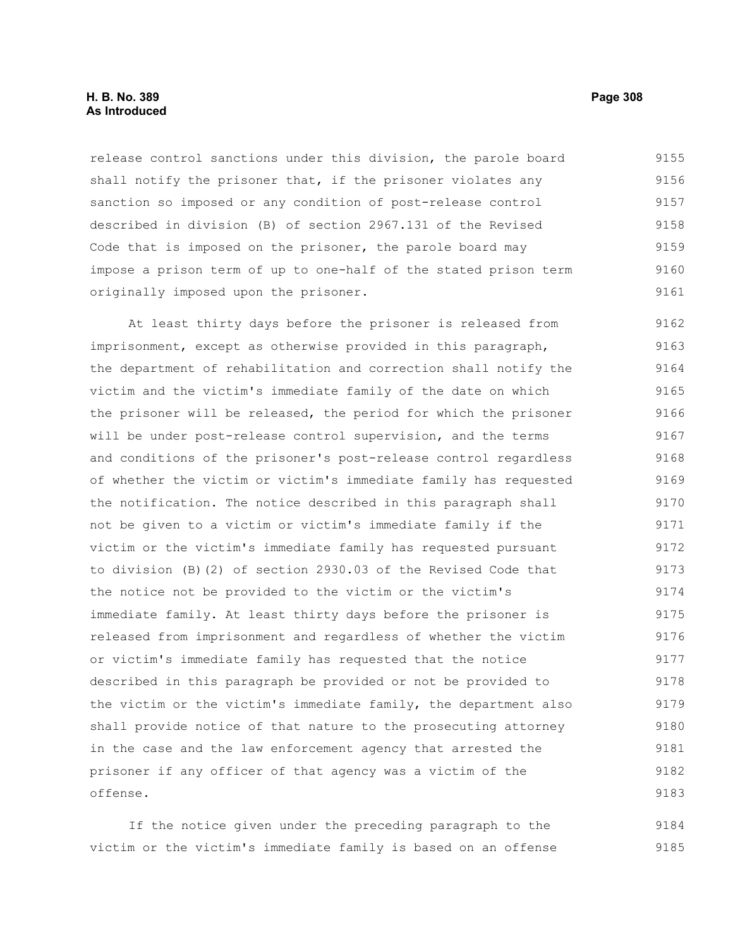# **H. B. No. 389 Page 308 As Introduced**

release control sanctions under this division, the parole board shall notify the prisoner that, if the prisoner violates any sanction so imposed or any condition of post-release control described in division (B) of section 2967.131 of the Revised Code that is imposed on the prisoner, the parole board may impose a prison term of up to one-half of the stated prison term originally imposed upon the prisoner. 9155 9156 9157 9158 9159 9160 9161

At least thirty days before the prisoner is released from imprisonment, except as otherwise provided in this paragraph, the department of rehabilitation and correction shall notify the victim and the victim's immediate family of the date on which the prisoner will be released, the period for which the prisoner will be under post-release control supervision, and the terms and conditions of the prisoner's post-release control regardless of whether the victim or victim's immediate family has requested the notification. The notice described in this paragraph shall not be given to a victim or victim's immediate family if the victim or the victim's immediate family has requested pursuant to division (B)(2) of section 2930.03 of the Revised Code that the notice not be provided to the victim or the victim's immediate family. At least thirty days before the prisoner is released from imprisonment and regardless of whether the victim or victim's immediate family has requested that the notice described in this paragraph be provided or not be provided to the victim or the victim's immediate family, the department also shall provide notice of that nature to the prosecuting attorney in the case and the law enforcement agency that arrested the prisoner if any officer of that agency was a victim of the offense. 9162 9163 9164 9165 9166 9167 9168 9169 9170 9171 9172 9173 9174 9175 9176 9177 9178 9179 9180 9181 9182 9183

If the notice given under the preceding paragraph to the victim or the victim's immediate family is based on an offense 9184 9185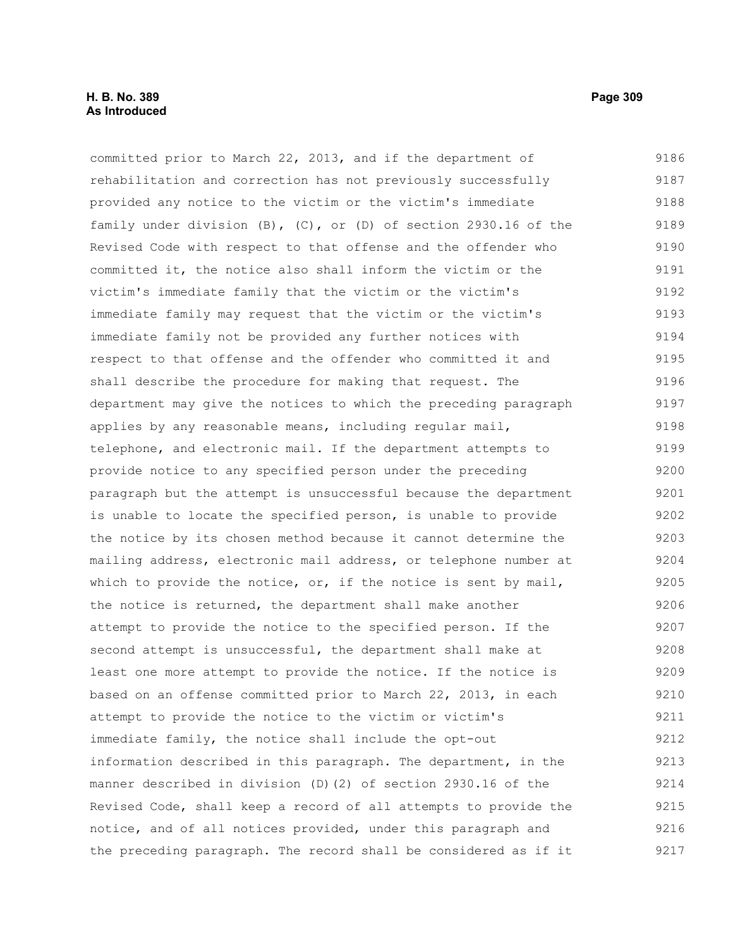# **H. B. No. 389 Page 309 As Introduced**

committed prior to March 22, 2013, and if the department of rehabilitation and correction has not previously successfully provided any notice to the victim or the victim's immediate family under division (B), (C), or (D) of section 2930.16 of the Revised Code with respect to that offense and the offender who committed it, the notice also shall inform the victim or the victim's immediate family that the victim or the victim's immediate family may request that the victim or the victim's immediate family not be provided any further notices with respect to that offense and the offender who committed it and shall describe the procedure for making that request. The department may give the notices to which the preceding paragraph applies by any reasonable means, including regular mail, telephone, and electronic mail. If the department attempts to provide notice to any specified person under the preceding paragraph but the attempt is unsuccessful because the department is unable to locate the specified person, is unable to provide the notice by its chosen method because it cannot determine the mailing address, electronic mail address, or telephone number at which to provide the notice, or, if the notice is sent by mail, the notice is returned, the department shall make another attempt to provide the notice to the specified person. If the second attempt is unsuccessful, the department shall make at least one more attempt to provide the notice. If the notice is based on an offense committed prior to March 22, 2013, in each attempt to provide the notice to the victim or victim's immediate family, the notice shall include the opt-out information described in this paragraph. The department, in the manner described in division (D)(2) of section 2930.16 of the Revised Code, shall keep a record of all attempts to provide the notice, and of all notices provided, under this paragraph and the preceding paragraph. The record shall be considered as if it 9186 9187 9188 9189 9190 9191 9192 9193 9194 9195 9196 9197 9198 9199 9200 9201 9202 9203 9204 9205 9206 9207 9208 9209 9210 9211 9212 9213 9214 9215 9216 9217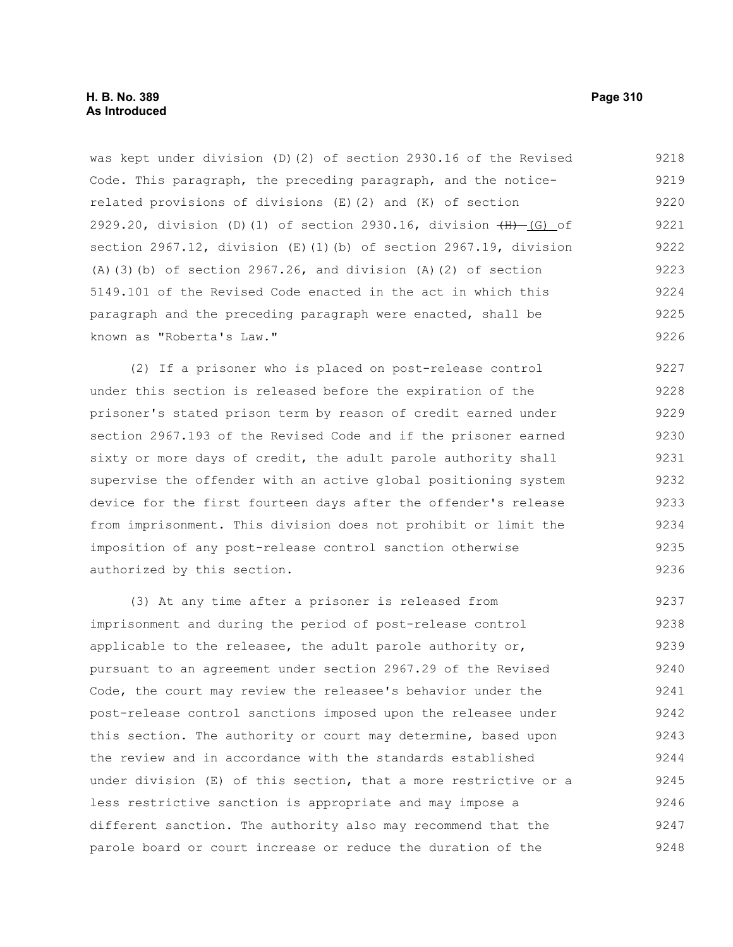was kept under division (D)(2) of section 2930.16 of the Revised Code. This paragraph, the preceding paragraph, and the noticerelated provisions of divisions (E)(2) and (K) of section 2929.20, division (D)(1) of section 2930.16, division  $(H)$  (G) of section 2967.12, division (E)(1)(b) of section 2967.19, division (A)(3)(b) of section 2967.26, and division (A)(2) of section 5149.101 of the Revised Code enacted in the act in which this paragraph and the preceding paragraph were enacted, shall be known as "Roberta's Law." 9218 9219 9220 9221 9222 9223 9224 9225 9226

(2) If a prisoner who is placed on post-release control under this section is released before the expiration of the prisoner's stated prison term by reason of credit earned under section 2967.193 of the Revised Code and if the prisoner earned sixty or more days of credit, the adult parole authority shall supervise the offender with an active global positioning system device for the first fourteen days after the offender's release from imprisonment. This division does not prohibit or limit the imposition of any post-release control sanction otherwise authorized by this section. 9227 9228 9229 9230 9231 9232 9233 9234 9235 9236

(3) At any time after a prisoner is released from imprisonment and during the period of post-release control applicable to the releasee, the adult parole authority or, pursuant to an agreement under section 2967.29 of the Revised Code, the court may review the releasee's behavior under the post-release control sanctions imposed upon the releasee under this section. The authority or court may determine, based upon the review and in accordance with the standards established under division (E) of this section, that a more restrictive or a less restrictive sanction is appropriate and may impose a different sanction. The authority also may recommend that the parole board or court increase or reduce the duration of the 9237 9238 9239 9240 9241 9242 9243 9244 9245 9246 9247 9248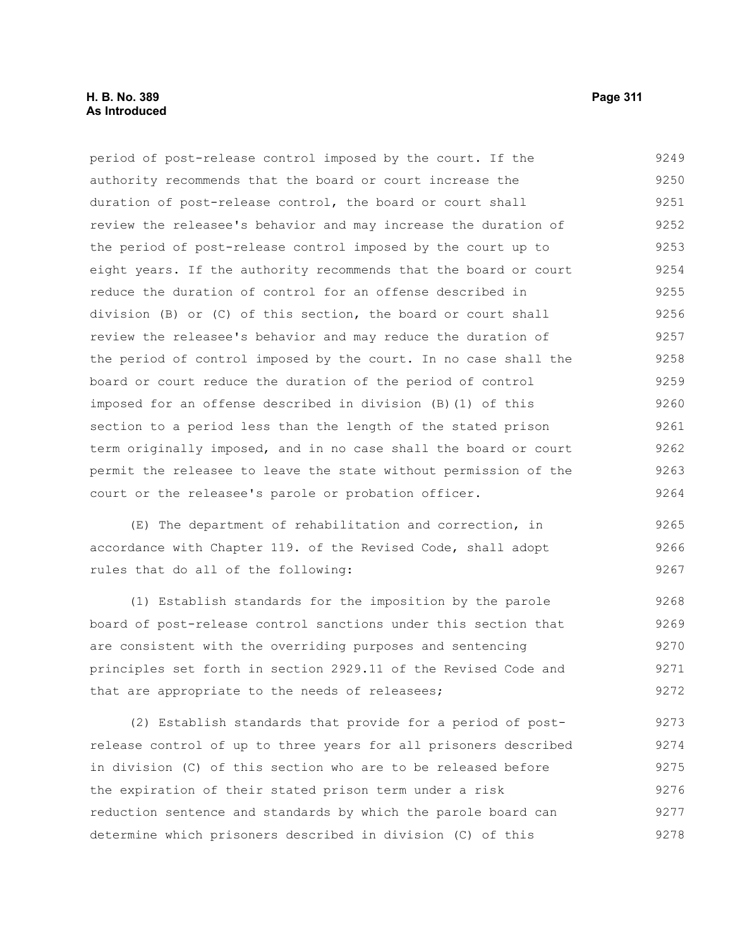period of post-release control imposed by the court. If the authority recommends that the board or court increase the duration of post-release control, the board or court shall review the releasee's behavior and may increase the duration of the period of post-release control imposed by the court up to eight years. If the authority recommends that the board or court reduce the duration of control for an offense described in division (B) or (C) of this section, the board or court shall review the releasee's behavior and may reduce the duration of the period of control imposed by the court. In no case shall the board or court reduce the duration of the period of control imposed for an offense described in division (B)(1) of this section to a period less than the length of the stated prison term originally imposed, and in no case shall the board or court permit the releasee to leave the state without permission of the court or the releasee's parole or probation officer. 9249 9250 9251 9252 9253 9254 9255 9256 9257 9258 9259 9260 9261 9262 9263 9264

(E) The department of rehabilitation and correction, in accordance with Chapter 119. of the Revised Code, shall adopt rules that do all of the following: 9265 9266 9267

(1) Establish standards for the imposition by the parole board of post-release control sanctions under this section that are consistent with the overriding purposes and sentencing principles set forth in section 2929.11 of the Revised Code and that are appropriate to the needs of releasees; 9268 9269 9270 9271 9272

(2) Establish standards that provide for a period of postrelease control of up to three years for all prisoners described in division (C) of this section who are to be released before the expiration of their stated prison term under a risk reduction sentence and standards by which the parole board can determine which prisoners described in division (C) of this 9273 9274 9275 9276 9277 9278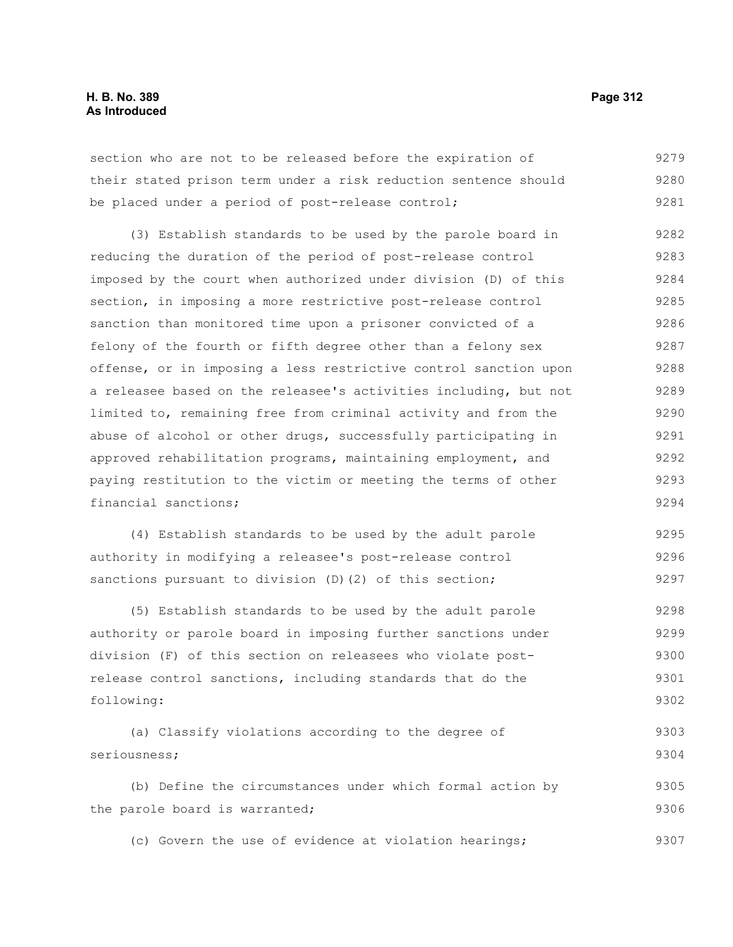section who are not to be released before the expiration of their stated prison term under a risk reduction sentence should be placed under a period of post-release control; 9279 9280 9281

(3) Establish standards to be used by the parole board in reducing the duration of the period of post-release control imposed by the court when authorized under division (D) of this section, in imposing a more restrictive post-release control sanction than monitored time upon a prisoner convicted of a felony of the fourth or fifth degree other than a felony sex offense, or in imposing a less restrictive control sanction upon a releasee based on the releasee's activities including, but not limited to, remaining free from criminal activity and from the abuse of alcohol or other drugs, successfully participating in approved rehabilitation programs, maintaining employment, and paying restitution to the victim or meeting the terms of other financial sanctions; 9282 9283 9284 9285 9286 9287 9288 9289 9290 9291 9292 9293 9294

(4) Establish standards to be used by the adult parole authority in modifying a releasee's post-release control sanctions pursuant to division (D)(2) of this section; 9295 9296 9297

(5) Establish standards to be used by the adult parole authority or parole board in imposing further sanctions under division (F) of this section on releasees who violate postrelease control sanctions, including standards that do the following: 9298 9299 9300 9301 9302

(a) Classify violations according to the degree of seriousness; 9303 9304

(b) Define the circumstances under which formal action by the parole board is warranted; 9305 9306

(c) Govern the use of evidence at violation hearings; 9307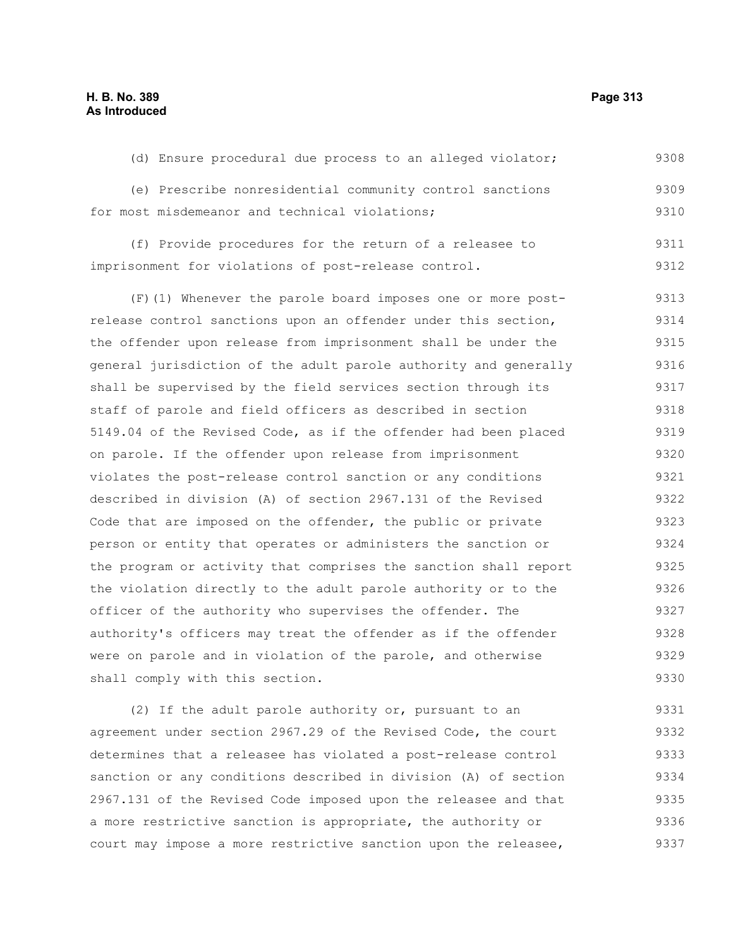shall comply with this section.

(d) Ensure procedural due process to an alleged violator; (e) Prescribe nonresidential community control sanctions for most misdemeanor and technical violations; (f) Provide procedures for the return of a releasee to imprisonment for violations of post-release control. (F)(1) Whenever the parole board imposes one or more postrelease control sanctions upon an offender under this section, the offender upon release from imprisonment shall be under the general jurisdiction of the adult parole authority and generally shall be supervised by the field services section through its staff of parole and field officers as described in section 5149.04 of the Revised Code, as if the offender had been placed on parole. If the offender upon release from imprisonment violates the post-release control sanction or any conditions described in division (A) of section 2967.131 of the Revised Code that are imposed on the offender, the public or private person or entity that operates or administers the sanction or the program or activity that comprises the sanction shall report the violation directly to the adult parole authority or to the officer of the authority who supervises the offender. The authority's officers may treat the offender as if the offender were on parole and in violation of the parole, and otherwise 9308 9309 9310 9311 9312 9313 9314 9315 9316 9317 9318 9319 9320 9321 9322 9323 9324 9325 9326 9327 9328 9329

(2) If the adult parole authority or, pursuant to an agreement under section 2967.29 of the Revised Code, the court determines that a releasee has violated a post-release control sanction or any conditions described in division (A) of section 2967.131 of the Revised Code imposed upon the releasee and that a more restrictive sanction is appropriate, the authority or court may impose a more restrictive sanction upon the releasee, 9331 9332 9333 9334 9335 9336 9337

9330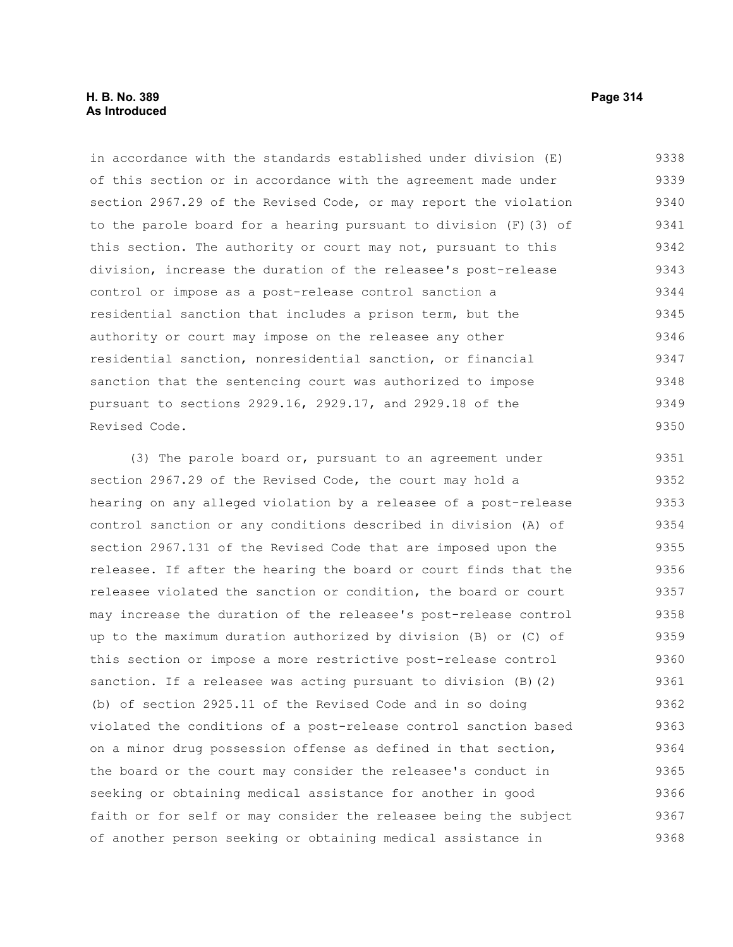# **H. B. No. 389 Page 314 As Introduced**

in accordance with the standards established under division (E) of this section or in accordance with the agreement made under section 2967.29 of the Revised Code, or may report the violation to the parole board for a hearing pursuant to division (F)(3) of this section. The authority or court may not, pursuant to this division, increase the duration of the releasee's post-release control or impose as a post-release control sanction a residential sanction that includes a prison term, but the authority or court may impose on the releasee any other residential sanction, nonresidential sanction, or financial sanction that the sentencing court was authorized to impose pursuant to sections 2929.16, 2929.17, and 2929.18 of the Revised Code. 9338 9339 9340 9341 9342 9343 9344 9345 9346 9347 9348 9349 9350

(3) The parole board or, pursuant to an agreement under section 2967.29 of the Revised Code, the court may hold a hearing on any alleged violation by a releasee of a post-release control sanction or any conditions described in division (A) of section 2967.131 of the Revised Code that are imposed upon the releasee. If after the hearing the board or court finds that the releasee violated the sanction or condition, the board or court may increase the duration of the releasee's post-release control up to the maximum duration authorized by division (B) or (C) of this section or impose a more restrictive post-release control sanction. If a releasee was acting pursuant to division (B)(2) (b) of section 2925.11 of the Revised Code and in so doing violated the conditions of a post-release control sanction based on a minor drug possession offense as defined in that section, the board or the court may consider the releasee's conduct in seeking or obtaining medical assistance for another in good faith or for self or may consider the releasee being the subject of another person seeking or obtaining medical assistance in 9351 9352 9353 9354 9355 9356 9357 9358 9359 9360 9361 9362 9363 9364 9365 9366 9367 9368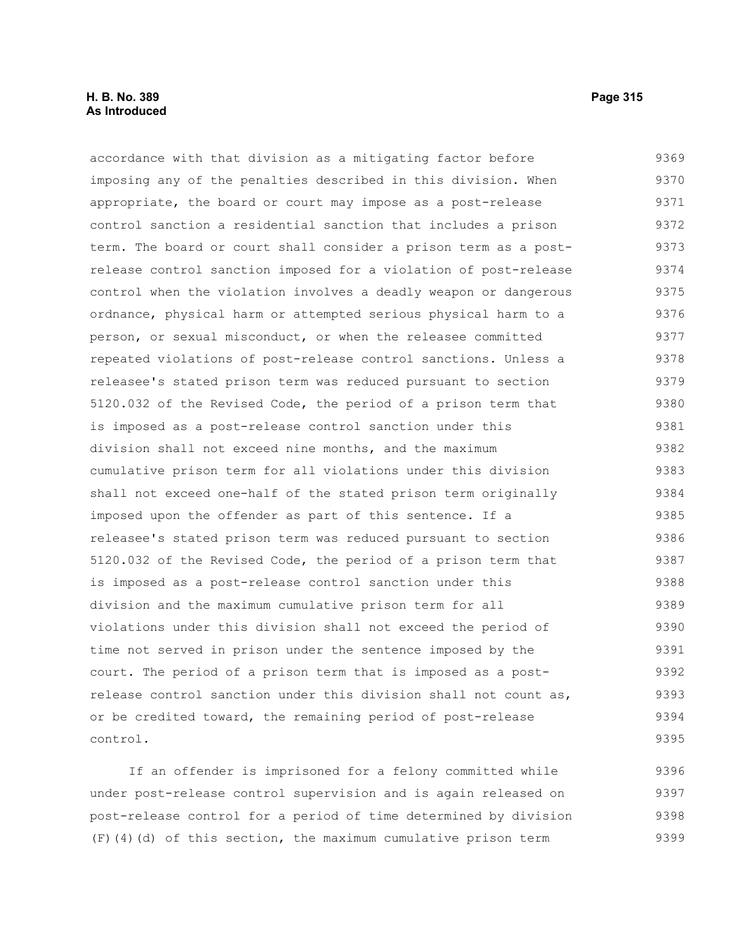# **H. B. No. 389 Page 315 As Introduced**

accordance with that division as a mitigating factor before imposing any of the penalties described in this division. When appropriate, the board or court may impose as a post-release control sanction a residential sanction that includes a prison term. The board or court shall consider a prison term as a postrelease control sanction imposed for a violation of post-release control when the violation involves a deadly weapon or dangerous ordnance, physical harm or attempted serious physical harm to a person, or sexual misconduct, or when the releasee committed repeated violations of post-release control sanctions. Unless a releasee's stated prison term was reduced pursuant to section 5120.032 of the Revised Code, the period of a prison term that is imposed as a post-release control sanction under this division shall not exceed nine months, and the maximum cumulative prison term for all violations under this division shall not exceed one-half of the stated prison term originally imposed upon the offender as part of this sentence. If a releasee's stated prison term was reduced pursuant to section 5120.032 of the Revised Code, the period of a prison term that is imposed as a post-release control sanction under this division and the maximum cumulative prison term for all violations under this division shall not exceed the period of time not served in prison under the sentence imposed by the court. The period of a prison term that is imposed as a postrelease control sanction under this division shall not count as, or be credited toward, the remaining period of post-release control. 9369 9370 9371 9372 9373 9374 9375 9376 9377 9378 9379 9380 9381 9382 9383 9384 9385 9386 9387 9388 9389 9390 9391 9392 9393 9394 9395

If an offender is imprisoned for a felony committed while under post-release control supervision and is again released on post-release control for a period of time determined by division (F)(4)(d) of this section, the maximum cumulative prison term 9396 9397 9398 9399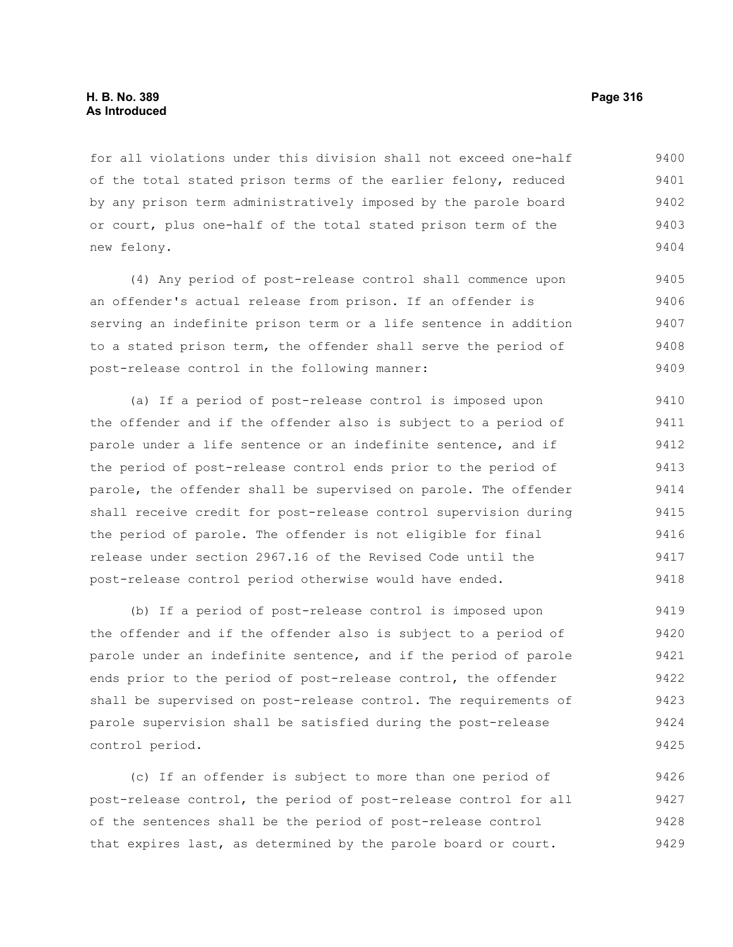# **H. B. No. 389 Page 316 As Introduced**

for all violations under this division shall not exceed one-half of the total stated prison terms of the earlier felony, reduced by any prison term administratively imposed by the parole board or court, plus one-half of the total stated prison term of the new felony. 9400 9401 9402 9403 9404

(4) Any period of post-release control shall commence upon an offender's actual release from prison. If an offender is serving an indefinite prison term or a life sentence in addition to a stated prison term, the offender shall serve the period of post-release control in the following manner: 9405 9406 9407 9408 9409

(a) If a period of post-release control is imposed upon the offender and if the offender also is subject to a period of parole under a life sentence or an indefinite sentence, and if the period of post-release control ends prior to the period of parole, the offender shall be supervised on parole. The offender shall receive credit for post-release control supervision during the period of parole. The offender is not eligible for final release under section 2967.16 of the Revised Code until the post-release control period otherwise would have ended. 9410 9411 9412 9413 9414 9415 9416 9417 9418

(b) If a period of post-release control is imposed upon the offender and if the offender also is subject to a period of parole under an indefinite sentence, and if the period of parole ends prior to the period of post-release control, the offender shall be supervised on post-release control. The requirements of parole supervision shall be satisfied during the post-release control period. 9419 9420 9421 9422 9423 9424 9425

(c) If an offender is subject to more than one period of post-release control, the period of post-release control for all of the sentences shall be the period of post-release control that expires last, as determined by the parole board or court. 9426 9427 9428 9429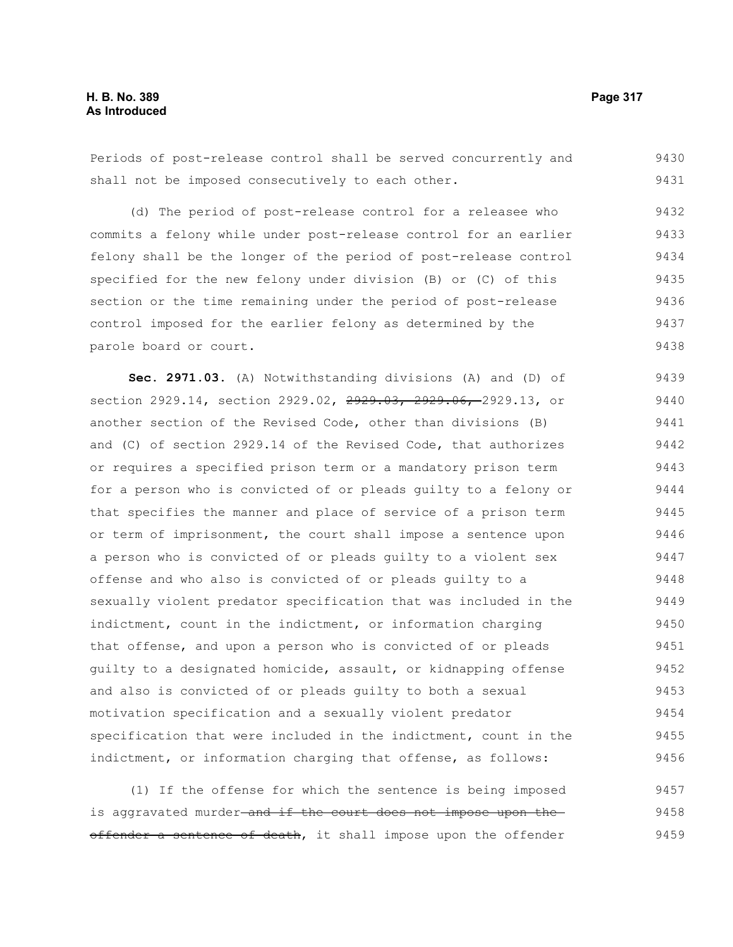Periods of post-release control shall be served concurrently and shall not be imposed consecutively to each other. (d) The period of post-release control for a releasee who commits a felony while under post-release control for an earlier felony shall be the longer of the period of post-release control specified for the new felony under division (B) or (C) of this section or the time remaining under the period of post-release control imposed for the earlier felony as determined by the parole board or court. 9430 9431 9432 9433 9434 9435 9436 9437 9438

**Sec. 2971.03.** (A) Notwithstanding divisions (A) and (D) of section 2929.14, section 2929.02, 2929.03, 2929.06, 2929.13, or another section of the Revised Code, other than divisions (B) and (C) of section 2929.14 of the Revised Code, that authorizes or requires a specified prison term or a mandatory prison term for a person who is convicted of or pleads guilty to a felony or that specifies the manner and place of service of a prison term or term of imprisonment, the court shall impose a sentence upon a person who is convicted of or pleads guilty to a violent sex offense and who also is convicted of or pleads guilty to a sexually violent predator specification that was included in the indictment, count in the indictment, or information charging that offense, and upon a person who is convicted of or pleads guilty to a designated homicide, assault, or kidnapping offense and also is convicted of or pleads guilty to both a sexual motivation specification and a sexually violent predator specification that were included in the indictment, count in the indictment, or information charging that offense, as follows: 9439 9440 9441 9442 9443 9444 9445 9446 9447 9448 9449 9450 9451 9452 9453 9454 9455 9456

(1) If the offense for which the sentence is being imposed is aggravated murder and if the court does not impose upon theoffender a sentence of death, it shall impose upon the offender 9457 9458 9459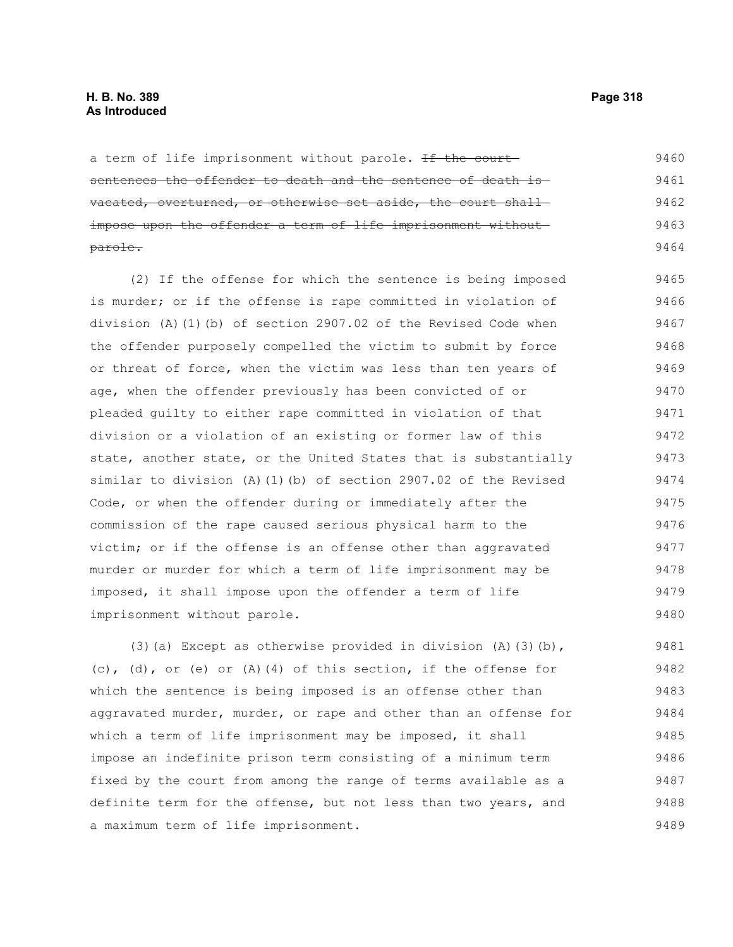a term of life imprisonment without parole. If the courtsentences the offender to death and the sentence of death is vacated, overturned, or otherwise set aside, the court shall impose upon the offender a term of life imprisonment without parole. 9460 9461 9462 9463 9464

(2) If the offense for which the sentence is being imposed is murder; or if the offense is rape committed in violation of division (A)(1)(b) of section 2907.02 of the Revised Code when the offender purposely compelled the victim to submit by force or threat of force, when the victim was less than ten years of age, when the offender previously has been convicted of or pleaded guilty to either rape committed in violation of that division or a violation of an existing or former law of this state, another state, or the United States that is substantially similar to division (A)(1)(b) of section 2907.02 of the Revised Code, or when the offender during or immediately after the commission of the rape caused serious physical harm to the victim; or if the offense is an offense other than aggravated murder or murder for which a term of life imprisonment may be imposed, it shall impose upon the offender a term of life imprisonment without parole. 9465 9466 9467 9468 9469 9470 9471 9472 9473 9474 9475 9476 9477 9478 9479 9480

(3)(a) Except as otherwise provided in division  $(A)$  (3)(b), (c), (d), or (e) or (A)(4) of this section, if the offense for which the sentence is being imposed is an offense other than aggravated murder, murder, or rape and other than an offense for which a term of life imprisonment may be imposed, it shall impose an indefinite prison term consisting of a minimum term fixed by the court from among the range of terms available as a definite term for the offense, but not less than two years, and a maximum term of life imprisonment. 9481 9482 9483 9484 9485 9486 9487 9488 9489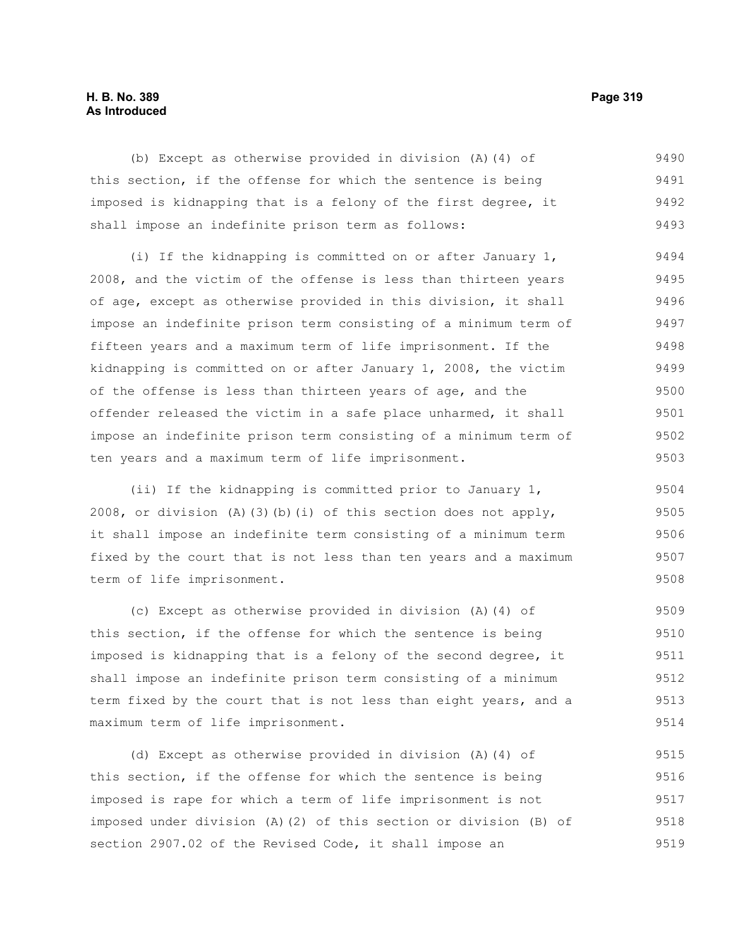# **H. B. No. 389 Page 319 As Introduced**

(b) Except as otherwise provided in division (A)(4) of this section, if the offense for which the sentence is being imposed is kidnapping that is a felony of the first degree, it shall impose an indefinite prison term as follows: 9490 9491 9492 9493

(i) If the kidnapping is committed on or after January 1, 2008, and the victim of the offense is less than thirteen years of age, except as otherwise provided in this division, it shall impose an indefinite prison term consisting of a minimum term of fifteen years and a maximum term of life imprisonment. If the kidnapping is committed on or after January 1, 2008, the victim of the offense is less than thirteen years of age, and the offender released the victim in a safe place unharmed, it shall impose an indefinite prison term consisting of a minimum term of ten years and a maximum term of life imprisonment. 9494 9495 9496 9497 9498 9499 9500 9501 9502 9503

(ii) If the kidnapping is committed prior to January 1, 2008, or division (A)(3)(b)(i) of this section does not apply, it shall impose an indefinite term consisting of a minimum term fixed by the court that is not less than ten years and a maximum term of life imprisonment. 9504 9505 9506 9507 9508

(c) Except as otherwise provided in division (A)(4) of this section, if the offense for which the sentence is being imposed is kidnapping that is a felony of the second degree, it shall impose an indefinite prison term consisting of a minimum term fixed by the court that is not less than eight years, and a maximum term of life imprisonment. 9509 9510 9511 9512 9513 9514

(d) Except as otherwise provided in division (A)(4) of this section, if the offense for which the sentence is being imposed is rape for which a term of life imprisonment is not imposed under division (A)(2) of this section or division (B) of section 2907.02 of the Revised Code, it shall impose an 9515 9516 9517 9518 9519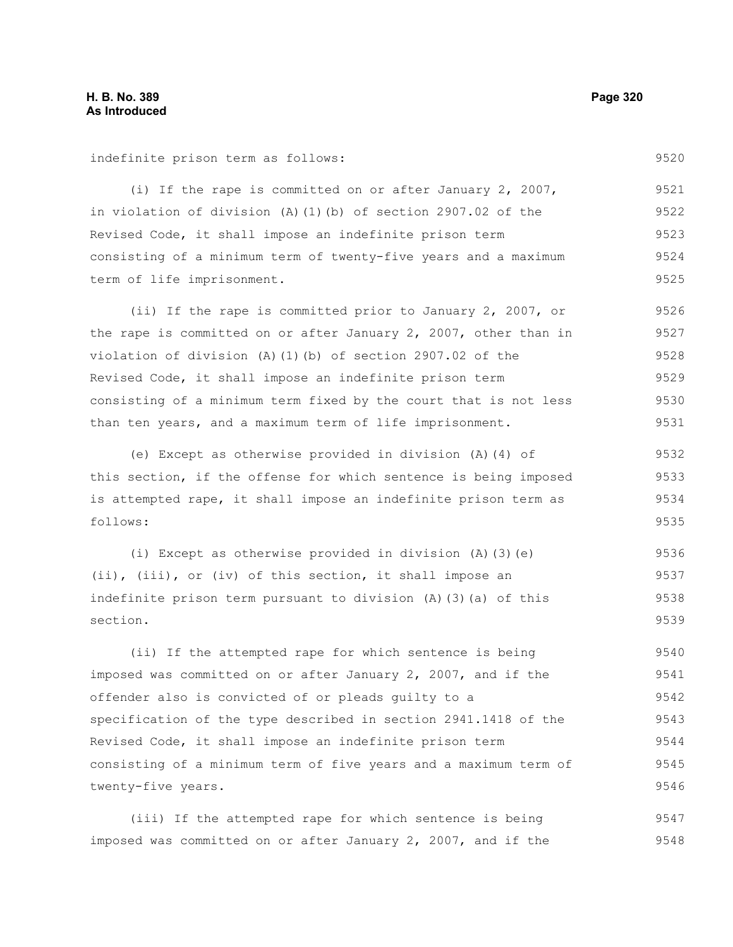indefinite prison term as follows:

(i) If the rape is committed on or after January 2, 2007, in violation of division (A)(1)(b) of section 2907.02 of the Revised Code, it shall impose an indefinite prison term consisting of a minimum term of twenty-five years and a maximum term of life imprisonment. 9521 9522 9523 9524 9525

(ii) If the rape is committed prior to January 2, 2007, or the rape is committed on or after January 2, 2007, other than in violation of division (A)(1)(b) of section 2907.02 of the Revised Code, it shall impose an indefinite prison term consisting of a minimum term fixed by the court that is not less than ten years, and a maximum term of life imprisonment. 9526 9527 9528 9529 9530 9531

(e) Except as otherwise provided in division (A)(4) of this section, if the offense for which sentence is being imposed is attempted rape, it shall impose an indefinite prison term as follows: 9532 9533 9534 9535

(i) Except as otherwise provided in division (A)(3)(e) (ii), (iii), or (iv) of this section, it shall impose an indefinite prison term pursuant to division (A)(3)(a) of this section. 9536 9537 9538 9539

(ii) If the attempted rape for which sentence is being imposed was committed on or after January 2, 2007, and if the offender also is convicted of or pleads guilty to a specification of the type described in section 2941.1418 of the Revised Code, it shall impose an indefinite prison term consisting of a minimum term of five years and a maximum term of twenty-five years. 9540 9541 9542 9543 9544 9545 9546

(iii) If the attempted rape for which sentence is being imposed was committed on or after January 2, 2007, and if the 9547 9548

9520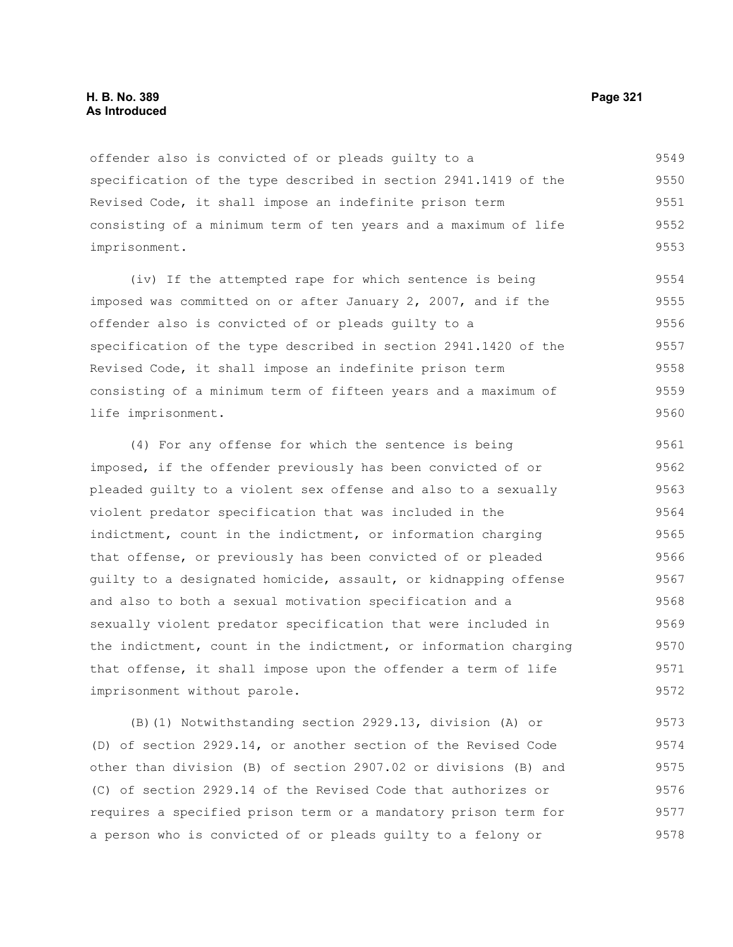# **H. B. No. 389 Page 321 As Introduced**

offender also is convicted of or pleads guilty to a specification of the type described in section 2941.1419 of the Revised Code, it shall impose an indefinite prison term consisting of a minimum term of ten years and a maximum of life imprisonment. 9549 9550 9551 9552 9553

(iv) If the attempted rape for which sentence is being imposed was committed on or after January 2, 2007, and if the offender also is convicted of or pleads guilty to a specification of the type described in section 2941.1420 of the Revised Code, it shall impose an indefinite prison term consisting of a minimum term of fifteen years and a maximum of life imprisonment. 9554 9555 9556 9557 9558 9559 9560

(4) For any offense for which the sentence is being imposed, if the offender previously has been convicted of or pleaded guilty to a violent sex offense and also to a sexually violent predator specification that was included in the indictment, count in the indictment, or information charging that offense, or previously has been convicted of or pleaded guilty to a designated homicide, assault, or kidnapping offense and also to both a sexual motivation specification and a sexually violent predator specification that were included in the indictment, count in the indictment, or information charging that offense, it shall impose upon the offender a term of life imprisonment without parole. 9561 9562 9563 9564 9565 9566 9567 9568 9569 9570 9571 9572

(B)(1) Notwithstanding section 2929.13, division (A) or (D) of section 2929.14, or another section of the Revised Code other than division (B) of section 2907.02 or divisions (B) and (C) of section 2929.14 of the Revised Code that authorizes or requires a specified prison term or a mandatory prison term for a person who is convicted of or pleads guilty to a felony or 9573 9574 9575 9576 9577 9578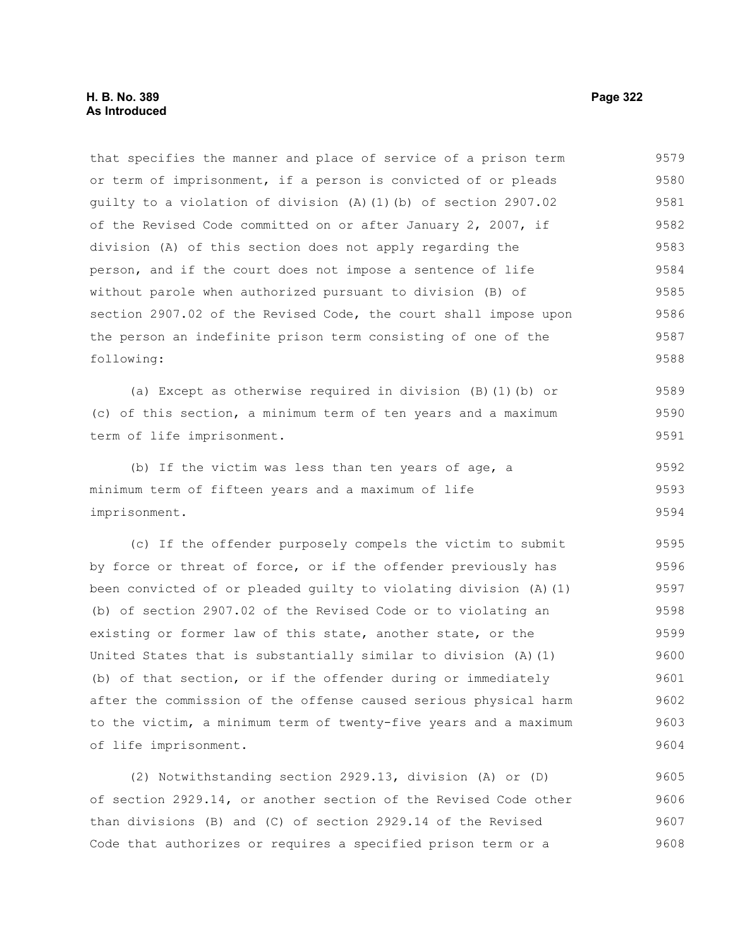that specifies the manner and place of service of a prison term or term of imprisonment, if a person is convicted of or pleads guilty to a violation of division (A)(1)(b) of section 2907.02 of the Revised Code committed on or after January 2, 2007, if division (A) of this section does not apply regarding the person, and if the court does not impose a sentence of life without parole when authorized pursuant to division (B) of section 2907.02 of the Revised Code, the court shall impose upon the person an indefinite prison term consisting of one of the following: 9579 9580 9581 9582 9583 9584 9585 9586 9587 9588

(a) Except as otherwise required in division (B)(1)(b) or (c) of this section, a minimum term of ten years and a maximum term of life imprisonment. 9589 9590 9591

(b) If the victim was less than ten years of age, a minimum term of fifteen years and a maximum of life imprisonment. 9592 9593 9594

(c) If the offender purposely compels the victim to submit by force or threat of force, or if the offender previously has been convicted of or pleaded guilty to violating division (A)(1) (b) of section 2907.02 of the Revised Code or to violating an existing or former law of this state, another state, or the United States that is substantially similar to division (A)(1) (b) of that section, or if the offender during or immediately after the commission of the offense caused serious physical harm to the victim, a minimum term of twenty-five years and a maximum of life imprisonment. 9595 9596 9597 9598 9599 9600 9601 9602 9603 9604

(2) Notwithstanding section 2929.13, division (A) or (D) of section 2929.14, or another section of the Revised Code other than divisions (B) and (C) of section 2929.14 of the Revised Code that authorizes or requires a specified prison term or a 9605 9606 9607 9608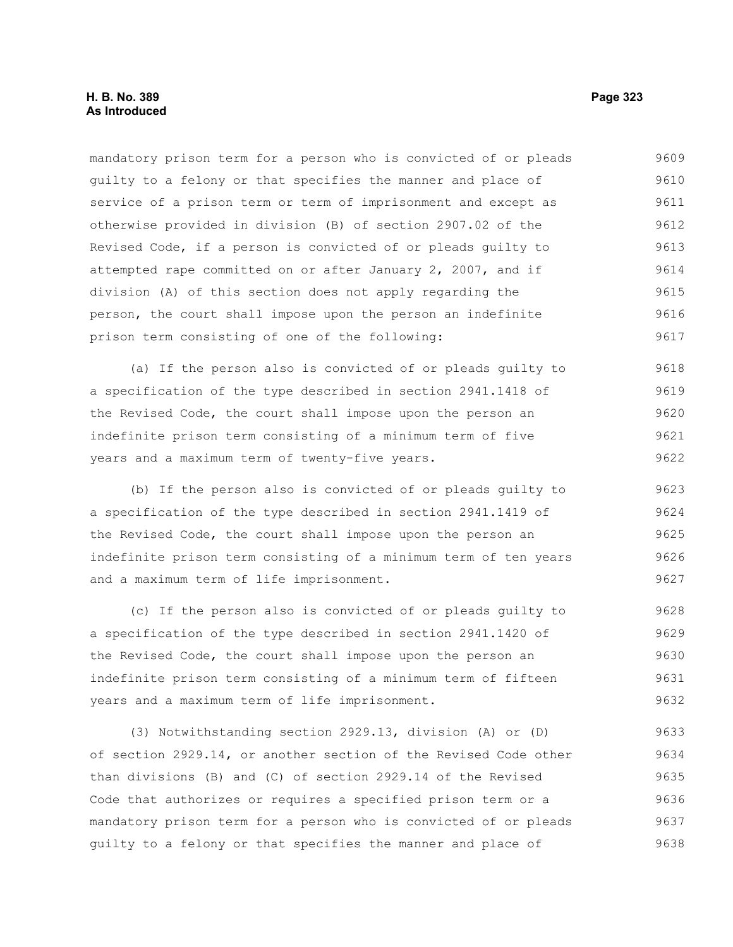mandatory prison term for a person who is convicted of or pleads guilty to a felony or that specifies the manner and place of service of a prison term or term of imprisonment and except as otherwise provided in division (B) of section 2907.02 of the Revised Code, if a person is convicted of or pleads guilty to attempted rape committed on or after January 2, 2007, and if division (A) of this section does not apply regarding the person, the court shall impose upon the person an indefinite prison term consisting of one of the following: 9609 9610 9611 9612 9613 9614 9615 9616 9617

(a) If the person also is convicted of or pleads guilty to a specification of the type described in section 2941.1418 of the Revised Code, the court shall impose upon the person an indefinite prison term consisting of a minimum term of five years and a maximum term of twenty-five years. 9618 9619 9620 9621 9622

(b) If the person also is convicted of or pleads guilty to a specification of the type described in section 2941.1419 of the Revised Code, the court shall impose upon the person an indefinite prison term consisting of a minimum term of ten years and a maximum term of life imprisonment. 9623 9624 9625 9626 9627

(c) If the person also is convicted of or pleads guilty to a specification of the type described in section 2941.1420 of the Revised Code, the court shall impose upon the person an indefinite prison term consisting of a minimum term of fifteen years and a maximum term of life imprisonment. 9628 9629 9630 9631 9632

(3) Notwithstanding section 2929.13, division (A) or (D) of section 2929.14, or another section of the Revised Code other than divisions (B) and (C) of section 2929.14 of the Revised Code that authorizes or requires a specified prison term or a mandatory prison term for a person who is convicted of or pleads guilty to a felony or that specifies the manner and place of 9633 9634 9635 9636 9637 9638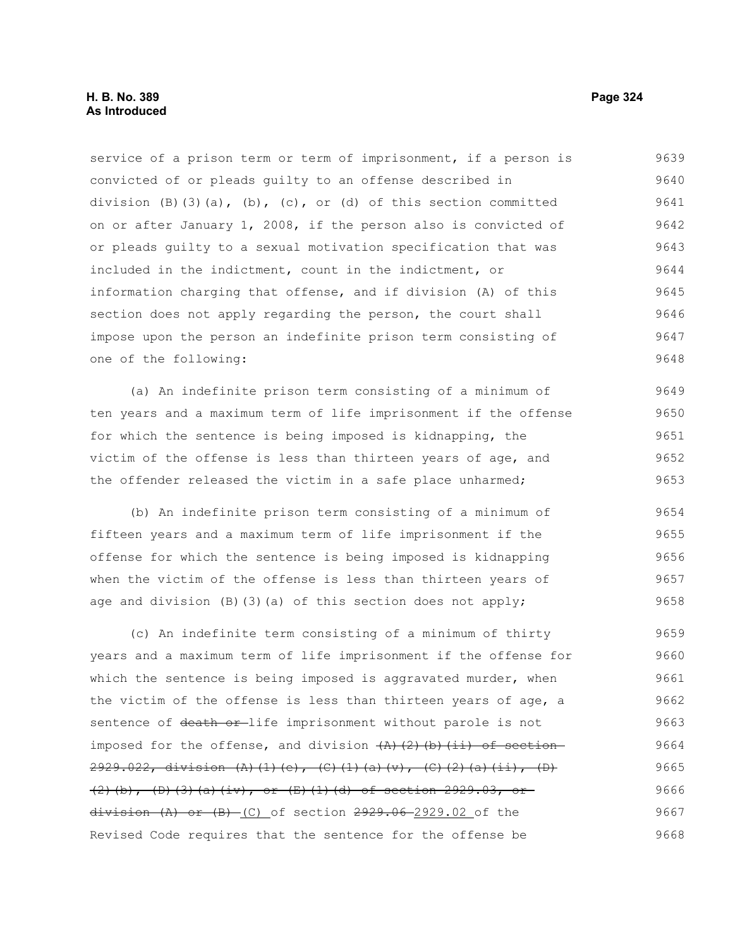# **H. B. No. 389 Page 324 As Introduced**

service of a prison term or term of imprisonment, if a person is convicted of or pleads guilty to an offense described in division  $(B)$   $(3)$   $(a)$ ,  $(b)$ ,  $(c)$ , or  $(d)$  of this section committed on or after January 1, 2008, if the person also is convicted of or pleads guilty to a sexual motivation specification that was included in the indictment, count in the indictment, or information charging that offense, and if division (A) of this section does not apply regarding the person, the court shall impose upon the person an indefinite prison term consisting of one of the following: 9639 9640 9641 9642 9643 9644 9645 9646 9647 9648

(a) An indefinite prison term consisting of a minimum of ten years and a maximum term of life imprisonment if the offense for which the sentence is being imposed is kidnapping, the victim of the offense is less than thirteen years of age, and the offender released the victim in a safe place unharmed; 9649 9650 9651 9652 9653

(b) An indefinite prison term consisting of a minimum of fifteen years and a maximum term of life imprisonment if the offense for which the sentence is being imposed is kidnapping when the victim of the offense is less than thirteen years of age and division (B)(3)(a) of this section does not apply; 9654 9655 9656 9657 9658

(c) An indefinite term consisting of a minimum of thirty years and a maximum term of life imprisonment if the offense for which the sentence is being imposed is aggravated murder, when the victim of the offense is less than thirteen years of age, a sentence of death or life imprisonment without parole is not imposed for the offense, and division  $(A)$   $(2)$   $(b)$   $(ii)$  of section- $2929.022$ , division (A)(1)(e), (C)(1)(a)(v), (C)(2)(a)(ii), (D)  $(2)(b)$ , (D)(3)(a)(iv), or (E)(1)(d) of section 2929.03, or division  $(A)$  or  $(B) - (C)$  of section  $2929.06 - 2929.02$  of the Revised Code requires that the sentence for the offense be 9659 9660 9661 9662 9663 9664 9665 9666 9667 9668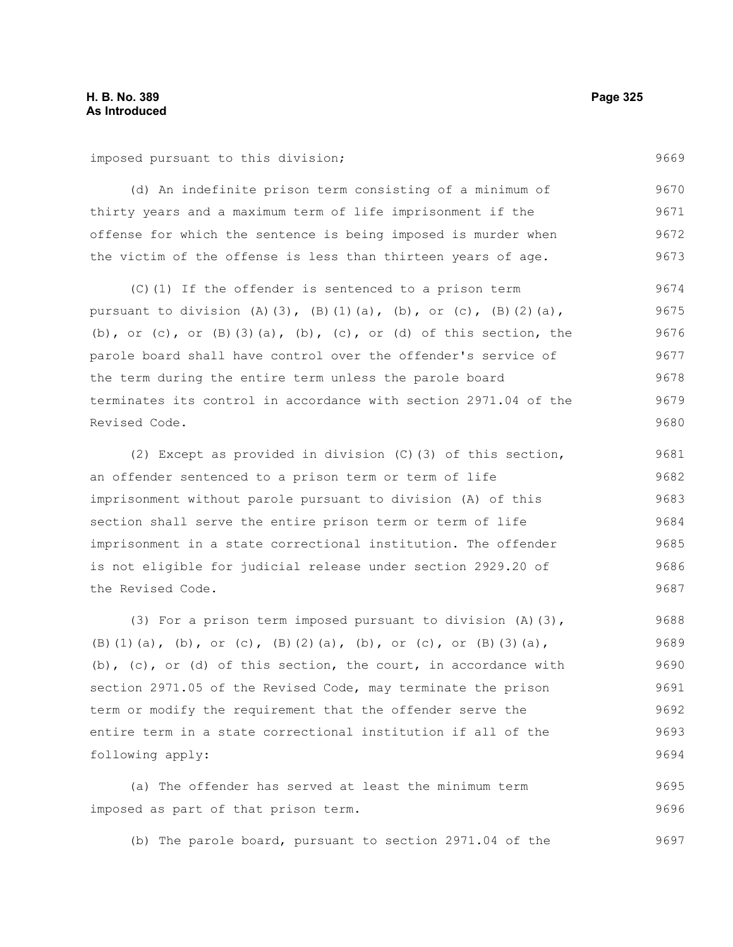imposed pursuant to this division;

(d) An indefinite prison term consisting of a minimum of thirty years and a maximum term of life imprisonment if the offense for which the sentence is being imposed is murder when the victim of the offense is less than thirteen years of age. 9670 9671 9672 9673

(C)(1) If the offender is sentenced to a prison term pursuant to division (A)(3), (B)(1)(a), (b), or (c), (B)(2)(a), (b), or (c), or  $(B)$ (3)(a), (b), (c), or (d) of this section, the parole board shall have control over the offender's service of the term during the entire term unless the parole board terminates its control in accordance with section 2971.04 of the Revised Code. 9674 9675 9676 9677 9678 9679 9680

(2) Except as provided in division (C)(3) of this section, an offender sentenced to a prison term or term of life imprisonment without parole pursuant to division (A) of this section shall serve the entire prison term or term of life imprisonment in a state correctional institution. The offender is not eligible for judicial release under section 2929.20 of the Revised Code. 9681 9682 9683 9684 9685 9686 9687

(3) For a prison term imposed pursuant to division (A)(3), (B)(1)(a), (b), or (c), (B)(2)(a), (b), or (c), or (B)(3)(a), (b), (c), or (d) of this section, the court, in accordance with section 2971.05 of the Revised Code, may terminate the prison term or modify the requirement that the offender serve the entire term in a state correctional institution if all of the following apply: 9688 9689 9690 9691 9692 9693 9694

(a) The offender has served at least the minimum term imposed as part of that prison term. 9695 9696

(b) The parole board, pursuant to section 2971.04 of the 9697

9669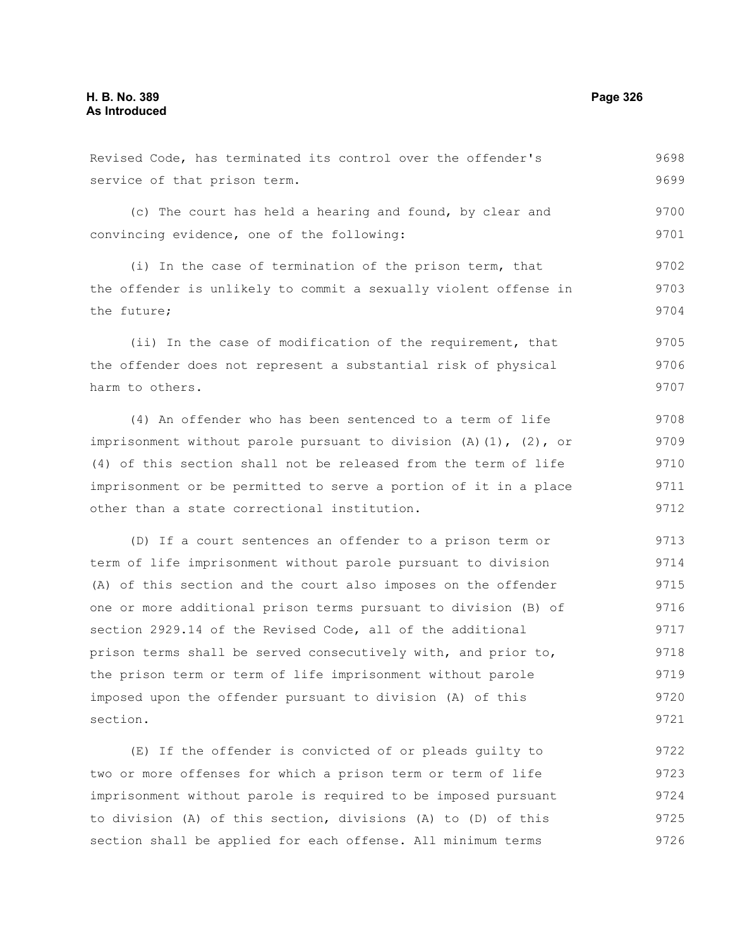9725 9726

| Revised Code, has terminated its control over the offender's              | 9698 |
|---------------------------------------------------------------------------|------|
| service of that prison term.                                              | 9699 |
| (c) The court has held a hearing and found, by clear and                  | 9700 |
| convincing evidence, one of the following:                                | 9701 |
| (i) In the case of termination of the prison term, that                   | 9702 |
| the offender is unlikely to commit a sexually violent offense in          | 9703 |
| the future;                                                               | 9704 |
| (ii) In the case of modification of the requirement, that                 | 9705 |
| the offender does not represent a substantial risk of physical            | 9706 |
| harm to others.                                                           | 9707 |
| (4) An offender who has been sentenced to a term of life                  | 9708 |
| imprisonment without parole pursuant to division $(A)$ $(1)$ , $(2)$ , or | 9709 |
| (4) of this section shall not be released from the term of life           | 9710 |
| imprisonment or be permitted to serve a portion of it in a place          | 9711 |
| other than a state correctional institution.                              | 9712 |
| (D) If a court sentences an offender to a prison term or                  | 9713 |
| term of life imprisonment without parole pursuant to division             | 9714 |
| (A) of this section and the court also imposes on the offender            | 9715 |
| one or more additional prison terms pursuant to division (B) of           | 9716 |
| section 2929.14 of the Revised Code, all of the additional                | 9717 |
| prison terms shall be served consecutively with, and prior to,            | 9718 |
| the prison term or term of life imprisonment without parole               | 9719 |
| imposed upon the offender pursuant to division (A) of this                | 9720 |
| section.                                                                  | 9721 |
| (E) If the offender is convicted of or pleads guilty to                   | 9722 |
| two or more offenses for which a prison term or term of life              | 9723 |
| imprisonment without parole is required to be imposed pursuant            | 9724 |

to division (A) of this section, divisions (A) to (D) of this section shall be applied for each offense. All minimum terms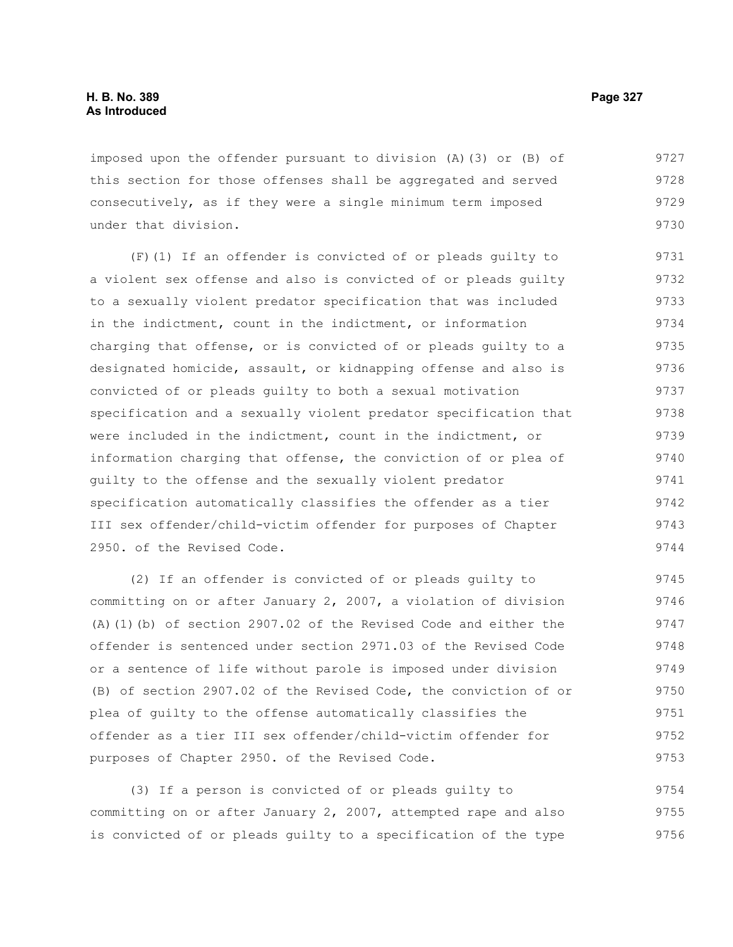imposed upon the offender pursuant to division (A)(3) or (B) of this section for those offenses shall be aggregated and served consecutively, as if they were a single minimum term imposed under that division. 9727 9728 9729 9730

(F)(1) If an offender is convicted of or pleads guilty to a violent sex offense and also is convicted of or pleads guilty to a sexually violent predator specification that was included in the indictment, count in the indictment, or information charging that offense, or is convicted of or pleads guilty to a designated homicide, assault, or kidnapping offense and also is convicted of or pleads guilty to both a sexual motivation specification and a sexually violent predator specification that were included in the indictment, count in the indictment, or information charging that offense, the conviction of or plea of guilty to the offense and the sexually violent predator specification automatically classifies the offender as a tier III sex offender/child-victim offender for purposes of Chapter 2950. of the Revised Code. 9731 9732 9733 9734 9735 9736 9737 9738 9739 9740 9741 9742 9743 9744

(2) If an offender is convicted of or pleads guilty to committing on or after January 2, 2007, a violation of division (A)(1)(b) of section 2907.02 of the Revised Code and either the offender is sentenced under section 2971.03 of the Revised Code or a sentence of life without parole is imposed under division (B) of section 2907.02 of the Revised Code, the conviction of or plea of guilty to the offense automatically classifies the offender as a tier III sex offender/child-victim offender for purposes of Chapter 2950. of the Revised Code. 9745 9746 9747 9748 9749 9750 9751 9752 9753

(3) If a person is convicted of or pleads guilty to committing on or after January 2, 2007, attempted rape and also is convicted of or pleads guilty to a specification of the type 9754 9755 9756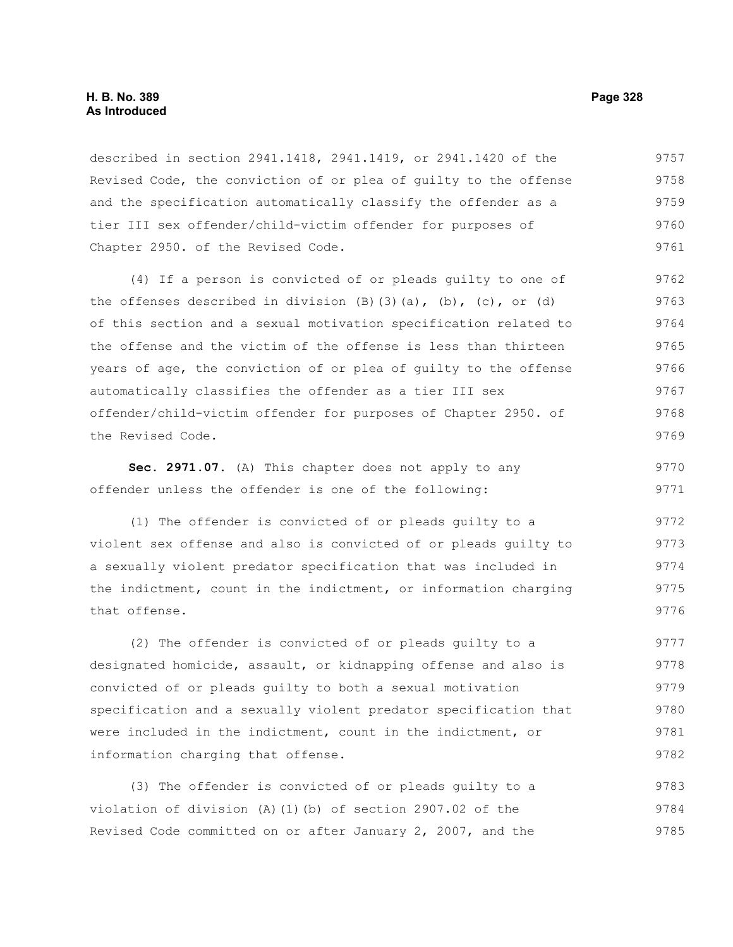#### **H. B. No. 389 Page 328 As Introduced**

described in section 2941.1418, 2941.1419, or 2941.1420 of the Revised Code, the conviction of or plea of guilty to the offense and the specification automatically classify the offender as a tier III sex offender/child-victim offender for purposes of Chapter 2950. of the Revised Code. 9757 9758 9759 9760 9761

(4) If a person is convicted of or pleads guilty to one of the offenses described in division  $(B)$  (3)(a), (b), (c), or (d) of this section and a sexual motivation specification related to the offense and the victim of the offense is less than thirteen years of age, the conviction of or plea of guilty to the offense automatically classifies the offender as a tier III sex offender/child-victim offender for purposes of Chapter 2950. of the Revised Code. 9762 9763 9764 9765 9766 9767 9768 9769

**Sec. 2971.07.** (A) This chapter does not apply to any offender unless the offender is one of the following: 9770 9771

(1) The offender is convicted of or pleads guilty to a violent sex offense and also is convicted of or pleads guilty to a sexually violent predator specification that was included in the indictment, count in the indictment, or information charging that offense. 9772 9773 9774 9775 9776

(2) The offender is convicted of or pleads guilty to a designated homicide, assault, or kidnapping offense and also is convicted of or pleads guilty to both a sexual motivation specification and a sexually violent predator specification that were included in the indictment, count in the indictment, or information charging that offense. 9777 9778 9779 9780 9781 9782

(3) The offender is convicted of or pleads guilty to a violation of division (A)(1)(b) of section 2907.02 of the Revised Code committed on or after January 2, 2007, and the 9783 9784 9785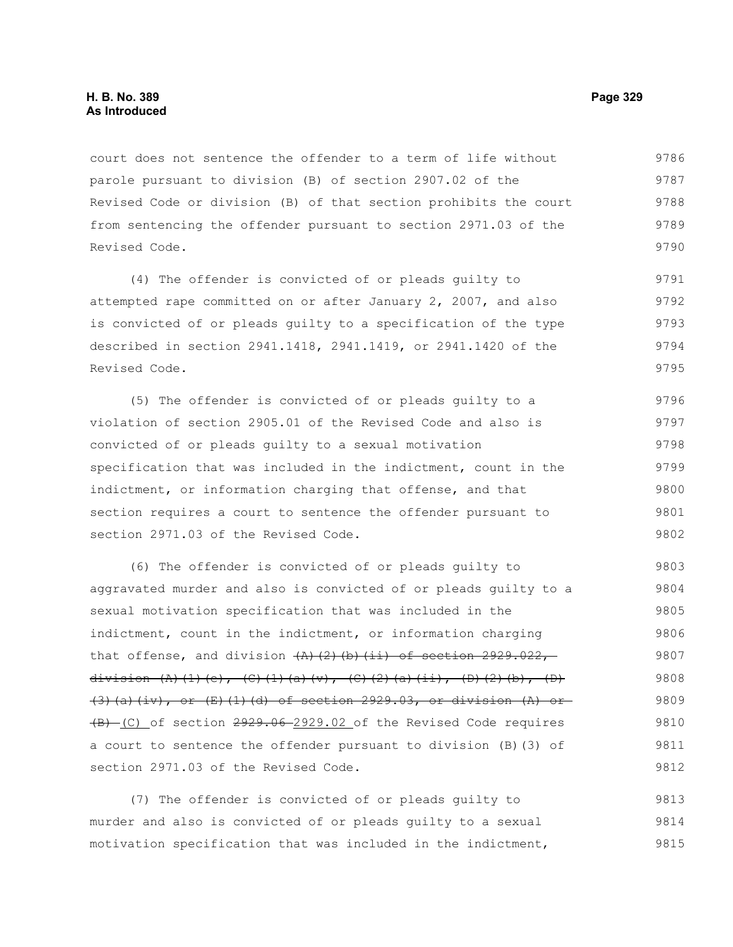court does not sentence the offender to a term of life without parole pursuant to division (B) of section 2907.02 of the Revised Code or division (B) of that section prohibits the court from sentencing the offender pursuant to section 2971.03 of the Revised Code. 9786 9787 9788 9789 9790

(4) The offender is convicted of or pleads guilty to attempted rape committed on or after January 2, 2007, and also is convicted of or pleads guilty to a specification of the type described in section 2941.1418, 2941.1419, or 2941.1420 of the Revised Code. 9791 9792 9793 9794 9795

(5) The offender is convicted of or pleads guilty to a violation of section 2905.01 of the Revised Code and also is convicted of or pleads guilty to a sexual motivation specification that was included in the indictment, count in the indictment, or information charging that offense, and that section requires a court to sentence the offender pursuant to section 2971.03 of the Revised Code. 9796 9797 9798 9799 9800 9801 9802

(6) The offender is convicted of or pleads guilty to aggravated murder and also is convicted of or pleads guilty to a sexual motivation specification that was included in the indictment, count in the indictment, or information charging that offense, and division  $(A)$   $(2)$   $(b)$   $(ii)$  of section 2929.022, division (A)(1)(e), (C)(1)(a)(v), (C)(2)(a)(ii), (D)(2)(b), (D)  $(3)$  (a)(iv), or (E)(1)(d) of section 2929.03, or division (A) or  $(B)$  (C) of section  $2929.06 - 2929.02$  of the Revised Code requires a court to sentence the offender pursuant to division (B)(3) of section 2971.03 of the Revised Code. 9803 9804 9805 9806 9807 9808 9809 9810 9811 9812

(7) The offender is convicted of or pleads guilty to murder and also is convicted of or pleads guilty to a sexual motivation specification that was included in the indictment, 9813 9814 9815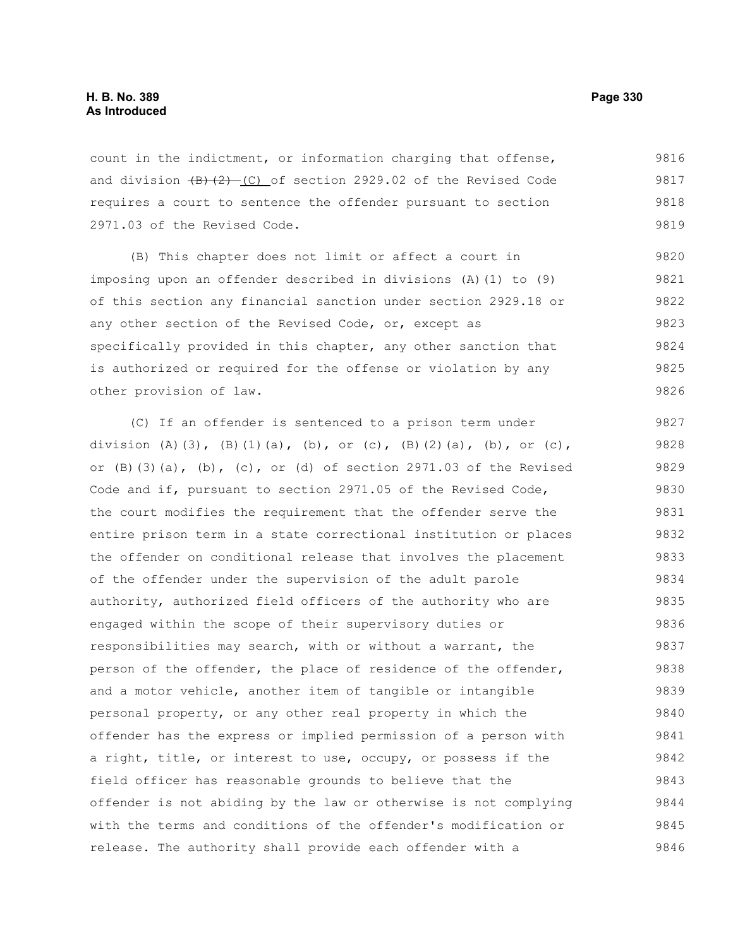count in the indictment, or information charging that offense, and division  $\overline{(B)(2)}$  (C) of section 2929.02 of the Revised Code requires a court to sentence the offender pursuant to section 2971.03 of the Revised Code. 9816 9817 9818 9819

(B) This chapter does not limit or affect a court in imposing upon an offender described in divisions (A)(1) to (9) of this section any financial sanction under section 2929.18 or any other section of the Revised Code, or, except as specifically provided in this chapter, any other sanction that is authorized or required for the offense or violation by any other provision of law. 9820 9821 9822 9823 9824 9825 9826

(C) If an offender is sentenced to a prison term under division (A)(3), (B)(1)(a), (b), or (c), (B)(2)(a), (b), or (c), or  $(B)(3)(a)$ ,  $(b)$ ,  $(c)$ , or  $(d)$  of section 2971.03 of the Revised Code and if, pursuant to section 2971.05 of the Revised Code, the court modifies the requirement that the offender serve the entire prison term in a state correctional institution or places the offender on conditional release that involves the placement of the offender under the supervision of the adult parole authority, authorized field officers of the authority who are engaged within the scope of their supervisory duties or responsibilities may search, with or without a warrant, the person of the offender, the place of residence of the offender, and a motor vehicle, another item of tangible or intangible personal property, or any other real property in which the offender has the express or implied permission of a person with a right, title, or interest to use, occupy, or possess if the field officer has reasonable grounds to believe that the offender is not abiding by the law or otherwise is not complying with the terms and conditions of the offender's modification or release. The authority shall provide each offender with a 9827 9828 9829 9830 9831 9832 9833 9834 9835 9836 9837 9838 9839 9840 9841 9842 9843 9844 9845 9846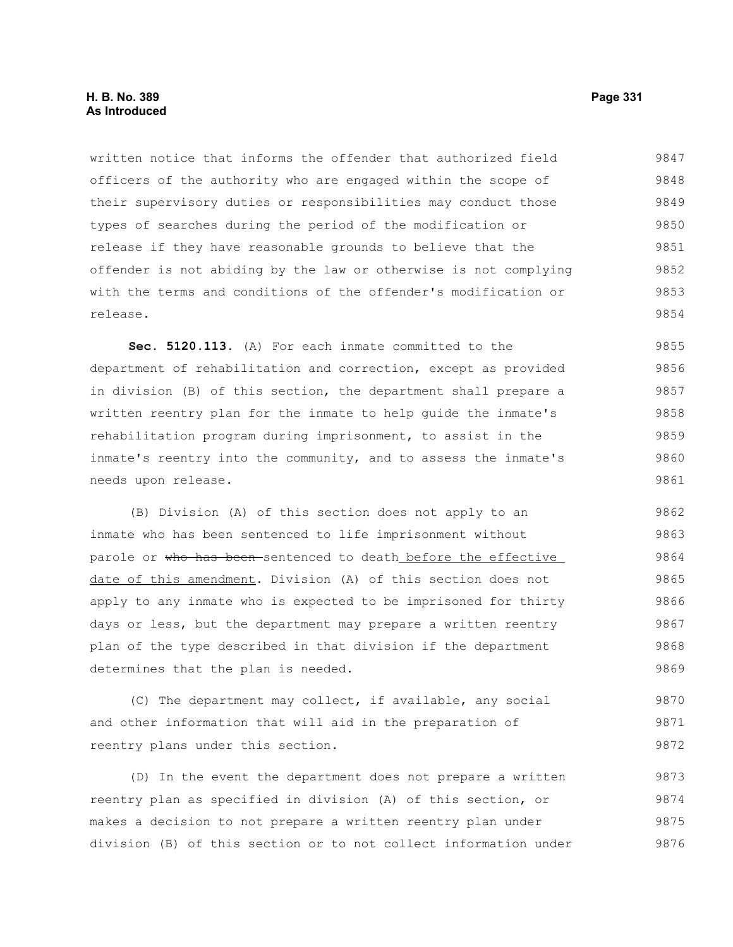written notice that informs the offender that authorized field officers of the authority who are engaged within the scope of their supervisory duties or responsibilities may conduct those types of searches during the period of the modification or release if they have reasonable grounds to believe that the offender is not abiding by the law or otherwise is not complying with the terms and conditions of the offender's modification or release. 9847 9848 9849 9850 9851 9852 9853 9854

**Sec. 5120.113.** (A) For each inmate committed to the department of rehabilitation and correction, except as provided in division (B) of this section, the department shall prepare a written reentry plan for the inmate to help guide the inmate's rehabilitation program during imprisonment, to assist in the inmate's reentry into the community, and to assess the inmate's needs upon release. 9855 9856 9857 9858 9859 9860 9861

(B) Division (A) of this section does not apply to an inmate who has been sentenced to life imprisonment without parole or who has been sentenced to death before the effective date of this amendment. Division (A) of this section does not apply to any inmate who is expected to be imprisoned for thirty days or less, but the department may prepare a written reentry plan of the type described in that division if the department determines that the plan is needed. 9862 9863 9864 9865 9866 9867 9868 9869

(C) The department may collect, if available, any social and other information that will aid in the preparation of reentry plans under this section. 9870 9871 9872

(D) In the event the department does not prepare a written reentry plan as specified in division (A) of this section, or makes a decision to not prepare a written reentry plan under division (B) of this section or to not collect information under 9873 9874 9875 9876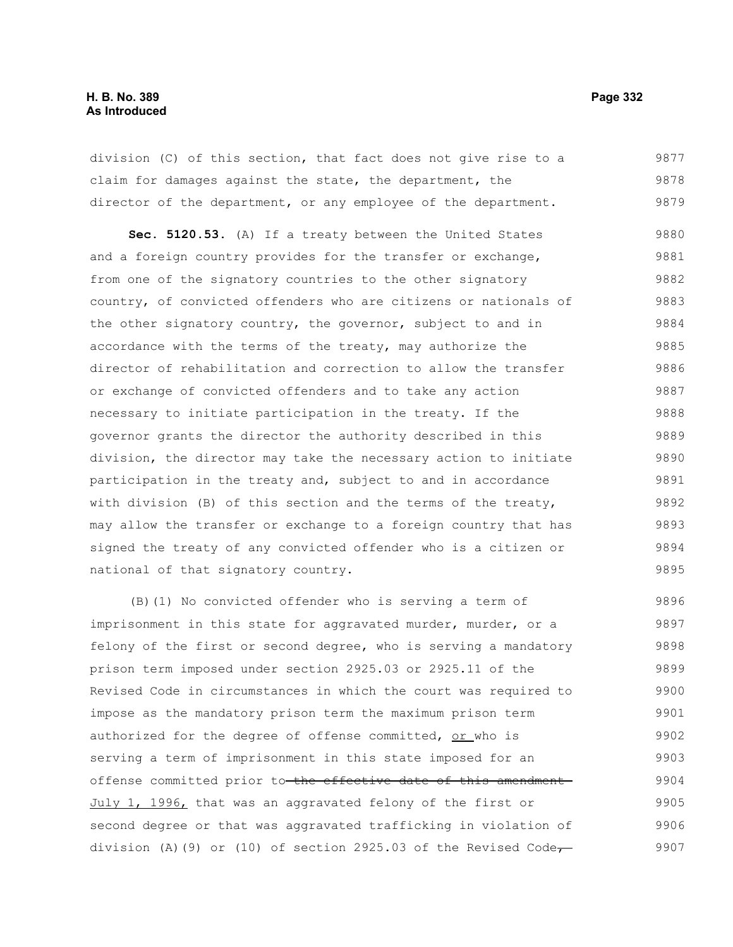division (C) of this section, that fact does not give rise to a claim for damages against the state, the department, the director of the department, or any employee of the department. 9877 9878 9879

**Sec. 5120.53.** (A) If a treaty between the United States and a foreign country provides for the transfer or exchange, from one of the signatory countries to the other signatory country, of convicted offenders who are citizens or nationals of the other signatory country, the governor, subject to and in accordance with the terms of the treaty, may authorize the director of rehabilitation and correction to allow the transfer or exchange of convicted offenders and to take any action necessary to initiate participation in the treaty. If the governor grants the director the authority described in this division, the director may take the necessary action to initiate participation in the treaty and, subject to and in accordance with division (B) of this section and the terms of the treaty, may allow the transfer or exchange to a foreign country that has signed the treaty of any convicted offender who is a citizen or national of that signatory country. 9880 9881 9882 9883 9884 9885 9886 9887 9888 9889 9890 9891 9892 9893 9894 9895

(B)(1) No convicted offender who is serving a term of imprisonment in this state for aggravated murder, murder, or a felony of the first or second degree, who is serving a mandatory prison term imposed under section 2925.03 or 2925.11 of the Revised Code in circumstances in which the court was required to impose as the mandatory prison term the maximum prison term authorized for the degree of offense committed, or who is serving a term of imprisonment in this state imposed for an offense committed prior to-the effective date of this amendment-July 1, 1996, that was an aggravated felony of the first or second degree or that was aggravated trafficking in violation of division (A)(9) or (10) of section 2925.03 of the Revised Code $\tau$ 9896 9897 9898 9899 9900 9901 9902 9903 9904 9905 9906 9907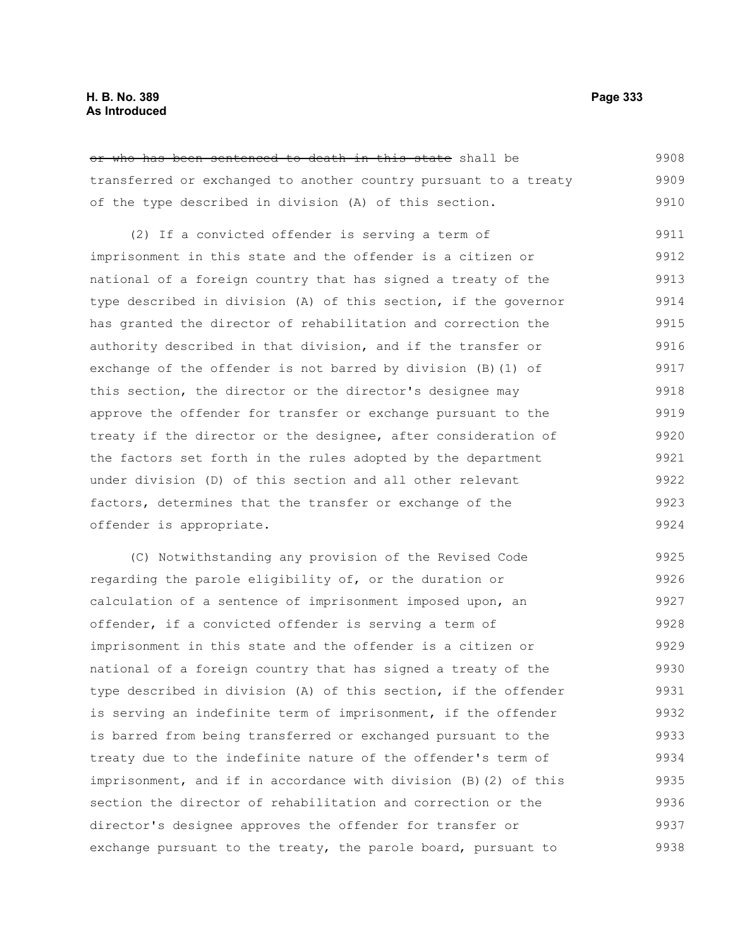| or who has been sentenced to death in this state shall be        | 9908 |
|------------------------------------------------------------------|------|
| transferred or exchanged to another country pursuant to a treaty | 9909 |
| of the type described in division (A) of this section.           | 9910 |
|                                                                  |      |
| (2) If a convicted offender is serving a term of                 | 9911 |
| imprisonment in this state and the offender is a citizen or      | 9912 |
| national of a foreign country that has signed a treaty of the    | 9913 |
| type described in division (A) of this section, if the governor  | 9914 |
| has granted the director of rehabilitation and correction the    | 9915 |
| authority described in that division, and if the transfer or     | 9916 |
| exchange of the offender is not barred by division (B) (1) of    | 9917 |
| this section, the director or the director's designee may        | 9918 |
| approve the offender for transfer or exchange pursuant to the    | 9919 |
| treaty if the director or the designee, after consideration of   | 9920 |
| the factors set forth in the rules adopted by the department     | 9921 |
| under division (D) of this section and all other relevant        | 9922 |
| factors, determines that the transfer or exchange of the         | 9923 |
| offender is appropriate.                                         | 9924 |
| (C) Notwithstanding any provision of the Revised Code            | 9925 |
|                                                                  |      |
| regarding the parole eligibility of, or the duration or          | 9926 |
| calculation of a sentence of imprisonment imposed upon, an       | 9927 |
| offender, if a convicted offender is serving a term of           | 9928 |
|                                                                  |      |

imprisonment in this state and the offender is a citizen or national of a foreign country that has signed a treaty of the type described in division (A) of this section, if the offender is serving an indefinite term of imprisonment, if the offender is barred from being transferred or exchanged pursuant to the treaty due to the indefinite nature of the offender's term of imprisonment, and if in accordance with division (B)(2) of this section the director of rehabilitation and correction or the director's designee approves the offender for transfer or exchange pursuant to the treaty, the parole board, pursuant to 9929 9930 9931 9932 9933 9934 9935 9936 9937 9938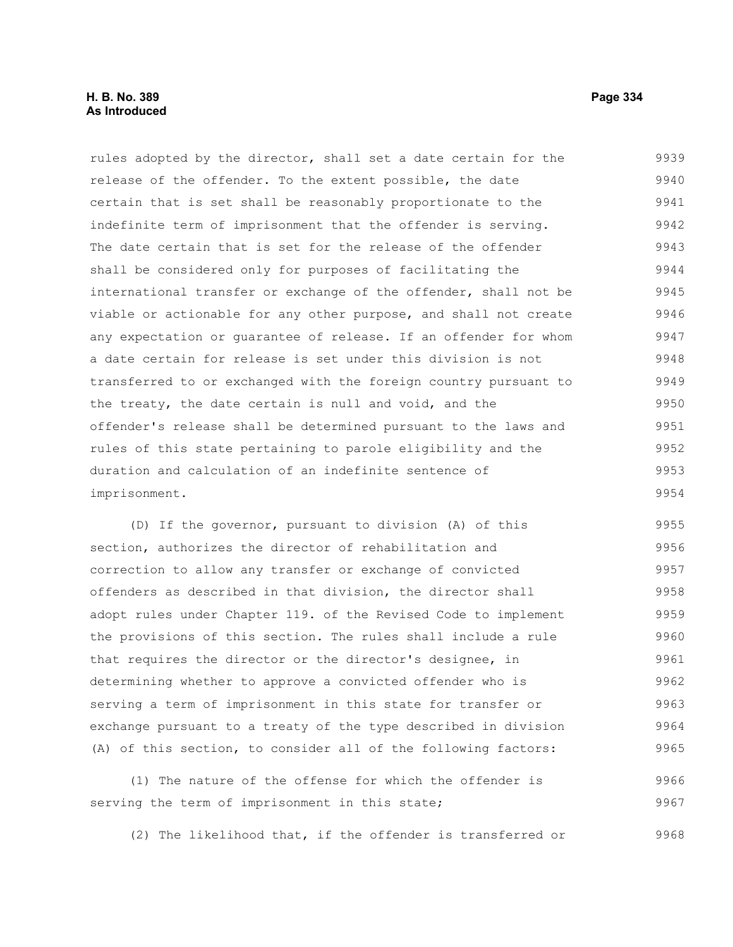## **H. B. No. 389 Page 334 As Introduced**

rules adopted by the director, shall set a date certain for the release of the offender. To the extent possible, the date certain that is set shall be reasonably proportionate to the indefinite term of imprisonment that the offender is serving. The date certain that is set for the release of the offender shall be considered only for purposes of facilitating the international transfer or exchange of the offender, shall not be viable or actionable for any other purpose, and shall not create any expectation or guarantee of release. If an offender for whom a date certain for release is set under this division is not transferred to or exchanged with the foreign country pursuant to the treaty, the date certain is null and void, and the offender's release shall be determined pursuant to the laws and rules of this state pertaining to parole eligibility and the duration and calculation of an indefinite sentence of imprisonment. 9939 9940 9941 9942 9943 9944 9945 9946 9947 9948 9949 9950 9951 9952 9953 9954

(D) If the governor, pursuant to division (A) of this section, authorizes the director of rehabilitation and correction to allow any transfer or exchange of convicted offenders as described in that division, the director shall adopt rules under Chapter 119. of the Revised Code to implement the provisions of this section. The rules shall include a rule that requires the director or the director's designee, in determining whether to approve a convicted offender who is serving a term of imprisonment in this state for transfer or exchange pursuant to a treaty of the type described in division (A) of this section, to consider all of the following factors: 9955 9956 9957 9958 9959 9960 9961 9962 9963 9964 9965

(1) The nature of the offense for which the offender is serving the term of imprisonment in this state; 9966 9967

(2) The likelihood that, if the offender is transferred or 9968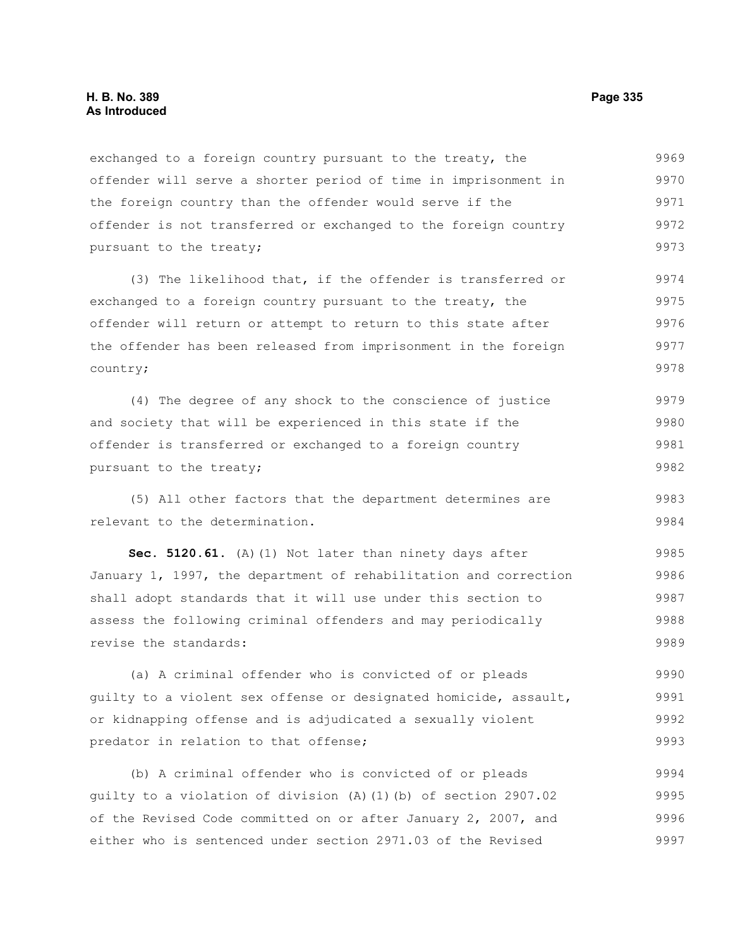exchanged to a foreign country pursuant to the treaty, the offender will serve a shorter period of time in imprisonment in the foreign country than the offender would serve if the offender is not transferred or exchanged to the foreign country pursuant to the treaty; 9969 9970 9971 9972 9973

(3) The likelihood that, if the offender is transferred or exchanged to a foreign country pursuant to the treaty, the offender will return or attempt to return to this state after the offender has been released from imprisonment in the foreign country; 9974 9975 9976 9977 9978

(4) The degree of any shock to the conscience of justice and society that will be experienced in this state if the offender is transferred or exchanged to a foreign country pursuant to the treaty; 9979 9980 9981 9982

(5) All other factors that the department determines are relevant to the determination. 9983 9984

**Sec. 5120.61.** (A)(1) Not later than ninety days after January 1, 1997, the department of rehabilitation and correction shall adopt standards that it will use under this section to assess the following criminal offenders and may periodically revise the standards: 9985 9986 9987 9988 9989

(a) A criminal offender who is convicted of or pleads guilty to a violent sex offense or designated homicide, assault, or kidnapping offense and is adjudicated a sexually violent predator in relation to that offense; 9990 9991 9992 9993

(b) A criminal offender who is convicted of or pleads guilty to a violation of division (A)(1)(b) of section 2907.02 of the Revised Code committed on or after January 2, 2007, and either who is sentenced under section 2971.03 of the Revised 9994 9995 9996 9997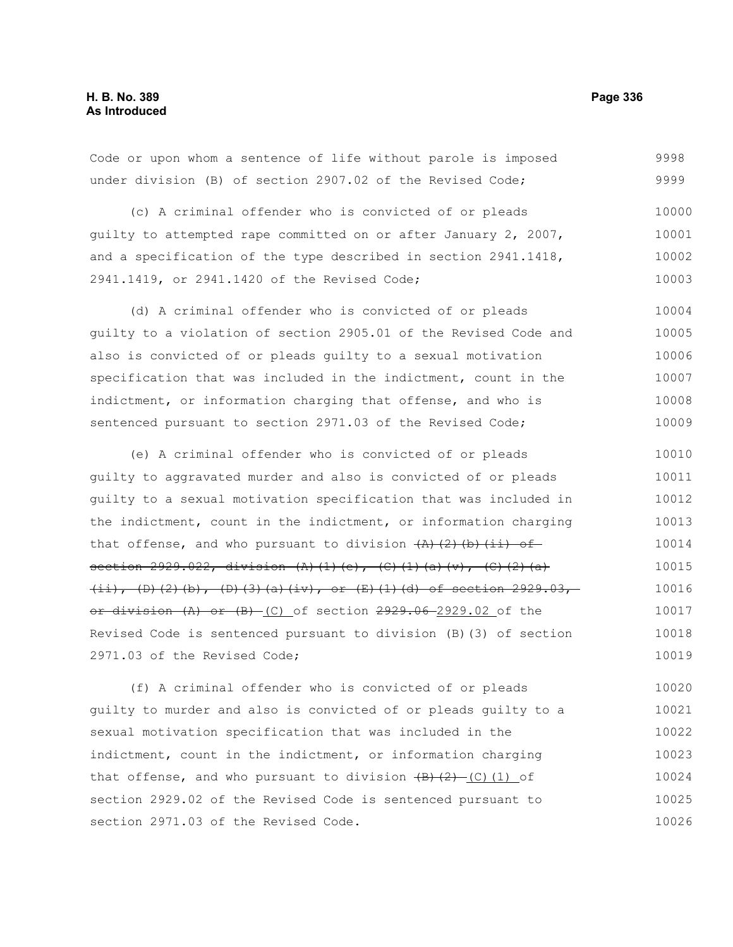# **H. B. No. 389 Page 336 As Introduced**

under division (B) of section 2907.02 of the Revised Code; (c) A criminal offender who is convicted of or pleads guilty to attempted rape committed on or after January 2, 2007, and a specification of the type described in section 2941.1418, 2941.1419, or 2941.1420 of the Revised Code; (d) A criminal offender who is convicted of or pleads guilty to a violation of section 2905.01 of the Revised Code and also is convicted of or pleads guilty to a sexual motivation specification that was included in the indictment, count in the indictment, or information charging that offense, and who is sentenced pursuant to section 2971.03 of the Revised Code; (e) A criminal offender who is convicted of or pleads guilty to aggravated murder and also is convicted of or pleads guilty to a sexual motivation specification that was included in the indictment, count in the indictment, or information charging that offense, and who pursuant to division  $(A)$  (2)(b)(ii) of section 2929.022, division (A)(1)(e), (C)(1)(a)(v), (C)(2)(a)  $(iii)$ , (D)(2)(b), (D)(3)(a)(iv), or (E)(1)(d) of section 2929.03, or division  $(A)$  or  $(B)$   $(C)$  of section  $2929.06$   $2929.02$  of the Revised Code is sentenced pursuant to division (B)(3) of section 2971.03 of the Revised Code; (f) A criminal offender who is convicted of or pleads guilty to murder and also is convicted of or pleads guilty to a 9999 10000 10001 10002 10003 10004 10005 10006 10007 10008 10009 10010 10011 10012 10013 10014 10015 10016 10017 10018 10019 10020 10021

Code or upon whom a sentence of life without parole is imposed

sexual motivation specification that was included in the indictment, count in the indictment, or information charging that offense, and who pursuant to division  $\left(\frac{B}{C}\right)\left(\frac{C}{C}\right)$  (1) of section 2929.02 of the Revised Code is sentenced pursuant to section 2971.03 of the Revised Code. 10022 10023 10024 10025 10026

9998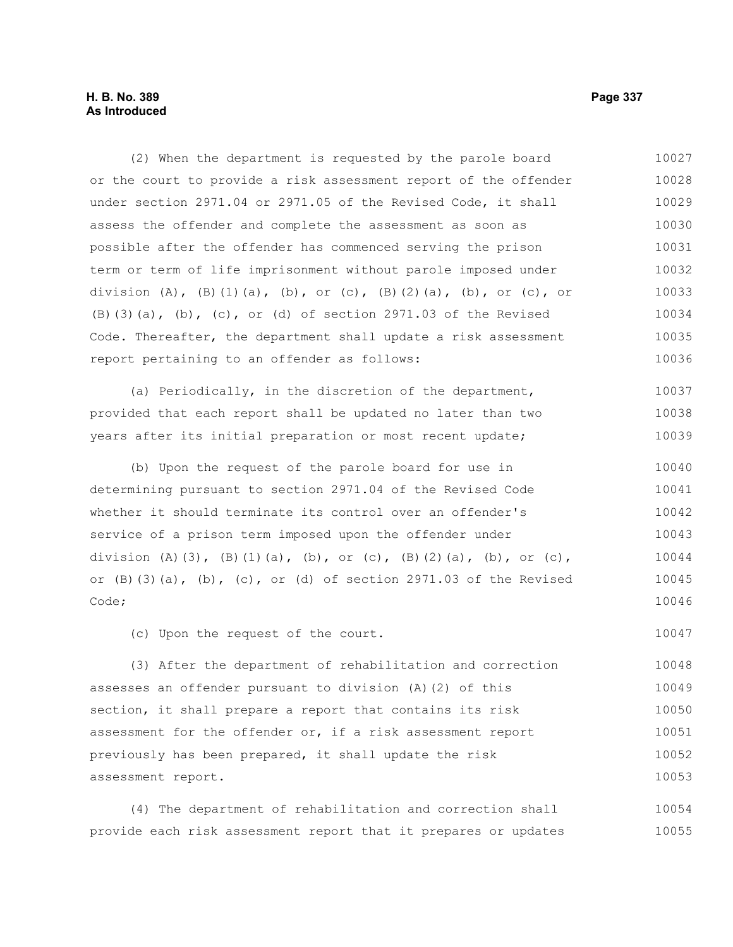# **H. B. No. 389 Page 337 As Introduced**

assessment report.

(2) When the department is requested by the parole board or the court to provide a risk assessment report of the offender under section 2971.04 or 2971.05 of the Revised Code, it shall assess the offender and complete the assessment as soon as possible after the offender has commenced serving the prison term or term of life imprisonment without parole imposed under division (A), (B)(1)(a), (b), or (c), (B)(2)(a), (b), or (c), or  $(B)$ (3)(a),  $(b)$ ,  $(c)$ , or (d) of section 2971.03 of the Revised Code. Thereafter, the department shall update a risk assessment report pertaining to an offender as follows: (a) Periodically, in the discretion of the department, provided that each report shall be updated no later than two years after its initial preparation or most recent update; (b) Upon the request of the parole board for use in determining pursuant to section 2971.04 of the Revised Code whether it should terminate its control over an offender's service of a prison term imposed upon the offender under division (A)(3), (B)(1)(a), (b), or (c), (B)(2)(a), (b), or (c), or  $(B)(3)(a)$ ,  $(b)$ ,  $(c)$ , or  $(d)$  of section 2971.03 of the Revised Code; (c) Upon the request of the court. (3) After the department of rehabilitation and correction assesses an offender pursuant to division (A)(2) of this section, it shall prepare a report that contains its risk assessment for the offender or, if a risk assessment report previously has been prepared, it shall update the risk 10027 10028 10029 10030 10031 10032 10033 10034 10035 10036 10037 10038 10039 10040 10041 10042 10043 10044 10045 10046 10047 10048 10049 10050 10051 10052

(4) The department of rehabilitation and correction shall provide each risk assessment report that it prepares or updates 10054 10055

10053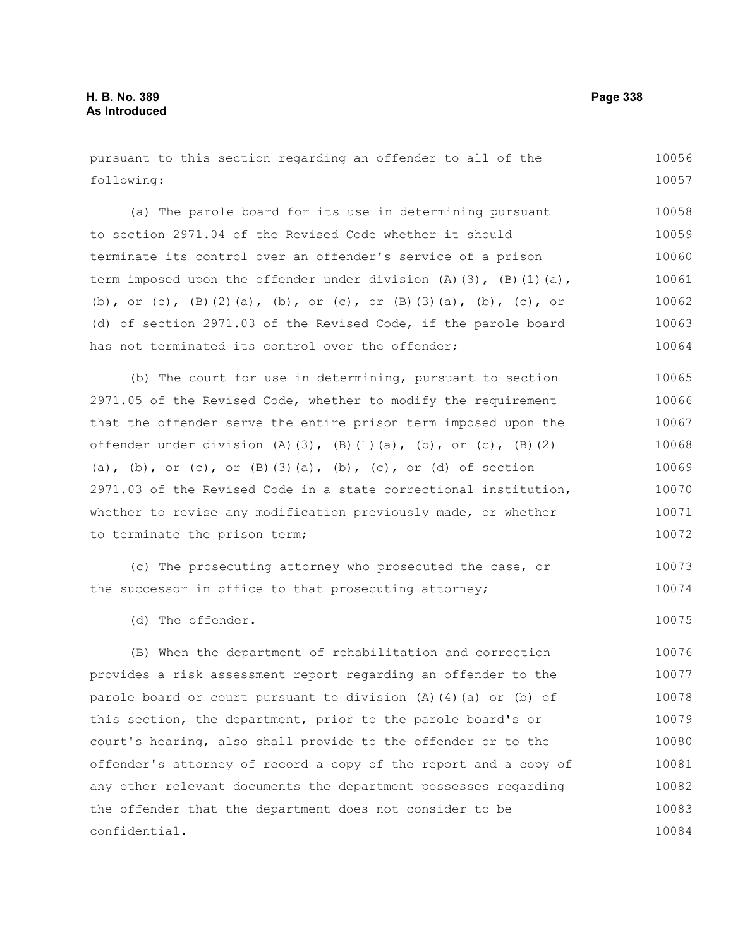10075

#### pursuant to this section regarding an offender to all of the following: (a) The parole board for its use in determining pursuant to section 2971.04 of the Revised Code whether it should terminate its control over an offender's service of a prison term imposed upon the offender under division  $(A)$   $(3)$ ,  $(B)$   $(1)$   $(a)$ , (b), or (c),  $(B)(2)(a)$ ,  $(b)$ , or  $(c)$ , or  $(B)(3)(a)$ ,  $(b)$ ,  $(c)$ , or (d) of section 2971.03 of the Revised Code, if the parole board has not terminated its control over the offender; (b) The court for use in determining, pursuant to section 2971.05 of the Revised Code, whether to modify the requirement that the offender serve the entire prison term imposed upon the offender under division  $(A)$ (3),  $(B)$ (1)(a), (b), or (c),  $(B)$ (2) (a), (b), or (c), or (B)(3)(a), (b), (c), or (d) of section 2971.03 of the Revised Code in a state correctional institution, 10056 10057 10058 10059 10060 10061 10062 10063 10064 10065 10066 10067 10068 10069 10070

whether to revise any modification previously made, or whether to terminate the prison term; 10071 10072

(c) The prosecuting attorney who prosecuted the case, or the successor in office to that prosecuting attorney; 10073 10074

(d) The offender.

(B) When the department of rehabilitation and correction provides a risk assessment report regarding an offender to the parole board or court pursuant to division (A)(4)(a) or (b) of this section, the department, prior to the parole board's or court's hearing, also shall provide to the offender or to the offender's attorney of record a copy of the report and a copy of any other relevant documents the department possesses regarding the offender that the department does not consider to be confidential. 10076 10077 10078 10079 10080 10081 10082 10083 10084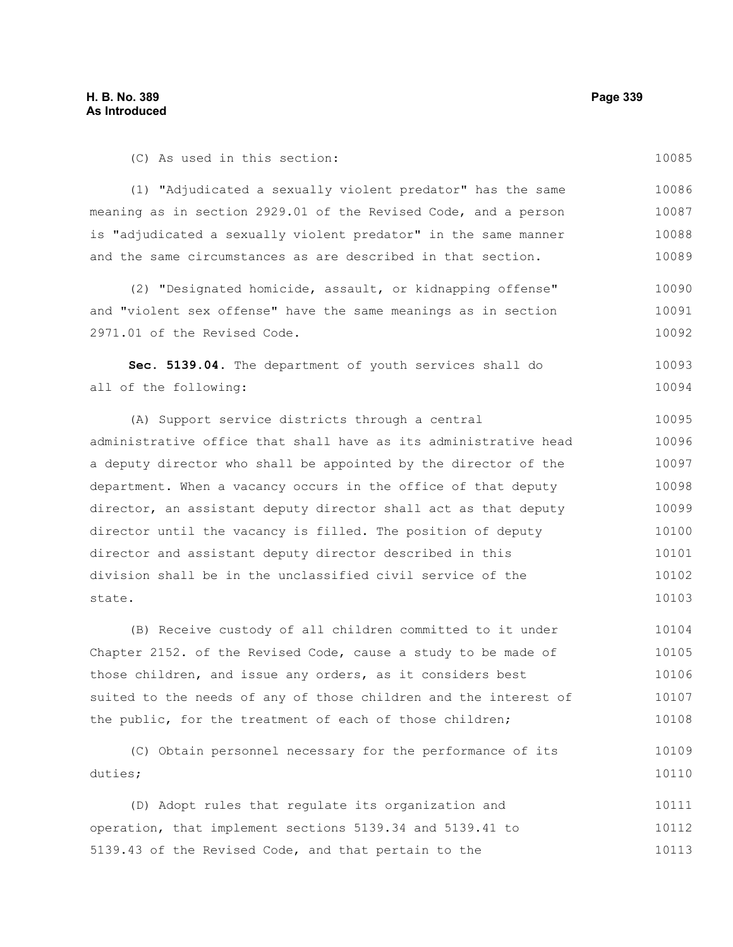(C) As used in this section:

10085

(1) "Adjudicated a sexually violent predator" has the same meaning as in section 2929.01 of the Revised Code, and a person is "adjudicated a sexually violent predator" in the same manner and the same circumstances as are described in that section. 10086 10087 10088 10089

(2) "Designated homicide, assault, or kidnapping offense" and "violent sex offense" have the same meanings as in section 2971.01 of the Revised Code. 10090 10091 10092

**Sec. 5139.04.** The department of youth services shall do all of the following: 10093 10094

(A) Support service districts through a central administrative office that shall have as its administrative head a deputy director who shall be appointed by the director of the department. When a vacancy occurs in the office of that deputy director, an assistant deputy director shall act as that deputy director until the vacancy is filled. The position of deputy director and assistant deputy director described in this division shall be in the unclassified civil service of the state. 10095 10096 10097 10098 10099 10100 10101 10102 10103

(B) Receive custody of all children committed to it under Chapter 2152. of the Revised Code, cause a study to be made of those children, and issue any orders, as it considers best suited to the needs of any of those children and the interest of the public, for the treatment of each of those children; 10104 10105 10106 10107 10108

(C) Obtain personnel necessary for the performance of its duties; 10109 10110

(D) Adopt rules that regulate its organization and operation, that implement sections 5139.34 and 5139.41 to 5139.43 of the Revised Code, and that pertain to the 10111 10112 10113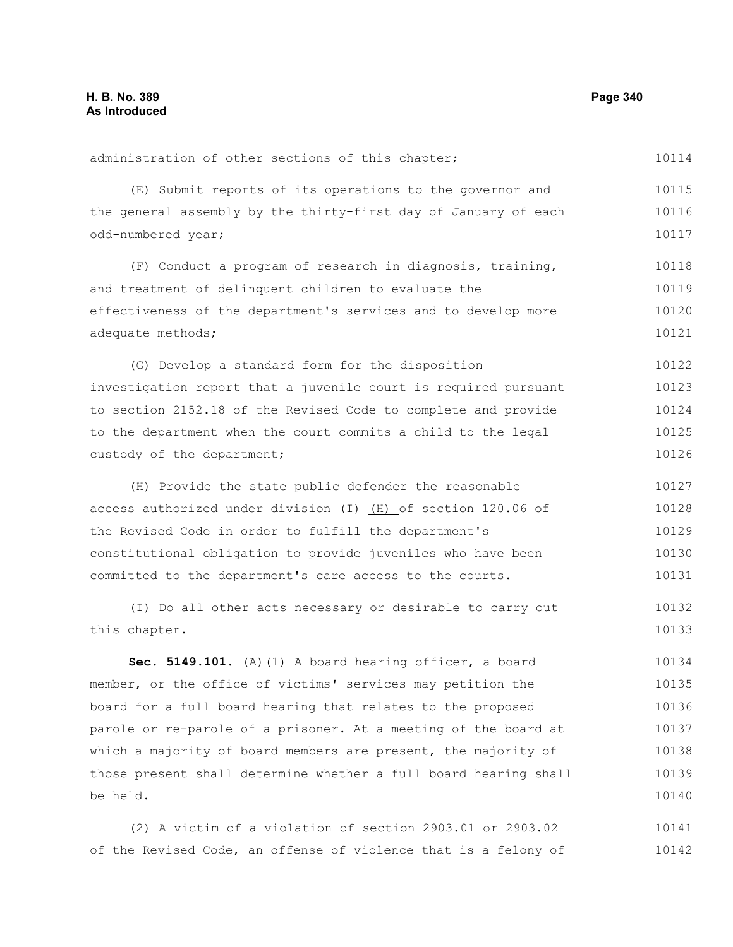| administration of other sections of this chapter;               | 10114 |
|-----------------------------------------------------------------|-------|
| (E) Submit reports of its operations to the governor and        | 10115 |
| the general assembly by the thirty-first day of January of each | 10116 |
| odd-numbered year;                                              | 10117 |
| (F) Conduct a program of research in diagnosis, training,       | 10118 |
| and treatment of delinquent children to evaluate the            | 10119 |
| effectiveness of the department's services and to develop more  | 10120 |
| adequate methods;                                               | 10121 |
| (G) Develop a standard form for the disposition                 | 10122 |
| investigation report that a juvenile court is required pursuant | 10123 |
| to section 2152.18 of the Revised Code to complete and provide  | 10124 |
| to the department when the court commits a child to the legal   | 10125 |
| custody of the department;                                      | 10126 |
| (H) Provide the state public defender the reasonable            | 10127 |
| access authorized under division $(H)$ (H) of section 120.06 of | 10128 |
| the Revised Code in order to fulfill the department's           | 10129 |
| constitutional obligation to provide juveniles who have been    | 10130 |
| committed to the department's care access to the courts.        | 10131 |
| (I) Do all other acts necessary or desirable to carry out       | 10132 |
| this chapter.                                                   | 10133 |
| Sec. 5149.101. (A) (1) A board hearing officer, a board         | 10134 |

member, or the office of victims' services may petition the board for a full board hearing that relates to the proposed parole or re-parole of a prisoner. At a meeting of the board at which a majority of board members are present, the majority of those present shall determine whether a full board hearing shall be held. 10135 10136 10137 10138 10139 10140

(2) A victim of a violation of section 2903.01 or 2903.02 of the Revised Code, an offense of violence that is a felony of 10141 10142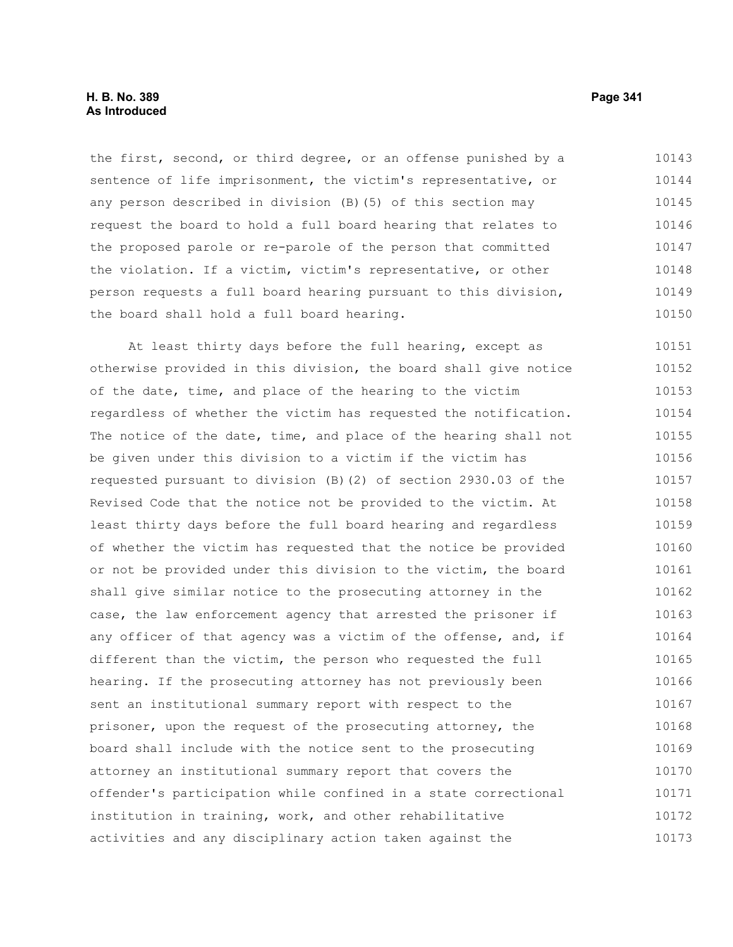the first, second, or third degree, or an offense punished by a sentence of life imprisonment, the victim's representative, or any person described in division (B)(5) of this section may request the board to hold a full board hearing that relates to the proposed parole or re-parole of the person that committed the violation. If a victim, victim's representative, or other person requests a full board hearing pursuant to this division, the board shall hold a full board hearing. 10143 10144 10145 10146 10147 10148 10149 10150

At least thirty days before the full hearing, except as otherwise provided in this division, the board shall give notice of the date, time, and place of the hearing to the victim regardless of whether the victim has requested the notification. The notice of the date, time, and place of the hearing shall not be given under this division to a victim if the victim has requested pursuant to division (B)(2) of section 2930.03 of the Revised Code that the notice not be provided to the victim. At least thirty days before the full board hearing and regardless of whether the victim has requested that the notice be provided or not be provided under this division to the victim, the board shall give similar notice to the prosecuting attorney in the case, the law enforcement agency that arrested the prisoner if any officer of that agency was a victim of the offense, and, if different than the victim, the person who requested the full hearing. If the prosecuting attorney has not previously been sent an institutional summary report with respect to the prisoner, upon the request of the prosecuting attorney, the board shall include with the notice sent to the prosecuting attorney an institutional summary report that covers the offender's participation while confined in a state correctional institution in training, work, and other rehabilitative activities and any disciplinary action taken against the 10151 10152 10153 10154 10155 10156 10157 10158 10159 10160 10161 10162 10163 10164 10165 10166 10167 10168 10169 10170 10171 10172 10173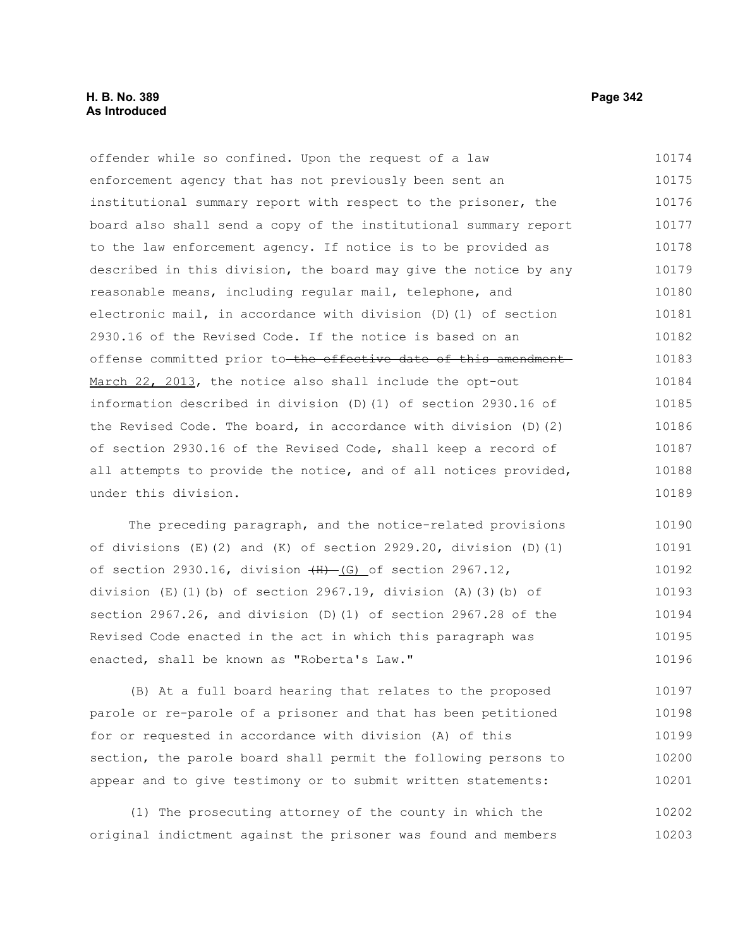offender while so confined. Upon the request of a law enforcement agency that has not previously been sent an institutional summary report with respect to the prisoner, the board also shall send a copy of the institutional summary report to the law enforcement agency. If notice is to be provided as described in this division, the board may give the notice by any reasonable means, including regular mail, telephone, and electronic mail, in accordance with division (D)(1) of section 2930.16 of the Revised Code. If the notice is based on an offense committed prior to the effective date of this amendment March 22, 2013, the notice also shall include the opt-out information described in division (D)(1) of section 2930.16 of the Revised Code. The board, in accordance with division (D)(2) of section 2930.16 of the Revised Code, shall keep a record of all attempts to provide the notice, and of all notices provided, under this division. 10174 10175 10176 10177 10178 10179 10180 10181 10182 10183 10184 10185 10186 10187 10188 10189

The preceding paragraph, and the notice-related provisions of divisions  $(E)(2)$  and  $(K)$  of section 2929.20, division  $(D)(1)$ of section 2930.16, division  $(H)$  (G) of section 2967.12, division  $(E)(1)(b)$  of section 2967.19, division  $(A)(3)(b)$  of section 2967.26, and division (D)(1) of section 2967.28 of the Revised Code enacted in the act in which this paragraph was enacted, shall be known as "Roberta's Law." 10190 10191 10192 10193 10194 10195 10196

(B) At a full board hearing that relates to the proposed parole or re-parole of a prisoner and that has been petitioned for or requested in accordance with division (A) of this section, the parole board shall permit the following persons to appear and to give testimony or to submit written statements: 10197 10198 10199 10200 10201

(1) The prosecuting attorney of the county in which the original indictment against the prisoner was found and members 10202 10203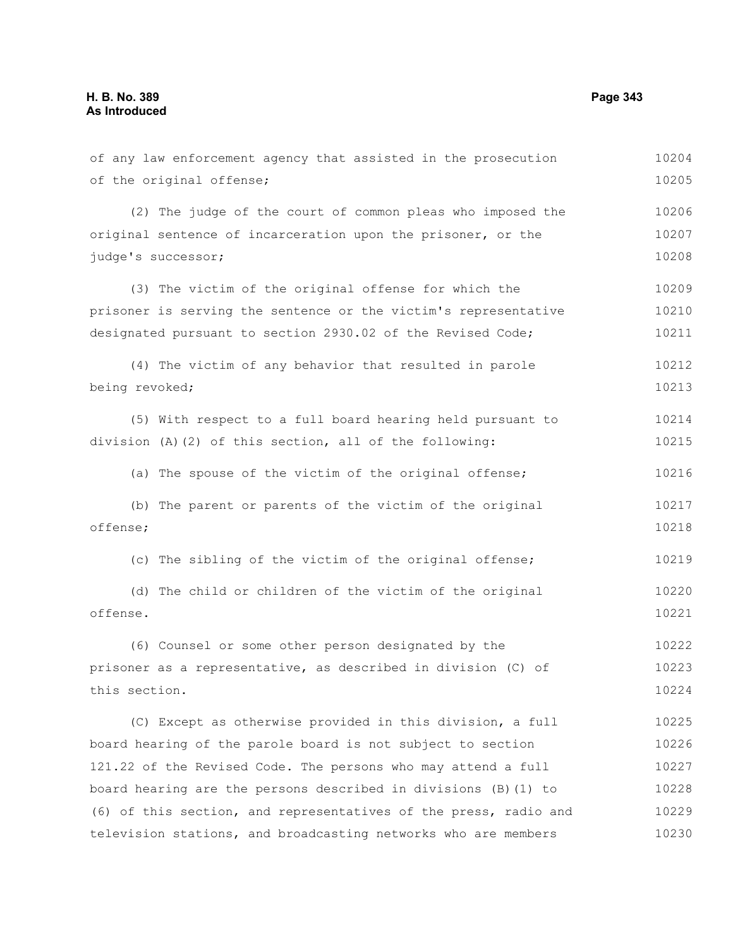| of any law enforcement agency that assisted in the prosecution   | 10204 |
|------------------------------------------------------------------|-------|
| of the original offense;                                         | 10205 |
| (2) The judge of the court of common pleas who imposed the       | 10206 |
| original sentence of incarceration upon the prisoner, or the     | 10207 |
| judge's successor;                                               | 10208 |
|                                                                  | 10209 |
| (3) The victim of the original offense for which the             |       |
| prisoner is serving the sentence or the victim's representative  | 10210 |
| designated pursuant to section 2930.02 of the Revised Code;      | 10211 |
| (4) The victim of any behavior that resulted in parole           | 10212 |
| being revoked;                                                   | 10213 |
| (5) With respect to a full board hearing held pursuant to        | 10214 |
| division (A)(2) of this section, all of the following:           | 10215 |
| (a) The spouse of the victim of the original offense;            | 10216 |
| (b) The parent or parents of the victim of the original          | 10217 |
| offense;                                                         | 10218 |
| (c) The sibling of the victim of the original offense;           | 10219 |
| (d) The child or children of the victim of the original          | 10220 |
| offense.                                                         | 10221 |
| (6) Counsel or some other person designated by the               | 10222 |
| prisoner as a representative, as described in division (C) of    | 10223 |
| this section.                                                    | 10224 |
| (C) Except as otherwise provided in this division, a full        | 10225 |
| board hearing of the parole board is not subject to section      | 10226 |
| 121.22 of the Revised Code. The persons who may attend a full    | 10227 |
| board hearing are the persons described in divisions (B) (1) to  | 10228 |
| (6) of this section, and representatives of the press, radio and | 10229 |
| television stations, and broadcasting networks who are members   | 10230 |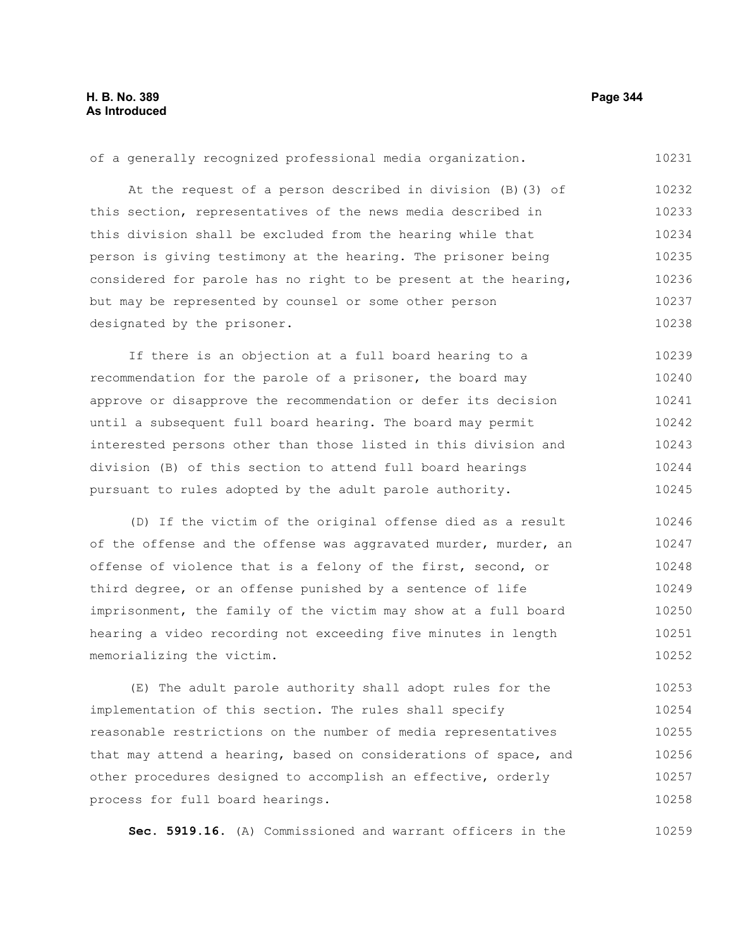10231

#### At the request of a person described in division (B)(3) of this section, representatives of the news media described in this division shall be excluded from the hearing while that person is giving testimony at the hearing. The prisoner being considered for parole has no right to be present at the hearing, but may be represented by counsel or some other person designated by the prisoner. 10232 10233 10234 10235 10236 10237 10238

of a generally recognized professional media organization.

If there is an objection at a full board hearing to a recommendation for the parole of a prisoner, the board may approve or disapprove the recommendation or defer its decision until a subsequent full board hearing. The board may permit interested persons other than those listed in this division and division (B) of this section to attend full board hearings pursuant to rules adopted by the adult parole authority. 10239 10240 10241 10242 10243 10244 10245

(D) If the victim of the original offense died as a result of the offense and the offense was aggravated murder, murder, an offense of violence that is a felony of the first, second, or third degree, or an offense punished by a sentence of life imprisonment, the family of the victim may show at a full board hearing a video recording not exceeding five minutes in length memorializing the victim. 10246 10247 10248 10249 10250 10251 10252

(E) The adult parole authority shall adopt rules for the implementation of this section. The rules shall specify reasonable restrictions on the number of media representatives that may attend a hearing, based on considerations of space, and other procedures designed to accomplish an effective, orderly process for full board hearings. 10253 10254 10255 10256 10257 10258

**Sec. 5919.16.** (A) Commissioned and warrant officers in the 10259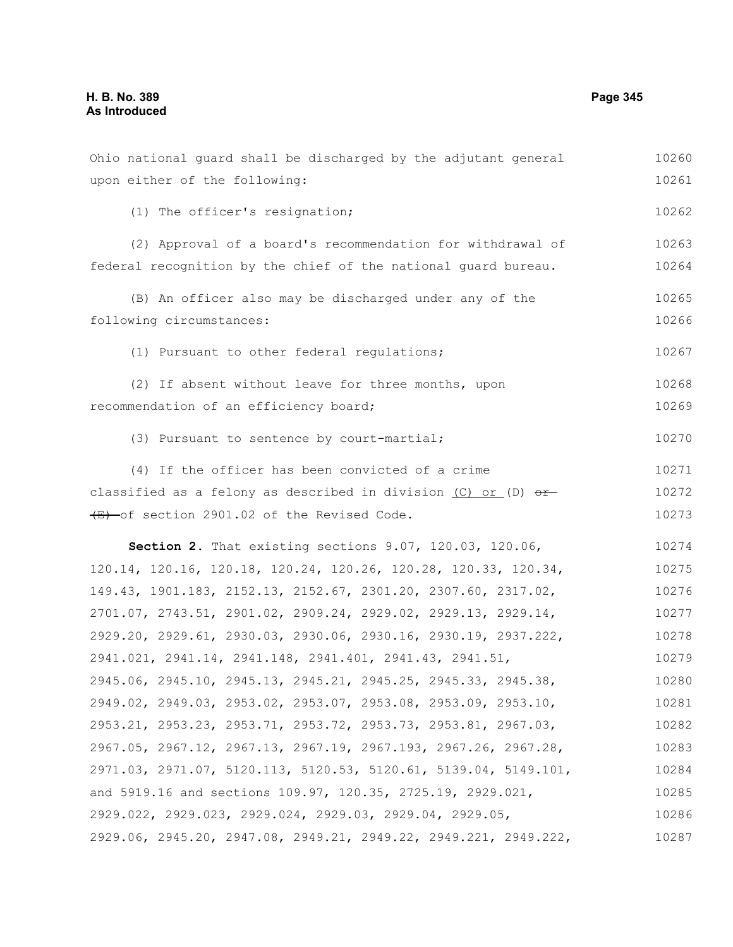| Ohio national guard shall be discharged by the adjutant general                  | 10260 |
|----------------------------------------------------------------------------------|-------|
| upon either of the following:                                                    | 10261 |
| (1) The officer's resignation;                                                   | 10262 |
|                                                                                  |       |
| (2) Approval of a board's recommendation for withdrawal of                       | 10263 |
| federal recognition by the chief of the national guard bureau.                   | 10264 |
| (B) An officer also may be discharged under any of the                           | 10265 |
| following circumstances:                                                         | 10266 |
| (1) Pursuant to other federal regulations;                                       | 10267 |
|                                                                                  |       |
| (2) If absent without leave for three months, upon                               | 10268 |
| recommendation of an efficiency board;                                           | 10269 |
| (3) Pursuant to sentence by court-martial;                                       | 10270 |
| (4) If the officer has been convicted of a crime                                 | 10271 |
| classified as a felony as described in division $(C)$ or $(D)$ $\theta$ <b>r</b> | 10272 |
| (E) of section 2901.02 of the Revised Code.                                      | 10273 |
| Section 2. That existing sections 9.07, 120.03, 120.06,                          | 10274 |
| 120.14, 120.16, 120.18, 120.24, 120.26, 120.28, 120.33, 120.34,                  | 10275 |
| 149.43, 1901.183, 2152.13, 2152.67, 2301.20, 2307.60, 2317.02,                   | 10276 |
| 2701.07, 2743.51, 2901.02, 2909.24, 2929.02, 2929.13, 2929.14,                   | 10277 |
| 2929.20, 2929.61, 2930.03, 2930.06, 2930.16, 2930.19, 2937.222,                  | 10278 |
| 2941.021, 2941.14, 2941.148, 2941.401, 2941.43, 2941.51,                         | 10279 |
| 2945.06, 2945.10, 2945.13, 2945.21, 2945.25, 2945.33, 2945.38,                   | 10280 |
| 2949.02, 2949.03, 2953.02, 2953.07, 2953.08, 2953.09, 2953.10,                   | 10281 |
|                                                                                  | 10282 |
| 2953.21, 2953.23, 2953.71, 2953.72, 2953.73, 2953.81, 2967.03,                   |       |
| 2967.05, 2967.12, 2967.13, 2967.19, 2967.193, 2967.26, 2967.28,                  | 10283 |
| 2971.03, 2971.07, 5120.113, 5120.53, 5120.61, 5139.04, 5149.101,                 | 10284 |
| and 5919.16 and sections 109.97, 120.35, 2725.19, 2929.021,                      | 10285 |
| 2929.022, 2929.023, 2929.024, 2929.03, 2929.04, 2929.05,                         | 10286 |
| 2929.06, 2945.20, 2947.08, 2949.21, 2949.22, 2949.221, 2949.222,                 | 10287 |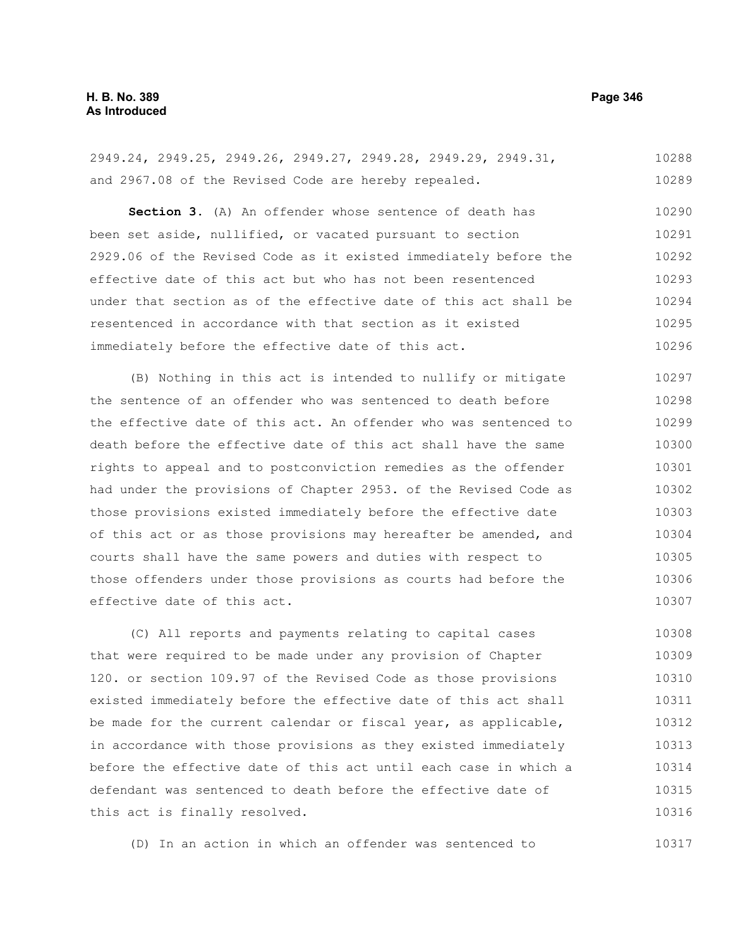2949.24, 2949.25, 2949.26, 2949.27, 2949.28, 2949.29, 2949.31, and 2967.08 of the Revised Code are hereby repealed. **Section 3.** (A) An offender whose sentence of death has been set aside, nullified, or vacated pursuant to section 2929.06 of the Revised Code as it existed immediately before the effective date of this act but who has not been resentenced under that section as of the effective date of this act shall be resentenced in accordance with that section as it existed immediately before the effective date of this act. 10288 10289 10290 10291 10292 10293 10294 10295 10296

(B) Nothing in this act is intended to nullify or mitigate the sentence of an offender who was sentenced to death before the effective date of this act. An offender who was sentenced to death before the effective date of this act shall have the same rights to appeal and to postconviction remedies as the offender had under the provisions of Chapter 2953. of the Revised Code as those provisions existed immediately before the effective date of this act or as those provisions may hereafter be amended, and courts shall have the same powers and duties with respect to those offenders under those provisions as courts had before the effective date of this act. 10297 10298 10299 10300 10301 10302 10303 10304 10305 10306 10307

(C) All reports and payments relating to capital cases that were required to be made under any provision of Chapter 120. or section 109.97 of the Revised Code as those provisions existed immediately before the effective date of this act shall be made for the current calendar or fiscal year, as applicable, in accordance with those provisions as they existed immediately before the effective date of this act until each case in which a defendant was sentenced to death before the effective date of this act is finally resolved. 10308 10309 10310 10311 10312 10313 10314 10315 10316

(D) In an action in which an offender was sentenced to

10317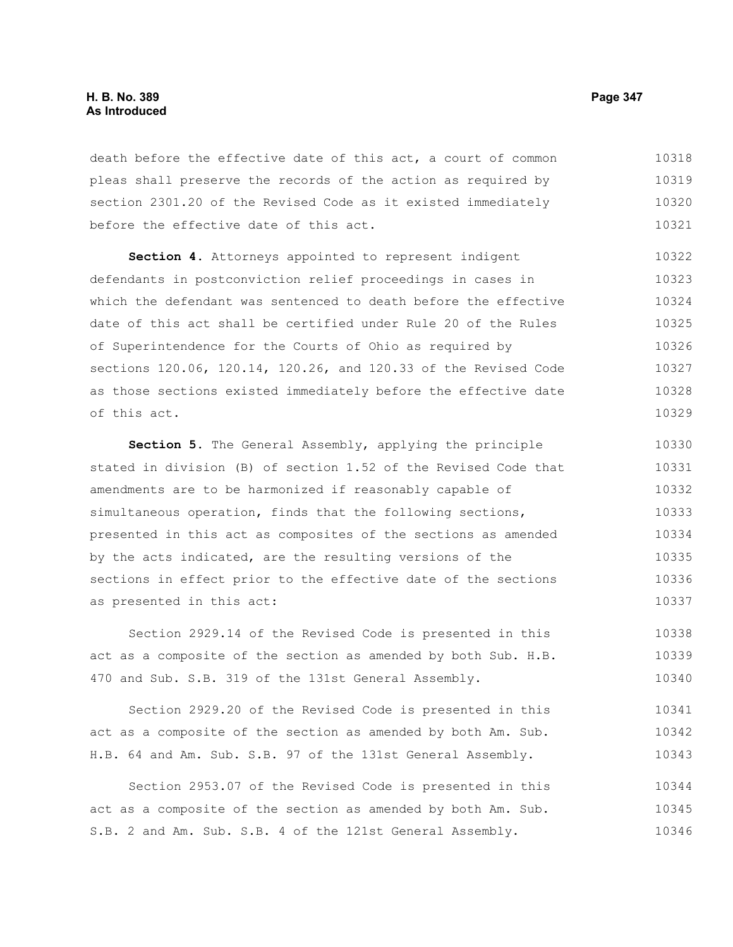death before the effective date of this act, a court of common pleas shall preserve the records of the action as required by section 2301.20 of the Revised Code as it existed immediately before the effective date of this act. 10318 10319 10320 10321

**Section 4.** Attorneys appointed to represent indigent defendants in postconviction relief proceedings in cases in which the defendant was sentenced to death before the effective date of this act shall be certified under Rule 20 of the Rules of Superintendence for the Courts of Ohio as required by sections 120.06, 120.14, 120.26, and 120.33 of the Revised Code as those sections existed immediately before the effective date of this act. 10322 10323 10324 10325 10326 10327 10328 10329

**Section 5.** The General Assembly, applying the principle stated in division (B) of section 1.52 of the Revised Code that amendments are to be harmonized if reasonably capable of simultaneous operation, finds that the following sections, presented in this act as composites of the sections as amended by the acts indicated, are the resulting versions of the sections in effect prior to the effective date of the sections as presented in this act: 10330 10331 10332 10333 10334 10335 10336 10337

Section 2929.14 of the Revised Code is presented in this act as a composite of the section as amended by both Sub. H.B. 470 and Sub. S.B. 319 of the 131st General Assembly. 10338 10339 10340

Section 2929.20 of the Revised Code is presented in this act as a composite of the section as amended by both Am. Sub. H.B. 64 and Am. Sub. S.B. 97 of the 131st General Assembly. 10341 10342 10343

Section 2953.07 of the Revised Code is presented in this act as a composite of the section as amended by both Am. Sub. S.B. 2 and Am. Sub. S.B. 4 of the 121st General Assembly. 10344 10345 10346